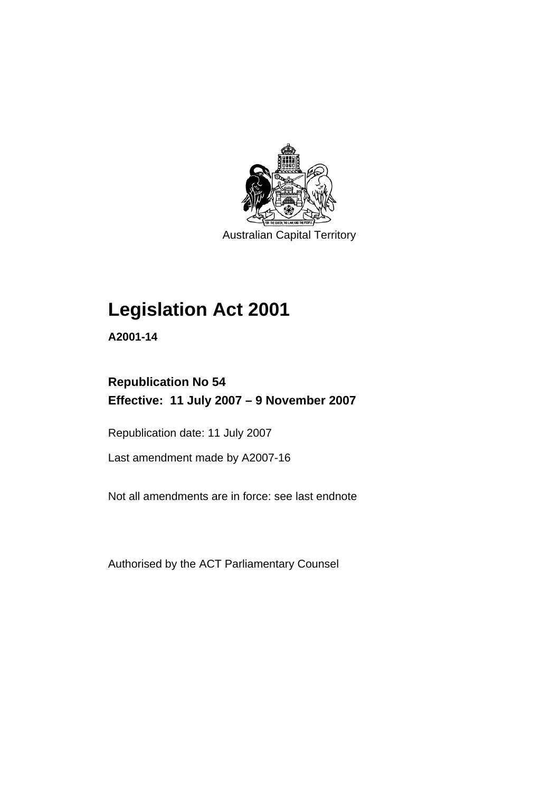

Australian Capital Territory

# **[Legislation Act 2001](#page-16-0)**

**A2001-14** 

# **Republication No 54 Effective: 11 July 2007 – 9 November 2007**

Republication date: 11 July 2007

Last amendment made by A2007-16

Not all amendments are in force: see last endnote

Authorised by the ACT Parliamentary Counsel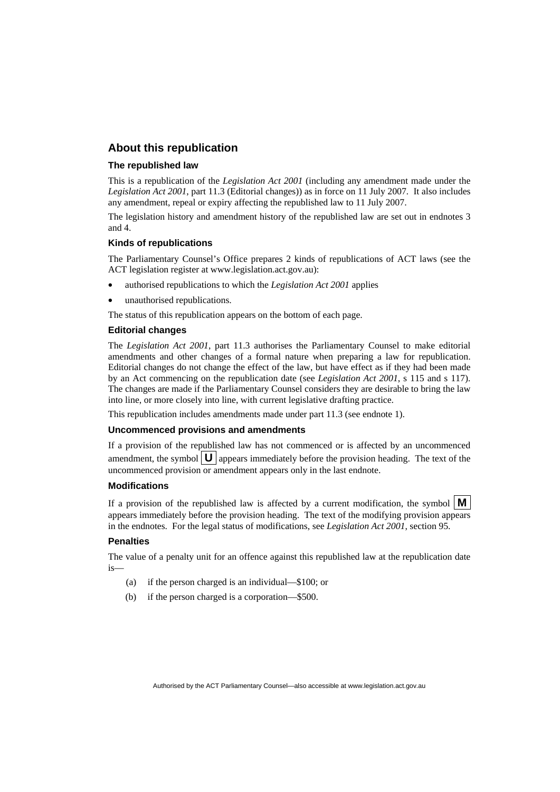### **About this republication**

#### **The republished law**

This is a republication of the *Legislation Act 2001* (including any amendment made under the *Legislation Act 2001*, part 11.3 (Editorial changes)) as in force on 11 July 2007*.* It also includes any amendment, repeal or expiry affecting the republished law to 11 July 2007.

The legislation history and amendment history of the republished law are set out in endnotes 3 and 4.

#### **Kinds of republications**

The Parliamentary Counsel's Office prepares 2 kinds of republications of ACT laws (see the ACT legislation register at www.legislation.act.gov.au):

- authorised republications to which the *Legislation Act 2001* applies
- unauthorised republications.

The status of this republication appears on the bottom of each page.

#### **Editorial changes**

The *Legislation Act 2001*, part 11.3 authorises the Parliamentary Counsel to make editorial amendments and other changes of a formal nature when preparing a law for republication. Editorial changes do not change the effect of the law, but have effect as if they had been made by an Act commencing on the republication date (see *Legislation Act 2001*, s 115 and s 117). The changes are made if the Parliamentary Counsel considers they are desirable to bring the law into line, or more closely into line, with current legislative drafting practice.

This republication includes amendments made under part 11.3 (see endnote 1).

#### **Uncommenced provisions and amendments**

If a provision of the republished law has not commenced or is affected by an uncommenced amendment, the symbol  $\mathbf{U}$  appears immediately before the provision heading. The text of the uncommenced provision or amendment appears only in the last endnote.

#### **Modifications**

If a provision of the republished law is affected by a current modification, the symbol  $\mathbf{M}$ appears immediately before the provision heading. The text of the modifying provision appears in the endnotes. For the legal status of modifications, see *Legislation Act 2001*, section 95.

#### **Penalties**

The value of a penalty unit for an offence against this republished law at the republication date is—

- (a) if the person charged is an individual—\$100; or
- (b) if the person charged is a corporation—\$500.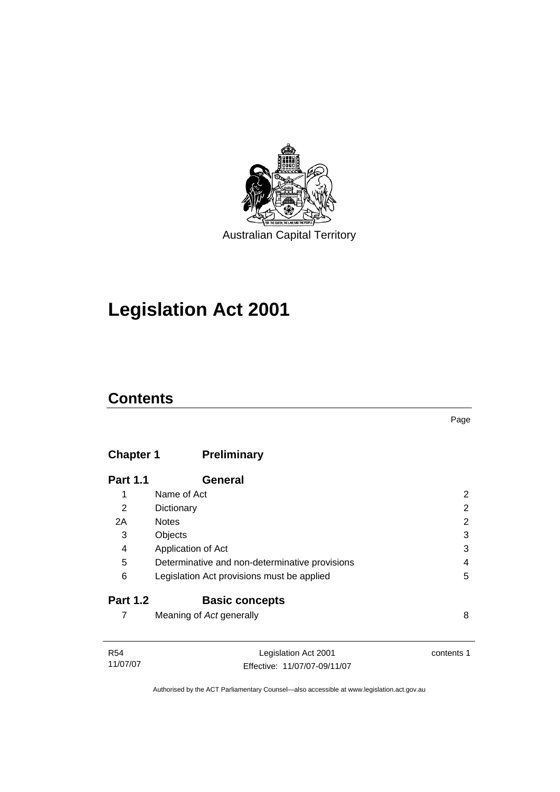

# **[Legislation Act 2001](#page-16-0)**

# **Contents**

## **Chapter 1 Preliminary**

| <b>Part 1.1</b> | General                                        |   |
|-----------------|------------------------------------------------|---|
| 1               | Name of Act                                    | 2 |
| 2               | Dictionary                                     | 2 |
| 2A              | <b>Notes</b>                                   | 2 |
| 3               | Objects                                        | 3 |
| 4               | Application of Act                             | 3 |
| 5               | Determinative and non-determinative provisions | 4 |
| 6               | Legislation Act provisions must be applied     | 5 |
| <b>Part 1.2</b> | <b>Basic concepts</b>                          |   |
|                 | Meaning of Act generally                       | 8 |

| R54      | Legislation Act 2001         | contents 1 |
|----------|------------------------------|------------|
| 11/07/07 | Effective: 11/07/07-09/11/07 |            |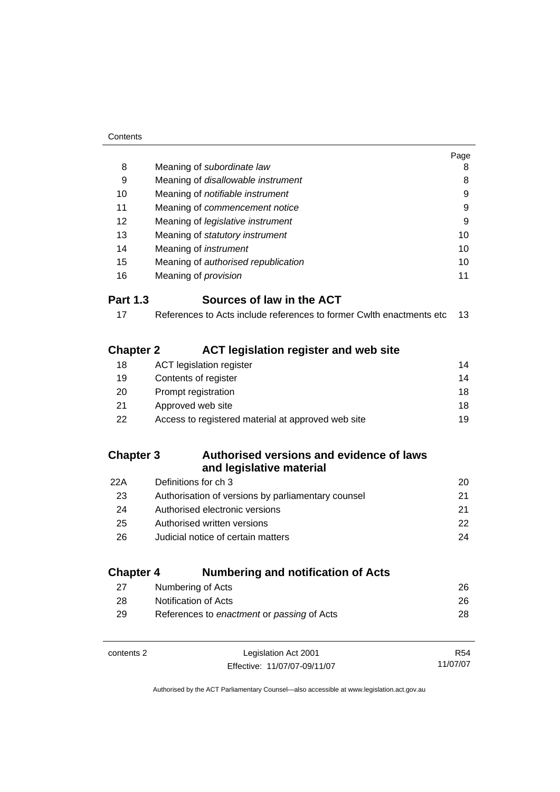|                  |                                                                      | Page |
|------------------|----------------------------------------------------------------------|------|
| 8                | Meaning of subordinate law                                           | 8    |
| 9                | Meaning of disallowable instrument                                   | 8    |
| 10               | Meaning of notifiable instrument                                     | 9    |
| 11               | Meaning of commencement notice                                       | 9    |
| 12               | Meaning of legislative instrument                                    | 9    |
| 13               | Meaning of statutory instrument                                      | 10   |
| 14               | Meaning of <i>instrument</i>                                         | 10   |
| 15               | Meaning of authorised republication                                  | 10   |
| 16               | Meaning of <i>provision</i>                                          | 11   |
| <b>Part 1.3</b>  | Sources of law in the ACT                                            |      |
| 17               | References to Acts include references to former Cwlth enactments etc | 13   |
| <b>Chapter 2</b> | <b>ACT legislation register and web site</b>                         |      |
| 18               | <b>ACT</b> legislation register                                      | 14   |
| 19               | Contents of register                                                 | 14   |
| 20               | Prompt registration                                                  | 18   |
| 21               | Approved web site                                                    | 18   |
| 22               | Access to registered material at approved web site                   | 19   |
| <b>Chapter 3</b> | Authorised versions and evidence of laws<br>and legislative material |      |
| 22A              | Definitions for ch 3                                                 | 20   |
| 23               | Authorisation of versions by parliamentary counsel                   | 21   |
| 24               | Authorised electronic versions                                       | 21   |
| 25               | Authorised written versions                                          | 22   |
| 26               | Judicial notice of certain matters                                   | 24   |
| <b>Chapter 4</b> | <b>Numbering and notification of Acts</b>                            |      |
| 27               | Numbering of Acts                                                    | 26   |
| 28               | Notification of Acts                                                 | 26   |
| 29               | References to enactment or passing of Acts                           | 28   |

| contents 2 | Legislation Act 2001         | R54      |
|------------|------------------------------|----------|
|            | Effective: 11/07/07-09/11/07 | 11/07/07 |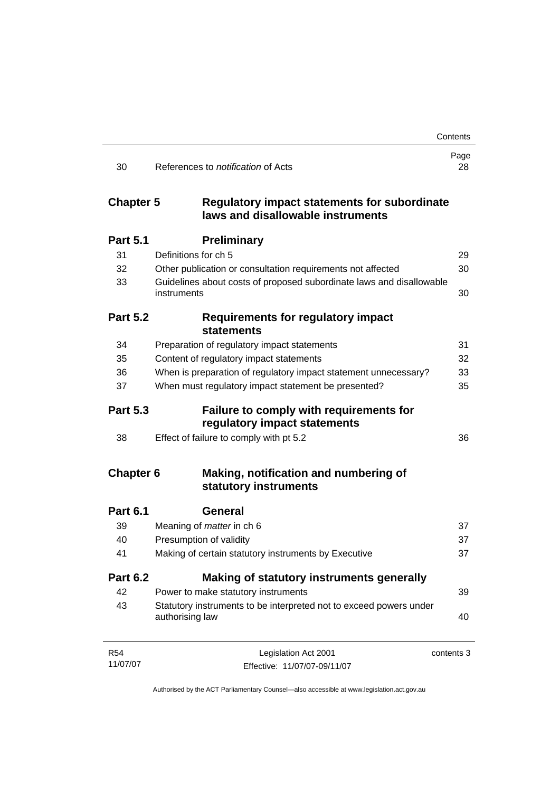|                  |                                                                                          | Contents   |
|------------------|------------------------------------------------------------------------------------------|------------|
| 30               | References to <i>notification</i> of Acts                                                | Page<br>28 |
| <b>Chapter 5</b> | <b>Regulatory impact statements for subordinate</b><br>laws and disallowable instruments |            |
| <b>Part 5.1</b>  | <b>Preliminary</b>                                                                       |            |
| 31               | Definitions for ch 5                                                                     | 29         |
| 32               | Other publication or consultation requirements not affected                              | 30         |
| 33               | Guidelines about costs of proposed subordinate laws and disallowable<br>instruments      | 30         |
| <b>Part 5.2</b>  | <b>Requirements for regulatory impact</b><br><b>statements</b>                           |            |
| 34               | Preparation of regulatory impact statements                                              | 31         |
| 35               | Content of regulatory impact statements                                                  | 32         |
| 36               | When is preparation of regulatory impact statement unnecessary?                          | 33         |
| 37               | When must regulatory impact statement be presented?                                      | 35         |
| <b>Part 5.3</b>  | Failure to comply with requirements for<br>regulatory impact statements                  |            |
| 38               | Effect of failure to comply with pt 5.2                                                  | 36         |
| <b>Chapter 6</b> | Making, notification and numbering of<br>statutory instruments                           |            |
| <b>Part 6.1</b>  | <b>General</b>                                                                           |            |
| 39               | Meaning of <i>matter</i> in ch 6                                                         | 37         |
| 40               | Presumption of validity                                                                  | 37         |
| 41               | Making of certain statutory instruments by Executive                                     | 37         |
| <b>Part 6.2</b>  | Making of statutory instruments generally                                                |            |
| 42               | Power to make statutory instruments                                                      | 39         |
| 43               | Statutory instruments to be interpreted not to exceed powers under<br>authorising law    | 40         |
| <b>R54</b>       | Legislation Act 2001                                                                     | contents 3 |
| 11/07/07         | Effective: 11/07/07-09/11/07                                                             |            |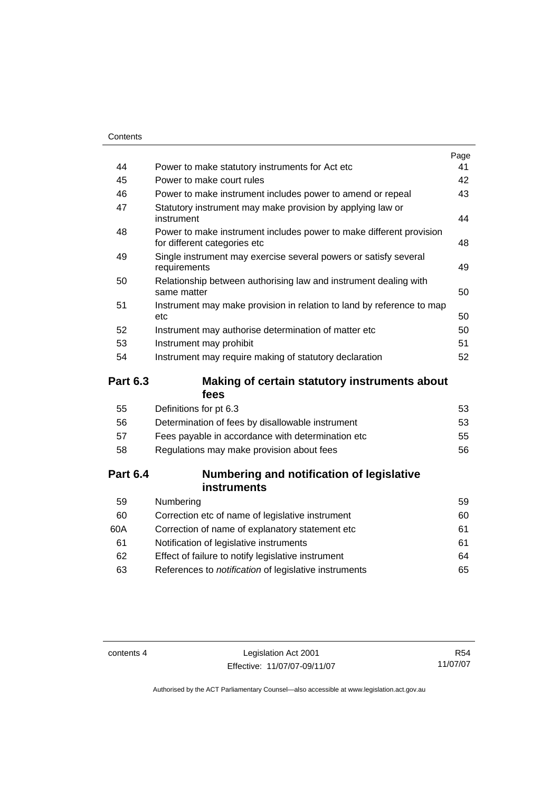|    |                                                                                                     | Page |
|----|-----------------------------------------------------------------------------------------------------|------|
| 44 | Power to make statutory instruments for Act etc.                                                    | 41   |
| 45 | Power to make court rules                                                                           | 42   |
| 46 | Power to make instrument includes power to amend or repeal                                          | 43   |
| 47 | Statutory instrument may make provision by applying law or<br>instrument                            | 44   |
| 48 | Power to make instrument includes power to make different provision<br>for different categories etc | 48   |
| 49 | Single instrument may exercise several powers or satisfy several<br>requirements                    | 49   |
| 50 | Relationship between authorising law and instrument dealing with<br>same matter                     | 50   |
| 51 | Instrument may make provision in relation to land by reference to map<br>etc                        | 50   |
| 52 | Instrument may authorise determination of matter etc                                                | 50   |
| 53 | Instrument may prohibit                                                                             | 51   |
| 54 | Instrument may require making of statutory declaration                                              | 52   |
|    |                                                                                                     |      |

### **Part 6.3 Making of certain statutory instruments about fees**

| 53 |
|----|
| 53 |
| 55 |
| 56 |
|    |

### **Part 6.4 Numbering and notification of legislative instruments**

| Numbering                                                    | 59  |
|--------------------------------------------------------------|-----|
| Correction etc of name of legislative instrument             | 60  |
| Correction of name of explanatory statement etc              | 61  |
| Notification of legislative instruments                      | 61  |
| Effect of failure to notify legislative instrument           | 64  |
| References to <i>notification</i> of legislative instruments | 65. |
|                                                              |     |

contents 4 Legislation Act 2001 Effective: 11/07/07-09/11/07

R54 11/07/07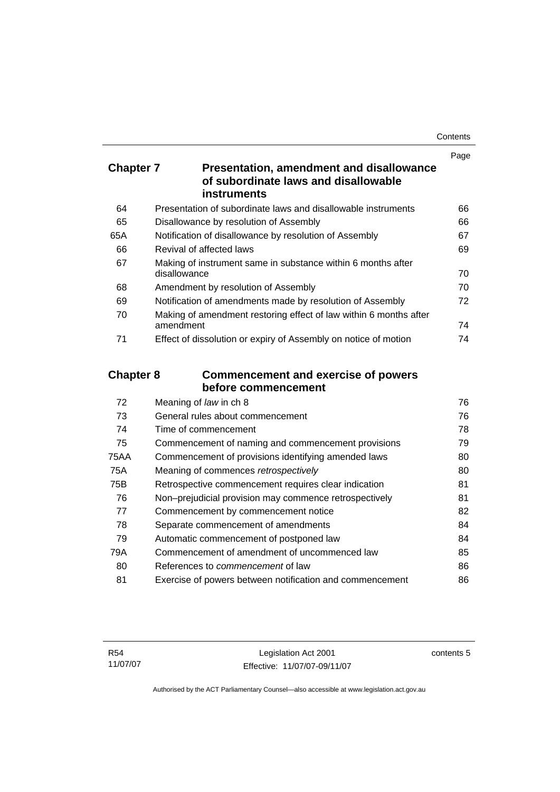| Contents |
|----------|
|----------|

|                  |                                                                                         | Page |
|------------------|-----------------------------------------------------------------------------------------|------|
| <b>Chapter 7</b> | <b>Presentation, amendment and disallowance</b><br>of subordinate laws and disallowable |      |
|                  | instruments                                                                             |      |
| 64               | Presentation of subordinate laws and disallowable instruments                           | 66   |
| 65               | Disallowance by resolution of Assembly                                                  | 66   |
| 65A              | Notification of disallowance by resolution of Assembly                                  | 67   |
| 66               | Revival of affected laws                                                                | 69   |
| 67               | Making of instrument same in substance within 6 months after<br>disallowance            | 70   |
| 68               | Amendment by resolution of Assembly                                                     | 70   |
| 69               | Notification of amendments made by resolution of Assembly                               | 72   |
| 70               | Making of amendment restoring effect of law within 6 months after<br>amendment          | 74   |
| 71               | Effect of dissolution or expiry of Assembly on notice of motion                         | 74   |
| <b>Chapter 8</b> | <b>Commencement and exercise of powers</b>                                              |      |
|                  | before commencement                                                                     |      |
| 72               | Meaning of law in ch 8                                                                  | 76   |
| 73               | General rules about commencement                                                        | 76   |
| 74               | Time of commencement                                                                    | 78   |
| 75               | Commencement of naming and commencement provisions                                      | 79   |
| <b>75AA</b>      | Commencement of provisions identifying amended laws                                     | 80   |
| 75A              | Meaning of commences retrospectively                                                    | 80   |
| 75B              | Retrospective commencement requires clear indication                                    | 81   |
| 76               | Non-prejudicial provision may commence retrospectively                                  | 81   |
| 77               | Commencement by commencement notice                                                     | 82   |
| 78               | Separate commencement of amendments                                                     | 84   |
| 79               | Automatic commencement of postponed law                                                 | 84   |
| 79A              | Commencement of amendment of uncommenced law                                            | 85   |
|                  |                                                                                         |      |

80 References to *commencement* of law [86](#page-101-0) 81 Exercise of powers between notification and commencement [86](#page-101-0)

contents 5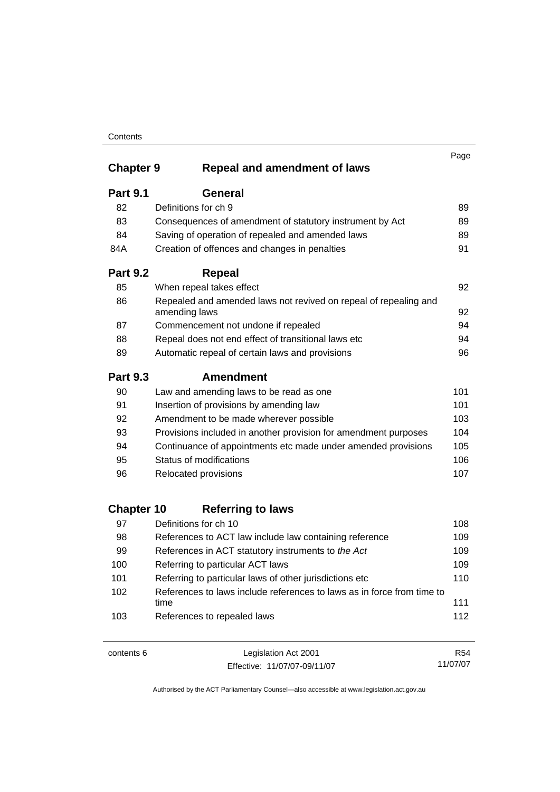### **Contents**

|                   |                                                                                   | Page       |
|-------------------|-----------------------------------------------------------------------------------|------------|
| <b>Chapter 9</b>  | <b>Repeal and amendment of laws</b>                                               |            |
| <b>Part 9.1</b>   | <b>General</b>                                                                    |            |
| 82                | Definitions for ch 9                                                              | 89         |
| 83                | Consequences of amendment of statutory instrument by Act                          | 89         |
| 84                | Saving of operation of repealed and amended laws                                  | 89         |
| 84A               | Creation of offences and changes in penalties                                     | 91         |
| <b>Part 9.2</b>   | <b>Repeal</b>                                                                     |            |
| 85                | When repeal takes effect                                                          | 92         |
| 86                | Repealed and amended laws not revived on repeal of repealing and<br>amending laws | 92         |
| 87                | Commencement not undone if repealed                                               | 94         |
| 88                | Repeal does not end effect of transitional laws etc                               | 94         |
| 89                | Automatic repeal of certain laws and provisions                                   | 96         |
| <b>Part 9.3</b>   | <b>Amendment</b>                                                                  |            |
| 90                | Law and amending laws to be read as one                                           | 101        |
| 91                | Insertion of provisions by amending law                                           | 101        |
| 92                | Amendment to be made wherever possible                                            | 103        |
| 93                | Provisions included in another provision for amendment purposes                   | 104        |
| 94                | Continuance of appointments etc made under amended provisions                     | 105        |
| 95                | Status of modifications                                                           | 106        |
| 96                | Relocated provisions                                                              | 107        |
| <b>Chapter 10</b> | <b>Referring to laws</b>                                                          |            |
| 97                | Definitions for ch 10                                                             | 108        |
| 98                | References to ACT law include law containing reference                            | 109        |
| 99                | References in ACT statutory instruments to the Act                                | 109        |
| 100               | Referring to particular ACT laws                                                  | 109        |
| 101               | Referring to particular laws of other jurisdictions etc                           | 110        |
| 102               | References to laws include references to laws as in force from time to            |            |
| 103               | time<br>References to repealed laws                                               | 111<br>112 |

contents 6 Legislation Act 2001 Effective: 11/07/07-09/11/07

R54 11/07/07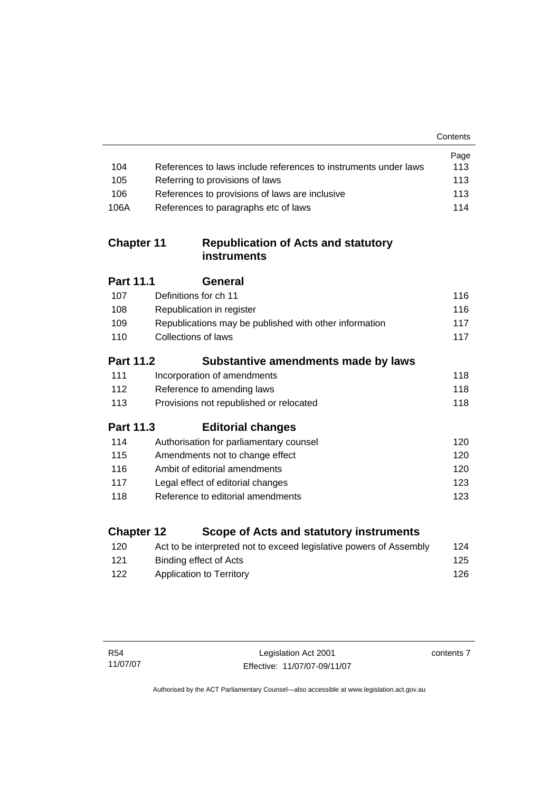|                   |                                                                    | Contents |
|-------------------|--------------------------------------------------------------------|----------|
|                   |                                                                    | Page     |
| 104               | References to laws include references to instruments under laws    | 113      |
| 105               | Referring to provisions of laws                                    | 113      |
| 106               | References to provisions of laws are inclusive                     | 113      |
| 106A              | References to paragraphs etc of laws                               | 114      |
| <b>Chapter 11</b> | <b>Republication of Acts and statutory</b><br><b>instruments</b>   |          |
| Part 11.1         | General                                                            |          |
| 107               | Definitions for ch 11                                              | 116      |
| 108               | Republication in register                                          | 116      |
| 109               | Republications may be published with other information             | 117      |
| 110               | Collections of laws                                                | 117      |
| <b>Part 11.2</b>  | Substantive amendments made by laws                                |          |
| 111               | Incorporation of amendments                                        | 118      |
| 112               | Reference to amending laws                                         | 118      |
| 113               | Provisions not republished or relocated                            | 118      |
| <b>Part 11.3</b>  | <b>Editorial changes</b>                                           |          |
| 114               | Authorisation for parliamentary counsel                            | 120      |
| 115               | Amendments not to change effect                                    | 120      |
| 116               | Ambit of editorial amendments                                      | 120      |
| 117               | Legal effect of editorial changes                                  | 123      |
| 118               | Reference to editorial amendments                                  | 123      |
| <b>Chapter 12</b> | <b>Scope of Acts and statutory instruments</b>                     |          |
| 120               | Act to be interpreted not to exceed legislative powers of Assembly | 124      |
|                   |                                                                    |          |

121 Binding effect of Acts 122 Application to Territory **[126](#page-141-0)** 

contents 7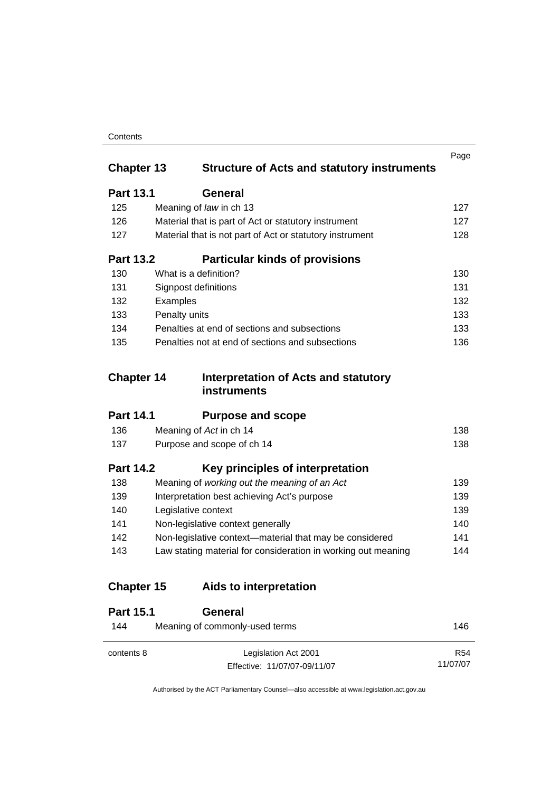#### **Contents**

| <b>Chapter 13</b> | <b>Structure of Acts and statutory instruments</b>            | Page |
|-------------------|---------------------------------------------------------------|------|
|                   |                                                               |      |
| <b>Part 13.1</b>  | General                                                       |      |
| 125               | Meaning of law in ch 13                                       | 127  |
| 126               | Material that is part of Act or statutory instrument          | 127  |
| 127               | Material that is not part of Act or statutory instrument      | 128  |
| <b>Part 13.2</b>  | <b>Particular kinds of provisions</b>                         |      |
| 130               | What is a definition?                                         | 130  |
| 131               | Signpost definitions                                          | 131  |
| 132               | Examples                                                      | 132  |
| 133               | Penalty units                                                 | 133  |
| 134               | Penalties at end of sections and subsections                  | 133  |
| 135               | Penalties not at end of sections and subsections              | 136  |
|                   |                                                               |      |
| <b>Chapter 14</b> | Interpretation of Acts and statutory<br>instruments           |      |
| <b>Part 14.1</b>  | <b>Purpose and scope</b>                                      |      |
| 136               | Meaning of Act in ch 14                                       | 138  |
| 137               | Purpose and scope of ch 14                                    | 138  |
| <b>Part 14.2</b>  | Key principles of interpretation                              |      |
| 138               | Meaning of working out the meaning of an Act                  | 139  |
| 139               | Interpretation best achieving Act's purpose                   | 139  |
| 140               | Legislative context                                           | 139  |
| 141               | Non-legislative context generally                             | 140  |
| 142               | Non-legislative context-material that may be considered       | 141  |
| 143               | Law stating material for consideration in working out meaning | 144  |
| <b>Chapter 15</b> | Aids to interpretation                                        |      |
| <b>Part 15.1</b>  | General                                                       |      |
| 144               | Meaning of commonly-used terms                                | 146  |
|                   |                                                               |      |

Authorised by the ACT Parliamentary Counsel—also accessible at www.legislation.act.gov.au

R54 11/07/07

Effective: 11/07/07-09/11/07

contents 8 Legislation Act 2001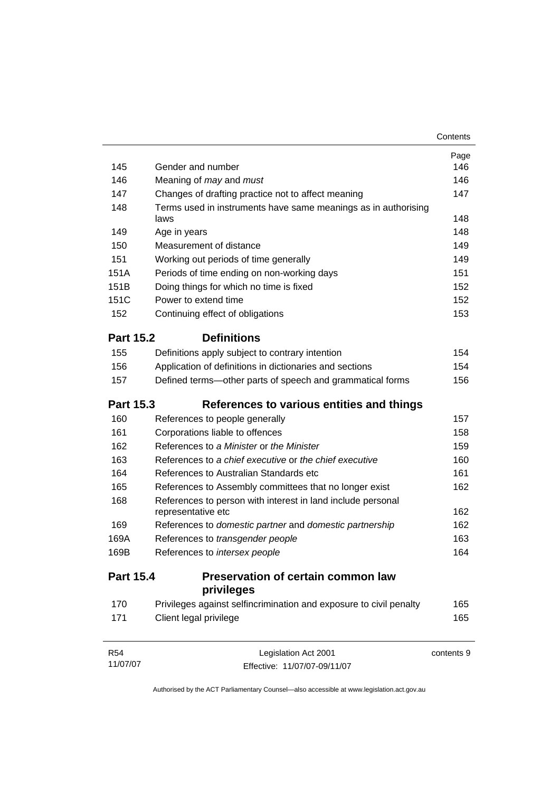|                  |                                                                        | Contents   |
|------------------|------------------------------------------------------------------------|------------|
|                  |                                                                        | Page       |
| 145              | Gender and number                                                      | 146        |
| 146              | Meaning of <i>may</i> and <i>must</i>                                  | 146        |
| 147              | Changes of drafting practice not to affect meaning                     | 147        |
| 148              | Terms used in instruments have same meanings as in authorising<br>laws | 148        |
| 149              | Age in years                                                           | 148        |
| 150              | Measurement of distance                                                | 149        |
| 151              | Working out periods of time generally                                  | 149        |
| 151A             | Periods of time ending on non-working days                             | 151        |
| 151B             | Doing things for which no time is fixed                                | 152        |
| 151C             | Power to extend time                                                   | 152        |
| 152              | Continuing effect of obligations                                       | 153        |
| <b>Part 15.2</b> | <b>Definitions</b>                                                     |            |
| 155              | Definitions apply subject to contrary intention                        | 154        |
| 156              | Application of definitions in dictionaries and sections                | 154        |
| 157              | Defined terms—other parts of speech and grammatical forms              | 156        |
| <b>Part 15.3</b> | References to various entities and things                              |            |
| 160              | References to people generally                                         | 157        |
| 161              | Corporations liable to offences                                        | 158        |
| 162              | References to a Minister or the Minister                               | 159        |
| 163              | References to a chief executive or the chief executive                 | 160        |
| 164              | References to Australian Standards etc                                 | 161        |
| 165              | References to Assembly committees that no longer exist                 | 162        |
| 168              | References to person with interest in land include personal            |            |
|                  | representative etc                                                     | 162        |
| 169              | References to domestic partner and domestic partnership                | 162        |
| 169A             | References to transgender people                                       | 163        |
| 169B             | References to intersex people                                          | 164        |
| <b>Part 15.4</b> | Preservation of certain common law<br>privileges                       |            |
| 170              | Privileges against selfincrimination and exposure to civil penalty     | 165        |
| 171              | Client legal privilege                                                 | 165        |
| R <sub>54</sub>  | Legislation Act 2001                                                   | contents 9 |

Authorised by the ACT Parliamentary Counsel—also accessible at www.legislation.act.gov.au

Effective: 11/07/07-09/11/07

11/07/07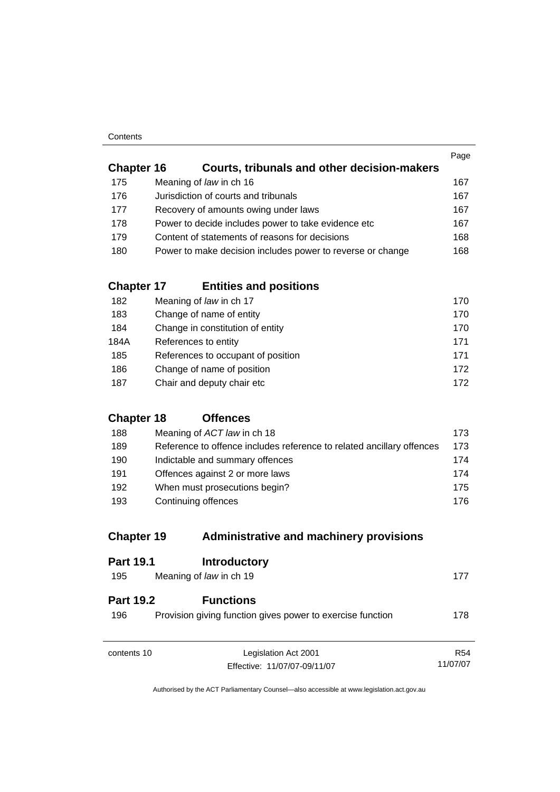#### **Contents**

|                   |                                                            | Page |
|-------------------|------------------------------------------------------------|------|
| <b>Chapter 16</b> | Courts, tribunals and other decision-makers                |      |
| 175               | Meaning of law in ch 16                                    | 167  |
| 176               | Jurisdiction of courts and tribunals                       | 167  |
| 177               | Recovery of amounts owing under laws                       | 167  |
| 178               | Power to decide includes power to take evidence etc        | 167  |
| 179               | Content of statements of reasons for decisions             | 168  |
| 180               | Power to make decision includes power to reverse or change | 168  |
|                   |                                                            |      |

## **Chapter 17 Entities and positions**

| 182  | Meaning of law in ch 17            | 170 |
|------|------------------------------------|-----|
| 183  | Change of name of entity           | 170 |
| 184  | Change in constitution of entity   | 170 |
| 184A | References to entity               | 171 |
| 185  | References to occupant of position | 171 |
| 186  | Change of name of position         | 172 |
| 187  | Chair and deputy chair etc         | 172 |

### **Chapter 18 Offences**

| 188 | Meaning of ACT law in ch 18                                           | 173. |
|-----|-----------------------------------------------------------------------|------|
| 189 | Reference to offence includes reference to related ancillary offences | 173  |
| 190 | Indictable and summary offences                                       | 174  |
| 191 | Offences against 2 or more laws                                       | 174  |
| 192 | When must prosecutions begin?                                         | 175. |
| 193 | Continuing offences                                                   | 176. |

## **Chapter 19 Administrative and machinery provisions**

| <b>Part 19.1</b>        | <b>Introductory</b>                                                            |            |
|-------------------------|--------------------------------------------------------------------------------|------------|
| 195                     | Meaning of law in ch 19                                                        | 177        |
| <b>Part 19.2</b><br>196 | <b>Functions</b><br>Provision giving function gives power to exercise function | 178        |
| contents 10             | Legislation Act 2001                                                           | <b>R54</b> |
|                         | Effective: 11/07/07-09/11/07                                                   | 11/07/07   |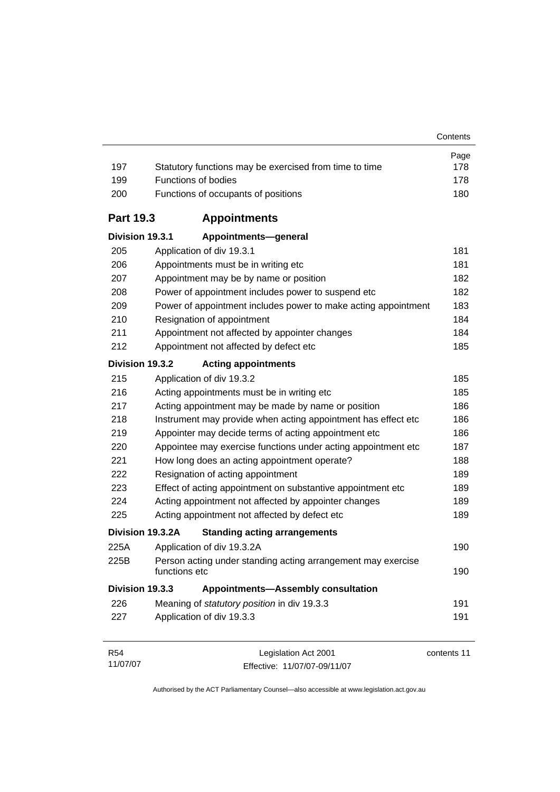| 197              | Statutory functions may be exercised from time to time                        | Page<br>178 |
|------------------|-------------------------------------------------------------------------------|-------------|
| 199              | <b>Functions of bodies</b>                                                    | 178         |
| 200              | Functions of occupants of positions                                           | 180         |
| <b>Part 19.3</b> | <b>Appointments</b>                                                           |             |
| Division 19.3.1  | Appointments-general                                                          |             |
| 205              | Application of div 19.3.1                                                     | 181         |
| 206              | Appointments must be in writing etc                                           | 181         |
| 207              | Appointment may be by name or position                                        | 182         |
| 208              | Power of appointment includes power to suspend etc                            | 182         |
| 209              | Power of appointment includes power to make acting appointment                | 183         |
| 210              | Resignation of appointment                                                    | 184         |
| 211              | Appointment not affected by appointer changes                                 | 184         |
| 212              | Appointment not affected by defect etc                                        | 185         |
| Division 19.3.2  | <b>Acting appointments</b>                                                    |             |
| 215              | Application of div 19.3.2                                                     | 185         |
| 216              | Acting appointments must be in writing etc                                    | 185         |
| 217              | Acting appointment may be made by name or position                            | 186         |
| 218              | Instrument may provide when acting appointment has effect etc                 | 186         |
| 219              | Appointer may decide terms of acting appointment etc                          | 186         |
| 220              | Appointee may exercise functions under acting appointment etc                 | 187         |
| 221              | How long does an acting appointment operate?                                  | 188         |
| 222              | Resignation of acting appointment                                             | 189         |
| 223              | Effect of acting appointment on substantive appointment etc                   | 189         |
| 224              | Acting appointment not affected by appointer changes                          | 189         |
| 225              | Acting appointment not affected by defect etc                                 | 189         |
|                  | Division 19.3.2A<br><b>Standing acting arrangements</b>                       |             |
| 225A             | Application of div 19.3.2A                                                    | 190         |
| 225B             | Person acting under standing acting arrangement may exercise<br>functions etc | 190         |
| Division 19.3.3  | <b>Appointments-Assembly consultation</b>                                     |             |
| 226              | Meaning of statutory position in div 19.3.3                                   | 191         |
| 227              | Application of div 19.3.3                                                     | 191         |
|                  |                                                                               |             |
| <b>R54</b>       | Legislation Act 2001                                                          | contents 11 |

Authorised by the ACT Parliamentary Counsel—also accessible at www.legislation.act.gov.au

Effective: 11/07/07-09/11/07

11/07/07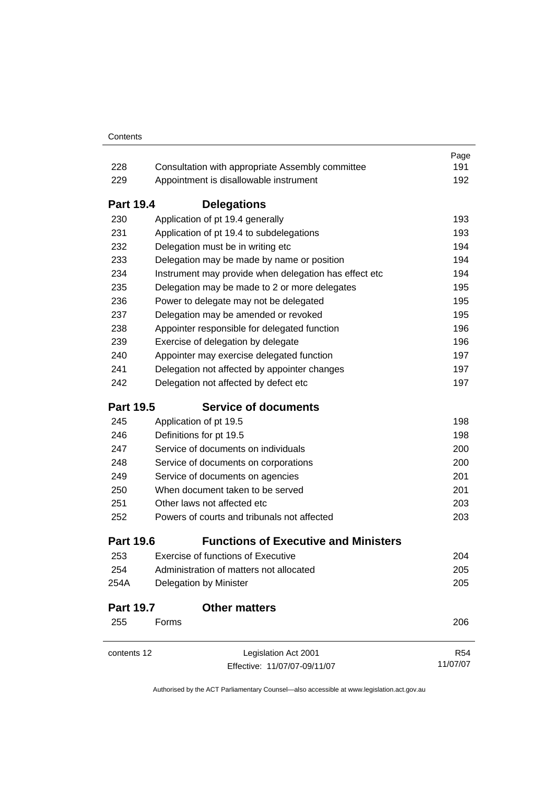|                  |                                                       | Page       |
|------------------|-------------------------------------------------------|------------|
| 228              | Consultation with appropriate Assembly committee      | 191        |
| 229              | Appointment is disallowable instrument                | 192        |
| <b>Part 19.4</b> | <b>Delegations</b>                                    |            |
| 230              | Application of pt 19.4 generally                      | 193        |
| 231              | Application of pt 19.4 to subdelegations              | 193        |
| 232              | Delegation must be in writing etc                     | 194        |
| 233              | Delegation may be made by name or position            | 194        |
| 234              | Instrument may provide when delegation has effect etc | 194        |
| 235              | Delegation may be made to 2 or more delegates         | 195        |
| 236              | Power to delegate may not be delegated                | 195        |
| 237              | Delegation may be amended or revoked                  | 195        |
| 238              | Appointer responsible for delegated function          | 196        |
| 239              | Exercise of delegation by delegate                    | 196        |
| 240              | Appointer may exercise delegated function             | 197        |
| 241              | Delegation not affected by appointer changes          | 197        |
| 242              | Delegation not affected by defect etc                 | 197        |
| <b>Part 19.5</b> | <b>Service of documents</b>                           |            |
| 245              | Application of pt 19.5                                | 198        |
| 246              | Definitions for pt 19.5                               | 198        |
| 247              | Service of documents on individuals                   | 200        |
| 248              | Service of documents on corporations                  | 200        |
| 249              | Service of documents on agencies                      | 201        |
| 250              | When document taken to be served                      | 201        |
| 251              | Other laws not affected etc                           | 203        |
| 252              | Powers of courts and tribunals not affected           | 203        |
| <b>Part 19.6</b> | <b>Functions of Executive and Ministers</b>           |            |
| 253              | <b>Exercise of functions of Executive</b>             | 204        |
| 254              | Administration of matters not allocated               | 205        |
| 254A             | Delegation by Minister                                | 205        |
| <b>Part 19.7</b> | <b>Other matters</b>                                  |            |
| 255              | Forms                                                 | 206        |
| contents 12      | Legislation Act 2001                                  | <b>R54</b> |
|                  | Effective: 11/07/07-09/11/07                          | 11/07/07   |
|                  |                                                       |            |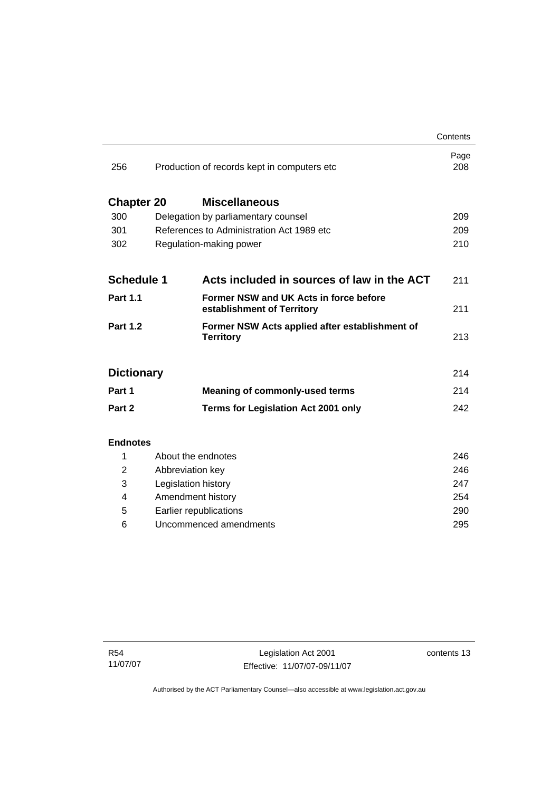|                   |                     |                                                                      | Contents    |
|-------------------|---------------------|----------------------------------------------------------------------|-------------|
| 256               |                     | Production of records kept in computers etc                          | Page<br>208 |
| <b>Chapter 20</b> |                     | <b>Miscellaneous</b>                                                 |             |
| 300               |                     | Delegation by parliamentary counsel                                  | 209         |
| 301               |                     | References to Administration Act 1989 etc.                           | 209         |
| 302               |                     | Regulation-making power                                              | 210         |
| <b>Schedule 1</b> |                     | Acts included in sources of law in the ACT                           | 211         |
| <b>Part 1.1</b>   |                     | Former NSW and UK Acts in force before<br>establishment of Territory | 211         |
| <b>Part 1.2</b>   |                     | Former NSW Acts applied after establishment of<br><b>Territory</b>   | 213         |
| <b>Dictionary</b> |                     |                                                                      | 214         |
| Part 1            |                     | <b>Meaning of commonly-used terms</b>                                | 214         |
| Part 2            |                     | <b>Terms for Legislation Act 2001 only</b>                           | 242         |
| <b>Endnotes</b>   |                     |                                                                      |             |
| 1                 | About the endnotes  |                                                                      | 246         |
| 2                 | Abbreviation key    |                                                                      | 246         |
| 3                 | Legislation history |                                                                      | 247         |
| 4                 | Amendment history   |                                                                      | 254         |

L.

 5 Earlier republications [290](#page-305-0) 6 Uncommenced amendments [295](#page-310-0)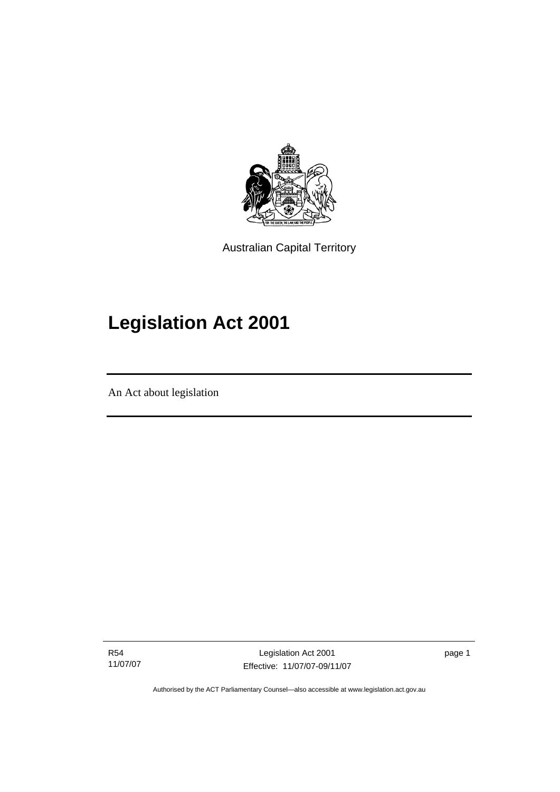<span id="page-16-0"></span>

Australian Capital Territory

# **Legislation Act 2001**

An Act about legislation

I

R54 11/07/07

Legislation Act 2001 Effective: 11/07/07-09/11/07 page 1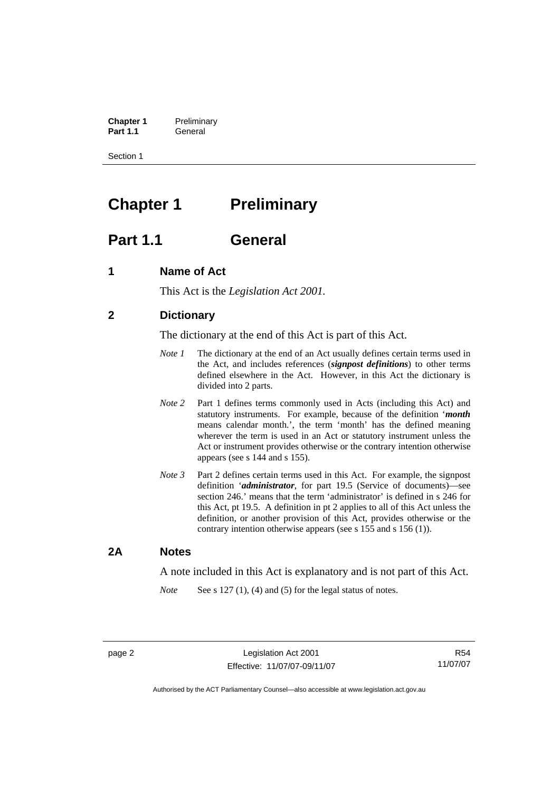<span id="page-17-0"></span>**Chapter 1** Preliminary<br>**Part 1.1** General General

Section 1

# **Chapter 1** Preliminary

### **Part 1.1 General**

### **1 Name of Act**

This Act is the *Legislation Act 2001.* 

### **2 Dictionary**

The dictionary at the end of this Act is part of this Act.

- *Note 1* The dictionary at the end of an Act usually defines certain terms used in the Act, and includes references (*signpost definitions*) to other terms defined elsewhere in the Act. However, in this Act the dictionary is divided into 2 parts.
- *Note* 2 Part 1 defines terms commonly used in Acts (including this Act) and statutory instruments. For example, because of the definition '*month* means calendar month.', the term 'month' has the defined meaning wherever the term is used in an Act or statutory instrument unless the Act or instrument provides otherwise or the contrary intention otherwise appears (see s 144 and s 155).
- *Note 3* Part 2 defines certain terms used in this Act. For example, the signpost definition '*administrator*, for part 19.5 (Service of documents)—see section 246.' means that the term 'administrator' is defined in s 246 for this Act, pt 19.5. A definition in pt 2 applies to all of this Act unless the definition, or another provision of this Act, provides otherwise or the contrary intention otherwise appears (see s 155 and s 156 (1)).

### **2A Notes**

A note included in this Act is explanatory and is not part of this Act.

*Note* See s 127 (1), (4) and (5) for the legal status of notes.

R54 11/07/07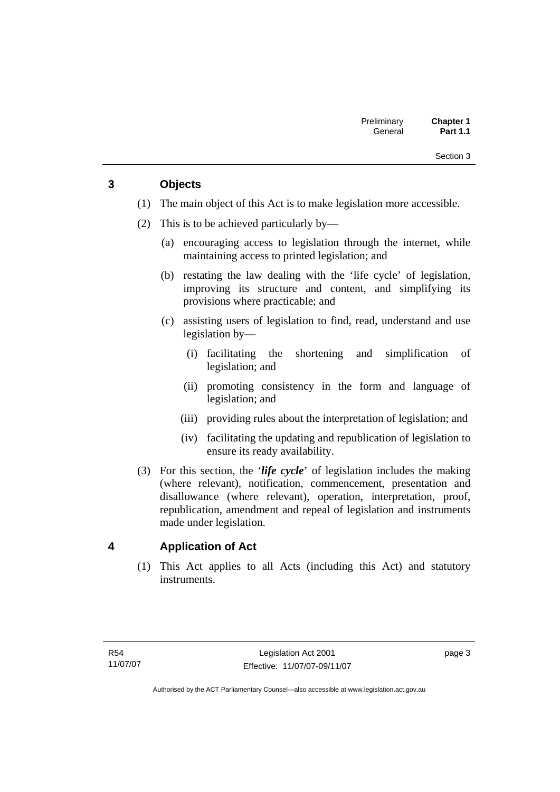### <span id="page-18-0"></span>**3 Objects**

- (1) The main object of this Act is to make legislation more accessible.
- (2) This is to be achieved particularly by—
	- (a) encouraging access to legislation through the internet, while maintaining access to printed legislation; and
	- (b) restating the law dealing with the 'life cycle' of legislation, improving its structure and content, and simplifying its provisions where practicable; and
	- (c) assisting users of legislation to find, read, understand and use legislation by—
		- (i) facilitating the shortening and simplification of legislation; and
		- (ii) promoting consistency in the form and language of legislation; and
		- (iii) providing rules about the interpretation of legislation; and
		- (iv) facilitating the updating and republication of legislation to ensure its ready availability.
- (3) For this section, the '*life cycle*' of legislation includes the making (where relevant), notification, commencement, presentation and disallowance (where relevant), operation, interpretation, proof, republication, amendment and repeal of legislation and instruments made under legislation.

### **4 Application of Act**

 (1) This Act applies to all Acts (including this Act) and statutory instruments.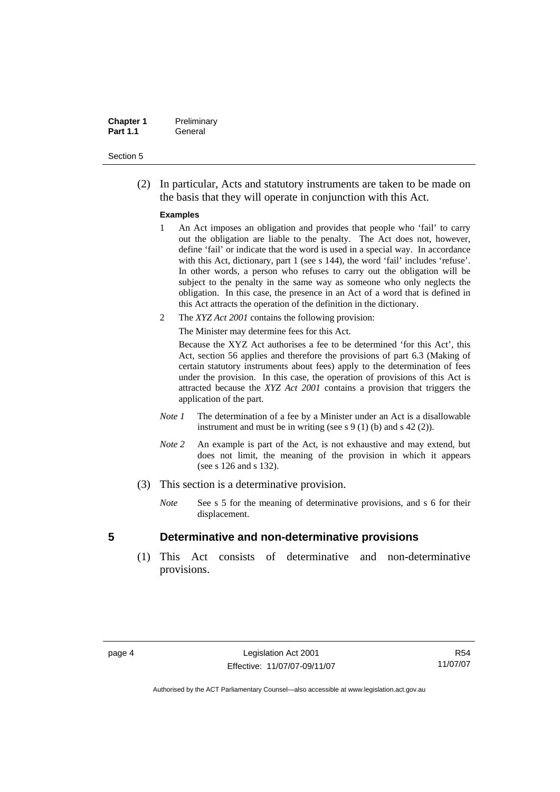<span id="page-19-0"></span>

| <b>Chapter 1</b> | Preliminary |
|------------------|-------------|
| <b>Part 1.1</b>  | General     |

 (2) In particular, Acts and statutory instruments are taken to be made on the basis that they will operate in conjunction with this Act.

#### **Examples**

- 1 An Act imposes an obligation and provides that people who 'fail' to carry out the obligation are liable to the penalty. The Act does not, however, define 'fail' or indicate that the word is used in a special way. In accordance with this Act, dictionary, part 1 (see s 144), the word 'fail' includes 'refuse'. In other words, a person who refuses to carry out the obligation will be subject to the penalty in the same way as someone who only neglects the obligation. In this case, the presence in an Act of a word that is defined in this Act attracts the operation of the definition in the dictionary.
- 2 The *XYZ Act 2001* contains the following provision:

The Minister may determine fees for this Act.

Because the XYZ Act authorises a fee to be determined 'for this Act', this Act, section 56 applies and therefore the provisions of part 6.3 (Making of certain statutory instruments about fees) apply to the determination of fees under the provision. In this case, the operation of provisions of this Act is attracted because the *XYZ Act 2001* contains a provision that triggers the application of the part.

- *Note 1* The determination of a fee by a Minister under an Act is a disallowable instrument and must be in writing (see s 9 (1) (b) and s 42 (2)).
- *Note 2* An example is part of the Act, is not exhaustive and may extend, but does not limit, the meaning of the provision in which it appears (see s 126 and s 132).
- (3) This section is a determinative provision.
	- *Note* See s 5 for the meaning of determinative provisions, and s 6 for their displacement.

#### **5 Determinative and non-determinative provisions**

 (1) This Act consists of determinative and non-determinative provisions.

R54 11/07/07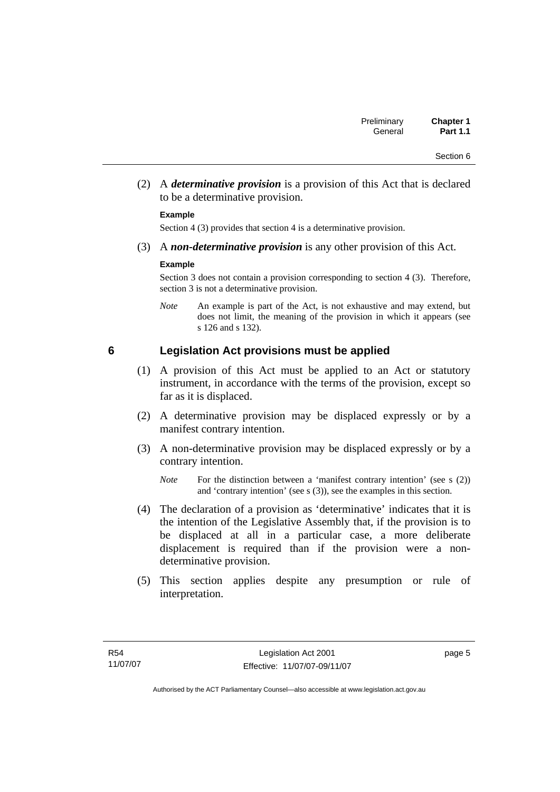<span id="page-20-0"></span> (2) A *determinative provision* is a provision of this Act that is declared to be a determinative provision.

#### **Example**

Section 4 (3) provides that section 4 is a determinative provision.

(3) A *non-determinative provision* is any other provision of this Act.

#### **Example**

Section 3 does not contain a provision corresponding to section 4 (3). Therefore, section 3 is not a determinative provision.

*Note* An example is part of the Act, is not exhaustive and may extend, but does not limit, the meaning of the provision in which it appears (see s 126 and s 132).

### **6 Legislation Act provisions must be applied**

- (1) A provision of this Act must be applied to an Act or statutory instrument, in accordance with the terms of the provision, except so far as it is displaced.
- (2) A determinative provision may be displaced expressly or by a manifest contrary intention.
- (3) A non-determinative provision may be displaced expressly or by a contrary intention.

- (4) The declaration of a provision as 'determinative' indicates that it is the intention of the Legislative Assembly that, if the provision is to be displaced at all in a particular case, a more deliberate displacement is required than if the provision were a nondeterminative provision.
- (5) This section applies despite any presumption or rule of interpretation.

*Note* For the distinction between a 'manifest contrary intention' (see s (2)) and 'contrary intention' (see s (3)), see the examples in this section.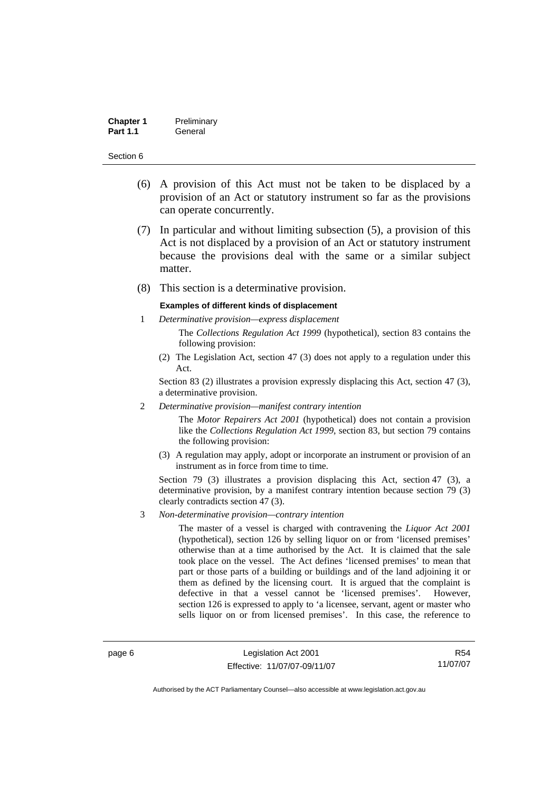| <b>Chapter 1</b> | Preliminary |
|------------------|-------------|
| <b>Part 1.1</b>  | General     |

- (6) A provision of this Act must not be taken to be displaced by a provision of an Act or statutory instrument so far as the provisions can operate concurrently.
- (7) In particular and without limiting subsection (5), a provision of this Act is not displaced by a provision of an Act or statutory instrument because the provisions deal with the same or a similar subject matter.
- (8) This section is a determinative provision.

#### **Examples of different kinds of displacement**

- 1 *Determinative provision—express displacement* The *Collections Regulation Act 1999* (hypothetical), section 83 contains the following provision:
	- (2) The Legislation Act, section 47 (3) does not apply to a regulation under this Act.

Section 83 (2) illustrates a provision expressly displacing this Act, section 47 (3), a determinative provision.

2 *Determinative provision—manifest contrary intention*

The *Motor Repairers Act 2001* (hypothetical) does not contain a provision like the *Collections Regulation Act 1999*, section 83, but section 79 contains the following provision:

(3) A regulation may apply, adopt or incorporate an instrument or provision of an instrument as in force from time to time.

Section 79 (3) illustrates a provision displacing this Act, section 47 (3), a determinative provision, by a manifest contrary intention because section 79 (3) clearly contradicts section 47 (3).

3 *Non-determinative provision—contrary intention*

The master of a vessel is charged with contravening the *Liquor Act 2001* (hypothetical), section 126 by selling liquor on or from 'licensed premises' otherwise than at a time authorised by the Act. It is claimed that the sale took place on the vessel. The Act defines 'licensed premises' to mean that part or those parts of a building or buildings and of the land adjoining it or them as defined by the licensing court. It is argued that the complaint is defective in that a vessel cannot be 'licensed premises'. However, section 126 is expressed to apply to 'a licensee, servant, agent or master who sells liquor on or from licensed premises'. In this case, the reference to

page 6 Legislation Act 2001 Effective: 11/07/07-09/11/07

R54 11/07/07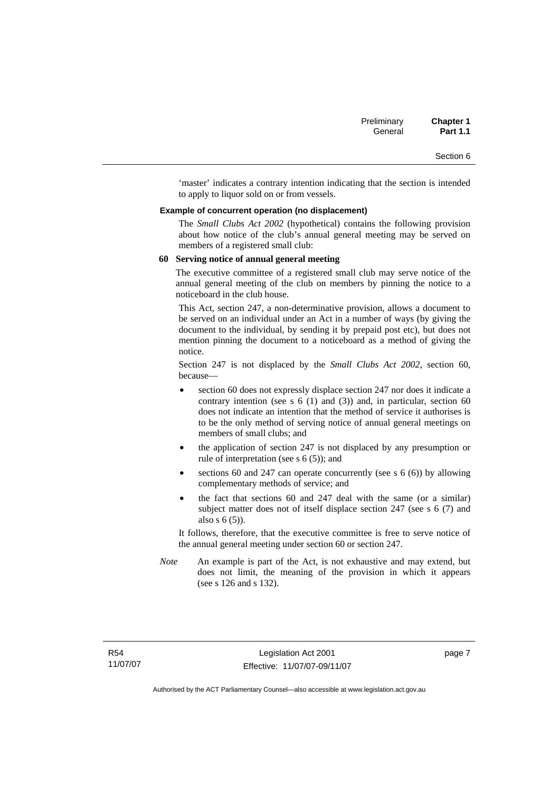'master' indicates a contrary intention indicating that the section is intended to apply to liquor sold on or from vessels.

#### **Example of concurrent operation (no displacement)**

The *Small Clubs Act 2002* (hypothetical) contains the following provision about how notice of the club's annual general meeting may be served on members of a registered small club:

#### **60 Serving notice of annual general meeting**

The executive committee of a registered small club may serve notice of the annual general meeting of the club on members by pinning the notice to a noticeboard in the club house.

This Act, section 247, a non-determinative provision, allows a document to be served on an individual under an Act in a number of ways (by giving the document to the individual, by sending it by prepaid post etc), but does not mention pinning the document to a noticeboard as a method of giving the notice.

Section 247 is not displaced by the *Small Clubs Act 2002*, section 60, because—

- section 60 does not expressly displace section 247 nor does it indicate a contrary intention (see s  $6(1)$  and  $(3)$ ) and, in particular, section  $60$ does not indicate an intention that the method of service it authorises is to be the only method of serving notice of annual general meetings on members of small clubs; and
- the application of section 247 is not displaced by any presumption or rule of interpretation (see s 6 (5)); and
- sections 60 and 247 can operate concurrently (see s  $6(6)$ ) by allowing complementary methods of service; and
- the fact that sections 60 and 247 deal with the same (or a similar) subject matter does not of itself displace section 247 (see s 6 (7) and also s 6 (5)).

It follows, therefore, that the executive committee is free to serve notice of the annual general meeting under section 60 or section 247.

*Note* An example is part of the Act, is not exhaustive and may extend, but does not limit, the meaning of the provision in which it appears (see s 126 and s 132).

page 7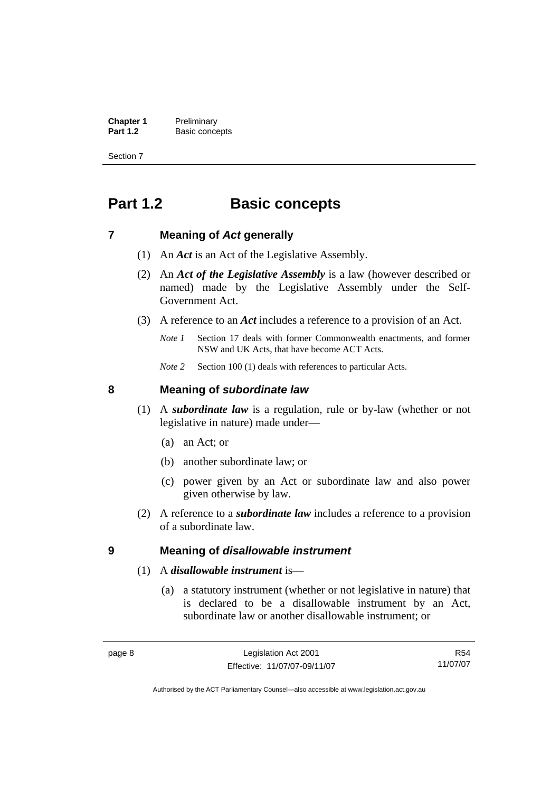<span id="page-23-0"></span>**Chapter 1** Preliminary<br>**Part 1.2** Basic conce **Basic concepts** 

Section 7

# **Part 1.2 Basic concepts**

### **7 Meaning of** *Act* **generally**

- (1) An *Act* is an Act of the Legislative Assembly.
- (2) An *Act of the Legislative Assembly* is a law (however described or named) made by the Legislative Assembly under the Self-Government Act.
- (3) A reference to an *Act* includes a reference to a provision of an Act.
	- *Note 1* Section 17 deals with former Commonwealth enactments, and former NSW and UK Acts, that have become ACT Acts.
	- *Note 2* Section 100 (1) deals with references to particular Acts.

### **8 Meaning of** *subordinate law*

- (1) A *subordinate law* is a regulation, rule or by-law (whether or not legislative in nature) made under—
	- (a) an Act; or
	- (b) another subordinate law; or
	- (c) power given by an Act or subordinate law and also power given otherwise by law.
- (2) A reference to a *subordinate law* includes a reference to a provision of a subordinate law.

### **9 Meaning of** *disallowable instrument*

- (1) A *disallowable instrument* is—
	- (a) a statutory instrument (whether or not legislative in nature) that is declared to be a disallowable instrument by an Act, subordinate law or another disallowable instrument; or

R54 11/07/07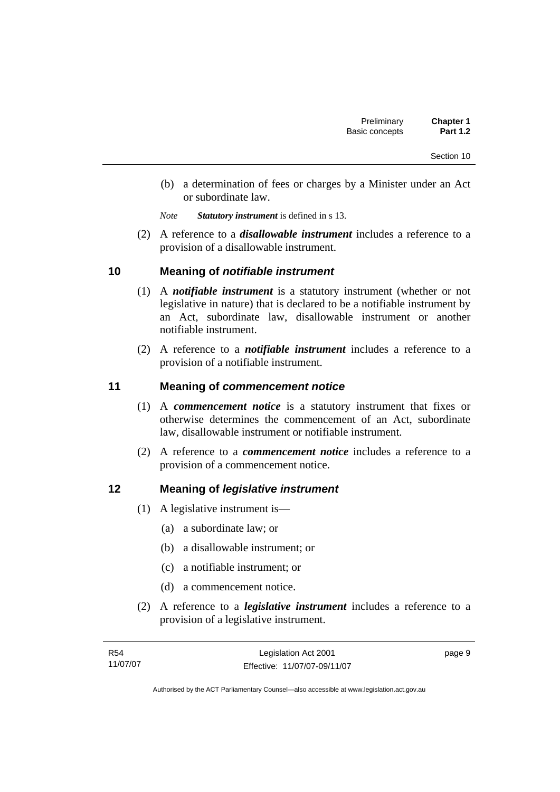- <span id="page-24-0"></span> (b) a determination of fees or charges by a Minister under an Act or subordinate law.
- *Note Statutory instrument* is defined in s 13.
- (2) A reference to a *disallowable instrument* includes a reference to a provision of a disallowable instrument.

### **10 Meaning of** *notifiable instrument*

- (1) A *notifiable instrument* is a statutory instrument (whether or not legislative in nature) that is declared to be a notifiable instrument by an Act, subordinate law, disallowable instrument or another notifiable instrument.
- (2) A reference to a *notifiable instrument* includes a reference to a provision of a notifiable instrument.

### **11 Meaning of** *commencement notice*

- (1) A *commencement notice* is a statutory instrument that fixes or otherwise determines the commencement of an Act, subordinate law, disallowable instrument or notifiable instrument.
- (2) A reference to a *commencement notice* includes a reference to a provision of a commencement notice.

### **12 Meaning of** *legislative instrument*

- (1) A legislative instrument is—
	- (a) a subordinate law; or
	- (b) a disallowable instrument; or
	- (c) a notifiable instrument; or
	- (d) a commencement notice.
- (2) A reference to a *legislative instrument* includes a reference to a provision of a legislative instrument.

| R54      | Legislation Act 2001         | page 9 |
|----------|------------------------------|--------|
| 11/07/07 | Effective: 11/07/07-09/11/07 |        |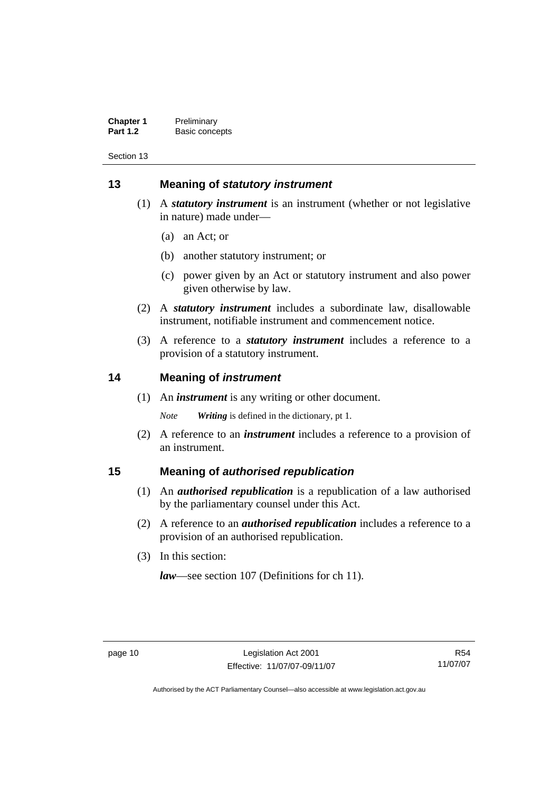<span id="page-25-0"></span>

| <b>Chapter 1</b> | Preliminary    |
|------------------|----------------|
| <b>Part 1.2</b>  | Basic concepts |

### **13 Meaning of** *statutory instrument*

- (1) A *statutory instrument* is an instrument (whether or not legislative in nature) made under—
	- (a) an Act; or
	- (b) another statutory instrument; or
	- (c) power given by an Act or statutory instrument and also power given otherwise by law.
- (2) A *statutory instrument* includes a subordinate law, disallowable instrument, notifiable instrument and commencement notice.
- (3) A reference to a *statutory instrument* includes a reference to a provision of a statutory instrument.

### **14 Meaning of** *instrument*

(1) An *instrument* is any writing or other document.

*Note Writing* is defined in the dictionary, pt 1.

 (2) A reference to an *instrument* includes a reference to a provision of an instrument.

### **15 Meaning of** *authorised republication*

- (1) An *authorised republication* is a republication of a law authorised by the parliamentary counsel under this Act.
- (2) A reference to an *authorised republication* includes a reference to a provision of an authorised republication.
- (3) In this section:

*law*—see section 107 (Definitions for ch 11).

R54 11/07/07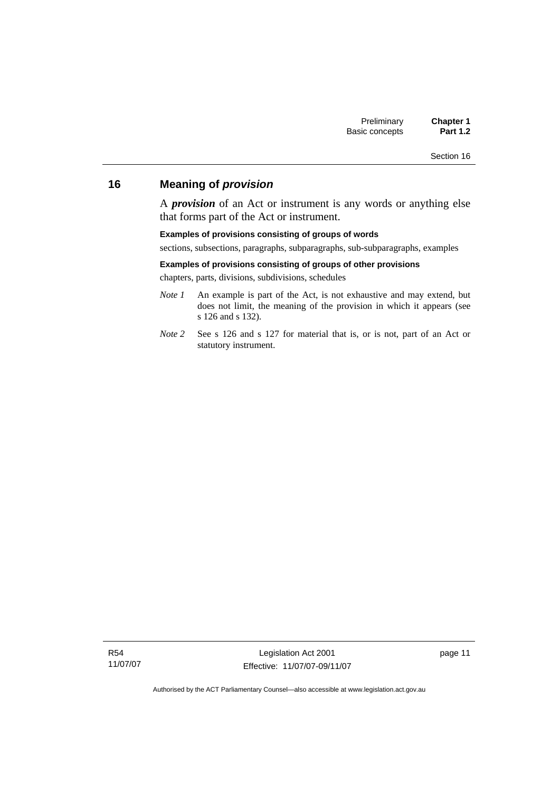### <span id="page-26-0"></span>**16 Meaning of** *provision*

A *provision* of an Act or instrument is any words or anything else that forms part of the Act or instrument.

#### **Examples of provisions consisting of groups of words**

sections, subsections, paragraphs, subparagraphs, sub-subparagraphs, examples

#### **Examples of provisions consisting of groups of other provisions**

chapters, parts, divisions, subdivisions, schedules

- *Note 1* An example is part of the Act, is not exhaustive and may extend, but does not limit, the meaning of the provision in which it appears (see s 126 and s 132).
- *Note 2* See s 126 and s 127 for material that is, or is not, part of an Act or statutory instrument.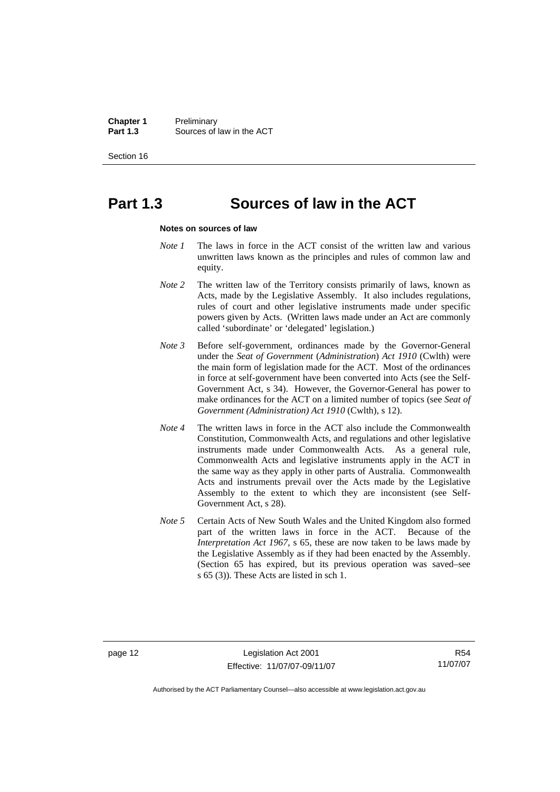**Chapter 1** Preliminary<br>**Part 1.3** Sources of **Part 1.3** Sources of law in the ACT

Section 16

# **Part 1.3 Sources of law in the ACT**

#### **Notes on sources of law**

- *Note 1* The laws in force in the ACT consist of the written law and various unwritten laws known as the principles and rules of common law and equity.
- *Note* 2 The written law of the Territory consists primarily of laws, known as Acts, made by the Legislative Assembly. It also includes regulations, rules of court and other legislative instruments made under specific powers given by Acts. (Written laws made under an Act are commonly called 'subordinate' or 'delegated' legislation.)
- *Note 3* Before self-government, ordinances made by the Governor-General under the *Seat of Government* (*Administration*) *Act 1910* (Cwlth) were the main form of legislation made for the ACT. Most of the ordinances in force at self-government have been converted into Acts (see the Self-Government Act, s 34). However, the Governor-General has power to make ordinances for the ACT on a limited number of topics (see *Seat of Government (Administration) Act 1910* (Cwlth), s 12).
- *Note 4* The written laws in force in the ACT also include the Commonwealth Constitution, Commonwealth Acts, and regulations and other legislative instruments made under Commonwealth Acts. As a general rule, Commonwealth Acts and legislative instruments apply in the ACT in the same way as they apply in other parts of Australia. Commonwealth Acts and instruments prevail over the Acts made by the Legislative Assembly to the extent to which they are inconsistent (see Self-Government Act, s 28).
- *Note 5* Certain Acts of New South Wales and the United Kingdom also formed part of the written laws in force in the ACT. Because of the *Interpretation Act 1967*, s 65, these are now taken to be laws made by the Legislative Assembly as if they had been enacted by the Assembly. (Section 65 has expired, but its previous operation was saved–see s 65 (3)). These Acts are listed in sch 1.

R54 11/07/07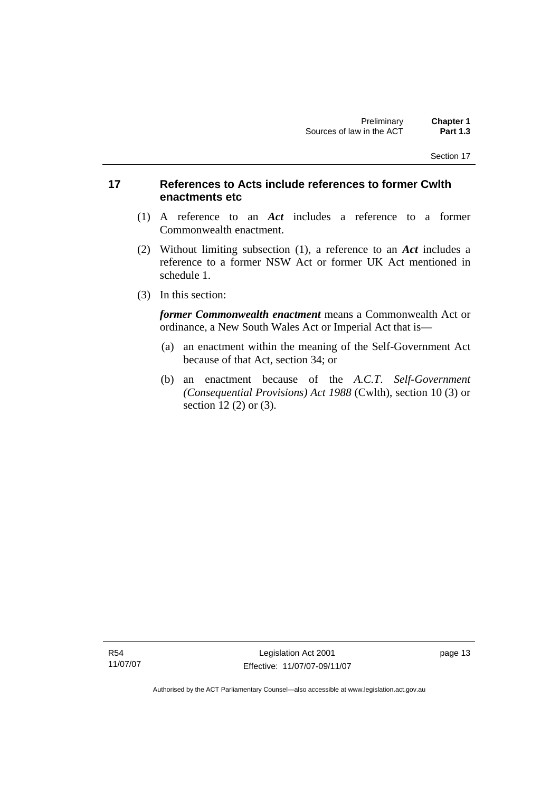### <span id="page-28-0"></span>**17 References to Acts include references to former Cwlth enactments etc**

- (1) A reference to an *Act* includes a reference to a former Commonwealth enactment.
- (2) Without limiting subsection (1), a reference to an *Act* includes a reference to a former NSW Act or former UK Act mentioned in schedule 1.
- (3) In this section:

*former Commonwealth enactment* means a Commonwealth Act or ordinance, a New South Wales Act or Imperial Act that is—

- (a) an enactment within the meaning of the Self-Government Act because of that Act, section 34; or
- (b) an enactment because of the *A.C.T*. *Self-Government (Consequential Provisions) Act 1988* (Cwlth), section 10 (3) or section 12 (2) or (3).

R54 11/07/07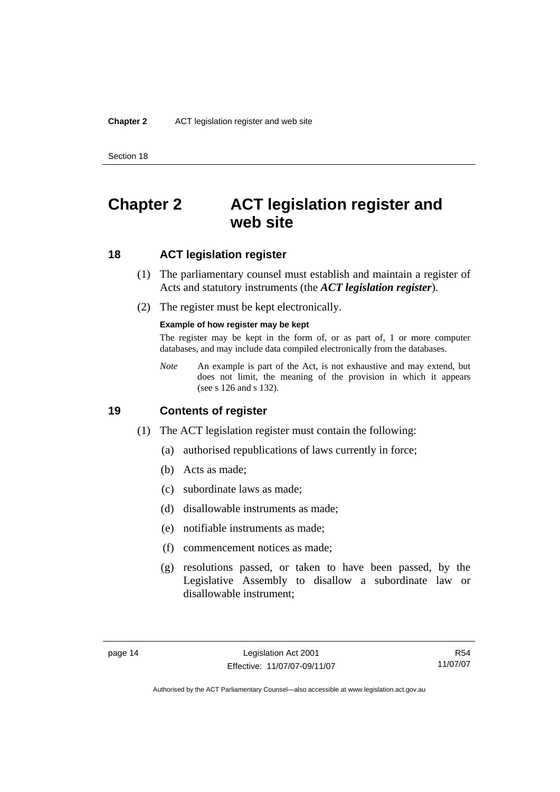# <span id="page-29-0"></span>**Chapter 2 ACT legislation register and web site**

### **18 ACT legislation register**

- (1) The parliamentary counsel must establish and maintain a register of Acts and statutory instruments (the *ACT legislation register*).
- (2) The register must be kept electronically.

#### **Example of how register may be kept**

The register may be kept in the form of, or as part of, 1 or more computer databases, and may include data compiled electronically from the databases.

*Note* An example is part of the Act, is not exhaustive and may extend, but does not limit, the meaning of the provision in which it appears (see s 126 and s 132).

### **19 Contents of register**

- (1) The ACT legislation register must contain the following:
	- (a) authorised republications of laws currently in force;
	- (b) Acts as made;
	- (c) subordinate laws as made;
	- (d) disallowable instruments as made;
	- (e) notifiable instruments as made;
	- (f) commencement notices as made;
	- (g) resolutions passed, or taken to have been passed, by the Legislative Assembly to disallow a subordinate law or disallowable instrument;

R54 11/07/07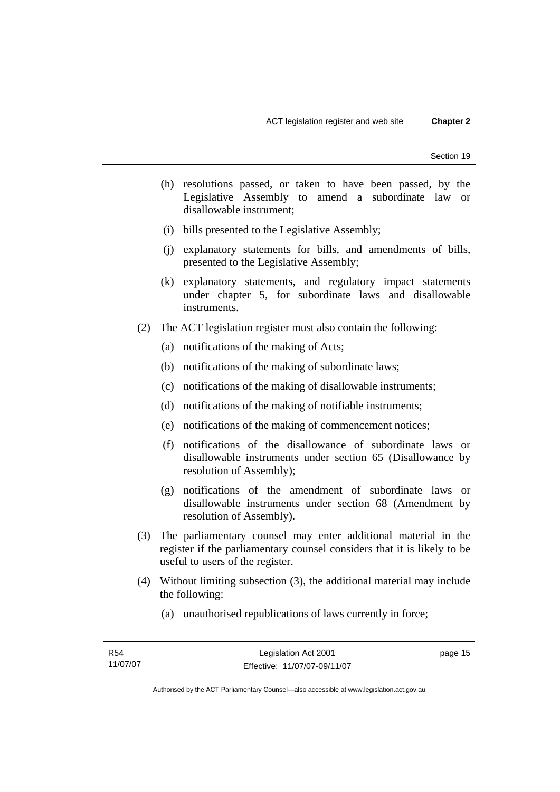- (h) resolutions passed, or taken to have been passed, by the Legislative Assembly to amend a subordinate law or disallowable instrument;
- (i) bills presented to the Legislative Assembly;
- (j) explanatory statements for bills, and amendments of bills, presented to the Legislative Assembly;
- (k) explanatory statements, and regulatory impact statements under chapter 5, for subordinate laws and disallowable instruments.
- (2) The ACT legislation register must also contain the following:
	- (a) notifications of the making of Acts;
	- (b) notifications of the making of subordinate laws;
	- (c) notifications of the making of disallowable instruments;
	- (d) notifications of the making of notifiable instruments;
	- (e) notifications of the making of commencement notices;
	- (f) notifications of the disallowance of subordinate laws or disallowable instruments under section 65 (Disallowance by resolution of Assembly);
	- (g) notifications of the amendment of subordinate laws or disallowable instruments under section 68 (Amendment by resolution of Assembly).
- (3) The parliamentary counsel may enter additional material in the register if the parliamentary counsel considers that it is likely to be useful to users of the register.
- (4) Without limiting subsection (3), the additional material may include the following:
	- (a) unauthorised republications of laws currently in force;

page 15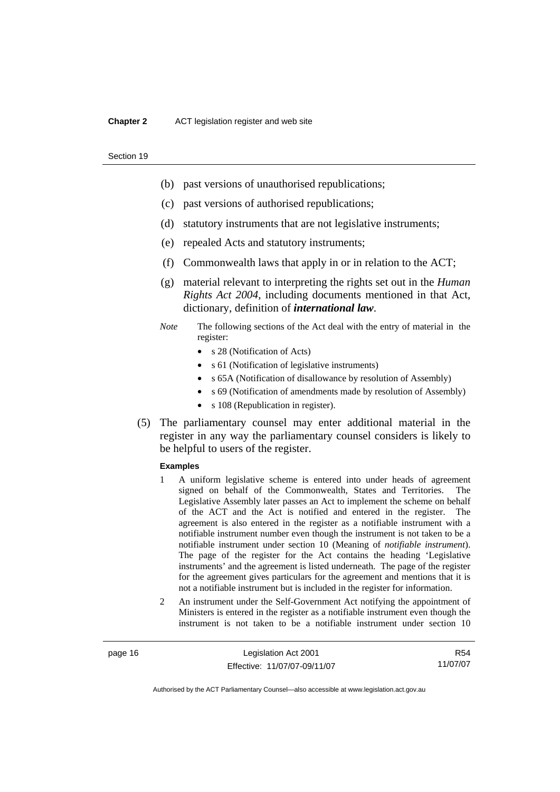#### **Chapter 2** ACT legislation register and web site

#### Section 19

- (b) past versions of unauthorised republications;
- (c) past versions of authorised republications;
- (d) statutory instruments that are not legislative instruments;
- (e) repealed Acts and statutory instruments;
- (f) Commonwealth laws that apply in or in relation to the ACT;
- (g) material relevant to interpreting the rights set out in the *Human Rights Act 2004*, including documents mentioned in that Act, dictionary, definition of *international law*.
- *Note* The following sections of the Act deal with the entry of material in the register:
	- s 28 (Notification of Acts)
	- s 61 (Notification of legislative instruments)
	- s 65A (Notification of disallowance by resolution of Assembly)
	- s 69 (Notification of amendments made by resolution of Assembly)
	- s 108 (Republication in register).
- (5) The parliamentary counsel may enter additional material in the register in any way the parliamentary counsel considers is likely to be helpful to users of the register.

#### **Examples**

- 1 A uniform legislative scheme is entered into under heads of agreement signed on behalf of the Commonwealth, States and Territories. The Legislative Assembly later passes an Act to implement the scheme on behalf of the ACT and the Act is notified and entered in the register. The agreement is also entered in the register as a notifiable instrument with a notifiable instrument number even though the instrument is not taken to be a notifiable instrument under section 10 (Meaning of *notifiable instrument*). The page of the register for the Act contains the heading 'Legislative instruments' and the agreement is listed underneath. The page of the register for the agreement gives particulars for the agreement and mentions that it is not a notifiable instrument but is included in the register for information.
- 2 An instrument under the Self-Government Act notifying the appointment of Ministers is entered in the register as a notifiable instrument even though the instrument is not taken to be a notifiable instrument under section 10

page 16 Legislation Act 2001 Effective: 11/07/07-09/11/07

R54 11/07/07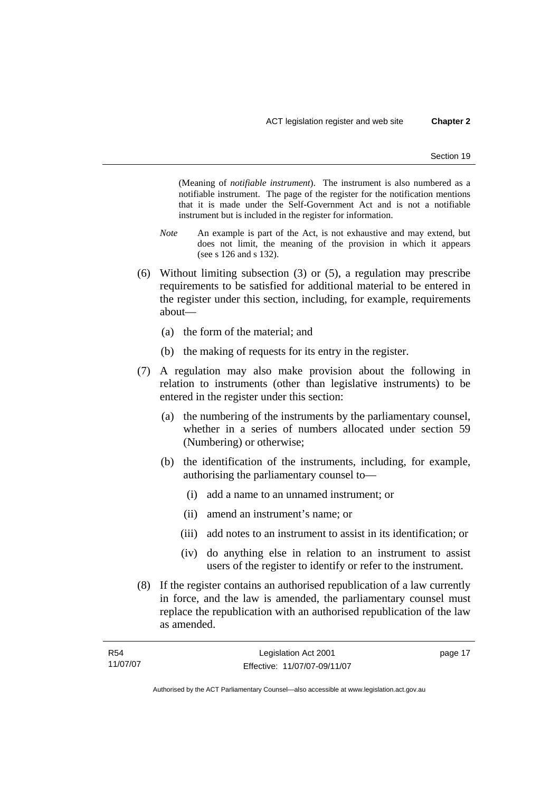(Meaning of *notifiable instrument*). The instrument is also numbered as a notifiable instrument. The page of the register for the notification mentions that it is made under the Self-Government Act and is not a notifiable instrument but is included in the register for information.

- *Note* An example is part of the Act, is not exhaustive and may extend, but does not limit, the meaning of the provision in which it appears (see s 126 and s 132).
- (6) Without limiting subsection (3) or (5), a regulation may prescribe requirements to be satisfied for additional material to be entered in the register under this section, including, for example, requirements about—
	- (a) the form of the material; and
	- (b) the making of requests for its entry in the register.
- (7) A regulation may also make provision about the following in relation to instruments (other than legislative instruments) to be entered in the register under this section:
	- (a) the numbering of the instruments by the parliamentary counsel, whether in a series of numbers allocated under section 59 (Numbering) or otherwise;
	- (b) the identification of the instruments, including, for example, authorising the parliamentary counsel to—
		- (i) add a name to an unnamed instrument; or
		- (ii) amend an instrument's name; or
		- (iii) add notes to an instrument to assist in its identification; or
		- (iv) do anything else in relation to an instrument to assist users of the register to identify or refer to the instrument.
- (8) If the register contains an authorised republication of a law currently in force, and the law is amended, the parliamentary counsel must replace the republication with an authorised republication of the law as amended.

| R <sub>54</sub> | Legislation Act 2001         | page 17 |
|-----------------|------------------------------|---------|
| 11/07/07        | Effective: 11/07/07-09/11/07 |         |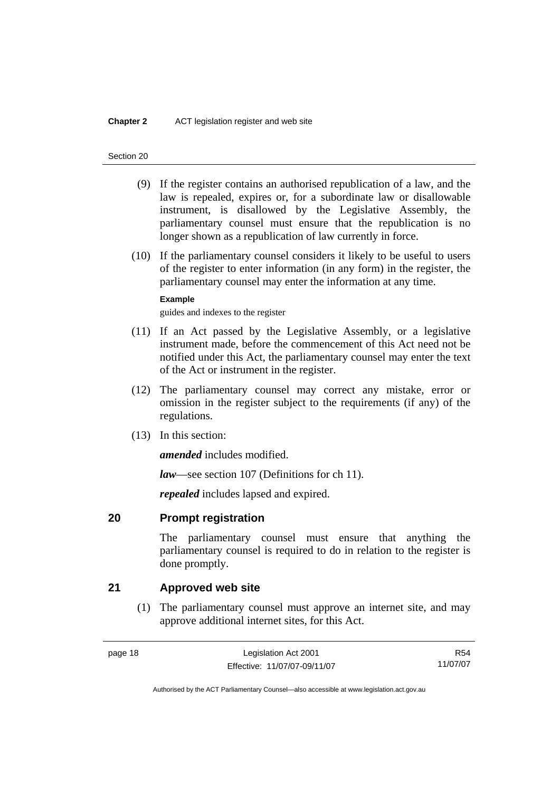- <span id="page-33-0"></span> (9) If the register contains an authorised republication of a law, and the law is repealed, expires or, for a subordinate law or disallowable instrument, is disallowed by the Legislative Assembly, the parliamentary counsel must ensure that the republication is no longer shown as a republication of law currently in force.
- (10) If the parliamentary counsel considers it likely to be useful to users of the register to enter information (in any form) in the register, the parliamentary counsel may enter the information at any time.

#### **Example**

guides and indexes to the register

- (11) If an Act passed by the Legislative Assembly, or a legislative instrument made, before the commencement of this Act need not be notified under this Act, the parliamentary counsel may enter the text of the Act or instrument in the register.
- (12) The parliamentary counsel may correct any mistake, error or omission in the register subject to the requirements (if any) of the regulations.
- (13) In this section:

*amended* includes modified.

*law*—see section 107 (Definitions for ch 11).

*repealed* includes lapsed and expired.

### **20 Prompt registration**

The parliamentary counsel must ensure that anything the parliamentary counsel is required to do in relation to the register is done promptly.

### **21 Approved web site**

 (1) The parliamentary counsel must approve an internet site, and may approve additional internet sites, for this Act.

R54 11/07/07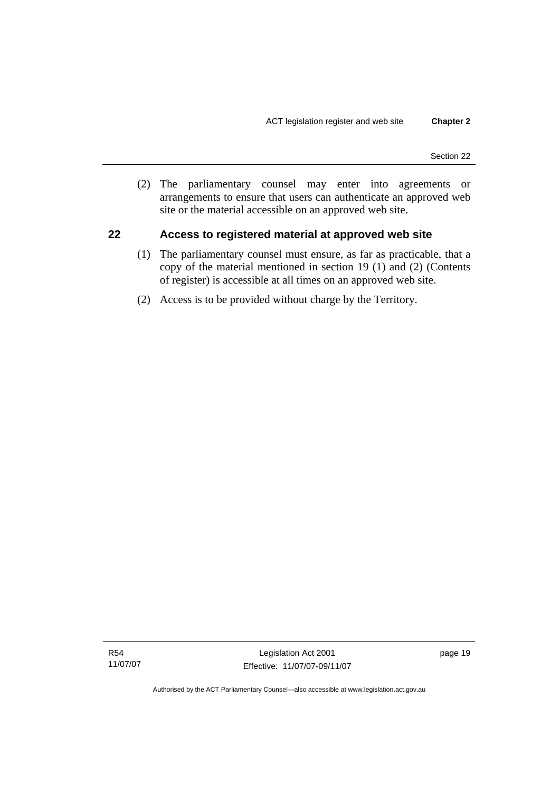<span id="page-34-0"></span> (2) The parliamentary counsel may enter into agreements or arrangements to ensure that users can authenticate an approved web site or the material accessible on an approved web site.

### **22 Access to registered material at approved web site**

- (1) The parliamentary counsel must ensure, as far as practicable, that a copy of the material mentioned in section 19 (1) and (2) (Contents of register) is accessible at all times on an approved web site.
- (2) Access is to be provided without charge by the Territory.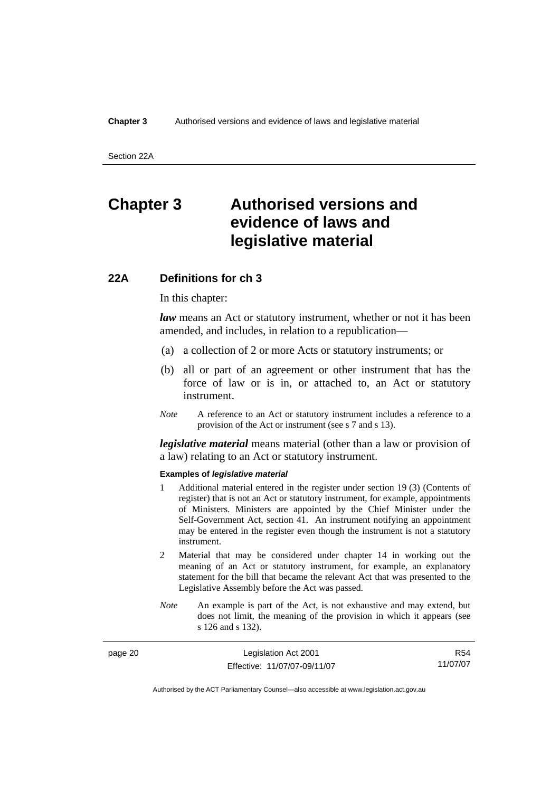<span id="page-35-0"></span>Section 22A

# **Chapter 3 Authorised versions and evidence of laws and legislative material**

### **22A Definitions for ch 3**

In this chapter:

*law* means an Act or statutory instrument, whether or not it has been amended, and includes, in relation to a republication—

- (a) a collection of 2 or more Acts or statutory instruments; or
- (b) all or part of an agreement or other instrument that has the force of law or is in, or attached to, an Act or statutory instrument.
- *Note* A reference to an Act or statutory instrument includes a reference to a provision of the Act or instrument (see s 7 and s 13).

*legislative material* means material (other than a law or provision of a law) relating to an Act or statutory instrument.

#### **Examples of** *legislative material*

- 1 Additional material entered in the register under section 19 (3) (Contents of register) that is not an Act or statutory instrument, for example, appointments of Ministers. Ministers are appointed by the Chief Minister under the Self-Government Act, section 41. An instrument notifying an appointment may be entered in the register even though the instrument is not a statutory instrument.
- 2 Material that may be considered under chapter 14 in working out the meaning of an Act or statutory instrument, for example, an explanatory statement for the bill that became the relevant Act that was presented to the Legislative Assembly before the Act was passed.
- *Note* An example is part of the Act, is not exhaustive and may extend, but does not limit, the meaning of the provision in which it appears (see s 126 and s 132).

| page 20 | Legislation Act 2001         | R54      |
|---------|------------------------------|----------|
|         | Effective: 11/07/07-09/11/07 | 11/07/07 |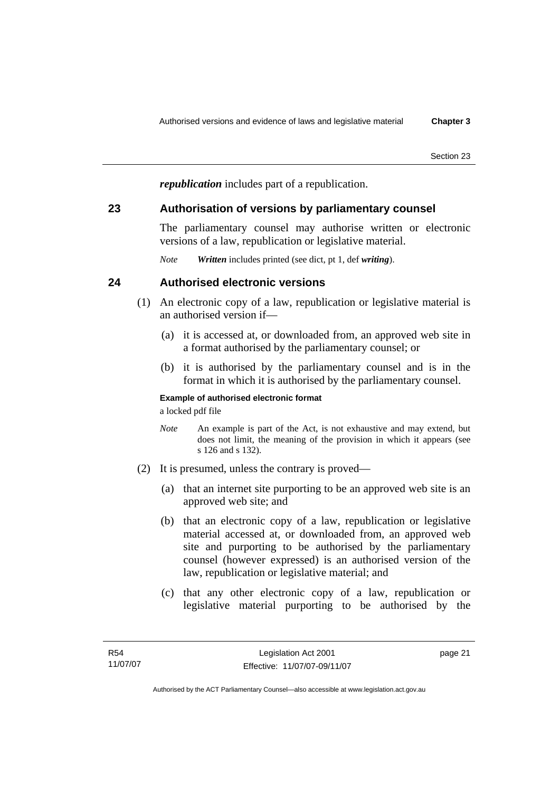*republication* includes part of a republication.

# **23 Authorisation of versions by parliamentary counsel**

The parliamentary counsel may authorise written or electronic versions of a law, republication or legislative material.

*Note Written* includes printed (see dict, pt 1, def *writing*).

# **24 Authorised electronic versions**

- (1) An electronic copy of a law, republication or legislative material is an authorised version if—
	- (a) it is accessed at, or downloaded from, an approved web site in a format authorised by the parliamentary counsel; or
	- (b) it is authorised by the parliamentary counsel and is in the format in which it is authorised by the parliamentary counsel.

## **Example of authorised electronic format**

a locked pdf file

- *Note* An example is part of the Act, is not exhaustive and may extend, but does not limit, the meaning of the provision in which it appears (see s 126 and s 132).
- (2) It is presumed, unless the contrary is proved—
	- (a) that an internet site purporting to be an approved web site is an approved web site; and
	- (b) that an electronic copy of a law, republication or legislative material accessed at, or downloaded from, an approved web site and purporting to be authorised by the parliamentary counsel (however expressed) is an authorised version of the law, republication or legislative material; and
	- (c) that any other electronic copy of a law, republication or legislative material purporting to be authorised by the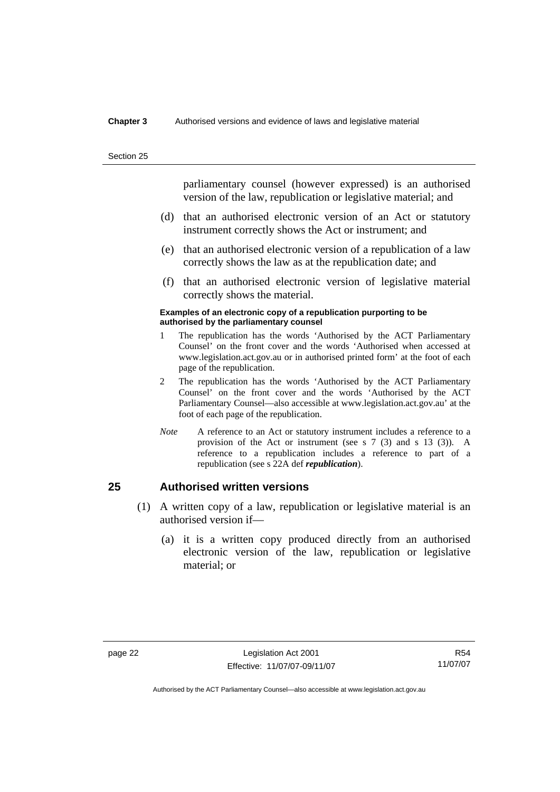#### **Chapter 3** Authorised versions and evidence of laws and legislative material

Section 25

parliamentary counsel (however expressed) is an authorised version of the law, republication or legislative material; and

- (d) that an authorised electronic version of an Act or statutory instrument correctly shows the Act or instrument; and
- (e) that an authorised electronic version of a republication of a law correctly shows the law as at the republication date; and
- (f) that an authorised electronic version of legislative material correctly shows the material.

#### **Examples of an electronic copy of a republication purporting to be authorised by the parliamentary counsel**

- 1 The republication has the words 'Authorised by the ACT Parliamentary Counsel' on the front cover and the words 'Authorised when accessed at www.legislation.act.gov.au or in authorised printed form' at the foot of each page of the republication.
- 2 The republication has the words 'Authorised by the ACT Parliamentary Counsel' on the front cover and the words 'Authorised by the ACT Parliamentary Counsel—also accessible at www.legislation.act.gov.au' at the foot of each page of the republication.
- *Note* A reference to an Act or statutory instrument includes a reference to a provision of the Act or instrument (see s 7 (3) and s 13 (3)). A reference to a republication includes a reference to part of a republication (see s 22A def *republication*).

# **25 Authorised written versions**

- (1) A written copy of a law, republication or legislative material is an authorised version if—
	- (a) it is a written copy produced directly from an authorised electronic version of the law, republication or legislative material; or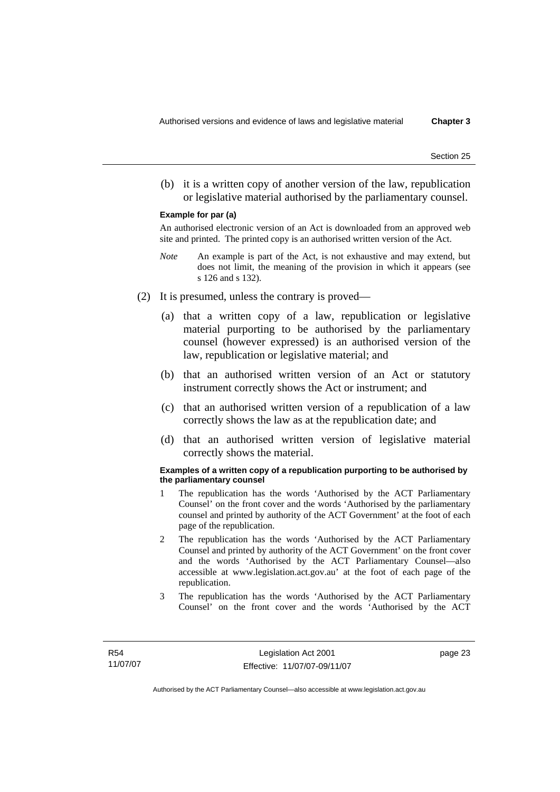(b) it is a written copy of another version of the law, republication or legislative material authorised by the parliamentary counsel.

#### **Example for par (a)**

An authorised electronic version of an Act is downloaded from an approved web site and printed. The printed copy is an authorised written version of the Act.

- *Note* An example is part of the Act, is not exhaustive and may extend, but does not limit, the meaning of the provision in which it appears (see s 126 and s 132).
- (2) It is presumed, unless the contrary is proved—
	- (a) that a written copy of a law, republication or legislative material purporting to be authorised by the parliamentary counsel (however expressed) is an authorised version of the law, republication or legislative material; and
	- (b) that an authorised written version of an Act or statutory instrument correctly shows the Act or instrument; and
	- (c) that an authorised written version of a republication of a law correctly shows the law as at the republication date; and
	- (d) that an authorised written version of legislative material correctly shows the material.

#### **Examples of a written copy of a republication purporting to be authorised by the parliamentary counsel**

- 1 The republication has the words 'Authorised by the ACT Parliamentary Counsel' on the front cover and the words 'Authorised by the parliamentary counsel and printed by authority of the ACT Government' at the foot of each page of the republication.
- 2 The republication has the words 'Authorised by the ACT Parliamentary Counsel and printed by authority of the ACT Government' on the front cover and the words 'Authorised by the ACT Parliamentary Counsel—also accessible at www.legislation.act.gov.au' at the foot of each page of the republication.
- 3 The republication has the words 'Authorised by the ACT Parliamentary Counsel' on the front cover and the words 'Authorised by the ACT

page 23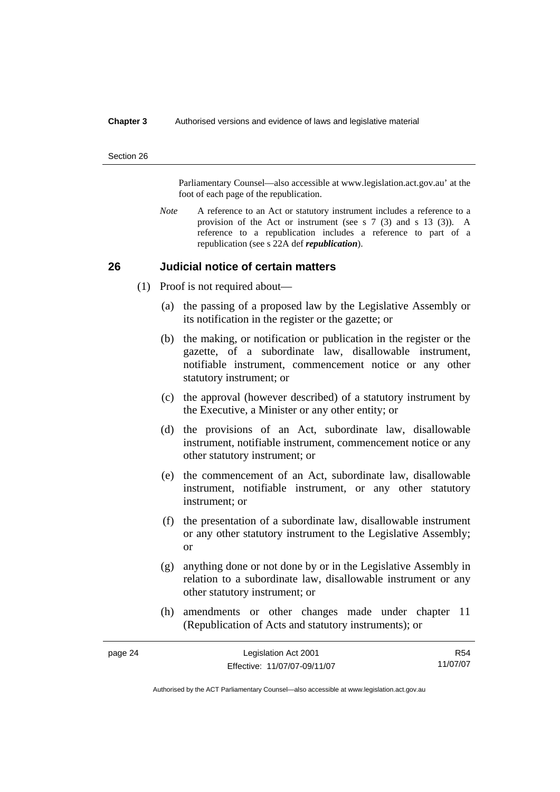#### **Chapter 3** Authorised versions and evidence of laws and legislative material

#### Section 26

Parliamentary Counsel—also accessible at www.legislation.act.gov.au' at the foot of each page of the republication.

*Note* A reference to an Act or statutory instrument includes a reference to a provision of the Act or instrument (see s 7 (3) and s 13 (3)). A reference to a republication includes a reference to part of a republication (see s 22A def *republication*).

## **26 Judicial notice of certain matters**

- (1) Proof is not required about—
	- (a) the passing of a proposed law by the Legislative Assembly or its notification in the register or the gazette; or
	- (b) the making, or notification or publication in the register or the gazette, of a subordinate law, disallowable instrument, notifiable instrument, commencement notice or any other statutory instrument; or
	- (c) the approval (however described) of a statutory instrument by the Executive, a Minister or any other entity; or
	- (d) the provisions of an Act, subordinate law, disallowable instrument, notifiable instrument, commencement notice or any other statutory instrument; or
	- (e) the commencement of an Act, subordinate law, disallowable instrument, notifiable instrument, or any other statutory instrument; or
	- (f) the presentation of a subordinate law, disallowable instrument or any other statutory instrument to the Legislative Assembly; or
	- (g) anything done or not done by or in the Legislative Assembly in relation to a subordinate law, disallowable instrument or any other statutory instrument; or
	- (h) amendments or other changes made under chapter 11 (Republication of Acts and statutory instruments); or

| page 24 | Legislation Act 2001         | R54      |
|---------|------------------------------|----------|
|         | Effective: 11/07/07-09/11/07 | 11/07/07 |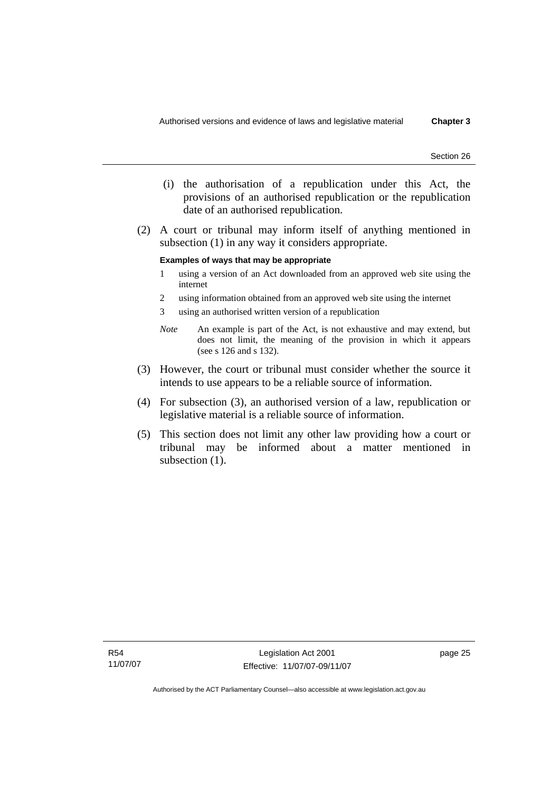- (i) the authorisation of a republication under this Act, the provisions of an authorised republication or the republication date of an authorised republication.
- (2) A court or tribunal may inform itself of anything mentioned in subsection (1) in any way it considers appropriate.

#### **Examples of ways that may be appropriate**

- 1 using a version of an Act downloaded from an approved web site using the internet
- 2 using information obtained from an approved web site using the internet
- 3 using an authorised written version of a republication
- *Note* An example is part of the Act, is not exhaustive and may extend, but does not limit, the meaning of the provision in which it appears (see s 126 and s 132).
- (3) However, the court or tribunal must consider whether the source it intends to use appears to be a reliable source of information.
- (4) For subsection (3), an authorised version of a law, republication or legislative material is a reliable source of information.
- (5) This section does not limit any other law providing how a court or tribunal may be informed about a matter mentioned in subsection  $(1)$ .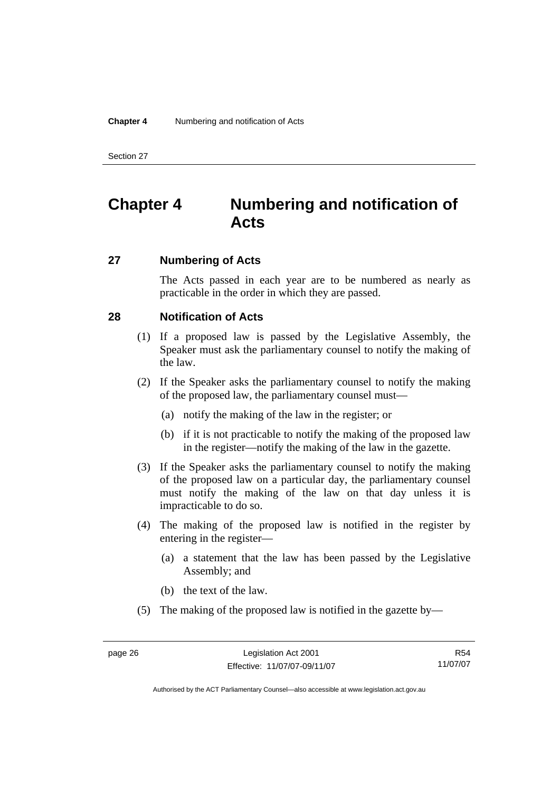# **Chapter 4 Numbering and notification of Acts**

# **27 Numbering of Acts**

The Acts passed in each year are to be numbered as nearly as practicable in the order in which they are passed.

# **28 Notification of Acts**

- (1) If a proposed law is passed by the Legislative Assembly, the Speaker must ask the parliamentary counsel to notify the making of the law.
- (2) If the Speaker asks the parliamentary counsel to notify the making of the proposed law, the parliamentary counsel must—
	- (a) notify the making of the law in the register; or
	- (b) if it is not practicable to notify the making of the proposed law in the register—notify the making of the law in the gazette.
- (3) If the Speaker asks the parliamentary counsel to notify the making of the proposed law on a particular day, the parliamentary counsel must notify the making of the law on that day unless it is impracticable to do so.
- (4) The making of the proposed law is notified in the register by entering in the register—
	- (a) a statement that the law has been passed by the Legislative Assembly; and
	- (b) the text of the law.
- (5) The making of the proposed law is notified in the gazette by—

R54 11/07/07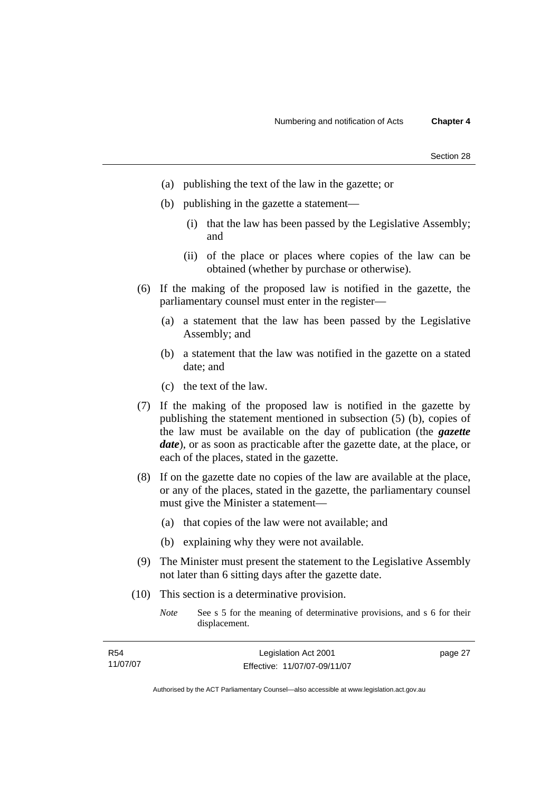| Section 28 |  |
|------------|--|
|            |  |

- (a) publishing the text of the law in the gazette; or
- (b) publishing in the gazette a statement—
	- (i) that the law has been passed by the Legislative Assembly; and
	- (ii) of the place or places where copies of the law can be obtained (whether by purchase or otherwise).
- (6) If the making of the proposed law is notified in the gazette, the parliamentary counsel must enter in the register—
	- (a) a statement that the law has been passed by the Legislative Assembly; and
	- (b) a statement that the law was notified in the gazette on a stated date; and
	- (c) the text of the law.
- (7) If the making of the proposed law is notified in the gazette by publishing the statement mentioned in subsection (5) (b), copies of the law must be available on the day of publication (the *gazette date*), or as soon as practicable after the gazette date, at the place, or each of the places, stated in the gazette.
- (8) If on the gazette date no copies of the law are available at the place, or any of the places, stated in the gazette, the parliamentary counsel must give the Minister a statement—
	- (a) that copies of the law were not available; and
	- (b) explaining why they were not available.
- (9) The Minister must present the statement to the Legislative Assembly not later than 6 sitting days after the gazette date.
- (10) This section is a determinative provision.
	- *Note* See s 5 for the meaning of determinative provisions, and s 6 for their displacement.

| R54      | Legislation Act 2001         | page 27 |
|----------|------------------------------|---------|
| 11/07/07 | Effective: 11/07/07-09/11/07 |         |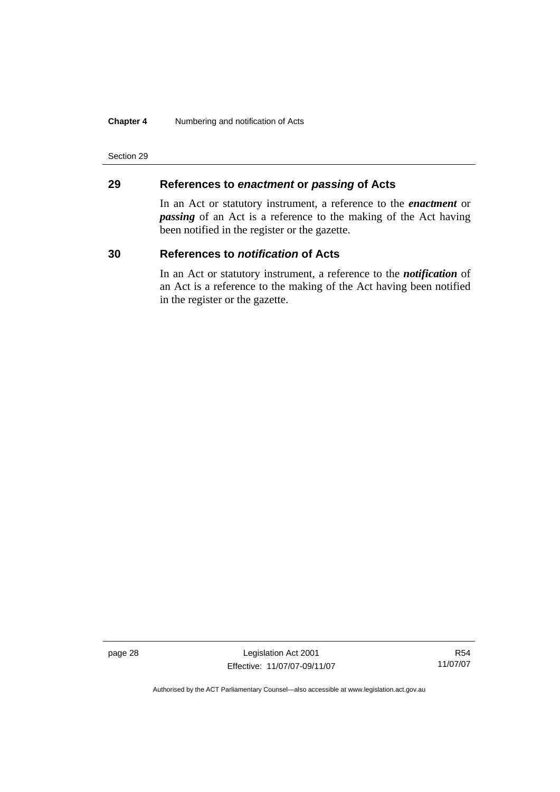### **Chapter 4** Numbering and notification of Acts

Section 29

# **29 References to** *enactment* **or** *passing* **of Acts**

In an Act or statutory instrument, a reference to the *enactment* or *passing* of an Act is a reference to the making of the Act having been notified in the register or the gazette.

# **30 References to** *notification* **of Acts**

In an Act or statutory instrument, a reference to the *notification* of an Act is a reference to the making of the Act having been notified in the register or the gazette.

page 28 Legislation Act 2001 Effective: 11/07/07-09/11/07

R54 11/07/07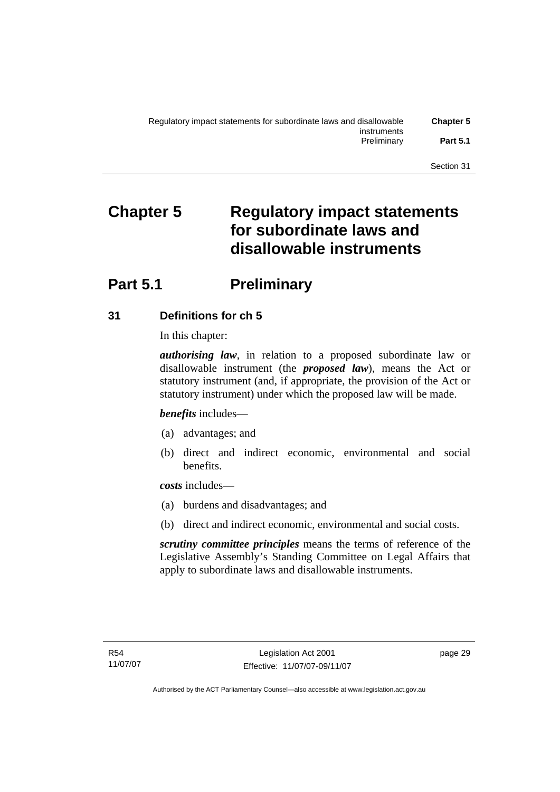# **Chapter 5 Regulatory impact statements for subordinate laws and disallowable instruments**

# **Part 5.1** Preliminary

# **31 Definitions for ch 5**

In this chapter:

*authorising law*, in relation to a proposed subordinate law or disallowable instrument (the *proposed law*), means the Act or statutory instrument (and, if appropriate, the provision of the Act or statutory instrument) under which the proposed law will be made.

*benefits* includes—

- (a) advantages; and
- (b) direct and indirect economic, environmental and social benefits.

*costs* includes—

- (a) burdens and disadvantages; and
- (b) direct and indirect economic, environmental and social costs.

*scrutiny committee principles* means the terms of reference of the Legislative Assembly's Standing Committee on Legal Affairs that apply to subordinate laws and disallowable instruments.

page 29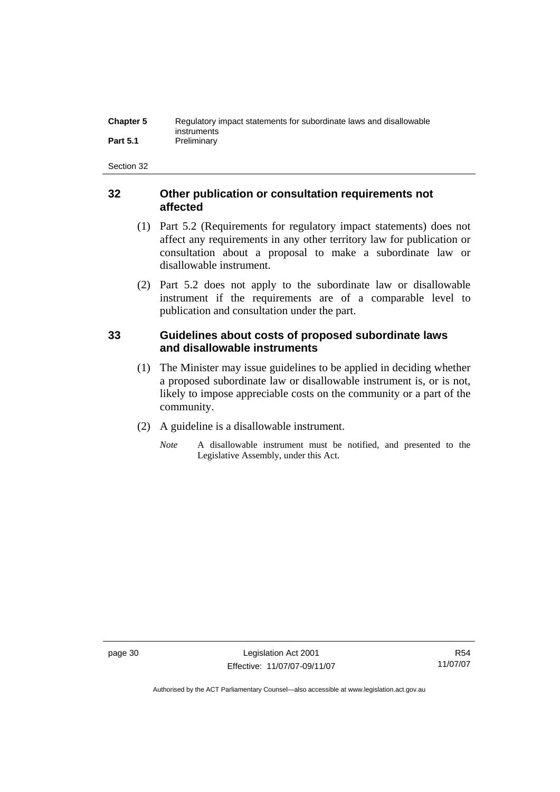| <b>Chapter 5</b> | Regulatory impact statements for subordinate laws and disallowable |
|------------------|--------------------------------------------------------------------|
|                  | instruments                                                        |
| <b>Part 5.1</b>  | Preliminary                                                        |

# **32 Other publication or consultation requirements not affected**

- (1) Part 5.2 (Requirements for regulatory impact statements) does not affect any requirements in any other territory law for publication or consultation about a proposal to make a subordinate law or disallowable instrument.
- (2) Part 5.2 does not apply to the subordinate law or disallowable instrument if the requirements are of a comparable level to publication and consultation under the part.

# **33 Guidelines about costs of proposed subordinate laws and disallowable instruments**

- (1) The Minister may issue guidelines to be applied in deciding whether a proposed subordinate law or disallowable instrument is, or is not, likely to impose appreciable costs on the community or a part of the community.
- (2) A guideline is a disallowable instrument.
	- *Note* A disallowable instrument must be notified, and presented to the Legislative Assembly, under this Act.

page 30 Legislation Act 2001 Effective: 11/07/07-09/11/07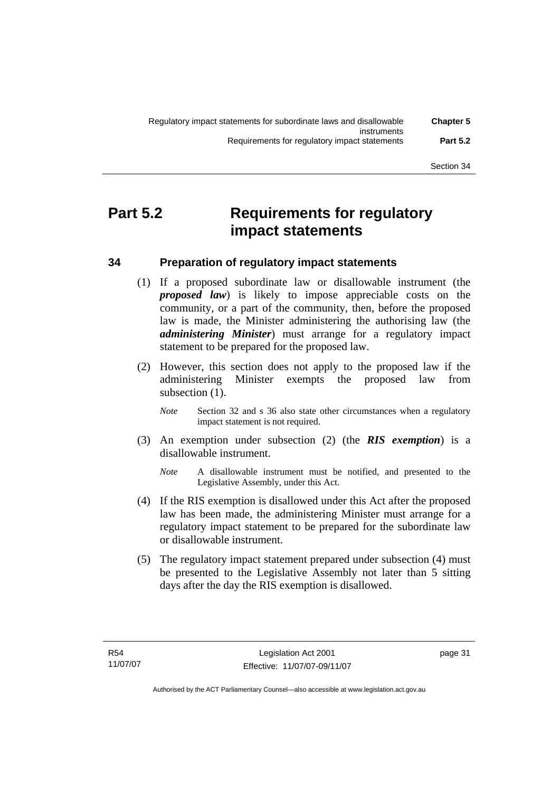# **Part 5.2 Requirements for regulatory impact statements**

# **34 Preparation of regulatory impact statements**

- (1) If a proposed subordinate law or disallowable instrument (the *proposed law*) is likely to impose appreciable costs on the community, or a part of the community, then, before the proposed law is made, the Minister administering the authorising law (the *administering Minister*) must arrange for a regulatory impact statement to be prepared for the proposed law.
- (2) However, this section does not apply to the proposed law if the administering Minister exempts the proposed law from subsection  $(1)$ .
	- *Note* Section 32 and s 36 also state other circumstances when a regulatory impact statement is not required.
- (3) An exemption under subsection (2) (the *RIS exemption*) is a disallowable instrument.
	- *Note* A disallowable instrument must be notified, and presented to the Legislative Assembly, under this Act.
- (4) If the RIS exemption is disallowed under this Act after the proposed law has been made, the administering Minister must arrange for a regulatory impact statement to be prepared for the subordinate law or disallowable instrument.
- (5) The regulatory impact statement prepared under subsection (4) must be presented to the Legislative Assembly not later than 5 sitting days after the day the RIS exemption is disallowed.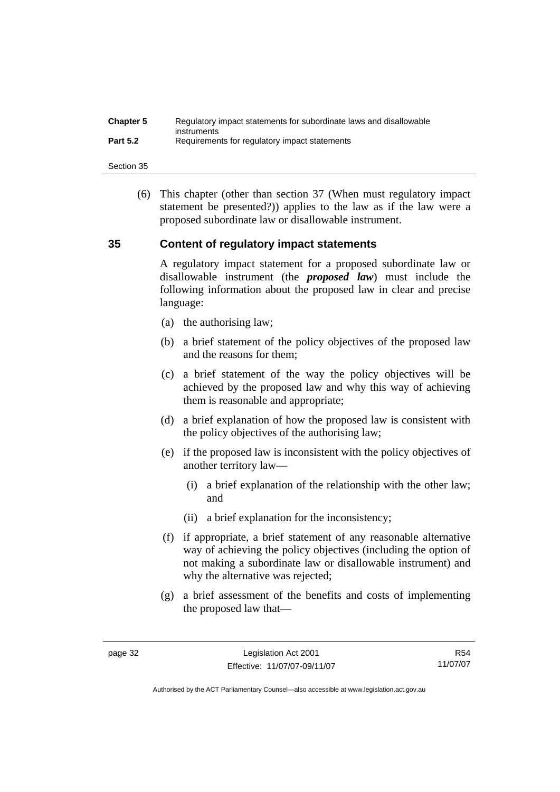| <b>Chapter 5</b> | Regulatory impact statements for subordinate laws and disallowable |
|------------------|--------------------------------------------------------------------|
| <b>Part 5.2</b>  | instruments<br>Requirements for regulatory impact statements       |

 (6) This chapter (other than section 37 (When must regulatory impact statement be presented?)) applies to the law as if the law were a proposed subordinate law or disallowable instrument.

# **35 Content of regulatory impact statements**

A regulatory impact statement for a proposed subordinate law or disallowable instrument (the *proposed law*) must include the following information about the proposed law in clear and precise language:

- (a) the authorising law;
- (b) a brief statement of the policy objectives of the proposed law and the reasons for them;
- (c) a brief statement of the way the policy objectives will be achieved by the proposed law and why this way of achieving them is reasonable and appropriate;
- (d) a brief explanation of how the proposed law is consistent with the policy objectives of the authorising law;
- (e) if the proposed law is inconsistent with the policy objectives of another territory law—
	- (i) a brief explanation of the relationship with the other law; and
	- (ii) a brief explanation for the inconsistency;
- (f) if appropriate, a brief statement of any reasonable alternative way of achieving the policy objectives (including the option of not making a subordinate law or disallowable instrument) and why the alternative was rejected;
- (g) a brief assessment of the benefits and costs of implementing the proposed law that—

R54 11/07/07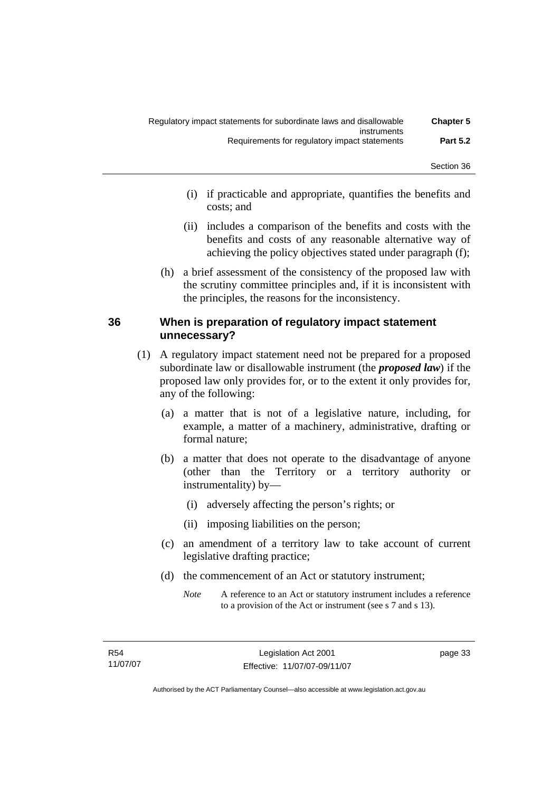- (i) if practicable and appropriate, quantifies the benefits and costs; and
- (ii) includes a comparison of the benefits and costs with the benefits and costs of any reasonable alternative way of achieving the policy objectives stated under paragraph (f);
- (h) a brief assessment of the consistency of the proposed law with the scrutiny committee principles and, if it is inconsistent with the principles, the reasons for the inconsistency.

# **36 When is preparation of regulatory impact statement unnecessary?**

- (1) A regulatory impact statement need not be prepared for a proposed subordinate law or disallowable instrument (the *proposed law*) if the proposed law only provides for, or to the extent it only provides for, any of the following:
	- (a) a matter that is not of a legislative nature, including, for example, a matter of a machinery, administrative, drafting or formal nature;
	- (b) a matter that does not operate to the disadvantage of anyone (other than the Territory or a territory authority or instrumentality) by—
		- (i) adversely affecting the person's rights; or
		- (ii) imposing liabilities on the person;
	- (c) an amendment of a territory law to take account of current legislative drafting practice;
	- (d) the commencement of an Act or statutory instrument;
		- *Note* A reference to an Act or statutory instrument includes a reference to a provision of the Act or instrument (see s 7 and s 13).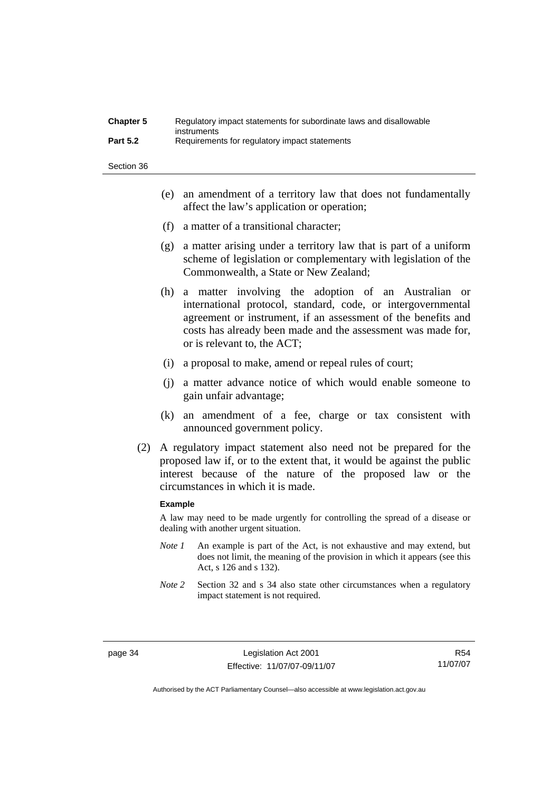| <b>Chapter 5</b> | Regulatory impact statements for subordinate laws and disallowable |
|------------------|--------------------------------------------------------------------|
| <b>Part 5.2</b>  | instruments<br>Requirements for regulatory impact statements       |

- (e) an amendment of a territory law that does not fundamentally affect the law's application or operation;
- (f) a matter of a transitional character;
- (g) a matter arising under a territory law that is part of a uniform scheme of legislation or complementary with legislation of the Commonwealth, a State or New Zealand;
- (h) a matter involving the adoption of an Australian or international protocol, standard, code, or intergovernmental agreement or instrument, if an assessment of the benefits and costs has already been made and the assessment was made for, or is relevant to, the ACT;
- (i) a proposal to make, amend or repeal rules of court;
- (j) a matter advance notice of which would enable someone to gain unfair advantage;
- (k) an amendment of a fee, charge or tax consistent with announced government policy.
- (2) A regulatory impact statement also need not be prepared for the proposed law if, or to the extent that, it would be against the public interest because of the nature of the proposed law or the circumstances in which it is made.

#### **Example**

A law may need to be made urgently for controlling the spread of a disease or dealing with another urgent situation.

- *Note 1* An example is part of the Act, is not exhaustive and may extend, but does not limit, the meaning of the provision in which it appears (see this Act, s 126 and s 132).
- *Note* 2 Section 32 and s 34 also state other circumstances when a regulatory impact statement is not required.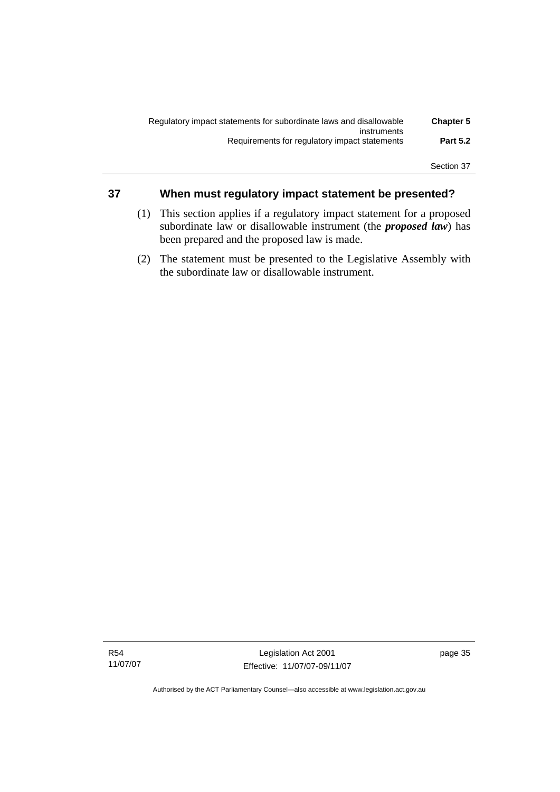| <b>Chapter 5</b> | Regulatory impact statements for subordinate laws and disallowable |
|------------------|--------------------------------------------------------------------|
|                  | instruments                                                        |
| <b>Part 5.2</b>  | Requirements for regulatory impact statements                      |
|                  |                                                                    |

# **37 When must regulatory impact statement be presented?**

- (1) This section applies if a regulatory impact statement for a proposed subordinate law or disallowable instrument (the *proposed law*) has been prepared and the proposed law is made.
- (2) The statement must be presented to the Legislative Assembly with the subordinate law or disallowable instrument.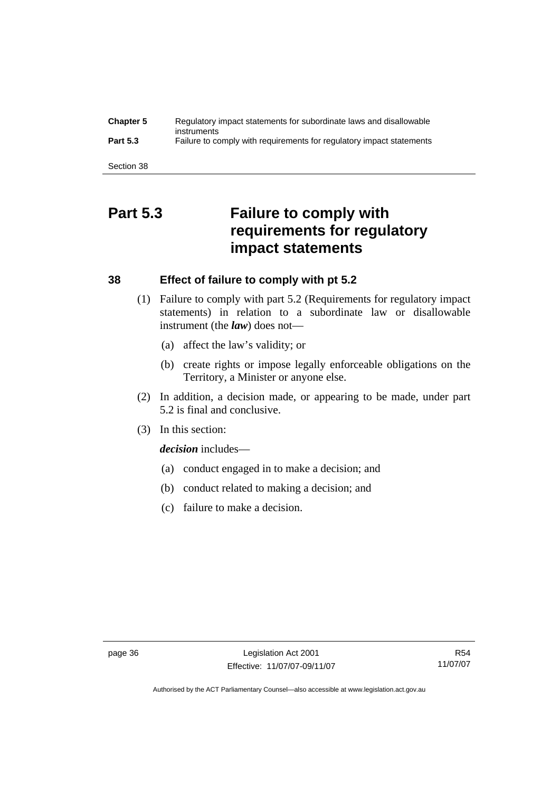| <b>Chapter 5</b> | Regulatory impact statements for subordinate laws and disallowable<br>instruments |
|------------------|-----------------------------------------------------------------------------------|
| <b>Part 5.3</b>  | Failure to comply with requirements for regulatory impact statements              |
|                  |                                                                                   |
| Section 38       |                                                                                   |

# **Part 5.3 Failure to comply with requirements for regulatory impact statements**

# **38 Effect of failure to comply with pt 5.2**

- (1) Failure to comply with part 5.2 (Requirements for regulatory impact statements) in relation to a subordinate law or disallowable instrument (the *law*) does not—
	- (a) affect the law's validity; or
	- (b) create rights or impose legally enforceable obligations on the Territory, a Minister or anyone else.
- (2) In addition, a decision made, or appearing to be made, under part 5.2 is final and conclusive.
- (3) In this section:

*decision* includes—

- (a) conduct engaged in to make a decision; and
- (b) conduct related to making a decision; and
- (c) failure to make a decision.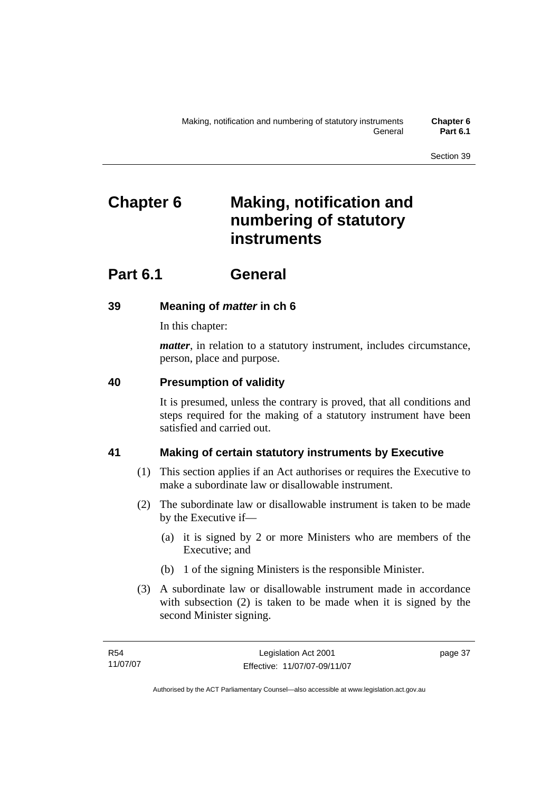# **Chapter 6 Making, notification and numbering of statutory instruments**

# **Part 6.1 General**

# **39 Meaning of** *matter* **in ch 6**

In this chapter:

*matter*, in relation to a statutory instrument, includes circumstance, person, place and purpose.

# **40 Presumption of validity**

It is presumed, unless the contrary is proved, that all conditions and steps required for the making of a statutory instrument have been satisfied and carried out.

# **41 Making of certain statutory instruments by Executive**

- (1) This section applies if an Act authorises or requires the Executive to make a subordinate law or disallowable instrument.
- (2) The subordinate law or disallowable instrument is taken to be made by the Executive if—
	- (a) it is signed by 2 or more Ministers who are members of the Executive; and
	- (b) 1 of the signing Ministers is the responsible Minister.
- (3) A subordinate law or disallowable instrument made in accordance with subsection (2) is taken to be made when it is signed by the second Minister signing.

page 37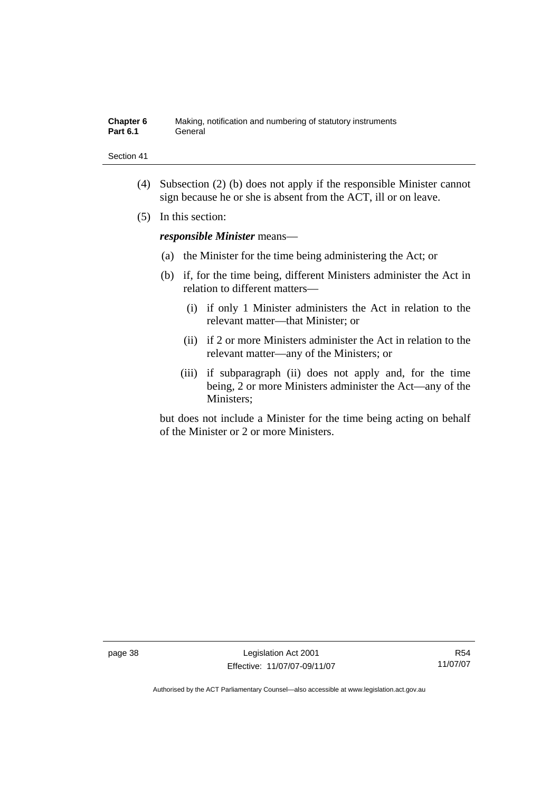| <b>Chapter 6</b> | Making, notification and numbering of statutory instruments |
|------------------|-------------------------------------------------------------|
| Part 6.1         | General                                                     |

- (4) Subsection (2) (b) does not apply if the responsible Minister cannot sign because he or she is absent from the ACT, ill or on leave.
- (5) In this section:

*responsible Minister* means—

- (a) the Minister for the time being administering the Act; or
- (b) if, for the time being, different Ministers administer the Act in relation to different matters—
	- (i) if only 1 Minister administers the Act in relation to the relevant matter—that Minister; or
	- (ii) if 2 or more Ministers administer the Act in relation to the relevant matter—any of the Ministers; or
	- (iii) if subparagraph (ii) does not apply and, for the time being, 2 or more Ministers administer the Act—any of the Ministers;

but does not include a Minister for the time being acting on behalf of the Minister or 2 or more Ministers.

page 38 Legislation Act 2001 Effective: 11/07/07-09/11/07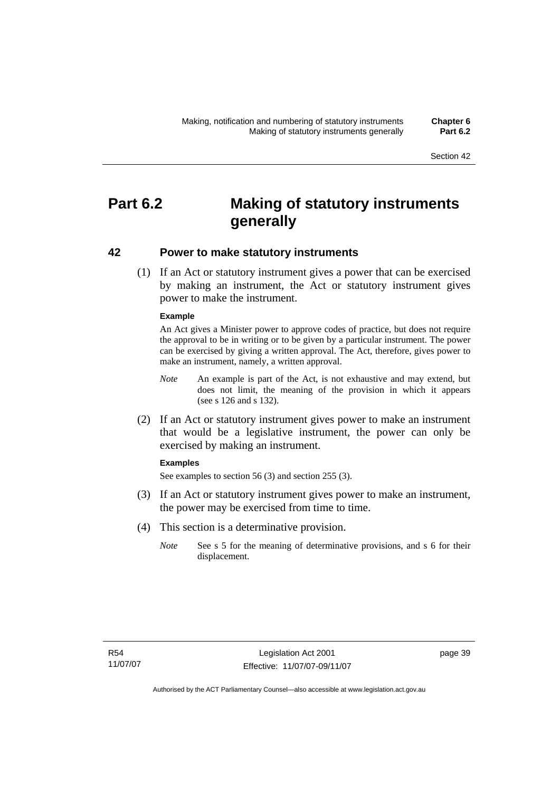# **Part 6.2 Making of statutory instruments generally**

# **42 Power to make statutory instruments**

 (1) If an Act or statutory instrument gives a power that can be exercised by making an instrument, the Act or statutory instrument gives power to make the instrument.

### **Example**

An Act gives a Minister power to approve codes of practice, but does not require the approval to be in writing or to be given by a particular instrument. The power can be exercised by giving a written approval. The Act, therefore, gives power to make an instrument, namely, a written approval.

- *Note* An example is part of the Act, is not exhaustive and may extend, but does not limit, the meaning of the provision in which it appears (see s 126 and s 132).
- (2) If an Act or statutory instrument gives power to make an instrument that would be a legislative instrument, the power can only be exercised by making an instrument.

### **Examples**

See examples to section 56 (3) and section 255 (3).

- (3) If an Act or statutory instrument gives power to make an instrument, the power may be exercised from time to time.
- (4) This section is a determinative provision.
	- *Note* See s 5 for the meaning of determinative provisions, and s 6 for their displacement.

page 39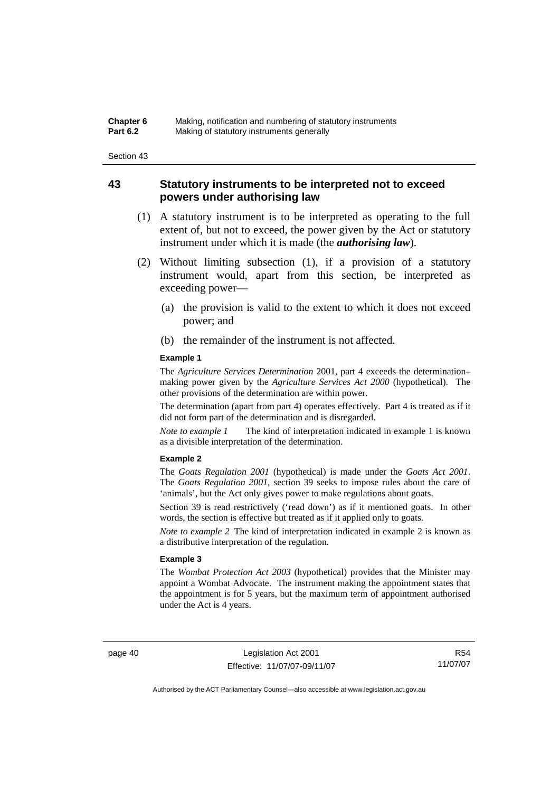# **43 Statutory instruments to be interpreted not to exceed powers under authorising law**

- (1) A statutory instrument is to be interpreted as operating to the full extent of, but not to exceed, the power given by the Act or statutory instrument under which it is made (the *authorising law*).
- (2) Without limiting subsection (1), if a provision of a statutory instrument would, apart from this section, be interpreted as exceeding power—
	- (a) the provision is valid to the extent to which it does not exceed power; and
	- (b) the remainder of the instrument is not affected.

#### **Example 1**

The *Agriculture Services Determination* 2001, part 4 exceeds the determination– making power given by the *Agriculture Services Act 2000* (hypothetical). The other provisions of the determination are within power.

The determination (apart from part 4) operates effectively. Part 4 is treated as if it did not form part of the determination and is disregarded.

*Note to example 1* The kind of interpretation indicated in example 1 is known as a divisible interpretation of the determination.

#### **Example 2**

The *Goats Regulation 2001* (hypothetical) is made under the *Goats Act 2001*. The *Goats Regulation 2001*, section 39 seeks to impose rules about the care of 'animals', but the Act only gives power to make regulations about goats.

Section 39 is read restrictively ('read down') as if it mentioned goats. In other words, the section is effective but treated as if it applied only to goats.

*Note to example 2* The kind of interpretation indicated in example 2 is known as a distributive interpretation of the regulation.

#### **Example 3**

The *Wombat Protection Act 2003* (hypothetical) provides that the Minister may appoint a Wombat Advocate. The instrument making the appointment states that the appointment is for 5 years, but the maximum term of appointment authorised under the Act is 4 years.

page 40 Legislation Act 2001 Effective: 11/07/07-09/11/07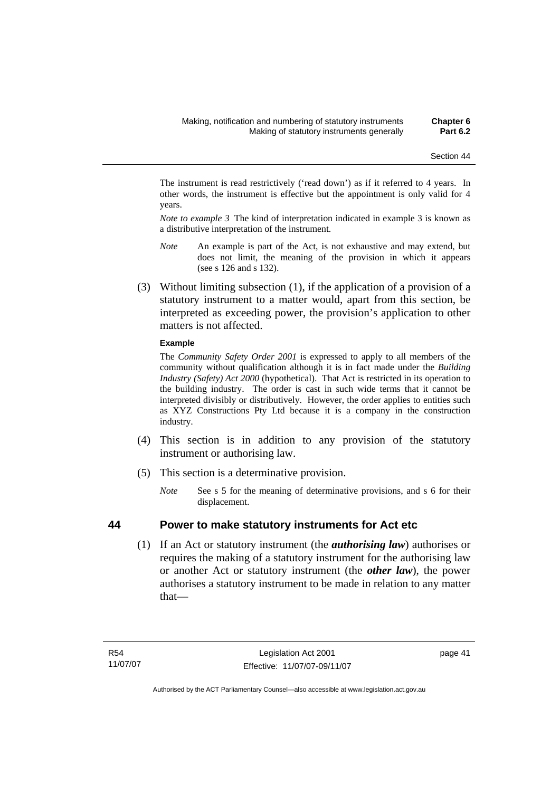The instrument is read restrictively ('read down') as if it referred to 4 years. In other words, the instrument is effective but the appointment is only valid for 4 years.

*Note to example 3* The kind of interpretation indicated in example 3 is known as a distributive interpretation of the instrument.

- *Note* An example is part of the Act, is not exhaustive and may extend, but does not limit, the meaning of the provision in which it appears (see s 126 and s 132).
- (3) Without limiting subsection (1), if the application of a provision of a statutory instrument to a matter would, apart from this section, be interpreted as exceeding power, the provision's application to other matters is not affected.

### **Example**

The *Community Safety Order 2001* is expressed to apply to all members of the community without qualification although it is in fact made under the *Building Industry (Safety) Act 2000* (hypothetical). That Act is restricted in its operation to the building industry. The order is cast in such wide terms that it cannot be interpreted divisibly or distributively. However, the order applies to entities such as XYZ Constructions Pty Ltd because it is a company in the construction industry.

- (4) This section is in addition to any provision of the statutory instrument or authorising law.
- (5) This section is a determinative provision.
	- *Note* See s 5 for the meaning of determinative provisions, and s 6 for their displacement.

## **44 Power to make statutory instruments for Act etc**

 (1) If an Act or statutory instrument (the *authorising law*) authorises or requires the making of a statutory instrument for the authorising law or another Act or statutory instrument (the *other law*), the power authorises a statutory instrument to be made in relation to any matter that—

page 41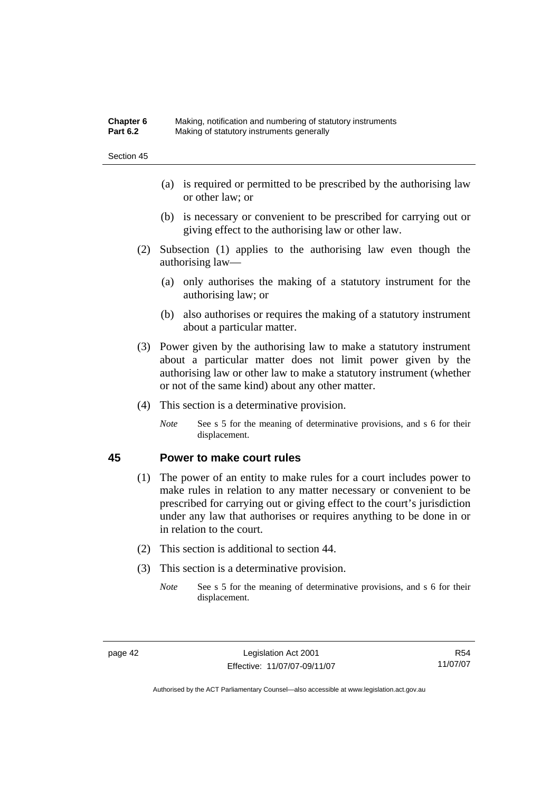| Chapter 6       | Making, notification and numbering of statutory instruments |
|-----------------|-------------------------------------------------------------|
| <b>Part 6.2</b> | Making of statutory instruments generally                   |

- (a) is required or permitted to be prescribed by the authorising law or other law; or
- (b) is necessary or convenient to be prescribed for carrying out or giving effect to the authorising law or other law.
- (2) Subsection (1) applies to the authorising law even though the authorising law—
	- (a) only authorises the making of a statutory instrument for the authorising law; or
	- (b) also authorises or requires the making of a statutory instrument about a particular matter.
- (3) Power given by the authorising law to make a statutory instrument about a particular matter does not limit power given by the authorising law or other law to make a statutory instrument (whether or not of the same kind) about any other matter.
- (4) This section is a determinative provision.
	- *Note* See s 5 for the meaning of determinative provisions, and s 6 for their displacement.

# **45 Power to make court rules**

- (1) The power of an entity to make rules for a court includes power to make rules in relation to any matter necessary or convenient to be prescribed for carrying out or giving effect to the court's jurisdiction under any law that authorises or requires anything to be done in or in relation to the court.
- (2) This section is additional to section 44.
- (3) This section is a determinative provision.
	- *Note* See s 5 for the meaning of determinative provisions, and s 6 for their displacement.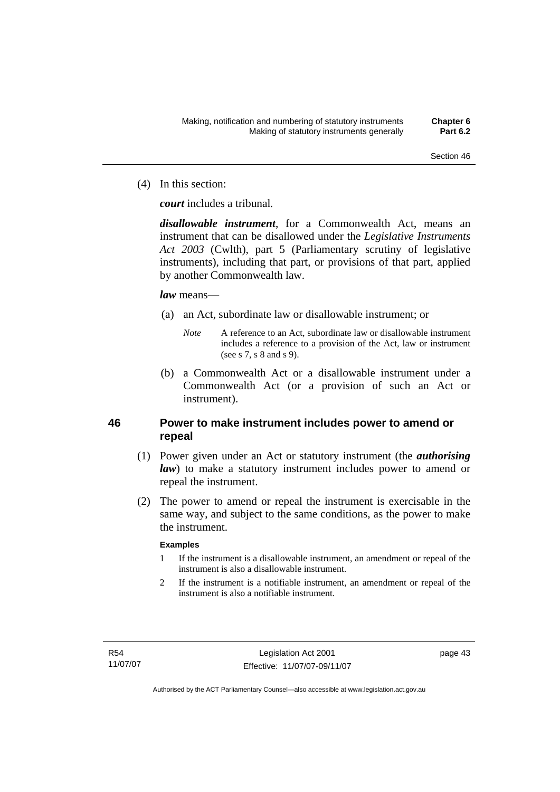(4) In this section:

*court* includes a tribunal*.*

*disallowable instrument*, for a Commonwealth Act, means an instrument that can be disallowed under the *Legislative Instruments Act 2003* (Cwlth), part 5 (Parliamentary scrutiny of legislative instruments), including that part, or provisions of that part, applied by another Commonwealth law.

## *law* means—

- (a) an Act, subordinate law or disallowable instrument; or
	- *Note* A reference to an Act, subordinate law or disallowable instrument includes a reference to a provision of the Act, law or instrument (see s 7, s 8 and s 9).
- (b) a Commonwealth Act or a disallowable instrument under a Commonwealth Act (or a provision of such an Act or instrument).

# **46 Power to make instrument includes power to amend or repeal**

- (1) Power given under an Act or statutory instrument (the *authorising law*) to make a statutory instrument includes power to amend or repeal the instrument.
- (2) The power to amend or repeal the instrument is exercisable in the same way, and subject to the same conditions, as the power to make the instrument.

## **Examples**

- 1 If the instrument is a disallowable instrument, an amendment or repeal of the instrument is also a disallowable instrument.
- 2 If the instrument is a notifiable instrument, an amendment or repeal of the instrument is also a notifiable instrument.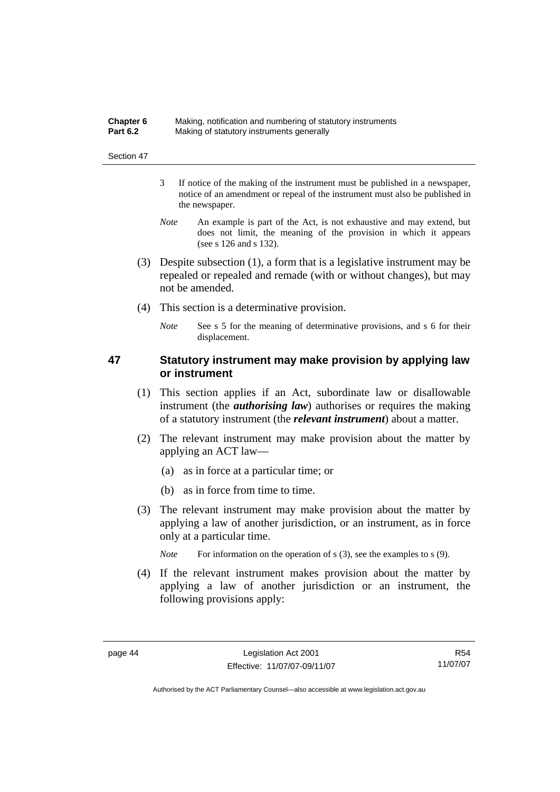| Chapter 6       | Making, notification and numbering of statutory instruments |
|-----------------|-------------------------------------------------------------|
| <b>Part 6.2</b> | Making of statutory instruments generally                   |

- 3 If notice of the making of the instrument must be published in a newspaper, notice of an amendment or repeal of the instrument must also be published in the newspaper.
- *Note* An example is part of the Act, is not exhaustive and may extend, but does not limit, the meaning of the provision in which it appears (see s 126 and s 132).
- (3) Despite subsection (1), a form that is a legislative instrument may be repealed or repealed and remade (with or without changes), but may not be amended.
- (4) This section is a determinative provision.
	- *Note* See s 5 for the meaning of determinative provisions, and s 6 for their displacement.

# **47 Statutory instrument may make provision by applying law or instrument**

- (1) This section applies if an Act, subordinate law or disallowable instrument (the *authorising law*) authorises or requires the making of a statutory instrument (the *relevant instrument*) about a matter.
- (2) The relevant instrument may make provision about the matter by applying an ACT law—
	- (a) as in force at a particular time; or
	- (b) as in force from time to time.
- (3) The relevant instrument may make provision about the matter by applying a law of another jurisdiction, or an instrument, as in force only at a particular time.

*Note* For information on the operation of s (3), see the examples to s (9).

 (4) If the relevant instrument makes provision about the matter by applying a law of another jurisdiction or an instrument, the following provisions apply: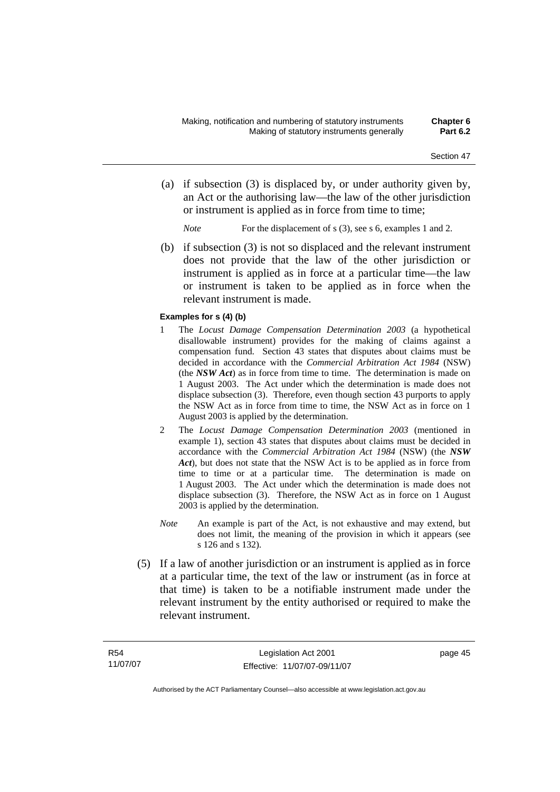- (a) if subsection (3) is displaced by, or under authority given by, an Act or the authorising law—the law of the other jurisdiction or instrument is applied as in force from time to time;
	- *Note* For the displacement of s (3), see s 6, examples 1 and 2.
- (b) if subsection (3) is not so displaced and the relevant instrument does not provide that the law of the other jurisdiction or instrument is applied as in force at a particular time—the law or instrument is taken to be applied as in force when the relevant instrument is made.

#### **Examples for s (4) (b)**

- 1 The *Locust Damage Compensation Determination 2003* (a hypothetical disallowable instrument) provides for the making of claims against a compensation fund. Section 43 states that disputes about claims must be decided in accordance with the *Commercial Arbitration Act 1984* (NSW) (the *NSW Act*) as in force from time to time. The determination is made on 1 August 2003. The Act under which the determination is made does not displace subsection (3). Therefore, even though section 43 purports to apply the NSW Act as in force from time to time, the NSW Act as in force on 1 August 2003 is applied by the determination.
- 2 The *Locust Damage Compensation Determination 2003* (mentioned in example 1), section 43 states that disputes about claims must be decided in accordance with the *Commercial Arbitration Act 1984* (NSW) (the *NSW Act*), but does not state that the NSW Act is to be applied as in force from time to time or at a particular time. The determination is made on 1 August 2003. The Act under which the determination is made does not displace subsection (3). Therefore, the NSW Act as in force on 1 August 2003 is applied by the determination.
- *Note* An example is part of the Act, is not exhaustive and may extend, but does not limit, the meaning of the provision in which it appears (see s 126 and s 132).
- (5) If a law of another jurisdiction or an instrument is applied as in force at a particular time, the text of the law or instrument (as in force at that time) is taken to be a notifiable instrument made under the relevant instrument by the entity authorised or required to make the relevant instrument.

page 45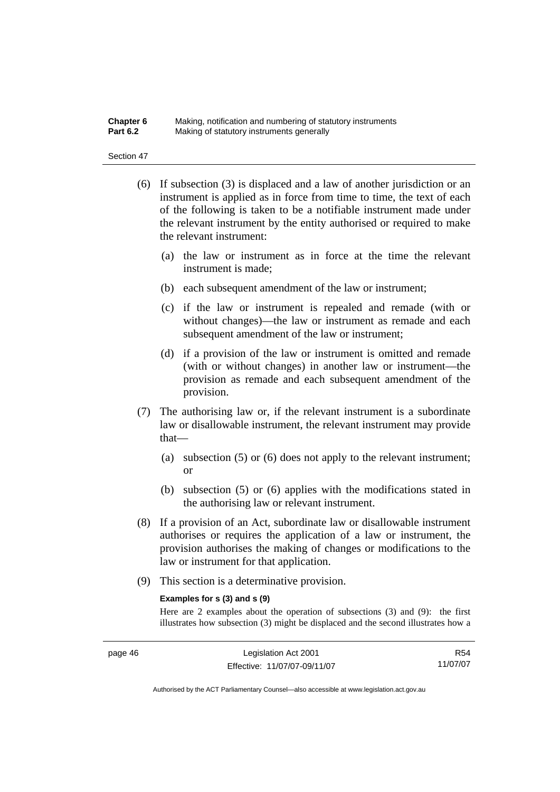#### **Chapter 6** Making, notification and numbering of statutory instruments<br>**Part 6.2** Making of statutory instruments generally **Making of statutory instruments generally**

#### Section 47

- (6) If subsection (3) is displaced and a law of another jurisdiction or an instrument is applied as in force from time to time, the text of each of the following is taken to be a notifiable instrument made under the relevant instrument by the entity authorised or required to make the relevant instrument:
	- (a) the law or instrument as in force at the time the relevant instrument is made;
	- (b) each subsequent amendment of the law or instrument;
	- (c) if the law or instrument is repealed and remade (with or without changes)—the law or instrument as remade and each subsequent amendment of the law or instrument;
	- (d) if a provision of the law or instrument is omitted and remade (with or without changes) in another law or instrument—the provision as remade and each subsequent amendment of the provision.
- (7) The authorising law or, if the relevant instrument is a subordinate law or disallowable instrument, the relevant instrument may provide that—
	- (a) subsection (5) or (6) does not apply to the relevant instrument; or
	- (b) subsection (5) or (6) applies with the modifications stated in the authorising law or relevant instrument.
- (8) If a provision of an Act, subordinate law or disallowable instrument authorises or requires the application of a law or instrument, the provision authorises the making of changes or modifications to the law or instrument for that application.
- (9) This section is a determinative provision.

#### **Examples for s (3) and s (9)**

Here are 2 examples about the operation of subsections (3) and (9): the first illustrates how subsection (3) might be displaced and the second illustrates how a

R54 11/07/07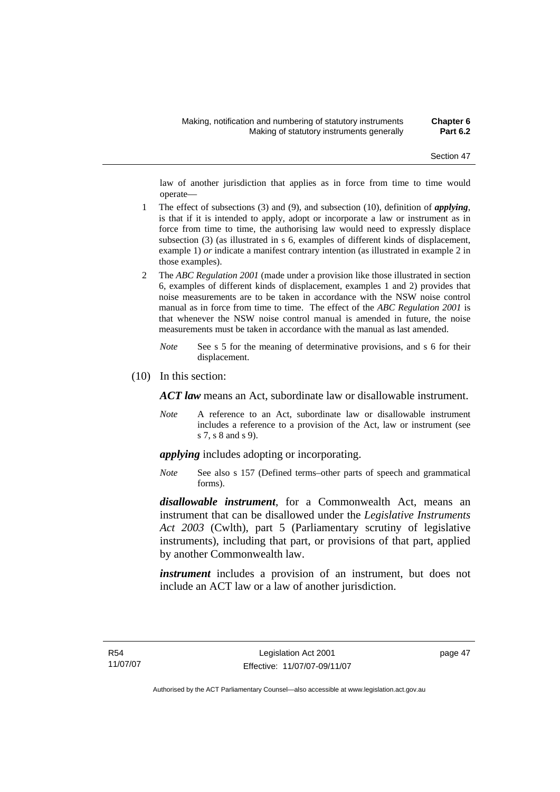law of another jurisdiction that applies as in force from time to time would operate—

- 1 The effect of subsections (3) and (9), and subsection (10), definition of *applying*, is that if it is intended to apply, adopt or incorporate a law or instrument as in force from time to time, the authorising law would need to expressly displace subsection (3) (as illustrated in s 6, examples of different kinds of displacement, example 1) *or* indicate a manifest contrary intention (as illustrated in example 2 in those examples).
- 2 The *ABC Regulation 2001* (made under a provision like those illustrated in section 6, examples of different kinds of displacement, examples 1 and 2) provides that noise measurements are to be taken in accordance with the NSW noise control manual as in force from time to time. The effect of the *ABC Regulation 2001* is that whenever the NSW noise control manual is amended in future, the noise measurements must be taken in accordance with the manual as last amended.
	- *Note* See s 5 for the meaning of determinative provisions, and s 6 for their displacement.
- (10) In this section:

*ACT law* means an Act, subordinate law or disallowable instrument.

*Note* A reference to an Act, subordinate law or disallowable instrument includes a reference to a provision of the Act, law or instrument (see s 7, s 8 and s 9).

*applying* includes adopting or incorporating.

*Note* See also s 157 (Defined terms–other parts of speech and grammatical forms).

*disallowable instrument*, for a Commonwealth Act, means an instrument that can be disallowed under the *Legislative Instruments Act 2003* (Cwlth), part 5 (Parliamentary scrutiny of legislative instruments), including that part, or provisions of that part, applied by another Commonwealth law.

*instrument* includes a provision of an instrument, but does not include an ACT law or a law of another jurisdiction.

page 47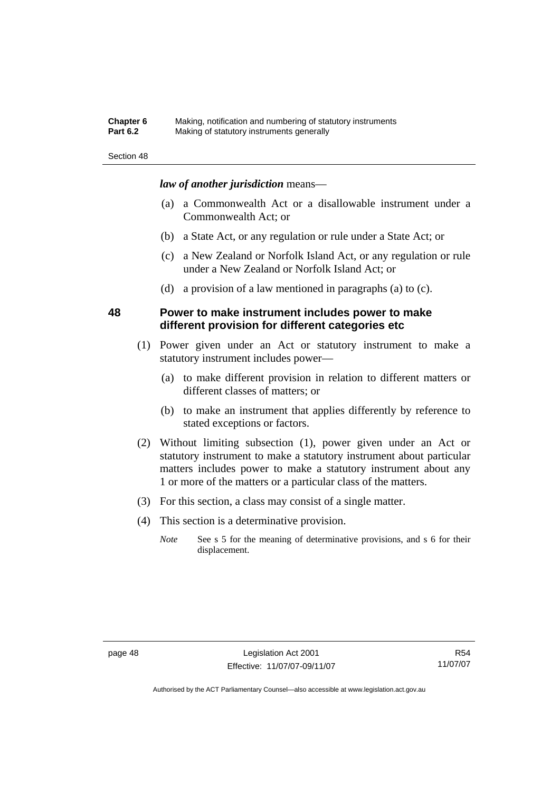### **Chapter 6** Making, notification and numbering of statutory instruments<br>**Part 6.2** Making of statutory instruments generally **Making of statutory instruments generally**

#### Section 48

### *law of another jurisdiction* means—

- (a) a Commonwealth Act or a disallowable instrument under a Commonwealth Act; or
- (b) a State Act, or any regulation or rule under a State Act; or
- (c) a New Zealand or Norfolk Island Act, or any regulation or rule under a New Zealand or Norfolk Island Act; or
- (d) a provision of a law mentioned in paragraphs (a) to (c).

# **48 Power to make instrument includes power to make different provision for different categories etc**

- (1) Power given under an Act or statutory instrument to make a statutory instrument includes power—
	- (a) to make different provision in relation to different matters or different classes of matters; or
	- (b) to make an instrument that applies differently by reference to stated exceptions or factors.
- (2) Without limiting subsection (1), power given under an Act or statutory instrument to make a statutory instrument about particular matters includes power to make a statutory instrument about any 1 or more of the matters or a particular class of the matters.
- (3) For this section, a class may consist of a single matter.
- (4) This section is a determinative provision.
	- *Note* See s 5 for the meaning of determinative provisions, and s 6 for their displacement.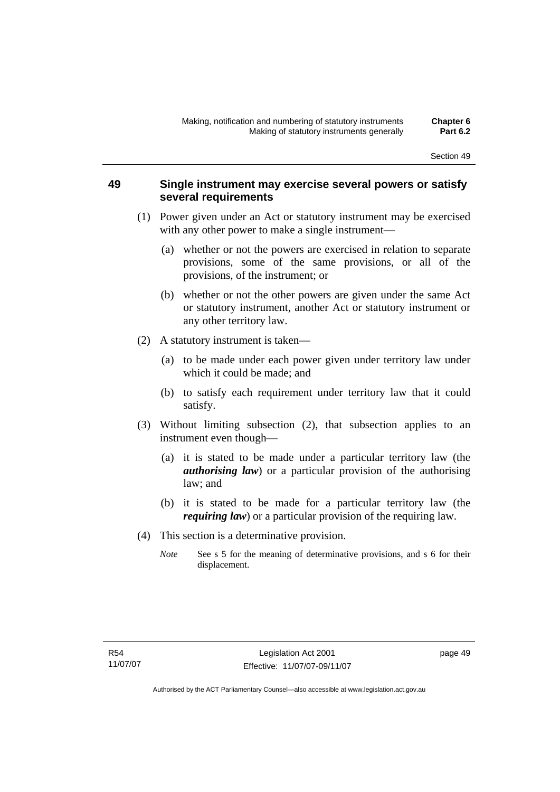# **49 Single instrument may exercise several powers or satisfy several requirements**

- (1) Power given under an Act or statutory instrument may be exercised with any other power to make a single instrument—
	- (a) whether or not the powers are exercised in relation to separate provisions, some of the same provisions, or all of the provisions, of the instrument; or
	- (b) whether or not the other powers are given under the same Act or statutory instrument, another Act or statutory instrument or any other territory law.
- (2) A statutory instrument is taken—
	- (a) to be made under each power given under territory law under which it could be made; and
	- (b) to satisfy each requirement under territory law that it could satisfy.
- (3) Without limiting subsection (2), that subsection applies to an instrument even though—
	- (a) it is stated to be made under a particular territory law (the *authorising law*) or a particular provision of the authorising law; and
	- (b) it is stated to be made for a particular territory law (the *requiring law*) or a particular provision of the requiring law.
- (4) This section is a determinative provision.
	- *Note* See s 5 for the meaning of determinative provisions, and s 6 for their displacement.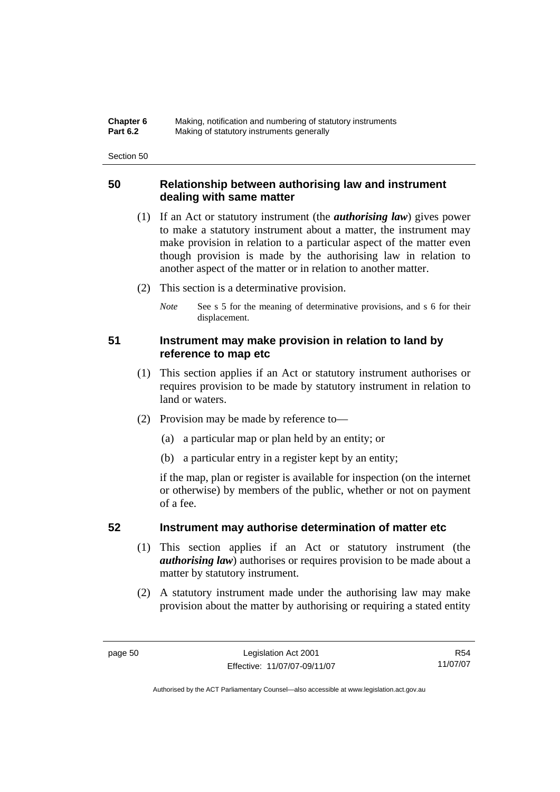| Chapter 6       | Making, notification and numbering of statutory instruments |
|-----------------|-------------------------------------------------------------|
| <b>Part 6.2</b> | Making of statutory instruments generally                   |

# **50 Relationship between authorising law and instrument dealing with same matter**

- (1) If an Act or statutory instrument (the *authorising law*) gives power to make a statutory instrument about a matter, the instrument may make provision in relation to a particular aspect of the matter even though provision is made by the authorising law in relation to another aspect of the matter or in relation to another matter.
- (2) This section is a determinative provision.
	- *Note* See s 5 for the meaning of determinative provisions, and s 6 for their displacement.

# **51 Instrument may make provision in relation to land by reference to map etc**

- (1) This section applies if an Act or statutory instrument authorises or requires provision to be made by statutory instrument in relation to land or waters.
- (2) Provision may be made by reference to—
	- (a) a particular map or plan held by an entity; or
	- (b) a particular entry in a register kept by an entity;

if the map, plan or register is available for inspection (on the internet or otherwise) by members of the public, whether or not on payment of a fee.

# **52 Instrument may authorise determination of matter etc**

- (1) This section applies if an Act or statutory instrument (the *authorising law*) authorises or requires provision to be made about a matter by statutory instrument.
- (2) A statutory instrument made under the authorising law may make provision about the matter by authorising or requiring a stated entity

R54 11/07/07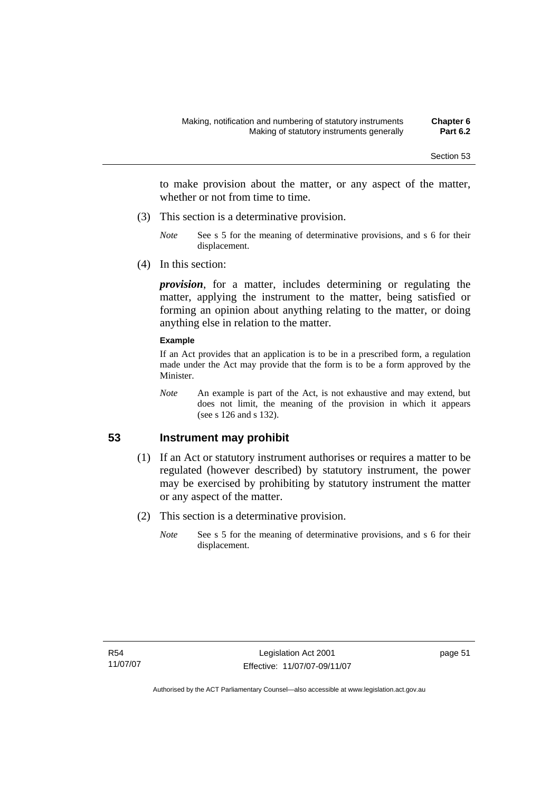to make provision about the matter, or any aspect of the matter, whether or not from time to time.

- (3) This section is a determinative provision.
	- *Note* See s 5 for the meaning of determinative provisions, and s 6 for their displacement.
- (4) In this section:

*provision*, for a matter, includes determining or regulating the matter, applying the instrument to the matter, being satisfied or forming an opinion about anything relating to the matter, or doing anything else in relation to the matter.

#### **Example**

If an Act provides that an application is to be in a prescribed form, a regulation made under the Act may provide that the form is to be a form approved by the Minister.

*Note* An example is part of the Act, is not exhaustive and may extend, but does not limit, the meaning of the provision in which it appears (see s 126 and s 132).

# **53 Instrument may prohibit**

- (1) If an Act or statutory instrument authorises or requires a matter to be regulated (however described) by statutory instrument, the power may be exercised by prohibiting by statutory instrument the matter or any aspect of the matter.
- (2) This section is a determinative provision.
	- *Note* See s 5 for the meaning of determinative provisions, and s 6 for their displacement.

page 51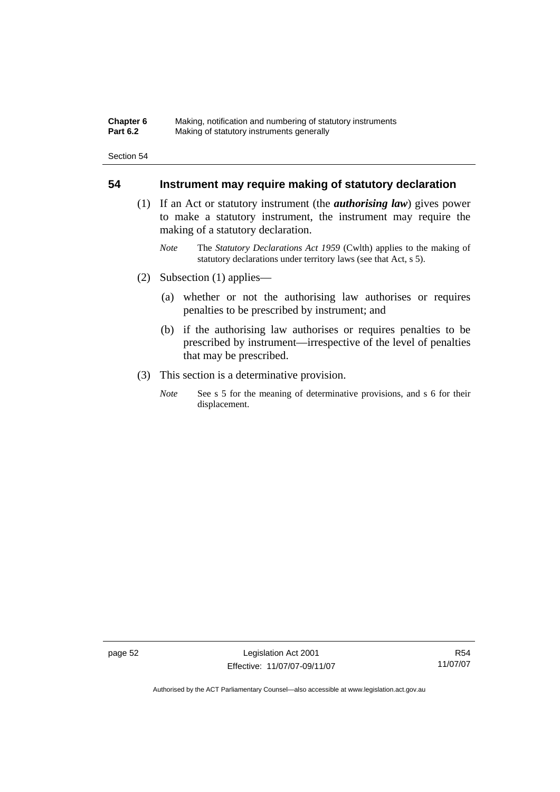#### **Chapter 6** Making, notification and numbering of statutory instruments<br>**Part 6.2** Making of statutory instruments generally **Making of statutory instruments generally**

Section 54

# **54 Instrument may require making of statutory declaration**

- (1) If an Act or statutory instrument (the *authorising law*) gives power to make a statutory instrument, the instrument may require the making of a statutory declaration.
	- *Note* The *Statutory Declarations Act 1959* (Cwlth) applies to the making of statutory declarations under territory laws (see that Act, s 5).
- (2) Subsection (1) applies—
	- (a) whether or not the authorising law authorises or requires penalties to be prescribed by instrument; and
	- (b) if the authorising law authorises or requires penalties to be prescribed by instrument—irrespective of the level of penalties that may be prescribed.
- (3) This section is a determinative provision.
	- *Note* See s 5 for the meaning of determinative provisions, and s 6 for their displacement.

page 52 Legislation Act 2001 Effective: 11/07/07-09/11/07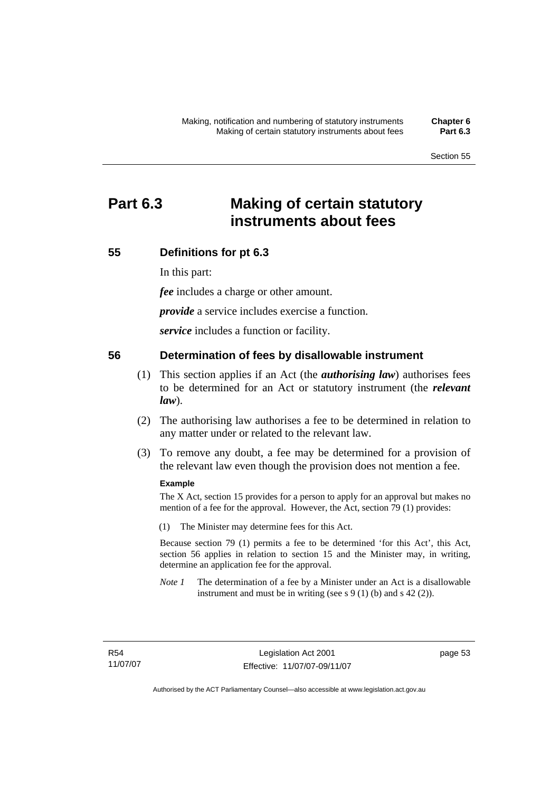# **Part 6.3 Making of certain statutory instruments about fees**

# **55 Definitions for pt 6.3**

In this part:

*fee* includes a charge or other amount.

*provide* a service includes exercise a function.

*service* includes a function or facility.

## **56 Determination of fees by disallowable instrument**

- (1) This section applies if an Act (the *authorising law*) authorises fees to be determined for an Act or statutory instrument (the *relevant law*).
- (2) The authorising law authorises a fee to be determined in relation to any matter under or related to the relevant law.
- (3) To remove any doubt, a fee may be determined for a provision of the relevant law even though the provision does not mention a fee.

#### **Example**

The X Act, section 15 provides for a person to apply for an approval but makes no mention of a fee for the approval. However, the Act, section 79 (1) provides:

(1) The Minister may determine fees for this Act.

Because section 79 (1) permits a fee to be determined 'for this Act', this Act, section 56 applies in relation to section 15 and the Minister may, in writing, determine an application fee for the approval.

*Note 1* The determination of a fee by a Minister under an Act is a disallowable instrument and must be in writing (see s  $9(1)$  (b) and s  $42(2)$ ).

page 53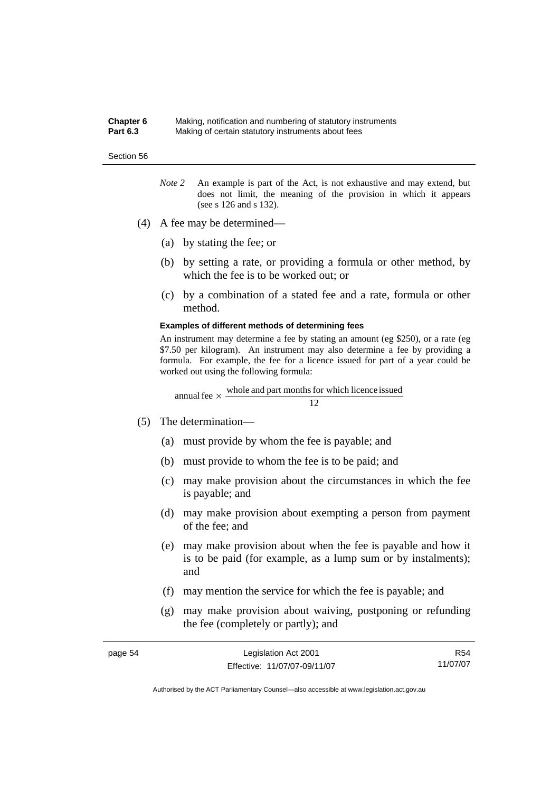#### **Chapter 6** Making, notification and numbering of statutory instruments **Part 6.3** Making of certain statutory instruments about fees

#### Section 56

- *Note 2* An example is part of the Act, is not exhaustive and may extend, but does not limit, the meaning of the provision in which it appears (see s 126 and s 132).
- (4) A fee may be determined—
	- (a) by stating the fee; or
	- (b) by setting a rate, or providing a formula or other method, by which the fee is to be worked out; or
	- (c) by a combination of a stated fee and a rate, formula or other method.

#### **Examples of different methods of determining fees**

An instrument may determine a fee by stating an amount (eg \$250), or a rate (eg \$7.50 per kilogram). An instrument may also determine a fee by providing a formula. For example, the fee for a licence issued for part of a year could be worked out using the following formula:

12 annual fee  $\times$  whole and part months for which licence issued

- (5) The determination—
	- (a) must provide by whom the fee is payable; and
	- (b) must provide to whom the fee is to be paid; and
	- (c) may make provision about the circumstances in which the fee is payable; and
	- (d) may make provision about exempting a person from payment of the fee; and
	- (e) may make provision about when the fee is payable and how it is to be paid (for example, as a lump sum or by instalments); and
	- (f) may mention the service for which the fee is payable; and
	- (g) may make provision about waiving, postponing or refunding the fee (completely or partly); and

| page 54 | Legislation Act 2001         | R54      |
|---------|------------------------------|----------|
|         | Effective: 11/07/07-09/11/07 | 11/07/07 |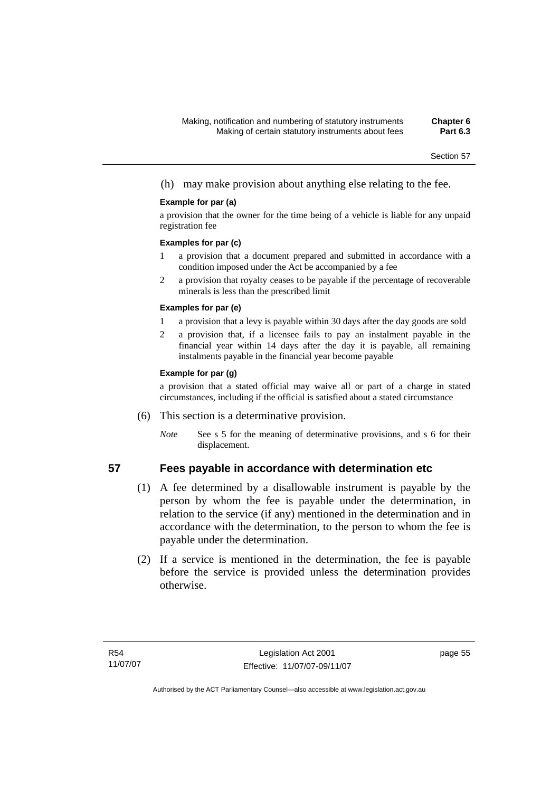(h) may make provision about anything else relating to the fee.

### **Example for par (a)**

a provision that the owner for the time being of a vehicle is liable for any unpaid registration fee

#### **Examples for par (c)**

- 1 a provision that a document prepared and submitted in accordance with a condition imposed under the Act be accompanied by a fee
- 2 a provision that royalty ceases to be payable if the percentage of recoverable minerals is less than the prescribed limit

#### **Examples for par (e)**

- 1 a provision that a levy is payable within 30 days after the day goods are sold
- 2 a provision that, if a licensee fails to pay an instalment payable in the financial year within 14 days after the day it is payable, all remaining instalments payable in the financial year become payable

### **Example for par (g)**

a provision that a stated official may waive all or part of a charge in stated circumstances, including if the official is satisfied about a stated circumstance

- (6) This section is a determinative provision.
	- *Note* See s 5 for the meaning of determinative provisions, and s 6 for their displacement.

## **57 Fees payable in accordance with determination etc**

- (1) A fee determined by a disallowable instrument is payable by the person by whom the fee is payable under the determination, in relation to the service (if any) mentioned in the determination and in accordance with the determination, to the person to whom the fee is payable under the determination.
- (2) If a service is mentioned in the determination, the fee is payable before the service is provided unless the determination provides otherwise.

page 55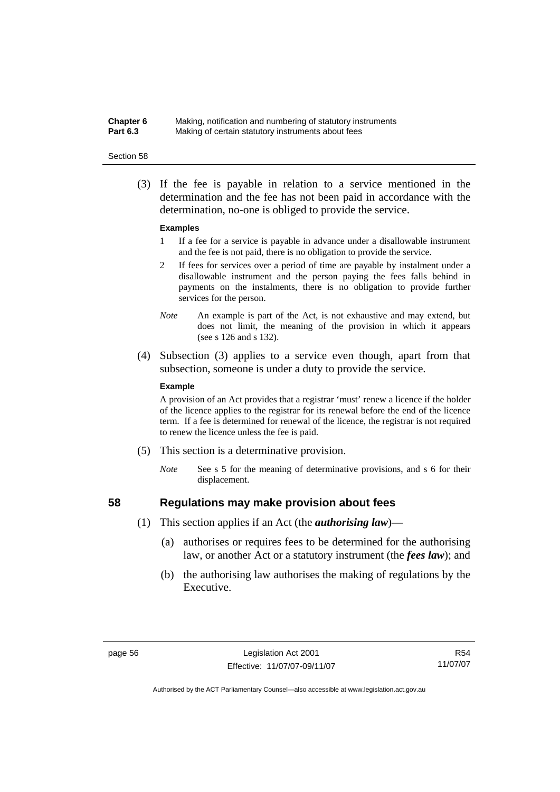### **Chapter 6** Making, notification and numbering of statutory instruments<br>**Part 6.3** Making of certain statutory instruments about fees Making of certain statutory instruments about fees

#### Section 58

 (3) If the fee is payable in relation to a service mentioned in the determination and the fee has not been paid in accordance with the determination, no-one is obliged to provide the service.

#### **Examples**

- 1 If a fee for a service is payable in advance under a disallowable instrument and the fee is not paid, there is no obligation to provide the service.
- 2 If fees for services over a period of time are payable by instalment under a disallowable instrument and the person paying the fees falls behind in payments on the instalments, there is no obligation to provide further services for the person.
- *Note* An example is part of the Act, is not exhaustive and may extend, but does not limit, the meaning of the provision in which it appears (see s 126 and s 132).
- (4) Subsection (3) applies to a service even though, apart from that subsection, someone is under a duty to provide the service.

#### **Example**

A provision of an Act provides that a registrar 'must' renew a licence if the holder of the licence applies to the registrar for its renewal before the end of the licence term. If a fee is determined for renewal of the licence, the registrar is not required to renew the licence unless the fee is paid.

- (5) This section is a determinative provision.
	- *Note* See s 5 for the meaning of determinative provisions, and s 6 for their displacement.

- **58 Regulations may make provision about fees** 
	- (1) This section applies if an Act (the *authorising law*)—
		- (a) authorises or requires fees to be determined for the authorising law, or another Act or a statutory instrument (the *fees law*); and
		- (b) the authorising law authorises the making of regulations by the Executive.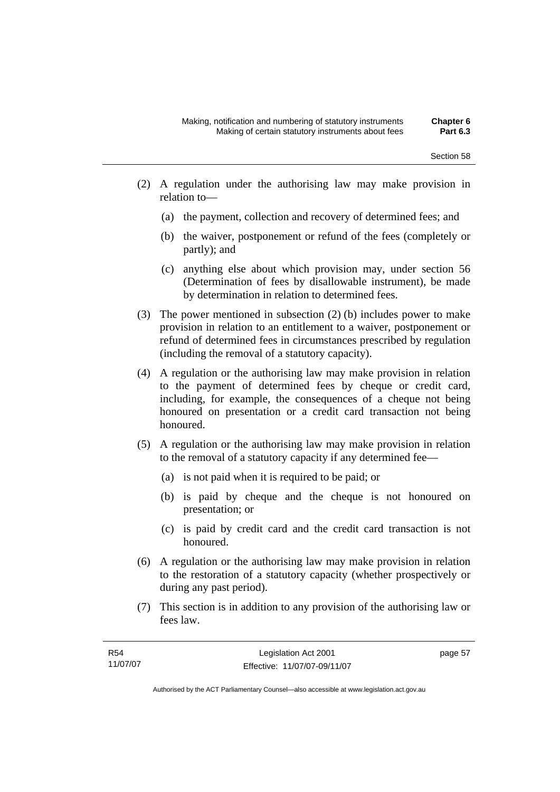- (2) A regulation under the authorising law may make provision in relation to—
	- (a) the payment, collection and recovery of determined fees; and
	- (b) the waiver, postponement or refund of the fees (completely or partly); and
	- (c) anything else about which provision may, under section 56 (Determination of fees by disallowable instrument), be made by determination in relation to determined fees.
- (3) The power mentioned in subsection (2) (b) includes power to make provision in relation to an entitlement to a waiver, postponement or refund of determined fees in circumstances prescribed by regulation (including the removal of a statutory capacity).
- (4) A regulation or the authorising law may make provision in relation to the payment of determined fees by cheque or credit card, including, for example, the consequences of a cheque not being honoured on presentation or a credit card transaction not being honoured.
- (5) A regulation or the authorising law may make provision in relation to the removal of a statutory capacity if any determined fee—
	- (a) is not paid when it is required to be paid; or
	- (b) is paid by cheque and the cheque is not honoured on presentation; or
	- (c) is paid by credit card and the credit card transaction is not honoured.
- (6) A regulation or the authorising law may make provision in relation to the restoration of a statutory capacity (whether prospectively or during any past period).
- (7) This section is in addition to any provision of the authorising law or fees law.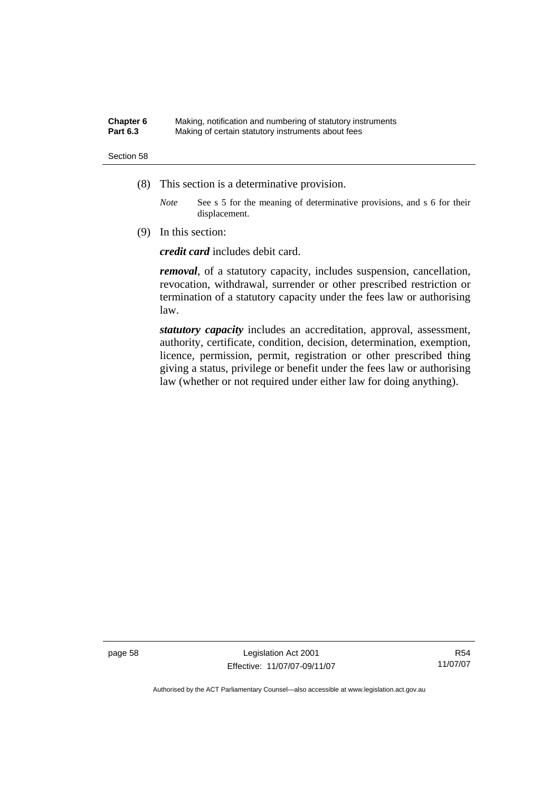#### **Chapter 6** Making, notification and numbering of statutory instruments<br>**Part 6.3** Making of certain statutory instruments about fees Making of certain statutory instruments about fees

#### Section 58

- (8) This section is a determinative provision.
	- *Note* See s 5 for the meaning of determinative provisions, and s 6 for their displacement.
- (9) In this section:

*credit card* includes debit card.

*removal*, of a statutory capacity, includes suspension, cancellation, revocation, withdrawal, surrender or other prescribed restriction or termination of a statutory capacity under the fees law or authorising law.

*statutory capacity* includes an accreditation, approval, assessment, authority, certificate, condition, decision, determination, exemption, licence, permission, permit, registration or other prescribed thing giving a status, privilege or benefit under the fees law or authorising law (whether or not required under either law for doing anything).

page 58 Legislation Act 2001 Effective: 11/07/07-09/11/07

R54 11/07/07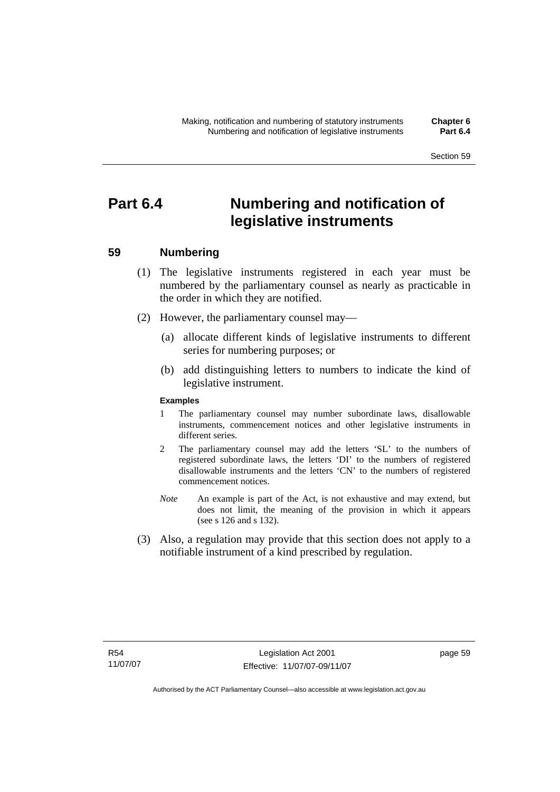# **Part 6.4 Numbering and notification of legislative instruments**

# **59 Numbering**

- (1) The legislative instruments registered in each year must be numbered by the parliamentary counsel as nearly as practicable in the order in which they are notified.
- (2) However, the parliamentary counsel may—
	- (a) allocate different kinds of legislative instruments to different series for numbering purposes; or
	- (b) add distinguishing letters to numbers to indicate the kind of legislative instrument.

#### **Examples**

- 1 The parliamentary counsel may number subordinate laws, disallowable instruments, commencement notices and other legislative instruments in different series.
- 2 The parliamentary counsel may add the letters 'SL' to the numbers of registered subordinate laws, the letters 'DI' to the numbers of registered disallowable instruments and the letters 'CN' to the numbers of registered commencement notices.
- *Note* An example is part of the Act, is not exhaustive and may extend, but does not limit, the meaning of the provision in which it appears (see s 126 and s 132).
- (3) Also, a regulation may provide that this section does not apply to a notifiable instrument of a kind prescribed by regulation.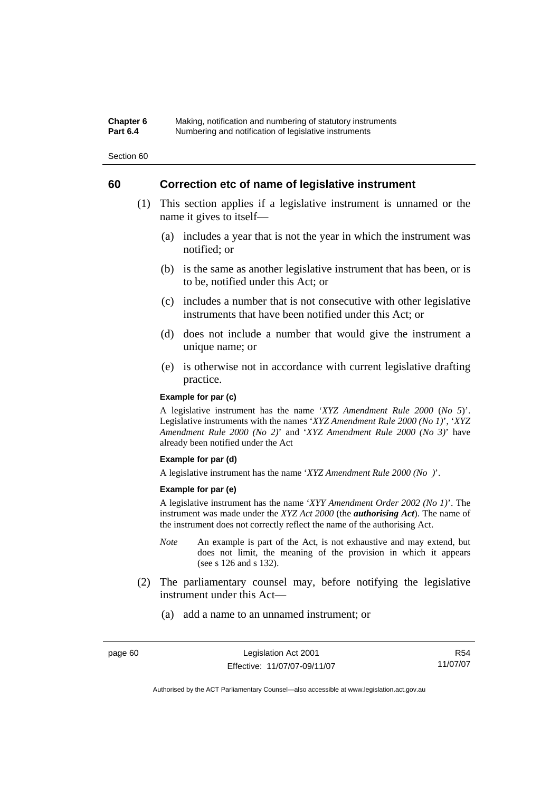#### **Chapter 6** Making, notification and numbering of statutory instruments<br>**Part 6.4** Mumbering and notification of legislative instruments **Part 6.4** Numbering and notification of legislative instruments

Section 60

# **60 Correction etc of name of legislative instrument**

- (1) This section applies if a legislative instrument is unnamed or the name it gives to itself—
	- (a) includes a year that is not the year in which the instrument was notified; or
	- (b) is the same as another legislative instrument that has been, or is to be, notified under this Act; or
	- (c) includes a number that is not consecutive with other legislative instruments that have been notified under this Act; or
	- (d) does not include a number that would give the instrument a unique name; or
	- (e) is otherwise not in accordance with current legislative drafting practice.

### **Example for par (c)**

A legislative instrument has the name '*XYZ Amendment Rule 2000* (*No 5*)'. Legislative instruments with the names '*XYZ Amendment Rule 2000 (No 1)*', '*XYZ Amendment Rule 2000 (No 2)*' and '*XYZ Amendment Rule 2000 (No 3)*' have already been notified under the Act

#### **Example for par (d)**

A legislative instrument has the name '*XYZ Amendment Rule 2000 (No )*'.

#### **Example for par (e)**

A legislative instrument has the name '*XYY Amendment Order 2002 (No 1)*'. The instrument was made under the *XYZ Act 2000* (the *authorising Act*). The name of the instrument does not correctly reflect the name of the authorising Act.

- *Note* An example is part of the Act, is not exhaustive and may extend, but does not limit, the meaning of the provision in which it appears (see s 126 and s 132).
- (2) The parliamentary counsel may, before notifying the legislative instrument under this Act—
	- (a) add a name to an unnamed instrument; or

R54 11/07/07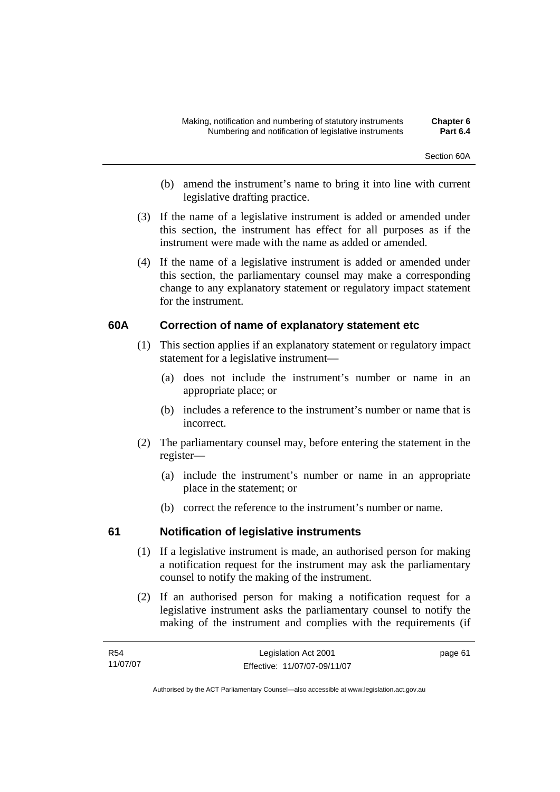- (b) amend the instrument's name to bring it into line with current legislative drafting practice.
- (3) If the name of a legislative instrument is added or amended under this section, the instrument has effect for all purposes as if the instrument were made with the name as added or amended.
- (4) If the name of a legislative instrument is added or amended under this section, the parliamentary counsel may make a corresponding change to any explanatory statement or regulatory impact statement for the instrument.

# **60A Correction of name of explanatory statement etc**

- (1) This section applies if an explanatory statement or regulatory impact statement for a legislative instrument—
	- (a) does not include the instrument's number or name in an appropriate place; or
	- (b) includes a reference to the instrument's number or name that is incorrect.
- (2) The parliamentary counsel may, before entering the statement in the register—
	- (a) include the instrument's number or name in an appropriate place in the statement; or
	- (b) correct the reference to the instrument's number or name.

# **61 Notification of legislative instruments**

- (1) If a legislative instrument is made, an authorised person for making a notification request for the instrument may ask the parliamentary counsel to notify the making of the instrument.
- (2) If an authorised person for making a notification request for a legislative instrument asks the parliamentary counsel to notify the making of the instrument and complies with the requirements (if

| R54      | Legislation Act 2001         | page 61 |
|----------|------------------------------|---------|
| 11/07/07 | Effective: 11/07/07-09/11/07 |         |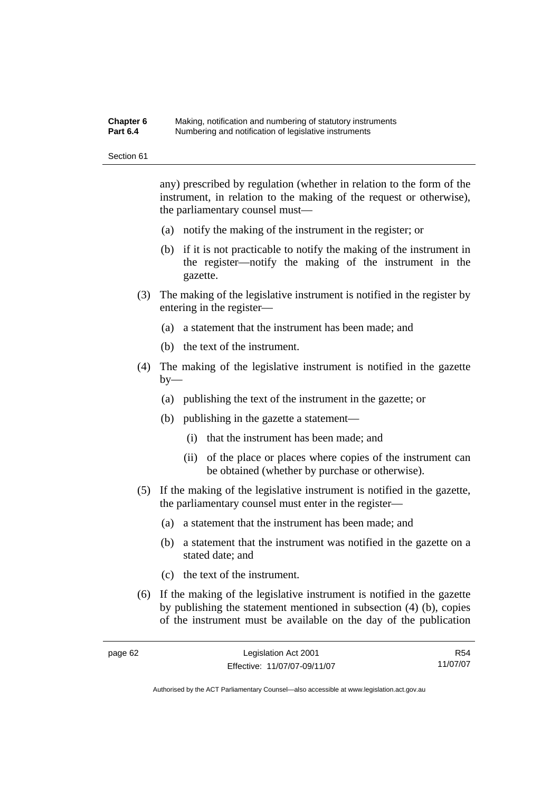#### **Chapter 6** Making, notification and numbering of statutory instruments<br>**Part 6.4** Mumbering and notification of legislative instruments **Part 6.4** Numbering and notification of legislative instruments

Section 61

any) prescribed by regulation (whether in relation to the form of the instrument, in relation to the making of the request or otherwise), the parliamentary counsel must—

- (a) notify the making of the instrument in the register; or
- (b) if it is not practicable to notify the making of the instrument in the register—notify the making of the instrument in the gazette.
- (3) The making of the legislative instrument is notified in the register by entering in the register—
	- (a) a statement that the instrument has been made; and
	- (b) the text of the instrument.
- (4) The making of the legislative instrument is notified in the gazette by—
	- (a) publishing the text of the instrument in the gazette; or
	- (b) publishing in the gazette a statement—
		- (i) that the instrument has been made; and
		- (ii) of the place or places where copies of the instrument can be obtained (whether by purchase or otherwise).
- (5) If the making of the legislative instrument is notified in the gazette, the parliamentary counsel must enter in the register—
	- (a) a statement that the instrument has been made; and
	- (b) a statement that the instrument was notified in the gazette on a stated date; and
	- (c) the text of the instrument.
- (6) If the making of the legislative instrument is notified in the gazette by publishing the statement mentioned in subsection (4) (b), copies of the instrument must be available on the day of the publication

R54 11/07/07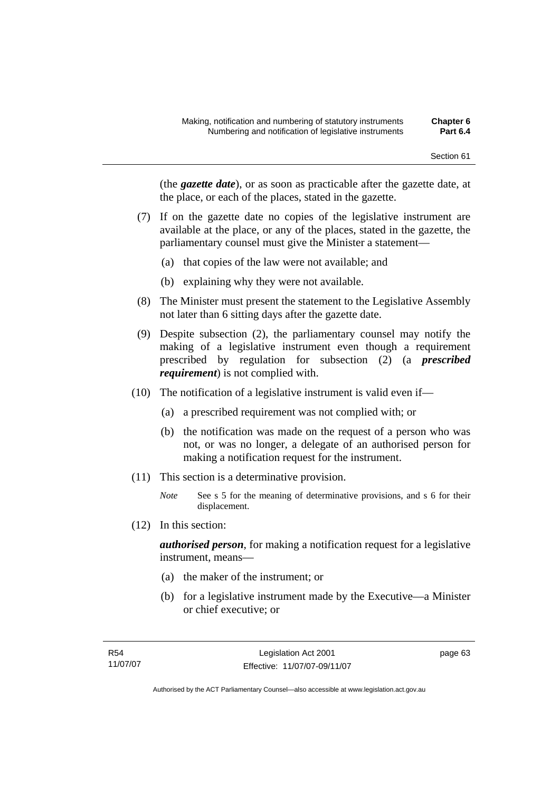(the *gazette date*), or as soon as practicable after the gazette date, at the place, or each of the places, stated in the gazette.

- (7) If on the gazette date no copies of the legislative instrument are available at the place, or any of the places, stated in the gazette, the parliamentary counsel must give the Minister a statement—
	- (a) that copies of the law were not available; and
	- (b) explaining why they were not available.
- (8) The Minister must present the statement to the Legislative Assembly not later than 6 sitting days after the gazette date.
- (9) Despite subsection (2), the parliamentary counsel may notify the making of a legislative instrument even though a requirement prescribed by regulation for subsection (2) (a *prescribed requirement*) is not complied with.
- (10) The notification of a legislative instrument is valid even if—
	- (a) a prescribed requirement was not complied with; or
	- (b) the notification was made on the request of a person who was not, or was no longer, a delegate of an authorised person for making a notification request for the instrument.
- (11) This section is a determinative provision.
	- *Note* See s 5 for the meaning of determinative provisions, and s 6 for their displacement.
- (12) In this section:

*authorised person*, for making a notification request for a legislative instrument, means—

- (a) the maker of the instrument; or
- (b) for a legislative instrument made by the Executive—a Minister or chief executive; or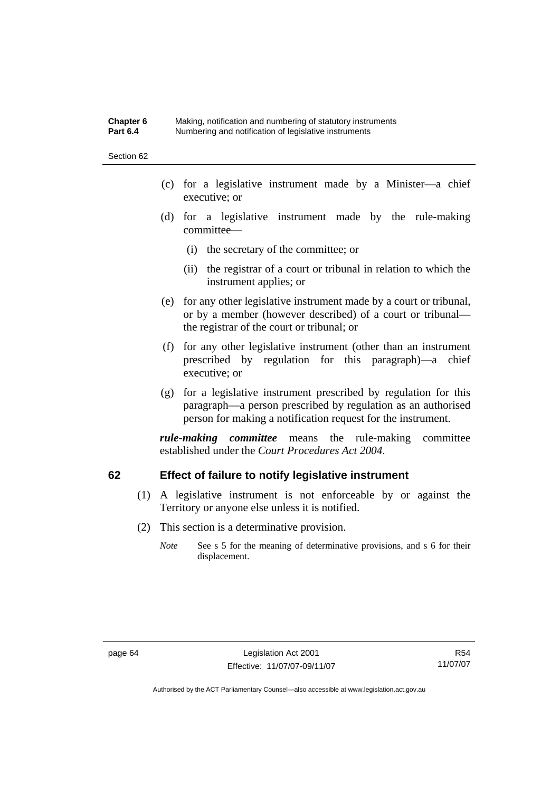#### **Chapter 6** Making, notification and numbering of statutory instruments<br>**Part 6.4** Mumbering and notification of legislative instruments **Part 6.4** Numbering and notification of legislative instruments

Section 62

- (c) for a legislative instrument made by a Minister—a chief executive; or
- (d) for a legislative instrument made by the rule-making committee—
	- (i) the secretary of the committee; or
	- (ii) the registrar of a court or tribunal in relation to which the instrument applies; or
- (e) for any other legislative instrument made by a court or tribunal, or by a member (however described) of a court or tribunal the registrar of the court or tribunal; or
- (f) for any other legislative instrument (other than an instrument prescribed by regulation for this paragraph)—a chief executive; or
- (g) for a legislative instrument prescribed by regulation for this paragraph—a person prescribed by regulation as an authorised person for making a notification request for the instrument.

*rule-making committee* means the rule-making committee established under the *Court Procedures Act 2004*.

# **62 Effect of failure to notify legislative instrument**

- (1) A legislative instrument is not enforceable by or against the Territory or anyone else unless it is notified.
- (2) This section is a determinative provision.
	- *Note* See s 5 for the meaning of determinative provisions, and s 6 for their displacement.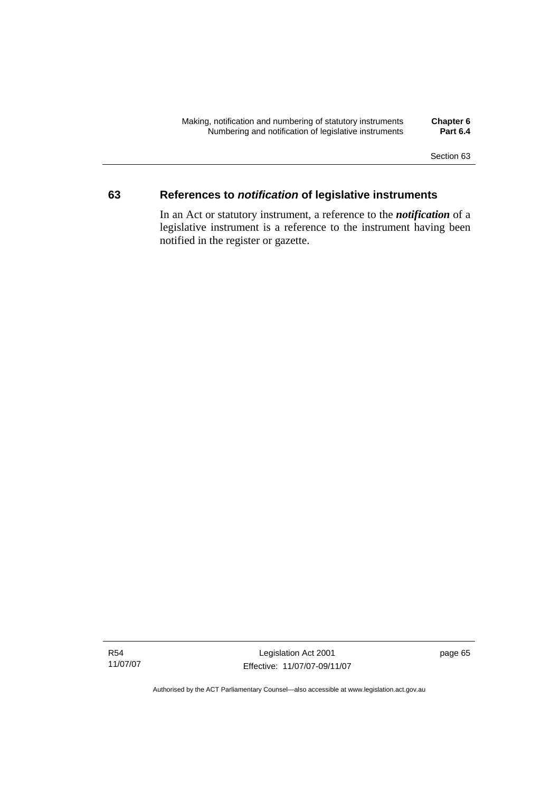Section 63

# **63 References to** *notification* **of legislative instruments**

In an Act or statutory instrument, a reference to the *notification* of a legislative instrument is a reference to the instrument having been notified in the register or gazette.

R54 11/07/07

Legislation Act 2001 Effective: 11/07/07-09/11/07 page 65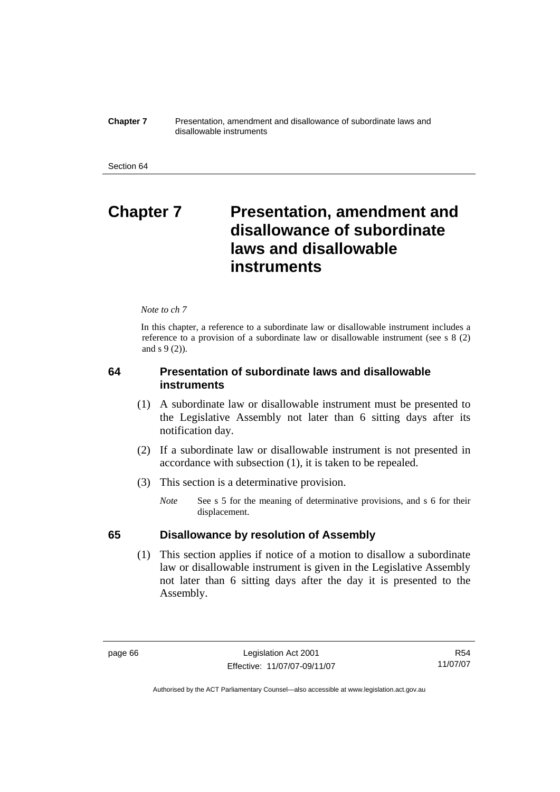**Chapter 7** Presentation, amendment and disallowance of subordinate laws and disallowable instruments

# **Chapter 7** Presentation, amendment and **disallowance of subordinate laws and disallowable instruments**

#### *Note to ch 7*

In this chapter, a reference to a subordinate law or disallowable instrument includes a reference to a provision of a subordinate law or disallowable instrument (see s 8 (2) and s 9 (2)).

# **64 Presentation of subordinate laws and disallowable instruments**

- (1) A subordinate law or disallowable instrument must be presented to the Legislative Assembly not later than 6 sitting days after its notification day.
- (2) If a subordinate law or disallowable instrument is not presented in accordance with subsection (1), it is taken to be repealed.
- (3) This section is a determinative provision.
	- *Note* See s 5 for the meaning of determinative provisions, and s 6 for their displacement.

# **65 Disallowance by resolution of Assembly**

 (1) This section applies if notice of a motion to disallow a subordinate law or disallowable instrument is given in the Legislative Assembly not later than 6 sitting days after the day it is presented to the Assembly.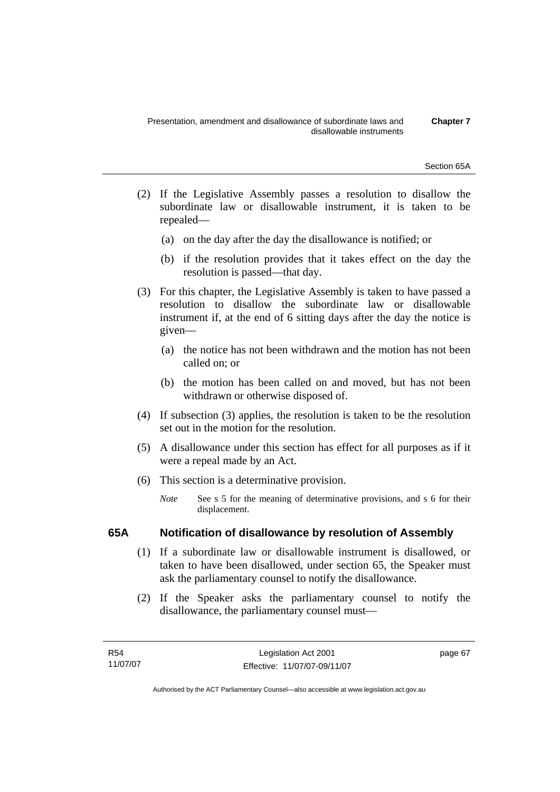Section 65A

- (2) If the Legislative Assembly passes a resolution to disallow the subordinate law or disallowable instrument, it is taken to be repealed—
	- (a) on the day after the day the disallowance is notified; or
	- (b) if the resolution provides that it takes effect on the day the resolution is passed—that day.
- (3) For this chapter, the Legislative Assembly is taken to have passed a resolution to disallow the subordinate law or disallowable instrument if, at the end of 6 sitting days after the day the notice is given—
	- (a) the notice has not been withdrawn and the motion has not been called on; or
	- (b) the motion has been called on and moved, but has not been withdrawn or otherwise disposed of.
- (4) If subsection (3) applies, the resolution is taken to be the resolution set out in the motion for the resolution.
- (5) A disallowance under this section has effect for all purposes as if it were a repeal made by an Act.
- (6) This section is a determinative provision.
	- *Note* See s 5 for the meaning of determinative provisions, and s 6 for their displacement.

# **65A Notification of disallowance by resolution of Assembly**

- (1) If a subordinate law or disallowable instrument is disallowed, or taken to have been disallowed, under section 65, the Speaker must ask the parliamentary counsel to notify the disallowance.
- (2) If the Speaker asks the parliamentary counsel to notify the disallowance, the parliamentary counsel must—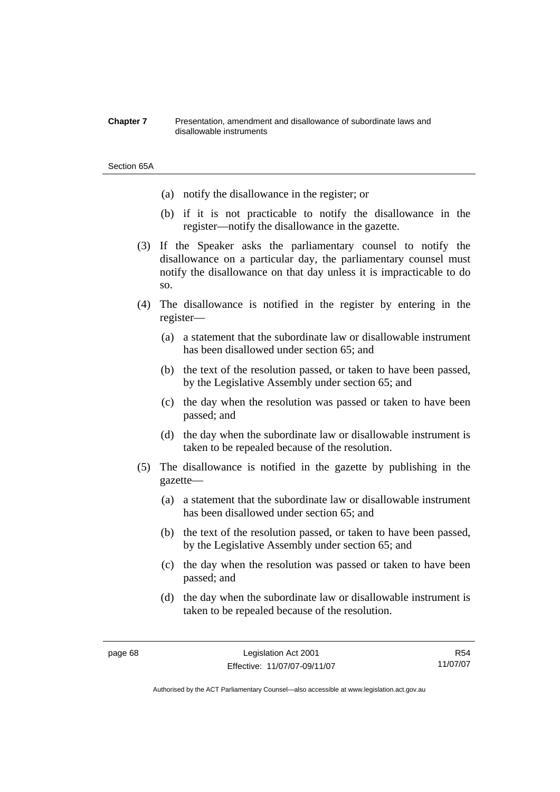#### **Chapter 7** Presentation, amendment and disallowance of subordinate laws and disallowable instruments

#### Section 65A

- (a) notify the disallowance in the register; or
- (b) if it is not practicable to notify the disallowance in the register—notify the disallowance in the gazette.
- (3) If the Speaker asks the parliamentary counsel to notify the disallowance on a particular day, the parliamentary counsel must notify the disallowance on that day unless it is impracticable to do so.
- (4) The disallowance is notified in the register by entering in the register—
	- (a) a statement that the subordinate law or disallowable instrument has been disallowed under section 65; and
	- (b) the text of the resolution passed, or taken to have been passed, by the Legislative Assembly under section 65; and
	- (c) the day when the resolution was passed or taken to have been passed; and
	- (d) the day when the subordinate law or disallowable instrument is taken to be repealed because of the resolution.
- (5) The disallowance is notified in the gazette by publishing in the gazette—
	- (a) a statement that the subordinate law or disallowable instrument has been disallowed under section 65; and
	- (b) the text of the resolution passed, or taken to have been passed, by the Legislative Assembly under section 65; and
	- (c) the day when the resolution was passed or taken to have been passed; and
	- (d) the day when the subordinate law or disallowable instrument is taken to be repealed because of the resolution.

R54 11/07/07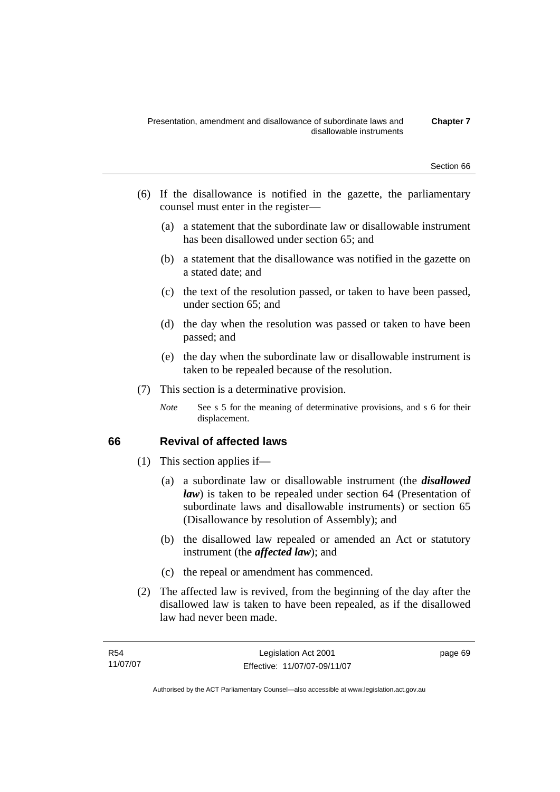- (6) If the disallowance is notified in the gazette, the parliamentary counsel must enter in the register—
	- (a) a statement that the subordinate law or disallowable instrument has been disallowed under section 65; and
	- (b) a statement that the disallowance was notified in the gazette on a stated date; and
	- (c) the text of the resolution passed, or taken to have been passed, under section 65; and
	- (d) the day when the resolution was passed or taken to have been passed; and
	- (e) the day when the subordinate law or disallowable instrument is taken to be repealed because of the resolution.
- (7) This section is a determinative provision.
	- *Note* See s 5 for the meaning of determinative provisions, and s 6 for their displacement.

# **66 Revival of affected laws**

- (1) This section applies if—
	- (a) a subordinate law or disallowable instrument (the *disallowed law*) is taken to be repealed under section 64 (Presentation of subordinate laws and disallowable instruments) or section 65 (Disallowance by resolution of Assembly); and
	- (b) the disallowed law repealed or amended an Act or statutory instrument (the *affected law*); and
	- (c) the repeal or amendment has commenced.
- (2) The affected law is revived, from the beginning of the day after the disallowed law is taken to have been repealed, as if the disallowed law had never been made.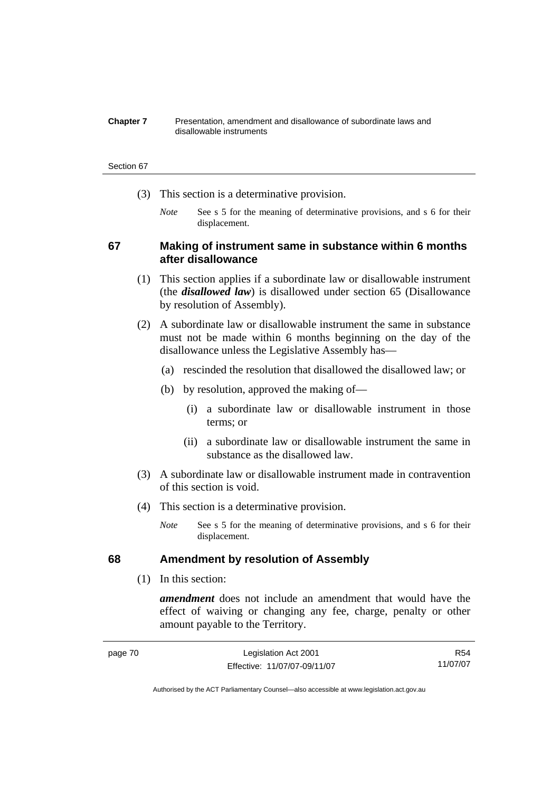#### **Chapter 7** Presentation, amendment and disallowance of subordinate laws and disallowable instruments

#### Section 67

- (3) This section is a determinative provision.
	- *Note* See s 5 for the meaning of determinative provisions, and s 6 for their displacement.

# **67 Making of instrument same in substance within 6 months after disallowance**

- (1) This section applies if a subordinate law or disallowable instrument (the *disallowed law*) is disallowed under section 65 (Disallowance by resolution of Assembly).
- (2) A subordinate law or disallowable instrument the same in substance must not be made within 6 months beginning on the day of the disallowance unless the Legislative Assembly has—
	- (a) rescinded the resolution that disallowed the disallowed law; or
	- (b) by resolution, approved the making of—
		- (i) a subordinate law or disallowable instrument in those terms; or
		- (ii) a subordinate law or disallowable instrument the same in substance as the disallowed law.
- (3) A subordinate law or disallowable instrument made in contravention of this section is void.
- (4) This section is a determinative provision.
	- *Note* See s 5 for the meaning of determinative provisions, and s 6 for their displacement.

# **68 Amendment by resolution of Assembly**

(1) In this section:

*amendment* does not include an amendment that would have the effect of waiving or changing any fee, charge, penalty or other amount payable to the Territory.

| page 70 | Legislation Act 2001         | R54      |
|---------|------------------------------|----------|
|         | Effective: 11/07/07-09/11/07 | 11/07/07 |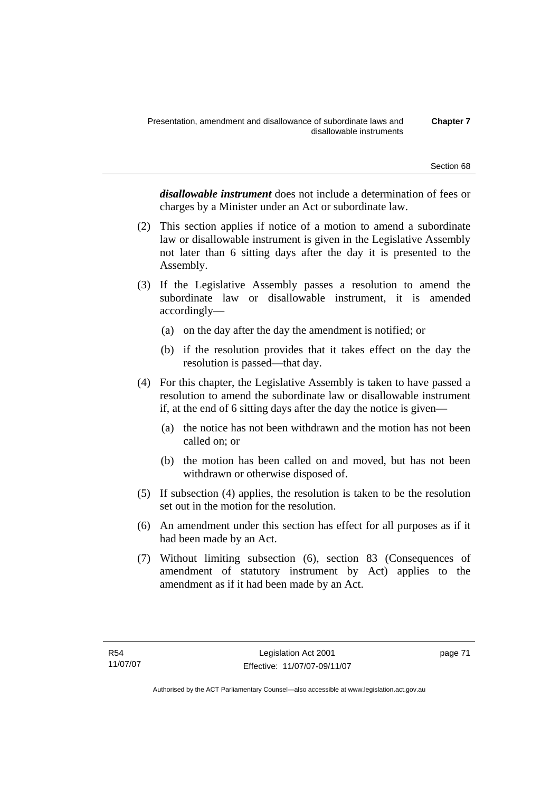*disallowable instrument* does not include a determination of fees or charges by a Minister under an Act or subordinate law.

- (2) This section applies if notice of a motion to amend a subordinate law or disallowable instrument is given in the Legislative Assembly not later than 6 sitting days after the day it is presented to the Assembly.
- (3) If the Legislative Assembly passes a resolution to amend the subordinate law or disallowable instrument, it is amended accordingly—
	- (a) on the day after the day the amendment is notified; or
	- (b) if the resolution provides that it takes effect on the day the resolution is passed—that day.
- (4) For this chapter, the Legislative Assembly is taken to have passed a resolution to amend the subordinate law or disallowable instrument if, at the end of 6 sitting days after the day the notice is given—
	- (a) the notice has not been withdrawn and the motion has not been called on; or
	- (b) the motion has been called on and moved, but has not been withdrawn or otherwise disposed of.
- (5) If subsection (4) applies, the resolution is taken to be the resolution set out in the motion for the resolution.
- (6) An amendment under this section has effect for all purposes as if it had been made by an Act.
- (7) Without limiting subsection (6), section 83 (Consequences of amendment of statutory instrument by Act) applies to the amendment as if it had been made by an Act.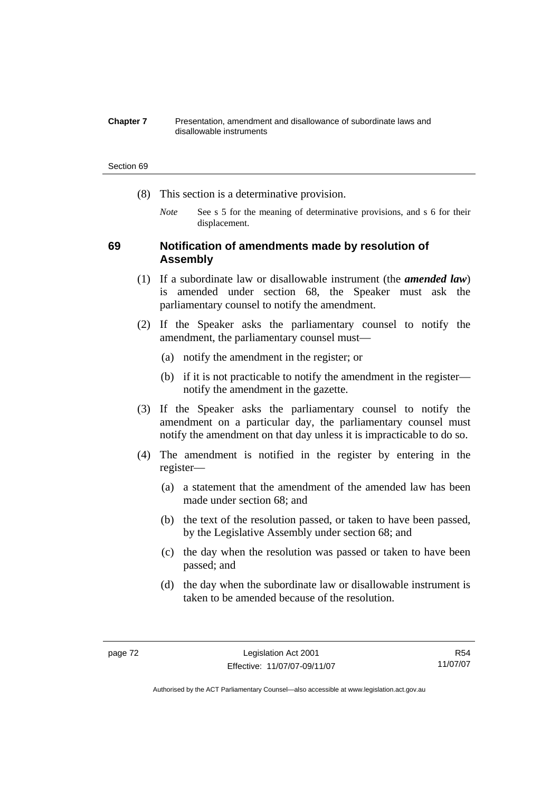#### **Chapter 7** Presentation, amendment and disallowance of subordinate laws and disallowable instruments

#### Section 69

- (8) This section is a determinative provision.
	- *Note* See s 5 for the meaning of determinative provisions, and s 6 for their displacement.

# **69 Notification of amendments made by resolution of Assembly**

- (1) If a subordinate law or disallowable instrument (the *amended law*) is amended under section 68, the Speaker must ask the parliamentary counsel to notify the amendment.
- (2) If the Speaker asks the parliamentary counsel to notify the amendment, the parliamentary counsel must—
	- (a) notify the amendment in the register; or
	- (b) if it is not practicable to notify the amendment in the register notify the amendment in the gazette.
- (3) If the Speaker asks the parliamentary counsel to notify the amendment on a particular day, the parliamentary counsel must notify the amendment on that day unless it is impracticable to do so.
- (4) The amendment is notified in the register by entering in the register—
	- (a) a statement that the amendment of the amended law has been made under section 68; and
	- (b) the text of the resolution passed, or taken to have been passed, by the Legislative Assembly under section 68; and
	- (c) the day when the resolution was passed or taken to have been passed; and
	- (d) the day when the subordinate law or disallowable instrument is taken to be amended because of the resolution.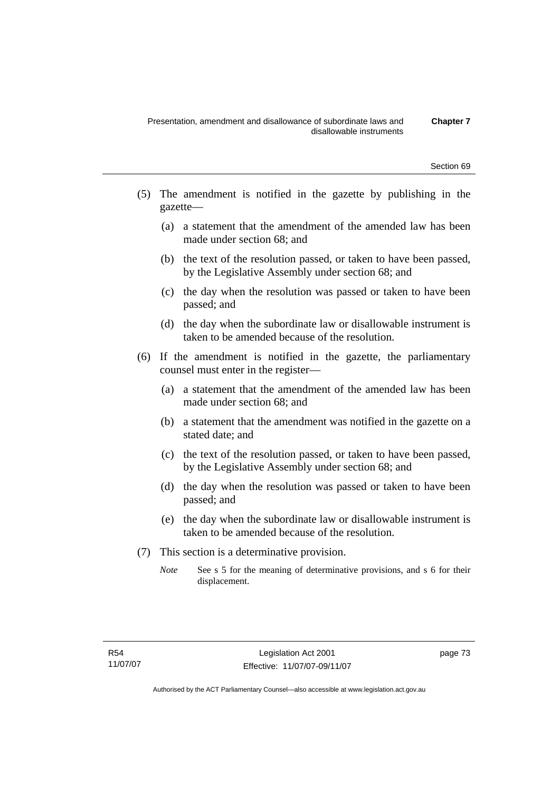- (5) The amendment is notified in the gazette by publishing in the gazette—
	- (a) a statement that the amendment of the amended law has been made under section 68; and
	- (b) the text of the resolution passed, or taken to have been passed, by the Legislative Assembly under section 68; and
	- (c) the day when the resolution was passed or taken to have been passed; and
	- (d) the day when the subordinate law or disallowable instrument is taken to be amended because of the resolution.
- (6) If the amendment is notified in the gazette, the parliamentary counsel must enter in the register—
	- (a) a statement that the amendment of the amended law has been made under section 68; and
	- (b) a statement that the amendment was notified in the gazette on a stated date; and
	- (c) the text of the resolution passed, or taken to have been passed, by the Legislative Assembly under section 68; and
	- (d) the day when the resolution was passed or taken to have been passed; and
	- (e) the day when the subordinate law or disallowable instrument is taken to be amended because of the resolution.
- (7) This section is a determinative provision.
	- *Note* See s 5 for the meaning of determinative provisions, and s 6 for their displacement.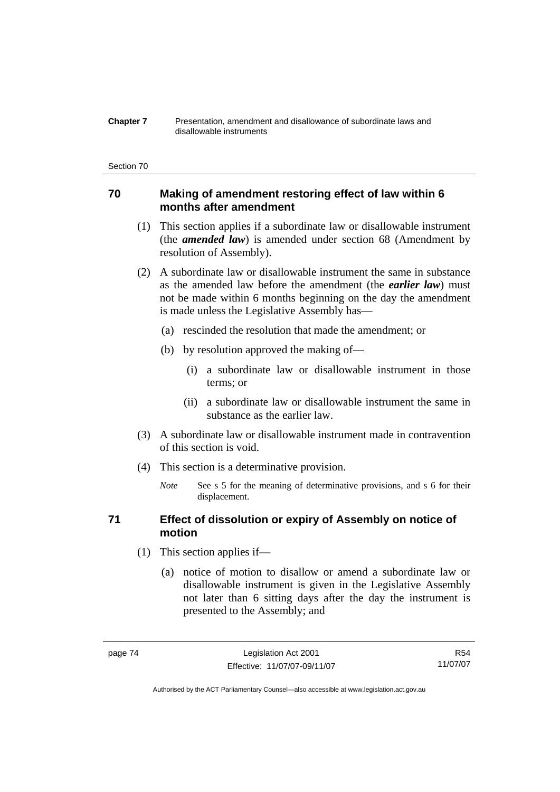#### **Chapter 7** Presentation, amendment and disallowance of subordinate laws and disallowable instruments

#### Section 70

# **70 Making of amendment restoring effect of law within 6 months after amendment**

- (1) This section applies if a subordinate law or disallowable instrument (the *amended law*) is amended under section 68 (Amendment by resolution of Assembly).
- (2) A subordinate law or disallowable instrument the same in substance as the amended law before the amendment (the *earlier law*) must not be made within 6 months beginning on the day the amendment is made unless the Legislative Assembly has—
	- (a) rescinded the resolution that made the amendment; or
	- (b) by resolution approved the making of—
		- (i) a subordinate law or disallowable instrument in those terms; or
		- (ii) a subordinate law or disallowable instrument the same in substance as the earlier law.
- (3) A subordinate law or disallowable instrument made in contravention of this section is void.
- (4) This section is a determinative provision.
	- *Note* See s 5 for the meaning of determinative provisions, and s 6 for their displacement.

# **71 Effect of dissolution or expiry of Assembly on notice of motion**

- (1) This section applies if—
	- (a) notice of motion to disallow or amend a subordinate law or disallowable instrument is given in the Legislative Assembly not later than 6 sitting days after the day the instrument is presented to the Assembly; and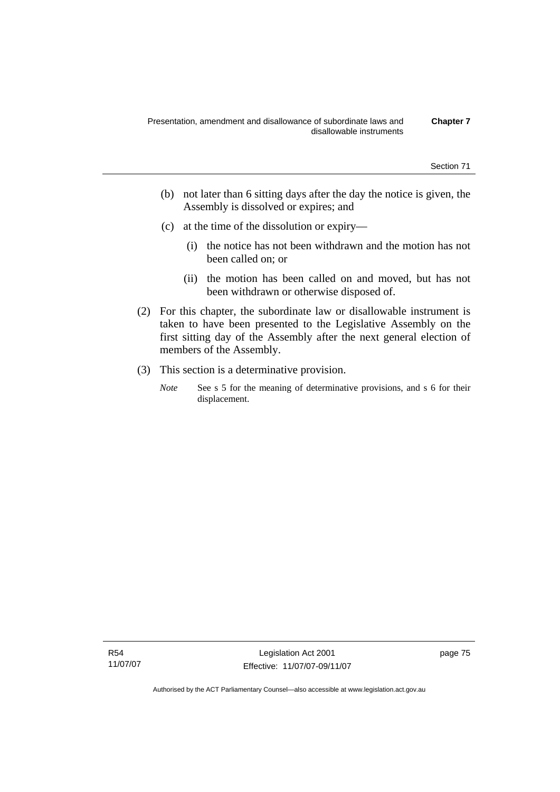- (b) not later than 6 sitting days after the day the notice is given, the Assembly is dissolved or expires; and
- (c) at the time of the dissolution or expiry—
	- (i) the notice has not been withdrawn and the motion has not been called on; or
	- (ii) the motion has been called on and moved, but has not been withdrawn or otherwise disposed of.
- (2) For this chapter, the subordinate law or disallowable instrument is taken to have been presented to the Legislative Assembly on the first sitting day of the Assembly after the next general election of members of the Assembly.
- (3) This section is a determinative provision.
	- *Note* See s 5 for the meaning of determinative provisions, and s 6 for their displacement.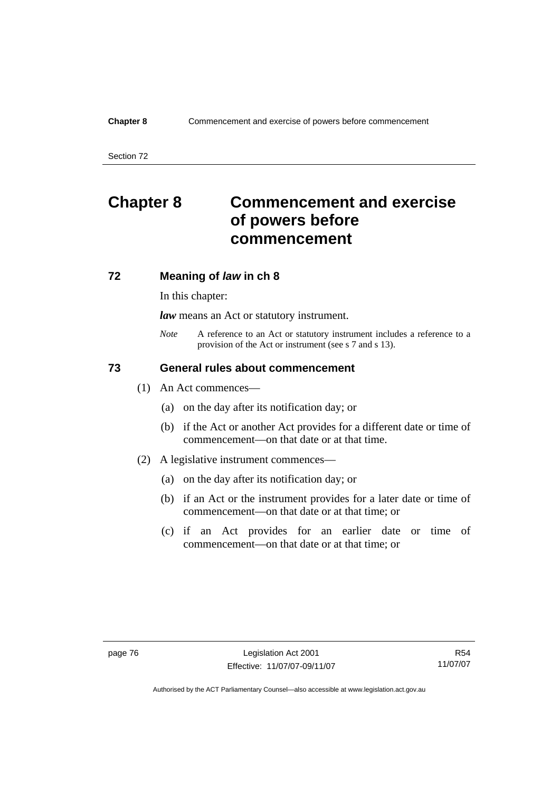Section 72

# **Chapter 8 Commencement and exercise of powers before commencement**

# **72 Meaning of** *law* **in ch 8**

In this chapter:

*law* means an Act or statutory instrument.

*Note* A reference to an Act or statutory instrument includes a reference to a provision of the Act or instrument (see s 7 and s 13).

# **73 General rules about commencement**

- (1) An Act commences—
	- (a) on the day after its notification day; or
	- (b) if the Act or another Act provides for a different date or time of commencement—on that date or at that time.
- (2) A legislative instrument commences—
	- (a) on the day after its notification day; or
	- (b) if an Act or the instrument provides for a later date or time of commencement—on that date or at that time; or
	- (c) if an Act provides for an earlier date or time of commencement—on that date or at that time; or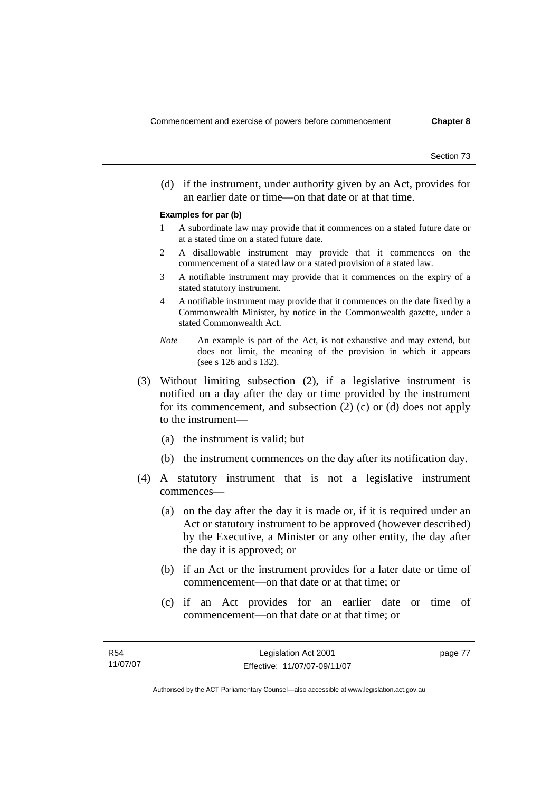(d) if the instrument, under authority given by an Act, provides for an earlier date or time—on that date or at that time.

#### **Examples for par (b)**

- 1 A subordinate law may provide that it commences on a stated future date or at a stated time on a stated future date.
- 2 A disallowable instrument may provide that it commences on the commencement of a stated law or a stated provision of a stated law.
- 3 A notifiable instrument may provide that it commences on the expiry of a stated statutory instrument.
- 4 A notifiable instrument may provide that it commences on the date fixed by a Commonwealth Minister, by notice in the Commonwealth gazette, under a stated Commonwealth Act.
- *Note* An example is part of the Act, is not exhaustive and may extend, but does not limit, the meaning of the provision in which it appears (see s 126 and s 132).
- (3) Without limiting subsection (2), if a legislative instrument is notified on a day after the day or time provided by the instrument for its commencement, and subsection (2) (c) or (d) does not apply to the instrument—
	- (a) the instrument is valid; but
	- (b) the instrument commences on the day after its notification day.
- (4) A statutory instrument that is not a legislative instrument commences—
	- (a) on the day after the day it is made or, if it is required under an Act or statutory instrument to be approved (however described) by the Executive, a Minister or any other entity, the day after the day it is approved; or
	- (b) if an Act or the instrument provides for a later date or time of commencement—on that date or at that time; or
	- (c) if an Act provides for an earlier date or time of commencement—on that date or at that time; or

Authorised by the ACT Parliamentary Counsel—also accessible at www.legislation.act.gov.au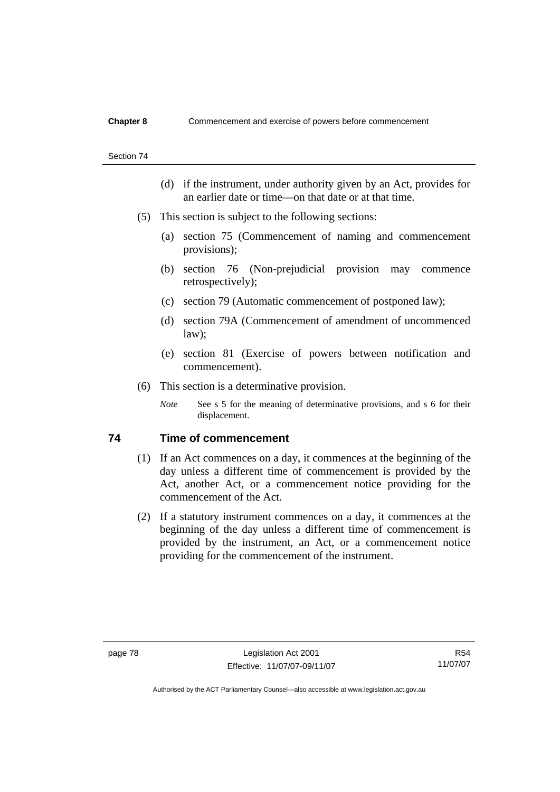#### Section 74

- (d) if the instrument, under authority given by an Act, provides for an earlier date or time—on that date or at that time.
- (5) This section is subject to the following sections:
	- (a) section 75 (Commencement of naming and commencement provisions);
	- (b) section 76 (Non-prejudicial provision may commence retrospectively);
	- (c) section 79 (Automatic commencement of postponed law);
	- (d) section 79A (Commencement of amendment of uncommenced law);
	- (e) section 81 (Exercise of powers between notification and commencement).
- (6) This section is a determinative provision.
	- *Note* See s 5 for the meaning of determinative provisions, and s 6 for their displacement.

# **74 Time of commencement**

- (1) If an Act commences on a day, it commences at the beginning of the day unless a different time of commencement is provided by the Act, another Act, or a commencement notice providing for the commencement of the Act.
- (2) If a statutory instrument commences on a day, it commences at the beginning of the day unless a different time of commencement is provided by the instrument, an Act, or a commencement notice providing for the commencement of the instrument.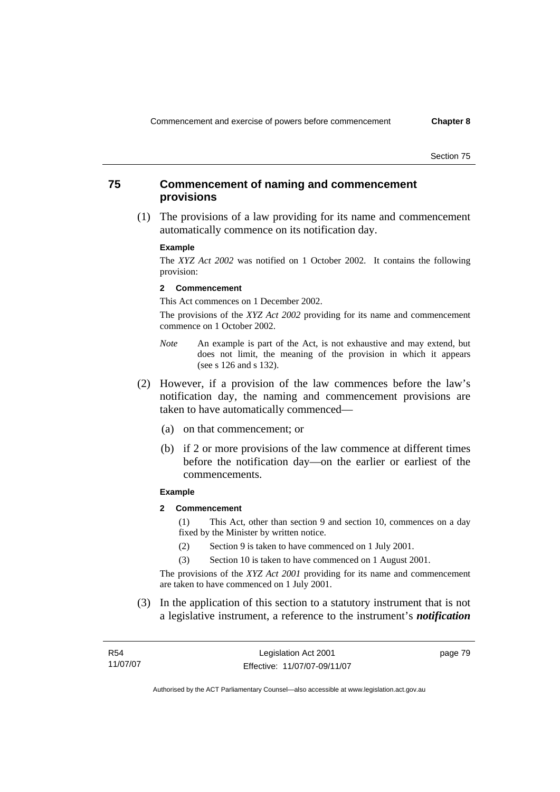Section 75

# **75 Commencement of naming and commencement provisions**

 (1) The provisions of a law providing for its name and commencement automatically commence on its notification day.

#### **Example**

The *XYZ Act 2002* was notified on 1 October 2002. It contains the following provision:

#### **2 Commencement**

This Act commences on 1 December 2002.

The provisions of the *XYZ Act 2002* providing for its name and commencement commence on 1 October 2002.

- *Note* An example is part of the Act, is not exhaustive and may extend, but does not limit, the meaning of the provision in which it appears (see s 126 and s 132).
- (2) However, if a provision of the law commences before the law's notification day, the naming and commencement provisions are taken to have automatically commenced—
	- (a) on that commencement; or
	- (b) if 2 or more provisions of the law commence at different times before the notification day—on the earlier or earliest of the commencements.

#### **Example**

**2 Commencement** 

(1) This Act, other than section 9 and section 10, commences on a day fixed by the Minister by written notice.

- (2) Section 9 is taken to have commenced on 1 July 2001.
- (3) Section 10 is taken to have commenced on 1 August 2001.

The provisions of the *XYZ Act 2001* providing for its name and commencement are taken to have commenced on 1 July 2001.

 (3) In the application of this section to a statutory instrument that is not a legislative instrument, a reference to the instrument's *notification* 

| R54      | Legislation Act 2001         | page 79 |
|----------|------------------------------|---------|
| 11/07/07 | Effective: 11/07/07-09/11/07 |         |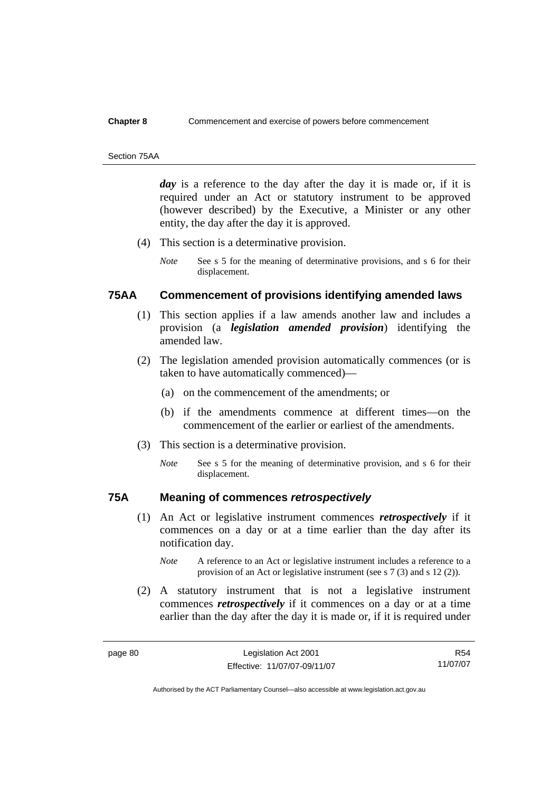#### Section 75AA

day is a reference to the day after the day it is made or, if it is required under an Act or statutory instrument to be approved (however described) by the Executive, a Minister or any other entity, the day after the day it is approved.

- (4) This section is a determinative provision.
	- *Note* See s 5 for the meaning of determinative provisions, and s 6 for their displacement.

# **75AA Commencement of provisions identifying amended laws**

- (1) This section applies if a law amends another law and includes a provision (a *legislation amended provision*) identifying the amended law.
- (2) The legislation amended provision automatically commences (or is taken to have automatically commenced)—
	- (a) on the commencement of the amendments; or
	- (b) if the amendments commence at different times—on the commencement of the earlier or earliest of the amendments.
- (3) This section is a determinative provision.
	- *Note* See s 5 for the meaning of determinative provision, and s 6 for their displacement.

# **75A Meaning of commences** *retrospectively*

- (1) An Act or legislative instrument commences *retrospectively* if it commences on a day or at a time earlier than the day after its notification day.
	- *Note* A reference to an Act or legislative instrument includes a reference to a provision of an Act or legislative instrument (see s 7 (3) and s 12 (2)).
- (2) A statutory instrument that is not a legislative instrument commences *retrospectively* if it commences on a day or at a time earlier than the day after the day it is made or, if it is required under

R54 11/07/07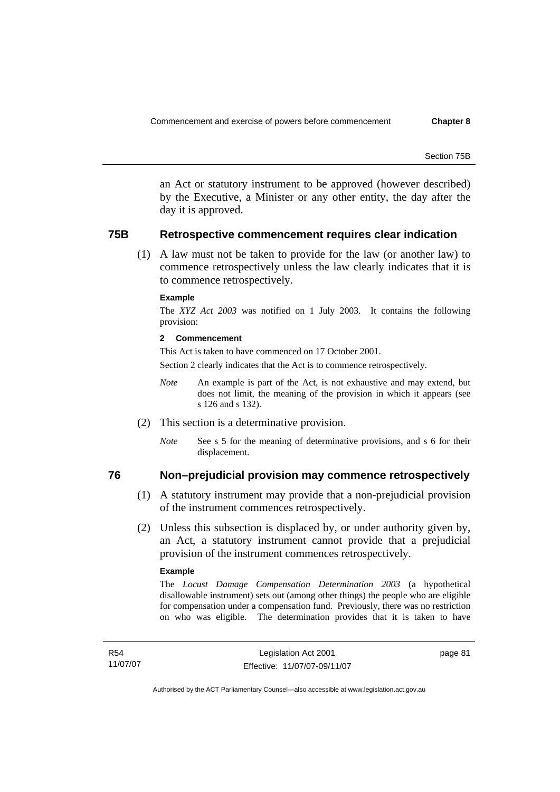Section 75B

an Act or statutory instrument to be approved (however described) by the Executive, a Minister or any other entity, the day after the day it is approved.

### **75B Retrospective commencement requires clear indication**

 (1) A law must not be taken to provide for the law (or another law) to commence retrospectively unless the law clearly indicates that it is to commence retrospectively.

#### **Example**

The *XYZ Act 2003* was notified on 1 July 2003. It contains the following provision:

#### **2 Commencement**

This Act is taken to have commenced on 17 October 2001.

Section 2 clearly indicates that the Act is to commence retrospectively.

- *Note* An example is part of the Act, is not exhaustive and may extend, but does not limit, the meaning of the provision in which it appears (see s 126 and s 132).
- (2) This section is a determinative provision.
	- *Note* See s 5 for the meaning of determinative provisions, and s 6 for their displacement.

### **76 Non–prejudicial provision may commence retrospectively**

- (1) A statutory instrument may provide that a non-prejudicial provision of the instrument commences retrospectively.
- (2) Unless this subsection is displaced by, or under authority given by, an Act, a statutory instrument cannot provide that a prejudicial provision of the instrument commences retrospectively.

#### **Example**

The *Locust Damage Compensation Determination 2003* (a hypothetical disallowable instrument) sets out (among other things) the people who are eligible for compensation under a compensation fund. Previously, there was no restriction on who was eligible. The determination provides that it is taken to have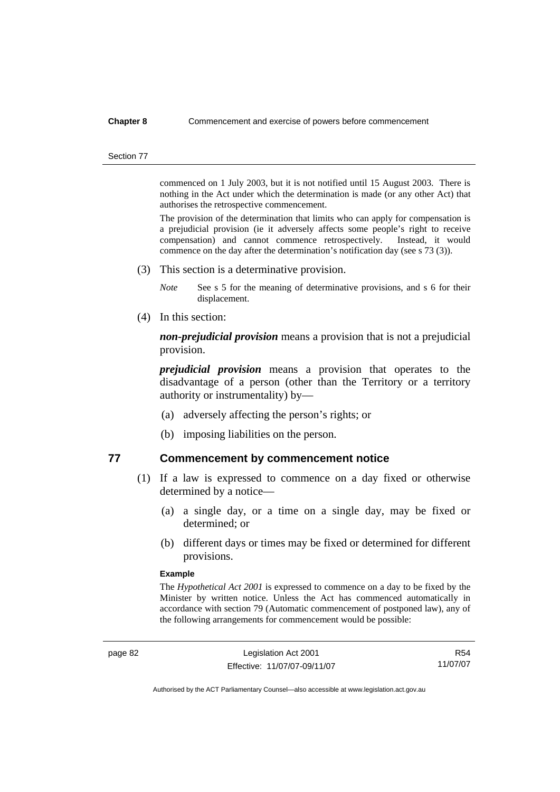#### Section 77

commenced on 1 July 2003, but it is not notified until 15 August 2003. There is nothing in the Act under which the determination is made (or any other Act) that authorises the retrospective commencement.

The provision of the determination that limits who can apply for compensation is a prejudicial provision (ie it adversely affects some people's right to receive compensation) and cannot commence retrospectively. Instead, it would commence on the day after the determination's notification day (see s 73 (3)).

- (3) This section is a determinative provision.
	- *Note* See s 5 for the meaning of determinative provisions, and s 6 for their displacement.
- (4) In this section:

*non-prejudicial provision* means a provision that is not a prejudicial provision.

*prejudicial provision* means a provision that operates to the disadvantage of a person (other than the Territory or a territory authority or instrumentality) by—

- (a) adversely affecting the person's rights; or
- (b) imposing liabilities on the person.

# **77 Commencement by commencement notice**

- (1) If a law is expressed to commence on a day fixed or otherwise determined by a notice—
	- (a) a single day, or a time on a single day, may be fixed or determined; or
	- (b) different days or times may be fixed or determined for different provisions.

#### **Example**

The *Hypothetical Act 2001* is expressed to commence on a day to be fixed by the Minister by written notice. Unless the Act has commenced automatically in accordance with section 79 (Automatic commencement of postponed law), any of the following arrangements for commencement would be possible:

R54 11/07/07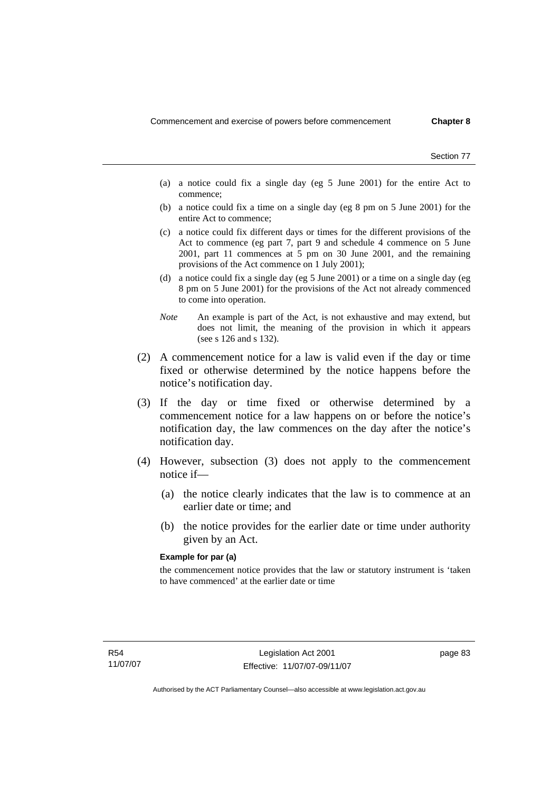Section 77

- (a) a notice could fix a single day (eg 5 June 2001) for the entire Act to commence;
- (b) a notice could fix a time on a single day (eg 8 pm on 5 June 2001) for the entire Act to commence;
- (c) a notice could fix different days or times for the different provisions of the Act to commence (eg part 7, part 9 and schedule 4 commence on 5 June 2001, part 11 commences at 5 pm on 30 June 2001, and the remaining provisions of the Act commence on 1 July 2001);
- (d) a notice could fix a single day (eg 5 June 2001) or a time on a single day (eg 8 pm on 5 June 2001) for the provisions of the Act not already commenced to come into operation.
- *Note* An example is part of the Act, is not exhaustive and may extend, but does not limit, the meaning of the provision in which it appears (see s 126 and s 132).
- (2) A commencement notice for a law is valid even if the day or time fixed or otherwise determined by the notice happens before the notice's notification day.
- (3) If the day or time fixed or otherwise determined by a commencement notice for a law happens on or before the notice's notification day, the law commences on the day after the notice's notification day.
- (4) However, subsection (3) does not apply to the commencement notice if—
	- (a) the notice clearly indicates that the law is to commence at an earlier date or time; and
	- (b) the notice provides for the earlier date or time under authority given by an Act.

#### **Example for par (a)**

the commencement notice provides that the law or statutory instrument is 'taken to have commenced' at the earlier date or time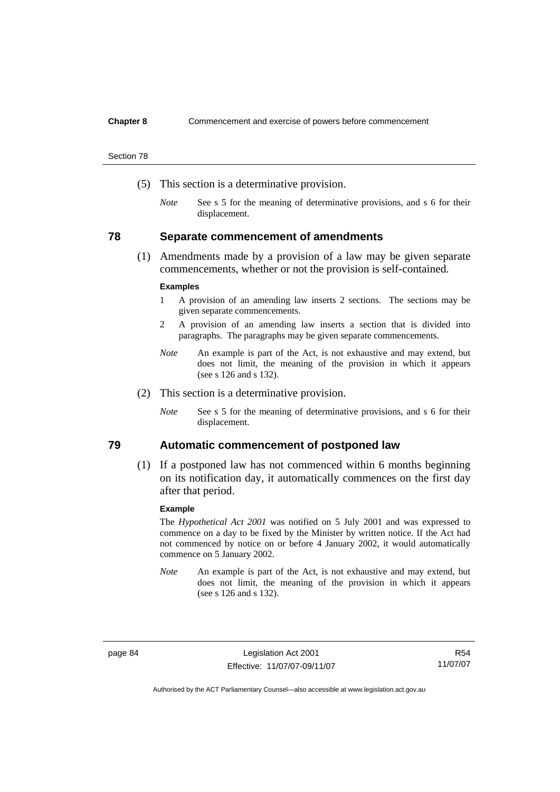Section 78

- (5) This section is a determinative provision.
	- *Note* See s 5 for the meaning of determinative provisions, and s 6 for their displacement.

### **78 Separate commencement of amendments**

 (1) Amendments made by a provision of a law may be given separate commencements, whether or not the provision is self-contained.

#### **Examples**

- 1 A provision of an amending law inserts 2 sections. The sections may be given separate commencements.
- 2 A provision of an amending law inserts a section that is divided into paragraphs. The paragraphs may be given separate commencements.
- *Note* An example is part of the Act, is not exhaustive and may extend, but does not limit, the meaning of the provision in which it appears (see s 126 and s 132).
- (2) This section is a determinative provision.
	- *Note* See s 5 for the meaning of determinative provisions, and s 6 for their displacement.

# **79 Automatic commencement of postponed law**

 (1) If a postponed law has not commenced within 6 months beginning on its notification day, it automatically commences on the first day after that period.

#### **Example**

The *Hypothetical Act 2001* was notified on 5 July 2001 and was expressed to commence on a day to be fixed by the Minister by written notice. If the Act had not commenced by notice on or before 4 January 2002, it would automatically commence on 5 January 2002.

*Note* An example is part of the Act, is not exhaustive and may extend, but does not limit, the meaning of the provision in which it appears (see s 126 and s 132).

page 84 Legislation Act 2001 Effective: 11/07/07-09/11/07

R54 11/07/07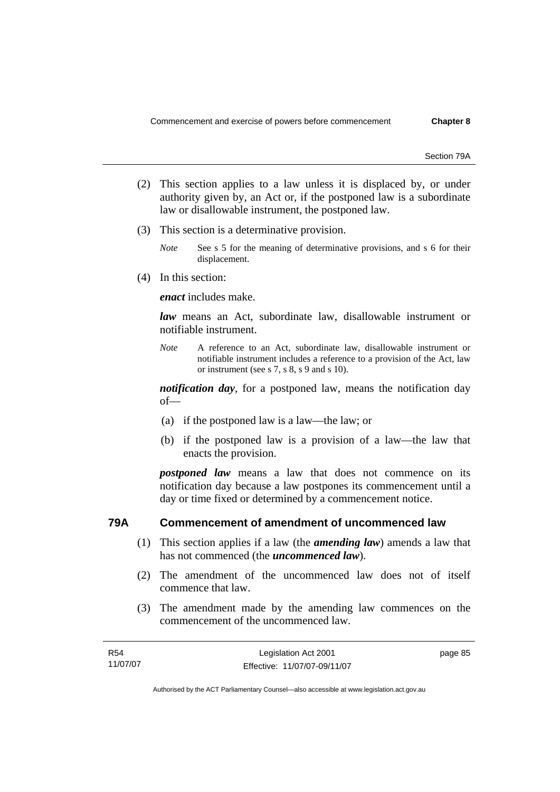Section 79A

- (2) This section applies to a law unless it is displaced by, or under authority given by, an Act or, if the postponed law is a subordinate law or disallowable instrument, the postponed law.
- (3) This section is a determinative provision.
	- *Note* See s 5 for the meaning of determinative provisions, and s 6 for their displacement.
- (4) In this section:

*enact* includes make.

*law* means an Act, subordinate law, disallowable instrument or notifiable instrument.

*Note* A reference to an Act, subordinate law, disallowable instrument or notifiable instrument includes a reference to a provision of the Act, law or instrument (see s 7, s 8, s 9 and s 10).

*notification day*, for a postponed law, means the notification day of—

- (a) if the postponed law is a law—the law; or
- (b) if the postponed law is a provision of a law—the law that enacts the provision.

*postponed law* means a law that does not commence on its notification day because a law postpones its commencement until a day or time fixed or determined by a commencement notice.

# **79A Commencement of amendment of uncommenced law**

- (1) This section applies if a law (the *amending law*) amends a law that has not commenced (the *uncommenced law*).
- (2) The amendment of the uncommenced law does not of itself commence that law.
- (3) The amendment made by the amending law commences on the commencement of the uncommenced law.

| R <sub>54</sub> | Legislation Act 2001         | page 85 |
|-----------------|------------------------------|---------|
| 11/07/07        | Effective: 11/07/07-09/11/07 |         |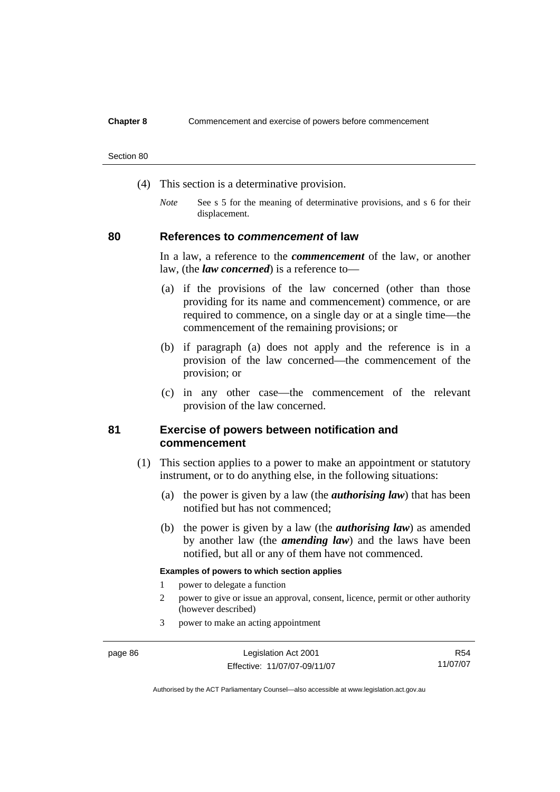#### Section 80

- (4) This section is a determinative provision.
	- *Note* See s 5 for the meaning of determinative provisions, and s 6 for their displacement.

### **80 References to** *commencement* **of law**

In a law, a reference to the *commencement* of the law, or another law, (the *law concerned*) is a reference to—

- (a) if the provisions of the law concerned (other than those providing for its name and commencement) commence, or are required to commence, on a single day or at a single time—the commencement of the remaining provisions; or
- (b) if paragraph (a) does not apply and the reference is in a provision of the law concerned—the commencement of the provision; or
- (c) in any other case—the commencement of the relevant provision of the law concerned.

# **81 Exercise of powers between notification and commencement**

- (1) This section applies to a power to make an appointment or statutory instrument, or to do anything else, in the following situations:
	- (a) the power is given by a law (the *authorising law*) that has been notified but has not commenced;
	- (b) the power is given by a law (the *authorising law*) as amended by another law (the *amending law*) and the laws have been notified, but all or any of them have not commenced.

#### **Examples of powers to which section applies**

- 1 power to delegate a function
- 2 power to give or issue an approval, consent, licence, permit or other authority (however described)
- 3 power to make an acting appointment

R54 11/07/07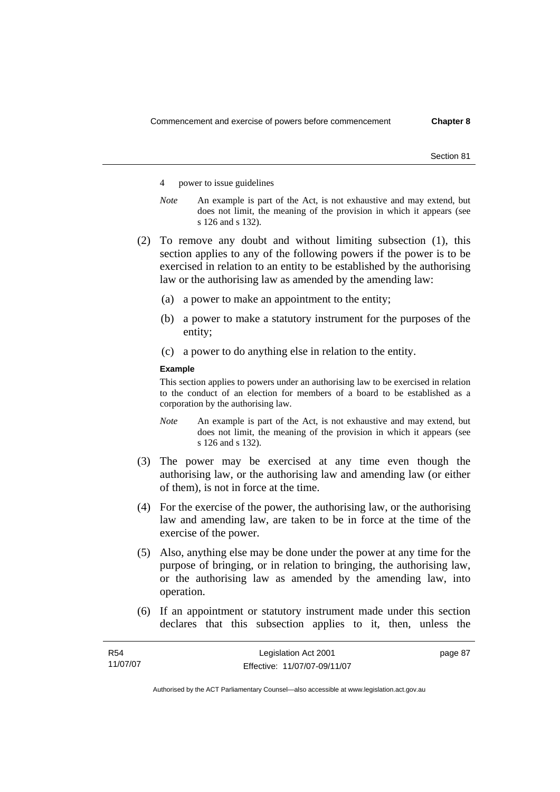Section 81

- 4 power to issue guidelines
- *Note* An example is part of the Act, is not exhaustive and may extend, but does not limit, the meaning of the provision in which it appears (see s 126 and s 132).
- (2) To remove any doubt and without limiting subsection (1), this section applies to any of the following powers if the power is to be exercised in relation to an entity to be established by the authorising law or the authorising law as amended by the amending law:
	- (a) a power to make an appointment to the entity;
	- (b) a power to make a statutory instrument for the purposes of the entity;
	- (c) a power to do anything else in relation to the entity.

#### **Example**

This section applies to powers under an authorising law to be exercised in relation to the conduct of an election for members of a board to be established as a corporation by the authorising law.

- *Note* An example is part of the Act, is not exhaustive and may extend, but does not limit, the meaning of the provision in which it appears (see s 126 and s 132).
- (3) The power may be exercised at any time even though the authorising law, or the authorising law and amending law (or either of them), is not in force at the time.
- (4) For the exercise of the power, the authorising law, or the authorising law and amending law, are taken to be in force at the time of the exercise of the power.
- (5) Also, anything else may be done under the power at any time for the purpose of bringing, or in relation to bringing, the authorising law, or the authorising law as amended by the amending law, into operation.
- (6) If an appointment or statutory instrument made under this section declares that this subsection applies to it, then, unless the

| <b>R54</b> | Legislation Act 2001         | page 87 |
|------------|------------------------------|---------|
| 11/07/07   | Effective: 11/07/07-09/11/07 |         |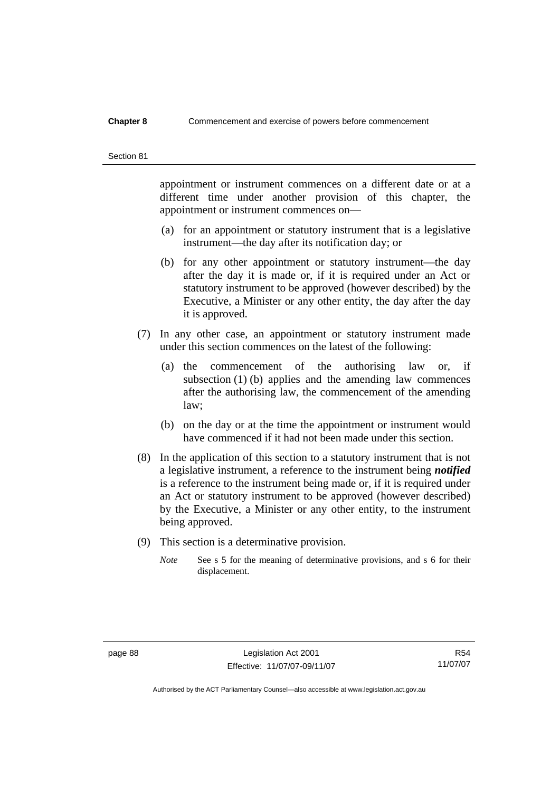#### Section 81

appointment or instrument commences on a different date or at a different time under another provision of this chapter, the appointment or instrument commences on—

- (a) for an appointment or statutory instrument that is a legislative instrument—the day after its notification day; or
- (b) for any other appointment or statutory instrument—the day after the day it is made or, if it is required under an Act or statutory instrument to be approved (however described) by the Executive, a Minister or any other entity, the day after the day it is approved.
- (7) In any other case, an appointment or statutory instrument made under this section commences on the latest of the following:
	- (a) the commencement of the authorising law or, if subsection (1) (b) applies and the amending law commences after the authorising law, the commencement of the amending law;
	- (b) on the day or at the time the appointment or instrument would have commenced if it had not been made under this section.
- (8) In the application of this section to a statutory instrument that is not a legislative instrument, a reference to the instrument being *notified*  is a reference to the instrument being made or, if it is required under an Act or statutory instrument to be approved (however described) by the Executive, a Minister or any other entity, to the instrument being approved.
- (9) This section is a determinative provision.
	- *Note* See s 5 for the meaning of determinative provisions, and s 6 for their displacement.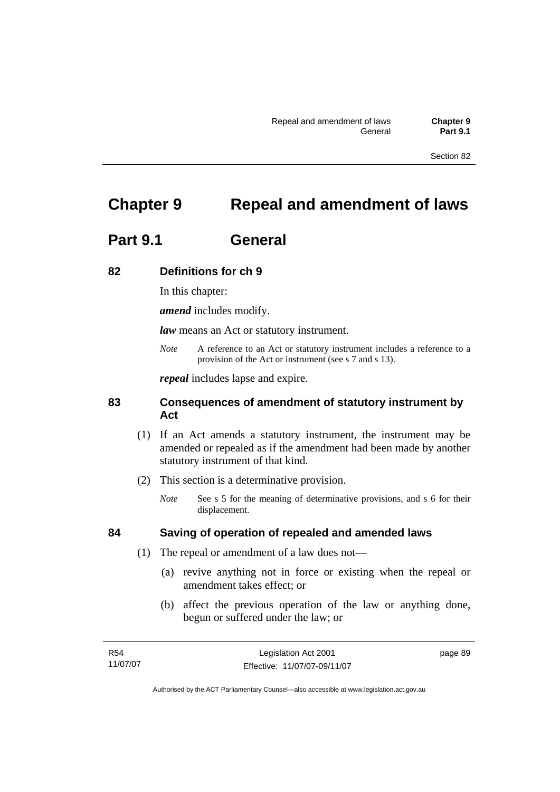Section 82

# **Chapter 9 Repeal and amendment of laws**

# **Part 9.1 General**

# **82 Definitions for ch 9**

In this chapter:

*amend* includes modify.

*law* means an Act or statutory instrument.

*Note* A reference to an Act or statutory instrument includes a reference to a provision of the Act or instrument (see s 7 and s 13).

*repeal* includes lapse and expire.

# **83 Consequences of amendment of statutory instrument by Act**

- (1) If an Act amends a statutory instrument, the instrument may be amended or repealed as if the amendment had been made by another statutory instrument of that kind.
- (2) This section is a determinative provision.
	- *Note* See s 5 for the meaning of determinative provisions, and s 6 for their displacement.

# **84 Saving of operation of repealed and amended laws**

- (1) The repeal or amendment of a law does not—
	- (a) revive anything not in force or existing when the repeal or amendment takes effect; or
	- (b) affect the previous operation of the law or anything done, begun or suffered under the law; or

| R54      | Legislation Act 2001         | page 89 |
|----------|------------------------------|---------|
| 11/07/07 | Effective: 11/07/07-09/11/07 |         |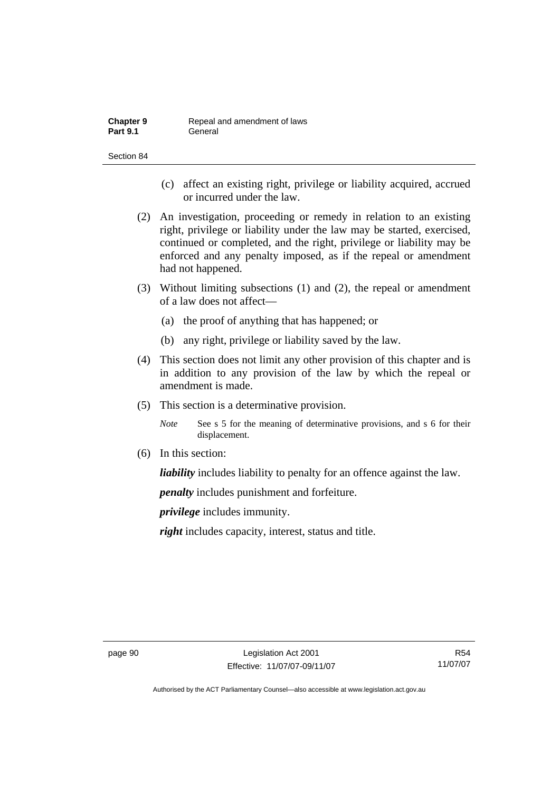| <b>Chapter 9</b> | Repeal and amendment of laws |
|------------------|------------------------------|
| <b>Part 9.1</b>  | General                      |

Section 84

- (c) affect an existing right, privilege or liability acquired, accrued or incurred under the law.
- (2) An investigation, proceeding or remedy in relation to an existing right, privilege or liability under the law may be started, exercised, continued or completed, and the right, privilege or liability may be enforced and any penalty imposed, as if the repeal or amendment had not happened.
- (3) Without limiting subsections (1) and (2), the repeal or amendment of a law does not affect—
	- (a) the proof of anything that has happened; or
	- (b) any right, privilege or liability saved by the law.
- (4) This section does not limit any other provision of this chapter and is in addition to any provision of the law by which the repeal or amendment is made.
- (5) This section is a determinative provision.
	- *Note* See s 5 for the meaning of determinative provisions, and s 6 for their displacement.
- (6) In this section:

*liability* includes liability to penalty for an offence against the law.

*penalty* includes punishment and forfeiture.

*privilege* includes immunity.

*right* includes capacity, interest, status and title.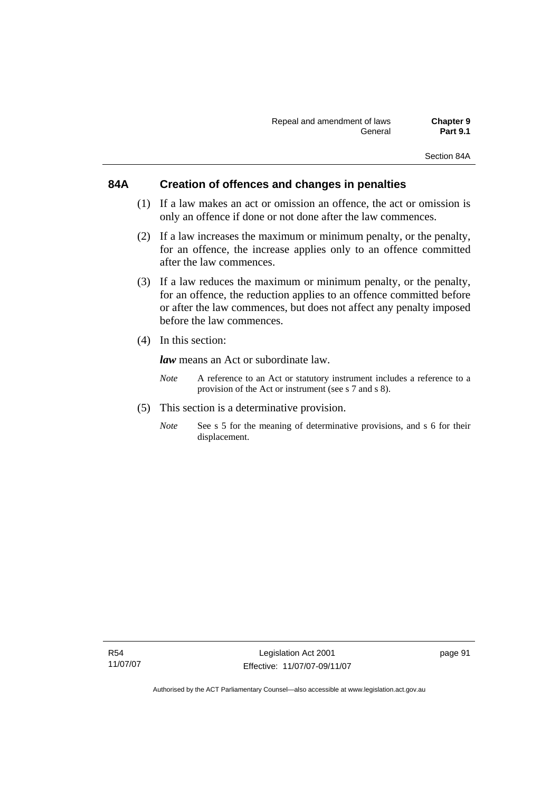# **84A Creation of offences and changes in penalties**

- (1) If a law makes an act or omission an offence, the act or omission is only an offence if done or not done after the law commences.
- (2) If a law increases the maximum or minimum penalty, or the penalty, for an offence, the increase applies only to an offence committed after the law commences.
- (3) If a law reduces the maximum or minimum penalty, or the penalty, for an offence, the reduction applies to an offence committed before or after the law commences, but does not affect any penalty imposed before the law commences.
- (4) In this section:

*law* means an Act or subordinate law.

- *Note* A reference to an Act or statutory instrument includes a reference to a provision of the Act or instrument (see s 7 and s 8).
- (5) This section is a determinative provision.
	- *Note* See s 5 for the meaning of determinative provisions, and s 6 for their displacement.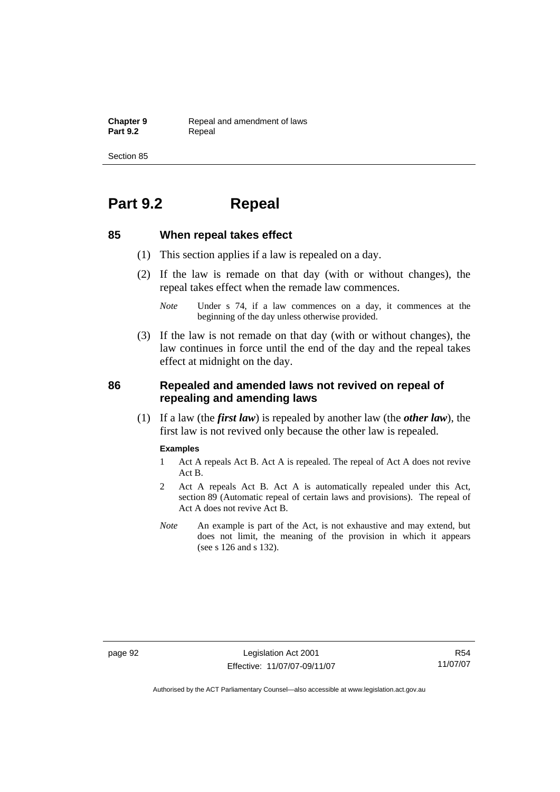**Chapter 9 Repeal and amendment of laws**<br>**Part 9.2 Repeal** Repeal

Section 85

# **Part 9.2 Repeal**

# **85 When repeal takes effect**

- (1) This section applies if a law is repealed on a day.
- (2) If the law is remade on that day (with or without changes), the repeal takes effect when the remade law commences.

 (3) If the law is not remade on that day (with or without changes), the law continues in force until the end of the day and the repeal takes effect at midnight on the day.

# **86 Repealed and amended laws not revived on repeal of repealing and amending laws**

 (1) If a law (the *first law*) is repealed by another law (the *other law*), the first law is not revived only because the other law is repealed.

#### **Examples**

- 1 Act A repeals Act B. Act A is repealed. The repeal of Act A does not revive Act B.
- 2 Act A repeals Act B. Act A is automatically repealed under this Act, section 89 (Automatic repeal of certain laws and provisions). The repeal of Act A does not revive Act B.
- *Note* An example is part of the Act, is not exhaustive and may extend, but does not limit, the meaning of the provision in which it appears (see s 126 and s 132).

page 92 Legislation Act 2001 Effective: 11/07/07-09/11/07

*Note* Under s 74, if a law commences on a day, it commences at the beginning of the day unless otherwise provided.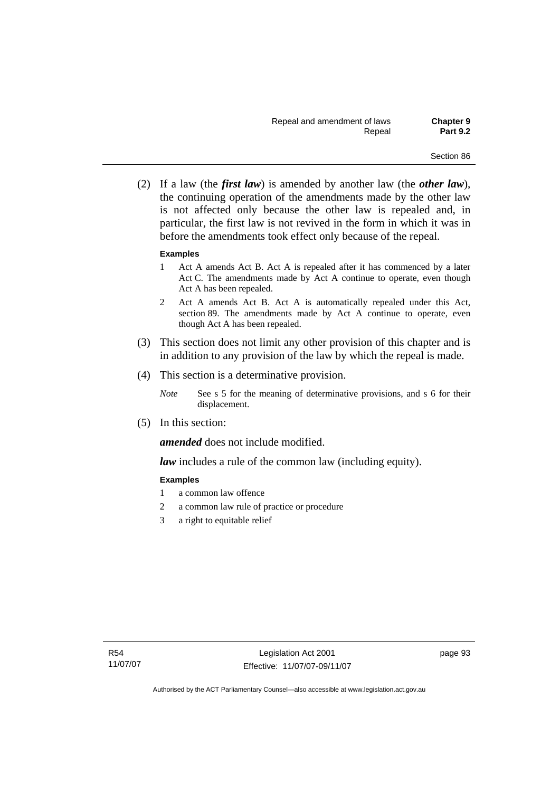(2) If a law (the *first law*) is amended by another law (the *other law*), the continuing operation of the amendments made by the other law is not affected only because the other law is repealed and, in particular, the first law is not revived in the form in which it was in before the amendments took effect only because of the repeal.

#### **Examples**

- 1 Act A amends Act B. Act A is repealed after it has commenced by a later Act C. The amendments made by Act A continue to operate, even though Act A has been repealed.
- 2 Act A amends Act B. Act A is automatically repealed under this Act, section 89. The amendments made by Act A continue to operate, even though Act A has been repealed.
- (3) This section does not limit any other provision of this chapter and is in addition to any provision of the law by which the repeal is made.
- (4) This section is a determinative provision.
	- *Note* See s 5 for the meaning of determinative provisions, and s 6 for their displacement.
- (5) In this section:

*amended* does not include modified.

*law* includes a rule of the common law (including equity).

### **Examples**

- 1 a common law offence
- 2 a common law rule of practice or procedure
- 3 a right to equitable relief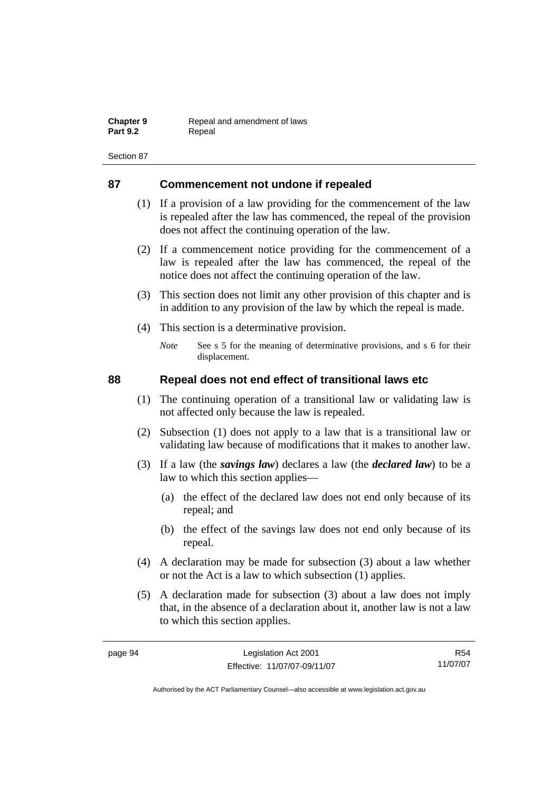| <b>Chapter 9</b> | Repeal and amendment of laws |
|------------------|------------------------------|
| <b>Part 9.2</b>  | Repeal                       |

# **87 Commencement not undone if repealed**

- (1) If a provision of a law providing for the commencement of the law is repealed after the law has commenced, the repeal of the provision does not affect the continuing operation of the law.
- (2) If a commencement notice providing for the commencement of a law is repealed after the law has commenced, the repeal of the notice does not affect the continuing operation of the law.
- (3) This section does not limit any other provision of this chapter and is in addition to any provision of the law by which the repeal is made.
- (4) This section is a determinative provision.
	- *Note* See s 5 for the meaning of determinative provisions, and s 6 for their displacement.

# **88 Repeal does not end effect of transitional laws etc**

- (1) The continuing operation of a transitional law or validating law is not affected only because the law is repealed.
- (2) Subsection (1) does not apply to a law that is a transitional law or validating law because of modifications that it makes to another law.
- (3) If a law (the *savings law*) declares a law (the *declared law*) to be a law to which this section applies—
	- (a) the effect of the declared law does not end only because of its repeal; and
	- (b) the effect of the savings law does not end only because of its repeal.
- (4) A declaration may be made for subsection (3) about a law whether or not the Act is a law to which subsection (1) applies.
- (5) A declaration made for subsection (3) about a law does not imply that, in the absence of a declaration about it, another law is not a law to which this section applies.

R54 11/07/07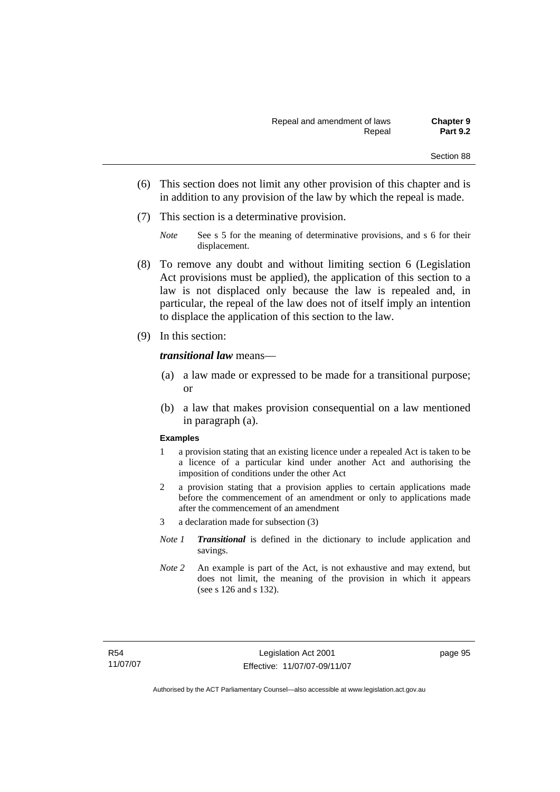- (6) This section does not limit any other provision of this chapter and is in addition to any provision of the law by which the repeal is made.
- (7) This section is a determinative provision.
	- *Note* See s 5 for the meaning of determinative provisions, and s 6 for their displacement.
- (8) To remove any doubt and without limiting section 6 (Legislation Act provisions must be applied), the application of this section to a law is not displaced only because the law is repealed and, in particular, the repeal of the law does not of itself imply an intention to displace the application of this section to the law.
- (9) In this section:

#### *transitional law* means—

- (a) a law made or expressed to be made for a transitional purpose; or
- (b) a law that makes provision consequential on a law mentioned in paragraph (a).

#### **Examples**

- 1 a provision stating that an existing licence under a repealed Act is taken to be a licence of a particular kind under another Act and authorising the imposition of conditions under the other Act
- 2 a provision stating that a provision applies to certain applications made before the commencement of an amendment or only to applications made after the commencement of an amendment
- 3 a declaration made for subsection (3)
- *Note 1 Transitional* is defined in the dictionary to include application and savings.
- *Note 2* An example is part of the Act, is not exhaustive and may extend, but does not limit, the meaning of the provision in which it appears (see s 126 and s 132).

page 95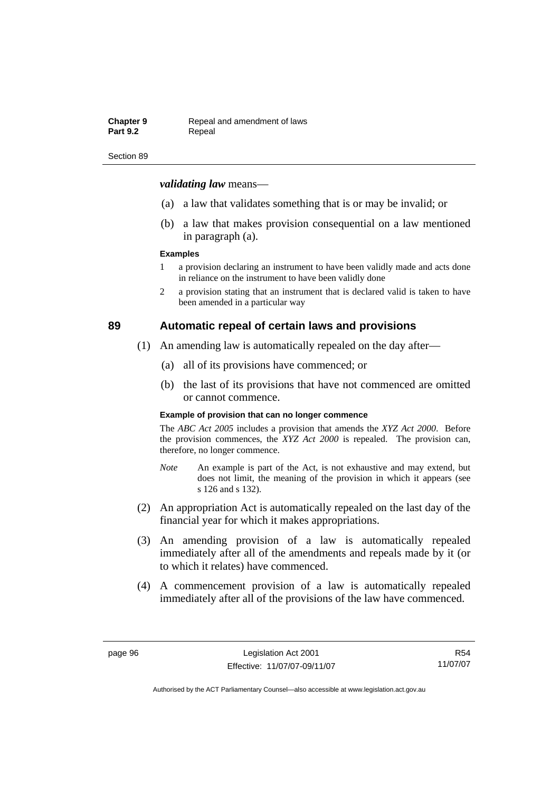#### **Chapter 9 Repeal and amendment of laws**<br>**Part 9.2 Repeal** Repeal

#### Section 89

#### *validating law* means—

- (a) a law that validates something that is or may be invalid; or
- (b) a law that makes provision consequential on a law mentioned in paragraph (a).

#### **Examples**

- 1 a provision declaring an instrument to have been validly made and acts done in reliance on the instrument to have been validly done
- 2 a provision stating that an instrument that is declared valid is taken to have been amended in a particular way

# **89 Automatic repeal of certain laws and provisions**

- (1) An amending law is automatically repealed on the day after—
	- (a) all of its provisions have commenced; or
	- (b) the last of its provisions that have not commenced are omitted or cannot commence.

#### **Example of provision that can no longer commence**

The *ABC Act 2005* includes a provision that amends the *XYZ Act 2000*. Before the provision commences, the *XYZ Act 2000* is repealed. The provision can, therefore, no longer commence.

- *Note* An example is part of the Act, is not exhaustive and may extend, but does not limit, the meaning of the provision in which it appears (see s 126 and s 132).
- (2) An appropriation Act is automatically repealed on the last day of the financial year for which it makes appropriations.
- (3) An amending provision of a law is automatically repealed immediately after all of the amendments and repeals made by it (or to which it relates) have commenced.
- (4) A commencement provision of a law is automatically repealed immediately after all of the provisions of the law have commenced.

R54 11/07/07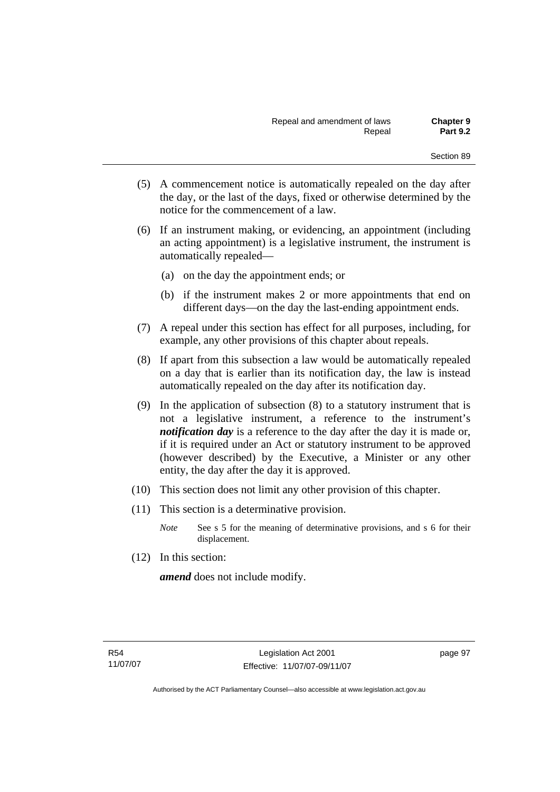- (5) A commencement notice is automatically repealed on the day after the day, or the last of the days, fixed or otherwise determined by the notice for the commencement of a law.
- (6) If an instrument making, or evidencing, an appointment (including an acting appointment) is a legislative instrument, the instrument is automatically repealed—
	- (a) on the day the appointment ends; or
	- (b) if the instrument makes 2 or more appointments that end on different days—on the day the last-ending appointment ends.
- (7) A repeal under this section has effect for all purposes, including, for example, any other provisions of this chapter about repeals.
- (8) If apart from this subsection a law would be automatically repealed on a day that is earlier than its notification day, the law is instead automatically repealed on the day after its notification day.
- (9) In the application of subsection (8) to a statutory instrument that is not a legislative instrument, a reference to the instrument's *notification day* is a reference to the day after the day it is made or, if it is required under an Act or statutory instrument to be approved (however described) by the Executive, a Minister or any other entity, the day after the day it is approved.
- (10) This section does not limit any other provision of this chapter.
- (11) This section is a determinative provision.
	- *Note* See s 5 for the meaning of determinative provisions, and s 6 for their displacement.
- (12) In this section:

*amend* does not include modify.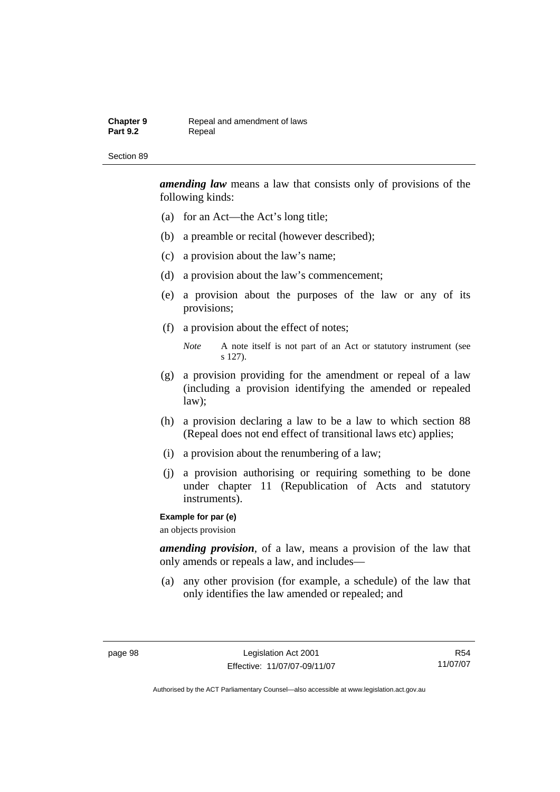#### **Chapter 9 Repeal and amendment of laws**<br>**Part 9.2 Repeal** Repeal

#### Section 89

*amending law* means a law that consists only of provisions of the following kinds:

- (a) for an Act—the Act's long title;
- (b) a preamble or recital (however described);
- (c) a provision about the law's name;
- (d) a provision about the law's commencement;
- (e) a provision about the purposes of the law or any of its provisions;
- (f) a provision about the effect of notes;

*Note* A note itself is not part of an Act or statutory instrument (see s 127).

- (g) a provision providing for the amendment or repeal of a law (including a provision identifying the amended or repealed law);
- (h) a provision declaring a law to be a law to which section 88 (Repeal does not end effect of transitional laws etc) applies;
- (i) a provision about the renumbering of a law;
- (j) a provision authorising or requiring something to be done under chapter 11 (Republication of Acts and statutory instruments).

#### **Example for par (e)**

an objects provision

*amending provision*, of a law, means a provision of the law that only amends or repeals a law, and includes—

 (a) any other provision (for example, a schedule) of the law that only identifies the law amended or repealed; and

R54 11/07/07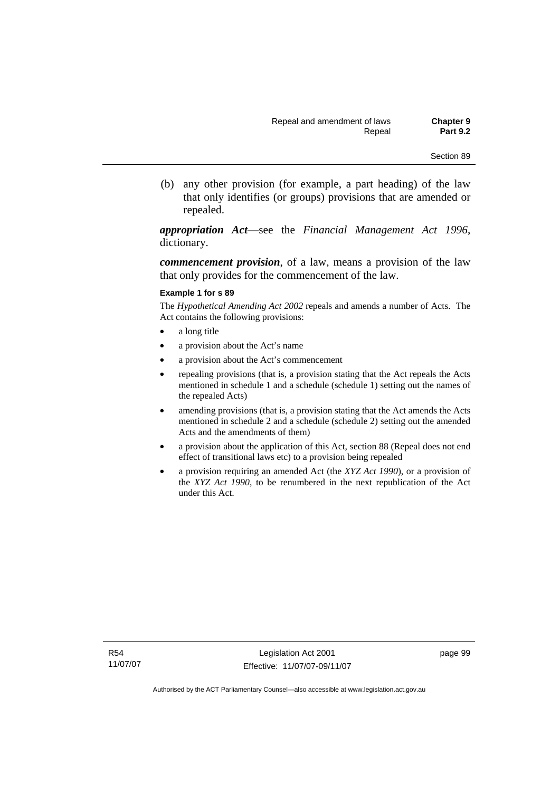(b) any other provision (for example, a part heading) of the law that only identifies (or groups) provisions that are amended or repealed.

*appropriation Act*—see the *Financial Management Act 1996*, dictionary.

*commencement provision*, of a law, means a provision of the law that only provides for the commencement of the law.

#### **Example 1 for s 89**

The *Hypothetical Amending Act 2002* repeals and amends a number of Acts. The Act contains the following provisions:

- a long title
- a provision about the Act's name
- a provision about the Act's commencement
- repealing provisions (that is, a provision stating that the Act repeals the Acts mentioned in schedule 1 and a schedule (schedule 1) setting out the names of the repealed Acts)
- amending provisions (that is, a provision stating that the Act amends the Acts mentioned in schedule 2 and a schedule (schedule 2) setting out the amended Acts and the amendments of them)
- a provision about the application of this Act, section 88 (Repeal does not end effect of transitional laws etc) to a provision being repealed
- a provision requiring an amended Act (the *XYZ Act 1990*), or a provision of the *XYZ Act 1990*, to be renumbered in the next republication of the Act under this Act.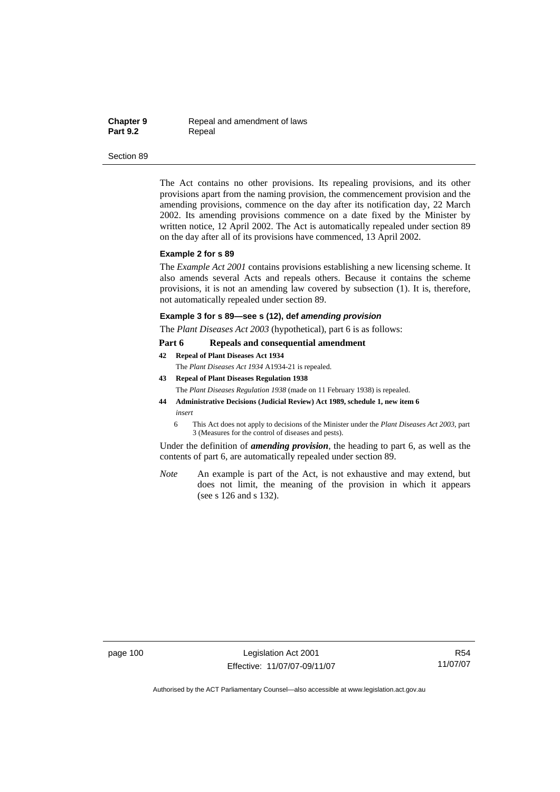**Chapter 9 Repeal and amendment of laws**<br>**Part 9.2 Repeal Repeal** 

#### Section 89

The Act contains no other provisions. Its repealing provisions, and its other provisions apart from the naming provision, the commencement provision and the amending provisions, commence on the day after its notification day, 22 March 2002. Its amending provisions commence on a date fixed by the Minister by written notice, 12 April 2002. The Act is automatically repealed under section 89 on the day after all of its provisions have commenced, 13 April 2002.

#### **Example 2 for s 89**

The *Example Act 2001* contains provisions establishing a new licensing scheme. It also amends several Acts and repeals others. Because it contains the scheme provisions, it is not an amending law covered by subsection (1). It is, therefore, not automatically repealed under section 89.

#### **Example 3 for s 89—see s (12), def** *amending provision*

The *Plant Diseases Act 2003* (hypothetical), part 6 is as follows:

#### **Part 6 Repeals and consequential amendment**

**42 Repeal of Plant Diseases Act 1934**

The *Plant Diseases Act 1934* A1934-21 is repealed.

- **43 Repeal of Plant Diseases Regulation 1938** The *Plant Diseases Regulation 1938* (made on 11 February 1938) is repealed. **44 Administrative Decisions (Judicial Review) Act 1989, schedule 1, new item 6**
- *insert* 
	- 6 This Act does not apply to decisions of the Minister under the *Plant Diseases Act 2003*, part 3 (Measures for the control of diseases and pests).

Under the definition of *amending provision*, the heading to part 6, as well as the contents of part 6, are automatically repealed under section 89.

*Note* An example is part of the Act, is not exhaustive and may extend, but does not limit, the meaning of the provision in which it appears (see s 126 and s 132).

page 100 Legislation Act 2001 Effective: 11/07/07-09/11/07

R54 11/07/07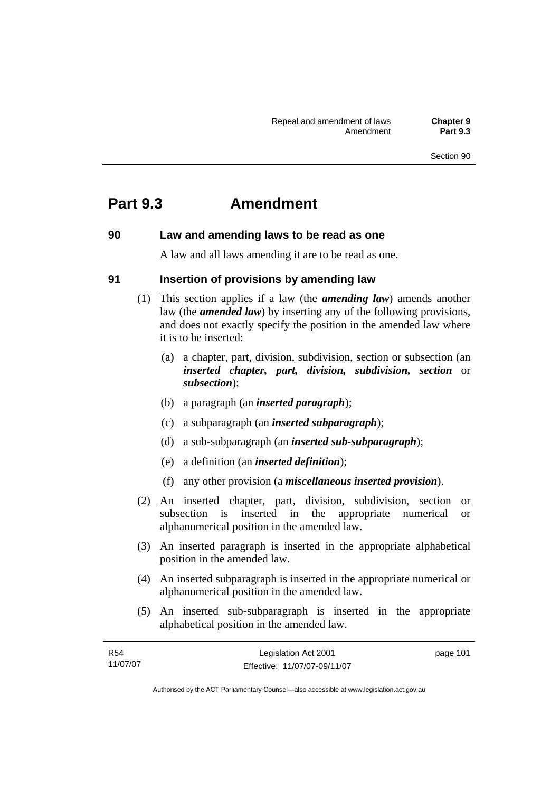# **Part 9.3 Amendment**

# **90 Law and amending laws to be read as one**

A law and all laws amending it are to be read as one.

# **91 Insertion of provisions by amending law**

- (1) This section applies if a law (the *amending law*) amends another law (the *amended law*) by inserting any of the following provisions, and does not exactly specify the position in the amended law where it is to be inserted:
	- (a) a chapter, part, division, subdivision, section or subsection (an *inserted chapter, part, division, subdivision, section* or *subsection*);
	- (b) a paragraph (an *inserted paragraph*);
	- (c) a subparagraph (an *inserted subparagraph*);
	- (d) a sub-subparagraph (an *inserted sub-subparagraph*);
	- (e) a definition (an *inserted definition*);
	- (f) any other provision (a *miscellaneous inserted provision*).
- (2) An inserted chapter, part, division, subdivision, section or subsection is inserted in the appropriate numerical or alphanumerical position in the amended law.
- (3) An inserted paragraph is inserted in the appropriate alphabetical position in the amended law.
- (4) An inserted subparagraph is inserted in the appropriate numerical or alphanumerical position in the amended law.
- (5) An inserted sub-subparagraph is inserted in the appropriate alphabetical position in the amended law.

| R54      | Legislation Act 2001         | page 101 |
|----------|------------------------------|----------|
| 11/07/07 | Effective: 11/07/07-09/11/07 |          |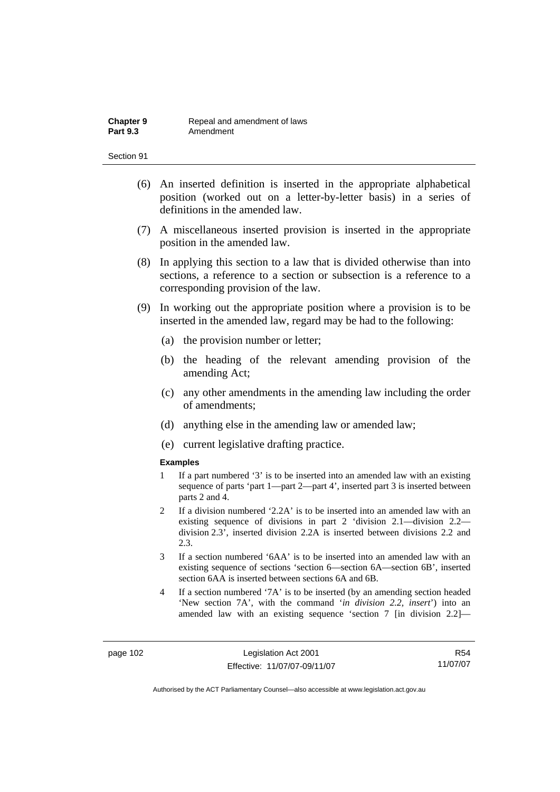- (6) An inserted definition is inserted in the appropriate alphabetical position (worked out on a letter-by-letter basis) in a series of definitions in the amended law.
- (7) A miscellaneous inserted provision is inserted in the appropriate position in the amended law.
- (8) In applying this section to a law that is divided otherwise than into sections, a reference to a section or subsection is a reference to a corresponding provision of the law.
- (9) In working out the appropriate position where a provision is to be inserted in the amended law, regard may be had to the following:
	- (a) the provision number or letter;
	- (b) the heading of the relevant amending provision of the amending Act;
	- (c) any other amendments in the amending law including the order of amendments;
	- (d) anything else in the amending law or amended law;
	- (e) current legislative drafting practice.

#### **Examples**

- 1 If a part numbered '3' is to be inserted into an amended law with an existing sequence of parts 'part 1—part 2—part 4', inserted part 3 is inserted between parts 2 and 4.
- 2 If a division numbered '2.2A' is to be inserted into an amended law with an existing sequence of divisions in part 2 'division 2.1—division 2.2 division 2.3', inserted division 2.2A is inserted between divisions 2.2 and  $2.3$
- 3 If a section numbered '6AA' is to be inserted into an amended law with an existing sequence of sections 'section 6—section 6A—section 6B', inserted section 6AA is inserted between sections 6A and 6B.
- 4 If a section numbered '7A' is to be inserted (by an amending section headed 'New section 7A', with the command '*in division 2.2, insert*') into an amended law with an existing sequence 'section 7 [in division 2.2]—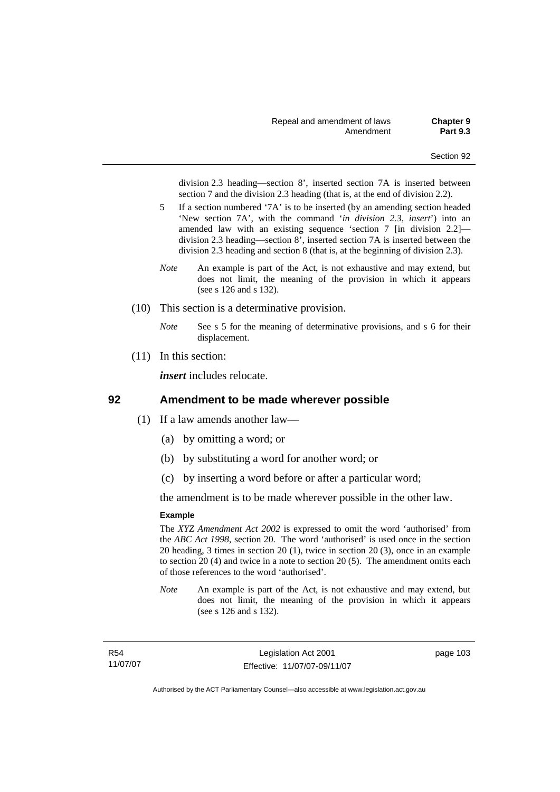division 2.3 heading—section 8', inserted section 7A is inserted between section 7 and the division 2.3 heading (that is, at the end of division 2.2).

- 5 If a section numbered '7A' is to be inserted (by an amending section headed 'New section 7A', with the command '*in division 2.3, insert*') into an amended law with an existing sequence 'section 7 [in division 2.2] division 2.3 heading—section 8', inserted section 7A is inserted between the division 2.3 heading and section 8 (that is, at the beginning of division 2.3).
- *Note* An example is part of the Act, is not exhaustive and may extend, but does not limit, the meaning of the provision in which it appears (see s 126 and s 132).
- (10) This section is a determinative provision.
	- *Note* See s 5 for the meaning of determinative provisions, and s 6 for their displacement.
- (11) In this section:

*insert* includes relocate.

### **92 Amendment to be made wherever possible**

- (1) If a law amends another law—
	- (a) by omitting a word; or
	- (b) by substituting a word for another word; or
	- (c) by inserting a word before or after a particular word;

the amendment is to be made wherever possible in the other law.

#### **Example**

The *XYZ Amendment Act 2002* is expressed to omit the word 'authorised' from the *ABC Act 1998*, section 20. The word 'authorised' is used once in the section 20 heading, 3 times in section 20 (1), twice in section 20 (3), once in an example to section 20 (4) and twice in a note to section 20 (5). The amendment omits each of those references to the word 'authorised'.

*Note* An example is part of the Act, is not exhaustive and may extend, but does not limit, the meaning of the provision in which it appears (see s 126 and s 132).

R54 11/07/07 page 103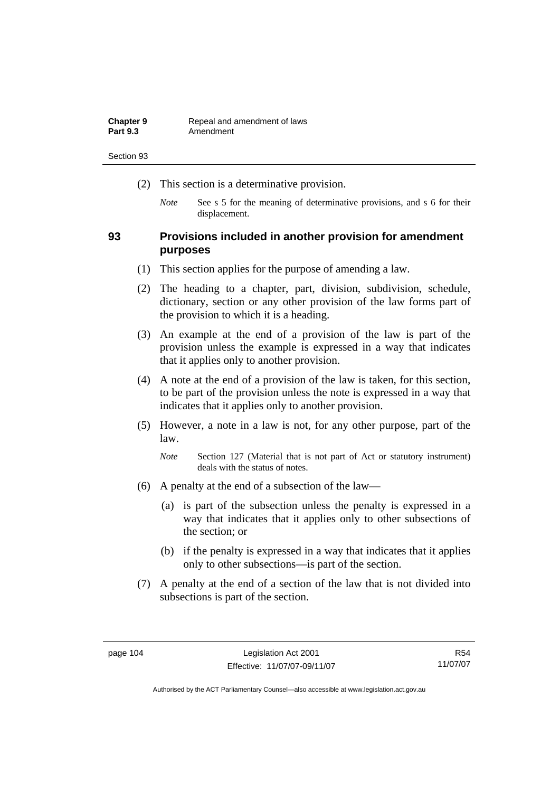| <b>Chapter 9</b> | Repeal and amendment of laws |
|------------------|------------------------------|
| <b>Part 9.3</b>  | Amendment                    |

- (2) This section is a determinative provision.
	- *Note* See s 5 for the meaning of determinative provisions, and s 6 for their displacement.

# **93 Provisions included in another provision for amendment purposes**

- (1) This section applies for the purpose of amending a law.
- (2) The heading to a chapter, part, division, subdivision, schedule, dictionary, section or any other provision of the law forms part of the provision to which it is a heading.
- (3) An example at the end of a provision of the law is part of the provision unless the example is expressed in a way that indicates that it applies only to another provision.
- (4) A note at the end of a provision of the law is taken, for this section, to be part of the provision unless the note is expressed in a way that indicates that it applies only to another provision.
- (5) However, a note in a law is not, for any other purpose, part of the law.

*Note* Section 127 (Material that is not part of Act or statutory instrument) deals with the status of notes.

- (6) A penalty at the end of a subsection of the law—
	- (a) is part of the subsection unless the penalty is expressed in a way that indicates that it applies only to other subsections of the section; or
	- (b) if the penalty is expressed in a way that indicates that it applies only to other subsections—is part of the section.
- (7) A penalty at the end of a section of the law that is not divided into subsections is part of the section.

R54 11/07/07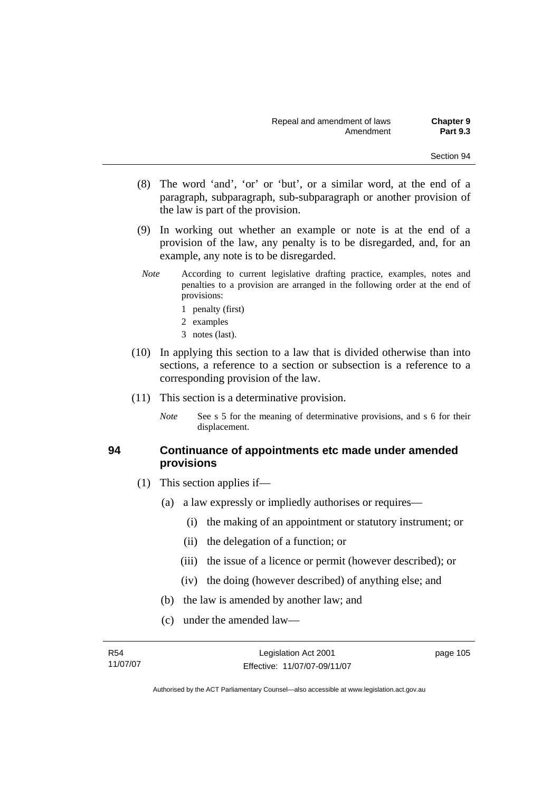- (8) The word 'and', 'or' or 'but', or a similar word, at the end of a paragraph, subparagraph, sub-subparagraph or another provision of the law is part of the provision.
- (9) In working out whether an example or note is at the end of a provision of the law, any penalty is to be disregarded, and, for an example, any note is to be disregarded.
- *Note* According to current legislative drafting practice, examples, notes and penalties to a provision are arranged in the following order at the end of provisions:
	- 1 penalty (first)
	- 2 examples
	- 3 notes (last).
- (10) In applying this section to a law that is divided otherwise than into sections, a reference to a section or subsection is a reference to a corresponding provision of the law.
- (11) This section is a determinative provision.
	- *Note* See s 5 for the meaning of determinative provisions, and s 6 for their displacement.

# **94 Continuance of appointments etc made under amended provisions**

- (1) This section applies if—
	- (a) a law expressly or impliedly authorises or requires—
		- (i) the making of an appointment or statutory instrument; or
		- (ii) the delegation of a function; or
		- (iii) the issue of a licence or permit (however described); or
		- (iv) the doing (however described) of anything else; and
	- (b) the law is amended by another law; and
	- (c) under the amended law—

R54 11/07/07 Legislation Act 2001 Effective: 11/07/07-09/11/07 page 105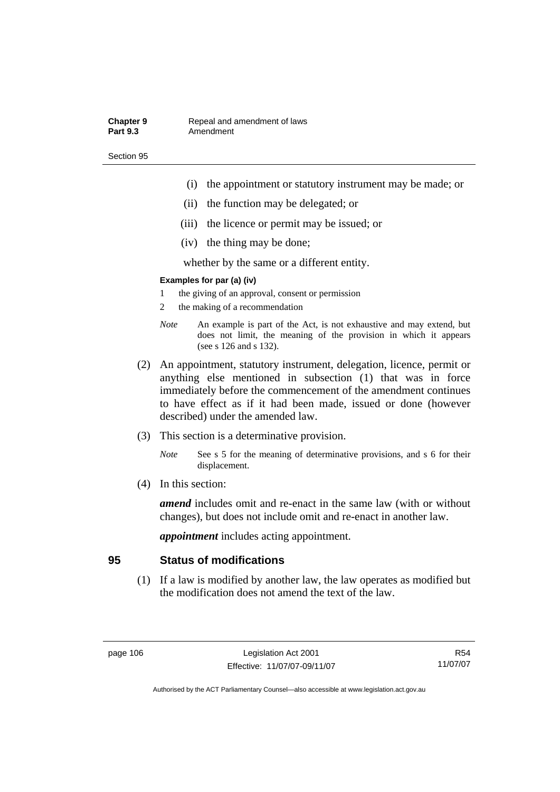#### **Chapter 9 Repeal and amendment of laws**<br>**Part 9.3 Amendment** Amendment

Section 95

- (i) the appointment or statutory instrument may be made; or
- (ii) the function may be delegated; or
- (iii) the licence or permit may be issued; or
- (iv) the thing may be done;

whether by the same or a different entity.

#### **Examples for par (a) (iv)**

- 1 the giving of an approval, consent or permission
- 2 the making of a recommendation
- *Note* An example is part of the Act, is not exhaustive and may extend, but does not limit, the meaning of the provision in which it appears (see s 126 and s 132).
- (2) An appointment, statutory instrument, delegation, licence, permit or anything else mentioned in subsection (1) that was in force immediately before the commencement of the amendment continues to have effect as if it had been made, issued or done (however described) under the amended law.
- (3) This section is a determinative provision.
	- *Note* See s 5 for the meaning of determinative provisions, and s 6 for their displacement.
- (4) In this section:

*amend* includes omit and re-enact in the same law (with or without changes), but does not include omit and re-enact in another law.

*appointment* includes acting appointment.

# **95 Status of modifications**

 (1) If a law is modified by another law, the law operates as modified but the modification does not amend the text of the law.

R54 11/07/07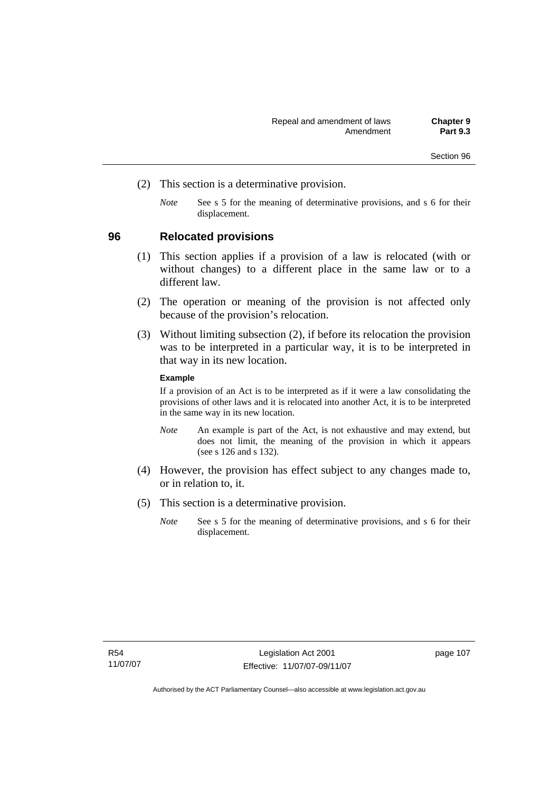- (2) This section is a determinative provision.
	- *Note* See s 5 for the meaning of determinative provisions, and s 6 for their displacement.

# **96 Relocated provisions**

- (1) This section applies if a provision of a law is relocated (with or without changes) to a different place in the same law or to a different law.
- (2) The operation or meaning of the provision is not affected only because of the provision's relocation.
- (3) Without limiting subsection (2), if before its relocation the provision was to be interpreted in a particular way, it is to be interpreted in that way in its new location.

#### **Example**

If a provision of an Act is to be interpreted as if it were a law consolidating the provisions of other laws and it is relocated into another Act, it is to be interpreted in the same way in its new location.

- *Note* An example is part of the Act, is not exhaustive and may extend, but does not limit, the meaning of the provision in which it appears (see s 126 and s 132).
- (4) However, the provision has effect subject to any changes made to, or in relation to, it.
- (5) This section is a determinative provision.
	- *Note* See s 5 for the meaning of determinative provisions, and s 6 for their displacement.

page 107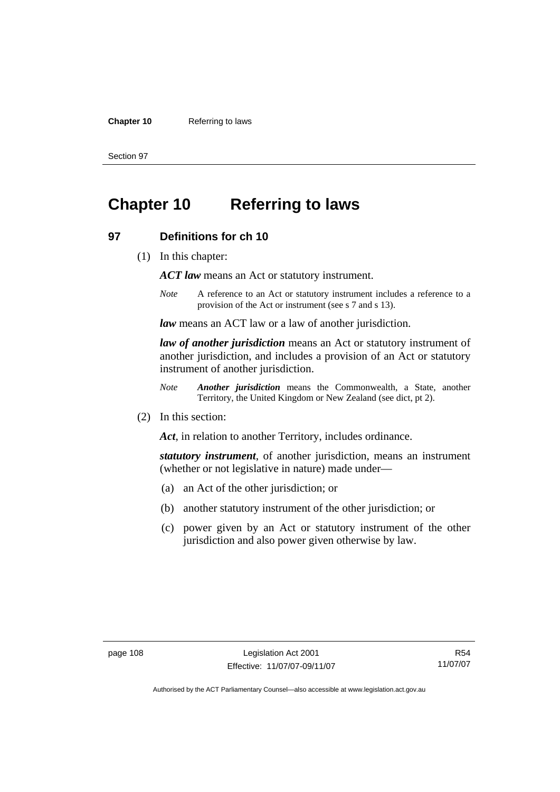#### **Chapter 10** Referring to laws

Section 97

# **Chapter 10 Referring to laws**

# **97 Definitions for ch 10**

(1) In this chapter:

*ACT law* means an Act or statutory instrument.

*Note* A reference to an Act or statutory instrument includes a reference to a provision of the Act or instrument (see s 7 and s 13).

*law* means an ACT law or a law of another jurisdiction.

*law of another jurisdiction* means an Act or statutory instrument of another jurisdiction, and includes a provision of an Act or statutory instrument of another jurisdiction.

- *Note Another jurisdiction* means the Commonwealth, a State, another Territory, the United Kingdom or New Zealand (see dict, pt 2).
- (2) In this section:

*Act*, in relation to another Territory, includes ordinance.

*statutory instrument*, of another jurisdiction, means an instrument (whether or not legislative in nature) made under—

- (a) an Act of the other jurisdiction; or
- (b) another statutory instrument of the other jurisdiction; or
- (c) power given by an Act or statutory instrument of the other jurisdiction and also power given otherwise by law.

R54 11/07/07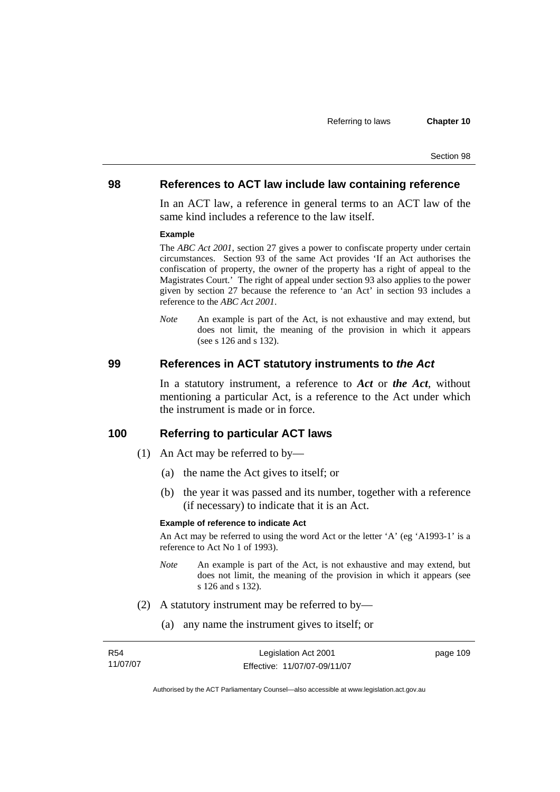### **98 References to ACT law include law containing reference**

In an ACT law, a reference in general terms to an ACT law of the same kind includes a reference to the law itself.

#### **Example**

The *ABC Act 2001*, section 27 gives a power to confiscate property under certain circumstances. Section 93 of the same Act provides 'If an Act authorises the confiscation of property, the owner of the property has a right of appeal to the Magistrates Court.' The right of appeal under section 93 also applies to the power given by section 27 because the reference to 'an Act' in section 93 includes a reference to the *ABC Act 2001*.

*Note* An example is part of the Act, is not exhaustive and may extend, but does not limit, the meaning of the provision in which it appears (see s 126 and s 132).

#### **99 References in ACT statutory instruments to** *the Act*

In a statutory instrument, a reference to *Act* or *the Act*, without mentioning a particular Act, is a reference to the Act under which the instrument is made or in force.

# **100 Referring to particular ACT laws**

- (1) An Act may be referred to by—
	- (a) the name the Act gives to itself; or
	- (b) the year it was passed and its number, together with a reference (if necessary) to indicate that it is an Act.

#### **Example of reference to indicate Act**

An Act may be referred to using the word Act or the letter 'A' (eg 'A1993-1' is a reference to Act No 1 of 1993).

- *Note* An example is part of the Act, is not exhaustive and may extend, but does not limit, the meaning of the provision in which it appears (see s 126 and s 132).
- (2) A statutory instrument may be referred to by—
	- (a) any name the instrument gives to itself; or

| R54      | Legislation Act 2001         | page 109 |
|----------|------------------------------|----------|
| 11/07/07 | Effective: 11/07/07-09/11/07 |          |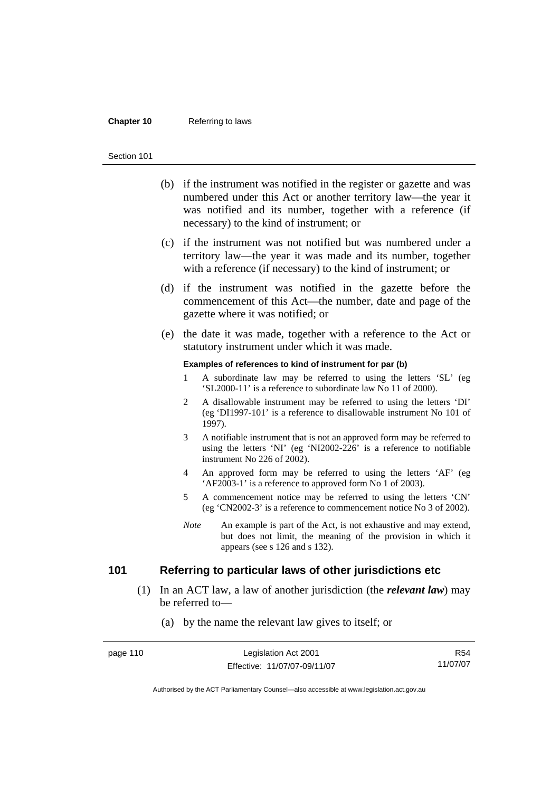#### **Chapter 10** Referring to laws

#### Section 101

- (b) if the instrument was notified in the register or gazette and was numbered under this Act or another territory law—the year it was notified and its number, together with a reference (if necessary) to the kind of instrument; or
- (c) if the instrument was not notified but was numbered under a territory law—the year it was made and its number, together with a reference (if necessary) to the kind of instrument; or
- (d) if the instrument was notified in the gazette before the commencement of this Act—the number, date and page of the gazette where it was notified; or
- (e) the date it was made, together with a reference to the Act or statutory instrument under which it was made.

#### **Examples of references to kind of instrument for par (b)**

- 1 A subordinate law may be referred to using the letters 'SL' (eg 'SL2000-11' is a reference to subordinate law No 11 of 2000).
- 2 A disallowable instrument may be referred to using the letters 'DI' (eg 'DI1997-101' is a reference to disallowable instrument No 101 of 1997).
- 3 A notifiable instrument that is not an approved form may be referred to using the letters 'NI' (eg 'NI2002-226' is a reference to notifiable instrument No 226 of 2002).
- 4 An approved form may be referred to using the letters 'AF' (eg 'AF2003-1' is a reference to approved form No 1 of 2003).
- 5 A commencement notice may be referred to using the letters 'CN' (eg 'CN2002-3' is a reference to commencement notice No 3 of 2002).
- *Note* An example is part of the Act, is not exhaustive and may extend, but does not limit, the meaning of the provision in which it appears (see s 126 and s 132).

# **101 Referring to particular laws of other jurisdictions etc**

 (1) In an ACT law, a law of another jurisdiction (the *relevant law*) may be referred to—

### (a) by the name the relevant law gives to itself; or

| page 110 | Legislation Act 2001         | R54      |
|----------|------------------------------|----------|
|          | Effective: 11/07/07-09/11/07 | 11/07/07 |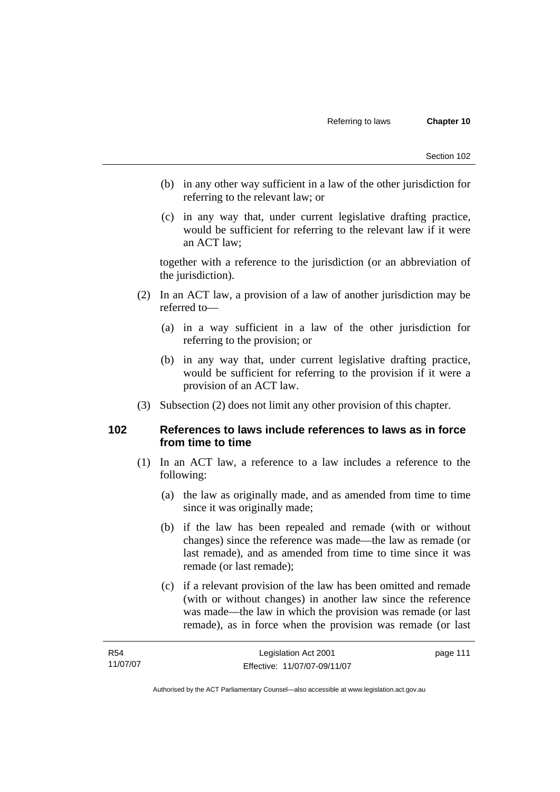- (b) in any other way sufficient in a law of the other jurisdiction for referring to the relevant law; or
- (c) in any way that, under current legislative drafting practice, would be sufficient for referring to the relevant law if it were an ACT law;

together with a reference to the jurisdiction (or an abbreviation of the jurisdiction).

- (2) In an ACT law, a provision of a law of another jurisdiction may be referred to—
	- (a) in a way sufficient in a law of the other jurisdiction for referring to the provision; or
	- (b) in any way that, under current legislative drafting practice, would be sufficient for referring to the provision if it were a provision of an ACT law.
- (3) Subsection (2) does not limit any other provision of this chapter.

# **102 References to laws include references to laws as in force from time to time**

- (1) In an ACT law, a reference to a law includes a reference to the following:
	- (a) the law as originally made, and as amended from time to time since it was originally made;
	- (b) if the law has been repealed and remade (with or without changes) since the reference was made—the law as remade (or last remade), and as amended from time to time since it was remade (or last remade);
	- (c) if a relevant provision of the law has been omitted and remade (with or without changes) in another law since the reference was made—the law in which the provision was remade (or last remade), as in force when the provision was remade (or last

| R <sub>54</sub> | Legislation Act 2001         | page 111 |
|-----------------|------------------------------|----------|
| 11/07/07        | Effective: 11/07/07-09/11/07 |          |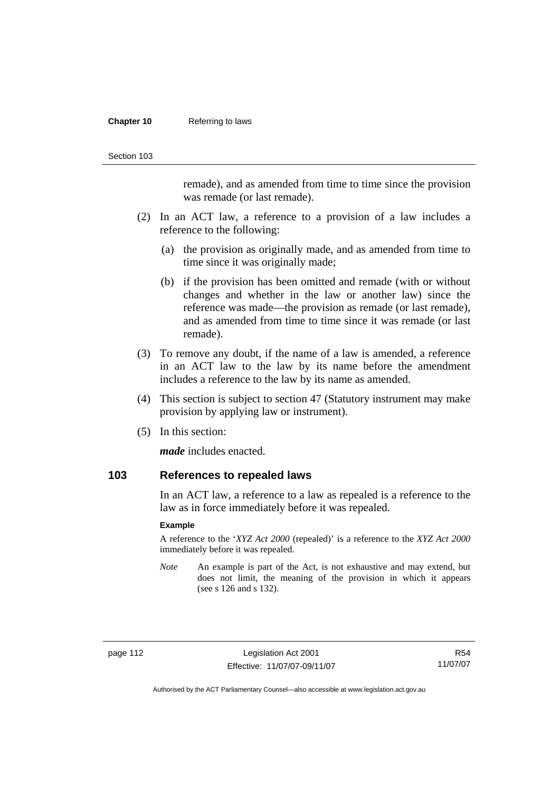#### **Chapter 10** Referring to laws

Section 103

remade), and as amended from time to time since the provision was remade (or last remade).

- (2) In an ACT law, a reference to a provision of a law includes a reference to the following:
	- (a) the provision as originally made, and as amended from time to time since it was originally made;
	- (b) if the provision has been omitted and remade (with or without changes and whether in the law or another law) since the reference was made—the provision as remade (or last remade), and as amended from time to time since it was remade (or last remade).
- (3) To remove any doubt, if the name of a law is amended, a reference in an ACT law to the law by its name before the amendment includes a reference to the law by its name as amended.
- (4) This section is subject to section 47 (Statutory instrument may make provision by applying law or instrument).
- (5) In this section:

*made* includes enacted.

### **103 References to repealed laws**

In an ACT law, a reference to a law as repealed is a reference to the law as in force immediately before it was repealed.

#### **Example**

A reference to the '*XYZ Act 2000* (repealed)' is a reference to the *XYZ Act 2000* immediately before it was repealed.

*Note* An example is part of the Act, is not exhaustive and may extend, but does not limit, the meaning of the provision in which it appears (see s 126 and s 132).

page 112 Legislation Act 2001 Effective: 11/07/07-09/11/07

R54 11/07/07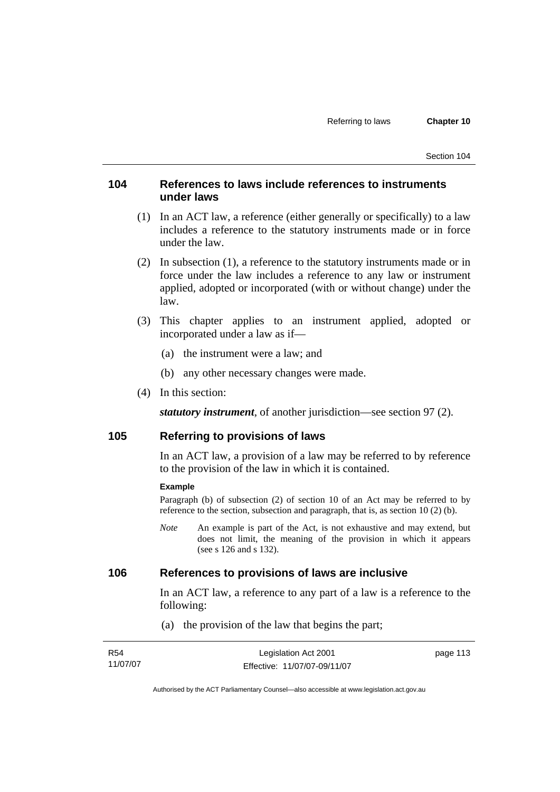# **104 References to laws include references to instruments under laws**

- (1) In an ACT law, a reference (either generally or specifically) to a law includes a reference to the statutory instruments made or in force under the law.
- (2) In subsection (1), a reference to the statutory instruments made or in force under the law includes a reference to any law or instrument applied, adopted or incorporated (with or without change) under the law.
- (3) This chapter applies to an instrument applied, adopted or incorporated under a law as if—
	- (a) the instrument were a law; and
	- (b) any other necessary changes were made.
- (4) In this section:

*statutory instrument*, of another jurisdiction—see section 97 (2).

# **105 Referring to provisions of laws**

In an ACT law, a provision of a law may be referred to by reference to the provision of the law in which it is contained.

#### **Example**

Paragraph (b) of subsection (2) of section 10 of an Act may be referred to by reference to the section, subsection and paragraph, that is, as section 10 (2) (b).

*Note* An example is part of the Act, is not exhaustive and may extend, but does not limit, the meaning of the provision in which it appears (see s 126 and s 132).

# **106 References to provisions of laws are inclusive**

In an ACT law, a reference to any part of a law is a reference to the following:

(a) the provision of the law that begins the part;

| R54      | Legislation Act 2001         | page 113 |
|----------|------------------------------|----------|
| 11/07/07 | Effective: 11/07/07-09/11/07 |          |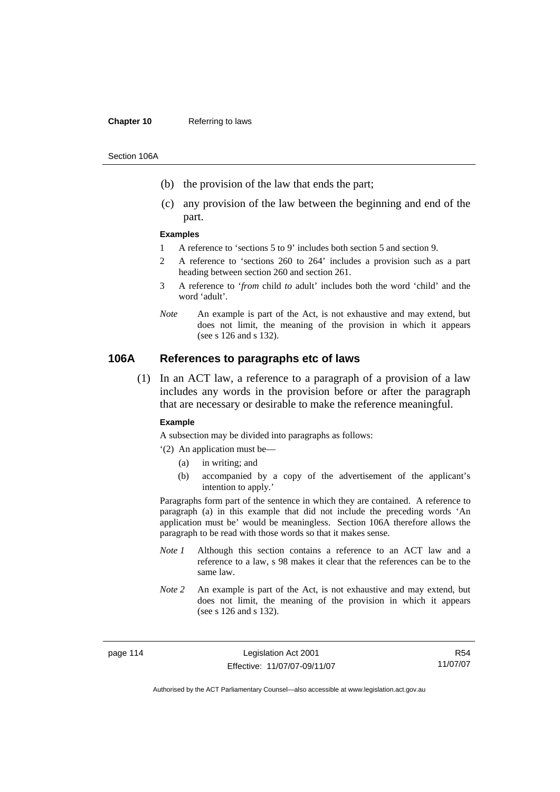#### **Chapter 10** Referring to laws

Section 106A

- (b) the provision of the law that ends the part;
- (c) any provision of the law between the beginning and end of the part.

#### **Examples**

- 1 A reference to 'sections 5 to 9' includes both section 5 and section 9.
- 2 A reference to 'sections 260 to 264' includes a provision such as a part heading between section 260 and section 261.
- 3 A reference to '*from* child *to* adult' includes both the word 'child' and the word 'adult'.
- *Note* An example is part of the Act, is not exhaustive and may extend, but does not limit, the meaning of the provision in which it appears (see s 126 and s 132).

# **106A References to paragraphs etc of laws**

 (1) In an ACT law, a reference to a paragraph of a provision of a law includes any words in the provision before or after the paragraph that are necessary or desirable to make the reference meaningful.

#### **Example**

A subsection may be divided into paragraphs as follows:

'(2) An application must be—

- (a) in writing; and
- (b) accompanied by a copy of the advertisement of the applicant's intention to apply.'

Paragraphs form part of the sentence in which they are contained. A reference to paragraph (a) in this example that did not include the preceding words 'An application must be' would be meaningless. Section 106A therefore allows the paragraph to be read with those words so that it makes sense.

- *Note 1* Although this section contains a reference to an ACT law and a reference to a law, s 98 makes it clear that the references can be to the same law.
- *Note 2* An example is part of the Act, is not exhaustive and may extend, but does not limit, the meaning of the provision in which it appears (see s 126 and s 132).

page 114 Legislation Act 2001 Effective: 11/07/07-09/11/07

R54 11/07/07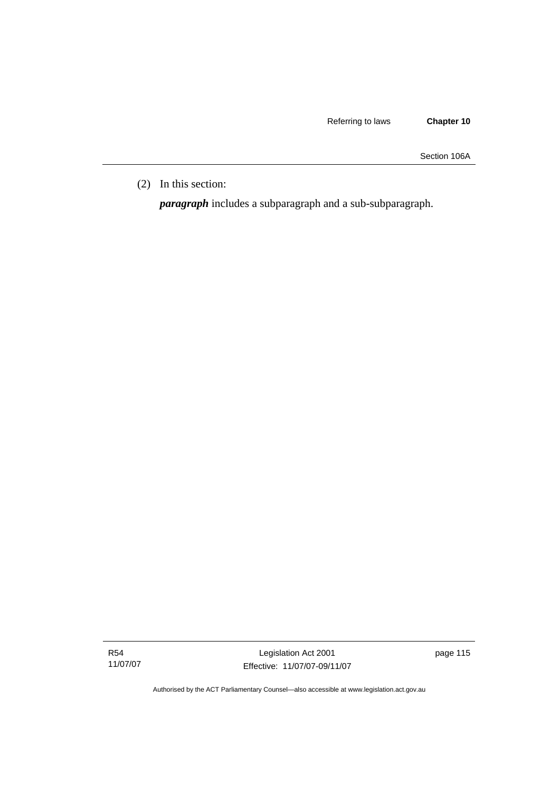Section 106A

(2) In this section:

*paragraph* includes a subparagraph and a sub-subparagraph.

R54 11/07/07

Legislation Act 2001 Effective: 11/07/07-09/11/07 page 115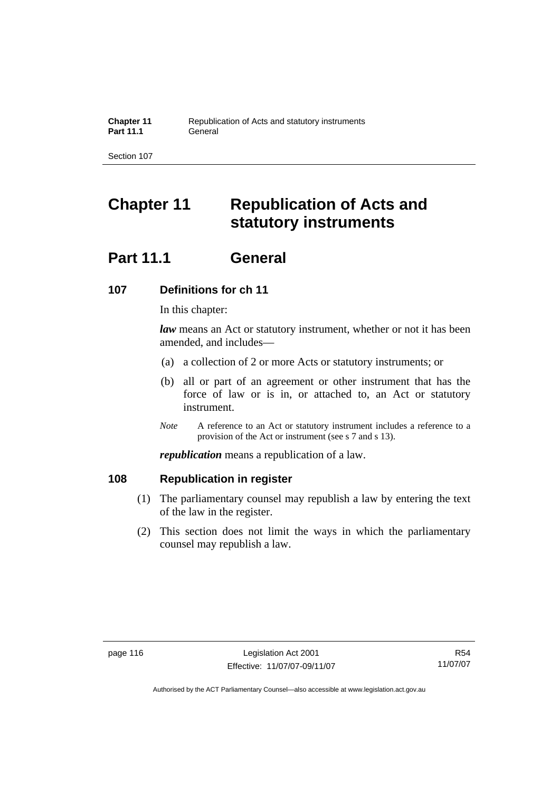# **Chapter 11 Republication of Acts and statutory instruments**

# **Part 11.1 General**

# **107 Definitions for ch 11**

In this chapter:

*law* means an Act or statutory instrument, whether or not it has been amended, and includes—

- (a) a collection of 2 or more Acts or statutory instruments; or
- (b) all or part of an agreement or other instrument that has the force of law or is in, or attached to, an Act or statutory instrument.
- *Note* A reference to an Act or statutory instrument includes a reference to a provision of the Act or instrument (see s 7 and s 13).

*republication* means a republication of a law.

# **108 Republication in register**

- (1) The parliamentary counsel may republish a law by entering the text of the law in the register.
- (2) This section does not limit the ways in which the parliamentary counsel may republish a law.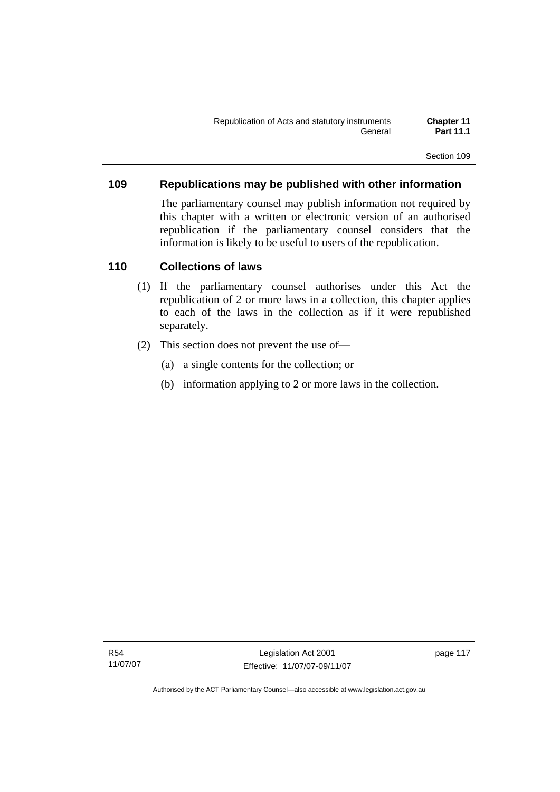# **109 Republications may be published with other information**

The parliamentary counsel may publish information not required by this chapter with a written or electronic version of an authorised republication if the parliamentary counsel considers that the information is likely to be useful to users of the republication.

# **110 Collections of laws**

- (1) If the parliamentary counsel authorises under this Act the republication of 2 or more laws in a collection, this chapter applies to each of the laws in the collection as if it were republished separately.
- (2) This section does not prevent the use of—
	- (a) a single contents for the collection; or
	- (b) information applying to 2 or more laws in the collection.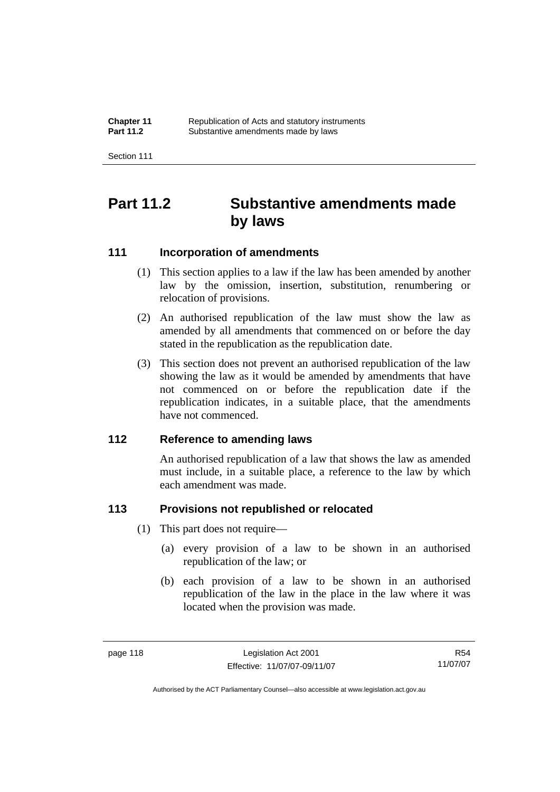| <b>Chapter 11</b> | Republication of Acts and statutory instruments |
|-------------------|-------------------------------------------------|
| <b>Part 11.2</b>  | Substantive amendments made by laws             |

# **Part 11.2 Substantive amendments made by laws**

# **111 Incorporation of amendments**

- (1) This section applies to a law if the law has been amended by another law by the omission, insertion, substitution, renumbering or relocation of provisions.
- (2) An authorised republication of the law must show the law as amended by all amendments that commenced on or before the day stated in the republication as the republication date.
- (3) This section does not prevent an authorised republication of the law showing the law as it would be amended by amendments that have not commenced on or before the republication date if the republication indicates, in a suitable place, that the amendments have not commenced.

# **112 Reference to amending laws**

An authorised republication of a law that shows the law as amended must include, in a suitable place, a reference to the law by which each amendment was made.

# **113 Provisions not republished or relocated**

- (1) This part does not require—
	- (a) every provision of a law to be shown in an authorised republication of the law; or
	- (b) each provision of a law to be shown in an authorised republication of the law in the place in the law where it was located when the provision was made.

R54 11/07/07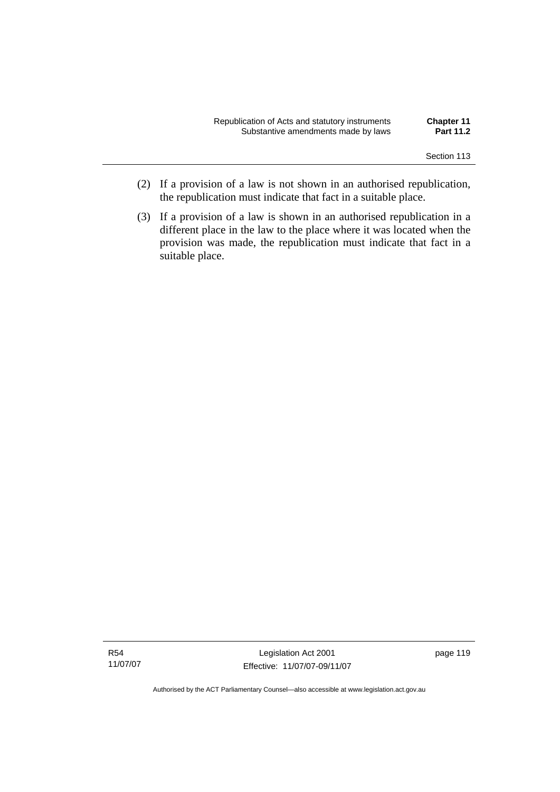| Republication of Acts and statutory instruments | <b>Chapter 11</b> |
|-------------------------------------------------|-------------------|
| Substantive amendments made by laws             | <b>Part 11.2</b>  |

- (2) If a provision of a law is not shown in an authorised republication, the republication must indicate that fact in a suitable place.
- (3) If a provision of a law is shown in an authorised republication in a different place in the law to the place where it was located when the provision was made, the republication must indicate that fact in a suitable place.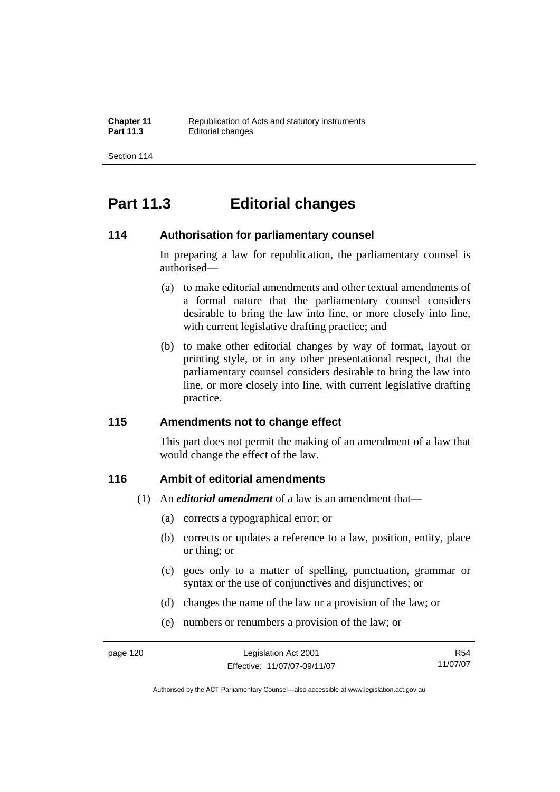# **Part 11.3 Editorial changes**

# **114 Authorisation for parliamentary counsel**

In preparing a law for republication, the parliamentary counsel is authorised—

- (a) to make editorial amendments and other textual amendments of a formal nature that the parliamentary counsel considers desirable to bring the law into line, or more closely into line, with current legislative drafting practice; and
- (b) to make other editorial changes by way of format, layout or printing style, or in any other presentational respect, that the parliamentary counsel considers desirable to bring the law into line, or more closely into line, with current legislative drafting practice.

# **115 Amendments not to change effect**

This part does not permit the making of an amendment of a law that would change the effect of the law.

# **116 Ambit of editorial amendments**

- (1) An *editorial amendment* of a law is an amendment that—
	- (a) corrects a typographical error; or
	- (b) corrects or updates a reference to a law, position, entity, place or thing; or
	- (c) goes only to a matter of spelling, punctuation, grammar or syntax or the use of conjunctives and disjunctives; or
	- (d) changes the name of the law or a provision of the law; or
	- (e) numbers or renumbers a provision of the law; or

R54 11/07/07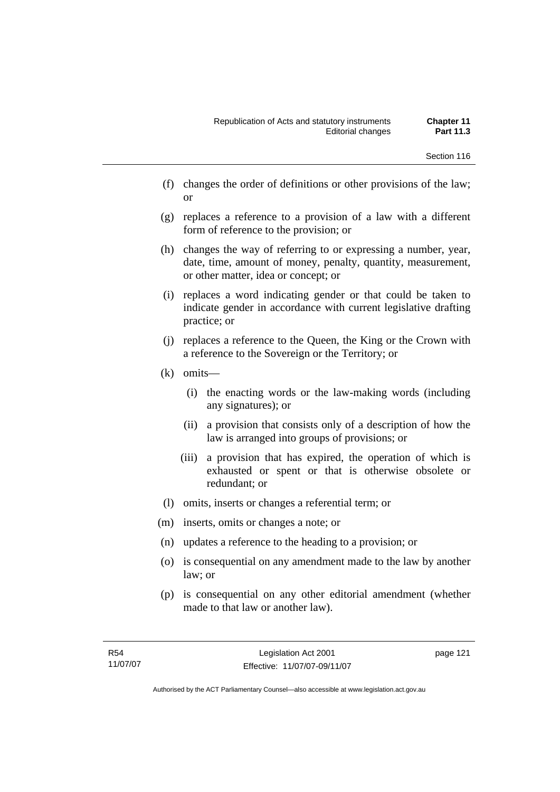- (f) changes the order of definitions or other provisions of the law; or
- (g) replaces a reference to a provision of a law with a different form of reference to the provision; or
- (h) changes the way of referring to or expressing a number, year, date, time, amount of money, penalty, quantity, measurement, or other matter, idea or concept; or
- (i) replaces a word indicating gender or that could be taken to indicate gender in accordance with current legislative drafting practice; or
- (j) replaces a reference to the Queen, the King or the Crown with a reference to the Sovereign or the Territory; or
- (k) omits—
	- (i) the enacting words or the law-making words (including any signatures); or
	- (ii) a provision that consists only of a description of how the law is arranged into groups of provisions; or
	- (iii) a provision that has expired, the operation of which is exhausted or spent or that is otherwise obsolete or redundant; or
- (l) omits, inserts or changes a referential term; or
- (m) inserts, omits or changes a note; or
- (n) updates a reference to the heading to a provision; or
- (o) is consequential on any amendment made to the law by another law; or
- (p) is consequential on any other editorial amendment (whether made to that law or another law).

page 121

Authorised by the ACT Parliamentary Counsel—also accessible at www.legislation.act.gov.au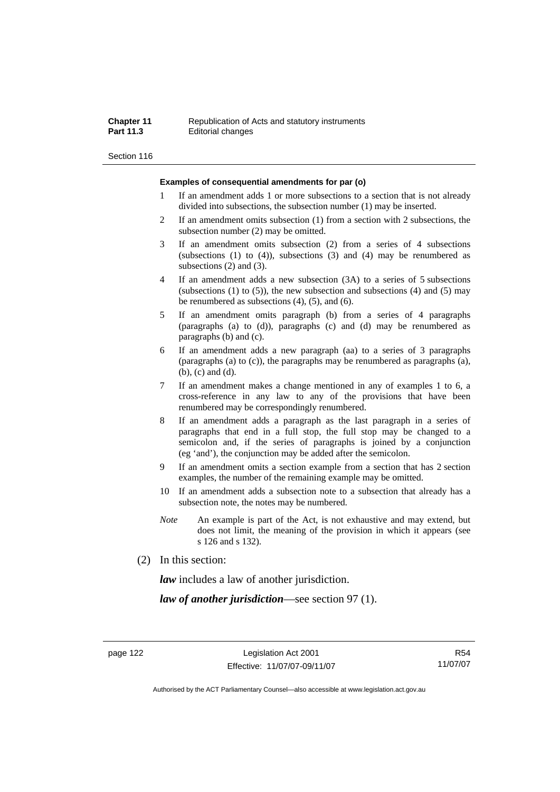#### **Chapter 11 Republication of Acts and statutory instruments**<br>**Part 11.3 Editorial changes Editorial changes**

Section 116

#### **Examples of consequential amendments for par (o)**

- 1 If an amendment adds 1 or more subsections to a section that is not already divided into subsections, the subsection number (1) may be inserted.
- 2 If an amendment omits subsection (1) from a section with 2 subsections, the subsection number (2) may be omitted.
- 3 If an amendment omits subsection (2) from a series of 4 subsections (subsections  $(1)$  to  $(4)$ ), subsections  $(3)$  and  $(4)$  may be renumbered as subsections (2) and (3).
- 4 If an amendment adds a new subsection (3A) to a series of 5 subsections (subsections  $(1)$  to  $(5)$ ), the new subsection and subsections  $(4)$  and  $(5)$  may be renumbered as subsections (4), (5), and (6).
- 5 If an amendment omits paragraph (b) from a series of 4 paragraphs (paragraphs (a) to (d)), paragraphs (c) and (d) may be renumbered as paragraphs (b) and (c).
- 6 If an amendment adds a new paragraph (aa) to a series of 3 paragraphs (paragraphs (a) to (c)), the paragraphs may be renumbered as paragraphs (a), (b), (c) and (d).
- 7 If an amendment makes a change mentioned in any of examples 1 to 6, a cross-reference in any law to any of the provisions that have been renumbered may be correspondingly renumbered.
- 8 If an amendment adds a paragraph as the last paragraph in a series of paragraphs that end in a full stop, the full stop may be changed to a semicolon and, if the series of paragraphs is joined by a conjunction (eg 'and'), the conjunction may be added after the semicolon.
- 9 If an amendment omits a section example from a section that has 2 section examples, the number of the remaining example may be omitted.
- 10 If an amendment adds a subsection note to a subsection that already has a subsection note, the notes may be numbered.
- *Note* An example is part of the Act, is not exhaustive and may extend, but does not limit, the meaning of the provision in which it appears (see s 126 and s 132).
- (2) In this section:

*law* includes a law of another jurisdiction.

*law of another jurisdiction*—see section 97 (1).

R54 11/07/07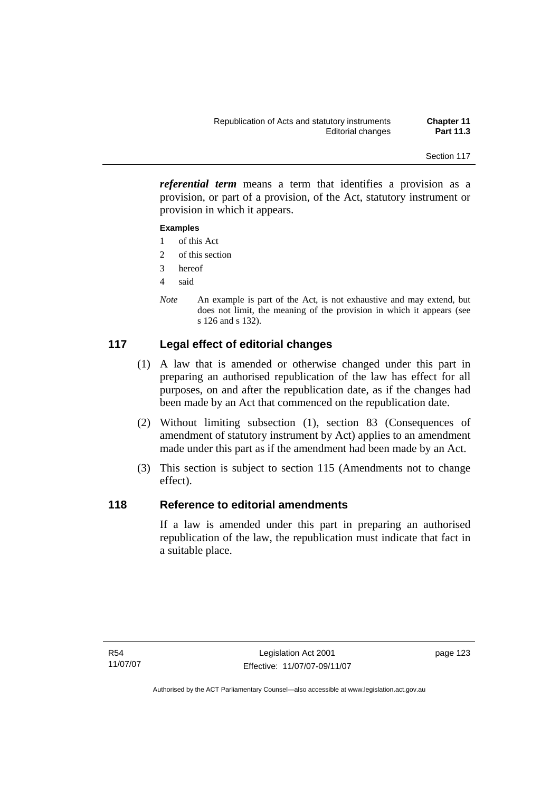*referential term* means a term that identifies a provision as a provision, or part of a provision, of the Act, statutory instrument or provision in which it appears.

### **Examples**

- 1 of this Act
- 2 of this section
- 3 hereof
- 4 said
- *Note* An example is part of the Act, is not exhaustive and may extend, but does not limit, the meaning of the provision in which it appears (see s 126 and s 132).

# **117 Legal effect of editorial changes**

- (1) A law that is amended or otherwise changed under this part in preparing an authorised republication of the law has effect for all purposes, on and after the republication date, as if the changes had been made by an Act that commenced on the republication date.
- (2) Without limiting subsection (1), section 83 (Consequences of amendment of statutory instrument by Act) applies to an amendment made under this part as if the amendment had been made by an Act.
- (3) This section is subject to section 115 (Amendments not to change effect).

# **118 Reference to editorial amendments**

If a law is amended under this part in preparing an authorised republication of the law, the republication must indicate that fact in a suitable place.

page 123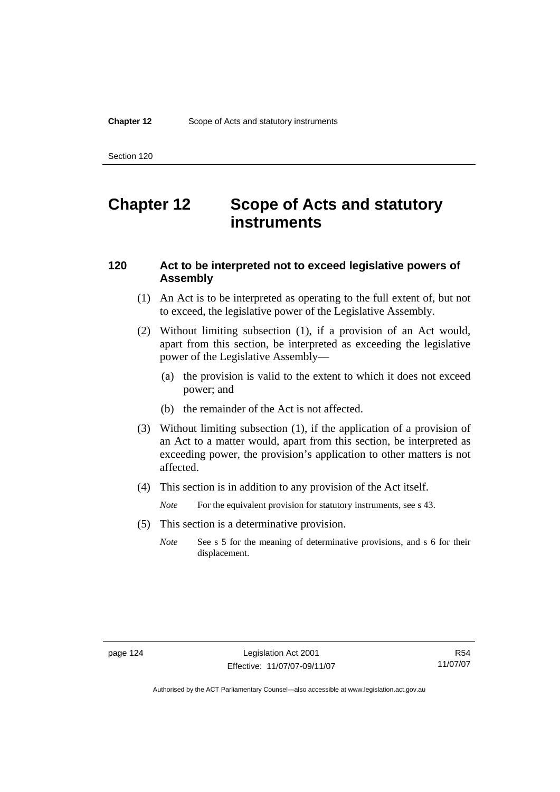# **Chapter 12 Scope of Acts and statutory instruments**

# **120 Act to be interpreted not to exceed legislative powers of Assembly**

- (1) An Act is to be interpreted as operating to the full extent of, but not to exceed, the legislative power of the Legislative Assembly.
- (2) Without limiting subsection (1), if a provision of an Act would, apart from this section, be interpreted as exceeding the legislative power of the Legislative Assembly—
	- (a) the provision is valid to the extent to which it does not exceed power; and
	- (b) the remainder of the Act is not affected.
- (3) Without limiting subsection (1), if the application of a provision of an Act to a matter would, apart from this section, be interpreted as exceeding power, the provision's application to other matters is not affected.
- (4) This section is in addition to any provision of the Act itself.

*Note* For the equivalent provision for statutory instruments, see s 43.

- (5) This section is a determinative provision.
	- *Note* See s 5 for the meaning of determinative provisions, and s 6 for their displacement.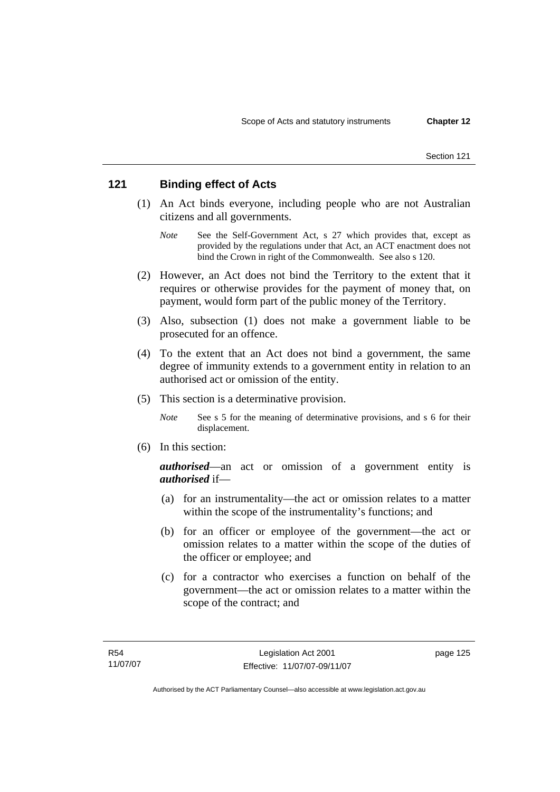# **121 Binding effect of Acts**

- (1) An Act binds everyone, including people who are not Australian citizens and all governments.
	- *Note* See the Self-Government Act, s 27 which provides that, except as provided by the regulations under that Act, an ACT enactment does not bind the Crown in right of the Commonwealth. See also s 120.
- (2) However, an Act does not bind the Territory to the extent that it requires or otherwise provides for the payment of money that, on payment, would form part of the public money of the Territory.
- (3) Also, subsection (1) does not make a government liable to be prosecuted for an offence.
- (4) To the extent that an Act does not bind a government, the same degree of immunity extends to a government entity in relation to an authorised act or omission of the entity.
- (5) This section is a determinative provision.

*Note* See s 5 for the meaning of determinative provisions, and s 6 for their displacement.

(6) In this section:

*authorised*—an act or omission of a government entity is *authorised* if—

- (a) for an instrumentality—the act or omission relates to a matter within the scope of the instrumentality's functions; and
- (b) for an officer or employee of the government—the act or omission relates to a matter within the scope of the duties of the officer or employee; and
- (c) for a contractor who exercises a function on behalf of the government—the act or omission relates to a matter within the scope of the contract; and

page 125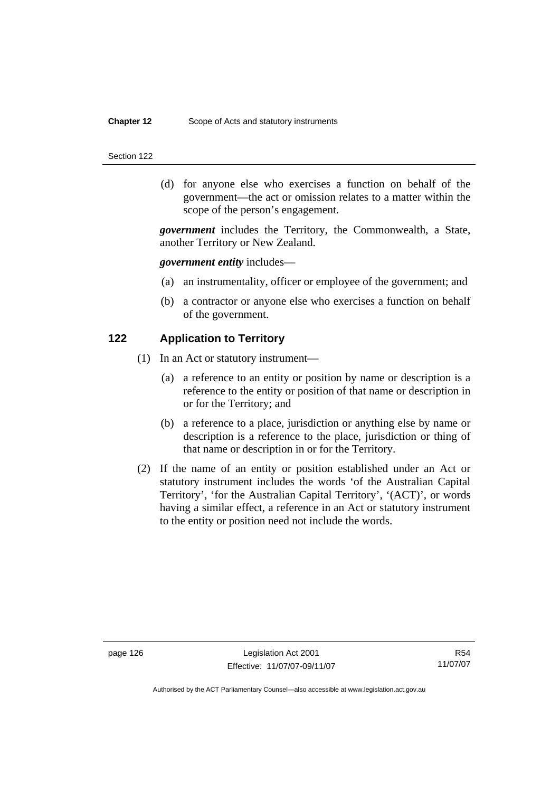#### **Chapter 12** Scope of Acts and statutory instruments

#### Section 122

 (d) for anyone else who exercises a function on behalf of the government—the act or omission relates to a matter within the scope of the person's engagement.

*government* includes the Territory, the Commonwealth, a State, another Territory or New Zealand.

### *government entity* includes—

- (a) an instrumentality, officer or employee of the government; and
- (b) a contractor or anyone else who exercises a function on behalf of the government.

### **122 Application to Territory**

- (1) In an Act or statutory instrument—
	- (a) a reference to an entity or position by name or description is a reference to the entity or position of that name or description in or for the Territory; and
	- (b) a reference to a place, jurisdiction or anything else by name or description is a reference to the place, jurisdiction or thing of that name or description in or for the Territory.
- (2) If the name of an entity or position established under an Act or statutory instrument includes the words 'of the Australian Capital Territory', 'for the Australian Capital Territory', '(ACT)', or words having a similar effect, a reference in an Act or statutory instrument to the entity or position need not include the words.

R54 11/07/07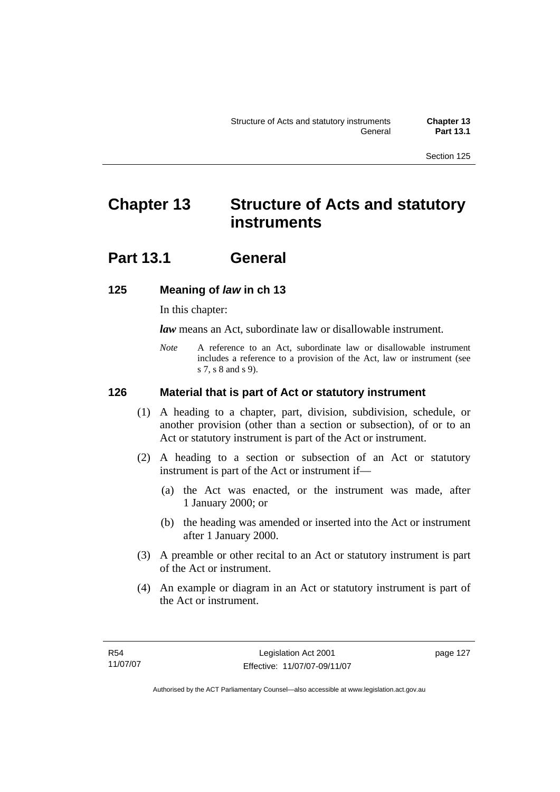# **Chapter 13 Structure of Acts and statutory instruments**

# **Part 13.1 General**

# **125 Meaning of** *law* **in ch 13**

In this chapter:

*law* means an Act, subordinate law or disallowable instrument.

*Note* A reference to an Act, subordinate law or disallowable instrument includes a reference to a provision of the Act, law or instrument (see s 7, s 8 and s 9).

# **126 Material that is part of Act or statutory instrument**

- (1) A heading to a chapter, part, division, subdivision, schedule, or another provision (other than a section or subsection), of or to an Act or statutory instrument is part of the Act or instrument.
- (2) A heading to a section or subsection of an Act or statutory instrument is part of the Act or instrument if—
	- (a) the Act was enacted, or the instrument was made, after 1 January 2000; or
	- (b) the heading was amended or inserted into the Act or instrument after 1 January 2000.
- (3) A preamble or other recital to an Act or statutory instrument is part of the Act or instrument.
- (4) An example or diagram in an Act or statutory instrument is part of the Act or instrument.

page 127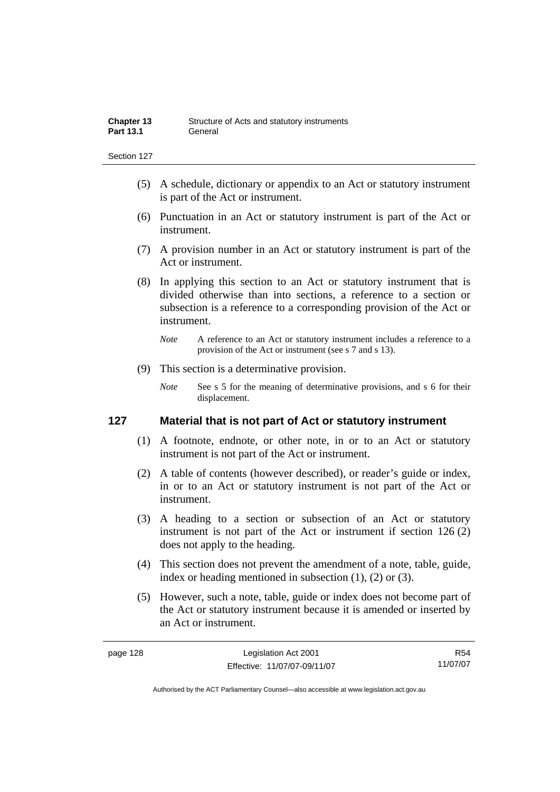- (5) A schedule, dictionary or appendix to an Act or statutory instrument is part of the Act or instrument.
- (6) Punctuation in an Act or statutory instrument is part of the Act or instrument.
- (7) A provision number in an Act or statutory instrument is part of the Act or instrument.
- (8) In applying this section to an Act or statutory instrument that is divided otherwise than into sections, a reference to a section or subsection is a reference to a corresponding provision of the Act or instrument.
	- *Note* A reference to an Act or statutory instrument includes a reference to a provision of the Act or instrument (see s 7 and s 13).
- (9) This section is a determinative provision.
	- *Note* See s 5 for the meaning of determinative provisions, and s 6 for their displacement.

# **127 Material that is not part of Act or statutory instrument**

- (1) A footnote, endnote, or other note, in or to an Act or statutory instrument is not part of the Act or instrument.
- (2) A table of contents (however described), or reader's guide or index, in or to an Act or statutory instrument is not part of the Act or instrument.
- (3) A heading to a section or subsection of an Act or statutory instrument is not part of the Act or instrument if section 126 (2) does not apply to the heading.
- (4) This section does not prevent the amendment of a note, table, guide, index or heading mentioned in subsection (1), (2) or (3).
- (5) However, such a note, table, guide or index does not become part of the Act or statutory instrument because it is amended or inserted by an Act or instrument.

R54 11/07/07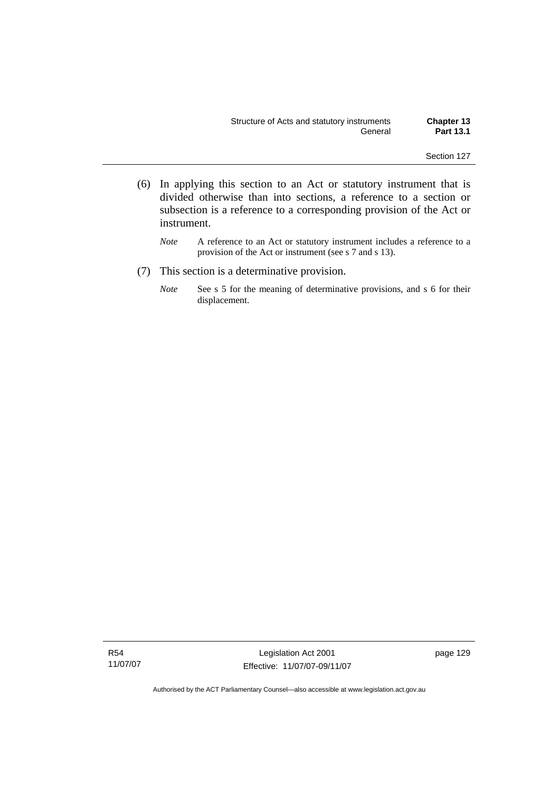- (6) In applying this section to an Act or statutory instrument that is divided otherwise than into sections, a reference to a section or subsection is a reference to a corresponding provision of the Act or instrument.
	- *Note* A reference to an Act or statutory instrument includes a reference to a provision of the Act or instrument (see s 7 and s 13).
- (7) This section is a determinative provision.
	- *Note* See s 5 for the meaning of determinative provisions, and s 6 for their displacement.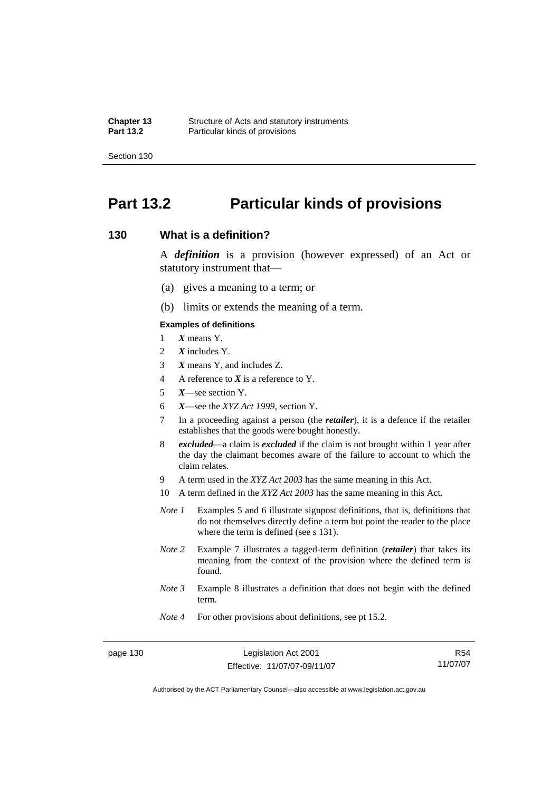# **Part 13.2 Particular kinds of provisions**

## **130 What is a definition?**

A *definition* is a provision (however expressed) of an Act or statutory instrument that—

- (a) gives a meaning to a term; or
- (b) limits or extends the meaning of a term.

#### **Examples of definitions**

- 1 *X* means Y.
- 2 *X* includes Y.
- 3 *X* means Y, and includes Z.
- 4 A reference to *X* is a reference to Y.
- 5 *X*—see section Y.
- 6 *X*—see the *XYZ Act 1999*, section Y.
- 7 In a proceeding against a person (the *retailer*), it is a defence if the retailer establishes that the goods were bought honestly.
- 8 *excluded*—a claim is *excluded* if the claim is not brought within 1 year after the day the claimant becomes aware of the failure to account to which the claim relates.
- 9 A term used in the *XYZ Act 2003* has the same meaning in this Act.
- 10 A term defined in the *XYZ Act 2003* has the same meaning in this Act.
- *Note 1* Examples 5 and 6 illustrate signpost definitions, that is, definitions that do not themselves directly define a term but point the reader to the place where the term is defined (see s 131).
- *Note 2* Example 7 illustrates a tagged-term definition (*retailer*) that takes its meaning from the context of the provision where the defined term is found.
- *Note 3* Example 8 illustrates a definition that does not begin with the defined term.
- *Note 4* For other provisions about definitions, see pt 15.2.

page 130 Legislation Act 2001 Effective: 11/07/07-09/11/07

R54 11/07/07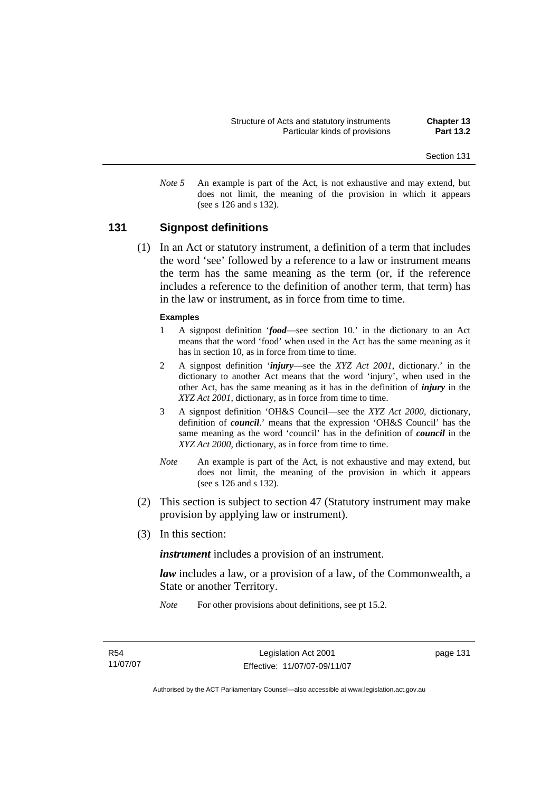*Note 5* An example is part of the Act, is not exhaustive and may extend, but does not limit, the meaning of the provision in which it appears (see s 126 and s 132).

# **131 Signpost definitions**

 (1) In an Act or statutory instrument, a definition of a term that includes the word 'see' followed by a reference to a law or instrument means the term has the same meaning as the term (or, if the reference includes a reference to the definition of another term, that term) has in the law or instrument, as in force from time to time.

#### **Examples**

- 1 A signpost definition '*food*—see section 10.' in the dictionary to an Act means that the word 'food' when used in the Act has the same meaning as it has in section 10, as in force from time to time.
- 2 A signpost definition '*injury*—see the *XYZ Act 2001*, dictionary.' in the dictionary to another Act means that the word 'injury', when used in the other Act, has the same meaning as it has in the definition of *injury* in the *XYZ Act 2001*, dictionary, as in force from time to time.
- 3 A signpost definition 'OH&S Council—see the *XYZ Act 2000*, dictionary, definition of *council*.' means that the expression 'OH&S Council' has the same meaning as the word 'council' has in the definition of *council* in the *XYZ Act 2000*, dictionary, as in force from time to time.
- *Note* An example is part of the Act, is not exhaustive and may extend, but does not limit, the meaning of the provision in which it appears (see s 126 and s 132).
- (2) This section is subject to section 47 (Statutory instrument may make provision by applying law or instrument).
- (3) In this section:

*instrument* includes a provision of an instrument.

*law* includes a law, or a provision of a law, of the Commonwealth, a State or another Territory.

*Note* For other provisions about definitions, see pt 15.2.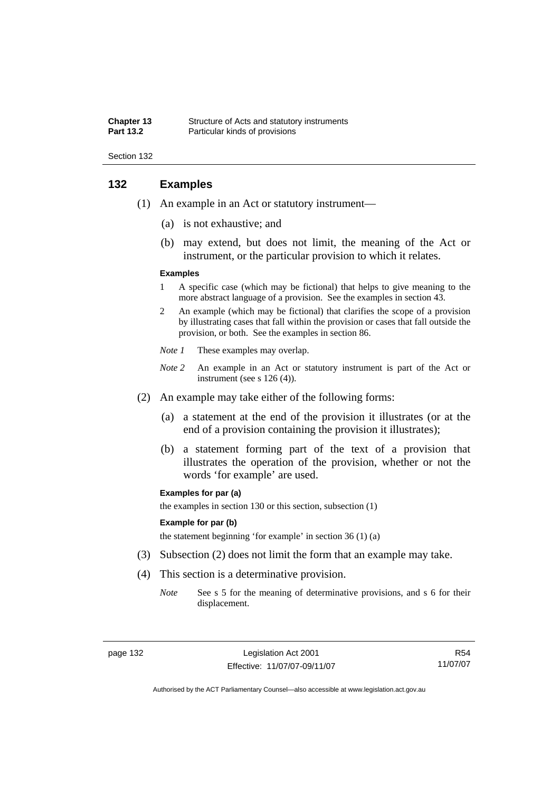| <b>Chapter 13</b> | Structure of Acts and statutory instruments |
|-------------------|---------------------------------------------|
| <b>Part 13.2</b>  | Particular kinds of provisions              |

# **132 Examples**

- (1) An example in an Act or statutory instrument—
	- (a) is not exhaustive; and
	- (b) may extend, but does not limit, the meaning of the Act or instrument, or the particular provision to which it relates.

#### **Examples**

- 1 A specific case (which may be fictional) that helps to give meaning to the more abstract language of a provision. See the examples in section 43.
- 2 An example (which may be fictional) that clarifies the scope of a provision by illustrating cases that fall within the provision or cases that fall outside the provision, or both. See the examples in section 86.
- *Note 1* These examples may overlap.
- *Note 2* An example in an Act or statutory instrument is part of the Act or instrument (see s 126 (4)).
- (2) An example may take either of the following forms:
	- (a) a statement at the end of the provision it illustrates (or at the end of a provision containing the provision it illustrates);
	- (b) a statement forming part of the text of a provision that illustrates the operation of the provision, whether or not the words 'for example' are used.

#### **Examples for par (a)**

the examples in section 130 or this section, subsection (1)

#### **Example for par (b)**

the statement beginning 'for example' in section 36 (1) (a)

- (3) Subsection (2) does not limit the form that an example may take.
- (4) This section is a determinative provision.
	- *Note* See s 5 for the meaning of determinative provisions, and s 6 for their displacement.

R54 11/07/07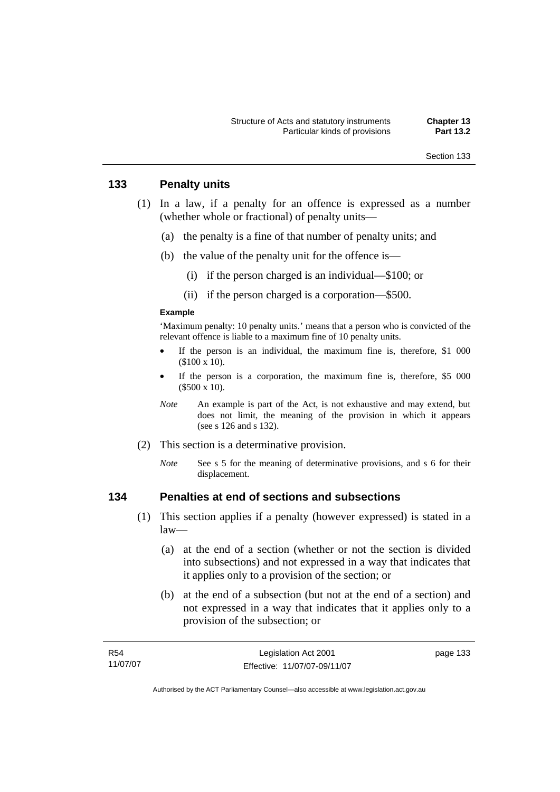# **133 Penalty units**

- (1) In a law, if a penalty for an offence is expressed as a number (whether whole or fractional) of penalty units—
	- (a) the penalty is a fine of that number of penalty units; and
	- (b) the value of the penalty unit for the offence is—
		- (i) if the person charged is an individual—\$100; or
		- (ii) if the person charged is a corporation—\$500.

#### **Example**

'Maximum penalty: 10 penalty units.' means that a person who is convicted of the relevant offence is liable to a maximum fine of 10 penalty units.

- If the person is an individual, the maximum fine is, therefore,  $$1\ 000$ (\$100 x 10).
- If the person is a corporation, the maximum fine is, therefore, \$5 000 (\$500 x 10).
- *Note* An example is part of the Act, is not exhaustive and may extend, but does not limit, the meaning of the provision in which it appears (see s 126 and s 132).
- (2) This section is a determinative provision.
	- *Note* See s 5 for the meaning of determinative provisions, and s 6 for their displacement.

# **134 Penalties at end of sections and subsections**

- (1) This section applies if a penalty (however expressed) is stated in a law—
	- (a) at the end of a section (whether or not the section is divided into subsections) and not expressed in a way that indicates that it applies only to a provision of the section; or
	- (b) at the end of a subsection (but not at the end of a section) and not expressed in a way that indicates that it applies only to a provision of the subsection; or

| R54      | Legislation Act 2001         | page 133 |
|----------|------------------------------|----------|
| 11/07/07 | Effective: 11/07/07-09/11/07 |          |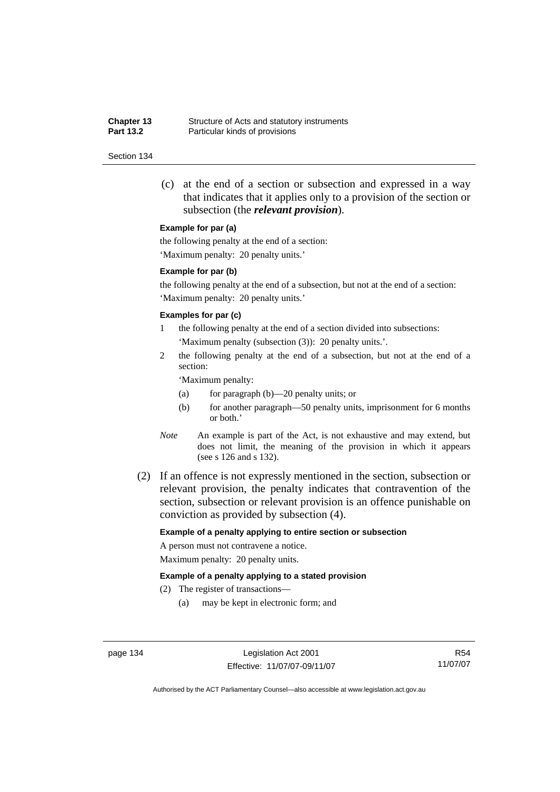**Chapter 13** Structure of Acts and statutory instruments<br>**Part 13.2** Particular kinds of provisions Particular kinds of provisions

#### Section 134

 (c) at the end of a section or subsection and expressed in a way that indicates that it applies only to a provision of the section or subsection (the *relevant provision*).

#### **Example for par (a)**

the following penalty at the end of a section: 'Maximum penalty: 20 penalty units.'

#### **Example for par (b)**

the following penalty at the end of a subsection, but not at the end of a section: 'Maximum penalty: 20 penalty units.'

#### **Examples for par (c)**

- 1 the following penalty at the end of a section divided into subsections: 'Maximum penalty (subsection (3)): 20 penalty units.'.
- 2 the following penalty at the end of a subsection, but not at the end of a section:

'Maximum penalty:

- (a) for paragraph (b)—20 penalty units; or
- (b) for another paragraph—50 penalty units, imprisonment for 6 months or both.'
- *Note* An example is part of the Act, is not exhaustive and may extend, but does not limit, the meaning of the provision in which it appears (see s 126 and s 132).
- (2) If an offence is not expressly mentioned in the section, subsection or relevant provision, the penalty indicates that contravention of the section, subsection or relevant provision is an offence punishable on conviction as provided by subsection (4).

#### **Example of a penalty applying to entire section or subsection**

A person must not contravene a notice. Maximum penalty: 20 penalty units.

#### **Example of a penalty applying to a stated provision**

- (2) The register of transactions—
	- (a) may be kept in electronic form; and

page 134 Legislation Act 2001 Effective: 11/07/07-09/11/07

R54 11/07/07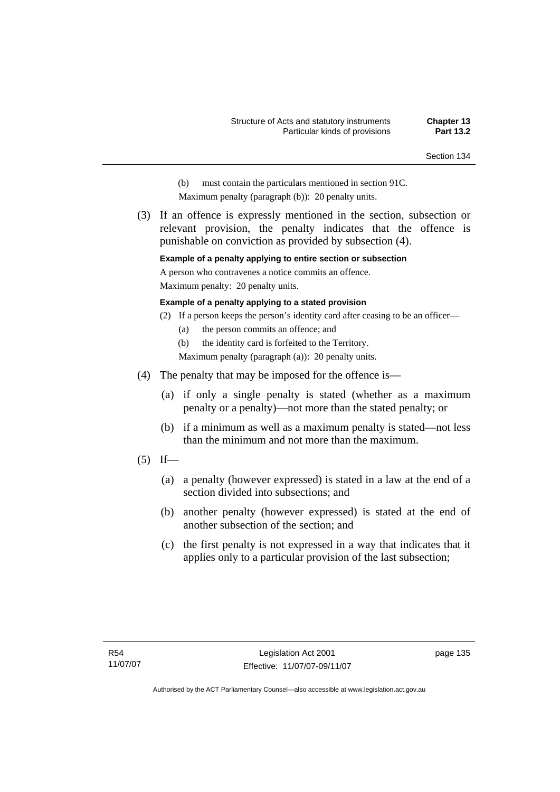- (b) must contain the particulars mentioned in section 91C.
- Maximum penalty (paragraph (b)): 20 penalty units.
- (3) If an offence is expressly mentioned in the section, subsection or relevant provision, the penalty indicates that the offence is punishable on conviction as provided by subsection (4).

#### **Example of a penalty applying to entire section or subsection**

A person who contravenes a notice commits an offence.

Maximum penalty: 20 penalty units.

#### **Example of a penalty applying to a stated provision**

- (2) If a person keeps the person's identity card after ceasing to be an officer—
	- (a) the person commits an offence; and

(b) the identity card is forfeited to the Territory.

Maximum penalty (paragraph (a)): 20 penalty units.

- (4) The penalty that may be imposed for the offence is—
	- (a) if only a single penalty is stated (whether as a maximum penalty or a penalty)—not more than the stated penalty; or
	- (b) if a minimum as well as a maximum penalty is stated—not less than the minimum and not more than the maximum.
- $(5)$  If—
	- (a) a penalty (however expressed) is stated in a law at the end of a section divided into subsections; and
	- (b) another penalty (however expressed) is stated at the end of another subsection of the section; and
	- (c) the first penalty is not expressed in a way that indicates that it applies only to a particular provision of the last subsection;

page 135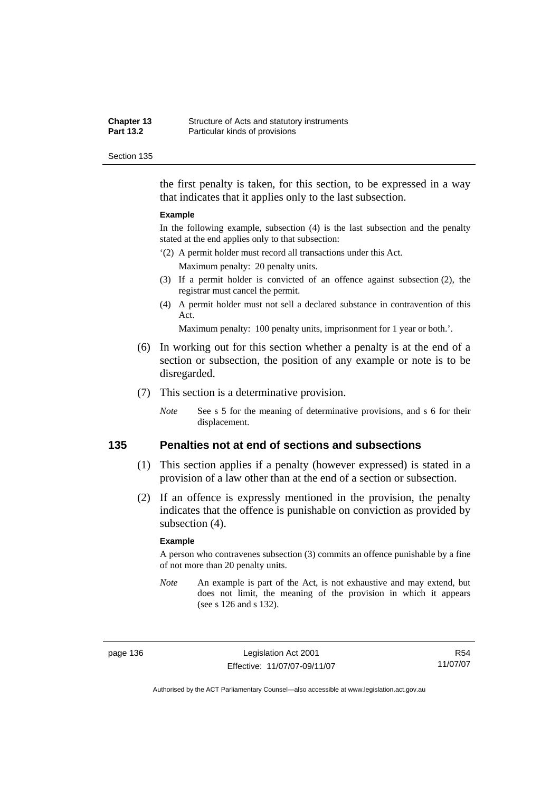| <b>Chapter 13</b> | Structure of Acts and statutory instruments |
|-------------------|---------------------------------------------|
| <b>Part 13.2</b>  | Particular kinds of provisions              |

the first penalty is taken, for this section, to be expressed in a way that indicates that it applies only to the last subsection.

#### **Example**

In the following example, subsection (4) is the last subsection and the penalty stated at the end applies only to that subsection:

'(2) A permit holder must record all transactions under this Act.

Maximum penalty: 20 penalty units.

- (3) If a permit holder is convicted of an offence against subsection (2), the registrar must cancel the permit.
- (4) A permit holder must not sell a declared substance in contravention of this Act.

Maximum penalty: 100 penalty units, imprisonment for 1 year or both.'.

- (6) In working out for this section whether a penalty is at the end of a section or subsection, the position of any example or note is to be disregarded.
- (7) This section is a determinative provision.
	- *Note* See s 5 for the meaning of determinative provisions, and s 6 for their displacement.

## **135 Penalties not at end of sections and subsections**

- (1) This section applies if a penalty (however expressed) is stated in a provision of a law other than at the end of a section or subsection.
- (2) If an offence is expressly mentioned in the provision, the penalty indicates that the offence is punishable on conviction as provided by subsection (4).

#### **Example**

A person who contravenes subsection (3) commits an offence punishable by a fine of not more than 20 penalty units.

*Note* An example is part of the Act, is not exhaustive and may extend, but does not limit, the meaning of the provision in which it appears (see s 126 and s 132).

page 136 Legislation Act 2001 Effective: 11/07/07-09/11/07

R54 11/07/07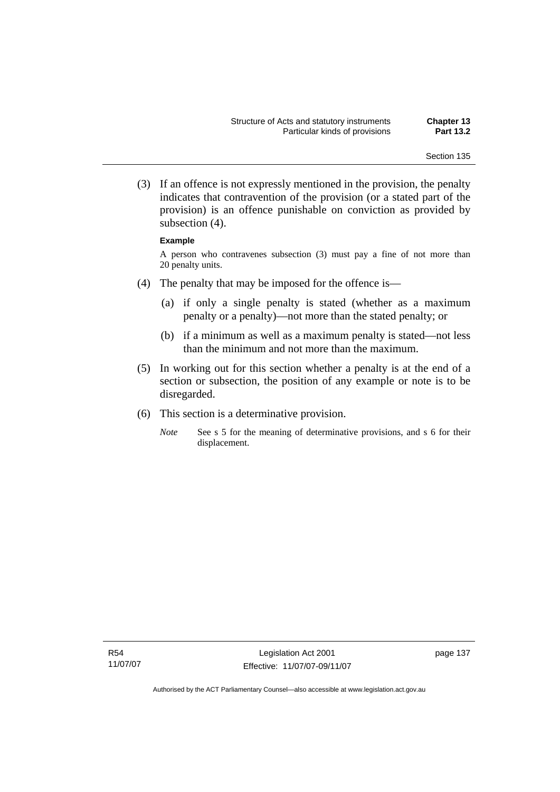(3) If an offence is not expressly mentioned in the provision, the penalty indicates that contravention of the provision (or a stated part of the provision) is an offence punishable on conviction as provided by subsection (4).

#### **Example**

A person who contravenes subsection (3) must pay a fine of not more than 20 penalty units.

- (4) The penalty that may be imposed for the offence is—
	- (a) if only a single penalty is stated (whether as a maximum penalty or a penalty)—not more than the stated penalty; or
	- (b) if a minimum as well as a maximum penalty is stated—not less than the minimum and not more than the maximum.
- (5) In working out for this section whether a penalty is at the end of a section or subsection, the position of any example or note is to be disregarded.
- (6) This section is a determinative provision.
	- *Note* See s 5 for the meaning of determinative provisions, and s 6 for their displacement.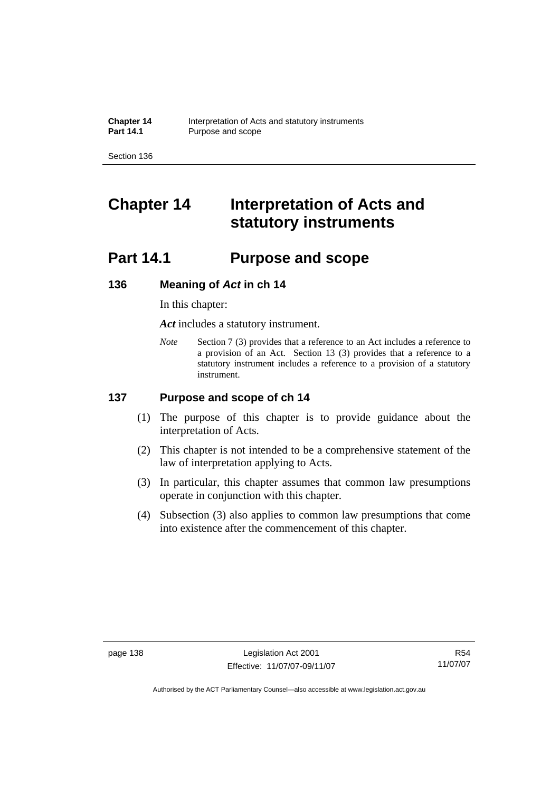# **Chapter 14 Interpretation of Acts and statutory instruments**

# **Part 14.1 Purpose and scope**

# **136 Meaning of** *Act* **in ch 14**

In this chapter:

*Act* includes a statutory instrument.

*Note* Section 7 (3) provides that a reference to an Act includes a reference to a provision of an Act. Section 13 (3) provides that a reference to a statutory instrument includes a reference to a provision of a statutory instrument.

# **137 Purpose and scope of ch 14**

- (1) The purpose of this chapter is to provide guidance about the interpretation of Acts.
- (2) This chapter is not intended to be a comprehensive statement of the law of interpretation applying to Acts.
- (3) In particular, this chapter assumes that common law presumptions operate in conjunction with this chapter.
- (4) Subsection (3) also applies to common law presumptions that come into existence after the commencement of this chapter.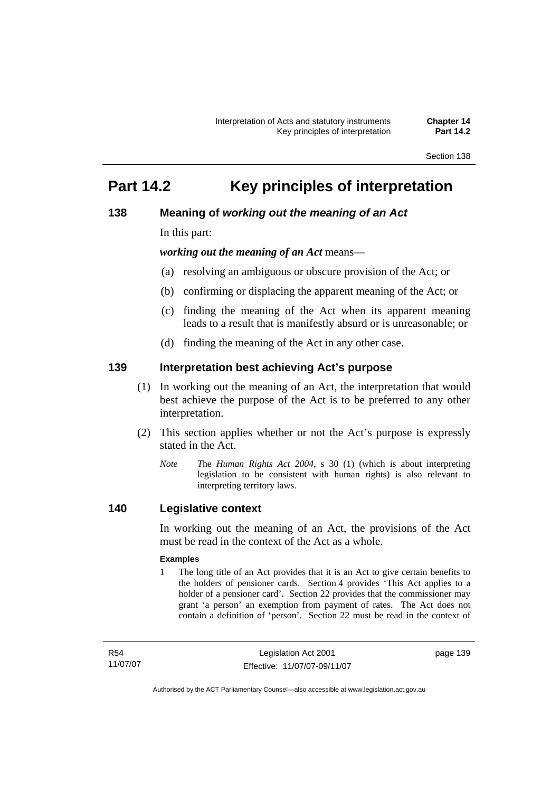# **Part 14.2 Key principles of interpretation**

# **138 Meaning of** *working out the meaning of an Act*

In this part:

*working out the meaning of an Act* means—

- (a) resolving an ambiguous or obscure provision of the Act; or
- (b) confirming or displacing the apparent meaning of the Act; or
- (c) finding the meaning of the Act when its apparent meaning leads to a result that is manifestly absurd or is unreasonable; or
- (d) finding the meaning of the Act in any other case.

# **139 Interpretation best achieving Act's purpose**

- (1) In working out the meaning of an Act, the interpretation that would best achieve the purpose of the Act is to be preferred to any other interpretation.
- (2) This section applies whether or not the Act's purpose is expressly stated in the Act.
	- *Note T*he *Human Rights Act 2004*, s 30 (1) (which is about interpreting legislation to be consistent with human rights) is also relevant to interpreting territory laws.

# **140 Legislative context**

In working out the meaning of an Act, the provisions of the Act must be read in the context of the Act as a whole.

#### **Examples**

1 The long title of an Act provides that it is an Act to give certain benefits to the holders of pensioner cards. Section 4 provides 'This Act applies to a holder of a pensioner card'. Section 22 provides that the commissioner may grant 'a person' an exemption from payment of rates. The Act does not contain a definition of 'person'. Section 22 must be read in the context of

R54 11/07/07 page 139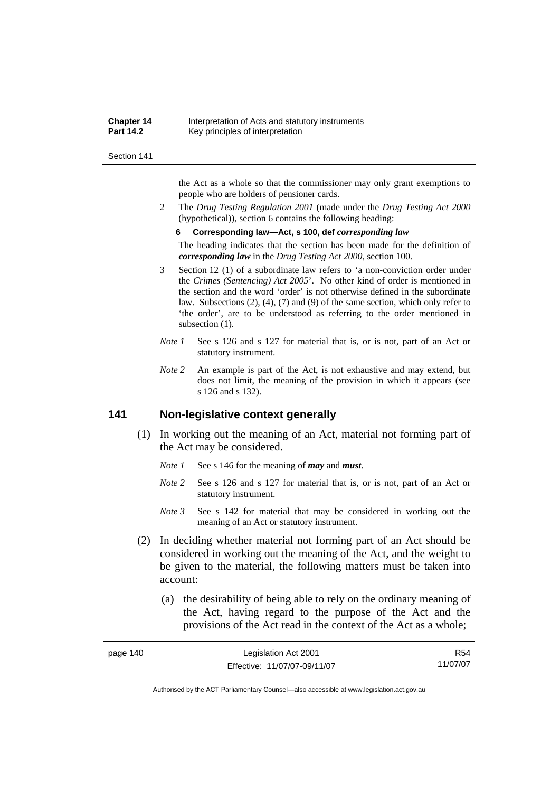| <b>Chapter 14</b> | Interpretation of Acts and statutory instruments |
|-------------------|--------------------------------------------------|
| <b>Part 14.2</b>  | Key principles of interpretation                 |

the Act as a whole so that the commissioner may only grant exemptions to people who are holders of pensioner cards.

2 The *Drug Testing Regulation 2001* (made under the *Drug Testing Act 2000* (hypothetical)), section 6 contains the following heading:

#### **6 Corresponding law—Act, s 100, def** *corresponding law*

The heading indicates that the section has been made for the definition of *corresponding law* in the *Drug Testing Act 2000*, section 100.

- 3 Section 12 (1) of a subordinate law refers to 'a non-conviction order under the *Crimes (Sentencing) Act 2005*'. No other kind of order is mentioned in the section and the word 'order' is not otherwise defined in the subordinate law. Subsections (2), (4), (7) and (9) of the same section, which only refer to 'the order', are to be understood as referring to the order mentioned in subsection  $(1)$ .
- *Note 1* See s 126 and s 127 for material that is, or is not, part of an Act or statutory instrument.
- *Note 2* An example is part of the Act, is not exhaustive and may extend, but does not limit, the meaning of the provision in which it appears (see s 126 and s 132).

# **141 Non-legislative context generally**

- (1) In working out the meaning of an Act, material not forming part of the Act may be considered.
	- *Note 1* See s 146 for the meaning of *may* and *must*.
	- *Note* 2 See s 126 and s 127 for material that is, or is not, part of an Act or statutory instrument.
	- *Note 3* See s 142 for material that may be considered in working out the meaning of an Act or statutory instrument.
- (2) In deciding whether material not forming part of an Act should be considered in working out the meaning of the Act, and the weight to be given to the material, the following matters must be taken into account:
	- (a) the desirability of being able to rely on the ordinary meaning of the Act, having regard to the purpose of the Act and the provisions of the Act read in the context of the Act as a whole;

| page 140 | Legislation Act 2001         | R54      |
|----------|------------------------------|----------|
|          | Effective: 11/07/07-09/11/07 | 11/07/07 |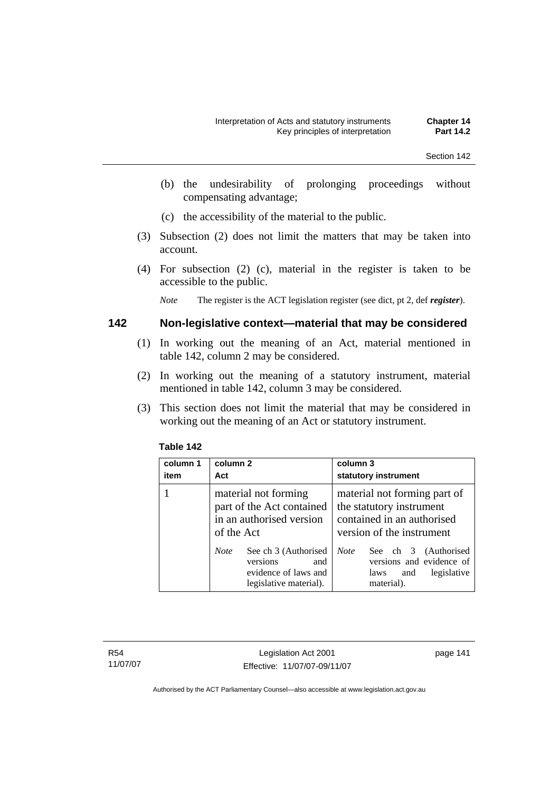- (b) the undesirability of prolonging proceedings without compensating advantage;
- (c) the accessibility of the material to the public.
- (3) Subsection (2) does not limit the matters that may be taken into account.
- (4) For subsection (2) (c), material in the register is taken to be accessible to the public.

*Note* The register is the ACT legislation register (see dict, pt 2, def *register*).

# **142 Non-legislative context—material that may be considered**

- (1) In working out the meaning of an Act, material mentioned in table 142, column 2 may be considered.
- (2) In working out the meaning of a statutory instrument, material mentioned in table 142, column 3 may be considered.
- (3) This section does not limit the material that may be considered in working out the meaning of an Act or statutory instrument.

| column 1<br>item | column 2<br>Act                                                                                          | column 3<br>statutory instrument                                                                                    |
|------------------|----------------------------------------------------------------------------------------------------------|---------------------------------------------------------------------------------------------------------------------|
|                  | material not forming<br>part of the Act contained<br>in an authorised version<br>of the Act              | material not forming part of<br>the statutory instrument<br>contained in an authorised<br>version of the instrument |
|                  | <b>Note</b><br>See ch 3 (Authorised<br>versions<br>and<br>evidence of laws and<br>legislative material). | <b>Note</b><br>See ch 3 (Authorised<br>versions and evidence of<br>legislative<br>laws<br>and<br>material).         |

## **Table 142**

R54 11/07/07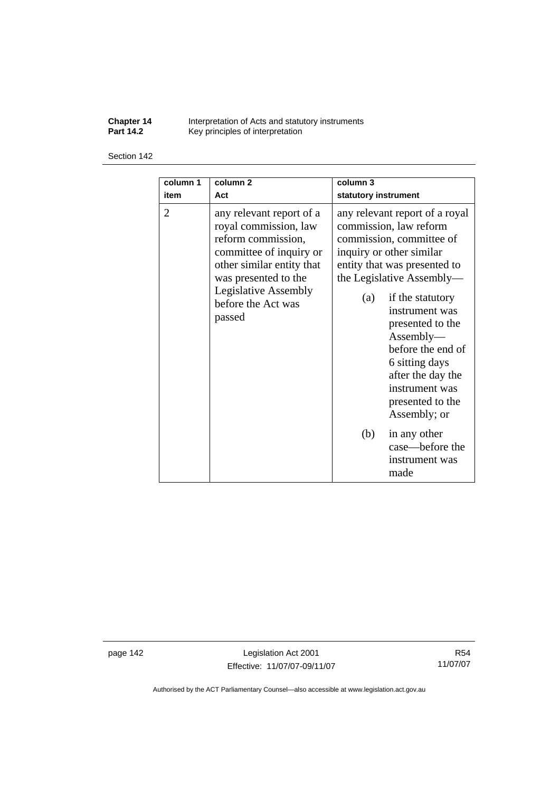**Chapter 14** Interpretation of Acts and statutory instruments **Part 14.2 Key principles of interpretation** 

#### Section 142

| column 1       | column <sub>2</sub>                                                                                                                                                                                                    | column 3                                                                                                                                                                                                                                                                                                                                                                                                                                          |
|----------------|------------------------------------------------------------------------------------------------------------------------------------------------------------------------------------------------------------------------|---------------------------------------------------------------------------------------------------------------------------------------------------------------------------------------------------------------------------------------------------------------------------------------------------------------------------------------------------------------------------------------------------------------------------------------------------|
| item           | Act                                                                                                                                                                                                                    | statutory instrument                                                                                                                                                                                                                                                                                                                                                                                                                              |
| $\overline{2}$ | any relevant report of a<br>royal commission, law<br>reform commission,<br>committee of inquiry or<br>other similar entity that<br>was presented to the<br><b>Legislative Assembly</b><br>before the Act was<br>passed | any relevant report of a royal<br>commission, law reform<br>commission, committee of<br>inquiry or other similar<br>entity that was presented to<br>the Legislative Assembly—<br>if the statutory<br>(a)<br>instrument was<br>presented to the<br>Assently—<br>before the end of<br>6 sitting days<br>after the day the<br>instrument was<br>presented to the<br>Assembly; or<br>(b)<br>in any other<br>case—before the<br>instrument was<br>made |

page 142 Legislation Act 2001 Effective: 11/07/07-09/11/07

R54 11/07/07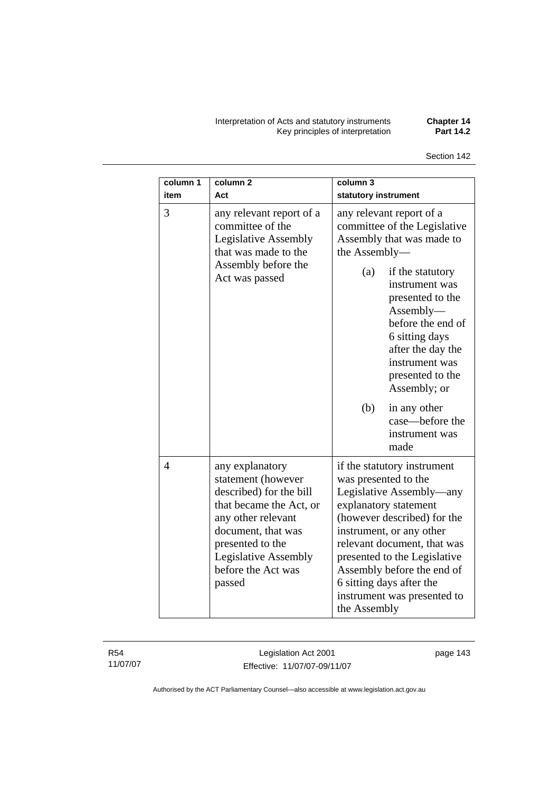Interpretation of Acts and statutory instruments **Chapter 14**  Key principles of interpretation **Part 14.2** 

**column 3** 

| item | Act                                                                                                                                                                                                                        | statutory instrument                                                                                                                                                                                                                                                                                                                                               |
|------|----------------------------------------------------------------------------------------------------------------------------------------------------------------------------------------------------------------------------|--------------------------------------------------------------------------------------------------------------------------------------------------------------------------------------------------------------------------------------------------------------------------------------------------------------------------------------------------------------------|
| 3    | any relevant report of a<br>committee of the<br><b>Legislative Assembly</b><br>that was made to the<br>Assembly before the<br>Act was passed                                                                               | any relevant report of a<br>committee of the Legislative<br>Assembly that was made to<br>the Assembly-<br>(a)<br>if the statutory<br>instrument was<br>presented to the<br>Assembly—<br>before the end of<br>6 sitting days<br>after the day the<br>instrument was<br>presented to the<br>Assembly; or<br>(b)<br>in any other<br>case—before the<br>instrument was |
| 4    | any explanatory<br>statement (however<br>described) for the bill<br>that became the Act, or<br>any other relevant<br>document, that was<br>presented to the<br><b>Legislative Assembly</b><br>before the Act was<br>passed | made<br>if the statutory instrument<br>was presented to the<br>Legislative Assembly—any<br>explanatory statement<br>(however described) for the<br>instrument, or any other<br>relevant document, that was<br>presented to the Legislative<br>Assembly before the end of<br>6 sitting days after the<br>instrument was presented to<br>the Assembly                |

R54 11/07/07 **column 1** 

**column 2** 

Legislation Act 2001 Effective: 11/07/07-09/11/07 page 143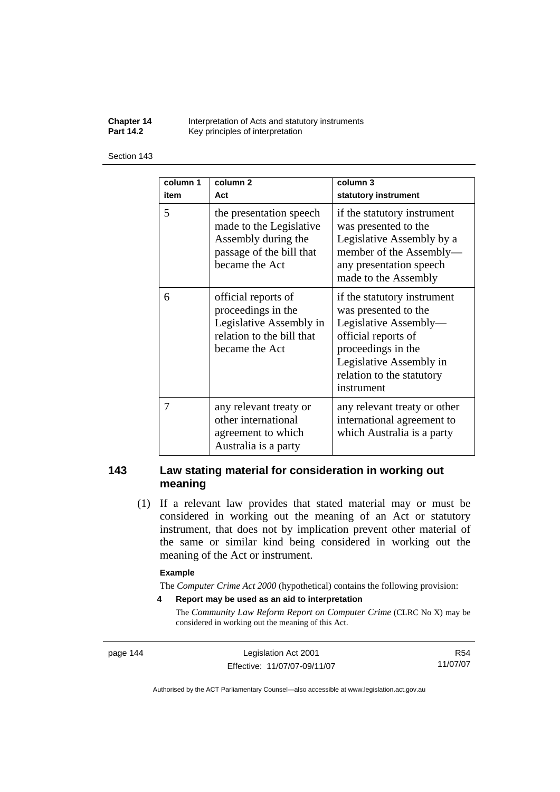**Chapter 14** Interpretation of Acts and statutory instruments<br>**Part 14.2** Key principles of interpretation Key principles of interpretation

#### Section 143

| column 1<br>item | column <sub>2</sub><br>Act                                                                                              | column 3<br>statutory instrument                                                                                                                                                                |
|------------------|-------------------------------------------------------------------------------------------------------------------------|-------------------------------------------------------------------------------------------------------------------------------------------------------------------------------------------------|
| 5                | the presentation speech<br>made to the Legislative<br>Assembly during the<br>passage of the bill that<br>became the Act | if the statutory instrument<br>was presented to the<br>Legislative Assembly by a<br>member of the Assembly-<br>any presentation speech<br>made to the Assembly                                  |
| 6                | official reports of<br>proceedings in the<br>Legislative Assembly in<br>relation to the bill that<br>became the Act     | if the statutory instrument<br>was presented to the<br>Legislative Assembly-<br>official reports of<br>proceedings in the<br>Legislative Assembly in<br>relation to the statutory<br>instrument |
| 7                | any relevant treaty or<br>other international<br>agreement to which<br>Australia is a party                             | any relevant treaty or other<br>international agreement to<br>which Australia is a party                                                                                                        |

# **143 Law stating material for consideration in working out meaning**

 (1) If a relevant law provides that stated material may or must be considered in working out the meaning of an Act or statutory instrument, that does not by implication prevent other material of the same or similar kind being considered in working out the meaning of the Act or instrument.

#### **Example**

The *Computer Crime Act 2000* (hypothetical) contains the following provision:

**4 Report may be used as an aid to interpretation** 

The *Community Law Reform Report on Computer Crime* (CLRC No X) may be considered in working out the meaning of this Act.

page 144 Legislation Act 2001 Effective: 11/07/07-09/11/07

R54 11/07/07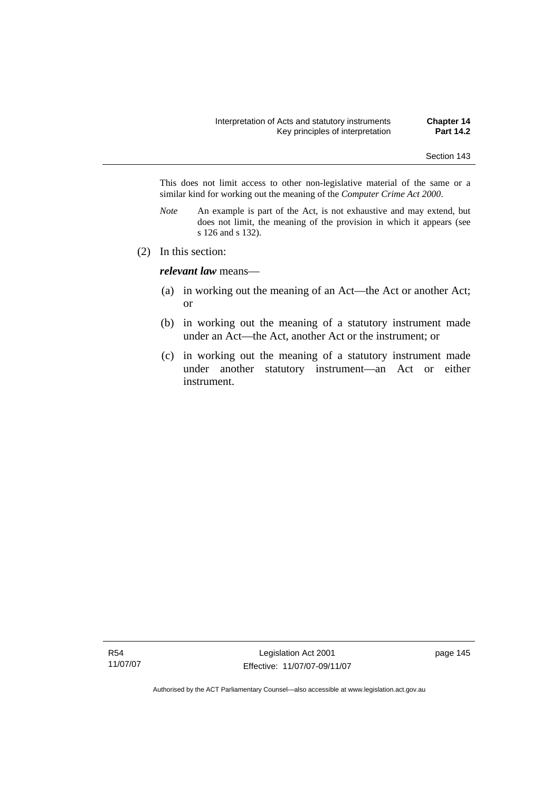This does not limit access to other non-legislative material of the same or a similar kind for working out the meaning of the *Computer Crime Act 2000*.

- *Note* An example is part of the Act, is not exhaustive and may extend, but does not limit, the meaning of the provision in which it appears (see s 126 and s 132).
- (2) In this section:

*relevant law* means—

- (a) in working out the meaning of an Act—the Act or another Act; or
- (b) in working out the meaning of a statutory instrument made under an Act—the Act, another Act or the instrument; or
- (c) in working out the meaning of a statutory instrument made under another statutory instrument—an Act or either instrument.

R54 11/07/07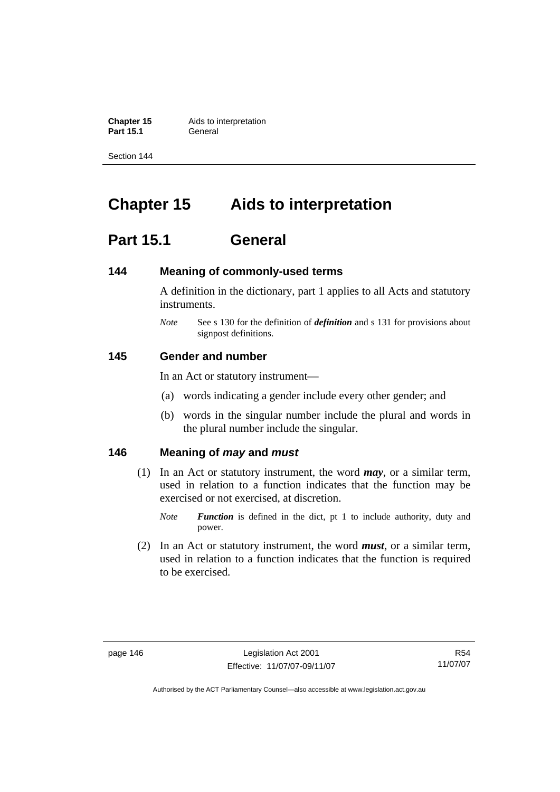**Chapter 15** Aids to interpretation **Part 15.1** General

Section 144

# **Chapter 15 Aids to interpretation**

# **Part 15.1 General**

# **144 Meaning of commonly-used terms**

A definition in the dictionary, part 1 applies to all Acts and statutory instruments.

*Note* See s 130 for the definition of *definition* and s 131 for provisions about signpost definitions.

# **145 Gender and number**

In an Act or statutory instrument—

- (a) words indicating a gender include every other gender; and
- (b) words in the singular number include the plural and words in the plural number include the singular.

# **146 Meaning of** *may* **and** *must*

- (1) In an Act or statutory instrument, the word *may*, or a similar term, used in relation to a function indicates that the function may be exercised or not exercised, at discretion.
	- *Note Function* is defined in the dict, pt 1 to include authority, duty and power.
- (2) In an Act or statutory instrument, the word *must*, or a similar term, used in relation to a function indicates that the function is required to be exercised.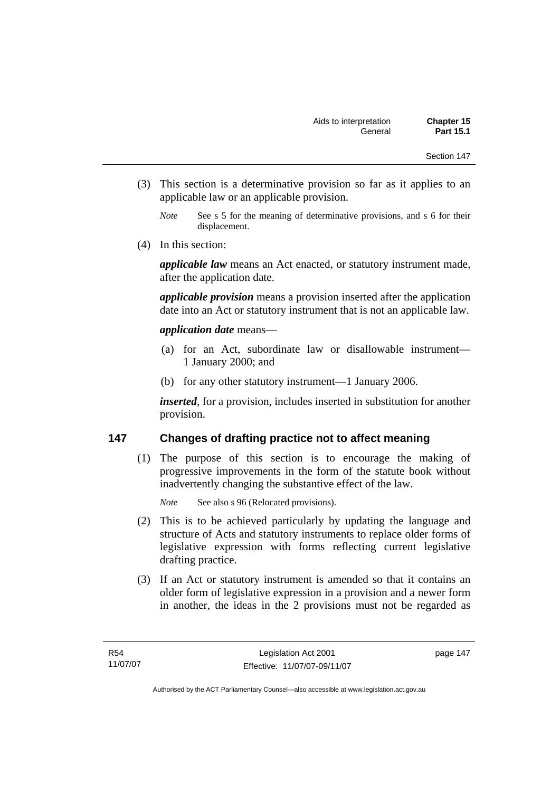- (3) This section is a determinative provision so far as it applies to an applicable law or an applicable provision.
	- *Note* See s 5 for the meaning of determinative provisions, and s 6 for their displacement.
- (4) In this section:

*applicable law* means an Act enacted, or statutory instrument made, after the application date.

*applicable provision* means a provision inserted after the application date into an Act or statutory instrument that is not an applicable law.

# *application date* means—

- (a) for an Act, subordinate law or disallowable instrument— 1 January 2000; and
- (b) for any other statutory instrument—1 January 2006.

*inserted*, for a provision, includes inserted in substitution for another provision.

# **147 Changes of drafting practice not to affect meaning**

 (1) The purpose of this section is to encourage the making of progressive improvements in the form of the statute book without inadvertently changing the substantive effect of the law.

*Note* See also s 96 (Relocated provisions).

- (2) This is to be achieved particularly by updating the language and structure of Acts and statutory instruments to replace older forms of legislative expression with forms reflecting current legislative drafting practice.
- (3) If an Act or statutory instrument is amended so that it contains an older form of legislative expression in a provision and a newer form in another, the ideas in the 2 provisions must not be regarded as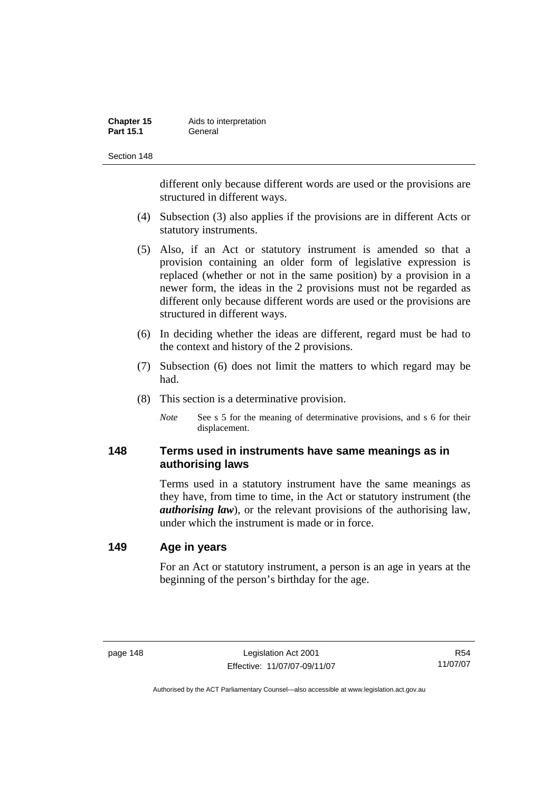| Chapter 15       | Aids to interpretation |
|------------------|------------------------|
| <b>Part 15.1</b> | General                |

different only because different words are used or the provisions are structured in different ways.

- (4) Subsection (3) also applies if the provisions are in different Acts or statutory instruments.
- (5) Also, if an Act or statutory instrument is amended so that a provision containing an older form of legislative expression is replaced (whether or not in the same position) by a provision in a newer form, the ideas in the 2 provisions must not be regarded as different only because different words are used or the provisions are structured in different ways.
- (6) In deciding whether the ideas are different, regard must be had to the context and history of the 2 provisions.
- (7) Subsection (6) does not limit the matters to which regard may be had.
- (8) This section is a determinative provision.
	- *Note* See s 5 for the meaning of determinative provisions, and s 6 for their displacement.

# **148 Terms used in instruments have same meanings as in authorising laws**

Terms used in a statutory instrument have the same meanings as they have, from time to time, in the Act or statutory instrument (the *authorising law*), or the relevant provisions of the authorising law, under which the instrument is made or in force.

# **149 Age in years**

For an Act or statutory instrument, a person is an age in years at the beginning of the person's birthday for the age.

R54 11/07/07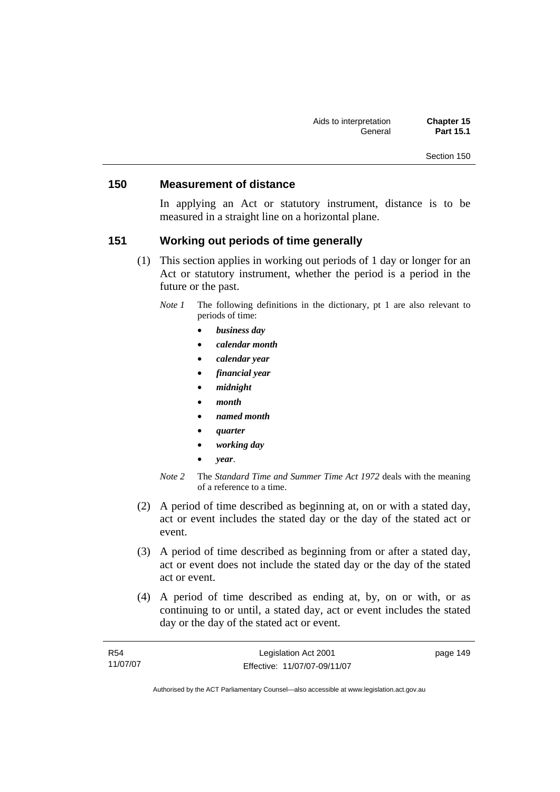# **150 Measurement of distance**

In applying an Act or statutory instrument, distance is to be measured in a straight line on a horizontal plane.

# **151 Working out periods of time generally**

- (1) This section applies in working out periods of 1 day or longer for an Act or statutory instrument, whether the period is a period in the future or the past.
	- *Note 1* The following definitions in the dictionary, pt 1 are also relevant to periods of time:
		- *business day*
		- *calendar month*
		- *calendar year*
		- *financial year*
		- *midnight*
		- *month*
		- *named month*
		- *quarter*
		- *working day*
		- *year*.
	- *Note 2* The *Standard Time and Summer Time Act 1972* deals with the meaning of a reference to a time.
- (2) A period of time described as beginning at, on or with a stated day, act or event includes the stated day or the day of the stated act or event.
- (3) A period of time described as beginning from or after a stated day, act or event does not include the stated day or the day of the stated act or event.
- (4) A period of time described as ending at, by, on or with, or as continuing to or until, a stated day, act or event includes the stated day or the day of the stated act or event.

| R54      | Legislation Act 2001         | page 149 |
|----------|------------------------------|----------|
| 11/07/07 | Effective: 11/07/07-09/11/07 |          |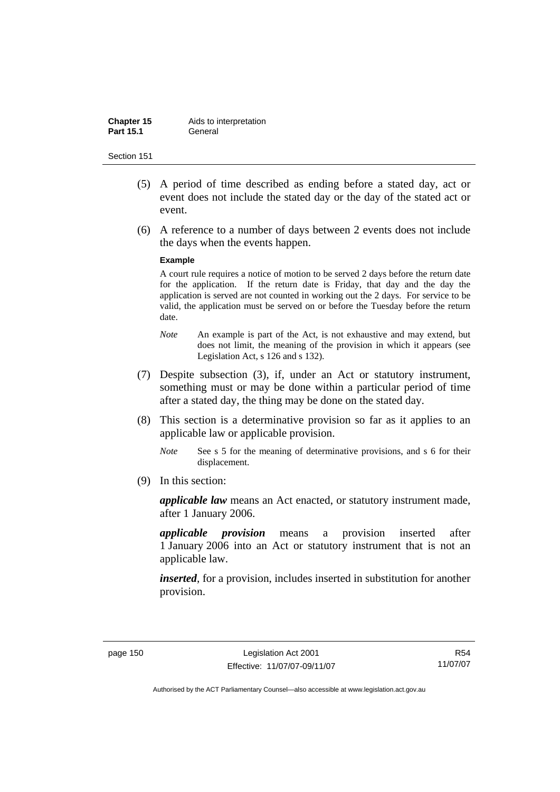| Chapter 15       | Aids to interpretation |
|------------------|------------------------|
| <b>Part 15.1</b> | General                |

- (5) A period of time described as ending before a stated day, act or event does not include the stated day or the day of the stated act or event.
- (6) A reference to a number of days between 2 events does not include the days when the events happen.

#### **Example**

A court rule requires a notice of motion to be served 2 days before the return date for the application. If the return date is Friday, that day and the day the application is served are not counted in working out the 2 days. For service to be valid, the application must be served on or before the Tuesday before the return date.

- *Note* An example is part of the Act, is not exhaustive and may extend, but does not limit, the meaning of the provision in which it appears (see Legislation Act, s 126 and s 132).
- (7) Despite subsection (3), if, under an Act or statutory instrument, something must or may be done within a particular period of time after a stated day, the thing may be done on the stated day.
- (8) This section is a determinative provision so far as it applies to an applicable law or applicable provision.
	- *Note* See s 5 for the meaning of determinative provisions, and s 6 for their displacement.
- (9) In this section:

*applicable law* means an Act enacted, or statutory instrument made, after 1 January 2006.

*applicable provision* means a provision inserted after 1 January 2006 into an Act or statutory instrument that is not an applicable law.

*inserted*, for a provision, includes inserted in substitution for another provision.

R54 11/07/07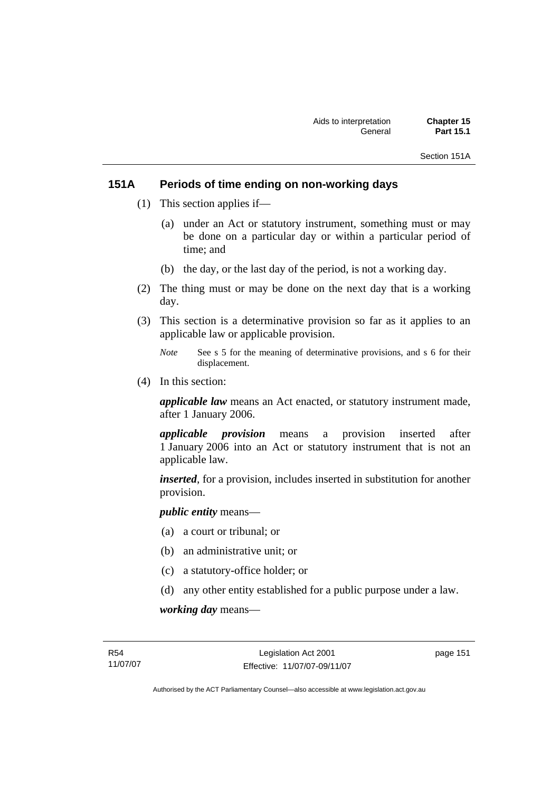Section 151A

# **151A Periods of time ending on non-working days**

- (1) This section applies if—
	- (a) under an Act or statutory instrument, something must or may be done on a particular day or within a particular period of time; and
	- (b) the day, or the last day of the period, is not a working day.
- (2) The thing must or may be done on the next day that is a working day.
- (3) This section is a determinative provision so far as it applies to an applicable law or applicable provision.
	- *Note* See s 5 for the meaning of determinative provisions, and s 6 for their displacement.
- (4) In this section:

*applicable law* means an Act enacted, or statutory instrument made, after 1 January 2006.

*applicable provision* means a provision inserted after 1 January 2006 into an Act or statutory instrument that is not an applicable law.

*inserted*, for a provision, includes inserted in substitution for another provision.

*public entity* means—

- (a) a court or tribunal; or
- (b) an administrative unit; or
- (c) a statutory-office holder; or
- (d) any other entity established for a public purpose under a law.

*working day* means—

page 151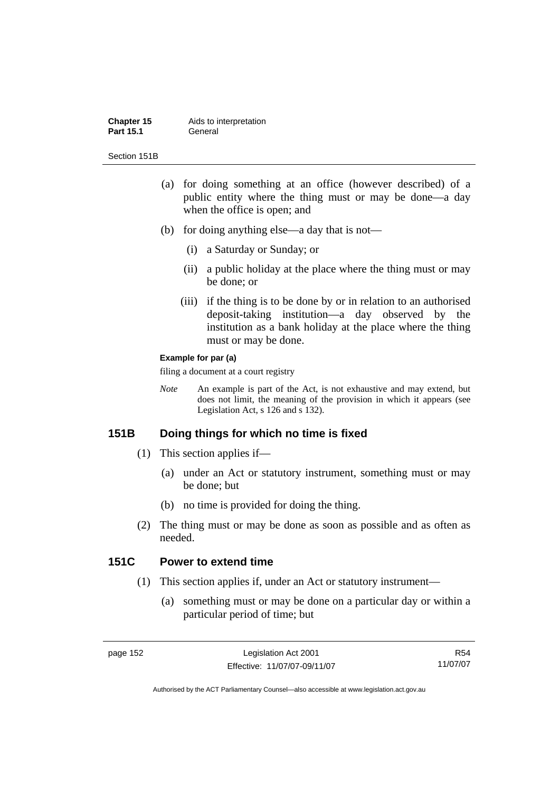#### **Chapter 15** Aids to interpretation Part 15.1 **General**

Section 151B

- (a) for doing something at an office (however described) of a public entity where the thing must or may be done—a day when the office is open; and
- (b) for doing anything else—a day that is not—
	- (i) a Saturday or Sunday; or
	- (ii) a public holiday at the place where the thing must or may be done; or
	- (iii) if the thing is to be done by or in relation to an authorised deposit-taking institution—a day observed by the institution as a bank holiday at the place where the thing must or may be done.

#### **Example for par (a)**

filing a document at a court registry

*Note* An example is part of the Act, is not exhaustive and may extend, but does not limit, the meaning of the provision in which it appears (see Legislation Act, s 126 and s 132).

# **151B Doing things for which no time is fixed**

- (1) This section applies if—
	- (a) under an Act or statutory instrument, something must or may be done; but
	- (b) no time is provided for doing the thing.
- (2) The thing must or may be done as soon as possible and as often as needed.

# **151C Power to extend time**

- (1) This section applies if, under an Act or statutory instrument—
	- (a) something must or may be done on a particular day or within a particular period of time; but

R54 11/07/07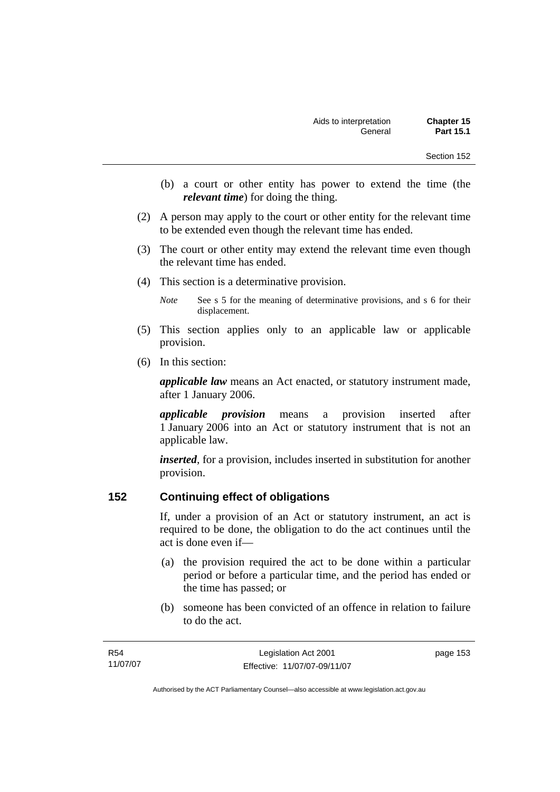- (b) a court or other entity has power to extend the time (the *relevant time*) for doing the thing.
- (2) A person may apply to the court or other entity for the relevant time to be extended even though the relevant time has ended.
- (3) The court or other entity may extend the relevant time even though the relevant time has ended.
- (4) This section is a determinative provision.

*Note* See s 5 for the meaning of determinative provisions, and s 6 for their displacement.

- (5) This section applies only to an applicable law or applicable provision.
- (6) In this section:

*applicable law* means an Act enacted, or statutory instrument made, after 1 January 2006.

*applicable provision* means a provision inserted after 1 January 2006 into an Act or statutory instrument that is not an applicable law.

*inserted*, for a provision, includes inserted in substitution for another provision.

# **152 Continuing effect of obligations**

If, under a provision of an Act or statutory instrument, an act is required to be done, the obligation to do the act continues until the act is done even if—

- (a) the provision required the act to be done within a particular period or before a particular time, and the period has ended or the time has passed; or
- (b) someone has been convicted of an offence in relation to failure to do the act.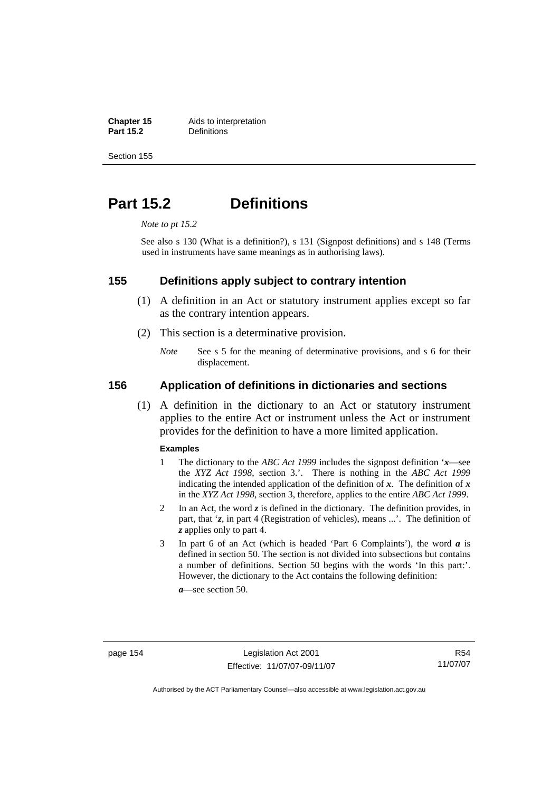**Chapter 15** Aids to interpretation<br>**Part 15.2 Definitions Definitions** 

Section 155

# **Part 15.2 Definitions**

*Note to pt 15.2* 

See also s 130 (What is a definition?), s 131 (Signpost definitions) and s 148 (Terms used in instruments have same meanings as in authorising laws).

# **155 Definitions apply subject to contrary intention**

- (1) A definition in an Act or statutory instrument applies except so far as the contrary intention appears.
- (2) This section is a determinative provision.
	- *Note* See s 5 for the meaning of determinative provisions, and s 6 for their displacement.

# **156 Application of definitions in dictionaries and sections**

 (1) A definition in the dictionary to an Act or statutory instrument applies to the entire Act or instrument unless the Act or instrument provides for the definition to have a more limited application.

#### **Examples**

- 1 The dictionary to the *ABC Act 1999* includes the signpost definition '*x*—see the *XYZ Act 1998*, section 3.'. There is nothing in the *ABC Act 1999* indicating the intended application of the definition of  $x$ . The definition of  $x$ in the *XYZ Act 1998*, section 3, therefore, applies to the entire *ABC Act 1999*.
- 2 In an Act, the word *z* is defined in the dictionary. The definition provides, in part, that '*z*, in part 4 (Registration of vehicles), means ...'. The definition of *z* applies only to part 4.
- 3 In part 6 of an Act (which is headed 'Part 6 Complaints'), the word *a* is defined in section 50. The section is not divided into subsections but contains a number of definitions. Section 50 begins with the words 'In this part:'. However, the dictionary to the Act contains the following definition:

*a*—see section 50.

R54 11/07/07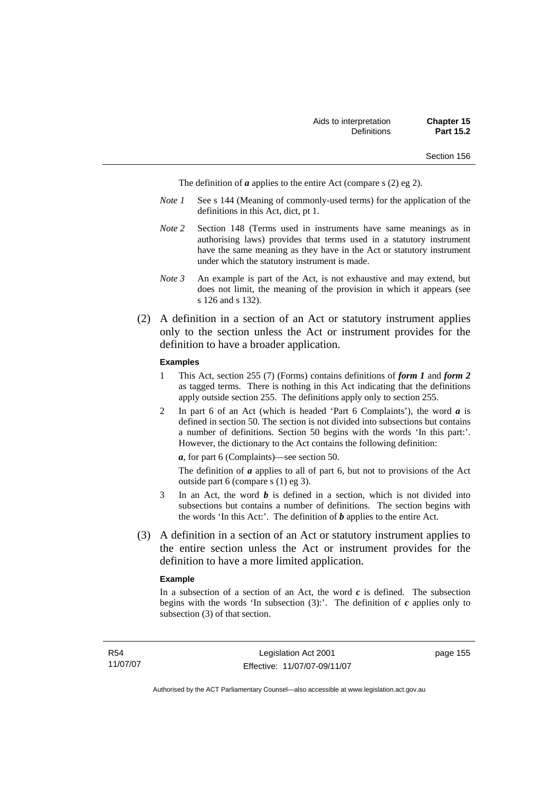The definition of *a* applies to the entire Act (compare s (2) eg 2).

- *Note 1* See s 144 (Meaning of commonly-used terms) for the application of the definitions in this Act, dict, pt 1.
- *Note 2* Section 148 (Terms used in instruments have same meanings as in authorising laws) provides that terms used in a statutory instrument have the same meaning as they have in the Act or statutory instrument under which the statutory instrument is made.
- *Note 3* An example is part of the Act, is not exhaustive and may extend, but does not limit, the meaning of the provision in which it appears (see s 126 and s 132).
- (2) A definition in a section of an Act or statutory instrument applies only to the section unless the Act or instrument provides for the definition to have a broader application.

#### **Examples**

- 1 This Act, section 255 (7) (Forms) contains definitions of *form 1* and *form 2* as tagged terms. There is nothing in this Act indicating that the definitions apply outside section 255. The definitions apply only to section 255.
- 2 In part 6 of an Act (which is headed 'Part 6 Complaints'), the word *a* is defined in section 50. The section is not divided into subsections but contains a number of definitions. Section 50 begins with the words 'In this part:'. However, the dictionary to the Act contains the following definition:

*a*, for part 6 (Complaints)—see section 50.

The definition of *a* applies to all of part 6, but not to provisions of the Act outside part 6 (compare s (1) eg 3).

- 3 In an Act, the word *b* is defined in a section, which is not divided into subsections but contains a number of definitions. The section begins with the words 'In this Act:'. The definition of *b* applies to the entire Act.
- (3) A definition in a section of an Act or statutory instrument applies to the entire section unless the Act or instrument provides for the definition to have a more limited application.

#### **Example**

In a subsection of a section of an Act, the word  $c$  is defined. The subsection begins with the words 'In subsection  $(3)$ :'. The definition of  $c$  applies only to subsection (3) of that section.

page 155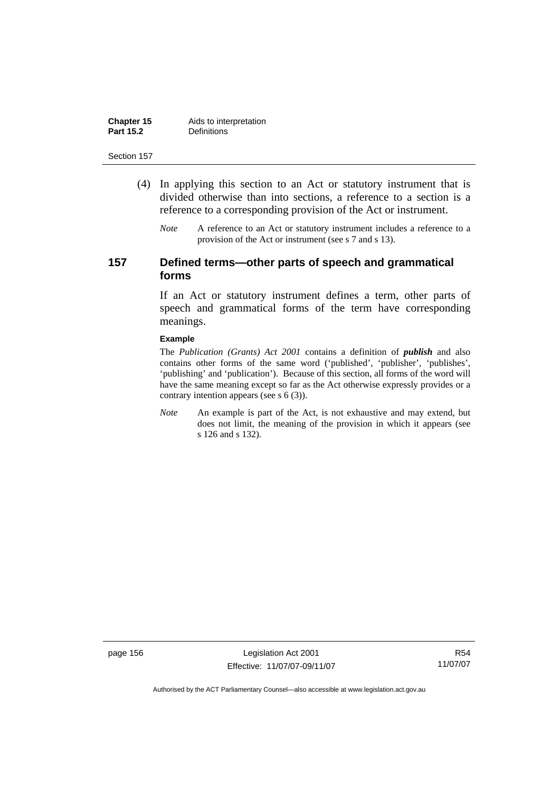| Chapter 15       | Aids to interpretation |
|------------------|------------------------|
| <b>Part 15.2</b> | <b>Definitions</b>     |

- (4) In applying this section to an Act or statutory instrument that is divided otherwise than into sections, a reference to a section is a reference to a corresponding provision of the Act or instrument.
	- *Note* A reference to an Act or statutory instrument includes a reference to a provision of the Act or instrument (see s 7 and s 13).

# **157 Defined terms—other parts of speech and grammatical forms**

If an Act or statutory instrument defines a term, other parts of speech and grammatical forms of the term have corresponding meanings.

#### **Example**

The *Publication (Grants) Act 2001* contains a definition of *publish* and also contains other forms of the same word ('published', 'publisher', 'publishes', 'publishing' and 'publication'). Because of this section, all forms of the word will have the same meaning except so far as the Act otherwise expressly provides or a contrary intention appears (see s 6 (3)).

*Note* An example is part of the Act, is not exhaustive and may extend, but does not limit, the meaning of the provision in which it appears (see s 126 and s 132).

page 156 Legislation Act 2001 Effective: 11/07/07-09/11/07

R54 11/07/07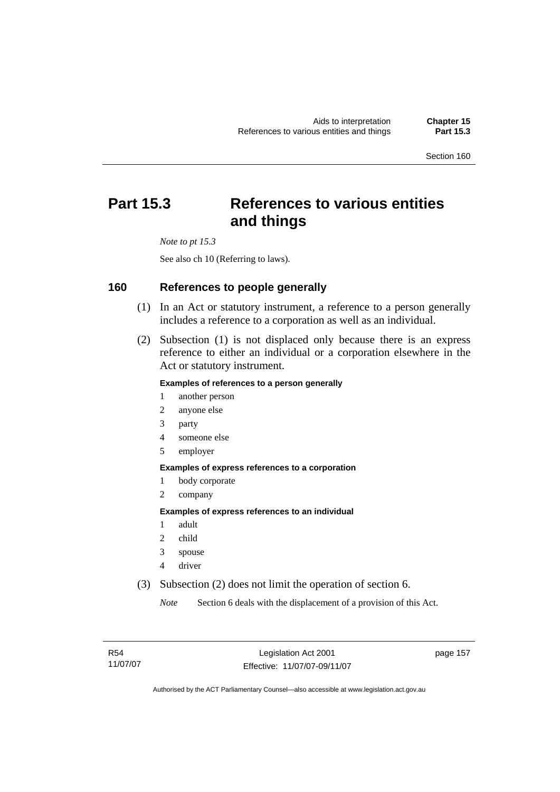# **Part 15.3 References to various entities and things**

*Note to pt 15.3* 

See also ch 10 (Referring to laws).

# **160 References to people generally**

- (1) In an Act or statutory instrument, a reference to a person generally includes a reference to a corporation as well as an individual.
- (2) Subsection (1) is not displaced only because there is an express reference to either an individual or a corporation elsewhere in the Act or statutory instrument.

### **Examples of references to a person generally**

- 1 another person
- 2 anyone else
- 3 party
- 4 someone else
- 5 employer

#### **Examples of express references to a corporation**

- 1 body corporate
- 2 company

#### **Examples of express references to an individual**

- 1 adult
- 2 child
- 3 spouse
- 4 driver
- (3) Subsection (2) does not limit the operation of section 6.

*Note* Section 6 deals with the displacement of a provision of this Act.

page 157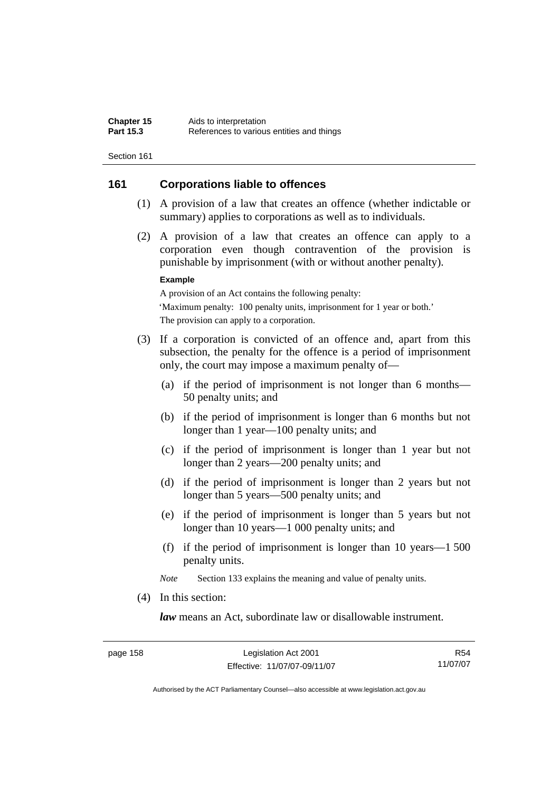# **161 Corporations liable to offences**

- (1) A provision of a law that creates an offence (whether indictable or summary) applies to corporations as well as to individuals.
- (2) A provision of a law that creates an offence can apply to a corporation even though contravention of the provision is punishable by imprisonment (with or without another penalty).

#### **Example**

A provision of an Act contains the following penalty: 'Maximum penalty: 100 penalty units, imprisonment for 1 year or both.' The provision can apply to a corporation.

- (3) If a corporation is convicted of an offence and, apart from this subsection, the penalty for the offence is a period of imprisonment only, the court may impose a maximum penalty of—
	- (a) if the period of imprisonment is not longer than 6 months— 50 penalty units; and
	- (b) if the period of imprisonment is longer than 6 months but not longer than 1 year—100 penalty units; and
	- (c) if the period of imprisonment is longer than 1 year but not longer than 2 years—200 penalty units; and
	- (d) if the period of imprisonment is longer than 2 years but not longer than 5 years—500 penalty units; and
	- (e) if the period of imprisonment is longer than 5 years but not longer than 10 years—1 000 penalty units; and
	- (f) if the period of imprisonment is longer than 10 years—1 500 penalty units.

*Note* Section 133 explains the meaning and value of penalty units.

(4) In this section:

*law* means an Act, subordinate law or disallowable instrument.

R54 11/07/07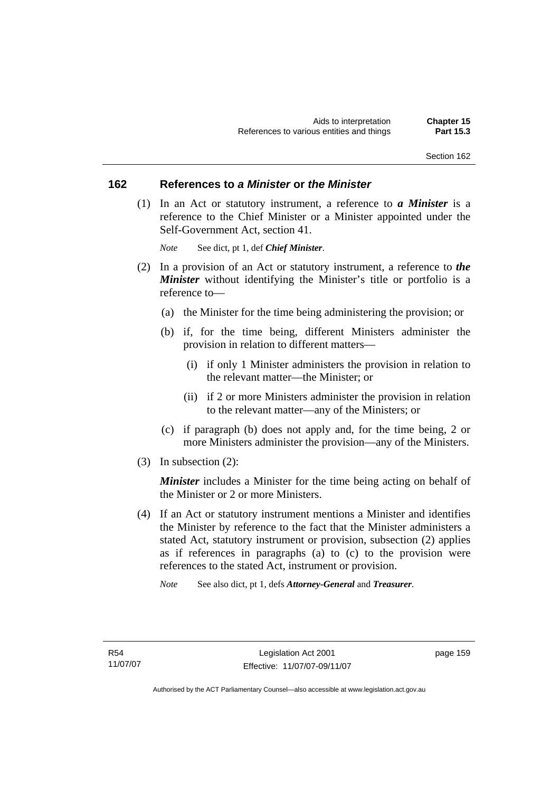# **162 References to** *a Minister* **or** *the Minister*

 (1) In an Act or statutory instrument, a reference to *a Minister* is a reference to the Chief Minister or a Minister appointed under the Self-Government Act, section 41.

*Note* See dict, pt 1, def *Chief Minister*.

- (2) In a provision of an Act or statutory instrument, a reference to *the Minister* without identifying the Minister's title or portfolio is a reference to—
	- (a) the Minister for the time being administering the provision; or
	- (b) if, for the time being, different Ministers administer the provision in relation to different matters—
		- (i) if only 1 Minister administers the provision in relation to the relevant matter—the Minister; or
		- (ii) if 2 or more Ministers administer the provision in relation to the relevant matter—any of the Ministers; or
	- (c) if paragraph (b) does not apply and, for the time being, 2 or more Ministers administer the provision—any of the Ministers.
- (3) In subsection (2):

*Minister* includes a Minister for the time being acting on behalf of the Minister or 2 or more Ministers.

- (4) If an Act or statutory instrument mentions a Minister and identifies the Minister by reference to the fact that the Minister administers a stated Act, statutory instrument or provision, subsection (2) applies as if references in paragraphs (a) to (c) to the provision were references to the stated Act, instrument or provision.
	- *Note* See also dict, pt 1, defs *Attorney-General* and *Treasurer*.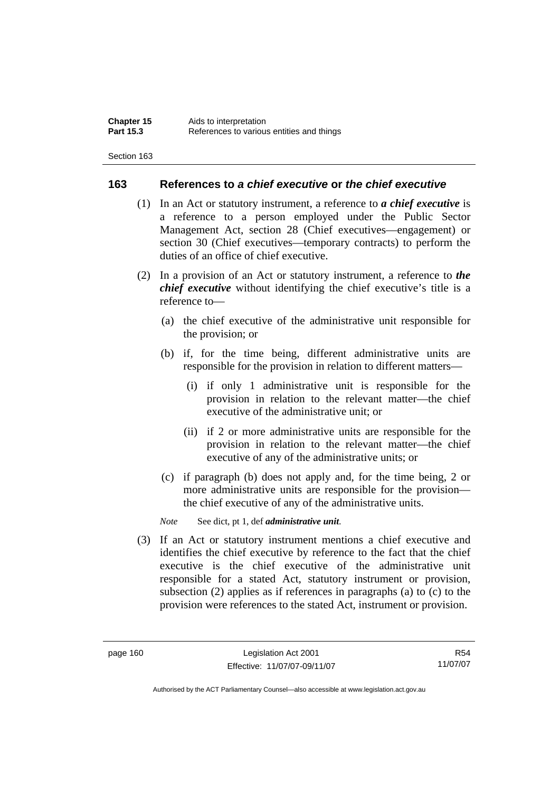## **163 References to** *a chief executive* **or** *the chief executive*

- (1) In an Act or statutory instrument, a reference to *a chief executive* is a reference to a person employed under the Public Sector Management Act, section 28 (Chief executives—engagement) or section 30 (Chief executives—temporary contracts) to perform the duties of an office of chief executive.
- (2) In a provision of an Act or statutory instrument, a reference to *the chief executive* without identifying the chief executive's title is a reference to—
	- (a) the chief executive of the administrative unit responsible for the provision; or
	- (b) if, for the time being, different administrative units are responsible for the provision in relation to different matters—
		- (i) if only 1 administrative unit is responsible for the provision in relation to the relevant matter—the chief executive of the administrative unit; or
		- (ii) if 2 or more administrative units are responsible for the provision in relation to the relevant matter—the chief executive of any of the administrative units; or
	- (c) if paragraph (b) does not apply and, for the time being, 2 or more administrative units are responsible for the provision the chief executive of any of the administrative units.

*Note* See dict, pt 1, def *administrative unit*.

 (3) If an Act or statutory instrument mentions a chief executive and identifies the chief executive by reference to the fact that the chief executive is the chief executive of the administrative unit responsible for a stated Act, statutory instrument or provision, subsection (2) applies as if references in paragraphs (a) to (c) to the provision were references to the stated Act, instrument or provision.

R54 11/07/07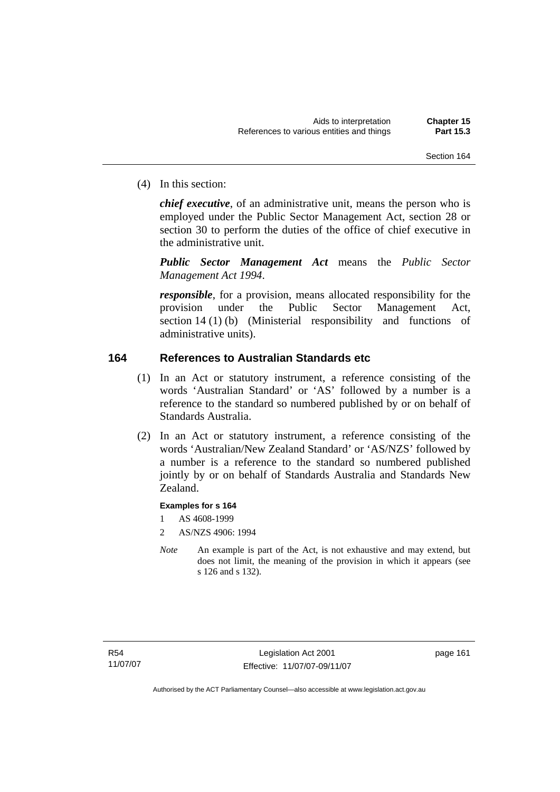(4) In this section:

*chief executive*, of an administrative unit, means the person who is employed under the Public Sector Management Act, section 28 or section 30 to perform the duties of the office of chief executive in the administrative unit.

*Public Sector Management Act* means the *Public Sector Management Act 1994*.

*responsible*, for a provision, means allocated responsibility for the provision under the Public Sector Management Act, section 14 (1) (b) (Ministerial responsibility and functions of administrative units).

# **164 References to Australian Standards etc**

- (1) In an Act or statutory instrument, a reference consisting of the words 'Australian Standard' or 'AS' followed by a number is a reference to the standard so numbered published by or on behalf of Standards Australia.
- (2) In an Act or statutory instrument, a reference consisting of the words 'Australian/New Zealand Standard' or 'AS/NZS' followed by a number is a reference to the standard so numbered published jointly by or on behalf of Standards Australia and Standards New Zealand.

## **Examples for s 164**

- 1 AS 4608-1999
- 2 AS/NZS 4906: 1994
- *Note* An example is part of the Act, is not exhaustive and may extend, but does not limit, the meaning of the provision in which it appears (see s 126 and s 132).

page 161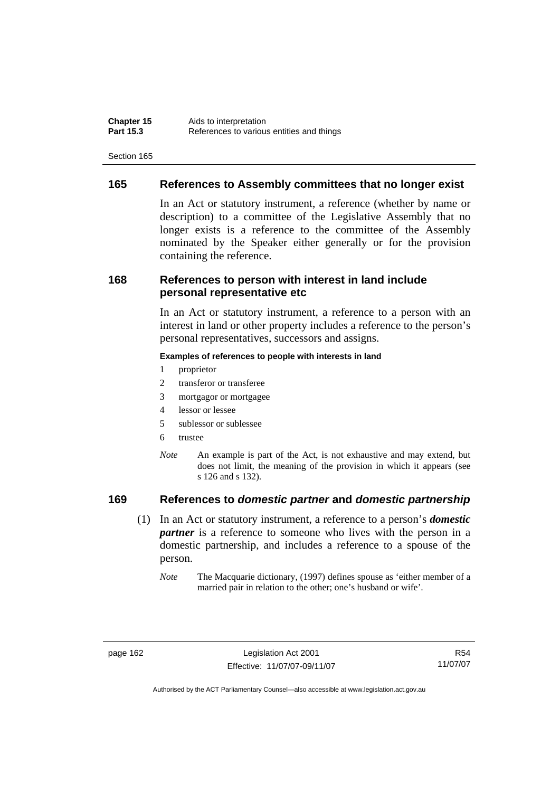# **165 References to Assembly committees that no longer exist**

In an Act or statutory instrument, a reference (whether by name or description) to a committee of the Legislative Assembly that no longer exists is a reference to the committee of the Assembly nominated by the Speaker either generally or for the provision containing the reference.

# **168 References to person with interest in land include personal representative etc**

In an Act or statutory instrument, a reference to a person with an interest in land or other property includes a reference to the person's personal representatives, successors and assigns.

#### **Examples of references to people with interests in land**

- 1 proprietor
- 2 transferor or transferee
- 3 mortgagor or mortgagee
- 4 lessor or lessee
- 5 sublessor or sublessee
- 6 trustee
- *Note* An example is part of the Act, is not exhaustive and may extend, but does not limit, the meaning of the provision in which it appears (see s 126 and s 132).

# **169 References to** *domestic partner* **and** *domestic partnership*

- (1) In an Act or statutory instrument, a reference to a person's *domestic partner* is a reference to someone who lives with the person in a domestic partnership, and includes a reference to a spouse of the person.
	- *Note* The Macquarie dictionary, (1997) defines spouse as 'either member of a married pair in relation to the other; one's husband or wife'.

R54 11/07/07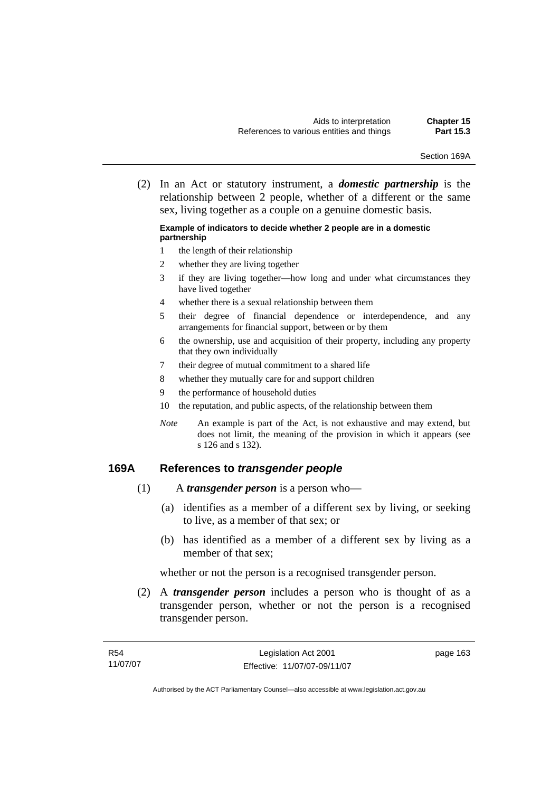Section 169A

 (2) In an Act or statutory instrument, a *domestic partnership* is the relationship between 2 people, whether of a different or the same sex, living together as a couple on a genuine domestic basis.

#### **Example of indicators to decide whether 2 people are in a domestic partnership**

- 1 the length of their relationship
- 2 whether they are living together
- 3 if they are living together—how long and under what circumstances they have lived together
- 4 whether there is a sexual relationship between them
- 5 their degree of financial dependence or interdependence, and any arrangements for financial support, between or by them
- 6 the ownership, use and acquisition of their property, including any property that they own individually
- 7 their degree of mutual commitment to a shared life
- 8 whether they mutually care for and support children
- 9 the performance of household duties
- 10 the reputation, and public aspects, of the relationship between them
- *Note* An example is part of the Act, is not exhaustive and may extend, but does not limit, the meaning of the provision in which it appears (see s 126 and s 132).

## **169A References to** *transgender people*

- (1) A *transgender person* is a person who—
	- (a) identifies as a member of a different sex by living, or seeking to live, as a member of that sex; or
	- (b) has identified as a member of a different sex by living as a member of that sex;

whether or not the person is a recognised transgender person.

 (2) A *transgender person* includes a person who is thought of as a transgender person, whether or not the person is a recognised transgender person.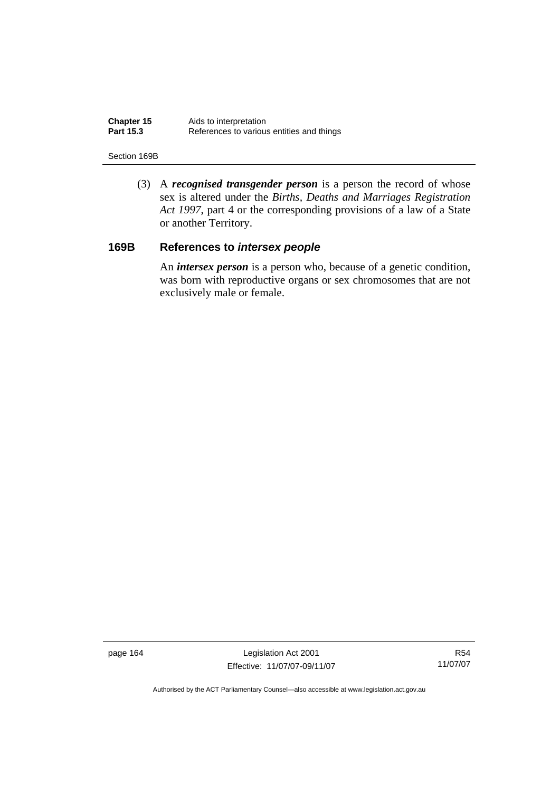| Chapter 15       | Aids to interpretation                    |
|------------------|-------------------------------------------|
| <b>Part 15.3</b> | References to various entities and things |

#### Section 169B

 (3) A *recognised transgender person* is a person the record of whose sex is altered under the *Births, Deaths and Marriages Registration Act 1997*, part 4 or the corresponding provisions of a law of a State or another Territory.

# **169B References to** *intersex people*

 An *intersex person* is a person who, because of a genetic condition, was born with reproductive organs or sex chromosomes that are not exclusively male or female.

page 164 Legislation Act 2001 Effective: 11/07/07-09/11/07

R54 11/07/07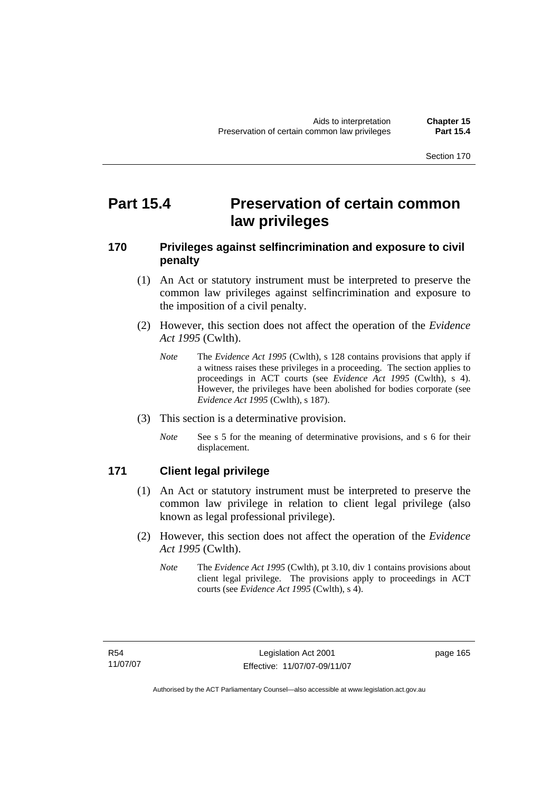# **Part 15.4** Preservation of certain common **law privileges**

# **170 Privileges against selfincrimination and exposure to civil penalty**

- (1) An Act or statutory instrument must be interpreted to preserve the common law privileges against selfincrimination and exposure to the imposition of a civil penalty.
- (2) However, this section does not affect the operation of the *Evidence Act 1995* (Cwlth).
	- *Note* The *Evidence Act 1995* (Cwlth), s 128 contains provisions that apply if a witness raises these privileges in a proceeding. The section applies to proceedings in ACT courts (see *Evidence Act 1995* (Cwlth), s 4). However, the privileges have been abolished for bodies corporate (see *Evidence Act 1995* (Cwlth), s 187).
- (3) This section is a determinative provision.
	- *Note* See s 5 for the meaning of determinative provisions, and s 6 for their displacement.

# **171 Client legal privilege**

- (1) An Act or statutory instrument must be interpreted to preserve the common law privilege in relation to client legal privilege (also known as legal professional privilege).
- (2) However, this section does not affect the operation of the *Evidence Act 1995* (Cwlth).
	- *Note* The *Evidence Act 1995* (Cwlth), pt 3.10, div 1 contains provisions about client legal privilege. The provisions apply to proceedings in ACT courts (see *Evidence Act 1995* (Cwlth), s 4).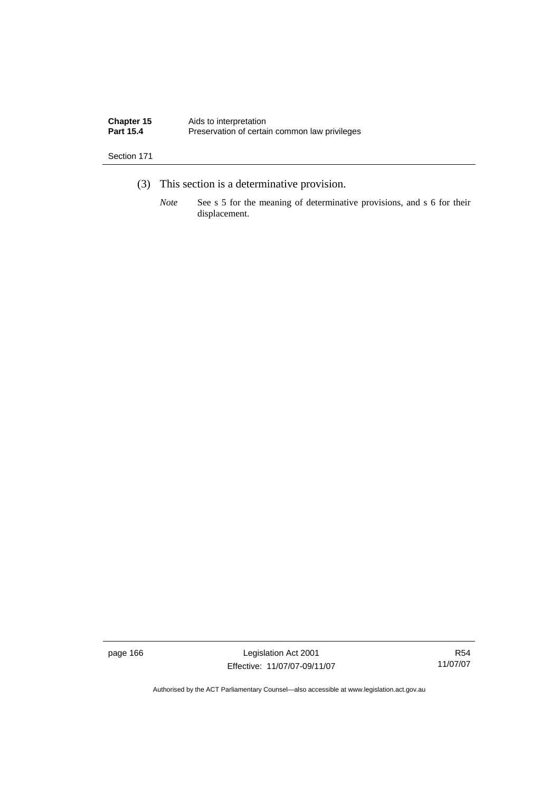| Chapter 15       | Aids to interpretation                        |
|------------------|-----------------------------------------------|
| <b>Part 15.4</b> | Preservation of certain common law privileges |

- (3) This section is a determinative provision.
	- *Note* See s 5 for the meaning of determinative provisions, and s 6 for their displacement.

page 166 Legislation Act 2001 Effective: 11/07/07-09/11/07

R54 11/07/07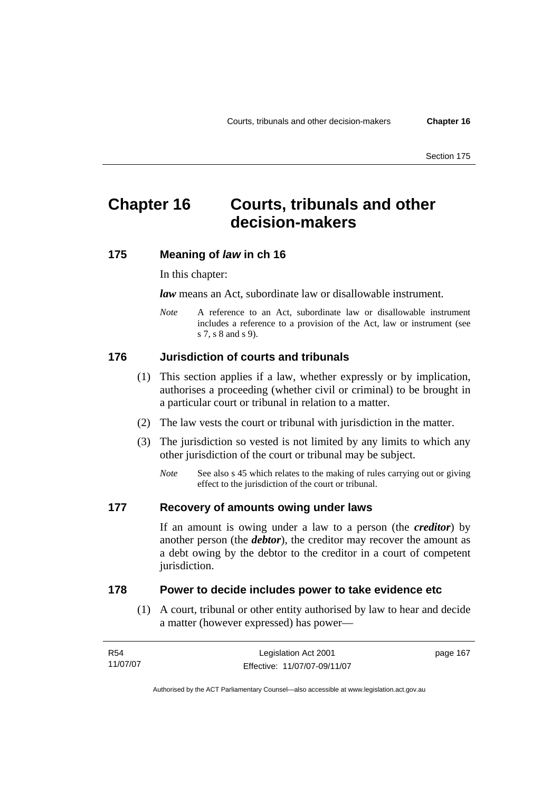# **Chapter 16 Courts, tribunals and other decision-makers**

### **175 Meaning of** *law* **in ch 16**

#### In this chapter:

*law* means an Act, subordinate law or disallowable instrument.

*Note* A reference to an Act, subordinate law or disallowable instrument includes a reference to a provision of the Act, law or instrument (see s 7, s 8 and s 9).

#### **176 Jurisdiction of courts and tribunals**

- (1) This section applies if a law, whether expressly or by implication, authorises a proceeding (whether civil or criminal) to be brought in a particular court or tribunal in relation to a matter.
- (2) The law vests the court or tribunal with jurisdiction in the matter.
- (3) The jurisdiction so vested is not limited by any limits to which any other jurisdiction of the court or tribunal may be subject.
	- *Note* See also s 45 which relates to the making of rules carrying out or giving effect to the jurisdiction of the court or tribunal.

#### **177 Recovery of amounts owing under laws**

If an amount is owing under a law to a person (the *creditor*) by another person (the *debtor*), the creditor may recover the amount as a debt owing by the debtor to the creditor in a court of competent jurisdiction.

#### **178 Power to decide includes power to take evidence etc**

 (1) A court, tribunal or other entity authorised by law to hear and decide a matter (however expressed) has power—

| R54      | Legislation Act 2001         | page 167 |
|----------|------------------------------|----------|
| 11/07/07 | Effective: 11/07/07-09/11/07 |          |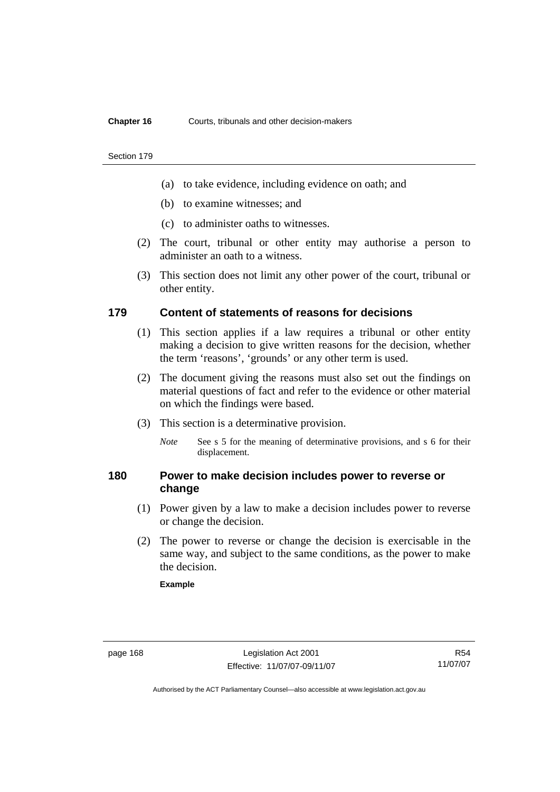#### **Chapter 16** Courts, tribunals and other decision-makers

#### Section 179

- (a) to take evidence, including evidence on oath; and
- (b) to examine witnesses; and
- (c) to administer oaths to witnesses.
- (2) The court, tribunal or other entity may authorise a person to administer an oath to a witness.
- (3) This section does not limit any other power of the court, tribunal or other entity.

#### **179 Content of statements of reasons for decisions**

- (1) This section applies if a law requires a tribunal or other entity making a decision to give written reasons for the decision, whether the term 'reasons', 'grounds' or any other term is used.
- (2) The document giving the reasons must also set out the findings on material questions of fact and refer to the evidence or other material on which the findings were based.
- (3) This section is a determinative provision.
	- *Note* See s 5 for the meaning of determinative provisions, and s 6 for their displacement.

### **180 Power to make decision includes power to reverse or change**

- (1) Power given by a law to make a decision includes power to reverse or change the decision.
- (2) The power to reverse or change the decision is exercisable in the same way, and subject to the same conditions, as the power to make the decision.

#### **Example**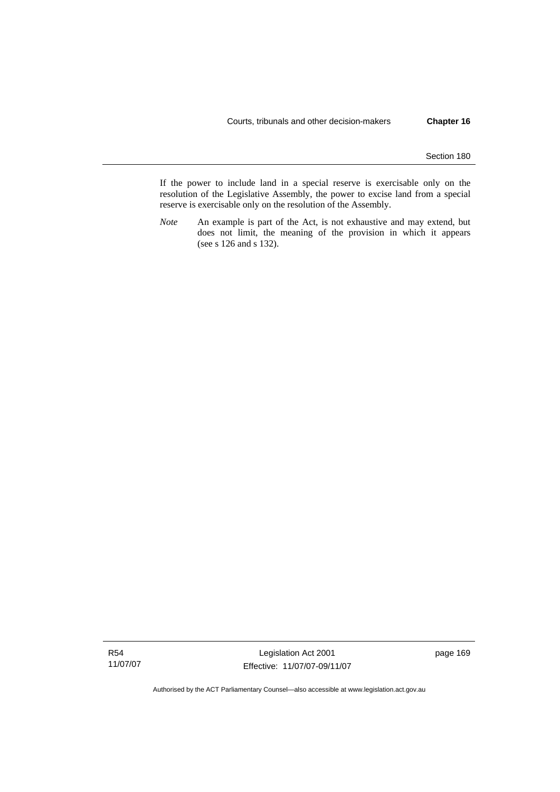If the power to include land in a special reserve is exercisable only on the resolution of the Legislative Assembly, the power to excise land from a special reserve is exercisable only on the resolution of the Assembly.

*Note* An example is part of the Act, is not exhaustive and may extend, but does not limit, the meaning of the provision in which it appears (see s 126 and s 132).

R54 11/07/07

Legislation Act 2001 Effective: 11/07/07-09/11/07 page 169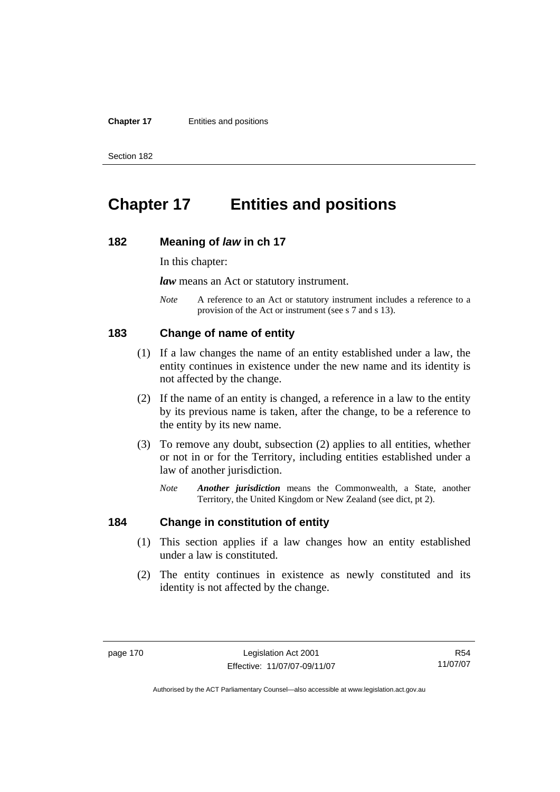#### **Chapter 17** Entities and positions

Section 182

# **Chapter 17 Entities and positions**

#### **182 Meaning of** *law* **in ch 17**

In this chapter:

*law* means an Act or statutory instrument.

*Note* A reference to an Act or statutory instrument includes a reference to a provision of the Act or instrument (see s 7 and s 13).

#### **183 Change of name of entity**

- (1) If a law changes the name of an entity established under a law, the entity continues in existence under the new name and its identity is not affected by the change.
- (2) If the name of an entity is changed, a reference in a law to the entity by its previous name is taken, after the change, to be a reference to the entity by its new name.
- (3) To remove any doubt, subsection (2) applies to all entities, whether or not in or for the Territory, including entities established under a law of another jurisdiction.
	- *Note Another jurisdiction* means the Commonwealth, a State, another Territory, the United Kingdom or New Zealand (see dict, pt 2).

# **184 Change in constitution of entity**

- (1) This section applies if a law changes how an entity established under a law is constituted.
- (2) The entity continues in existence as newly constituted and its identity is not affected by the change.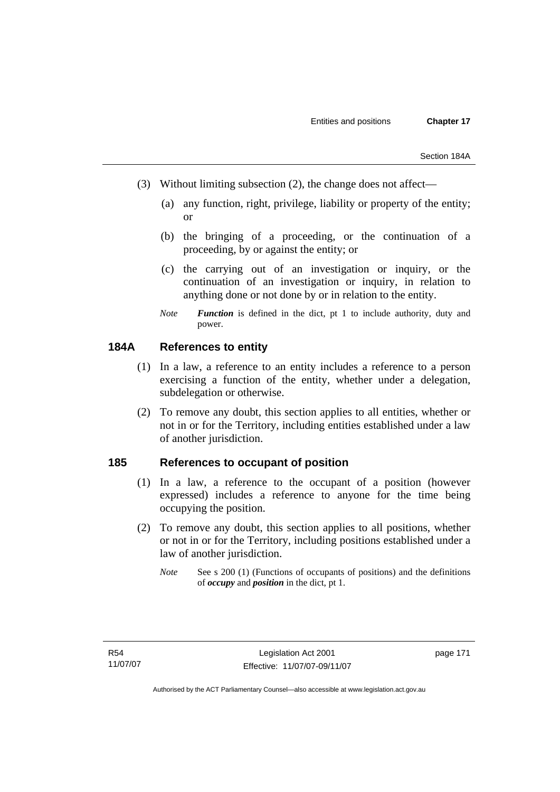- (3) Without limiting subsection (2), the change does not affect—
	- (a) any function, right, privilege, liability or property of the entity; or
	- (b) the bringing of a proceeding, or the continuation of a proceeding, by or against the entity; or
	- (c) the carrying out of an investigation or inquiry, or the continuation of an investigation or inquiry, in relation to anything done or not done by or in relation to the entity.
	- *Note Function* is defined in the dict, pt 1 to include authority, duty and power.

# **184A References to entity**

- (1) In a law, a reference to an entity includes a reference to a person exercising a function of the entity, whether under a delegation, subdelegation or otherwise.
- (2) To remove any doubt, this section applies to all entities, whether or not in or for the Territory, including entities established under a law of another jurisdiction.

### **185 References to occupant of position**

- (1) In a law, a reference to the occupant of a position (however expressed) includes a reference to anyone for the time being occupying the position.
- (2) To remove any doubt, this section applies to all positions, whether or not in or for the Territory, including positions established under a law of another jurisdiction.
	- *Note* See s 200 (1) (Functions of occupants of positions) and the definitions of *occupy* and *position* in the dict, pt 1.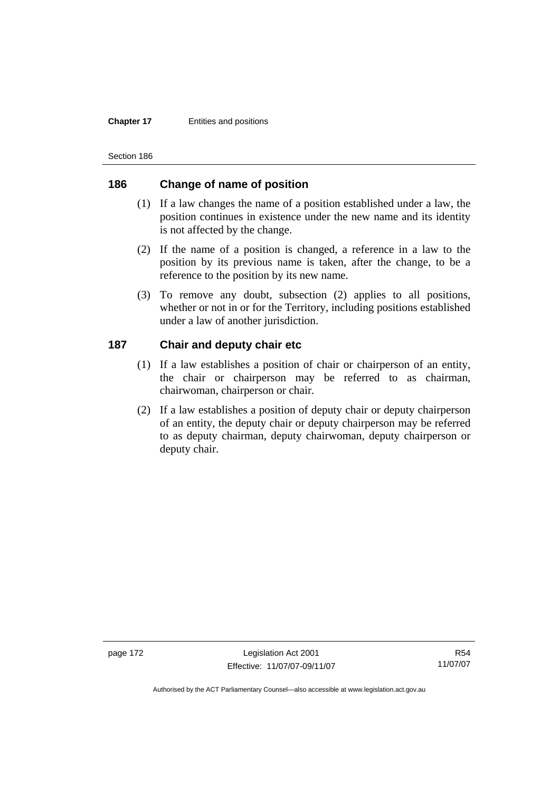#### **Chapter 17** Entities and positions

Section 186

# **186 Change of name of position**

- (1) If a law changes the name of a position established under a law, the position continues in existence under the new name and its identity is not affected by the change.
- (2) If the name of a position is changed, a reference in a law to the position by its previous name is taken, after the change, to be a reference to the position by its new name.
- (3) To remove any doubt, subsection (2) applies to all positions, whether or not in or for the Territory, including positions established under a law of another jurisdiction.

# **187 Chair and deputy chair etc**

- (1) If a law establishes a position of chair or chairperson of an entity, the chair or chairperson may be referred to as chairman, chairwoman, chairperson or chair.
- (2) If a law establishes a position of deputy chair or deputy chairperson of an entity, the deputy chair or deputy chairperson may be referred to as deputy chairman, deputy chairwoman, deputy chairperson or deputy chair.

page 172 Legislation Act 2001 Effective: 11/07/07-09/11/07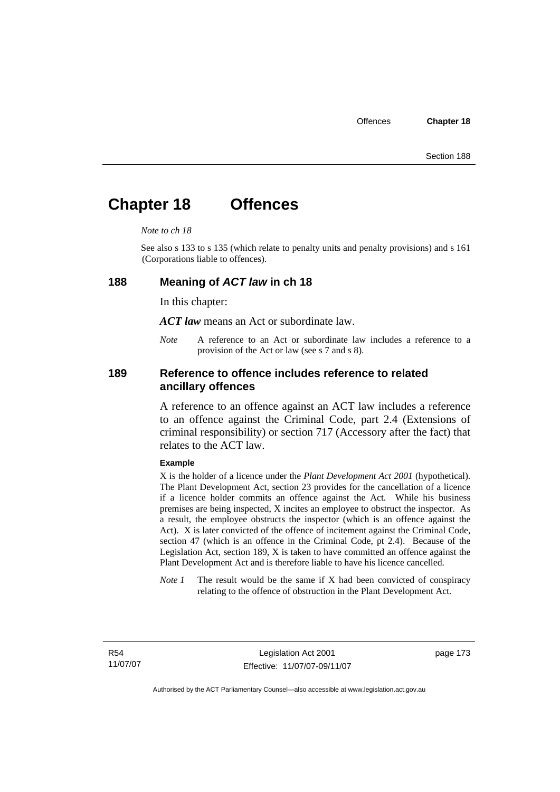# **Chapter 18 Offences**

#### *Note to ch 18*

See also s 133 to s 135 (which relate to penalty units and penalty provisions) and s 161 (Corporations liable to offences).

#### **188 Meaning of** *ACT law* **in ch 18**

In this chapter:

*ACT law* means an Act or subordinate law.

*Note* A reference to an Act or subordinate law includes a reference to a provision of the Act or law (see s 7 and s 8).

### **189 Reference to offence includes reference to related ancillary offences**

A reference to an offence against an ACT law includes a reference to an offence against the Criminal Code, part 2.4 (Extensions of criminal responsibility) or section 717 (Accessory after the fact) that relates to the ACT law.

#### **Example**

X is the holder of a licence under the *Plant Development Act 2001* (hypothetical). The Plant Development Act, section 23 provides for the cancellation of a licence if a licence holder commits an offence against the Act. While his business premises are being inspected, X incites an employee to obstruct the inspector. As a result, the employee obstructs the inspector (which is an offence against the Act). X is later convicted of the offence of incitement against the Criminal Code, section 47 (which is an offence in the Criminal Code, pt 2.4). Because of the Legislation Act, section 189, X is taken to have committed an offence against the Plant Development Act and is therefore liable to have his licence cancelled.

*Note 1* The result would be the same if X had been convicted of conspiracy relating to the offence of obstruction in the Plant Development Act.

R54 11/07/07 page 173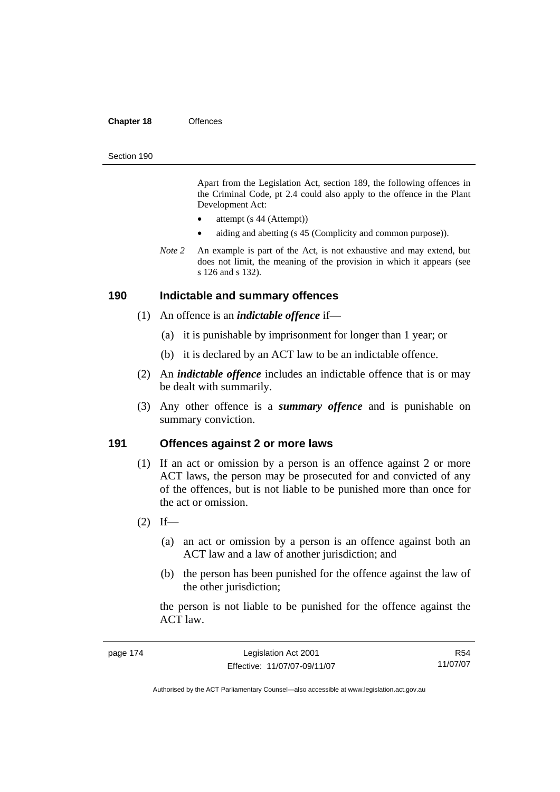#### **Chapter 18** Offences

#### Section 190

Apart from the Legislation Act, section 189, the following offences in the Criminal Code*,* pt 2.4 could also apply to the offence in the Plant Development Act:

- attempt (s 44 (Attempt))
- aiding and abetting (s 45 (Complicity and common purpose)).
- *Note 2* An example is part of the Act, is not exhaustive and may extend, but does not limit, the meaning of the provision in which it appears (see s 126 and s 132).

#### **190 Indictable and summary offences**

- (1) An offence is an *indictable offence* if—
	- (a) it is punishable by imprisonment for longer than 1 year; or
	- (b) it is declared by an ACT law to be an indictable offence.
- (2) An *indictable offence* includes an indictable offence that is or may be dealt with summarily.
- (3) Any other offence is a *summary offence* and is punishable on summary conviction.

#### **191 Offences against 2 or more laws**

- (1) If an act or omission by a person is an offence against 2 or more ACT laws, the person may be prosecuted for and convicted of any of the offences, but is not liable to be punished more than once for the act or omission.
- $(2)$  If—
	- (a) an act or omission by a person is an offence against both an ACT law and a law of another jurisdiction; and
	- (b) the person has been punished for the offence against the law of the other jurisdiction;

the person is not liable to be punished for the offence against the ACT law.

R54 11/07/07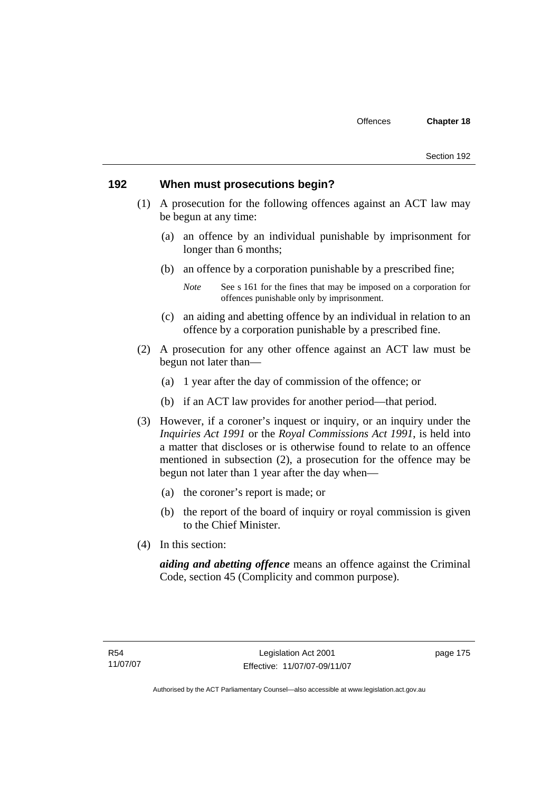#### **192 When must prosecutions begin?**

- (1) A prosecution for the following offences against an ACT law may be begun at any time:
	- (a) an offence by an individual punishable by imprisonment for longer than 6 months;
	- (b) an offence by a corporation punishable by a prescribed fine;

- (c) an aiding and abetting offence by an individual in relation to an offence by a corporation punishable by a prescribed fine.
- (2) A prosecution for any other offence against an ACT law must be begun not later than—
	- (a) 1 year after the day of commission of the offence; or
	- (b) if an ACT law provides for another period—that period.
- (3) However, if a coroner's inquest or inquiry, or an inquiry under the *Inquiries Act 1991* or the *Royal Commissions Act 1991*, is held into a matter that discloses or is otherwise found to relate to an offence mentioned in subsection (2), a prosecution for the offence may be begun not later than 1 year after the day when—
	- (a) the coroner's report is made; or
	- (b) the report of the board of inquiry or royal commission is given to the Chief Minister.
- (4) In this section:

*aiding and abetting offence* means an offence against the Criminal Code, section 45 (Complicity and common purpose).

*Note* See s 161 for the fines that may be imposed on a corporation for offences punishable only by imprisonment.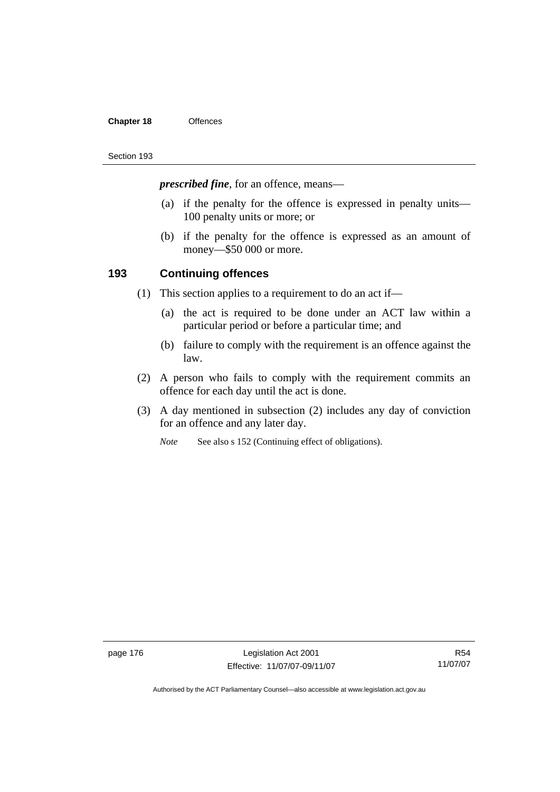#### **Chapter 18** Offences

#### Section 193

*prescribed fine*, for an offence, means—

- (a) if the penalty for the offence is expressed in penalty units— 100 penalty units or more; or
- (b) if the penalty for the offence is expressed as an amount of money—\$50 000 or more.

### **193 Continuing offences**

- (1) This section applies to a requirement to do an act if—
	- (a) the act is required to be done under an ACT law within a particular period or before a particular time; and
	- (b) failure to comply with the requirement is an offence against the law.
- (2) A person who fails to comply with the requirement commits an offence for each day until the act is done.
- (3) A day mentioned in subsection (2) includes any day of conviction for an offence and any later day.
	- *Note* See also s 152 (Continuing effect of obligations).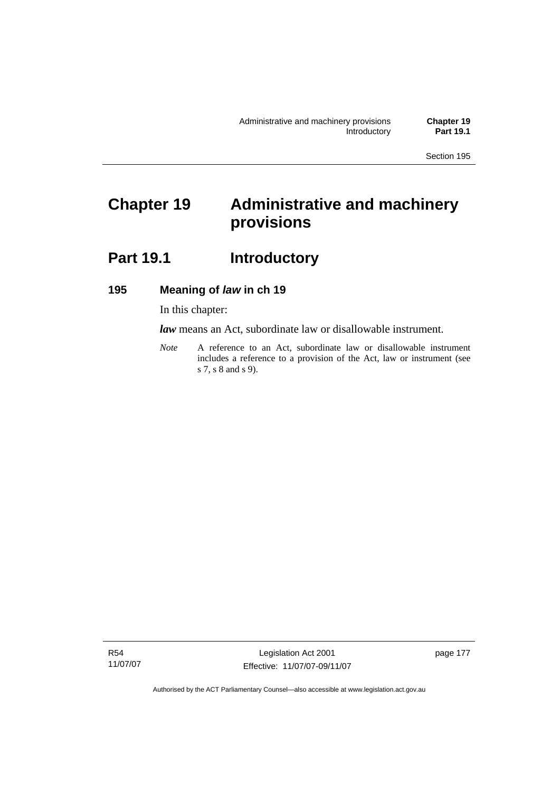# **Chapter 19 Administrative and machinery provisions**

# Part 19.1 **Introductory**

# **195 Meaning of** *law* **in ch 19**

In this chapter:

*law* means an Act, subordinate law or disallowable instrument.

*Note* A reference to an Act, subordinate law or disallowable instrument includes a reference to a provision of the Act, law or instrument (see s 7, s 8 and s 9).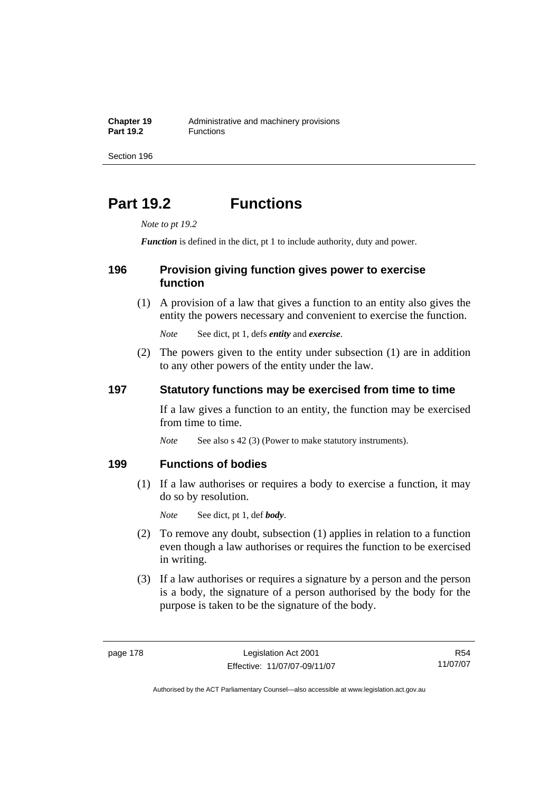**Chapter 19** Administrative and machinery provisions<br>**Part 19.2 Eunctions Part 19.2** Functions

Section 196

# **Part 19.2 Functions**

*Note to pt 19.2* 

*Function* is defined in the dict, pt 1 to include authority, duty and power.

### **196 Provision giving function gives power to exercise function**

 (1) A provision of a law that gives a function to an entity also gives the entity the powers necessary and convenient to exercise the function.

*Note* See dict, pt 1, defs *entity* and *exercise*.

 (2) The powers given to the entity under subsection (1) are in addition to any other powers of the entity under the law.

### **197 Statutory functions may be exercised from time to time**

If a law gives a function to an entity, the function may be exercised from time to time.

*Note* See also s 42 (3) (Power to make statutory instruments).

#### **199 Functions of bodies**

 (1) If a law authorises or requires a body to exercise a function, it may do so by resolution.

*Note* See dict, pt 1, def *body*.

- (2) To remove any doubt, subsection (1) applies in relation to a function even though a law authorises or requires the function to be exercised in writing.
- (3) If a law authorises or requires a signature by a person and the person is a body, the signature of a person authorised by the body for the purpose is taken to be the signature of the body.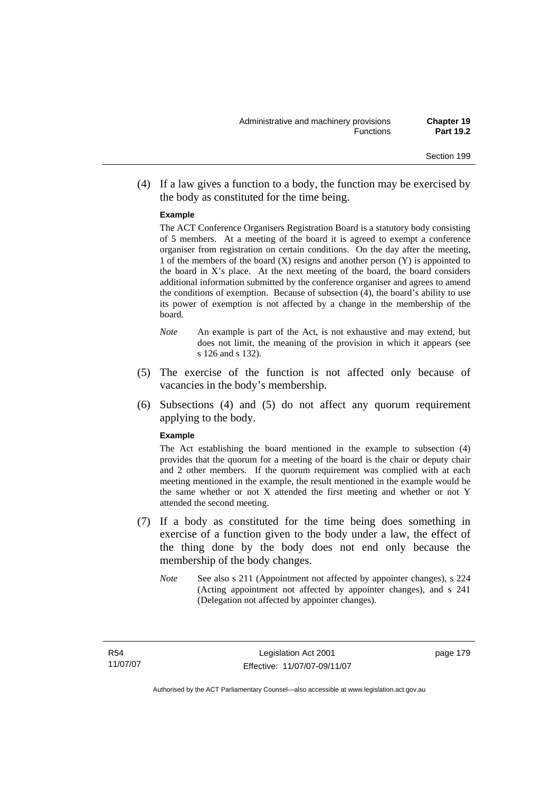(4) If a law gives a function to a body, the function may be exercised by the body as constituted for the time being.

#### **Example**

The ACT Conference Organisers Registration Board is a statutory body consisting of 5 members. At a meeting of the board it is agreed to exempt a conference organiser from registration on certain conditions. On the day after the meeting, 1 of the members of the board  $(X)$  resigns and another person  $(Y)$  is appointed to the board in  $X$ 's place. At the next meeting of the board, the board considers additional information submitted by the conference organiser and agrees to amend the conditions of exemption. Because of subsection (4), the board's ability to use its power of exemption is not affected by a change in the membership of the board.

- *Note* An example is part of the Act, is not exhaustive and may extend, but does not limit, the meaning of the provision in which it appears (see s 126 and s 132).
- (5) The exercise of the function is not affected only because of vacancies in the body's membership.
- (6) Subsections (4) and (5) do not affect any quorum requirement applying to the body.

#### **Example**

The Act establishing the board mentioned in the example to subsection (4) provides that the quorum for a meeting of the board is the chair or deputy chair and 2 other members. If the quorum requirement was complied with at each meeting mentioned in the example, the result mentioned in the example would be the same whether or not X attended the first meeting and whether or not Y attended the second meeting.

- (7) If a body as constituted for the time being does something in exercise of a function given to the body under a law, the effect of the thing done by the body does not end only because the membership of the body changes.
	- *Note* See also s 211 (Appointment not affected by appointer changes), s 224 (Acting appointment not affected by appointer changes), and s 241 (Delegation not affected by appointer changes).

R54 11/07/07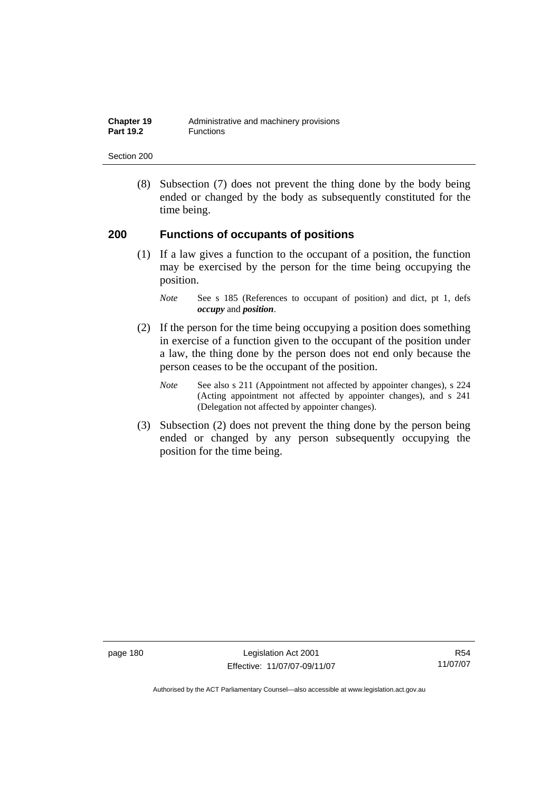| Chapter 19       | Administrative and machinery provisions |
|------------------|-----------------------------------------|
| <b>Part 19.2</b> | Functions                               |

 (8) Subsection (7) does not prevent the thing done by the body being ended or changed by the body as subsequently constituted for the time being.

### **200 Functions of occupants of positions**

 (1) If a law gives a function to the occupant of a position, the function may be exercised by the person for the time being occupying the position.

- (2) If the person for the time being occupying a position does something in exercise of a function given to the occupant of the position under a law, the thing done by the person does not end only because the person ceases to be the occupant of the position.
	- *Note* See also s 211 (Appointment not affected by appointer changes), s 224 (Acting appointment not affected by appointer changes), and s 241 (Delegation not affected by appointer changes).
- (3) Subsection (2) does not prevent the thing done by the person being ended or changed by any person subsequently occupying the position for the time being.

page 180 Legislation Act 2001 Effective: 11/07/07-09/11/07

*Note* See s 185 (References to occupant of position) and dict, pt 1, defs *occupy* and *position*.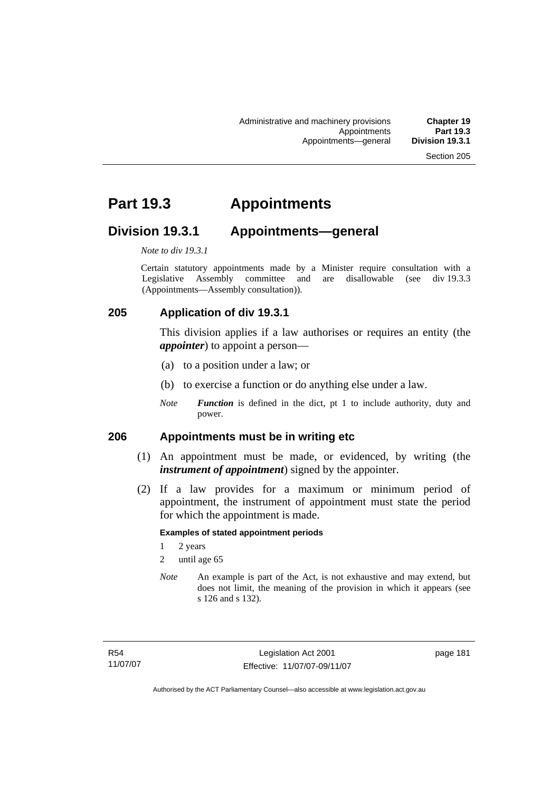# **Part 19.3 Appointments**

# **Division 19.3.1 Appointments—general**

*Note to div 19.3.1* 

Certain statutory appointments made by a Minister require consultation with a Legislative Assembly committee and are disallowable (see div 19.3.3) (Appointments—Assembly consultation)).

# **205 Application of div 19.3.1**

This division applies if a law authorises or requires an entity (the *appointer*) to appoint a person—

- (a) to a position under a law; or
- (b) to exercise a function or do anything else under a law.
- *Note Function* is defined in the dict, pt 1 to include authority, duty and power.

### **206 Appointments must be in writing etc**

- (1) An appointment must be made, or evidenced, by writing (the *instrument of appointment*) signed by the appointer.
- (2) If a law provides for a maximum or minimum period of appointment, the instrument of appointment must state the period for which the appointment is made.

#### **Examples of stated appointment periods**

- 1 2 years
- 2 until age 65
- *Note* An example is part of the Act, is not exhaustive and may extend, but does not limit, the meaning of the provision in which it appears (see s 126 and s 132).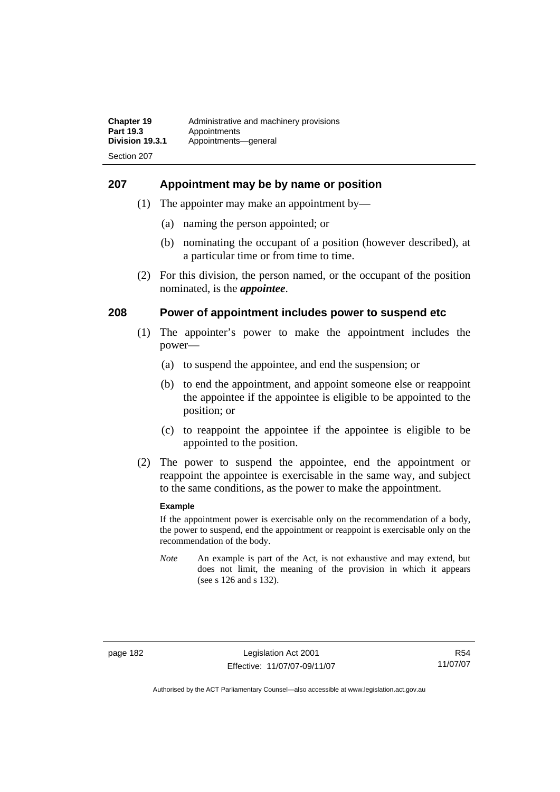#### **207 Appointment may be by name or position**

- (1) The appointer may make an appointment by—
	- (a) naming the person appointed; or
	- (b) nominating the occupant of a position (however described), at a particular time or from time to time.
- (2) For this division, the person named, or the occupant of the position nominated, is the *appointee*.

#### **208 Power of appointment includes power to suspend etc**

- (1) The appointer's power to make the appointment includes the power—
	- (a) to suspend the appointee, and end the suspension; or
	- (b) to end the appointment, and appoint someone else or reappoint the appointee if the appointee is eligible to be appointed to the position; or
	- (c) to reappoint the appointee if the appointee is eligible to be appointed to the position.
- (2) The power to suspend the appointee, end the appointment or reappoint the appointee is exercisable in the same way, and subject to the same conditions, as the power to make the appointment.

#### **Example**

If the appointment power is exercisable only on the recommendation of a body, the power to suspend, end the appointment or reappoint is exercisable only on the recommendation of the body.

*Note* An example is part of the Act, is not exhaustive and may extend, but does not limit, the meaning of the provision in which it appears (see s 126 and s 132).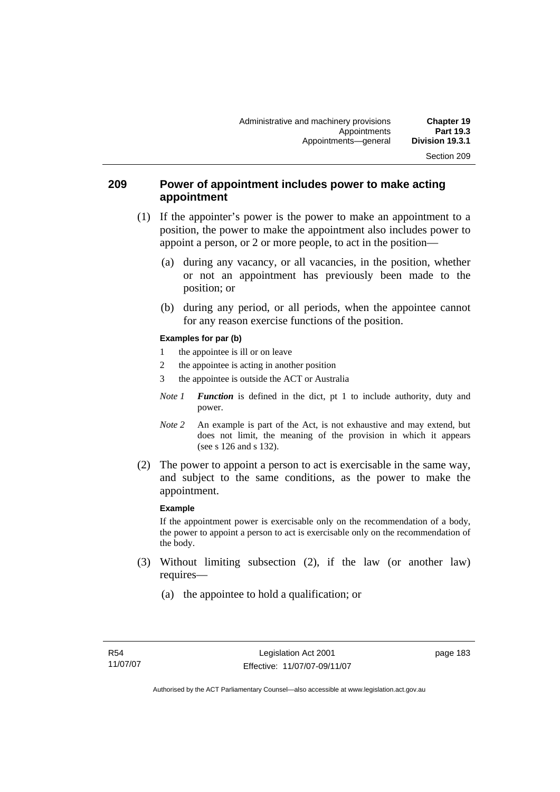### **209 Power of appointment includes power to make acting appointment**

- (1) If the appointer's power is the power to make an appointment to a position, the power to make the appointment also includes power to appoint a person, or 2 or more people, to act in the position—
	- (a) during any vacancy, or all vacancies, in the position, whether or not an appointment has previously been made to the position; or
	- (b) during any period, or all periods, when the appointee cannot for any reason exercise functions of the position.

#### **Examples for par (b)**

- 1 the appointee is ill or on leave
- 2 the appointee is acting in another position
- 3 the appointee is outside the ACT or Australia
- *Note 1 Function* is defined in the dict, pt 1 to include authority, duty and power.
- *Note* 2 An example is part of the Act, is not exhaustive and may extend, but does not limit, the meaning of the provision in which it appears (see s 126 and s 132).
- (2) The power to appoint a person to act is exercisable in the same way, and subject to the same conditions, as the power to make the appointment.

#### **Example**

If the appointment power is exercisable only on the recommendation of a body, the power to appoint a person to act is exercisable only on the recommendation of the body.

- (3) Without limiting subsection (2), if the law (or another law) requires—
	- (a) the appointee to hold a qualification; or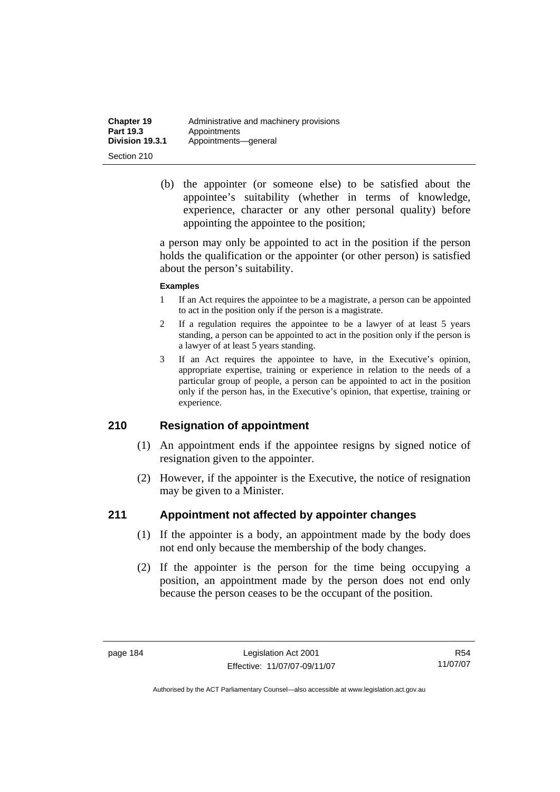| <b>Chapter 19</b> | Administrative and machinery provisions |
|-------------------|-----------------------------------------|
| <b>Part 19.3</b>  | Appointments                            |
| Division 19.3.1   | Appointments-qeneral                    |
| Section 210       |                                         |

 (b) the appointer (or someone else) to be satisfied about the appointee's suitability (whether in terms of knowledge, experience, character or any other personal quality) before appointing the appointee to the position;

a person may only be appointed to act in the position if the person holds the qualification or the appointer (or other person) is satisfied about the person's suitability.

#### **Examples**

- 1 If an Act requires the appointee to be a magistrate, a person can be appointed to act in the position only if the person is a magistrate.
- 2 If a regulation requires the appointee to be a lawyer of at least 5 years standing, a person can be appointed to act in the position only if the person is a lawyer of at least 5 years standing.
- 3 If an Act requires the appointee to have, in the Executive's opinion, appropriate expertise, training or experience in relation to the needs of a particular group of people, a person can be appointed to act in the position only if the person has, in the Executive's opinion, that expertise, training or experience.

### **210 Resignation of appointment**

- (1) An appointment ends if the appointee resigns by signed notice of resignation given to the appointer.
- (2) However, if the appointer is the Executive, the notice of resignation may be given to a Minister.

### **211 Appointment not affected by appointer changes**

- (1) If the appointer is a body, an appointment made by the body does not end only because the membership of the body changes.
- (2) If the appointer is the person for the time being occupying a position, an appointment made by the person does not end only because the person ceases to be the occupant of the position.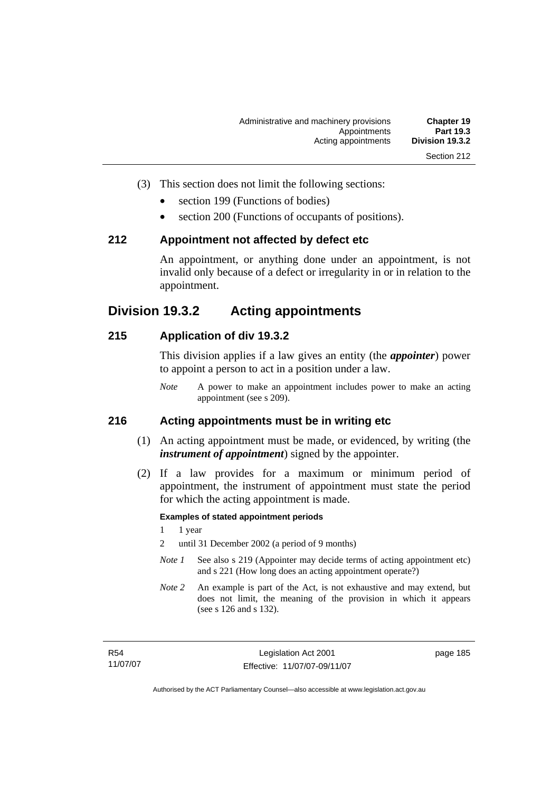- 
- (3) This section does not limit the following sections:
	- section 199 (Functions of bodies)
	- section 200 (Functions of occupants of positions).

#### **212 Appointment not affected by defect etc**

An appointment, or anything done under an appointment, is not invalid only because of a defect or irregularity in or in relation to the appointment.

# **Division 19.3.2 Acting appointments**

### **215 Application of div 19.3.2**

This division applies if a law gives an entity (the *appointer*) power to appoint a person to act in a position under a law.

*Note* A power to make an appointment includes power to make an acting appointment (see s 209).

# **216 Acting appointments must be in writing etc**

- (1) An acting appointment must be made, or evidenced, by writing (the *instrument of appointment*) signed by the appointer.
- (2) If a law provides for a maximum or minimum period of appointment, the instrument of appointment must state the period for which the acting appointment is made.

#### **Examples of stated appointment periods**

- 1 1 year
- 2 until 31 December 2002 (a period of 9 months)
- *Note 1* See also s 219 (Appointer may decide terms of acting appointment etc) and s 221 (How long does an acting appointment operate?)
- *Note 2* An example is part of the Act, is not exhaustive and may extend, but does not limit, the meaning of the provision in which it appears (see s 126 and s 132).

page 185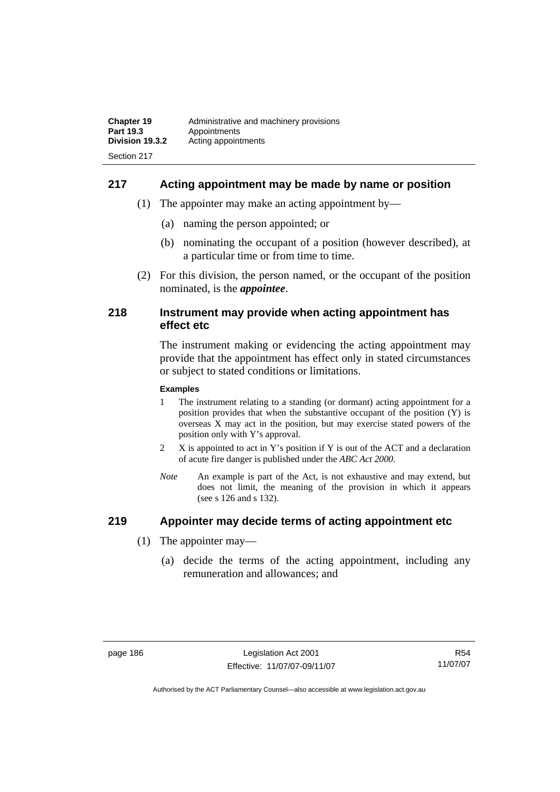# **217 Acting appointment may be made by name or position**

- (1) The appointer may make an acting appointment by—
	- (a) naming the person appointed; or
	- (b) nominating the occupant of a position (however described), at a particular time or from time to time.
- (2) For this division, the person named, or the occupant of the position nominated, is the *appointee*.

#### **218 Instrument may provide when acting appointment has effect etc**

The instrument making or evidencing the acting appointment may provide that the appointment has effect only in stated circumstances or subject to stated conditions or limitations.

#### **Examples**

- 1 The instrument relating to a standing (or dormant) acting appointment for a position provides that when the substantive occupant of the position (Y) is overseas X may act in the position, but may exercise stated powers of the position only with Y's approval.
- 2 X is appointed to act in Y's position if Y is out of the ACT and a declaration of acute fire danger is published under the *ABC Act 2000*.
- *Note* An example is part of the Act, is not exhaustive and may extend, but does not limit, the meaning of the provision in which it appears (see s 126 and s 132).

### **219 Appointer may decide terms of acting appointment etc**

- (1) The appointer may—
	- (a) decide the terms of the acting appointment, including any remuneration and allowances; and

R54 11/07/07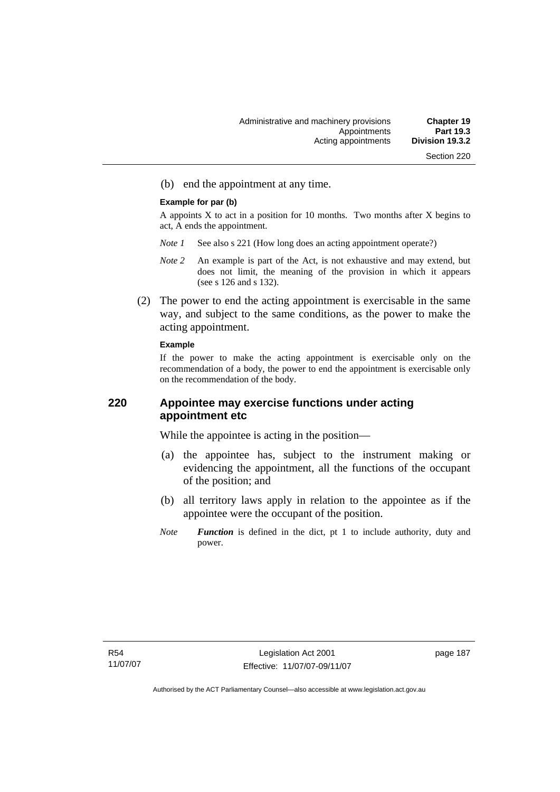(b) end the appointment at any time.

#### **Example for par (b)**

A appoints  $X$  to act in a position for 10 months. Two months after  $X$  begins to act, A ends the appointment.

- *Note 1* See also s 221 (How long does an acting appointment operate?)
- *Note 2* An example is part of the Act, is not exhaustive and may extend, but does not limit, the meaning of the provision in which it appears (see s 126 and s 132).
- (2) The power to end the acting appointment is exercisable in the same way, and subject to the same conditions, as the power to make the acting appointment.

#### **Example**

If the power to make the acting appointment is exercisable only on the recommendation of a body, the power to end the appointment is exercisable only on the recommendation of the body.

# **220 Appointee may exercise functions under acting appointment etc**

While the appointee is acting in the position—

- (a) the appointee has, subject to the instrument making or evidencing the appointment, all the functions of the occupant of the position; and
- (b) all territory laws apply in relation to the appointee as if the appointee were the occupant of the position.
- *Note Function* is defined in the dict, pt 1 to include authority, duty and power.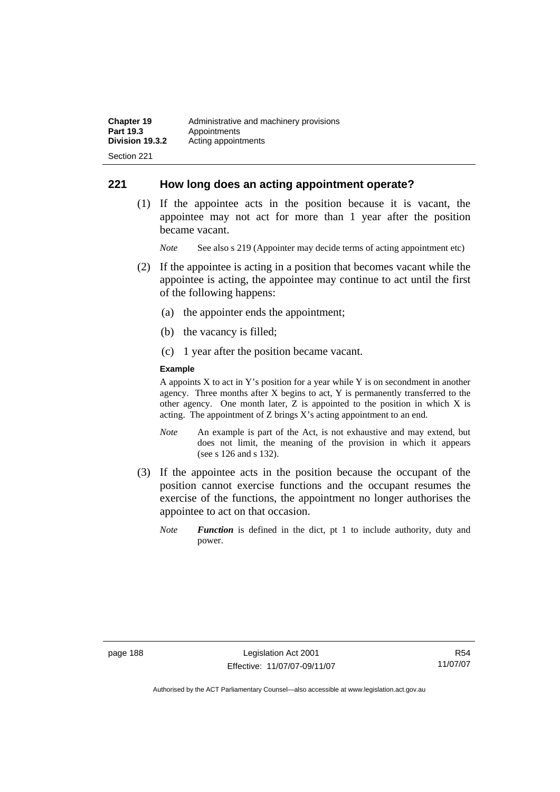### **221 How long does an acting appointment operate?**

 (1) If the appointee acts in the position because it is vacant, the appointee may not act for more than 1 year after the position became vacant.

*Note* See also s 219 (Appointer may decide terms of acting appointment etc)

- (2) If the appointee is acting in a position that becomes vacant while the appointee is acting, the appointee may continue to act until the first of the following happens:
	- (a) the appointer ends the appointment;
	- (b) the vacancy is filled;
	- (c) 1 year after the position became vacant.

#### **Example**

A appoints  $X$  to act in Y's position for a year while Y is on secondment in another agency. Three months after X begins to act, Y is permanently transferred to the other agency. One month later, Z is appointed to the position in which X is acting. The appointment of Z brings X's acting appointment to an end.

- *Note* An example is part of the Act, is not exhaustive and may extend, but does not limit, the meaning of the provision in which it appears (see s 126 and s 132).
- (3) If the appointee acts in the position because the occupant of the position cannot exercise functions and the occupant resumes the exercise of the functions, the appointment no longer authorises the appointee to act on that occasion.
	- *Note Function* is defined in the dict, pt 1 to include authority, duty and power.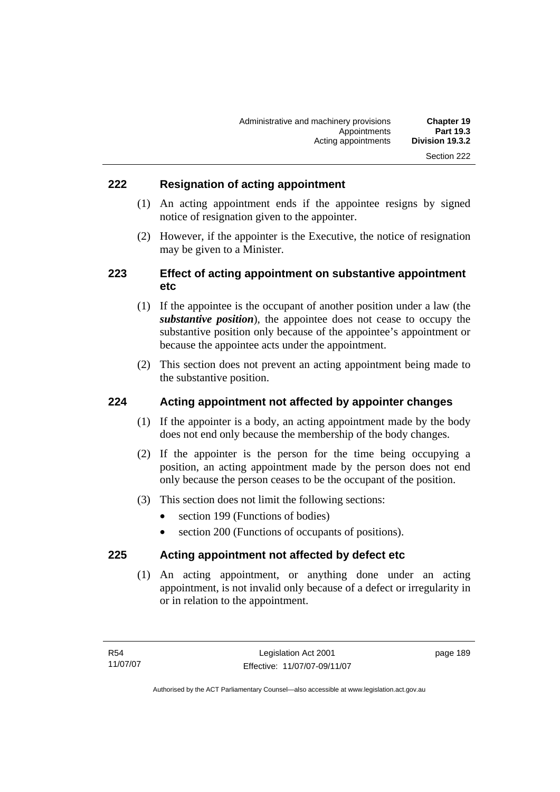# **222 Resignation of acting appointment**

- (1) An acting appointment ends if the appointee resigns by signed notice of resignation given to the appointer.
- (2) However, if the appointer is the Executive, the notice of resignation may be given to a Minister.

# **223 Effect of acting appointment on substantive appointment etc**

- (1) If the appointee is the occupant of another position under a law (the *substantive position*), the appointee does not cease to occupy the substantive position only because of the appointee's appointment or because the appointee acts under the appointment.
- (2) This section does not prevent an acting appointment being made to the substantive position.

### **224 Acting appointment not affected by appointer changes**

- (1) If the appointer is a body, an acting appointment made by the body does not end only because the membership of the body changes.
- (2) If the appointer is the person for the time being occupying a position, an acting appointment made by the person does not end only because the person ceases to be the occupant of the position.
- (3) This section does not limit the following sections:
	- section 199 (Functions of bodies)
	- section 200 (Functions of occupants of positions).

### **225 Acting appointment not affected by defect etc**

 (1) An acting appointment, or anything done under an acting appointment, is not invalid only because of a defect or irregularity in or in relation to the appointment.

page 189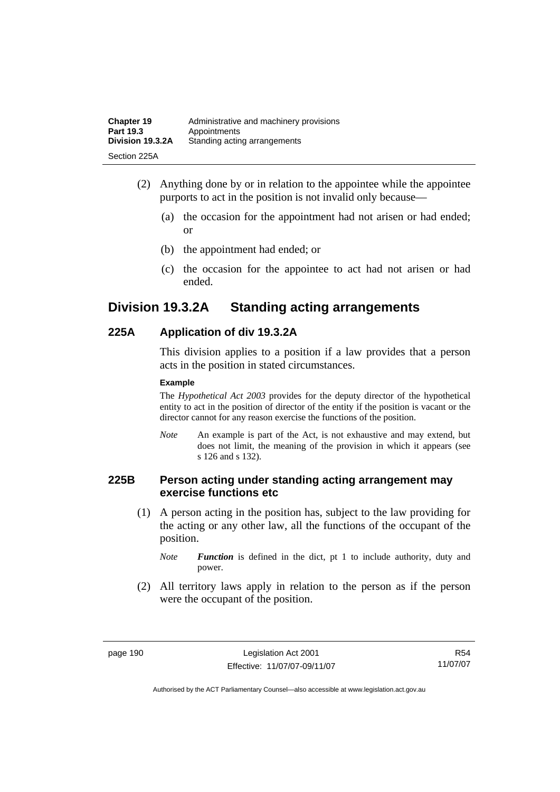| <b>Chapter 19</b> | Administrative and machinery provisions |
|-------------------|-----------------------------------------|
| Part 19.3         | Appointments                            |
| Division 19.3.2A  | Standing acting arrangements            |
| Section 225A      |                                         |

- (2) Anything done by or in relation to the appointee while the appointee purports to act in the position is not invalid only because—
	- (a) the occasion for the appointment had not arisen or had ended; or
	- (b) the appointment had ended; or
	- (c) the occasion for the appointee to act had not arisen or had ended.

# **Division 19.3.2A Standing acting arrangements**

### **225A Application of div 19.3.2A**

This division applies to a position if a law provides that a person acts in the position in stated circumstances.

#### **Example**

The *Hypothetical Act 2003* provides for the deputy director of the hypothetical entity to act in the position of director of the entity if the position is vacant or the director cannot for any reason exercise the functions of the position.

*Note* An example is part of the Act, is not exhaustive and may extend, but does not limit, the meaning of the provision in which it appears (see s 126 and s 132).

### **225B Person acting under standing acting arrangement may exercise functions etc**

 (1) A person acting in the position has, subject to the law providing for the acting or any other law, all the functions of the occupant of the position.

*Note Function* is defined in the dict, pt 1 to include authority, duty and power.

 (2) All territory laws apply in relation to the person as if the person were the occupant of the position.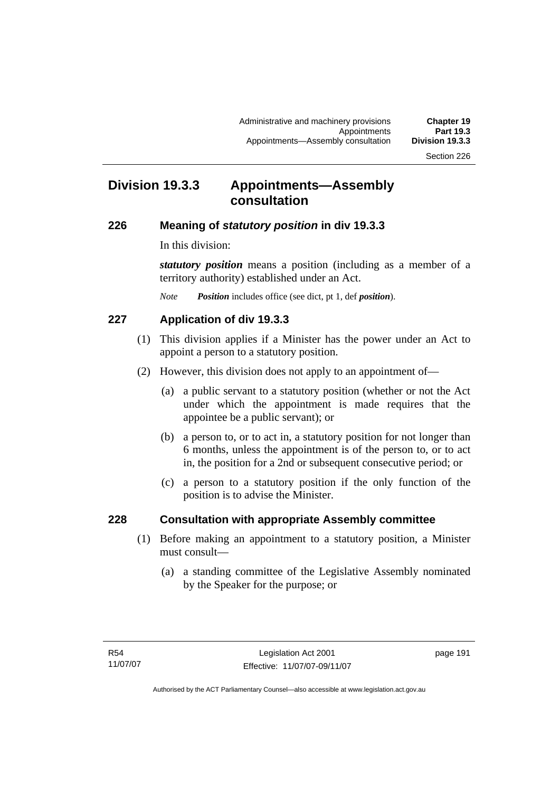# **Division 19.3.3 Appointments—Assembly consultation**

# **226 Meaning of** *statutory position* **in div 19.3.3**

In this division:

*statutory position* means a position (including as a member of a territory authority) established under an Act.

*Note Position* includes office (see dict, pt 1, def *position*).

# **227 Application of div 19.3.3**

- (1) This division applies if a Minister has the power under an Act to appoint a person to a statutory position.
- (2) However, this division does not apply to an appointment of—
	- (a) a public servant to a statutory position (whether or not the Act under which the appointment is made requires that the appointee be a public servant); or
	- (b) a person to, or to act in, a statutory position for not longer than 6 months, unless the appointment is of the person to, or to act in, the position for a 2nd or subsequent consecutive period; or
	- (c) a person to a statutory position if the only function of the position is to advise the Minister.

# **228 Consultation with appropriate Assembly committee**

- (1) Before making an appointment to a statutory position, a Minister must consult—
	- (a) a standing committee of the Legislative Assembly nominated by the Speaker for the purpose; or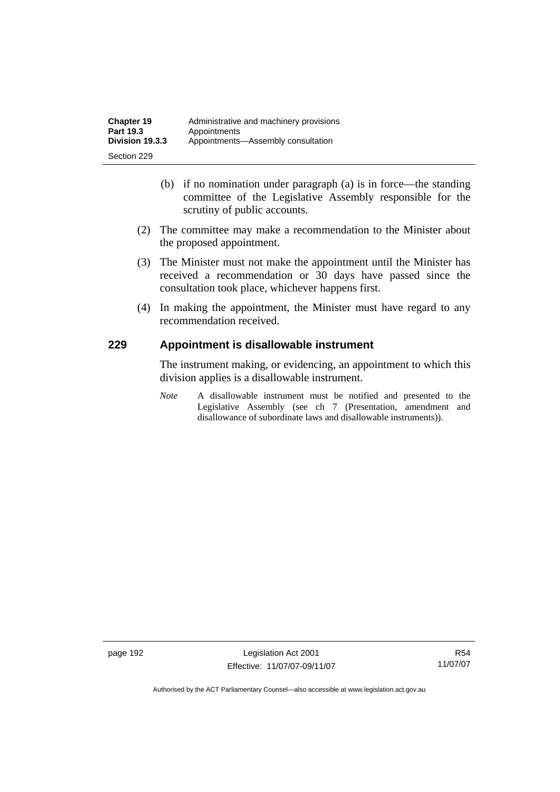- (b) if no nomination under paragraph (a) is in force—the standing committee of the Legislative Assembly responsible for the scrutiny of public accounts.
- (2) The committee may make a recommendation to the Minister about the proposed appointment.
- (3) The Minister must not make the appointment until the Minister has received a recommendation or 30 days have passed since the consultation took place, whichever happens first.
- (4) In making the appointment, the Minister must have regard to any recommendation received.

# **229 Appointment is disallowable instrument**

The instrument making, or evidencing, an appointment to which this division applies is a disallowable instrument.

*Note* A disallowable instrument must be notified and presented to the Legislative Assembly (see ch 7 (Presentation, amendment and disallowance of subordinate laws and disallowable instruments)).

page 192 Legislation Act 2001 Effective: 11/07/07-09/11/07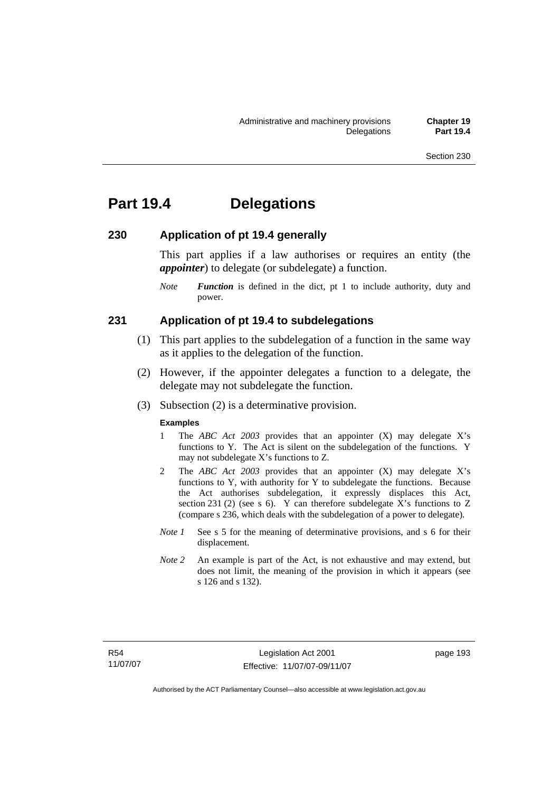# **Part 19.4 Delegations**

### **230 Application of pt 19.4 generally**

This part applies if a law authorises or requires an entity (the *appointer*) to delegate (or subdelegate) a function.

*Note Function* is defined in the dict, pt 1 to include authority, duty and power.

#### **231 Application of pt 19.4 to subdelegations**

- (1) This part applies to the subdelegation of a function in the same way as it applies to the delegation of the function.
- (2) However, if the appointer delegates a function to a delegate, the delegate may not subdelegate the function.
- (3) Subsection (2) is a determinative provision.

#### **Examples**

- 1 The *ABC Act 2003* provides that an appointer (X) may delegate X's functions to Y. The Act is silent on the subdelegation of the functions. Y may not subdelegate X's functions to Z.
- 2 The *ABC Act 2003* provides that an appointer (X) may delegate X's functions to Y, with authority for Y to subdelegate the functions. Because the Act authorises subdelegation, it expressly displaces this Act, section 231 (2) (see s 6). Y can therefore subdelegate X's functions to  $Z$ (compare s 236, which deals with the subdelegation of a power to delegate)*.*
- *Note 1* See s 5 for the meaning of determinative provisions, and s 6 for their displacement.
- *Note 2* An example is part of the Act, is not exhaustive and may extend, but does not limit, the meaning of the provision in which it appears (see s 126 and s 132).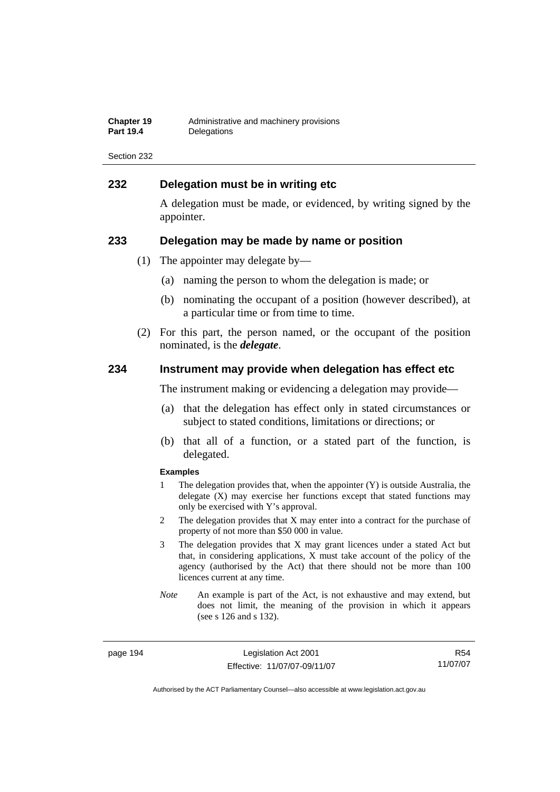| <b>Chapter 19</b> | Administrative and machinery provisions |
|-------------------|-----------------------------------------|
| <b>Part 19.4</b>  | Delegations                             |

### **232 Delegation must be in writing etc**

A delegation must be made, or evidenced, by writing signed by the appointer.

#### **233 Delegation may be made by name or position**

- (1) The appointer may delegate by—
	- (a) naming the person to whom the delegation is made; or
	- (b) nominating the occupant of a position (however described), at a particular time or from time to time.
- (2) For this part, the person named, or the occupant of the position nominated, is the *delegate*.

#### **234 Instrument may provide when delegation has effect etc**

The instrument making or evidencing a delegation may provide—

- (a) that the delegation has effect only in stated circumstances or subject to stated conditions, limitations or directions; or
- (b) that all of a function, or a stated part of the function, is delegated.

#### **Examples**

- 1 The delegation provides that, when the appointer (Y) is outside Australia, the delegate (X) may exercise her functions except that stated functions may only be exercised with Y's approval.
- 2 The delegation provides that X may enter into a contract for the purchase of property of not more than \$50 000 in value.
- 3 The delegation provides that X may grant licences under a stated Act but that, in considering applications, X must take account of the policy of the agency (authorised by the Act) that there should not be more than 100 licences current at any time.
- *Note* An example is part of the Act, is not exhaustive and may extend, but does not limit, the meaning of the provision in which it appears (see s 126 and s 132).

page 194 Legislation Act 2001 Effective: 11/07/07-09/11/07

R54 11/07/07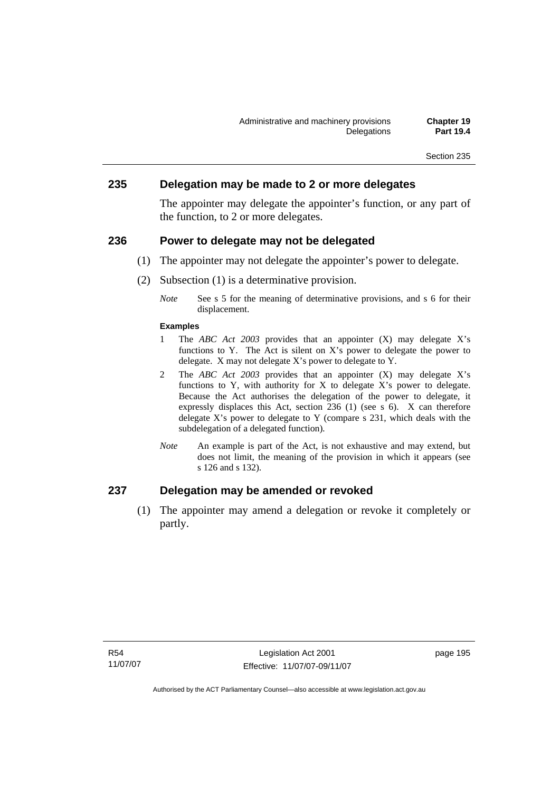#### **235 Delegation may be made to 2 or more delegates**

The appointer may delegate the appointer's function, or any part of the function, to 2 or more delegates.

#### **236 Power to delegate may not be delegated**

- (1) The appointer may not delegate the appointer's power to delegate.
- (2) Subsection (1) is a determinative provision.
	- *Note* See s 5 for the meaning of determinative provisions, and s 6 for their displacement.

#### **Examples**

- 1 The *ABC Act 2003* provides that an appointer (X) may delegate X's functions to Y. The Act is silent on X's power to delegate the power to delegate. X may not delegate X's power to delegate to Y.
- 2 The *ABC Act 2003* provides that an appointer (X) may delegate X's functions to Y, with authority for X to delegate X's power to delegate. Because the Act authorises the delegation of the power to delegate, it expressly displaces this Act, section 236 (1) (see s 6). X can therefore delegate  $X$ 's power to delegate to  $Y$  (compare s 231, which deals with the subdelegation of a delegated function)*.*
- *Note* An example is part of the Act, is not exhaustive and may extend, but does not limit, the meaning of the provision in which it appears (see s 126 and s 132).

# **237 Delegation may be amended or revoked**

 (1) The appointer may amend a delegation or revoke it completely or partly.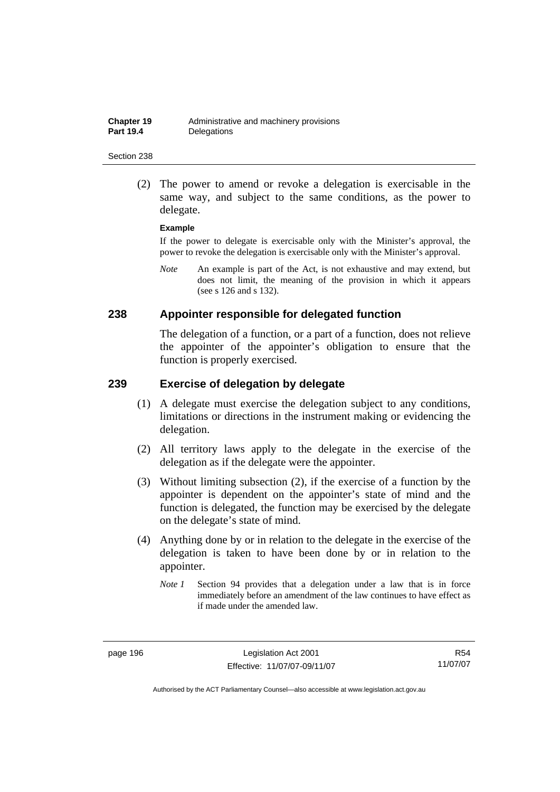(2) The power to amend or revoke a delegation is exercisable in the same way, and subject to the same conditions, as the power to delegate.

#### **Example**

If the power to delegate is exercisable only with the Minister's approval, the power to revoke the delegation is exercisable only with the Minister's approval.

*Note* An example is part of the Act, is not exhaustive and may extend, but does not limit, the meaning of the provision in which it appears (see s 126 and s 132).

#### **238 Appointer responsible for delegated function**

The delegation of a function, or a part of a function, does not relieve the appointer of the appointer's obligation to ensure that the function is properly exercised.

#### **239 Exercise of delegation by delegate**

- (1) A delegate must exercise the delegation subject to any conditions, limitations or directions in the instrument making or evidencing the delegation.
- (2) All territory laws apply to the delegate in the exercise of the delegation as if the delegate were the appointer.
- (3) Without limiting subsection (2), if the exercise of a function by the appointer is dependent on the appointer's state of mind and the function is delegated, the function may be exercised by the delegate on the delegate's state of mind.
- (4) Anything done by or in relation to the delegate in the exercise of the delegation is taken to have been done by or in relation to the appointer.
	- *Note 1* Section 94 provides that a delegation under a law that is in force immediately before an amendment of the law continues to have effect as if made under the amended law.

R54 11/07/07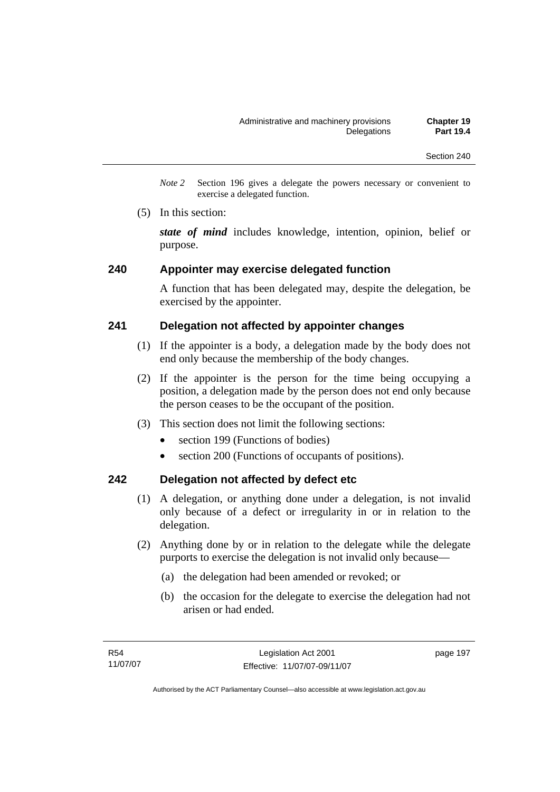*Note 2* Section 196 gives a delegate the powers necessary or convenient to exercise a delegated function.

(5) In this section:

*state of mind* includes knowledge, intention, opinion, belief or purpose.

#### **240 Appointer may exercise delegated function**

A function that has been delegated may, despite the delegation, be exercised by the appointer.

### **241 Delegation not affected by appointer changes**

- (1) If the appointer is a body, a delegation made by the body does not end only because the membership of the body changes.
- (2) If the appointer is the person for the time being occupying a position, a delegation made by the person does not end only because the person ceases to be the occupant of the position.
- (3) This section does not limit the following sections:
	- section 199 (Functions of bodies)
	- section 200 (Functions of occupants of positions).

### **242 Delegation not affected by defect etc**

- (1) A delegation, or anything done under a delegation, is not invalid only because of a defect or irregularity in or in relation to the delegation.
- (2) Anything done by or in relation to the delegate while the delegate purports to exercise the delegation is not invalid only because—
	- (a) the delegation had been amended or revoked; or
	- (b) the occasion for the delegate to exercise the delegation had not arisen or had ended.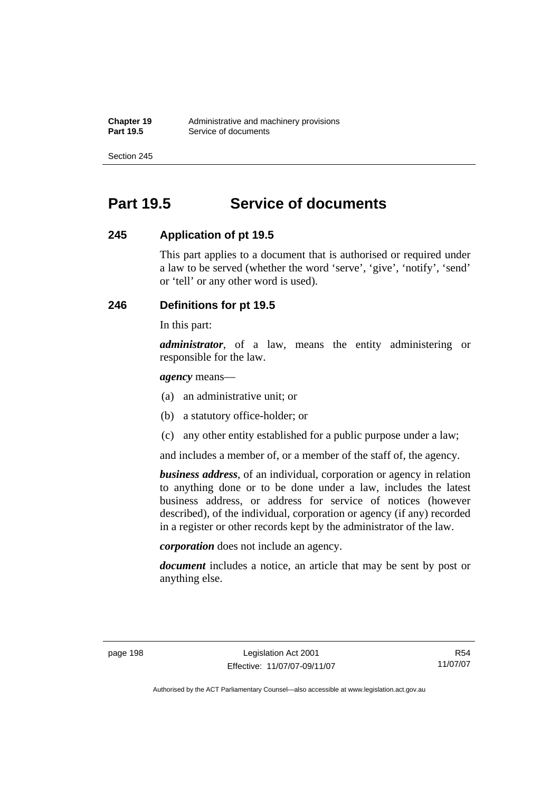# **Part 19.5 Service of documents**

# **245 Application of pt 19.5**

This part applies to a document that is authorised or required under a law to be served (whether the word 'serve', 'give', 'notify', 'send' or 'tell' or any other word is used).

# **246 Definitions for pt 19.5**

In this part:

*administrator*, of a law, means the entity administering or responsible for the law.

*agency* means—

- (a) an administrative unit; or
- (b) a statutory office-holder; or
- (c) any other entity established for a public purpose under a law;

and includes a member of, or a member of the staff of, the agency.

*business address*, of an individual, corporation or agency in relation to anything done or to be done under a law, includes the latest business address, or address for service of notices (however described), of the individual, corporation or agency (if any) recorded in a register or other records kept by the administrator of the law.

*corporation* does not include an agency.

*document* includes a notice, an article that may be sent by post or anything else.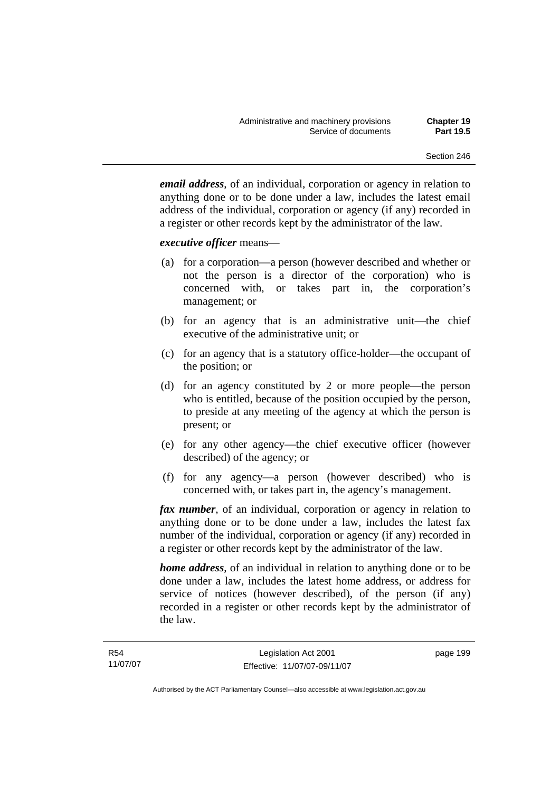*email address*, of an individual, corporation or agency in relation to anything done or to be done under a law, includes the latest email address of the individual, corporation or agency (if any) recorded in a register or other records kept by the administrator of the law.

#### *executive officer* means—

- (a) for a corporation—a person (however described and whether or not the person is a director of the corporation) who is concerned with, or takes part in, the corporation's management; or
- (b) for an agency that is an administrative unit—the chief executive of the administrative unit; or
- (c) for an agency that is a statutory office-holder—the occupant of the position; or
- (d) for an agency constituted by 2 or more people—the person who is entitled, because of the position occupied by the person, to preside at any meeting of the agency at which the person is present; or
- (e) for any other agency—the chief executive officer (however described) of the agency; or
- (f) for any agency—a person (however described) who is concerned with, or takes part in, the agency's management.

*fax number*, of an individual, corporation or agency in relation to anything done or to be done under a law, includes the latest fax number of the individual, corporation or agency (if any) recorded in a register or other records kept by the administrator of the law.

*home address*, of an individual in relation to anything done or to be done under a law, includes the latest home address, or address for service of notices (however described), of the person (if any) recorded in a register or other records kept by the administrator of the law.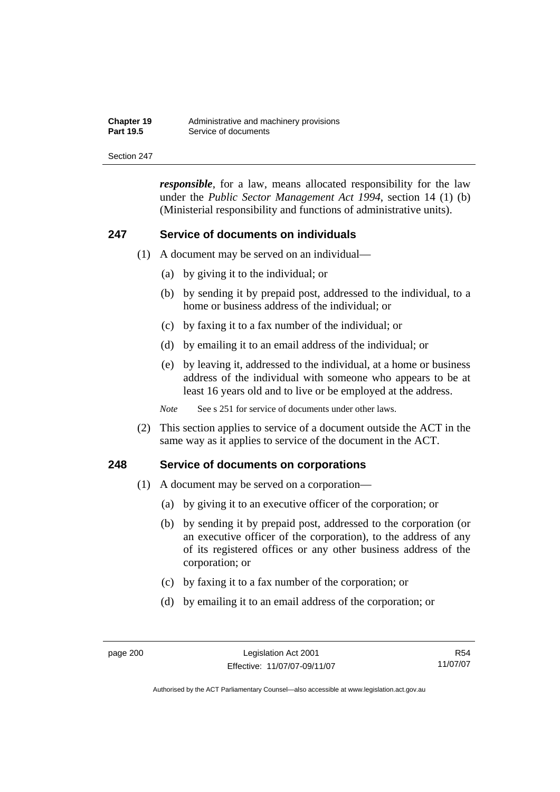| <b>Chapter 19</b> | Administrative and machinery provisions |
|-------------------|-----------------------------------------|
| <b>Part 19.5</b>  | Service of documents                    |

*responsible*, for a law, means allocated responsibility for the law under the *Public Sector Management Act 1994*, section 14 (1) (b) (Ministerial responsibility and functions of administrative units).

#### **247 Service of documents on individuals**

- (1) A document may be served on an individual—
	- (a) by giving it to the individual; or
	- (b) by sending it by prepaid post, addressed to the individual, to a home or business address of the individual; or
	- (c) by faxing it to a fax number of the individual; or
	- (d) by emailing it to an email address of the individual; or
	- (e) by leaving it, addressed to the individual, at a home or business address of the individual with someone who appears to be at least 16 years old and to live or be employed at the address.

*Note* See s 251 for service of documents under other laws.

 (2) This section applies to service of a document outside the ACT in the same way as it applies to service of the document in the ACT.

#### **248 Service of documents on corporations**

- (1) A document may be served on a corporation—
	- (a) by giving it to an executive officer of the corporation; or
	- (b) by sending it by prepaid post, addressed to the corporation (or an executive officer of the corporation), to the address of any of its registered offices or any other business address of the corporation; or
	- (c) by faxing it to a fax number of the corporation; or
	- (d) by emailing it to an email address of the corporation; or

R54 11/07/07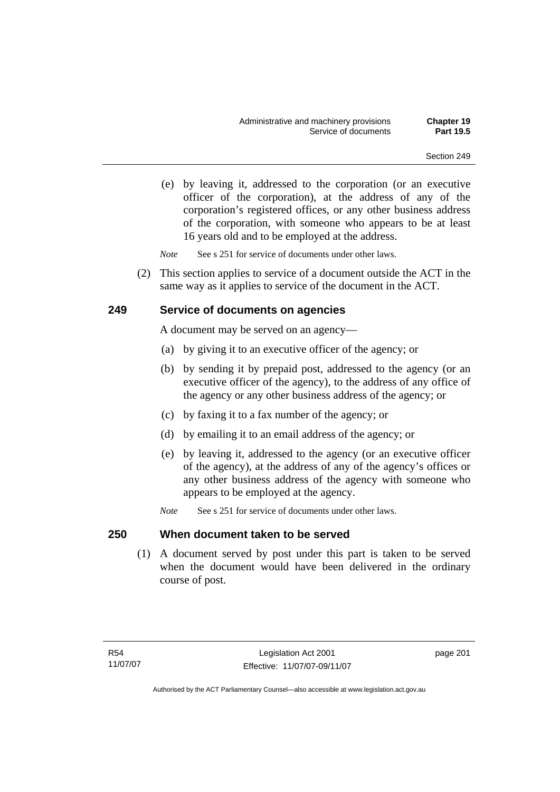(e) by leaving it, addressed to the corporation (or an executive officer of the corporation), at the address of any of the corporation's registered offices, or any other business address of the corporation, with someone who appears to be at least 16 years old and to be employed at the address.

*Note* See s 251 for service of documents under other laws.

 (2) This section applies to service of a document outside the ACT in the same way as it applies to service of the document in the ACT.

## **249 Service of documents on agencies**

A document may be served on an agency—

- (a) by giving it to an executive officer of the agency; or
- (b) by sending it by prepaid post, addressed to the agency (or an executive officer of the agency), to the address of any office of the agency or any other business address of the agency; or
- (c) by faxing it to a fax number of the agency; or
- (d) by emailing it to an email address of the agency; or
- (e) by leaving it, addressed to the agency (or an executive officer of the agency), at the address of any of the agency's offices or any other business address of the agency with someone who appears to be employed at the agency.
- *Note* See s 251 for service of documents under other laws.

## **250 When document taken to be served**

 (1) A document served by post under this part is taken to be served when the document would have been delivered in the ordinary course of post.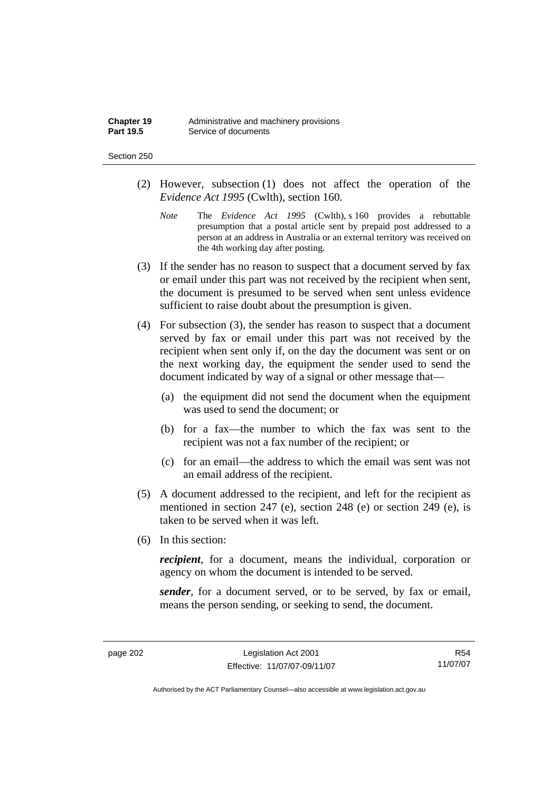| Chapter 19       | Administrative and machinery provisions |
|------------------|-----------------------------------------|
| <b>Part 19.5</b> | Service of documents                    |

#### Section 250

- (2) However, subsection (1) does not affect the operation of the *Evidence Act 1995* (Cwlth), section 160.
	- *Note* The *Evidence Act 1995* (Cwlth), s 160 provides a rebuttable presumption that a postal article sent by prepaid post addressed to a person at an address in Australia or an external territory was received on the 4th working day after posting.
- (3) If the sender has no reason to suspect that a document served by fax or email under this part was not received by the recipient when sent, the document is presumed to be served when sent unless evidence sufficient to raise doubt about the presumption is given.
- (4) For subsection (3), the sender has reason to suspect that a document served by fax or email under this part was not received by the recipient when sent only if, on the day the document was sent or on the next working day, the equipment the sender used to send the document indicated by way of a signal or other message that—
	- (a) the equipment did not send the document when the equipment was used to send the document; or
	- (b) for a fax—the number to which the fax was sent to the recipient was not a fax number of the recipient; or
	- (c) for an email—the address to which the email was sent was not an email address of the recipient.
- (5) A document addressed to the recipient, and left for the recipient as mentioned in section 247 (e), section 248 (e) or section 249 (e), is taken to be served when it was left.
- (6) In this section:

*recipient*, for a document, means the individual, corporation or agency on whom the document is intended to be served.

*sender*, for a document served, or to be served, by fax or email, means the person sending, or seeking to send, the document.

R54 11/07/07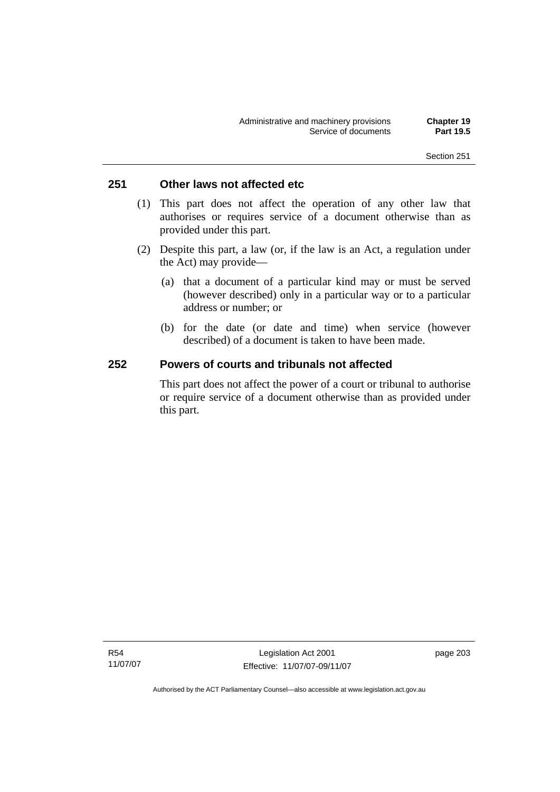## **251 Other laws not affected etc**

- (1) This part does not affect the operation of any other law that authorises or requires service of a document otherwise than as provided under this part.
- (2) Despite this part, a law (or, if the law is an Act, a regulation under the Act) may provide—
	- (a) that a document of a particular kind may or must be served (however described) only in a particular way or to a particular address or number; or
	- (b) for the date (or date and time) when service (however described) of a document is taken to have been made.

## **252 Powers of courts and tribunals not affected**

This part does not affect the power of a court or tribunal to authorise or require service of a document otherwise than as provided under this part.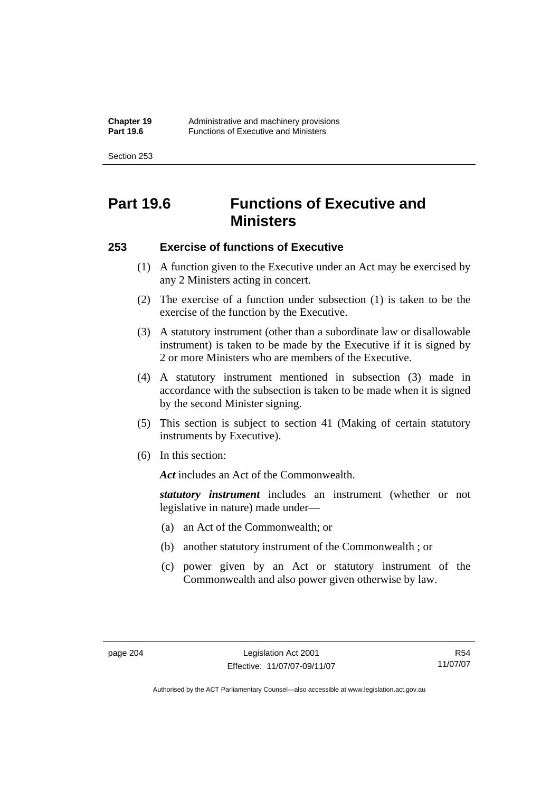Section 253

# **Part 19.6 Functions of Executive and Ministers**

## **253 Exercise of functions of Executive**

- (1) A function given to the Executive under an Act may be exercised by any 2 Ministers acting in concert.
- (2) The exercise of a function under subsection (1) is taken to be the exercise of the function by the Executive.
- (3) A statutory instrument (other than a subordinate law or disallowable instrument) is taken to be made by the Executive if it is signed by 2 or more Ministers who are members of the Executive.
- (4) A statutory instrument mentioned in subsection (3) made in accordance with the subsection is taken to be made when it is signed by the second Minister signing.
- (5) This section is subject to section 41 (Making of certain statutory instruments by Executive).
- (6) In this section:

Act includes an Act of the Commonwealth.

*statutory instrument* includes an instrument (whether or not legislative in nature) made under—

- (a) an Act of the Commonwealth; or
- (b) another statutory instrument of the Commonwealth ; or
- (c) power given by an Act or statutory instrument of the Commonwealth and also power given otherwise by law.

R54 11/07/07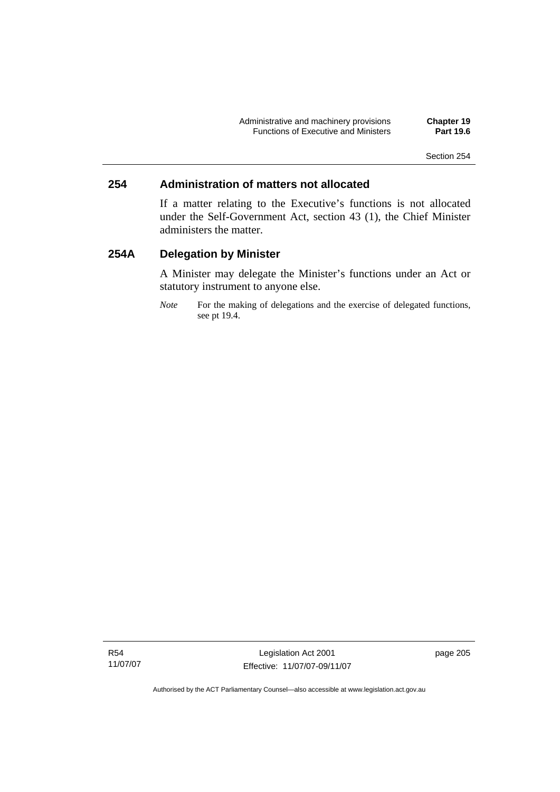## **254 Administration of matters not allocated**

If a matter relating to the Executive's functions is not allocated under the Self-Government Act, section 43 (1), the Chief Minister administers the matter.

## **254A Delegation by Minister**

A Minister may delegate the Minister's functions under an Act or statutory instrument to anyone else.

*Note* For the making of delegations and the exercise of delegated functions, see pt 19.4.

Legislation Act 2001 Effective: 11/07/07-09/11/07 page 205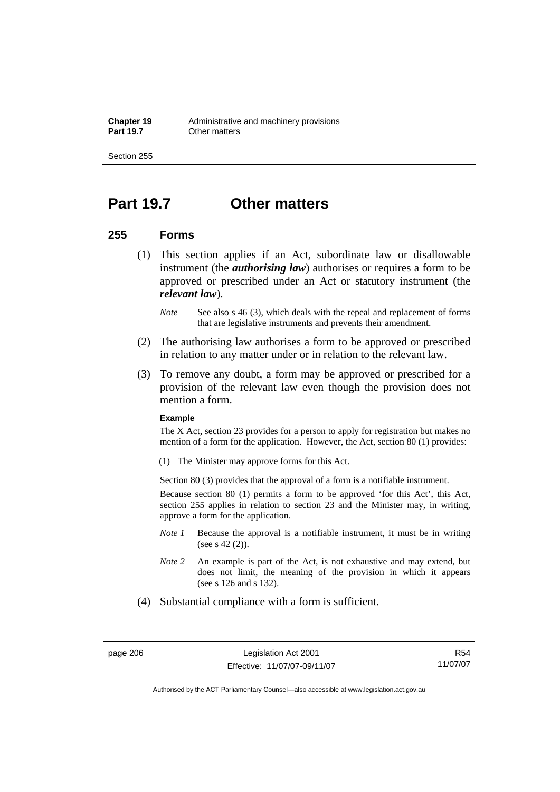Section 255

# **Part 19.7 Other matters**

### **255 Forms**

- (1) This section applies if an Act, subordinate law or disallowable instrument (the *authorising law*) authorises or requires a form to be approved or prescribed under an Act or statutory instrument (the *relevant law*).
	- *Note* See also s 46 (3), which deals with the repeal and replacement of forms that are legislative instruments and prevents their amendment.
- (2) The authorising law authorises a form to be approved or prescribed in relation to any matter under or in relation to the relevant law.
- (3) To remove any doubt, a form may be approved or prescribed for a provision of the relevant law even though the provision does not mention a form.

### **Example**

The X Act, section 23 provides for a person to apply for registration but makes no mention of a form for the application. However, the Act, section 80 (1) provides:

(1) The Minister may approve forms for this Act.

Section 80 (3) provides that the approval of a form is a notifiable instrument.

Because section 80 (1) permits a form to be approved 'for this Act', this Act, section 255 applies in relation to section 23 and the Minister may, in writing, approve a form for the application.

- *Note 1* Because the approval is a notifiable instrument, it must be in writing (see s 42 (2)).
- *Note 2* An example is part of the Act, is not exhaustive and may extend, but does not limit, the meaning of the provision in which it appears (see s 126 and s 132).
- (4) Substantial compliance with a form is sufficient.

R54 11/07/07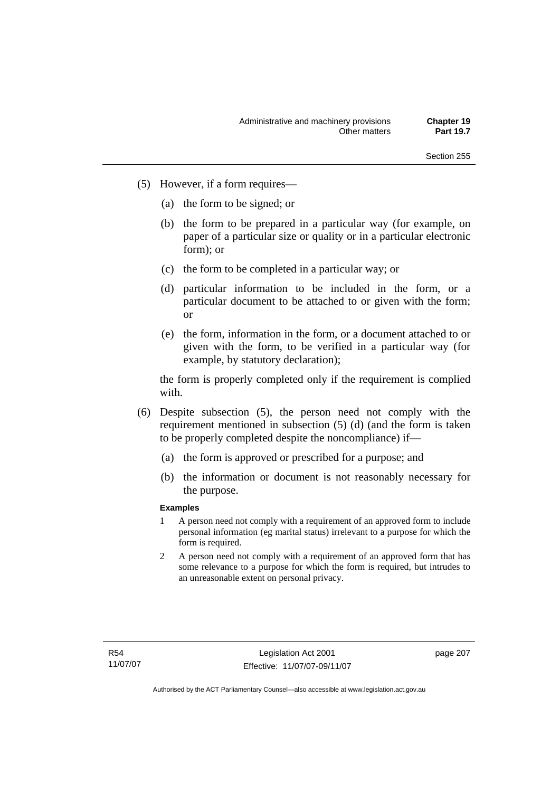- (5) However, if a form requires—
	- (a) the form to be signed; or
	- (b) the form to be prepared in a particular way (for example, on paper of a particular size or quality or in a particular electronic form); or
	- (c) the form to be completed in a particular way; or
	- (d) particular information to be included in the form, or a particular document to be attached to or given with the form; or
	- (e) the form, information in the form, or a document attached to or given with the form, to be verified in a particular way (for example, by statutory declaration);

the form is properly completed only if the requirement is complied with.

- (6) Despite subsection (5), the person need not comply with the requirement mentioned in subsection (5) (d) (and the form is taken to be properly completed despite the noncompliance) if—
	- (a) the form is approved or prescribed for a purpose; and
	- (b) the information or document is not reasonably necessary for the purpose.

### **Examples**

- 1 A person need not comply with a requirement of an approved form to include personal information (eg marital status) irrelevant to a purpose for which the form is required.
- 2 A person need not comply with a requirement of an approved form that has some relevance to a purpose for which the form is required, but intrudes to an unreasonable extent on personal privacy.

page 207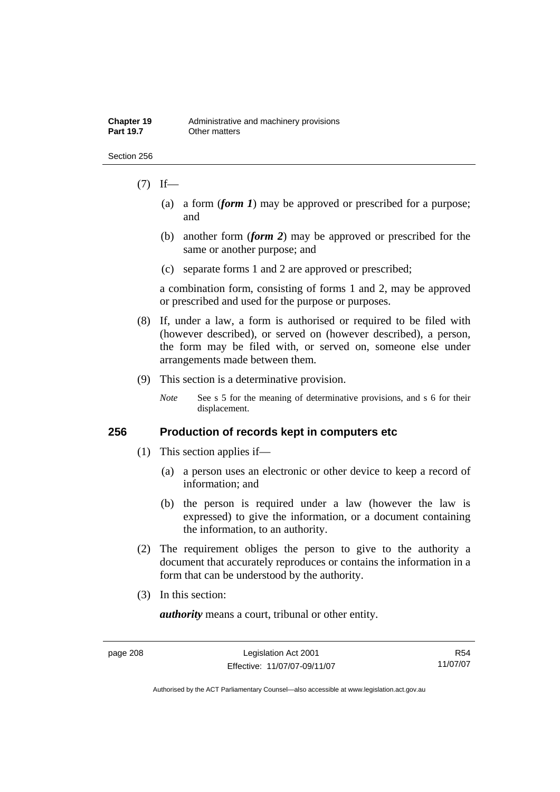#### Section 256

## $(7)$  If—

- (a) a form (*form 1*) may be approved or prescribed for a purpose; and
- (b) another form (*form 2*) may be approved or prescribed for the same or another purpose; and
- (c) separate forms 1 and 2 are approved or prescribed;

a combination form, consisting of forms 1 and 2, may be approved or prescribed and used for the purpose or purposes.

- (8) If, under a law, a form is authorised or required to be filed with (however described), or served on (however described), a person, the form may be filed with, or served on, someone else under arrangements made between them.
- (9) This section is a determinative provision.

*Note* See s 5 for the meaning of determinative provisions, and s 6 for their displacement.

## **256 Production of records kept in computers etc**

- (1) This section applies if—
	- (a) a person uses an electronic or other device to keep a record of information; and
	- (b) the person is required under a law (however the law is expressed) to give the information, or a document containing the information, to an authority.
- (2) The requirement obliges the person to give to the authority a document that accurately reproduces or contains the information in a form that can be understood by the authority.
- (3) In this section:

*authority* means a court, tribunal or other entity.

R54 11/07/07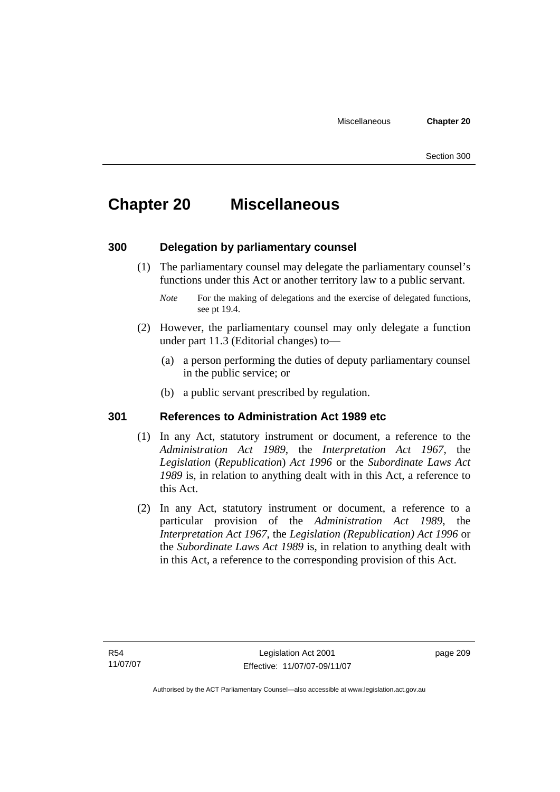# **Chapter 20 Miscellaneous**

## **300 Delegation by parliamentary counsel**

 (1) The parliamentary counsel may delegate the parliamentary counsel's functions under this Act or another territory law to a public servant.

- (2) However, the parliamentary counsel may only delegate a function under part 11.3 (Editorial changes) to—
	- (a) a person performing the duties of deputy parliamentary counsel in the public service; or
	- (b) a public servant prescribed by regulation.

## **301 References to Administration Act 1989 etc**

- (1) In any Act, statutory instrument or document, a reference to the *Administration Act 1989*, the *Interpretation Act 1967*, the *Legislation* (*Republication*) *Act 1996* or the *Subordinate Laws Act 1989* is, in relation to anything dealt with in this Act, a reference to this Act.
- (2) In any Act, statutory instrument or document, a reference to a particular provision of the *Administration Act 1989*, the *Interpretation Act 1967*, the *Legislation (Republication) Act 1996* or the *Subordinate Laws Act 1989* is, in relation to anything dealt with in this Act, a reference to the corresponding provision of this Act.

page 209

*Note* For the making of delegations and the exercise of delegated functions, see pt 19.4.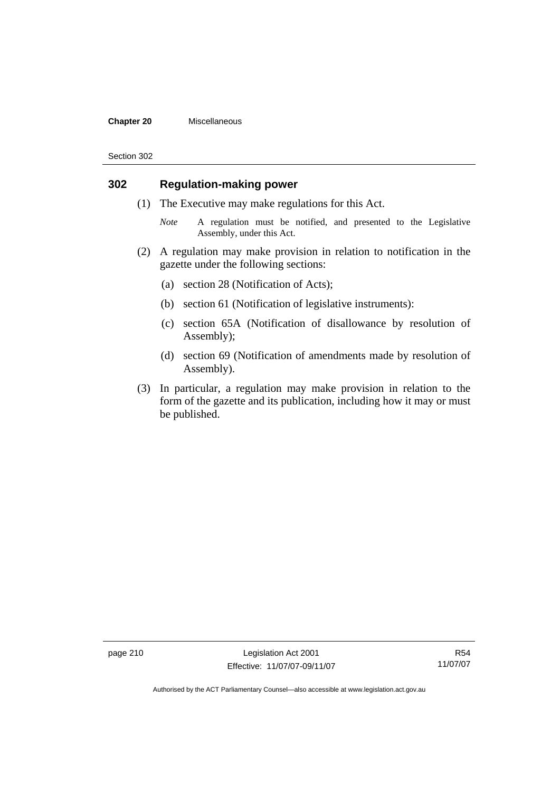#### **Chapter 20** Miscellaneous

Section 302

## **302 Regulation-making power**

- (1) The Executive may make regulations for this Act.
	- *Note* A regulation must be notified, and presented to the Legislative Assembly, under this Act.
- (2) A regulation may make provision in relation to notification in the gazette under the following sections:
	- (a) section 28 (Notification of Acts);
	- (b) section 61 (Notification of legislative instruments):
	- (c) section 65A (Notification of disallowance by resolution of Assembly);
	- (d) section 69 (Notification of amendments made by resolution of Assembly).
- (3) In particular, a regulation may make provision in relation to the form of the gazette and its publication, including how it may or must be published.

page 210 Legislation Act 2001 Effective: 11/07/07-09/11/07

R54 11/07/07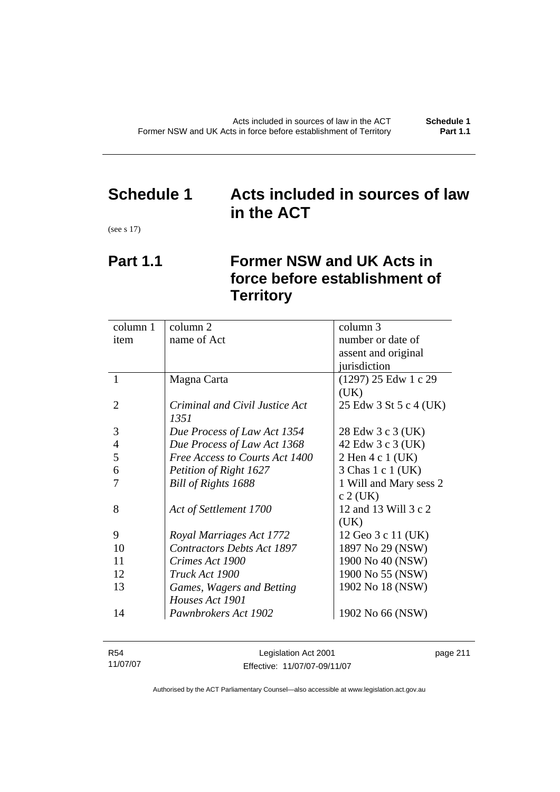# **Schedule 1 Acts included in sources of law in the ACT**

(see s 17)

# **Part 1.1 Former NSW and UK Acts in force before establishment of Territory**

| column 1       | column 2                          | column 3               |
|----------------|-----------------------------------|------------------------|
| item           | name of Act                       | number or date of      |
|                |                                   | assent and original    |
|                |                                   | jurisdiction           |
| 1              | Magna Carta                       | $(1297)$ 25 Edw 1 c 29 |
|                |                                   | (UK)                   |
| 2              | Criminal and Civil Justice Act    | 25 Edw 3 St 5 c 4 (UK) |
|                | 1351                              |                        |
| 3              | Due Process of Law Act 1354       | 28 Edw 3 c 3 (UK)      |
| $\overline{4}$ | Due Process of Law Act 1368       | 42 Edw 3 c 3 (UK)      |
| 5              | Free Access to Courts Act 1400    | 2 Hen 4 c 1 (UK)       |
| 6              | Petition of Right 1627            | 3 Chas 1 c 1 (UK)      |
|                | Bill of Rights 1688               | 1 Will and Mary sess 2 |
|                |                                   | $c$ 2 (UK)             |
| 8              | Act of Settlement 1700            | 12 and 13 Will 3 c 2   |
|                |                                   | (UK)                   |
| 9              | Royal Marriages Act 1772          | 12 Geo 3 c 11 (UK)     |
| 10             | <b>Contractors Debts Act 1897</b> | 1897 No 29 (NSW)       |
| 11             | Crimes Act 1900                   | 1900 No 40 (NSW)       |
| 12             | Truck Act 1900                    | 1900 No 55 (NSW)       |
| 13             | Games, Wagers and Betting         | 1902 No 18 (NSW)       |
|                | Houses Act 1901                   |                        |
| 14             | Pawnbrokers Act 1902              | 1902 No 66 (NSW)       |
|                |                                   |                        |

| R54      | Legislation Act 2001         | page 211 |
|----------|------------------------------|----------|
| 11/07/07 | Effective: 11/07/07-09/11/07 |          |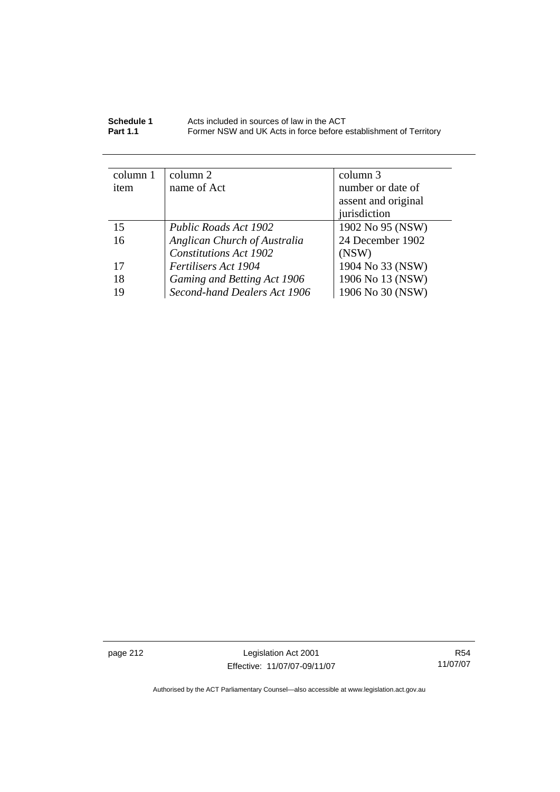| Schedule 1      | Acts included in sources of law in the ACT                        |
|-----------------|-------------------------------------------------------------------|
| <b>Part 1.1</b> | Former NSW and UK Acts in force before establishment of Territory |

| column 1 | column 2                      | column 3            |
|----------|-------------------------------|---------------------|
| item     | name of Act                   | number or date of   |
|          |                               | assent and original |
|          |                               | jurisdiction        |
| 15       | <b>Public Roads Act 1902</b>  | 1902 No 95 (NSW)    |
| 16       | Anglican Church of Australia  | 24 December 1902    |
|          | <b>Constitutions Act 1902</b> | (NSW)               |
| 17       | Fertilisers Act 1904          | 1904 No 33 (NSW)    |
| 18       | Gaming and Betting Act 1906   | 1906 No 13 (NSW)    |
| 19       | Second-hand Dealers Act 1906  | 1906 No 30 (NSW)    |

page 212 **Legislation Act 2001** Effective: 11/07/07-09/11/07

R54 11/07/07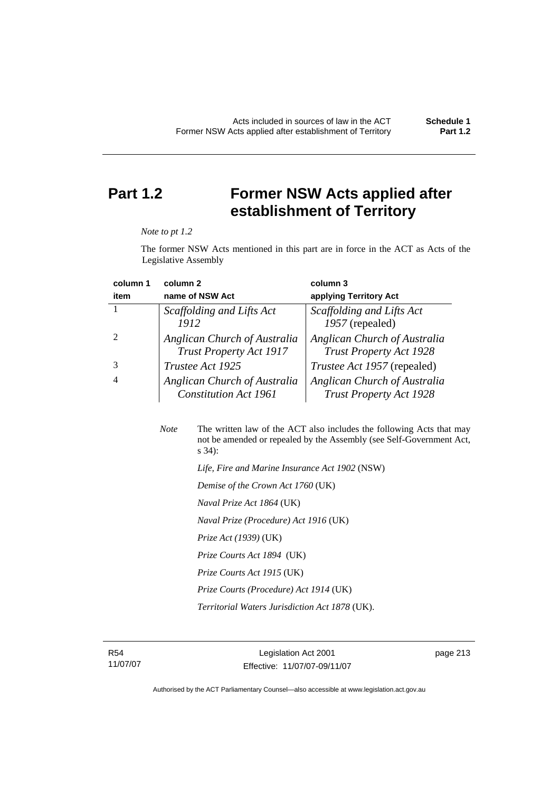# **Part 1.2 Former NSW Acts applied after establishment of Territory**

#### *Note to pt 1.2*

The former NSW Acts mentioned in this part are in force in the ACT as Acts of the Legislative Assembly

| column 1 | column 2                       | column 3                           |
|----------|--------------------------------|------------------------------------|
| item     | name of NSW Act                | applying Territory Act             |
|          | Scaffolding and Lifts Act      | Scaffolding and Lifts Act          |
|          | 1912                           | 1957 (repealed)                    |
|          | Anglican Church of Australia   | Anglican Church of Australia       |
|          | <b>Trust Property Act 1917</b> | <b>Trust Property Act 1928</b>     |
|          | Trustee Act 1925               | <i>Trustee Act 1957</i> (repealed) |
|          | Anglican Church of Australia   | Anglican Church of Australia       |
|          | <b>Constitution Act 1961</b>   | <b>Trust Property Act 1928</b>     |

| <b>Note</b> | The written law of the ACT also includes the following Acts that may<br>not be amended or repealed by the Assembly (see Self-Government Act,<br>$s\,34$ : |
|-------------|-----------------------------------------------------------------------------------------------------------------------------------------------------------|
|             | Life, Fire and Marine Insurance Act 1902 (NSW)                                                                                                            |
|             | Demise of the Crown Act 1760 (UK)                                                                                                                         |
|             | <i>Naval Prize Act 1864</i> (UK)                                                                                                                          |
|             | Naval Prize (Procedure) Act 1916 (UK)                                                                                                                     |
|             | <i>Prize Act (1939)</i> (UK)                                                                                                                              |
|             | Prize Courts Act 1894 (UK)                                                                                                                                |
|             | Prize Courts Act 1915 (UK)                                                                                                                                |
|             | Prize Courts (Procedure) Act 1914 (UK)                                                                                                                    |
|             | <i>Territorial Waters Jurisdiction Act 1878</i> (UK).                                                                                                     |
|             |                                                                                                                                                           |

R54 11/07/07

Legislation Act 2001 Effective: 11/07/07-09/11/07 page 213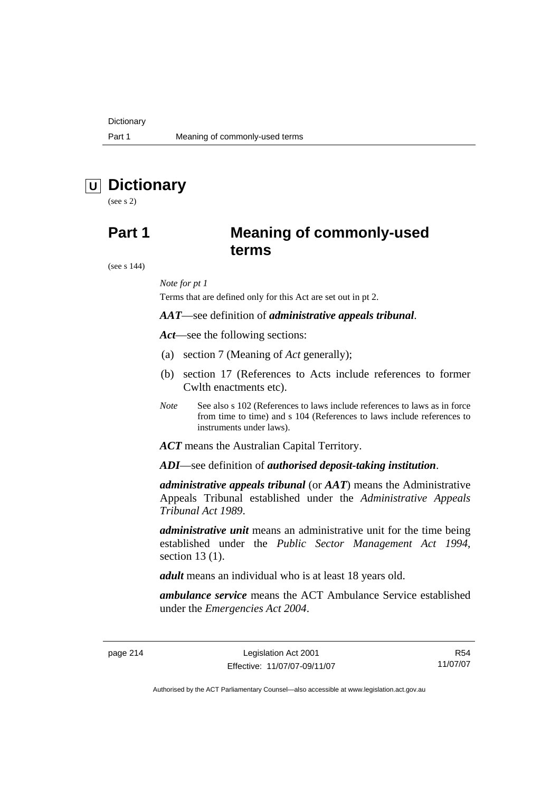# **U Dictionary**

(see s 2)

## **Part 1 Meaning of commonly-used terms**

(see s 144)

### *Note for pt 1*

Terms that are defined only for this Act are set out in pt 2.

### *AAT*—see definition of *administrative appeals tribunal*.

*Act*—see the following sections:

- (a) section 7 (Meaning of *Act* generally);
- (b) section 17 (References to Acts include references to former Cwlth enactments etc).
- *Note* See also s 102 (References to laws include references to laws as in force from time to time) and s 104 (References to laws include references to instruments under laws).

*ACT* means the Australian Capital Territory.

*ADI*—see definition of *authorised deposit-taking institution*.

*administrative appeals tribunal* (or *AAT*) means the Administrative Appeals Tribunal established under the *Administrative Appeals Tribunal Act 1989*.

*administrative unit* means an administrative unit for the time being established under the *Public Sector Management Act 1994*, section 13 (1).

*adult* means an individual who is at least 18 years old.

*ambulance service* means the ACT Ambulance Service established under the *Emergencies Act 2004*.

page 214 Legislation Act 2001 Effective: 11/07/07-09/11/07

R54 11/07/07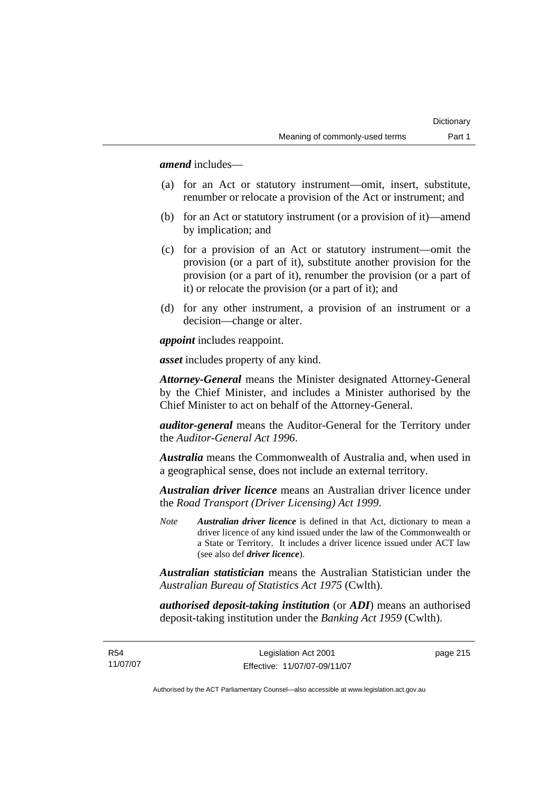*amend* includes—

- (a) for an Act or statutory instrument—omit, insert, substitute, renumber or relocate a provision of the Act or instrument; and
- (b) for an Act or statutory instrument (or a provision of it)—amend by implication; and
- (c) for a provision of an Act or statutory instrument—omit the provision (or a part of it), substitute another provision for the provision (or a part of it), renumber the provision (or a part of it) or relocate the provision (or a part of it); and
- (d) for any other instrument, a provision of an instrument or a decision—change or alter.

*appoint* includes reappoint.

*asset* includes property of any kind.

*Attorney-General* means the Minister designated Attorney-General by the Chief Minister, and includes a Minister authorised by the Chief Minister to act on behalf of the Attorney-General.

*auditor-general* means the Auditor-General for the Territory under the *Auditor-General Act 1996*.

*Australia* means the Commonwealth of Australia and, when used in a geographical sense, does not include an external territory.

*Australian driver licence* means an Australian driver licence under the *Road Transport (Driver Licensing) Act 1999*.

*Note Australian driver licence* is defined in that Act, dictionary to mean a driver licence of any kind issued under the law of the Commonwealth or a State or Territory. It includes a driver licence issued under ACT law (see also def *driver licence*).

*Australian statistician* means the Australian Statistician under the *Australian Bureau of Statistics Act 1975* (Cwlth).

*authorised deposit-taking institution* (or *ADI*) means an authorised deposit-taking institution under the *Banking Act 1959* (Cwlth).

R54 11/07/07 page 215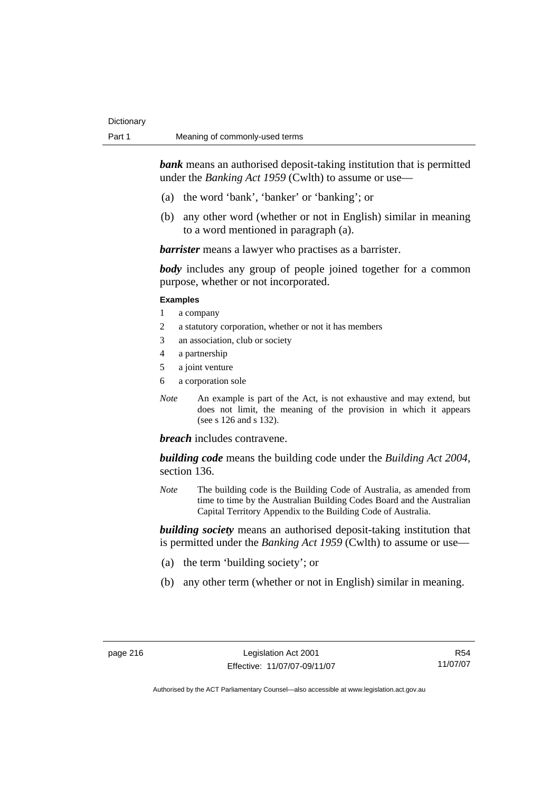*bank* means an authorised deposit-taking institution that is permitted under the *Banking Act 1959* (Cwlth) to assume or use-

- (a) the word 'bank', 'banker' or 'banking'; or
- (b) any other word (whether or not in English) similar in meaning to a word mentioned in paragraph (a).

*barrister* means a lawyer who practises as a barrister.

*body* includes any group of people joined together for a common purpose, whether or not incorporated.

#### **Examples**

- 1 a company
- 2 a statutory corporation, whether or not it has members
- 3 an association, club or society
- 4 a partnership
- 5 a joint venture
- 6 a corporation sole
- *Note* An example is part of the Act, is not exhaustive and may extend, but does not limit, the meaning of the provision in which it appears (see s 126 and s 132).

### *breach* includes contravene.

*building code* means the building code under the *Building Act 2004*, section 136.

*Note* The building code is the Building Code of Australia, as amended from time to time by the Australian Building Codes Board and the Australian Capital Territory Appendix to the Building Code of Australia.

*building society* means an authorised deposit-taking institution that is permitted under the *Banking Act 1959* (Cwlth) to assume or use—

- (a) the term 'building society'; or
- (b) any other term (whether or not in English) similar in meaning.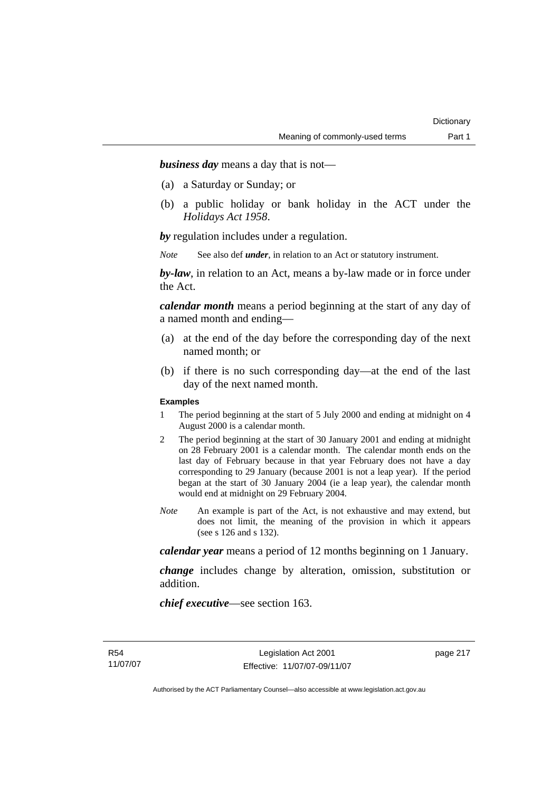*business day* means a day that is not—

- (a) a Saturday or Sunday; or
- (b) a public holiday or bank holiday in the ACT under the *Holidays Act 1958*.

*by* regulation includes under a regulation.

*Note* See also def *under*, in relation to an Act or statutory instrument.

*by-law*, in relation to an Act, means a by-law made or in force under the Act.

*calendar month* means a period beginning at the start of any day of a named month and ending—

- (a) at the end of the day before the corresponding day of the next named month; or
- (b) if there is no such corresponding day—at the end of the last day of the next named month.

#### **Examples**

- 1 The period beginning at the start of 5 July 2000 and ending at midnight on 4 August 2000 is a calendar month.
- 2 The period beginning at the start of 30 January 2001 and ending at midnight on 28 February 2001 is a calendar month. The calendar month ends on the last day of February because in that year February does not have a day corresponding to 29 January (because 2001 is not a leap year). If the period began at the start of 30 January 2004 (ie a leap year), the calendar month would end at midnight on 29 February 2004.
- *Note* An example is part of the Act, is not exhaustive and may extend, but does not limit, the meaning of the provision in which it appears (see s 126 and s 132).

*calendar year* means a period of 12 months beginning on 1 January.

*change* includes change by alteration, omission, substitution or addition.

*chief executive*—see section 163.

page 217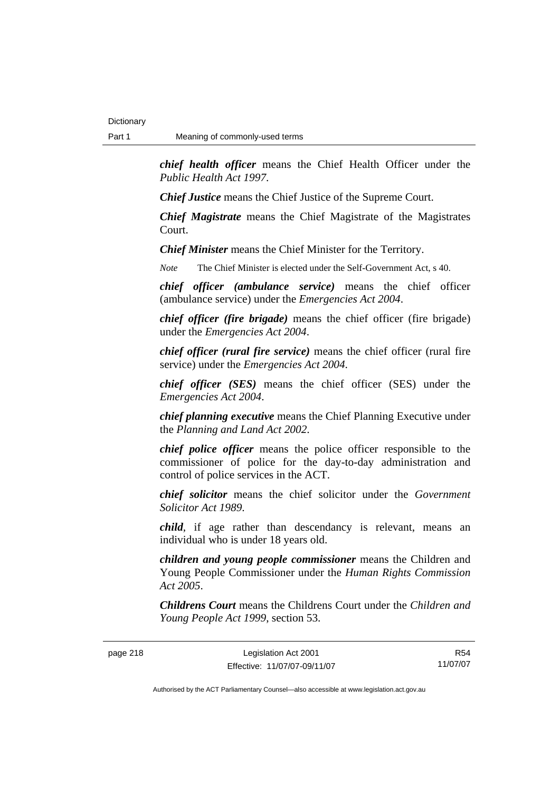*chief health officer* means the Chief Health Officer under the *Public Health Act 1997*.

*Chief Justice* means the Chief Justice of the Supreme Court.

*Chief Magistrate* means the Chief Magistrate of the Magistrates Court.

*Chief Minister* means the Chief Minister for the Territory.

*Note* The Chief Minister is elected under the Self-Government Act, s 40.

*chief officer (ambulance service)* means the chief officer (ambulance service) under the *Emergencies Act 2004*.

*chief officer (fire brigade)* means the chief officer (fire brigade) under the *Emergencies Act 2004*.

*chief officer (rural fire service)* means the chief officer (rural fire service) under the *Emergencies Act 2004*.

*chief officer (SES)* means the chief officer (SES) under the *Emergencies Act 2004*.

*chief planning executive* means the Chief Planning Executive under the *Planning and Land Act 2002*.

*chief police officer* means the police officer responsible to the commissioner of police for the day-to-day administration and control of police services in the ACT.

*chief solicitor* means the chief solicitor under the *Government Solicitor Act 1989*.

*child*, if age rather than descendancy is relevant, means an individual who is under 18 years old.

*children and young people commissioner* means the Children and Young People Commissioner under the *Human Rights Commission Act 2005*.

*Childrens Court* means the Childrens Court under the *Children and Young People Act 1999*, section 53.

page 218 Legislation Act 2001 Effective: 11/07/07-09/11/07

R54 11/07/07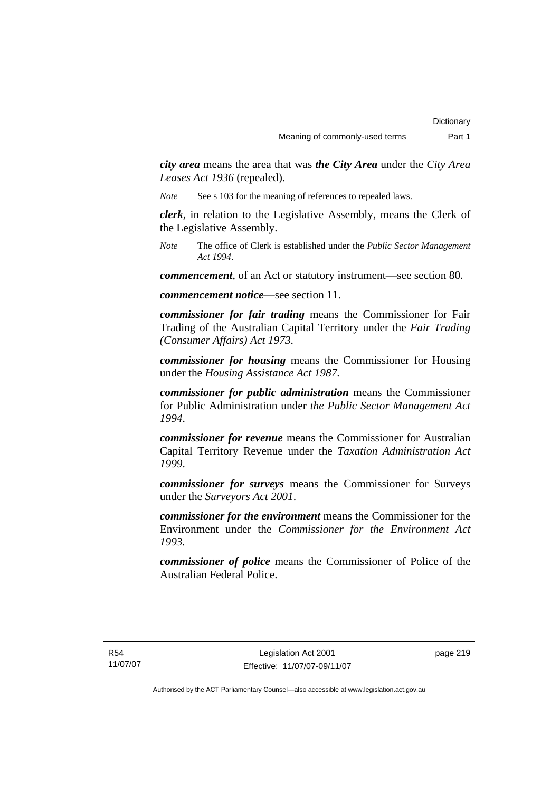*city area* means the area that was *the City Area* under the *City Area Leases Act 1936* (repealed).

*Note* See s 103 for the meaning of references to repealed laws.

*clerk*, in relation to the Legislative Assembly, means the Clerk of the Legislative Assembly.

*Note* The office of Clerk is established under the *Public Sector Management Act 1994*.

*commencement*, of an Act or statutory instrument—see section 80.

*commencement notice*—see section 11.

*commissioner for fair trading* means the Commissioner for Fair Trading of the Australian Capital Territory under the *Fair Trading (Consumer Affairs) Act 1973*.

*commissioner for housing* means the Commissioner for Housing under the *Housing Assistance Act 1987*.

*commissioner for public administration* means the Commissioner for Public Administration under *the Public Sector Management Act 1994*.

*commissioner for revenue* means the Commissioner for Australian Capital Territory Revenue under the *Taxation Administration Act 1999*.

*commissioner for surveys* means the Commissioner for Surveys under the *Surveyors Act 2001*.

*commissioner for the environment* means the Commissioner for the Environment under the *Commissioner for the Environment Act 1993.* 

*commissioner of police* means the Commissioner of Police of the Australian Federal Police.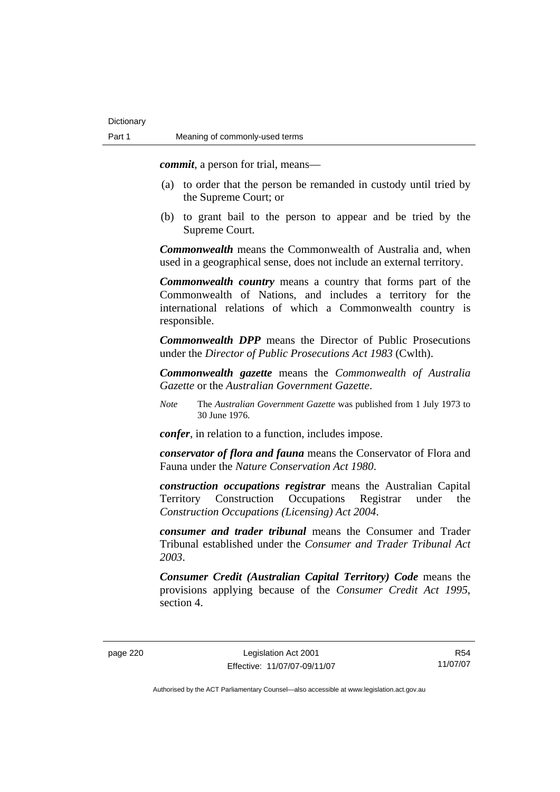*commit*, a person for trial, means—

- (a) to order that the person be remanded in custody until tried by the Supreme Court; or
- (b) to grant bail to the person to appear and be tried by the Supreme Court.

*Commonwealth* means the Commonwealth of Australia and, when used in a geographical sense, does not include an external territory.

*Commonwealth country* means a country that forms part of the Commonwealth of Nations, and includes a territory for the international relations of which a Commonwealth country is responsible.

*Commonwealth DPP* means the Director of Public Prosecutions under the *Director of Public Prosecutions Act 1983* (Cwlth).

*Commonwealth gazette* means the *Commonwealth of Australia Gazette* or the *Australian Government Gazette*.

*Note* The *Australian Government Gazette* was published from 1 July 1973 to 30 June 1976.

*confer*, in relation to a function, includes impose.

*conservator of flora and fauna* means the Conservator of Flora and Fauna under the *Nature Conservation Act 1980*.

*construction occupations registrar* means the Australian Capital Territory Construction Occupations Registrar under the *Construction Occupations (Licensing) Act 2004*.

*consumer and trader tribunal* means the Consumer and Trader Tribunal established under the *Consumer and Trader Tribunal Act 2003*.

*Consumer Credit (Australian Capital Territory) Code* means the provisions applying because of the *Consumer Credit Act 1995*, section 4.

R54 11/07/07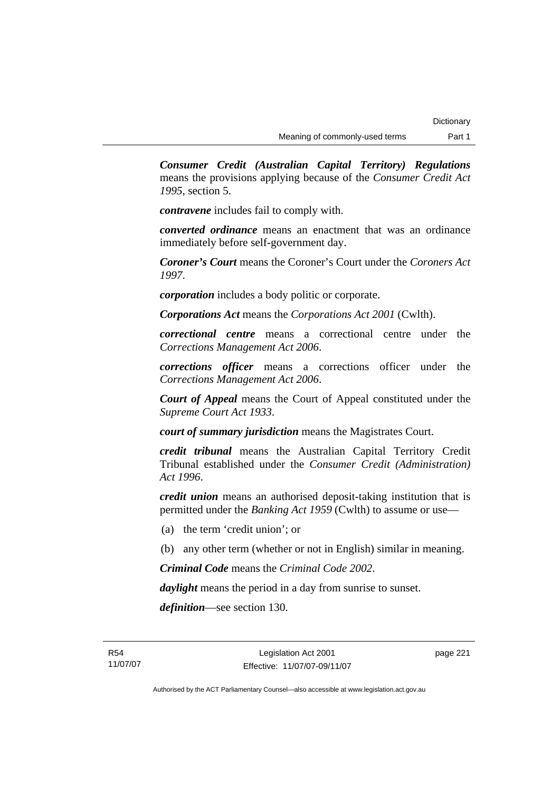*Consumer Credit (Australian Capital Territory) Regulations* means the provisions applying because of the *Consumer Credit Act 1995*, section 5.

*contravene* includes fail to comply with.

*converted ordinance* means an enactment that was an ordinance immediately before self-government day.

*Coroner's Court* means the Coroner's Court under the *Coroners Act 1997*.

*corporation* includes a body politic or corporate.

*Corporations Act* means the *Corporations Act 2001* (Cwlth).

*correctional centre* means a correctional centre under the *Corrections Management Act 2006*.

*corrections officer* means a corrections officer under the *Corrections Management Act 2006*.

*Court of Appeal* means the Court of Appeal constituted under the *Supreme Court Act 1933*.

*court of summary jurisdiction* means the Magistrates Court.

*credit tribunal* means the Australian Capital Territory Credit Tribunal established under the *Consumer Credit (Administration) Act 1996*.

*credit union* means an authorised deposit-taking institution that is permitted under the *Banking Act 1959* (Cwlth) to assume or use—

- (a) the term 'credit union'; or
- (b) any other term (whether or not in English) similar in meaning.

*Criminal Code* means the *Criminal Code 2002*.

*daylight* means the period in a day from sunrise to sunset.

*definition*—see section 130.

page 221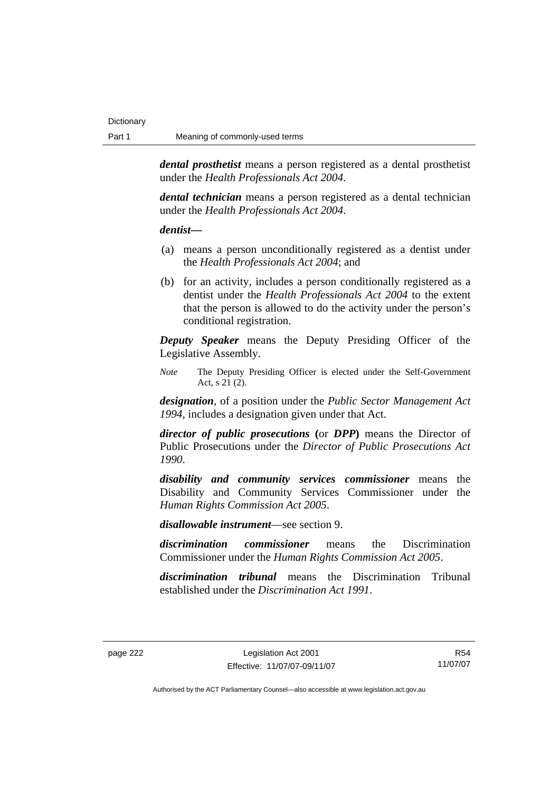*dental prosthetist* means a person registered as a dental prosthetist under the *Health Professionals Act 2004*.

*dental technician* means a person registered as a dental technician under the *Health Professionals Act 2004*.

#### *dentist***—**

- (a) means a person unconditionally registered as a dentist under the *Health Professionals Act 2004*; and
- (b) for an activity, includes a person conditionally registered as a dentist under the *Health Professionals Act 2004* to the extent that the person is allowed to do the activity under the person's conditional registration.

*Deputy Speaker* means the Deputy Presiding Officer of the Legislative Assembly.

*Note* The Deputy Presiding Officer is elected under the Self-Government Act, s 21 (2).

*designation*, of a position under the *Public Sector Management Act 1994*, includes a designation given under that Act.

*director of public prosecutions* **(**or *DPP***)** means the Director of Public Prosecutions under the *Director of Public Prosecutions Act 1990*.

*disability and community services commissioner* means the Disability and Community Services Commissioner under the *Human Rights Commission Act 2005*.

*disallowable instrument*—see section 9.

*discrimination commissioner* means the Discrimination Commissioner under the *Human Rights Commission Act 2005*.

*discrimination tribunal* means the Discrimination Tribunal established under the *Discrimination Act 1991*.

R54 11/07/07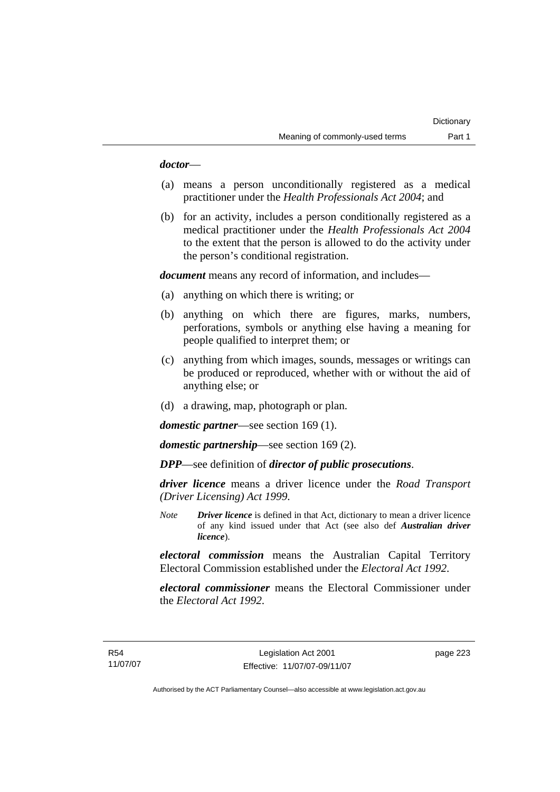### *doctor*—

- (a) means a person unconditionally registered as a medical practitioner under the *Health Professionals Act 2004*; and
- (b) for an activity, includes a person conditionally registered as a medical practitioner under the *Health Professionals Act 2004*  to the extent that the person is allowed to do the activity under the person's conditional registration.

*document* means any record of information, and includes—

- (a) anything on which there is writing; or
- (b) anything on which there are figures, marks, numbers, perforations, symbols or anything else having a meaning for people qualified to interpret them; or
- (c) anything from which images, sounds, messages or writings can be produced or reproduced, whether with or without the aid of anything else; or
- (d) a drawing, map, photograph or plan.

*domestic partner*—see section 169 (1).

*domestic partnership*—see section 169 (2).

*DPP*—see definition of *director of public prosecutions*.

*driver licence* means a driver licence under the *Road Transport (Driver Licensing) Act 1999*.

*Note Driver licence* is defined in that Act, dictionary to mean a driver licence of any kind issued under that Act (see also def *Australian driver licence*).

*electoral commission* means the Australian Capital Territory Electoral Commission established under the *Electoral Act 1992*.

*electoral commissioner* means the Electoral Commissioner under the *Electoral Act 1992*.

page 223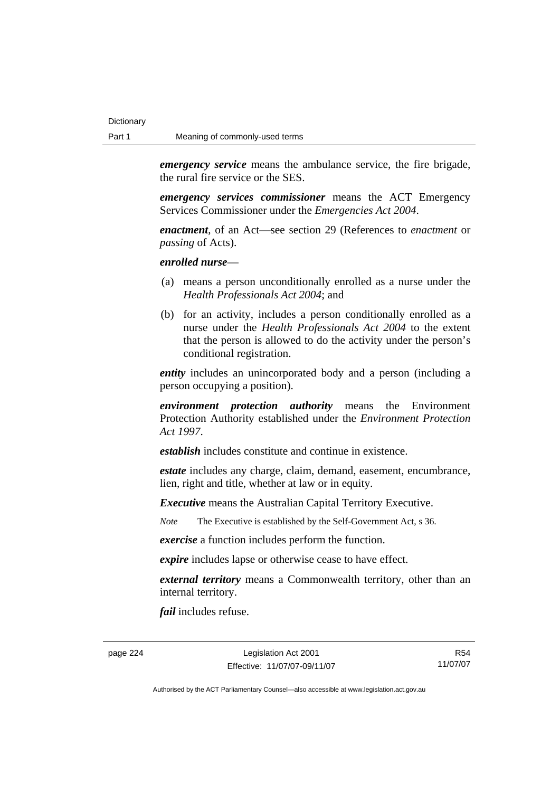*emergency service* means the ambulance service, the fire brigade, the rural fire service or the SES.

*emergency services commissioner* means the ACT Emergency Services Commissioner under the *Emergencies Act 2004*.

*enactment*, of an Act—see section 29 (References to *enactment* or *passing* of Acts).

*enrolled nurse*—

- (a) means a person unconditionally enrolled as a nurse under the *Health Professionals Act 2004*; and
- (b) for an activity, includes a person conditionally enrolled as a nurse under the *Health Professionals Act 2004* to the extent that the person is allowed to do the activity under the person's conditional registration.

*entity* includes an unincorporated body and a person (including a person occupying a position).

*environment protection authority* means the Environment Protection Authority established under the *Environment Protection Act 1997*.

*establish* includes constitute and continue in existence.

*estate* includes any charge, claim, demand, easement, encumbrance, lien, right and title, whether at law or in equity.

*Executive* means the Australian Capital Territory Executive.

*Note* The Executive is established by the Self-Government Act, s 36.

*exercise* a function includes perform the function.

*expire* includes lapse or otherwise cease to have effect.

*external territory* means a Commonwealth territory, other than an internal territory.

*fail* includes refuse.

page 224 Legislation Act 2001 Effective: 11/07/07-09/11/07

R54 11/07/07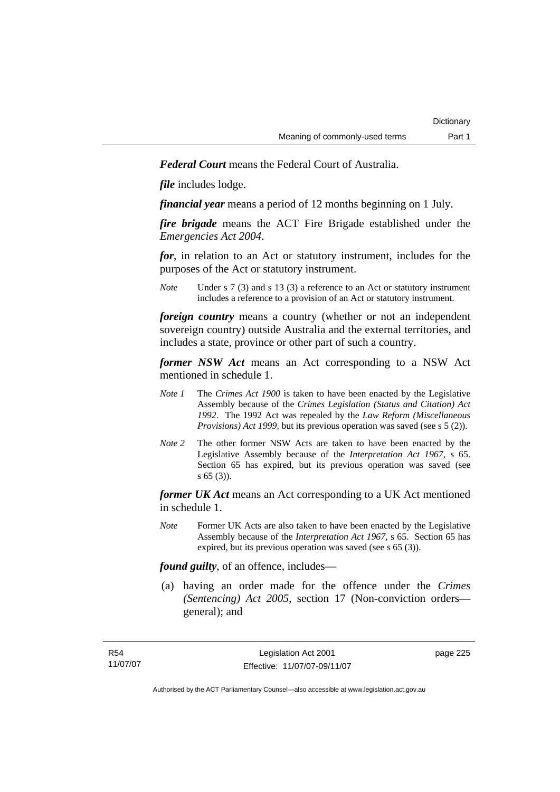*Federal Court* means the Federal Court of Australia.

*file* includes lodge.

*financial year* means a period of 12 months beginning on 1 July.

*fire brigade* means the ACT Fire Brigade established under the *Emergencies Act 2004*.

*for*, in relation to an Act or statutory instrument, includes for the purposes of the Act or statutory instrument.

*Note* Under s 7 (3) and s 13 (3) a reference to an Act or statutory instrument includes a reference to a provision of an Act or statutory instrument.

*foreign country* means a country (whether or not an independent sovereign country) outside Australia and the external territories, and includes a state, province or other part of such a country.

*former NSW Act* means an Act corresponding to a NSW Act mentioned in schedule 1.

- *Note 1* The *Crimes Act 1900* is taken to have been enacted by the Legislative Assembly because of the *Crimes Legislation (Status and Citation) Act 1992*. The 1992 Act was repealed by the *Law Reform (Miscellaneous Provisions) Act 1999*, but its previous operation was saved (see s 5 (2)).
- *Note 2* The other former NSW Acts are taken to have been enacted by the Legislative Assembly because of the *Interpretation Act 1967*, s 65. Section 65 has expired, but its previous operation was saved (see s 65 (3)).

*former UK Act* means an Act corresponding to a UK Act mentioned in schedule 1.

*Note* Former UK Acts are also taken to have been enacted by the Legislative Assembly because of the *Interpretation Act 1967*, s 65. Section 65 has expired, but its previous operation was saved (see s 65 (3)).

*found guilty*, of an offence, includes—

 (a) having an order made for the offence under the *Crimes (Sentencing) Act 2005*, section 17 (Non-conviction orders general); and

page 225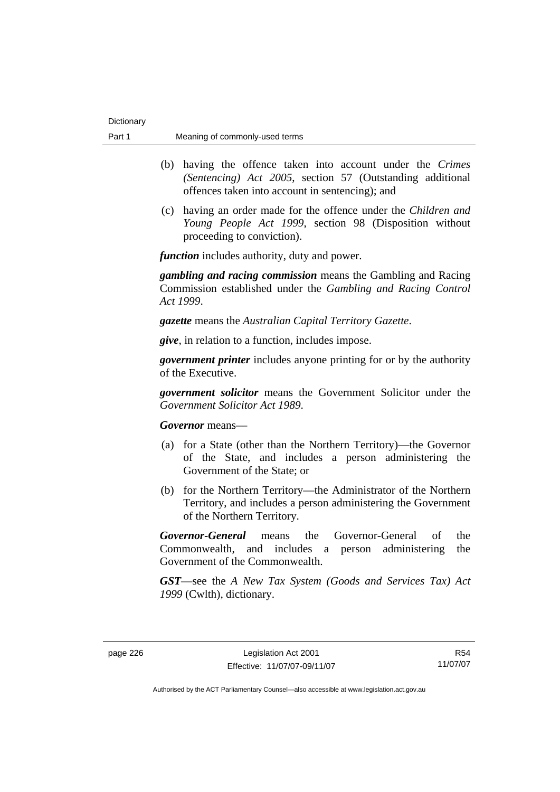- (b) having the offence taken into account under the *Crimes (Sentencing) Act 2005*, section 57 (Outstanding additional offences taken into account in sentencing); and
- (c) having an order made for the offence under the *Children and Young People Act 1999*, section 98 (Disposition without proceeding to conviction).

*function* includes authority, duty and power.

*gambling and racing commission* means the Gambling and Racing Commission established under the *Gambling and Racing Control Act 1999*.

*gazette* means the *Australian Capital Territory Gazette*.

*give*, in relation to a function, includes impose.

*government printer* includes anyone printing for or by the authority of the Executive.

*government solicitor* means the Government Solicitor under the *Government Solicitor Act 1989*.

*Governor* means—

- (a) for a State (other than the Northern Territory)—the Governor of the State, and includes a person administering the Government of the State; or
- (b) for the Northern Territory—the Administrator of the Northern Territory, and includes a person administering the Government of the Northern Territory.

*Governor-General* means the Governor-General of the Commonwealth, and includes a person administering the Government of the Commonwealth.

*GST*—see the *A New Tax System (Goods and Services Tax) Act 1999* (Cwlth), dictionary.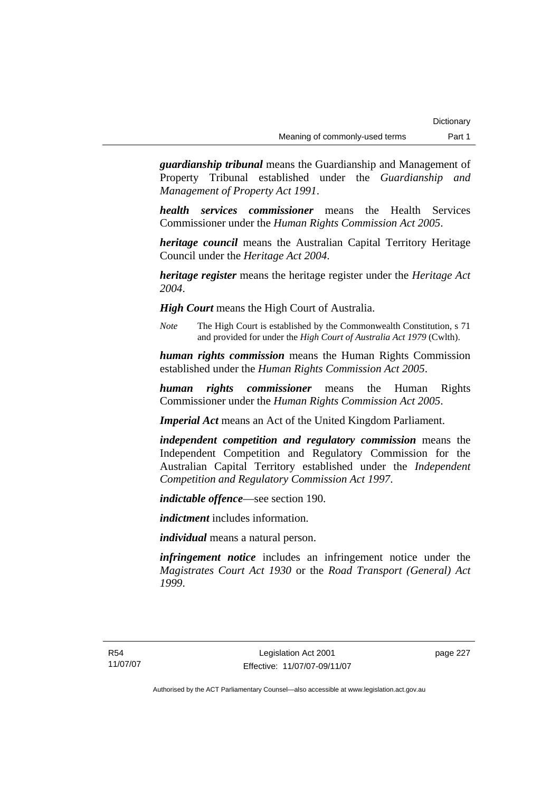*guardianship tribunal* means the Guardianship and Management of Property Tribunal established under the *Guardianship and Management of Property Act 1991*.

*health services commissioner* means the Health Services Commissioner under the *Human Rights Commission Act 2005*.

*heritage council* means the Australian Capital Territory Heritage Council under the *Heritage Act 2004*.

*heritage register* means the heritage register under the *Heritage Act 2004*.

*High Court* means the High Court of Australia.

*Note* The High Court is established by the Commonwealth Constitution, s 71 and provided for under the *High Court of Australia Act 1979* (Cwlth).

*human rights commission* means the Human Rights Commission established under the *Human Rights Commission Act 2005*.

*human rights commissioner* means the Human Rights Commissioner under the *Human Rights Commission Act 2005*.

*Imperial Act* means an Act of the United Kingdom Parliament.

*independent competition and regulatory commission* means the Independent Competition and Regulatory Commission for the Australian Capital Territory established under the *Independent Competition and Regulatory Commission Act 1997*.

*indictable offence*—see section 190.

*indictment* includes information.

*individual* means a natural person.

*infringement notice* includes an infringement notice under the *Magistrates Court Act 1930* or the *Road Transport (General) Act 1999*.

page 227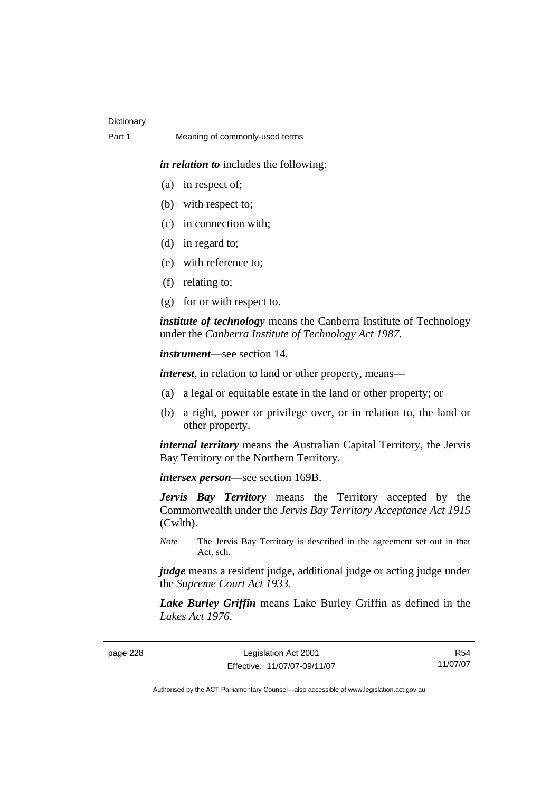*in relation to* includes the following:

- (a) in respect of;
- (b) with respect to;
- (c) in connection with;
- (d) in regard to;
- (e) with reference to;
- (f) relating to;
- (g) for or with respect to.

*institute of technology* means the Canberra Institute of Technology under the *Canberra Institute of Technology Act 1987*.

*instrument*—see section 14.

*interest*, in relation to land or other property, means—

- (a) a legal or equitable estate in the land or other property; or
- (b) a right, power or privilege over, or in relation to, the land or other property.

*internal territory* means the Australian Capital Territory, the Jervis Bay Territory or the Northern Territory.

*intersex person*—see section 169B.

*Jervis Bay Territory* means the Territory accepted by the Commonwealth under the *Jervis Bay Territory Acceptance Act 1915* (Cwlth).

*Note* The Jervis Bay Territory is described in the agreement set out in that Act, sch.

*judge* means a resident judge, additional judge or acting judge under the *Supreme Court Act 1933*.

*Lake Burley Griffin* means Lake Burley Griffin as defined in the *Lakes Act 1976*.

page 228 Legislation Act 2001 Effective: 11/07/07-09/11/07

R54 11/07/07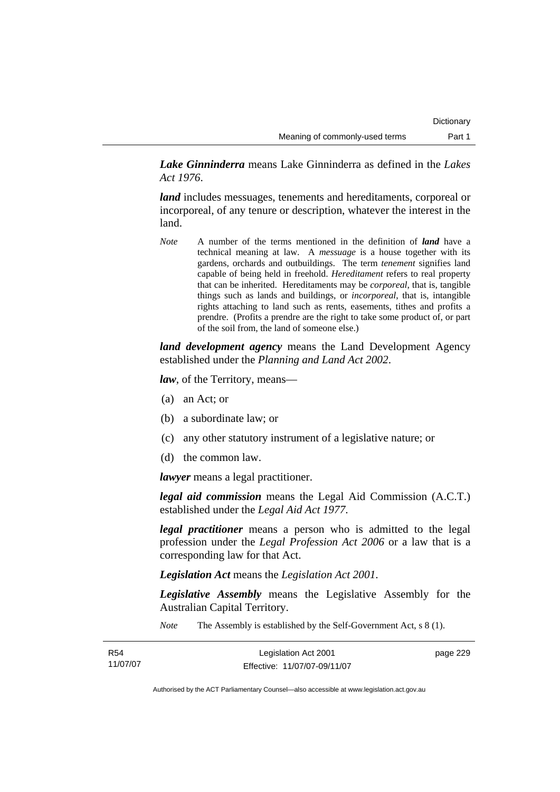*Lake Ginninderra* means Lake Ginninderra as defined in the *Lakes Act 1976*.

*land* includes messuages, tenements and hereditaments, corporeal or incorporeal, of any tenure or description, whatever the interest in the land.

*Note* A number of the terms mentioned in the definition of *land* have a technical meaning at law. A *messuage* is a house together with its gardens, orchards and outbuildings. The term *tenement* signifies land capable of being held in freehold. *Hereditament* refers to real property that can be inherited. Hereditaments may be *corporeal*, that is, tangible things such as lands and buildings, or *incorporeal*, that is, intangible rights attaching to land such as rents, easements, tithes and profits a prendre. (Profits a prendre are the right to take some product of, or part of the soil from, the land of someone else.)

*land development agency* means the Land Development Agency established under the *Planning and Land Act 2002*.

*law*, of the Territory, means—

- (a) an Act; or
- (b) a subordinate law; or
- (c) any other statutory instrument of a legislative nature; or
- (d) the common law.

*lawyer* means a legal practitioner.

*legal aid commission* means the Legal Aid Commission (A.C.T.) established under the *Legal Aid Act 1977*.

*legal practitioner* means a person who is admitted to the legal profession under the *Legal Profession Act 2006* or a law that is a corresponding law for that Act.

*Legislation Act* means the *Legislation Act 2001*.

*Legislative Assembly* means the Legislative Assembly for the Australian Capital Territory.

*Note* The Assembly is established by the Self-Government Act, s 8 (1).

| R54      | Legislation Act 2001         | page 229 |
|----------|------------------------------|----------|
| 11/07/07 | Effective: 11/07/07-09/11/07 |          |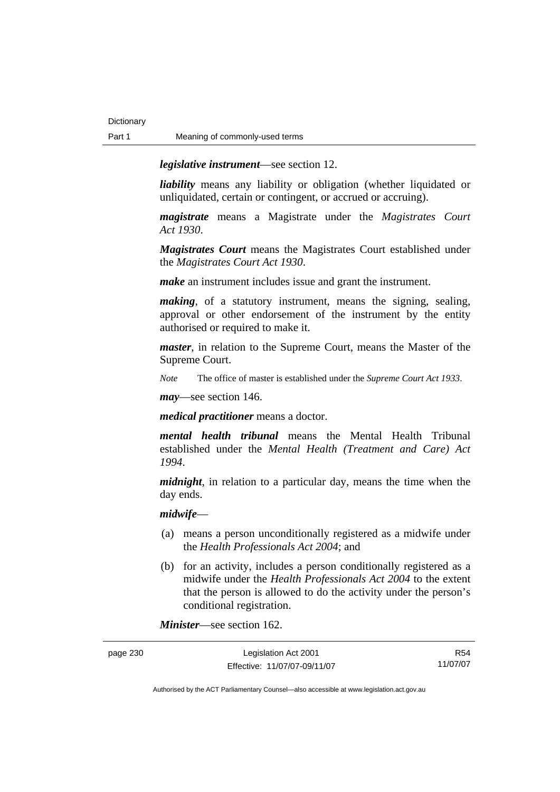*legislative instrument*—see section 12.

*liability* means any liability or obligation (whether liquidated or unliquidated, certain or contingent, or accrued or accruing).

*magistrate* means a Magistrate under the *Magistrates Court Act 1930*.

*Magistrates Court* means the Magistrates Court established under the *Magistrates Court Act 1930*.

*make* an instrument includes issue and grant the instrument.

*making*, of a statutory instrument, means the signing, sealing, approval or other endorsement of the instrument by the entity authorised or required to make it.

*master*, in relation to the Supreme Court, means the Master of the Supreme Court.

*Note* The office of master is established under the *Supreme Court Act 1933*.

*may*—see section 146.

*medical practitioner* means a doctor.

*mental health tribunal* means the Mental Health Tribunal established under the *Mental Health (Treatment and Care) Act 1994*.

*midnight*, in relation to a particular day, means the time when the day ends.

### *midwife*—

- (a) means a person unconditionally registered as a midwife under the *Health Professionals Act 2004*; and
- (b) for an activity, includes a person conditionally registered as a midwife under the *Health Professionals Act 2004* to the extent that the person is allowed to do the activity under the person's conditional registration.

*Minister*—see section 162.

| page 230 | Legislation Act 2001         | R54      |
|----------|------------------------------|----------|
|          | Effective: 11/07/07-09/11/07 | 11/07/07 |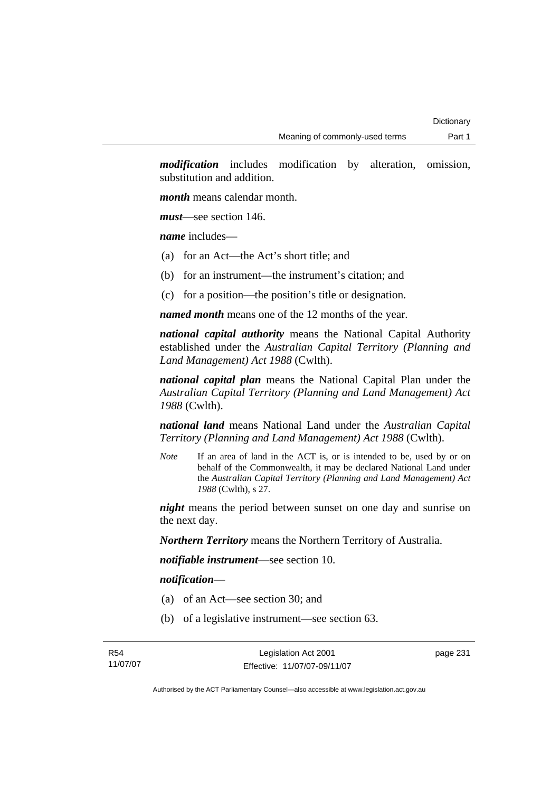*modification* includes modification by alteration, omission, substitution and addition.

*month* means calendar month.

*must*—see section 146.

*name* includes—

- (a) for an Act—the Act's short title; and
- (b) for an instrument—the instrument's citation; and
- (c) for a position—the position's title or designation.

*named month* means one of the 12 months of the year.

*national capital authority* means the National Capital Authority established under the *Australian Capital Territory (Planning and Land Management) Act 1988* (Cwlth).

*national capital plan* means the National Capital Plan under the *Australian Capital Territory (Planning and Land Management) Act 1988* (Cwlth).

*national land* means National Land under the *Australian Capital Territory (Planning and Land Management) Act 1988* (Cwlth).

*Note* If an area of land in the ACT is, or is intended to be, used by or on behalf of the Commonwealth, it may be declared National Land under the *Australian Capital Territory (Planning and Land Management) Act 1988* (Cwlth), s 27.

*night* means the period between sunset on one day and sunrise on the next day.

*Northern Territory* means the Northern Territory of Australia.

*notifiable instrument*—see section 10.

*notification*—

- (a) of an Act—see section 30; and
- (b) of a legislative instrument—see section 63.

page 231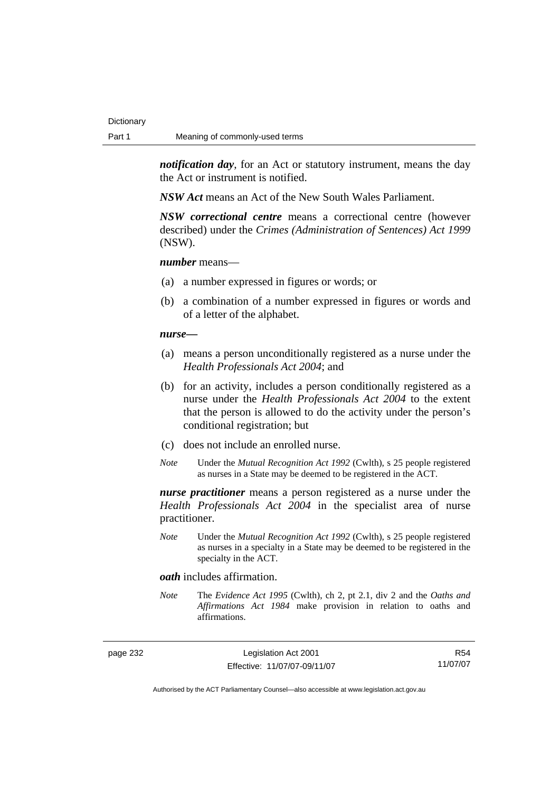*notification day*, for an Act or statutory instrument, means the day the Act or instrument is notified.

*NSW Act* means an Act of the New South Wales Parliament.

*NSW correctional centre* means a correctional centre (however described) under the *Crimes (Administration of Sentences) Act 1999* (NSW).

### *number* means—

- (a) a number expressed in figures or words; or
- (b) a combination of a number expressed in figures or words and of a letter of the alphabet.

### *nurse***—**

- (a) means a person unconditionally registered as a nurse under the *Health Professionals Act 2004*; and
- (b) for an activity, includes a person conditionally registered as a nurse under the *Health Professionals Act 2004* to the extent that the person is allowed to do the activity under the person's conditional registration; but
- (c) does not include an enrolled nurse.
- *Note* Under the *Mutual Recognition Act 1992* (Cwlth), s 25 people registered as nurses in a State may be deemed to be registered in the ACT.

*nurse practitioner* means a person registered as a nurse under the *Health Professionals Act 2004* in the specialist area of nurse practitioner.

*Note* Under the *Mutual Recognition Act 1992* (Cwlth), s 25 people registered as nurses in a specialty in a State may be deemed to be registered in the specialty in the ACT.

### *oath* includes affirmation.

*Note* The *Evidence Act 1995* (Cwlth), ch 2, pt 2.1, div 2 and the *Oaths and Affirmations Act 1984* make provision in relation to oaths and affirmations.

page 232 Legislation Act 2001 Effective: 11/07/07-09/11/07

R54 11/07/07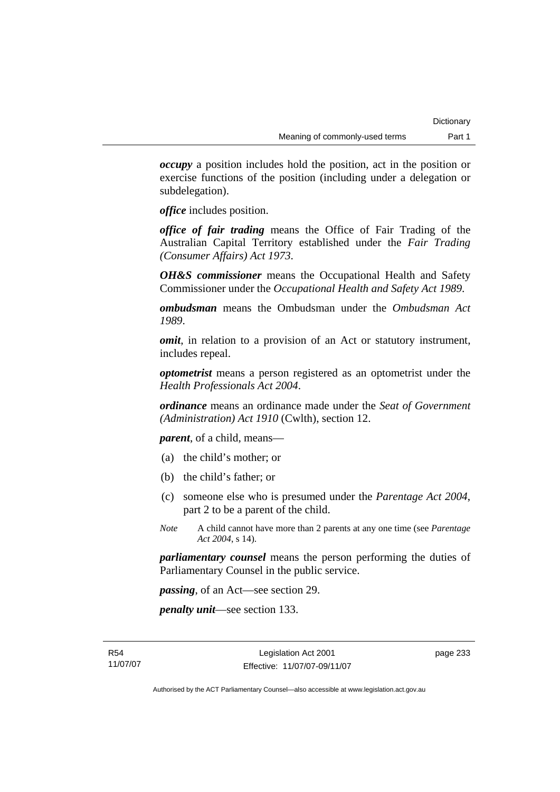*occupy* a position includes hold the position, act in the position or exercise functions of the position (including under a delegation or subdelegation).

*office* includes position.

*office of fair trading* means the Office of Fair Trading of the Australian Capital Territory established under the *Fair Trading (Consumer Affairs) Act 1973*.

*OH&S commissioner* means the Occupational Health and Safety Commissioner under the *Occupational Health and Safety Act 1989*.

*ombudsman* means the Ombudsman under the *Ombudsman Act 1989*.

*omit*, in relation to a provision of an Act or statutory instrument, includes repeal.

*optometrist* means a person registered as an optometrist under the *Health Professionals Act 2004*.

*ordinance* means an ordinance made under the *Seat of Government (Administration) Act 1910* (Cwlth), section 12.

*parent*, of a child, means—

- (a) the child's mother; or
- (b) the child's father; or
- (c) someone else who is presumed under the *Parentage Act 2004*, part 2 to be a parent of the child.
- *Note* A child cannot have more than 2 parents at any one time (see *Parentage Act 2004*, s 14).

*parliamentary counsel* means the person performing the duties of Parliamentary Counsel in the public service.

*passing*, of an Act—see section 29.

*penalty unit*—see section 133.

page 233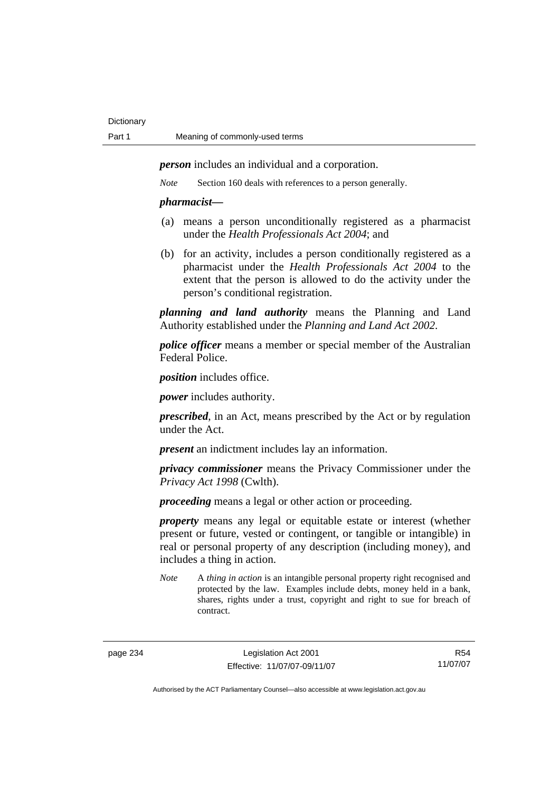*person* includes an individual and a corporation.

*Note* Section 160 deals with references to a person generally.

### *pharmacist***—**

- (a) means a person unconditionally registered as a pharmacist under the *Health Professionals Act 2004*; and
- (b) for an activity, includes a person conditionally registered as a pharmacist under the *Health Professionals Act 2004* to the extent that the person is allowed to do the activity under the person's conditional registration.

*planning and land authority* means the Planning and Land Authority established under the *Planning and Land Act 2002*.

*police officer* means a member or special member of the Australian Federal Police.

*position* includes office.

*power* includes authority.

*prescribed*, in an Act, means prescribed by the Act or by regulation under the Act.

*present* an indictment includes lay an information.

*privacy commissioner* means the Privacy Commissioner under the *Privacy Act 1998* (Cwlth).

*proceeding* means a legal or other action or proceeding.

*property* means any legal or equitable estate or interest (whether present or future, vested or contingent, or tangible or intangible) in real or personal property of any description (including money), and includes a thing in action.

R54 11/07/07

*Note* A *thing in action* is an intangible personal property right recognised and protected by the law. Examples include debts, money held in a bank, shares, rights under a trust, copyright and right to sue for breach of contract.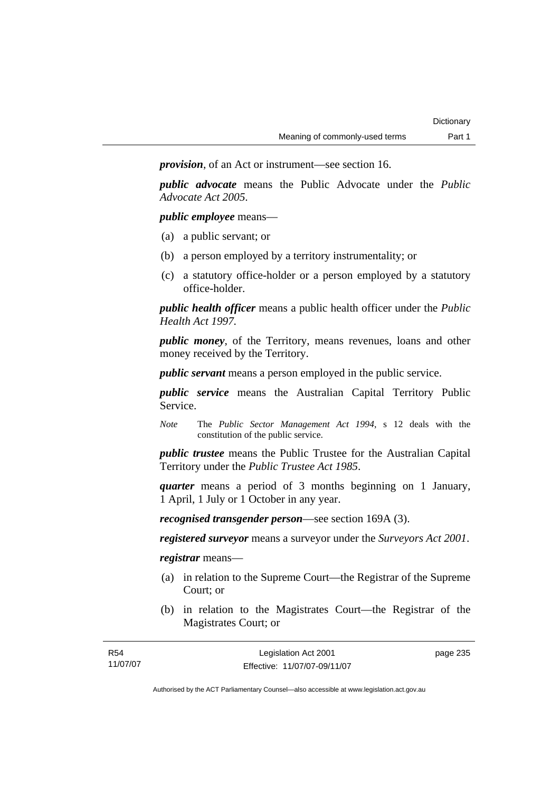*provision*, of an Act or instrument—see section 16.

*public advocate* means the Public Advocate under the *Public Advocate Act 2005*.

*public employee* means—

- (a) a public servant; or
- (b) a person employed by a territory instrumentality; or
- (c) a statutory office-holder or a person employed by a statutory office-holder.

*public health officer* means a public health officer under the *Public Health Act 1997.*

*public money*, of the Territory, means revenues, loans and other money received by the Territory.

*public servant* means a person employed in the public service.

*public service* means the Australian Capital Territory Public Service.

*Note* The *Public Sector Management Act 1994*, s 12 deals with the constitution of the public service.

*public trustee* means the Public Trustee for the Australian Capital Territory under the *Public Trustee Act 1985*.

*quarter* means a period of 3 months beginning on 1 January, 1 April, 1 July or 1 October in any year.

*recognised transgender person*—see section 169A (3).

*registered surveyor* means a surveyor under the *Surveyors Act 2001*.

*registrar* means—

- (a) in relation to the Supreme Court—the Registrar of the Supreme Court; or
- (b) in relation to the Magistrates Court—the Registrar of the Magistrates Court; or

| R <sub>54</sub> | Legislation Act 2001         | page 235 |
|-----------------|------------------------------|----------|
| 11/07/07        | Effective: 11/07/07-09/11/07 |          |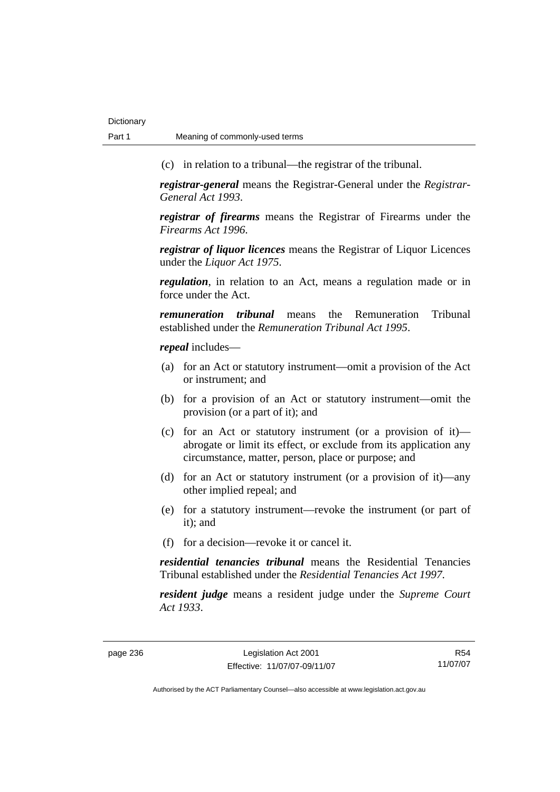(c) in relation to a tribunal—the registrar of the tribunal.

*registrar-general* means the Registrar-General under the *Registrar-General Act 1993*.

*registrar of firearms* means the Registrar of Firearms under the *Firearms Act 1996*.

*registrar of liquor licences* means the Registrar of Liquor Licences under the *Liquor Act 1975*.

*regulation*, in relation to an Act, means a regulation made or in force under the Act.

*remuneration tribunal* means the Remuneration Tribunal established under the *Remuneration Tribunal Act 1995*.

*repeal* includes—

- (a) for an Act or statutory instrument—omit a provision of the Act or instrument; and
- (b) for a provision of an Act or statutory instrument—omit the provision (or a part of it); and
- (c) for an Act or statutory instrument (or a provision of it) abrogate or limit its effect, or exclude from its application any circumstance, matter, person, place or purpose; and
- (d) for an Act or statutory instrument (or a provision of it)—any other implied repeal; and
- (e) for a statutory instrument—revoke the instrument (or part of it); and
- (f) for a decision—revoke it or cancel it.

*residential tenancies tribunal* means the Residential Tenancies Tribunal established under the *Residential Tenancies Act 1997*.

*resident judge* means a resident judge under the *Supreme Court Act 1933*.

page 236 Legislation Act 2001 Effective: 11/07/07-09/11/07

R54 11/07/07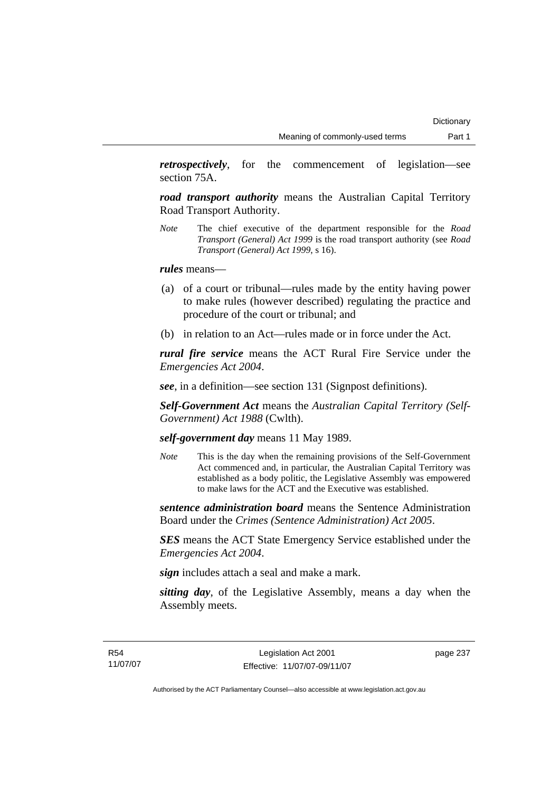*retrospectively*, for the commencement of legislation—see section 75A.

*road transport authority* means the Australian Capital Territory Road Transport Authority.

*Note* The chief executive of the department responsible for the *Road Transport (General) Act 1999* is the road transport authority (see *Road Transport (General) Act 1999*, s 16).

*rules* means—

- (a) of a court or tribunal—rules made by the entity having power to make rules (however described) regulating the practice and procedure of the court or tribunal; and
- (b) in relation to an Act—rules made or in force under the Act.

*rural fire service* means the ACT Rural Fire Service under the *Emergencies Act 2004*.

*see*, in a definition—see section 131 (Signpost definitions).

*Self-Government Act* means the *Australian Capital Territory (Self-Government) Act 1988* (Cwlth).

# *self-government day* means 11 May 1989.

*Note* This is the day when the remaining provisions of the Self-Government Act commenced and, in particular, the Australian Capital Territory was established as a body politic, the Legislative Assembly was empowered to make laws for the ACT and the Executive was established.

*sentence administration board* means the Sentence Administration Board under the *Crimes (Sentence Administration) Act 2005*.

*SES* means the ACT State Emergency Service established under the *Emergencies Act 2004*.

*sign* includes attach a seal and make a mark.

*sitting day*, of the Legislative Assembly, means a day when the Assembly meets.

page 237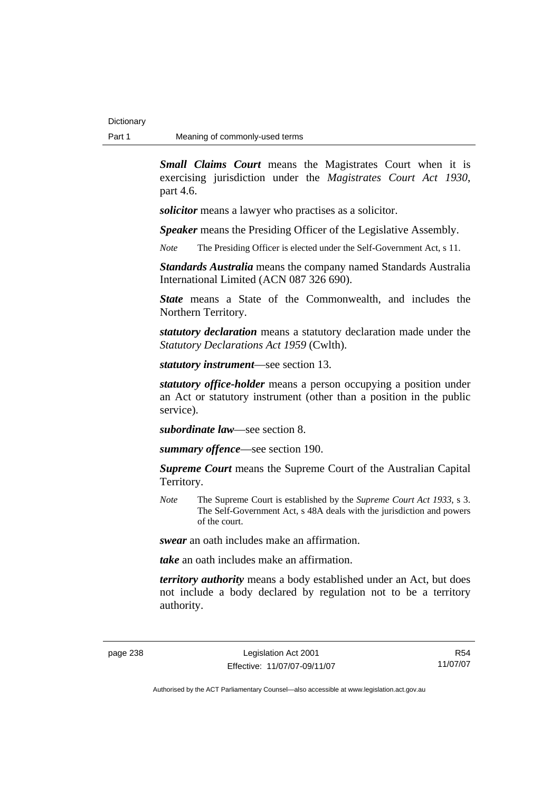*Small Claims Court* means the Magistrates Court when it is exercising jurisdiction under the *Magistrates Court Act 1930*, part 4.6.

*solicitor* means a lawyer who practises as a solicitor.

*Speaker* means the Presiding Officer of the Legislative Assembly.

*Note* The Presiding Officer is elected under the Self-Government Act, s 11.

*Standards Australia* means the company named Standards Australia International Limited (ACN 087 326 690).

*State* means a State of the Commonwealth, and includes the Northern Territory.

*statutory declaration* means a statutory declaration made under the *Statutory Declarations Act 1959* (Cwlth).

*statutory instrument*—see section 13.

*statutory office-holder* means a person occupying a position under an Act or statutory instrument (other than a position in the public service).

*subordinate law*—see section 8.

*summary offence*—see section 190.

*Supreme Court* means the Supreme Court of the Australian Capital Territory.

*Note* The Supreme Court is established by the *Supreme Court Act 1933*, s 3. The Self-Government Act, s 48A deals with the jurisdiction and powers of the court.

*swear* an oath includes make an affirmation.

*take* an oath includes make an affirmation.

*territory authority* means a body established under an Act, but does not include a body declared by regulation not to be a territory authority.

R54 11/07/07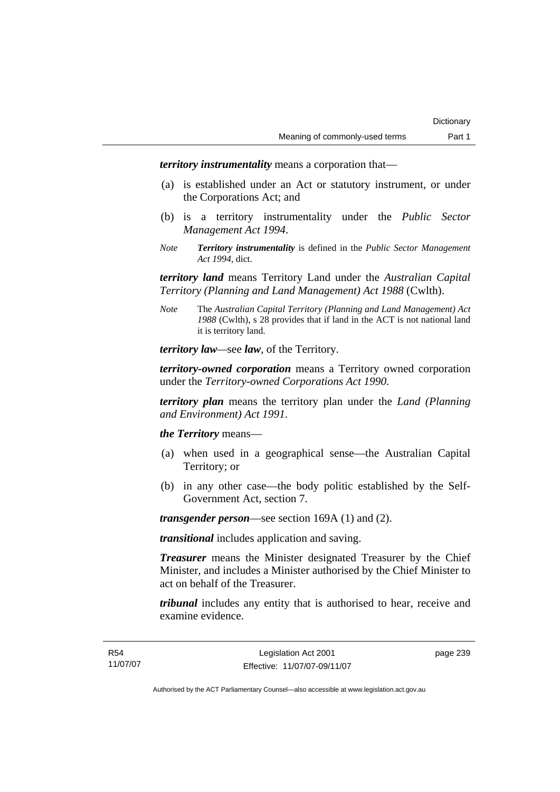*territory instrumentality* means a corporation that—

- (a) is established under an Act or statutory instrument, or under the Corporations Act; and
- (b) is a territory instrumentality under the *Public Sector Management Act 1994*.
- *Note Territory instrumentality* is defined in the *Public Sector Management Act 1994*, dict.

*territory land* means Territory Land under the *Australian Capital Territory (Planning and Land Management) Act 1988* (Cwlth).

*Note* The *Australian Capital Territory (Planning and Land Management) Act 1988* (Cwlth), s 28 provides that if land in the ACT is not national land it is territory land.

*territory law—*see *law*, of the Territory.

*territory-owned corporation* means a Territory owned corporation under the *Territory-owned Corporations Act 1990*.

*territory plan* means the territory plan under the *Land (Planning and Environment) Act 1991*.

*the Territory* means—

- (a) when used in a geographical sense—the Australian Capital Territory; or
- (b) in any other case—the body politic established by the Self-Government Act, section 7.

*transgender person*—see section 169A (1) and (2).

*transitional* includes application and saving.

*Treasurer* means the Minister designated Treasurer by the Chief Minister, and includes a Minister authorised by the Chief Minister to act on behalf of the Treasurer.

*tribunal* includes any entity that is authorised to hear, receive and examine evidence.

page 239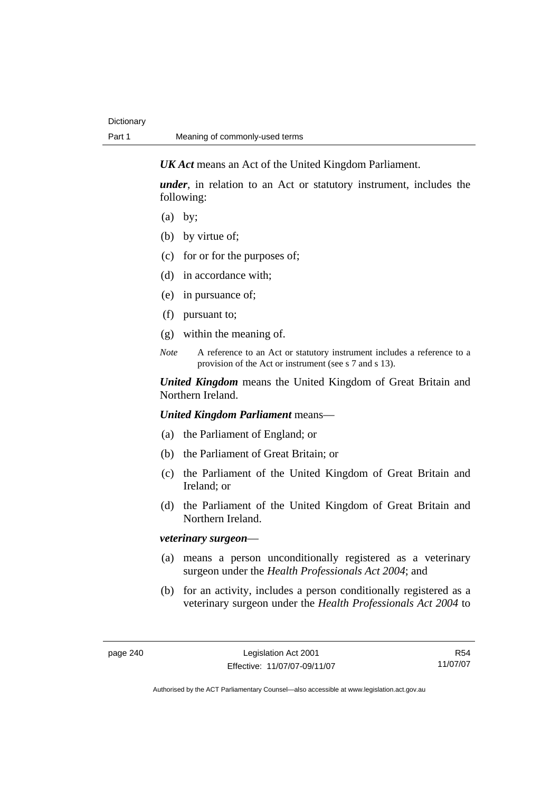*UK Act* means an Act of the United Kingdom Parliament.

*under*, in relation to an Act or statutory instrument, includes the following:

- (a) by;
- (b) by virtue of;
- (c) for or for the purposes of;
- (d) in accordance with;
- (e) in pursuance of;
- (f) pursuant to;
- (g) within the meaning of.
- *Note* A reference to an Act or statutory instrument includes a reference to a provision of the Act or instrument (see s 7 and s 13).

*United Kingdom* means the United Kingdom of Great Britain and Northern Ireland.

*United Kingdom Parliament* means—

- (a) the Parliament of England; or
- (b) the Parliament of Great Britain; or
- (c) the Parliament of the United Kingdom of Great Britain and Ireland; or
- (d) the Parliament of the United Kingdom of Great Britain and Northern Ireland.

# *veterinary surgeon*—

- (a) means a person unconditionally registered as a veterinary surgeon under the *Health Professionals Act 2004*; and
- (b) for an activity, includes a person conditionally registered as a veterinary surgeon under the *Health Professionals Act 2004* to

R54 11/07/07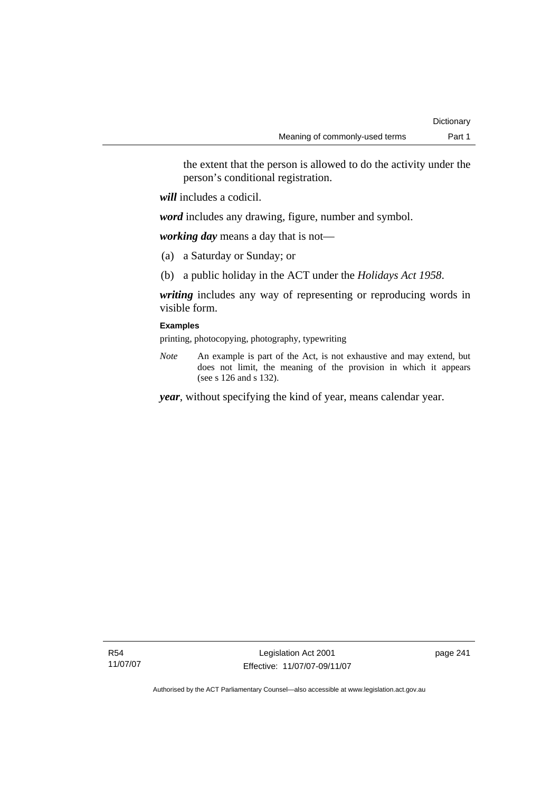the extent that the person is allowed to do the activity under the person's conditional registration.

*will* includes a codicil.

*word* includes any drawing, figure, number and symbol.

*working day* means a day that is not—

- (a) a Saturday or Sunday; or
- (b) a public holiday in the ACT under the *Holidays Act 1958*.

*writing* includes any way of representing or reproducing words in visible form.

# **Examples**

printing, photocopying, photography, typewriting

*Note* An example is part of the Act, is not exhaustive and may extend, but does not limit, the meaning of the provision in which it appears (see s 126 and s 132).

*year*, without specifying the kind of year, means calendar year.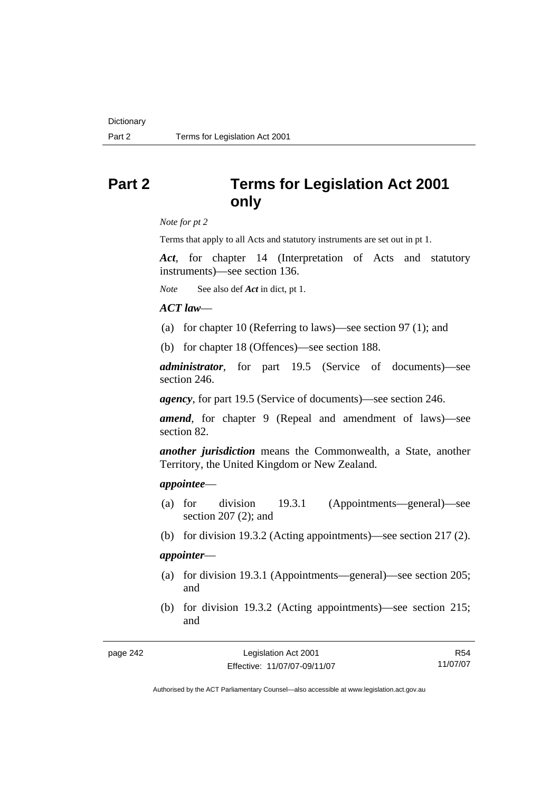# **Part 2 Terms for Legislation Act 2001 only**

*Note for pt 2* 

Terms that apply to all Acts and statutory instruments are set out in pt 1.

*Act*, for chapter 14 (Interpretation of Acts and statutory instruments)—see section 136.

*Note* See also def *Act* in dict, pt 1.

## *ACT law*—

- (a) for chapter 10 (Referring to laws)—see section 97 (1); and
- (b) for chapter 18 (Offences)—see section 188.

*administrator*, for part 19.5 (Service of documents)—see section 246.

*agency*, for part 19.5 (Service of documents)—see section 246.

*amend*, for chapter 9 (Repeal and amendment of laws)—see section 82.

*another jurisdiction* means the Commonwealth, a State, another Territory, the United Kingdom or New Zealand.

#### *appointee*—

- (a) for division 19.3.1 (Appointments—general)—see section 207 (2); and
- (b) for division 19.3.2 (Acting appointments)—see section 217 (2).

# *appointer*—

- (a) for division 19.3.1 (Appointments—general)—see section 205; and
- (b) for division 19.3.2 (Acting appointments)—see section 215; and

| page 242 |  |
|----------|--|
|----------|--|

R54 11/07/07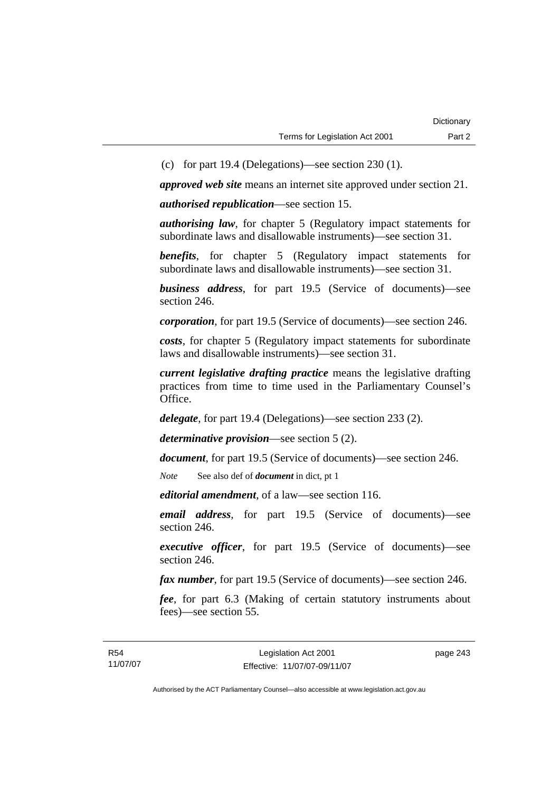(c) for part 19.4 (Delegations)—see section 230 (1).

*approved web site* means an internet site approved under section 21.

*authorised republication*—see section 15.

*authorising law*, for chapter 5 (Regulatory impact statements for subordinate laws and disallowable instruments)—see section 31.

*benefits*, for chapter 5 (Regulatory impact statements for subordinate laws and disallowable instruments)—see section 31.

*business address*, for part 19.5 (Service of documents)—see section 246.

*corporation*, for part 19.5 (Service of documents)—see section 246.

*costs*, for chapter 5 (Regulatory impact statements for subordinate laws and disallowable instruments)—see section 31.

*current legislative drafting practice* means the legislative drafting practices from time to time used in the Parliamentary Counsel's Office.

*delegate*, for part 19.4 (Delegations)—see section 233 (2).

*determinative provision*—see section 5 (2).

*document*, for part 19.5 (Service of documents)—see section 246.

*Note* See also def of *document* in dict, pt 1

*editorial amendment*, of a law—see section 116.

*email address*, for part 19.5 (Service of documents)—see section 246.

*executive officer*, for part 19.5 (Service of documents)—see section 246.

*fax number*, for part 19.5 (Service of documents)—see section 246.

*fee*, for part 6.3 (Making of certain statutory instruments about fees)—see section 55.

page 243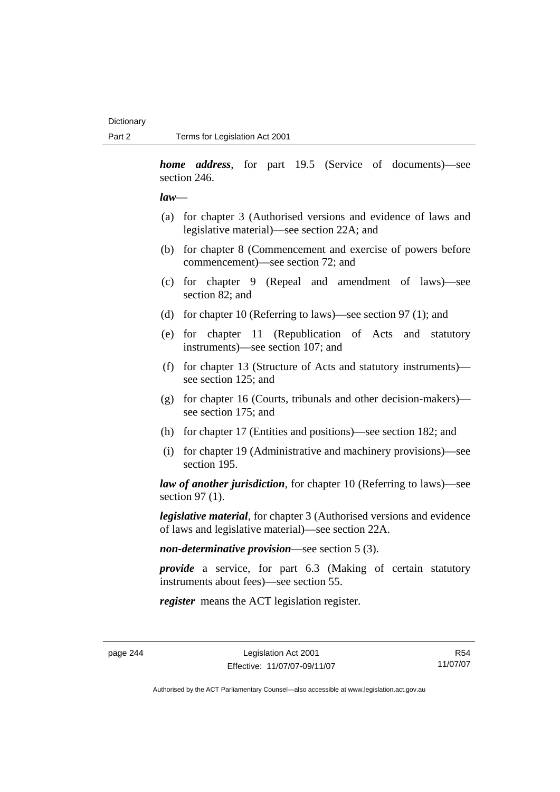*home address*, for part 19.5 (Service of documents)—see section 246.

#### *law*—

- (a) for chapter 3 (Authorised versions and evidence of laws and legislative material)—see section 22A; and
- (b) for chapter 8 (Commencement and exercise of powers before commencement)—see section 72; and
- (c) for chapter 9 (Repeal and amendment of laws)—see section 82; and
- (d) for chapter 10 (Referring to laws)—see section 97 (1); and
- (e) for chapter 11 (Republication of Acts and statutory instruments)—see section 107; and
- (f) for chapter 13 (Structure of Acts and statutory instruments) see section 125; and
- (g) for chapter 16 (Courts, tribunals and other decision-makers) see section 175; and
- (h) for chapter 17 (Entities and positions)—see section 182; and
- (i) for chapter 19 (Administrative and machinery provisions)—see section 195.

*law of another jurisdiction*, for chapter 10 (Referring to laws)—see section 97 (1).

*legislative material*, for chapter 3 (Authorised versions and evidence of laws and legislative material)—see section 22A.

*non-determinative provision*—see section 5 (3).

*provide* a service, for part 6.3 (Making of certain statutory instruments about fees)—see section 55.

*register* means the ACT legislation register.

R54 11/07/07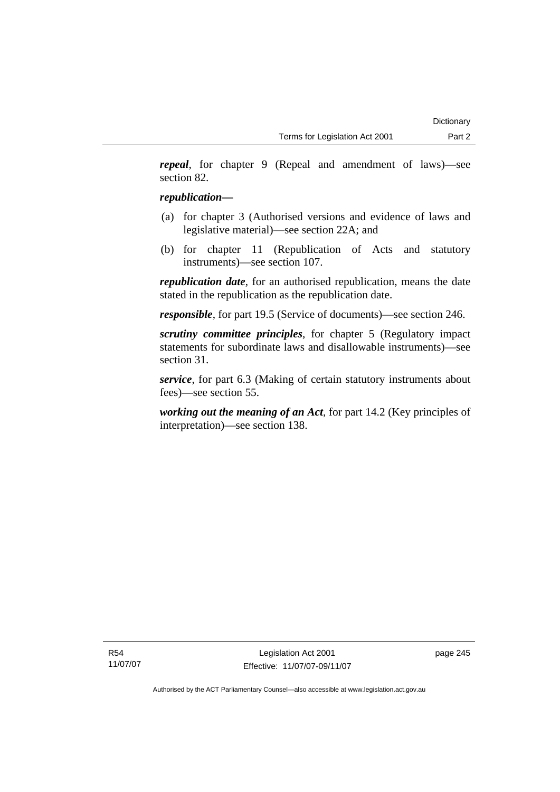*repeal*, for chapter 9 (Repeal and amendment of laws)—see section 82.

# *republication—*

- (a) for chapter 3 (Authorised versions and evidence of laws and legislative material)—see section 22A; and
- (b) for chapter 11 (Republication of Acts and statutory instruments)—see section 107.

*republication date*, for an authorised republication, means the date stated in the republication as the republication date.

*responsible*, for part 19.5 (Service of documents)—see section 246.

*scrutiny committee principles*, for chapter 5 (Regulatory impact statements for subordinate laws and disallowable instruments)—see section 31.

*service*, for part 6.3 (Making of certain statutory instruments about fees)—see section 55.

*working out the meaning of an Act*, for part 14.2 (Key principles of interpretation)—see section 138.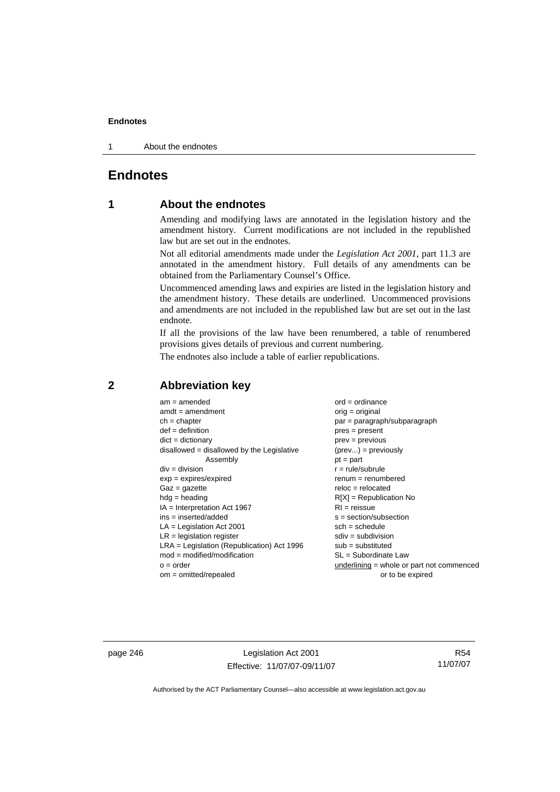1 About the endnotes

# **Endnotes**

# **1 About the endnotes**

Amending and modifying laws are annotated in the legislation history and the amendment history. Current modifications are not included in the republished law but are set out in the endnotes.

Not all editorial amendments made under the *Legislation Act 2001*, part 11.3 are annotated in the amendment history. Full details of any amendments can be obtained from the Parliamentary Counsel's Office.

Uncommenced amending laws and expiries are listed in the legislation history and the amendment history. These details are underlined. Uncommenced provisions and amendments are not included in the republished law but are set out in the last endnote.

If all the provisions of the law have been renumbered, a table of renumbered provisions gives details of previous and current numbering.

The endnotes also include a table of earlier republications.

| $am = amended$                               | $ord = ordinance$                         |
|----------------------------------------------|-------------------------------------------|
| $amdt = amendment$                           | $orig = original$                         |
| $ch = chapter$                               | $par = paragraph/subparagraph$            |
| $def = definition$                           | $pres = present$                          |
| $dict = dictionary$                          | $prev = previous$                         |
| disallowed = disallowed by the Legislative   | $(\text{prev}) = \text{previously}$       |
| Assembly                                     | $pt = part$                               |
| $div = division$                             | $r = rule/subrule$                        |
| $exp = expires/expired$                      | $remum = renumbered$                      |
| $Gaz = gazette$                              | $reloc = relocated$                       |
| $hdg =$ heading                              | $R[X]$ = Republication No                 |
| $IA = Interpretation Act 1967$               | $RI = reissue$                            |
| $ins = inserted/added$                       | $s = section/subsection$                  |
| $LA =$ Legislation Act 2001                  | $sch = schedule$                          |
| $LR =$ legislation register                  | $sdiv = subdivision$                      |
| $LRA =$ Legislation (Republication) Act 1996 | $sub = substituted$                       |
| $mod = modified/modification$                | SL = Subordinate Law                      |
| $o = order$                                  | underlining = whole or part not commenced |
| om = omitted/repealed                        | or to be expired                          |
|                                              |                                           |

# **2 Abbreviation key**

page 246 Legislation Act 2001 Effective: 11/07/07-09/11/07

R54 11/07/07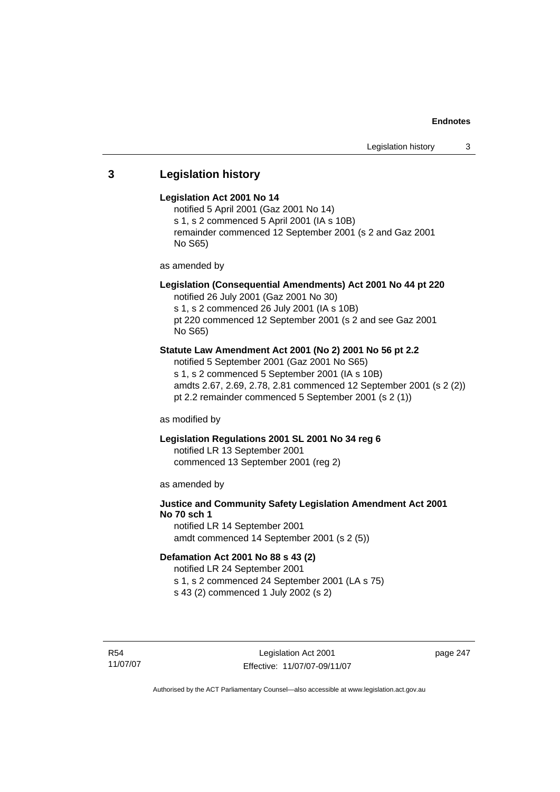# **3 Legislation history**

#### **Legislation Act 2001 No 14**

notified 5 April 2001 (Gaz 2001 No 14) s 1, s 2 commenced 5 April 2001 (IA s 10B) remainder commenced 12 September 2001 (s 2 and Gaz 2001 No S65)

as amended by

# **Legislation (Consequential Amendments) Act 2001 No 44 pt 220**

notified 26 July 2001 (Gaz 2001 No 30) s 1, s 2 commenced 26 July 2001 (IA s 10B) pt 220 commenced 12 September 2001 (s 2 and see Gaz 2001

No S65)

# **Statute Law Amendment Act 2001 (No 2) 2001 No 56 pt 2.2**

notified 5 September 2001 (Gaz 2001 No S65) s 1, s 2 commenced 5 September 2001 (IA s 10B) amdts 2.67, 2.69, 2.78, 2.81 commenced 12 September 2001 (s 2 (2)) pt 2.2 remainder commenced 5 September 2001 (s 2 (1))

as modified by

# **Legislation Regulations 2001 SL 2001 No 34 reg 6**

notified LR 13 September 2001 commenced 13 September 2001 (reg 2)

as amended by

# **Justice and Community Safety Legislation Amendment Act 2001 No 70 sch 1**

notified LR 14 September 2001 amdt commenced 14 September 2001 (s 2 (5))

# **Defamation Act 2001 No 88 s 43 (2)**

notified LR 24 September 2001 s 1, s 2 commenced 24 September 2001 (LA s 75)

s 43 (2) commenced 1 July 2002 (s 2)

R54 11/07/07 page 247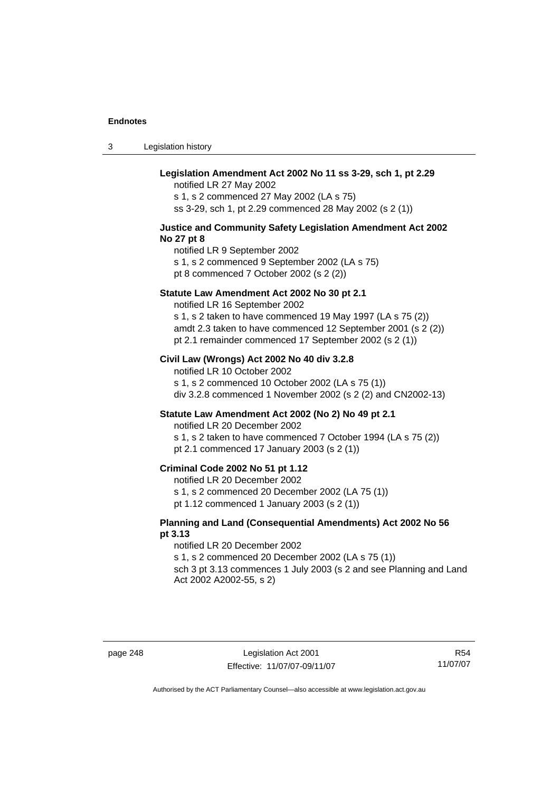3 Legislation history

# **Legislation Amendment Act 2002 No 11 ss 3-29, sch 1, pt 2.29**

notified LR 27 May 2002 s 1, s 2 commenced 27 May 2002 (LA s 75) ss 3-29, sch 1, pt 2.29 commenced 28 May 2002 (s 2 (1))

#### **Justice and Community Safety Legislation Amendment Act 2002 No 27 pt 8**

notified LR 9 September 2002 s 1, s 2 commenced 9 September 2002 (LA s 75) pt 8 commenced 7 October 2002 (s 2 (2))

#### **Statute Law Amendment Act 2002 No 30 pt 2.1**

notified LR 16 September 2002 s 1, s 2 taken to have commenced 19 May 1997 (LA s 75 (2)) amdt 2.3 taken to have commenced 12 September 2001 (s 2 (2)) pt 2.1 remainder commenced 17 September 2002 (s 2 (1))

#### **Civil Law (Wrongs) Act 2002 No 40 div 3.2.8**

notified LR 10 October 2002 s 1, s 2 commenced 10 October 2002 (LA s 75 (1)) div 3.2.8 commenced 1 November 2002 (s 2 (2) and CN2002-13)

# **Statute Law Amendment Act 2002 (No 2) No 49 pt 2.1**

notified LR 20 December 2002

s 1, s 2 taken to have commenced 7 October 1994 (LA s 75 (2)) pt 2.1 commenced 17 January 2003 (s 2 (1))

### **Criminal Code 2002 No 51 pt 1.12**

notified LR 20 December 2002

s 1, s 2 commenced 20 December 2002 (LA 75 (1))

pt 1.12 commenced 1 January 2003 (s 2 (1))

#### **Planning and Land (Consequential Amendments) Act 2002 No 56 pt 3.13**

#### notified LR 20 December 2002

s 1, s 2 commenced 20 December 2002 (LA s 75 (1))

sch 3 pt 3.13 commences 1 July 2003 (s 2 and see Planning and Land Act 2002 A2002-55, s 2)

page 248 Legislation Act 2001 Effective: 11/07/07-09/11/07

R54 11/07/07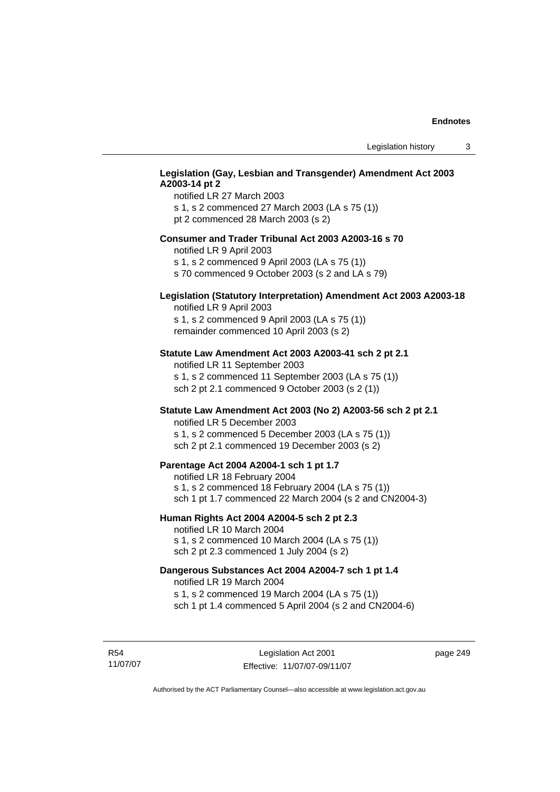# **Legislation (Gay, Lesbian and Transgender) Amendment Act 2003 A2003-14 pt 2**

notified LR 27 March 2003 s 1, s 2 commenced 27 March 2003 (LA s 75 (1)) pt 2 commenced 28 March 2003 (s 2)

#### **Consumer and Trader Tribunal Act 2003 A2003-16 s 70**

notified LR 9 April 2003

s 1, s 2 commenced 9 April 2003 (LA s 75 (1))

s 70 commenced 9 October 2003 (s 2 and LA s 79)

# **Legislation (Statutory Interpretation) Amendment Act 2003 A2003-18**

notified LR 9 April 2003 s 1, s 2 commenced 9 April 2003 (LA s 75 (1)) remainder commenced 10 April 2003 (s 2)

#### **Statute Law Amendment Act 2003 A2003-41 sch 2 pt 2.1**

notified LR 11 September 2003 s 1, s 2 commenced 11 September 2003 (LA s 75 (1)) sch 2 pt 2.1 commenced 9 October 2003 (s 2 (1))

# **Statute Law Amendment Act 2003 (No 2) A2003-56 sch 2 pt 2.1**

notified LR 5 December 2003 s 1, s 2 commenced 5 December 2003 (LA s 75 (1)) sch 2 pt 2.1 commenced 19 December 2003 (s 2)

#### **Parentage Act 2004 A2004-1 sch 1 pt 1.7**

notified LR 18 February 2004 s 1, s 2 commenced 18 February 2004 (LA s 75 (1)) sch 1 pt 1.7 commenced 22 March 2004 (s 2 and CN2004-3)

#### **Human Rights Act 2004 A2004-5 sch 2 pt 2.3**

notified LR 10 March 2004 s 1, s 2 commenced 10 March 2004 (LA s 75 (1)) sch 2 pt 2.3 commenced 1 July 2004 (s 2)

# **Dangerous Substances Act 2004 A2004-7 sch 1 pt 1.4**

notified LR 19 March 2004 s 1, s 2 commenced 19 March 2004 (LA s 75 (1)) sch 1 pt 1.4 commenced 5 April 2004 (s 2 and CN2004-6)

R54 11/07/07 page 249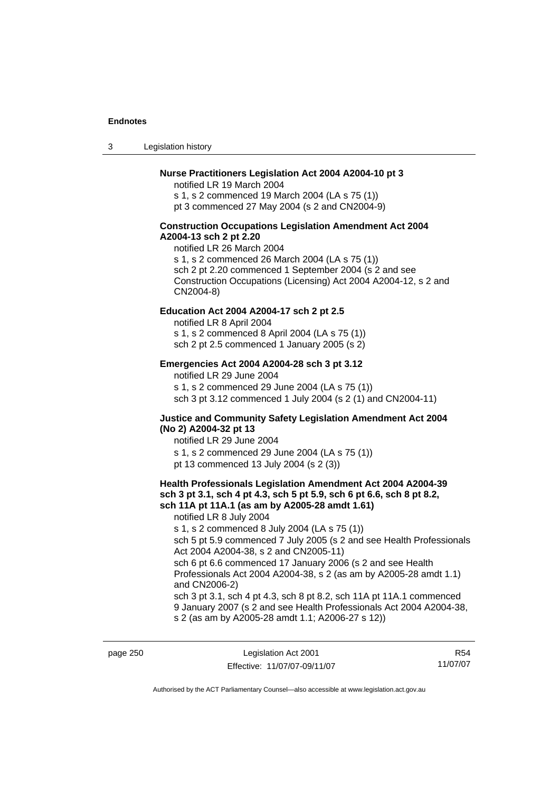3 Legislation history

# **Nurse Practitioners Legislation Act 2004 A2004-10 pt 3**

notified LR 19 March 2004 s 1, s 2 commenced 19 March 2004 (LA s 75 (1)) pt 3 commenced 27 May 2004 (s 2 and CN2004-9)

#### **Construction Occupations Legislation Amendment Act 2004 A2004-13 sch 2 pt 2.20**

notified LR 26 March 2004 s 1, s 2 commenced 26 March 2004 (LA s 75 (1)) sch 2 pt 2.20 commenced 1 September 2004 (s 2 and see Construction Occupations (Licensing) Act 2004 A2004-12, s 2 and CN2004-8)

#### **Education Act 2004 A2004-17 sch 2 pt 2.5**

notified LR 8 April 2004 s 1, s 2 commenced 8 April 2004 (LA s 75 (1))

sch 2 pt 2.5 commenced 1 January 2005 (s 2)

#### **Emergencies Act 2004 A2004-28 sch 3 pt 3.12**

notified LR 29 June 2004

s 1, s 2 commenced 29 June 2004 (LA s 75 (1)) sch 3 pt 3.12 commenced 1 July 2004 (s 2 (1) and CN2004-11)

#### **Justice and Community Safety Legislation Amendment Act 2004 (No 2) A2004-32 pt 13**

notified LR 29 June 2004 s 1, s 2 commenced 29 June 2004 (LA s 75 (1)) pt 13 commenced 13 July 2004 (s 2 (3))

#### **Health Professionals Legislation Amendment Act 2004 A2004-39 sch 3 pt 3.1, sch 4 pt 4.3, sch 5 pt 5.9, sch 6 pt 6.6, sch 8 pt 8.2, sch 11A pt 11A.1 (as am by A2005-28 amdt 1.61)**

notified LR 8 July 2004

s 1, s 2 commenced 8 July 2004 (LA s 75 (1))

sch 5 pt 5.9 commenced 7 July 2005 (s 2 and see Health Professionals Act 2004 A2004-38, s 2 and CN2005-11)

sch 6 pt 6.6 commenced 17 January 2006 (s 2 and see Health Professionals Act 2004 A2004-38, s 2 (as am by A2005-28 amdt 1.1) and CN2006-2)

sch 3 pt 3.1, sch 4 pt 4.3, sch 8 pt 8.2, sch 11A pt 11A.1 commenced 9 January 2007 (s 2 and see Health Professionals Act 2004 A2004-38, s 2 (as am by A2005-28 amdt 1.1; A2006-27 s 12))

page 250 Legislation Act 2001 Effective: 11/07/07-09/11/07

R54 11/07/07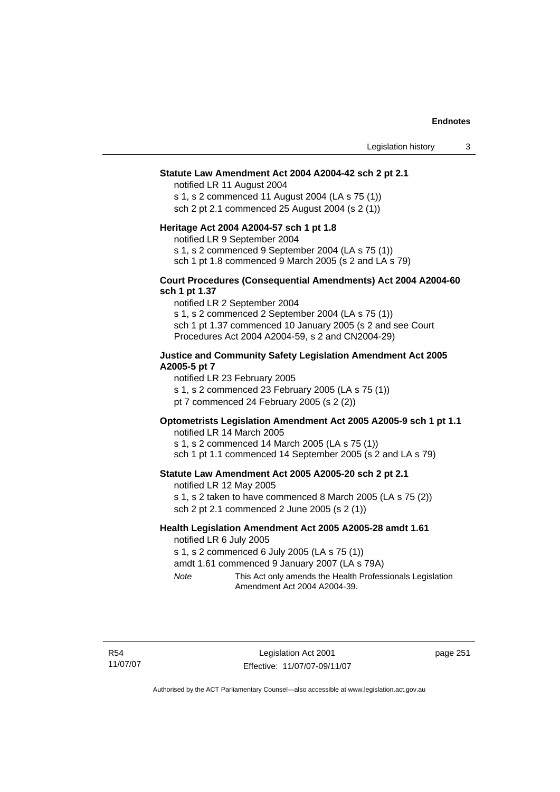#### **Statute Law Amendment Act 2004 A2004-42 sch 2 pt 2.1**

notified LR 11 August 2004 s 1, s 2 commenced 11 August 2004 (LA s 75 (1)) sch 2 pt 2.1 commenced 25 August 2004 (s 2 (1))

#### **Heritage Act 2004 A2004-57 sch 1 pt 1.8**

notified LR 9 September 2004

s 1, s 2 commenced 9 September 2004 (LA s 75 (1))

sch 1 pt 1.8 commenced 9 March 2005 (s 2 and LA s 79)

#### **Court Procedures (Consequential Amendments) Act 2004 A2004-60 sch 1 pt 1.37**

notified LR 2 September 2004 s 1, s 2 commenced 2 September 2004 (LA s 75 (1)) sch 1 pt 1.37 commenced 10 January 2005 (s 2 and see Court Procedures Act 2004 A2004-59, s 2 and CN2004-29)

### **Justice and Community Safety Legislation Amendment Act 2005 A2005-5 pt 7**

notified LR 23 February 2005

s 1, s 2 commenced 23 February 2005 (LA s 75 (1))

pt 7 commenced 24 February 2005 (s 2 (2))

# **Optometrists Legislation Amendment Act 2005 A2005-9 sch 1 pt 1.1**

notified LR 14 March 2005 s 1, s 2 commenced 14 March 2005 (LA s 75 (1)) sch 1 pt 1.1 commenced 14 September 2005 (s 2 and LA s 79)

#### **Statute Law Amendment Act 2005 A2005-20 sch 2 pt 2.1**

notified LR 12 May 2005 s 1, s 2 taken to have commenced 8 March 2005 (LA s 75 (2)) sch 2 pt 2.1 commenced 2 June 2005 (s 2 (1))

#### **Health Legislation Amendment Act 2005 A2005-28 amdt 1.61**  notified LR 6 July 2005

s 1, s 2 commenced 6 July 2005 (LA s 75 (1))

amdt 1.61 commenced 9 January 2007 (LA s 79A)

*Note* This Act only amends the Health Professionals Legislation Amendment Act 2004 A2004-39.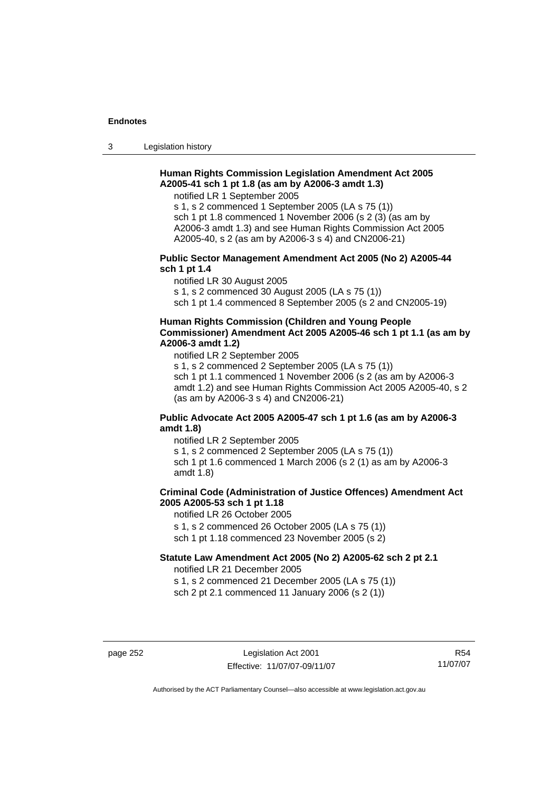3 Legislation history

# **Human Rights Commission Legislation Amendment Act 2005 A2005-41 sch 1 pt 1.8 (as am by A2006-3 amdt 1.3)**

notified LR 1 September 2005

s 1, s 2 commenced 1 September 2005 (LA s 75 (1)) sch 1 pt 1.8 commenced 1 November 2006 (s 2 (3) (as am by A2006-3 amdt 1.3) and see Human Rights Commission Act 2005 A2005-40, s 2 (as am by A2006-3 s 4) and CN2006-21)

#### **Public Sector Management Amendment Act 2005 (No 2) A2005-44 sch 1 pt 1.4**

notified LR 30 August 2005

s 1, s 2 commenced 30 August 2005 (LA s 75 (1))

sch 1 pt 1.4 commenced 8 September 2005 (s 2 and CN2005-19)

# **Human Rights Commission (Children and Young People Commissioner) Amendment Act 2005 A2005-46 sch 1 pt 1.1 (as am by A2006-3 amdt 1.2)**

notified LR 2 September 2005

s 1, s 2 commenced 2 September 2005 (LA s 75 (1)) sch 1 pt 1.1 commenced 1 November 2006 (s 2 (as am by A2006-3 amdt 1.2) and see Human Rights Commission Act 2005 A2005-40, s 2 (as am by A2006-3 s 4) and CN2006-21)

# **Public Advocate Act 2005 A2005-47 sch 1 pt 1.6 (as am by A2006-3 amdt 1.8)**

notified LR 2 September 2005 s 1, s 2 commenced 2 September 2005 (LA s 75 (1)) sch 1 pt 1.6 commenced 1 March 2006 (s 2 (1) as am by A2006-3 amdt 1.8)

# **Criminal Code (Administration of Justice Offences) Amendment Act 2005 A2005-53 sch 1 pt 1.18**

notified LR 26 October 2005 s 1, s 2 commenced 26 October 2005 (LA s 75 (1))

sch 1 pt 1.18 commenced 23 November 2005 (s 2)

# **Statute Law Amendment Act 2005 (No 2) A2005-62 sch 2 pt 2.1**

notified LR 21 December 2005 s 1, s 2 commenced 21 December 2005 (LA s 75 (1))

sch 2 pt 2.1 commenced 11 January 2006 (s 2 (1))

page 252 Legislation Act 2001 Effective: 11/07/07-09/11/07

R54 11/07/07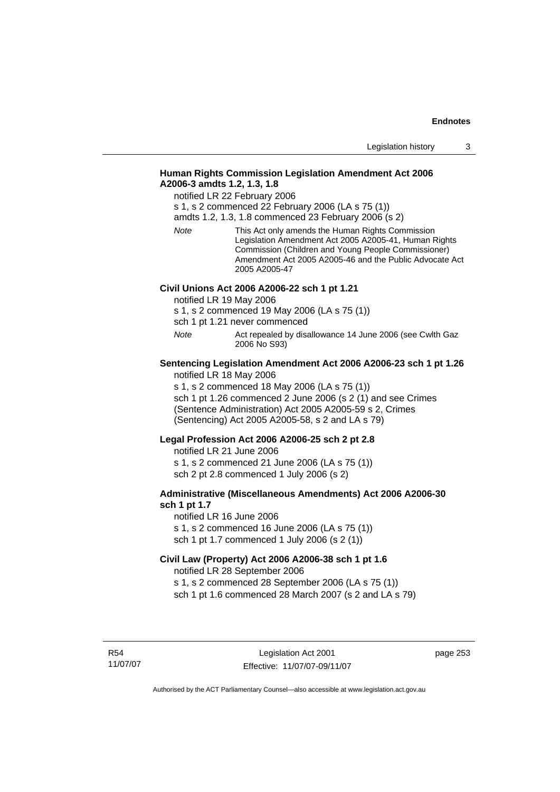# **Human Rights Commission Legislation Amendment Act 2006 A2006-3 amdts 1.2, 1.3, 1.8**

notified LR 22 February 2006

s 1, s 2 commenced 22 February 2006 (LA s 75 (1))

amdts 1.2, 1.3, 1.8 commenced 23 February 2006 (s 2)

*Note* This Act only amends the Human Rights Commission Legislation Amendment Act 2005 A2005-41, Human Rights Commission (Children and Young People Commissioner) Amendment Act 2005 A2005-46 and the Public Advocate Act 2005 A2005-47

# **Civil Unions Act 2006 A2006-22 sch 1 pt 1.21**

notified LR 19 May 2006

s 1, s 2 commenced 19 May 2006 (LA s 75 (1))

sch 1 pt 1.21 never commenced

*Note* Act repealed by disallowance 14 June 2006 (see Cwlth Gaz 2006 No S93)

#### **Sentencing Legislation Amendment Act 2006 A2006-23 sch 1 pt 1.26**  notified LR 18 May 2006

s 1, s 2 commenced 18 May 2006 (LA s 75 (1)) sch 1 pt 1.26 commenced 2 June 2006 (s 2 (1) and see Crimes (Sentence Administration) Act 2005 A2005-59 s 2, Crimes (Sentencing) Act 2005 A2005-58, s 2 and LA s 79)

#### **Legal Profession Act 2006 A2006-25 sch 2 pt 2.8**

notified LR 21 June 2006 s 1, s 2 commenced 21 June 2006 (LA s 75 (1)) sch 2 pt 2.8 commenced 1 July 2006 (s 2)

### **Administrative (Miscellaneous Amendments) Act 2006 A2006-30 sch 1 pt 1.7**

notified LR 16 June 2006 s 1, s 2 commenced 16 June 2006 (LA s 75 (1)) sch 1 pt 1.7 commenced 1 July 2006 (s 2 (1))

# **Civil Law (Property) Act 2006 A2006-38 sch 1 pt 1.6**  notified LR 28 September 2006

s 1, s 2 commenced 28 September 2006 (LA s 75 (1)) sch 1 pt 1.6 commenced 28 March 2007 (s 2 and LA s 79)

R54 11/07/07 page 253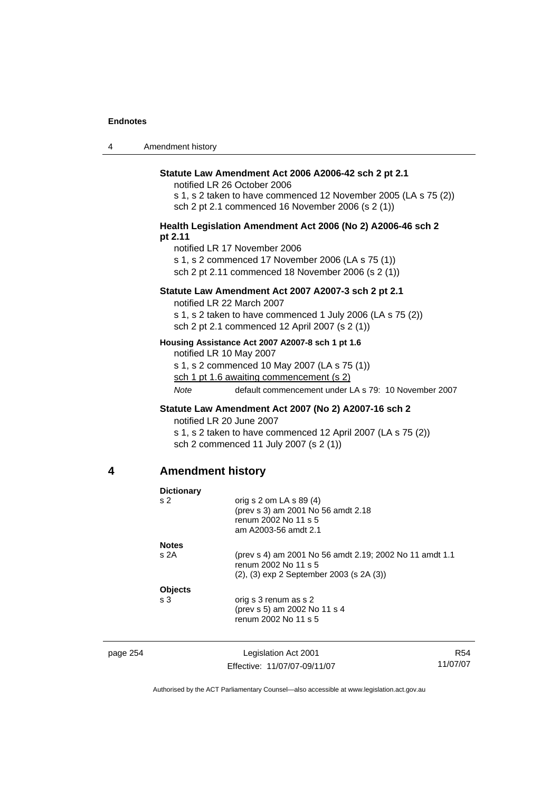| 4 | Amendment history |  |
|---|-------------------|--|
|---|-------------------|--|

#### **Statute Law Amendment Act 2006 A2006-42 sch 2 pt 2.1**

notified LR 26 October 2006

s 1, s 2 taken to have commenced 12 November 2005 (LA s 75 (2)) sch 2 pt 2.1 commenced 16 November 2006 (s 2 (1))

#### **Health Legislation Amendment Act 2006 (No 2) A2006-46 sch 2 pt 2.11**

notified LR 17 November 2006

s 1, s 2 commenced 17 November 2006 (LA s 75 (1))

sch 2 pt 2.11 commenced 18 November 2006 (s 2 (1))

### **Statute Law Amendment Act 2007 A2007-3 sch 2 pt 2.1**

notified LR 22 March 2007

s 1, s 2 taken to have commenced 1 July 2006 (LA s 75 (2)) sch 2 pt 2.1 commenced 12 April 2007 (s 2 (1))

#### **Housing Assistance Act 2007 A2007-8 sch 1 pt 1.6**

notified LR 10 May 2007

s 1, s 2 commenced 10 May 2007 (LA s 75 (1))

sch 1 pt 1.6 awaiting commencement (s 2)

*Note* default commencement under LA s 79: 10 November 2007

# **Statute Law Amendment Act 2007 (No 2) A2007-16 sch 2**

notified LR 20 June 2007

s 1, s 2 taken to have commenced 12 April 2007 (LA s 75 (2)) sch 2 commenced 11 July 2007 (s 2 (1))

# **4 Amendment history**

|          | <b>Dictionary</b> |                                                                                                                             |     |
|----------|-------------------|-----------------------------------------------------------------------------------------------------------------------------|-----|
|          | s <sub>2</sub>    | orig s $2$ om LA s $89(4)$<br>(prev s 3) am 2001 No 56 amdt 2.18<br>renum 2002 No 11 s 5<br>am A2003-56 amdt 2.1            |     |
|          | <b>Notes</b>      |                                                                                                                             |     |
|          | s2A               | (prev s 4) am 2001 No 56 amdt 2.19; 2002 No 11 amdt 1.1<br>renum 2002 No 11 s 5<br>(2), (3) exp 2 September 2003 (s 2A (3)) |     |
|          | <b>Objects</b>    |                                                                                                                             |     |
|          | s 3               | orig s 3 renum as s 2<br>(prev s 5) am 2002 No 11 s 4<br>renum 2002 No 11 s 5                                               |     |
| page 254 |                   | Legislation Act 2001                                                                                                        | R54 |
|          |                   |                                                                                                                             |     |

Effective: 11/07/07-09/11/07

11/07/07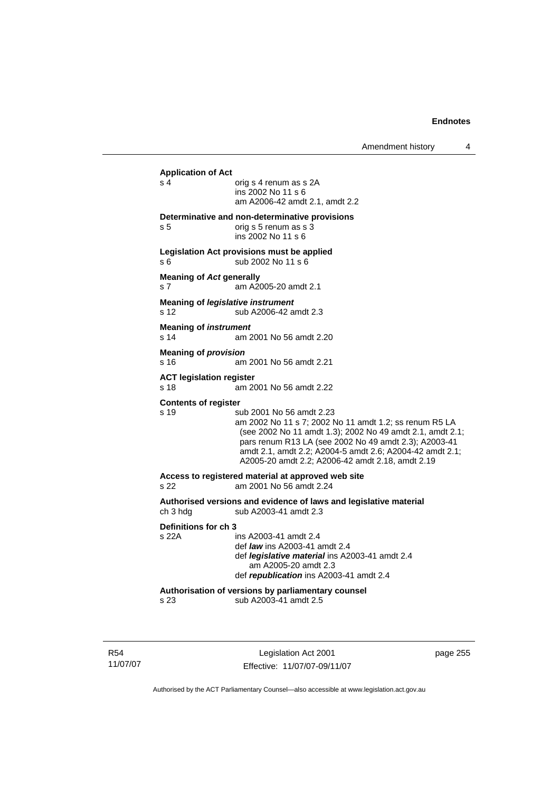| Amendment history |  |
|-------------------|--|
|-------------------|--|

| s 4                             | <b>Application of Act</b><br>orig s 4 renum as s 2A                                                                 |
|---------------------------------|---------------------------------------------------------------------------------------------------------------------|
|                                 | ins 2002 No 11 s 6                                                                                                  |
|                                 | am A2006-42 amdt 2.1, amdt 2.2                                                                                      |
|                                 | Determinative and non-determinative provisions                                                                      |
| s 5                             | orig s 5 renum as s 3                                                                                               |
|                                 | ins 2002 No 11 s 6                                                                                                  |
|                                 | Legislation Act provisions must be applied                                                                          |
| s 6                             | sub 2002 No 11 s 6                                                                                                  |
| <b>Meaning of Act generally</b> |                                                                                                                     |
| s <sub>7</sub>                  | am A2005-20 amdt 2.1                                                                                                |
|                                 | <b>Meaning of legislative instrument</b>                                                                            |
| s 12                            | sub A2006-42 amdt 2.3                                                                                               |
| <b>Meaning of instrument</b>    |                                                                                                                     |
| s <sub>14</sub>                 | am 2001 No 56 amdt 2.20                                                                                             |
| <b>Meaning of provision</b>     |                                                                                                                     |
| s 16                            | am 2001 No 56 amdt 2.21                                                                                             |
| <b>ACT legislation register</b> |                                                                                                                     |
| s 18                            | am 2001 No 56 amdt 2.22                                                                                             |
| <b>Contents of register</b>     |                                                                                                                     |
| s 19                            | sub 2001 No 56 amdt 2.23                                                                                            |
|                                 | am 2002 No 11 s 7; 2002 No 11 amdt 1.2; ss renum R5 LA<br>(see 2002 No 11 amdt 1.3); 2002 No 49 amdt 2.1, amdt 2.1; |
|                                 | pars renum R13 LA (see 2002 No 49 amdt 2.3); A2003-41                                                               |
|                                 | amdt 2.1, amdt 2.2; A2004-5 amdt 2.6; A2004-42 amdt 2.1;                                                            |
|                                 | A2005-20 amdt 2.2; A2006-42 amdt 2.18, amdt 2.19                                                                    |
|                                 | Access to registered material at approved web site                                                                  |
| s 22                            | am 2001 No 56 amdt 2.24                                                                                             |
|                                 | Authorised versions and evidence of laws and legislative material                                                   |
| ch 3 hdg                        | sub A2003-41 amdt 2.3                                                                                               |
|                                 |                                                                                                                     |
|                                 |                                                                                                                     |
|                                 | ins A2003-41 amdt 2.4                                                                                               |
|                                 | def law ins A2003-41 amdt 2.4                                                                                       |
|                                 | def <i>legislative material</i> ins A2003-41 amdt 2.4                                                               |
|                                 | am A2005-20 amdt 2.3<br>def republication ins A2003-41 amdt 2.4                                                     |
| Definitions for ch 3<br>s 22A   | Authorisation of versions by parliamentary counsel                                                                  |

R54 11/07/07

Legislation Act 2001 Effective: 11/07/07-09/11/07 page 255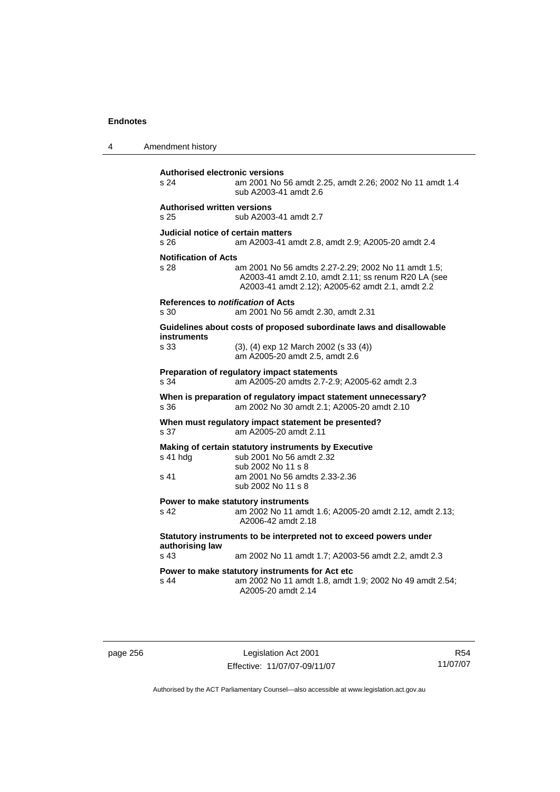| 4 | Amendment history                                            |                                                                                                                                                                |
|---|--------------------------------------------------------------|----------------------------------------------------------------------------------------------------------------------------------------------------------------|
|   | <b>Authorised electronic versions</b><br>s 24                | am 2001 No 56 amdt 2.25, amdt 2.26; 2002 No 11 amdt 1.4<br>sub A2003-41 amdt 2.6                                                                               |
|   | <b>Authorised written versions</b><br>s 25                   | sub A2003-41 amdt 2.7                                                                                                                                          |
|   | Judicial notice of certain matters<br>s 26                   | am A2003-41 amdt 2.8, amdt 2.9; A2005-20 amdt 2.4                                                                                                              |
|   | <b>Notification of Acts</b><br>s 28                          | am 2001 No 56 amdts 2.27-2.29; 2002 No 11 amdt 1.5;<br>A2003-41 amdt 2.10, amdt 2.11; ss renum R20 LA (see<br>A2003-41 amdt 2.12); A2005-62 amdt 2.1, amdt 2.2 |
|   | References to <i>notification</i> of Acts<br>s <sub>30</sub> | am 2001 No 56 amdt 2.30, amdt 2.31                                                                                                                             |
|   |                                                              | Guidelines about costs of proposed subordinate laws and disallowable                                                                                           |
|   | <b>instruments</b><br>s 33                                   | (3), (4) exp 12 March 2002 (s 33 (4))<br>am A2005-20 amdt 2.5, amdt 2.6                                                                                        |
|   | s 34                                                         | Preparation of regulatory impact statements<br>am A2005-20 amdts 2.7-2.9; A2005-62 amdt 2.3                                                                    |
|   | s 36                                                         | When is preparation of regulatory impact statement unnecessary?<br>am 2002 No 30 amdt 2.1; A2005-20 amdt 2.10                                                  |
|   | s 37                                                         | When must regulatory impact statement be presented?<br>am A2005-20 amdt 2.11                                                                                   |
|   | s 41 hdg<br>s 41                                             | Making of certain statutory instruments by Executive<br>sub 2001 No 56 amdt 2.32<br>sub 2002 No 11 s 8<br>am 2001 No 56 amdts 2.33-2.36<br>sub 2002 No 11 s 8  |
|   | s 42                                                         | Power to make statutory instruments<br>am 2002 No 11 amdt 1.6; A2005-20 amdt 2.12, amdt 2.13;<br>A2006-42 amdt 2.18                                            |
|   | authorising law<br>s 43                                      | Statutory instruments to be interpreted not to exceed powers under<br>am 2002 No 11 amdt 1.7; A2003-56 amdt 2.2, amdt 2.3                                      |
|   | s 44                                                         | Power to make statutory instruments for Act etc<br>am 2002 No 11 amdt 1.8, amdt 1.9; 2002 No 49 amdt 2.54;<br>A2005-20 amdt 2.14                               |

page 256 Legislation Act 2001 Effective: 11/07/07-09/11/07

R54 11/07/07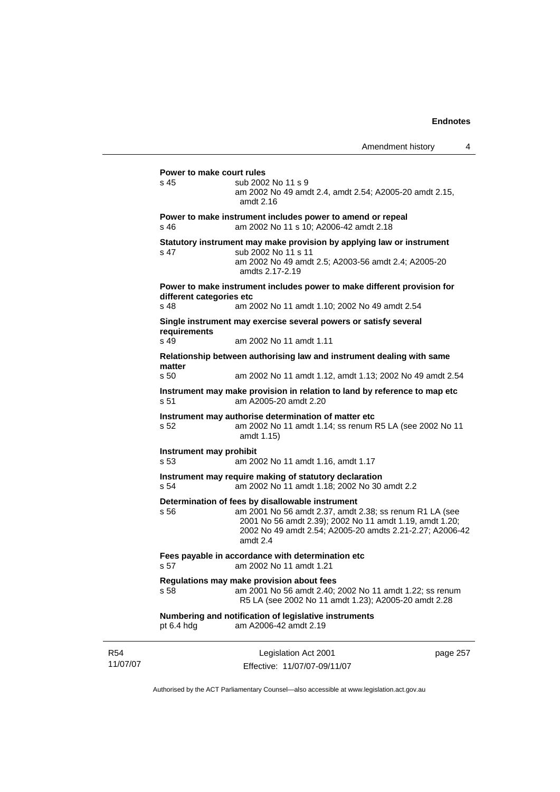Legislation Act 2001 page 257 **Power to make court rules**  s 45 sub 2002 No 11 s 9 am 2002 No 49 amdt 2.4, amdt 2.54; A2005-20 amdt 2.15, amdt 2.16 **Power to make instrument includes power to amend or repeal**  s 46 am 2002 No 11 s 10; A2006-42 amdt 2.18 **Statutory instrument may make provision by applying law or instrument**  s 47 sub 2002 No 11 s 11 am 2002 No 49 amdt 2.5; A2003-56 amdt 2.4; A2005-20 amdts 2.17-2.19 **Power to make instrument includes power to make different provision for different categories etc**  s 48 am 2002 No 11 amdt 1.10; 2002 No 49 amdt 2.54 **Single instrument may exercise several powers or satisfy several requirements**  s 49 am 2002 No 11 amdt 1.11 **Relationship between authorising law and instrument dealing with same matter**  s 50 am 2002 No 11 amdt 1.12, amdt 1.13; 2002 No 49 amdt 2.54 **Instrument may make provision in relation to land by reference to map etc**  s 51 am A2005-20 amdt 2.20 **Instrument may authorise determination of matter etc**  s 52 am 2002 No 11 amdt 1.14; ss renum R5 LA (see 2002 No 11 amdt 1.15) **Instrument may prohibit**  s 53 am 2002 No 11 amdt 1.16, amdt 1.17 **Instrument may require making of statutory declaration**  s 54 am 2002 No 11 amdt 1.18; 2002 No 30 amdt 2.2 **Determination of fees by disallowable instrument**  s 56 am 2001 No 56 amdt 2.37, amdt 2.38; ss renum R1 LA (see 2001 No 56 amdt 2.39); 2002 No 11 amdt 1.19, amdt 1.20; 2002 No 49 amdt 2.54; A2005-20 amdts 2.21-2.27; A2006-42 amdt 2.4 **Fees payable in accordance with determination etc**  s 57 am 2002 No 11 amdt 1.21 **Regulations may make provision about fees**  s 58 am 2001 No 56 amdt 2.40; 2002 No 11 amdt 1.22; ss renum R5 LA (see 2002 No 11 amdt 1.23); A2005-20 amdt 2.28 **Numbering and notification of legislative instruments**  pt 6.4 hdg am A2006-42 amdt 2.19

11/07/07

R54

Effective: 11/07/07-09/11/07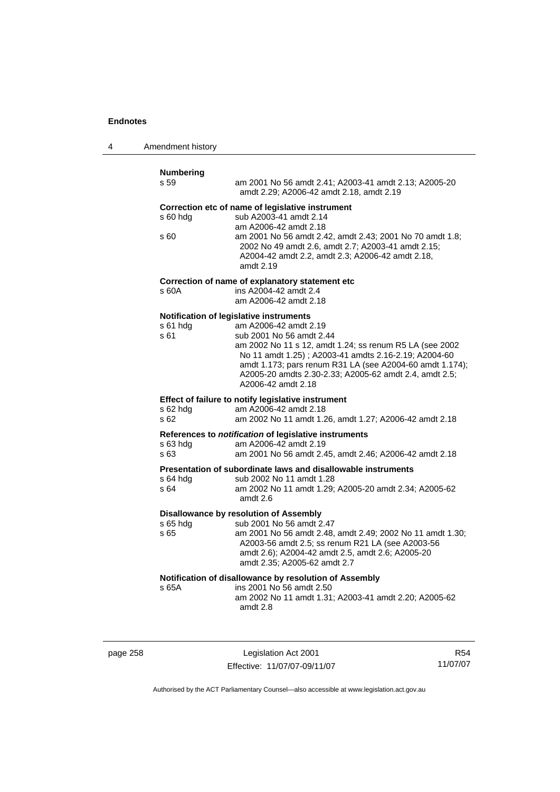| 4 | Amendment history |  |
|---|-------------------|--|
|---|-------------------|--|

| <b>Numbering</b><br>s 59 | am 2001 No 56 amdt 2.41; A2003-41 amdt 2.13; A2005-20<br>amdt 2.29; A2006-42 amdt 2.18, amdt 2.19                                                                               |
|--------------------------|---------------------------------------------------------------------------------------------------------------------------------------------------------------------------------|
| s 60 hda                 | Correction etc of name of legislative instrument<br>sub A2003-41 amdt 2.14<br>am A2006-42 amdt 2.18                                                                             |
| s 60                     | am 2001 No 56 amdt 2.42, amdt 2.43; 2001 No 70 amdt 1.8;<br>2002 No 49 amdt 2.6, amdt 2.7; A2003-41 amdt 2.15;<br>A2004-42 amdt 2.2, amdt 2.3; A2006-42 amdt 2.18,<br>amdt 2.19 |
|                          | Correction of name of explanatory statement etc                                                                                                                                 |
| s 60A                    | ins A2004-42 amdt 2.4<br>am A2006-42 amdt 2.18                                                                                                                                  |
|                          | Notification of legislative instruments                                                                                                                                         |
| s 61 hda                 | am A2006-42 amdt 2.19                                                                                                                                                           |
| s 61                     | sub 2001 No 56 amdt 2.44<br>am 2002 No 11 s 12, amdt 1.24; ss renum R5 LA (see 2002                                                                                             |
|                          | No 11 amdt 1.25); A2003-41 amdts 2.16-2.19; A2004-60                                                                                                                            |
|                          | amdt 1.173; pars renum R31 LA (see A2004-60 amdt 1.174);                                                                                                                        |
|                          | A2005-20 amdts 2.30-2.33; A2005-62 amdt 2.4, amdt 2.5;<br>A2006-42 amdt 2.18                                                                                                    |
|                          | Effect of failure to notify legislative instrument                                                                                                                              |
| s 62 hdg                 | am A2006-42 amdt 2.18                                                                                                                                                           |
| s <sub>62</sub>          | am 2002 No 11 amdt 1.26, amdt 1.27; A2006-42 amdt 2.18                                                                                                                          |
|                          | References to notification of legislative instruments                                                                                                                           |
| s 63 hdg<br>s 63         | am A2006-42 amdt 2.19<br>am 2001 No 56 amdt 2.45, amdt 2.46; A2006-42 amdt 2.18                                                                                                 |
|                          |                                                                                                                                                                                 |
|                          | Presentation of subordinate laws and disallowable instruments<br>sub 2002 No 11 amdt 1.28                                                                                       |
| s 64 hda<br>s 64         | am 2002 No 11 amdt 1.29; A2005-20 amdt 2.34; A2005-62                                                                                                                           |
|                          | amdt 2.6                                                                                                                                                                        |
|                          | <b>Disallowance by resolution of Assembly</b>                                                                                                                                   |
| s 65 hdg<br>s 65         | sub 2001 No 56 amdt 2.47<br>am 2001 No 56 amdt 2.48, amdt 2.49; 2002 No 11 amdt 1.30;                                                                                           |
|                          | A2003-56 amdt 2.5; ss renum R21 LA (see A2003-56                                                                                                                                |
|                          | amdt 2.6); A2004-42 amdt 2.5, amdt 2.6; A2005-20                                                                                                                                |
|                          | amdt 2.35; A2005-62 amdt 2.7                                                                                                                                                    |
|                          | Notification of disallowance by resolution of Assembly                                                                                                                          |
| s 65A                    | ins 2001 No 56 amdt 2.50                                                                                                                                                        |
|                          | am 2002 No 11 amdt 1.31; A2003-41 amdt 2.20; A2005-62<br>amdt 2.8                                                                                                               |
|                          |                                                                                                                                                                                 |
|                          |                                                                                                                                                                                 |

page 258 Legislation Act 2001 Effective: 11/07/07-09/11/07

R54 11/07/07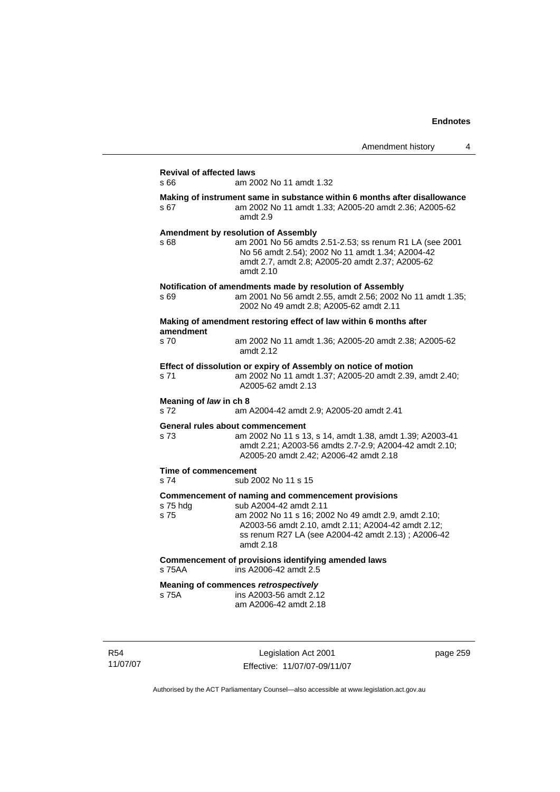|                                         |                                                                                                                                                                                                                                                               | Amendment history | 4 |
|-----------------------------------------|---------------------------------------------------------------------------------------------------------------------------------------------------------------------------------------------------------------------------------------------------------------|-------------------|---|
| <b>Revival of affected laws</b><br>s 66 | am 2002 No 11 amdt 1.32                                                                                                                                                                                                                                       |                   |   |
| s 67                                    | Making of instrument same in substance within 6 months after disallowance<br>am 2002 No 11 amdt 1.33; A2005-20 amdt 2.36; A2005-62<br>amdt 2.9                                                                                                                |                   |   |
| s 68                                    | <b>Amendment by resolution of Assembly</b><br>am 2001 No 56 amdts 2.51-2.53; ss renum R1 LA (see 2001<br>No 56 amdt 2.54); 2002 No 11 amdt 1.34; A2004-42<br>amdt 2.7, amdt 2.8; A2005-20 amdt 2.37; A2005-62<br>amdt 2.10                                    |                   |   |
| s 69                                    | Notification of amendments made by resolution of Assembly<br>am 2001 No 56 amdt 2.55, amdt 2.56; 2002 No 11 amdt 1.35;<br>2002 No 49 amdt 2.8; A2005-62 amdt 2.11                                                                                             |                   |   |
|                                         | Making of amendment restoring effect of law within 6 months after                                                                                                                                                                                             |                   |   |
| amendment<br>s 70                       | am 2002 No 11 amdt 1.36; A2005-20 amdt 2.38; A2005-62<br>amdt 2.12                                                                                                                                                                                            |                   |   |
| s 71                                    | Effect of dissolution or expiry of Assembly on notice of motion<br>am 2002 No 11 amdt 1.37; A2005-20 amdt 2.39, amdt 2.40;<br>A2005-62 amdt 2.13                                                                                                              |                   |   |
| Meaning of law in ch 8<br>s 72          | am A2004-42 amdt 2.9; A2005-20 amdt 2.41                                                                                                                                                                                                                      |                   |   |
| s 73                                    | General rules about commencement<br>am 2002 No 11 s 13, s 14, amdt 1.38, amdt 1.39; A2003-41<br>amdt 2.21; A2003-56 amdts 2.7-2.9; A2004-42 amdt 2.10;<br>A2005-20 amdt 2.42; A2006-42 amdt 2.18                                                              |                   |   |
| Time of commencement<br>s 74            | sub 2002 No 11 s 15                                                                                                                                                                                                                                           |                   |   |
| s 75 hdg<br>s 75                        | Commencement of naming and commencement provisions<br>sub A2004-42 amdt 2.11<br>am 2002 No 11 s 16; 2002 No 49 amdt 2.9, amdt 2.10;<br>A2003-56 amdt 2.10, amdt 2.11; A2004-42 amdt 2.12;<br>ss renum R27 LA (see A2004-42 amdt 2.13) ; A2006-42<br>amdt 2.18 |                   |   |
| s 75AA                                  | Commencement of provisions identifying amended laws<br>ins A2006-42 amdt 2.5                                                                                                                                                                                  |                   |   |
| s 75A                                   | Meaning of commences retrospectively<br>ins A2003-56 amdt 2.12<br>am A2006-42 amdt 2.18                                                                                                                                                                       |                   |   |

R54 11/07/07

Legislation Act 2001 Effective: 11/07/07-09/11/07 page 259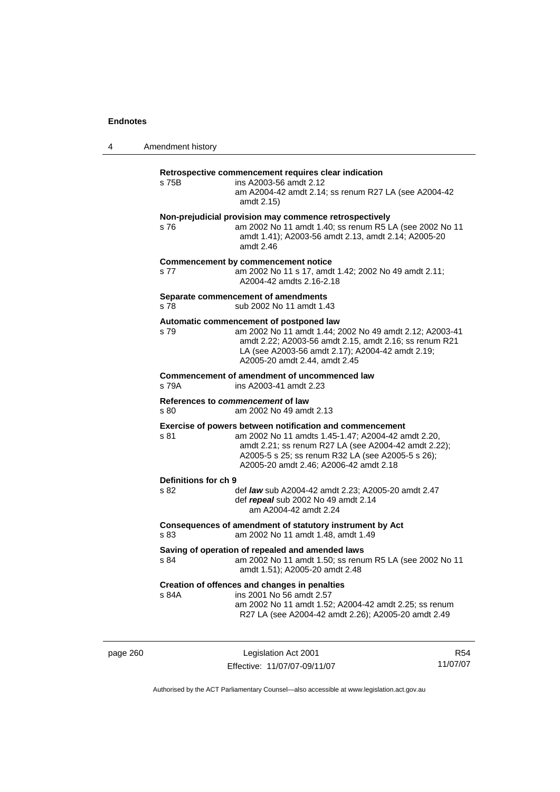| 4 | Amendment history |
|---|-------------------|
|   |                   |

# **Retrospective commencement requires clear indication**

| s 75B                        | <u>Redospective commencement requires clear indication</u><br>ins A2003-56 amdt 2.12<br>am A2004-42 amdt 2.14; ss renum R27 LA (see A2004-42<br>amdt 2.15)                                                                                                            |
|------------------------------|-----------------------------------------------------------------------------------------------------------------------------------------------------------------------------------------------------------------------------------------------------------------------|
| s 76                         | Non-prejudicial provision may commence retrospectively<br>am 2002 No 11 amdt 1.40; ss renum R5 LA (see 2002 No 11<br>amdt 1.41); A2003-56 amdt 2.13, amdt 2.14; A2005-20<br>amdt $2.46$                                                                               |
| s 77                         | <b>Commencement by commencement notice</b><br>am 2002 No 11 s 17, amdt 1.42; 2002 No 49 amdt 2.11;<br>A2004-42 amdts 2.16-2.18                                                                                                                                        |
| s 78                         | Separate commencement of amendments<br>sub 2002 No 11 amdt 1.43                                                                                                                                                                                                       |
| s 79                         | Automatic commencement of postponed law<br>am 2002 No 11 amdt 1.44; 2002 No 49 amdt 2.12; A2003-41<br>amdt 2.22; A2003-56 amdt 2.15, amdt 2.16; ss renum R21<br>LA (see A2003-56 amdt 2.17); A2004-42 amdt 2.19;<br>A2005-20 amdt 2.44, amdt 2.45                     |
| s 79A                        | Commencement of amendment of uncommenced law<br>ins A2003-41 amdt 2.23                                                                                                                                                                                                |
| s 80                         | References to commencement of law<br>am 2002 No 49 amdt 2.13                                                                                                                                                                                                          |
| s 81                         | Exercise of powers between notification and commencement<br>am 2002 No 11 amdts 1.45-1.47; A2004-42 amdt 2.20,<br>amdt 2.21; ss renum R27 LA (see A2004-42 amdt 2.22);<br>A2005-5 s 25; ss renum R32 LA (see A2005-5 s 26);<br>A2005-20 amdt 2.46; A2006-42 amdt 2.18 |
| Definitions for ch 9<br>s 82 | def law sub A2004-42 amdt 2.23; A2005-20 amdt 2.47<br>def repeal sub 2002 No 49 amdt 2.14<br>am A2004-42 amdt 2.24                                                                                                                                                    |
| s 83                         | Consequences of amendment of statutory instrument by Act<br>am 2002 No 11 amdt 1.48, amdt 1.49                                                                                                                                                                        |
| s 84                         | Saving of operation of repealed and amended laws<br>am 2002 No 11 amdt 1.50; ss renum R5 LA (see 2002 No 11<br>amdt 1.51); A2005-20 amdt 2.48                                                                                                                         |
| s 84A                        | Creation of offences and changes in penalties<br>ins 2001 No 56 amdt 2.57<br>am 2002 No 11 amdt 1.52; A2004-42 amdt 2.25; ss renum<br>R27 LA (see A2004-42 amdt 2.26); A2005-20 amdt 2.49                                                                             |

page 260 Legislation Act 2001 Effective: 11/07/07-09/11/07

R54 11/07/07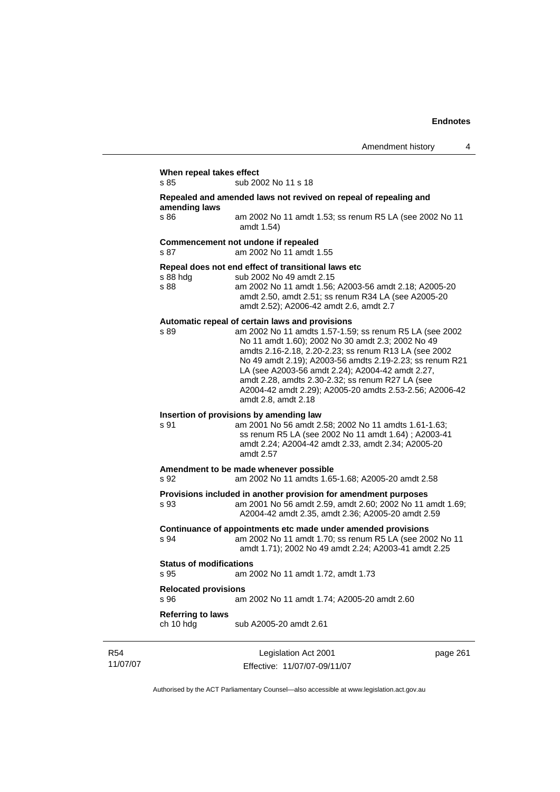| When repeal takes effect               |                                                                                                                                                                                                                                                                                                                                                                                                                                                                                |          |
|----------------------------------------|--------------------------------------------------------------------------------------------------------------------------------------------------------------------------------------------------------------------------------------------------------------------------------------------------------------------------------------------------------------------------------------------------------------------------------------------------------------------------------|----------|
| s 85                                   | sub 2002 No 11 s 18                                                                                                                                                                                                                                                                                                                                                                                                                                                            |          |
| amending laws                          | Repealed and amended laws not revived on repeal of repealing and                                                                                                                                                                                                                                                                                                                                                                                                               |          |
| s 86                                   | am 2002 No 11 amdt 1.53; ss renum R5 LA (see 2002 No 11<br>amdt 1.54)                                                                                                                                                                                                                                                                                                                                                                                                          |          |
| s 87                                   | Commencement not undone if repealed<br>am 2002 No 11 amdt 1.55                                                                                                                                                                                                                                                                                                                                                                                                                 |          |
| s 88 hdg<br>s 88                       | Repeal does not end effect of transitional laws etc<br>sub 2002 No 49 amdt 2.15<br>am 2002 No 11 amdt 1.56; A2003-56 amdt 2.18; A2005-20<br>amdt 2.50, amdt 2.51; ss renum R34 LA (see A2005-20<br>amdt 2.52); A2006-42 amdt 2.6, amdt 2.7                                                                                                                                                                                                                                     |          |
| s 89                                   | Automatic repeal of certain laws and provisions<br>am 2002 No 11 amdts 1.57-1.59; ss renum R5 LA (see 2002<br>No 11 amdt 1.60); 2002 No 30 amdt 2.3; 2002 No 49<br>amdts 2.16-2.18, 2.20-2.23; ss renum R13 LA (see 2002<br>No 49 amdt 2.19); A2003-56 amdts 2.19-2.23; ss renum R21<br>LA (see A2003-56 amdt 2.24); A2004-42 amdt 2.27,<br>amdt 2.28, amdts 2.30-2.32; ss renum R27 LA (see<br>A2004-42 amdt 2.29); A2005-20 amdts 2.53-2.56; A2006-42<br>amdt 2.8, amdt 2.18 |          |
| s 91                                   | Insertion of provisions by amending law<br>am 2001 No 56 amdt 2.58; 2002 No 11 amdts 1.61-1.63;<br>ss renum R5 LA (see 2002 No 11 amdt 1.64); A2003-41<br>amdt 2.24; A2004-42 amdt 2.33, amdt 2.34; A2005-20<br>amdt 2.57                                                                                                                                                                                                                                                      |          |
| s 92                                   | Amendment to be made whenever possible<br>am 2002 No 11 amdts 1.65-1.68; A2005-20 amdt 2.58                                                                                                                                                                                                                                                                                                                                                                                    |          |
| s 93                                   | Provisions included in another provision for amendment purposes<br>am 2001 No 56 amdt 2.59, amdt 2.60; 2002 No 11 amdt 1.69;<br>A2004-42 amdt 2.35, amdt 2.36; A2005-20 amdt 2.59                                                                                                                                                                                                                                                                                              |          |
| s 94                                   | Continuance of appointments etc made under amended provisions<br>am 2002 No 11 amdt 1.70; ss renum R5 LA (see 2002 No 11<br>amdt 1.71); 2002 No 49 amdt 2.24; A2003-41 amdt 2.25                                                                                                                                                                                                                                                                                               |          |
| <b>Status of modifications</b><br>s 95 | am 2002 No 11 amdt 1.72, amdt 1.73                                                                                                                                                                                                                                                                                                                                                                                                                                             |          |
| <b>Relocated provisions</b><br>s 96    | am 2002 No 11 amdt 1.74; A2005-20 amdt 2.60                                                                                                                                                                                                                                                                                                                                                                                                                                    |          |
| <b>Referring to laws</b><br>ch 10 hdg  | sub A2005-20 amdt 2.61                                                                                                                                                                                                                                                                                                                                                                                                                                                         |          |
|                                        | Legislation Act 2001                                                                                                                                                                                                                                                                                                                                                                                                                                                           | page 261 |

R54 11/07/07

Effective: 11/07/07-09/11/07

page 261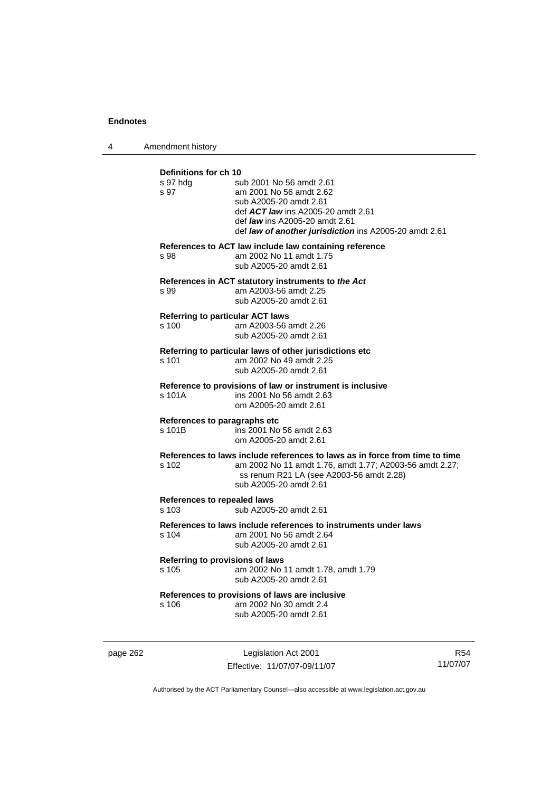4 Amendment history

| Definitions for ch 10<br>s 97 hda<br>s 97        | sub 2001 No 56 amdt 2.61<br>am 2001 No 56 amdt 2.62<br>sub A2005-20 amdt 2.61<br>def <b>ACT law</b> ins A2005-20 amdt 2.61<br>def <i>law</i> ins A2005-20 amdt 2.61<br>def law of another jurisdiction ins A2005-20 amdt 2.61 |
|--------------------------------------------------|-------------------------------------------------------------------------------------------------------------------------------------------------------------------------------------------------------------------------------|
| s 98                                             | References to ACT law include law containing reference<br>am 2002 No 11 amdt 1.75<br>sub A2005-20 amdt 2.61                                                                                                                   |
| s 99                                             | References in ACT statutory instruments to the Act<br>am A2003-56 amdt 2.25<br>sub A2005-20 amdt 2.61                                                                                                                         |
| <b>Referring to particular ACT laws</b><br>s 100 | am A2003-56 amdt 2.26<br>sub A2005-20 amdt 2.61                                                                                                                                                                               |
| s 101                                            | Referring to particular laws of other jurisdictions etc<br>am 2002 No 49 amdt 2.25<br>sub A2005-20 amdt 2.61                                                                                                                  |
| s 101A                                           | Reference to provisions of law or instrument is inclusive<br>ins 2001 No 56 amdt 2.63<br>om A2005-20 amdt 2.61                                                                                                                |
| References to paragraphs etc<br>s 101B           | ins 2001 No 56 amdt 2.63<br>om A2005-20 amdt 2.61                                                                                                                                                                             |
| s 102                                            | References to laws include references to laws as in force from time to time<br>am 2002 No 11 amdt 1.76, amdt 1.77; A2003-56 amdt 2.27;<br>ss renum R21 LA (see A2003-56 amdt 2.28)<br>sub A2005-20 amdt 2.61                  |
| <b>References to repealed laws</b><br>s 103      | sub A2005-20 amdt 2.61                                                                                                                                                                                                        |
| s 104                                            | References to laws include references to instruments under laws<br>am 2001 No 56 amdt 2.64<br>sub A2005-20 amdt 2.61                                                                                                          |
| Referring to provisions of laws<br>s 105         | am 2002 No 11 amdt 1.78, amdt 1.79<br>sub A2005-20 amdt 2.61                                                                                                                                                                  |
| s 106                                            | References to provisions of laws are inclusive<br>am 2002 No 30 amdt 2.4<br>sub A2005-20 amdt 2.61                                                                                                                            |

page 262 Legislation Act 2001 Effective: 11/07/07-09/11/07

R54 11/07/07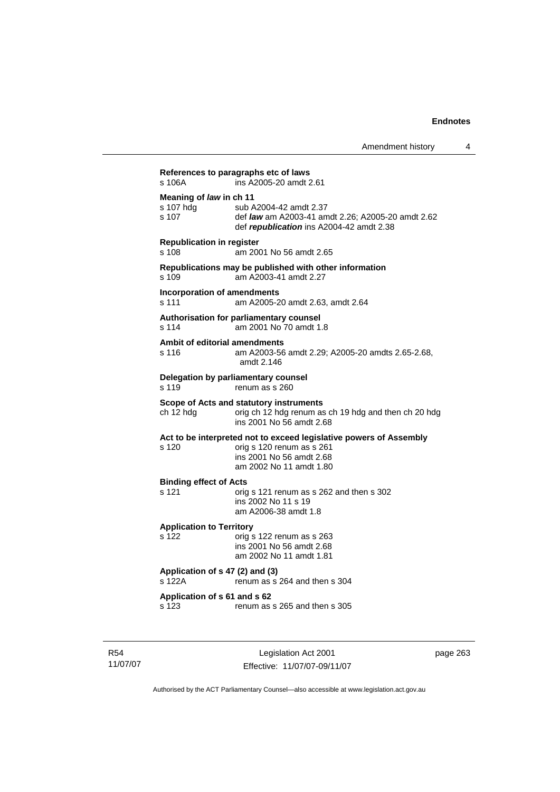|                                               | Amendment history                                                                                                                                      |
|-----------------------------------------------|--------------------------------------------------------------------------------------------------------------------------------------------------------|
| s 106A                                        | References to paragraphs etc of laws<br>ins A2005-20 amdt 2.61                                                                                         |
| Meaning of law in ch 11<br>s 107 hdg<br>s 107 | sub A2004-42 amdt 2.37<br>def law am A2003-41 amdt 2.26; A2005-20 amdt 2.62<br>def republication ins A2004-42 amdt 2.38                                |
| <b>Republication in register</b><br>s 108     | am 2001 No 56 amdt 2.65                                                                                                                                |
| s 109                                         | Republications may be published with other information<br>am A2003-41 amdt 2.27                                                                        |
| s 111                                         | Incorporation of amendments<br>am A2005-20 amdt 2.63, amdt 2.64                                                                                        |
| s 114                                         | Authorisation for parliamentary counsel<br>am 2001 No 70 amdt 1.8                                                                                      |
| s 116                                         | Ambit of editorial amendments<br>am A2003-56 amdt 2.29; A2005-20 amdts 2.65-2.68,<br>amdt 2.146                                                        |
| s 119                                         | Delegation by parliamentary counsel<br>renum as s 260                                                                                                  |
| ch 12 hdg                                     | Scope of Acts and statutory instruments<br>orig ch 12 hdg renum as ch 19 hdg and then ch 20 hdg<br>ins 2001 No 56 amdt 2.68                            |
| s 120                                         | Act to be interpreted not to exceed legislative powers of Assembly<br>orig s 120 renum as s 261<br>ins 2001 No 56 amdt 2.68<br>am 2002 No 11 amdt 1.80 |
| <b>Binding effect of Acts</b><br>s 121        | orig s 121 renum as s 262 and then s 302<br>ins 2002 No 11 s 19<br>am A2006-38 amdt 1.8                                                                |
| <b>Application to Territory</b><br>s 122      | orig s 122 renum as s 263<br>ins 2001 No 56 amdt 2.68<br>am 2002 No 11 amdt 1.81                                                                       |
| s 122A                                        | Application of s 47 (2) and (3)<br>renum as s 264 and then s 304                                                                                       |
| Application of s 61 and s 62<br>s 123         | renum as s 265 and then s 305                                                                                                                          |

R54 11/07/07

Legislation Act 2001 Effective: 11/07/07-09/11/07 page 263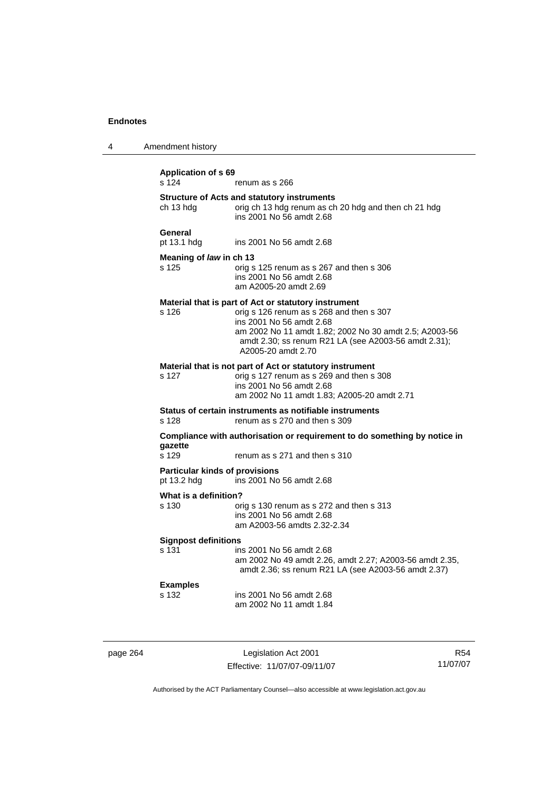| 4 | Amendment history                                    |                                                                                                                                                                                                                                                                      |
|---|------------------------------------------------------|----------------------------------------------------------------------------------------------------------------------------------------------------------------------------------------------------------------------------------------------------------------------|
|   | <b>Application of s 69</b><br>s 124                  | renum as s 266                                                                                                                                                                                                                                                       |
|   | ch 13 hdg                                            | <b>Structure of Acts and statutory instruments</b><br>orig ch 13 hdg renum as ch 20 hdg and then ch 21 hdg<br>ins 2001 No 56 amdt 2.68                                                                                                                               |
|   | General<br>pt 13.1 hdg                               | ins 2001 No 56 amdt 2.68                                                                                                                                                                                                                                             |
|   | Meaning of law in ch 13<br>s 125                     | orig s 125 renum as s 267 and then s 306<br>ins 2001 No 56 amdt 2.68<br>am A2005-20 amdt 2.69                                                                                                                                                                        |
|   | s 126                                                | Material that is part of Act or statutory instrument<br>orig s 126 renum as s 268 and then s 307<br>ins 2001 No 56 amdt 2.68<br>am 2002 No 11 amdt 1.82; 2002 No 30 amdt 2.5; A2003-56<br>amdt 2.30; ss renum R21 LA (see A2003-56 amdt 2.31);<br>A2005-20 amdt 2.70 |
|   | s 127                                                | Material that is not part of Act or statutory instrument<br>orig s 127 renum as s 269 and then s 308<br>ins 2001 No 56 amdt 2.68<br>am 2002 No 11 amdt 1.83; A2005-20 amdt 2.71                                                                                      |
|   | s 128                                                | Status of certain instruments as notifiable instruments<br>renum as s 270 and then s 309                                                                                                                                                                             |
|   | qazette<br>s 129                                     | Compliance with authorisation or requirement to do something by notice in<br>renum as s 271 and then s 310                                                                                                                                                           |
|   | <b>Particular kinds of provisions</b><br>pt 13.2 hdg | ins 2001 No 56 amdt 2.68                                                                                                                                                                                                                                             |
|   | What is a definition?<br>s 130                       | orig s 130 renum as s 272 and then s 313<br>ins 2001 No 56 amdt 2.68<br>am A2003-56 amdts 2.32-2.34                                                                                                                                                                  |
|   | <b>Signpost definitions</b><br>s 131                 | ins 2001 No 56 amdt 2.68<br>am 2002 No 49 amdt 2.26, amdt 2.27; A2003-56 amdt 2.35,<br>amdt 2.36; ss renum R21 LA (see A2003-56 amdt 2.37)                                                                                                                           |
|   | <b>Examples</b><br>s 132                             | ins 2001 No 56 amdt 2.68<br>am 2002 No 11 amdt 1.84                                                                                                                                                                                                                  |
|   |                                                      |                                                                                                                                                                                                                                                                      |

page 264 Legislation Act 2001 Effective: 11/07/07-09/11/07

R54 11/07/07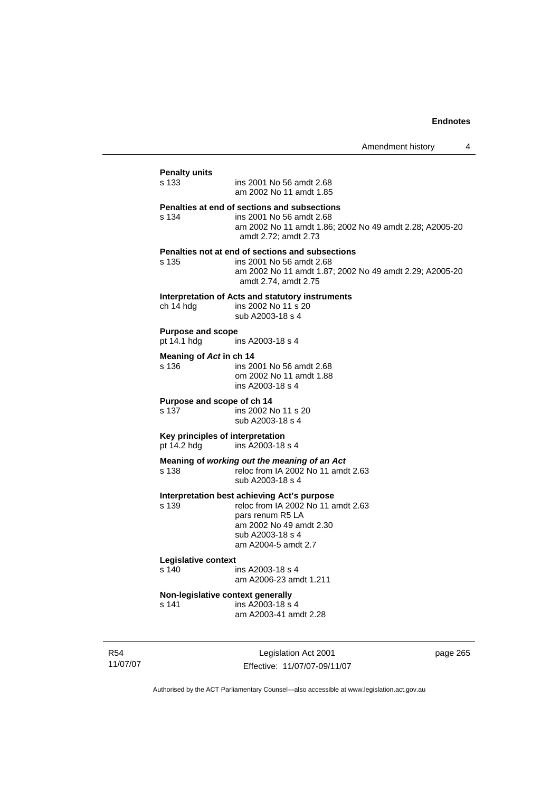# **Penalty units**  ins 2001 No 56 amdt 2.68 am 2002 No 11 amdt 1.85 **Penalties at end of sections and subsections**  s 134 ins 2001 No 56 amdt 2.68 am 2002 No 11 amdt 1.86; 2002 No 49 amdt 2.28; A2005-20 amdt 2.72; amdt 2.73 **Penalties not at end of sections and subsections**  ins 2001 No 56 amdt 2.68 am 2002 No 11 amdt 1.87; 2002 No 49 amdt 2.29; A2005-20 amdt 2.74, amdt 2.75 **Interpretation of Acts and statutory instruments**<br>
ch 14 hdg ins 2002 No 11 s 20 ins 2002 No 11 s 20 sub A2003-18 s 4 **Purpose and scope**  pt 14.1 hdg ins A2003-18 s 4 **Meaning of** *Act* **in ch 14**  s 136 ins 2001 No 56 amdt 2.68 om 2002 No 11 amdt 1.88 ins A2003-18 s 4 **Purpose and scope of ch 14**  s 137 ins 2002 No 11 s 20 sub A2003-18 s 4 **Key principles of interpretation**  pt 14.2 hdg ins A2003-18 s 4 **Meaning of** *working out the meaning of an Act* s 138 reloc from IA 2002 No 11 amdt 2.63 sub A2003-18 s 4 **Interpretation best achieving Act's purpose**  s 139 reloc from IA 2002 No 11 amdt 2.63 pars renum R5 LA am 2002 No 49 amdt 2.30 sub A2003-18 s 4 am A2004-5 amdt 2.7 **Legislative context**  s 140 ins A2003-18 s 4 am A2006-23 amdt 1.211 **Non-legislative context generally**  s 141 ins A2003-18 s 4 am A2003-41 amdt 2.28

R54 11/07/07

Legislation Act 2001 Effective: 11/07/07-09/11/07 page 265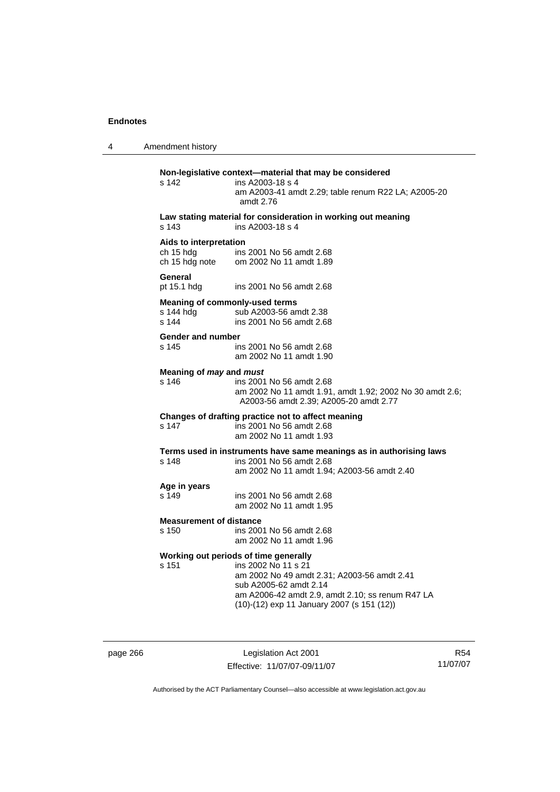4 Amendment history

# **Non-legislative context—material that may be considered**  s 142 ins A2003-18 s 4 am A2003-41 amdt 2.29; table renum R22 LA; A2005-20 amdt 2.76 **Law stating material for consideration in working out meaning**  s 143 ins A2003-18 s 4 **Aids to interpretation**  ch 15 hdg ins 2001 No 56 amdt 2.68<br>ch 15 hdg note om 2002 No 11 amdt 1.89 om 2002 No 11 amdt 1.89 **General**  pt 15.1 hdg ins 2001 No 56 amdt 2.68 **Meaning of commonly-used terms**  s 144 hdg sub A2003-56 amdt 2.38 s 144 ins 2001 No 56 amdt 2.68 **Gender and number**  s 145 ins 2001 No 56 amdt 2.68 am 2002 No 11 amdt 1.90 **Meaning of** *may* **and** *must* s 146 ins 2001 No 56 amdt 2.68 am 2002 No 11 amdt 1.91, amdt 1.92; 2002 No 30 amdt 2.6; A2003-56 amdt 2.39; A2005-20 amdt 2.77 **Changes of drafting practice not to affect meaning**  ins 2001 No 56 amdt 2.68 am 2002 No 11 amdt 1.93 **Terms used in instruments have same meanings as in authorising laws**  s 148 ins 2001 No 56 amdt 2.68 am 2002 No 11 amdt 1.94; A2003-56 amdt 2.40 **Age in years**  s 149 ins 2001 No 56 amdt 2.68 am 2002 No 11 amdt 1.95 **Measurement of distance**<br>s 150 ins 200 ins 2001 No 56 amdt 2.68 am 2002 No 11 amdt 1.96 **Working out periods of time generally**  s 151 ins 2002 No 11 s 21 am 2002 No 49 amdt 2.31; A2003-56 amdt 2.41 sub A2005-62 amdt 2.14 am A2006-42 amdt 2.9, amdt 2.10; ss renum R47 LA (10)-(12) exp 11 January 2007 (s 151 (12))

page 266 Legislation Act 2001 Effective: 11/07/07-09/11/07

R54 11/07/07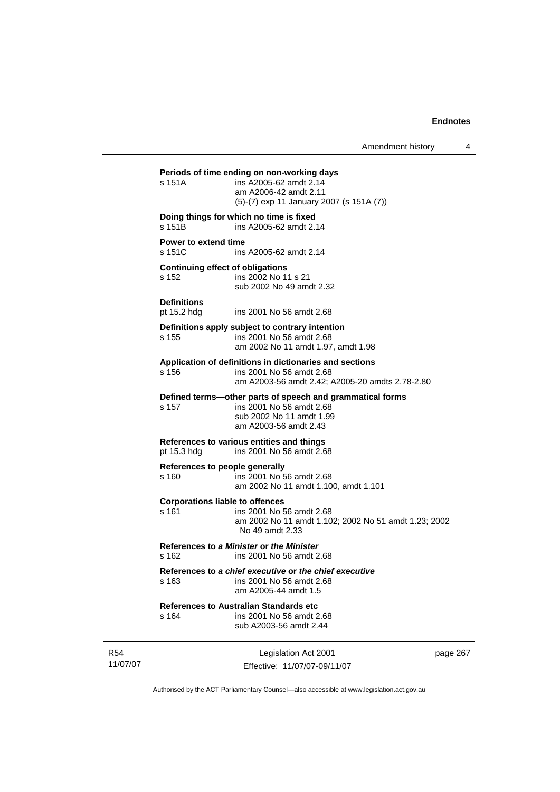| Amendment history |  |
|-------------------|--|
|-------------------|--|

**Periods of time ending on non-working days**  s 151A ins A2005-62 amdt 2.14 am A2006-42 amdt 2.11 (5)-(7) exp 11 January 2007 (s 151A (7)) **Doing things for which no time is fixed**  s 151B ins A2005-62 amdt 2.14 **Power to extend time**  s 151C ins A2005-62 amdt 2.14 **Continuing effect of obligations**  s 152 ins 2002 No 11 s 21 sub 2002 No 49 amdt 2.32 **Definitions**  pt 15.2 hdg ins 2001 No 56 amdt 2.68 **Definitions apply subject to contrary intention**  s 155 ins 2001 No 56 amdt 2.68 am 2002 No 11 amdt 1.97, amdt 1.98 **Application of definitions in dictionaries and sections**  s 156 ins 2001 No 56 amdt 2.68 am A2003-56 amdt 2.42; A2005-20 amdts 2.78-2.80 **Defined terms—other parts of speech and grammatical forms**  ins 2001 No 56 amdt 2.68 sub 2002 No 11 amdt 1.99 am A2003-56 amdt 2.43 **References to various entities and things**  pt 15.3 hdg ins 2001 No 56 amdt 2.68 **References to people generally**  s 160 ins 2001 No 56 amdt 2.68 am 2002 No 11 amdt 1.100, amdt 1.101 **Corporations liable to offences**  s 161 ins 2001 No 56 amdt 2.68 am 2002 No 11 amdt 1.102; 2002 No 51 amdt 1.23; 2002 No 49 amdt 2.33 **References to** *a Minister* **or** *the Minister* s 162 ins 2001 No 56 amdt 2.68 **References to** *a chief executive* **or** *the chief executive* s 163 ins 2001 No 56 amdt 2.68 am A2005-44 amdt 1.5 **References to Australian Standards etc**  s 164 ins 2001 No 56 amdt 2.68 sub A2003-56 amdt 2.44

R54 11/07/07

Legislation Act 2001 Effective: 11/07/07-09/11/07 page 267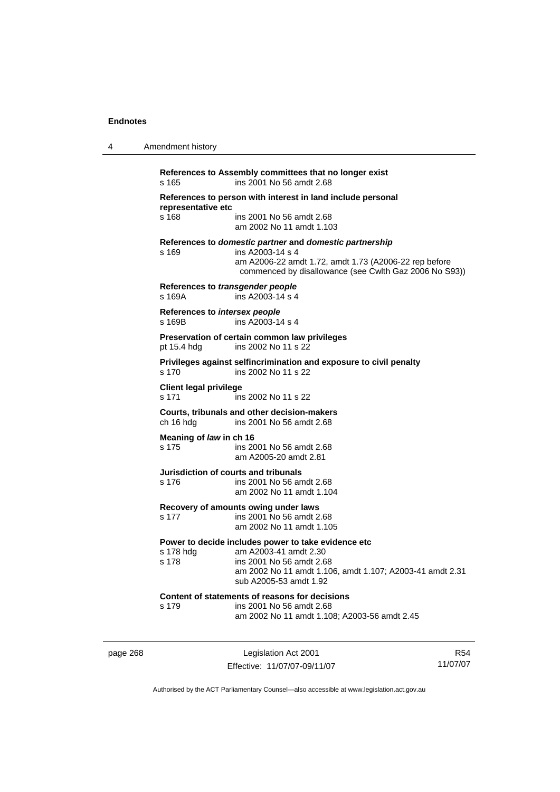4 Amendment history

| s 165                                   | References to Assembly committees that no longer exist<br>ins 2001 No 56 amdt 2.68                                                                                                             |
|-----------------------------------------|------------------------------------------------------------------------------------------------------------------------------------------------------------------------------------------------|
| representative etc                      | References to person with interest in land include personal                                                                                                                                    |
| s 168                                   | ins 2001 No 56 amdt 2.68<br>am 2002 No 11 amdt 1.103                                                                                                                                           |
| s 169                                   | References to domestic partner and domestic partnership<br>ins A2003-14 s 4<br>am A2006-22 amdt 1.72, amdt 1.73 (A2006-22 rep before<br>commenced by disallowance (see Cwlth Gaz 2006 No S93)) |
| s 169A                                  | References to transgender people<br>ins A2003-14 s 4                                                                                                                                           |
| References to intersex people<br>s 169B | ins A2003-14 s 4                                                                                                                                                                               |
| pt 15.4 hdg                             | Preservation of certain common law privileges<br>ins 2002 No 11 s 22                                                                                                                           |
| s 170                                   | Privileges against selfincrimination and exposure to civil penalty<br>ins 2002 No 11 s 22                                                                                                      |
| <b>Client legal privilege</b><br>s 171  | ins 2002 No 11 s 22                                                                                                                                                                            |
| ch 16 hdg                               | Courts, tribunals and other decision-makers<br>ins 2001 No 56 amdt 2.68                                                                                                                        |
| Meaning of law in ch 16<br>s 175        | ins 2001 No 56 amdt 2.68<br>am A2005-20 amdt 2.81                                                                                                                                              |
| s 176                                   | Jurisdiction of courts and tribunals<br>ins 2001 No 56 amdt 2.68<br>am 2002 No 11 amdt 1.104                                                                                                   |
| s 177                                   | Recovery of amounts owing under laws<br>ins 2001 No 56 amdt 2.68<br>am 2002 No 11 amdt 1.105                                                                                                   |
| s 178 hdg<br>s 178                      | Power to decide includes power to take evidence etc<br>am A2003-41 amdt 2.30<br>ins 2001 No 56 amdt 2.68<br>am 2002 No 11 amdt 1.106, amdt 1.107; A2003-41 amdt 2.31<br>sub A2005-53 amdt 1.92 |
| s 179                                   | Content of statements of reasons for decisions<br>ins 2001 No 56 amdt 2.68<br>am 2002 No 11 amdt 1.108; A2003-56 amdt 2.45                                                                     |

page 268 Legislation Act 2001 Effective: 11/07/07-09/11/07

R54 11/07/07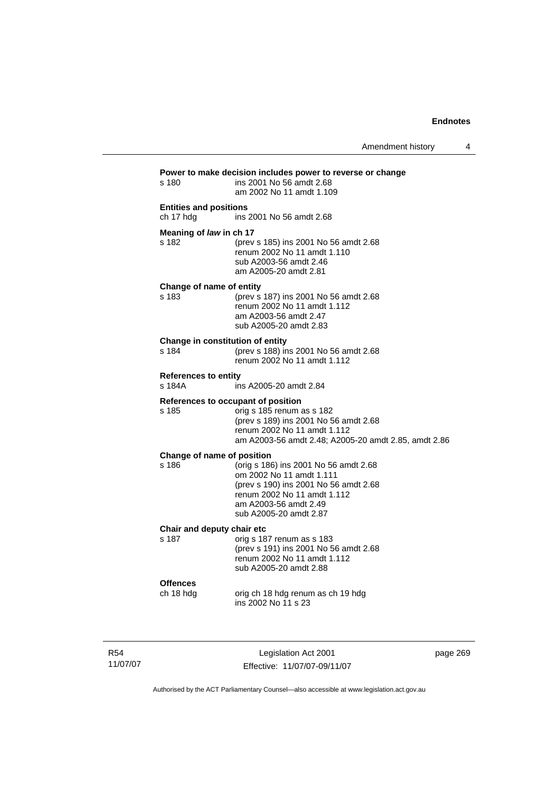| s 180                                      | Power to make decision includes power to reverse or change<br>ins 2001 No 56 amdt 2.68<br>am 2002 No 11 amdt 1.109                                                                              |
|--------------------------------------------|-------------------------------------------------------------------------------------------------------------------------------------------------------------------------------------------------|
| <b>Entities and positions</b><br>ch 17 hdg | ins 2001 No 56 amdt 2.68                                                                                                                                                                        |
| Meaning of law in ch 17<br>s 182           | (prev s 185) ins 2001 No 56 amdt 2.68<br>renum 2002 No 11 amdt 1.110<br>sub A2003-56 amdt 2.46<br>am A2005-20 amdt 2.81                                                                         |
| Change of name of entity<br>s 183          | (prev s 187) ins 2001 No 56 amdt 2.68<br>renum 2002 No 11 amdt 1.112<br>am A2003-56 amdt 2.47<br>sub A2005-20 amdt 2.83                                                                         |
| Change in constitution of entity<br>s 184  | (prev s 188) ins 2001 No 56 amdt 2.68<br>renum 2002 No 11 amdt 1.112                                                                                                                            |
| <b>References to entity</b><br>s 184A      | ins A2005-20 amdt 2.84                                                                                                                                                                          |
| s 185                                      | References to occupant of position<br>orig s 185 renum as s 182<br>(prev s 189) ins 2001 No 56 amdt 2.68<br>renum 2002 No 11 amdt 1.112<br>am A2003-56 amdt 2.48; A2005-20 amdt 2.85, amdt 2.86 |
| Change of name of position<br>s 186        | (orig s 186) ins 2001 No 56 amdt 2.68<br>om 2002 No 11 amdt 1.111<br>(prev s 190) ins 2001 No 56 amdt 2.68<br>renum 2002 No 11 amdt 1.112<br>am A2003-56 amdt 2.49<br>sub A2005-20 amdt 2.87    |
| Chair and deputy chair etc<br>s 187        | orig s 187 renum as s 183<br>(prev s 191) ins 2001 No 56 amdt 2.68<br>renum 2002 No 11 amdt 1.112<br>sub A2005-20 amdt 2.88                                                                     |
| <b>Offences</b><br>ch 18 hdg               | orig ch 18 hdg renum as ch 19 hdg<br>ins 2002 No 11 s 23                                                                                                                                        |

R54 11/07/07

Legislation Act 2001 Effective: 11/07/07-09/11/07 page 269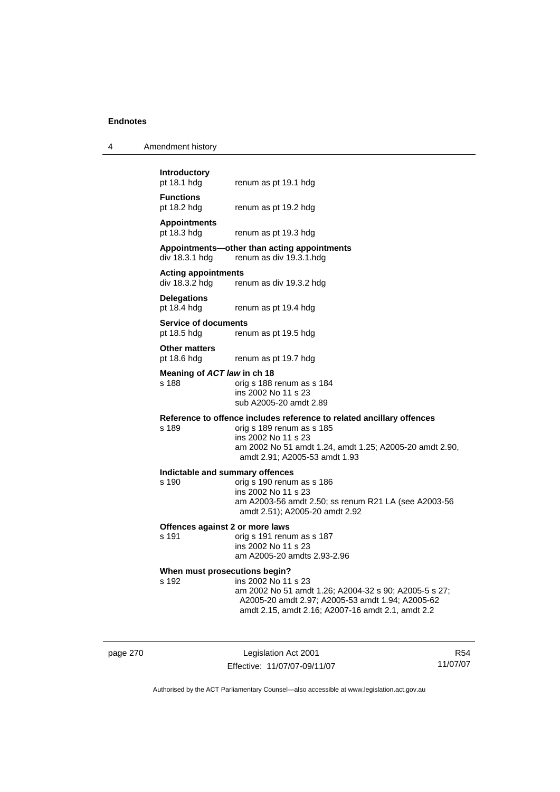| 4 | Amendment history |  |
|---|-------------------|--|
|---|-------------------|--|

**Introductory** 

**Functions**  pt 18.2 hdg renum as pt 19.2 hdg

**Appointments** 

renum as pt 19.3 hdg

#### **Appointments—other than acting appointments**  div 18.3.1 hdg renum as div 19.3.1.hdg

renum as pt 19.1 hdg

**Acting appointments** 

renum as div 19.3.2 hdg

**Delegations**  pt 18.4 hdg renum as pt 19.4 hdg

**Service of documents**  pt 18.5 hdg renum as pt 19.5 hdg

**Other matters** 

pt 18.6 hdg renum as pt 19.7 hdg

**Meaning of** *ACT law* **in ch 18** 

s 188 orig s 188 renum as s 184 ins 2002 No 11 s 23 sub A2005-20 amdt 2.89

# **Reference to offence includes reference to related ancillary offences**

orig s 189 renum as s 185 ins 2002 No 11 s 23 am 2002 No 51 amdt 1.24, amdt 1.25; A2005-20 amdt 2.90, amdt 2.91; A2005-53 amdt 1.93

#### **Indictable and summary offences**

s 190 orig s 190 renum as s 186 ins 2002 No 11 s 23 am A2003-56 amdt 2.50; ss renum R21 LA (see A2003-56 amdt 2.51); A2005-20 amdt 2.92

#### **Offences against 2 or more laws**

s 191 orig s 191 renum as s 187 ins 2002 No 11 s 23 am A2005-20 amdts 2.93-2.96

# **When must prosecutions begin?**<br>s 192 **ins 2002** No 11

ins 2002 No 11 s 23 am 2002 No 51 amdt 1.26; A2004-32 s 90; A2005-5 s 27; A2005-20 amdt 2.97; A2005-53 amdt 1.94; A2005-62 amdt 2.15, amdt 2.16; A2007-16 amdt 2.1, amdt 2.2

page 270 Legislation Act 2001 Effective: 11/07/07-09/11/07

R54 11/07/07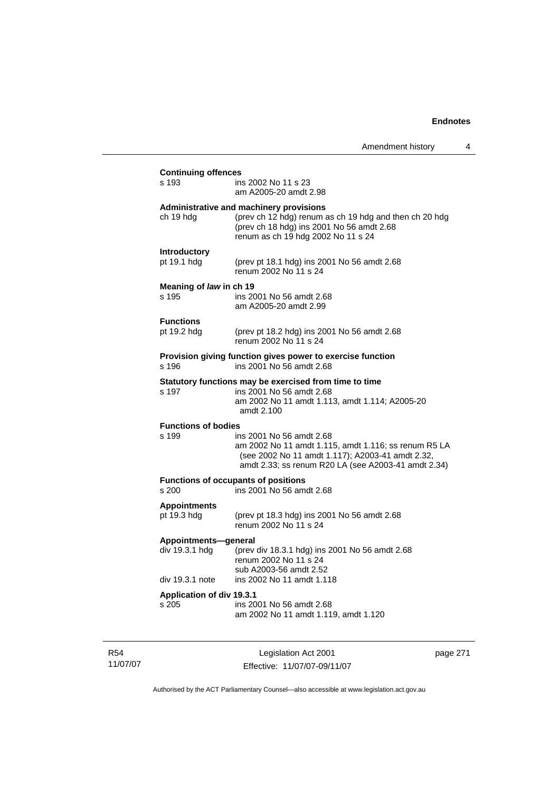| <b>Continuing offences</b>                                |                                                                                                                                                                                             |
|-----------------------------------------------------------|---------------------------------------------------------------------------------------------------------------------------------------------------------------------------------------------|
| s 193                                                     | ins 2002 No 11 s 23<br>am A2005-20 amdt 2.98                                                                                                                                                |
| ch 19 hdg                                                 | Administrative and machinery provisions<br>(prev ch 12 hdg) renum as ch 19 hdg and then ch 20 hdg<br>(prev ch 18 hdg) ins 2001 No 56 amdt 2.68<br>renum as ch 19 hdg 2002 No 11 s 24        |
| Introductory<br>pt 19.1 hdg                               | (prev pt 18.1 hdg) ins 2001 No 56 amdt 2.68<br>renum 2002 No 11 s 24                                                                                                                        |
| Meaning of law in ch 19<br>s 195                          | ins 2001 No 56 amdt 2.68<br>am A2005-20 amdt 2.99                                                                                                                                           |
| <b>Functions</b><br>pt 19.2 hdg                           | (prev pt 18.2 hdg) ins 2001 No 56 amdt 2.68<br>renum 2002 No 11 s 24                                                                                                                        |
| s 196                                                     | Provision giving function gives power to exercise function<br>ins 2001 No 56 amdt 2.68                                                                                                      |
| s 197                                                     | Statutory functions may be exercised from time to time<br>ins 2001 No 56 amdt 2.68<br>am 2002 No 11 amdt 1.113, amdt 1.114; A2005-20<br>amdt 2.100                                          |
| <b>Functions of bodies</b><br>s 199                       | ins 2001 No 56 amdt 2.68<br>am 2002 No 11 amdt 1.115, amdt 1.116; ss renum R5 LA<br>(see 2002 No 11 amdt 1.117); A2003-41 amdt 2.32,<br>amdt 2.33; ss renum R20 LA (see A2003-41 amdt 2.34) |
| s 200                                                     | <b>Functions of occupants of positions</b><br>ins 2001 No 56 amdt 2.68                                                                                                                      |
| <b>Appointments</b><br>pt 19.3 hdg                        | (prev pt 18.3 hdg) ins 2001 No 56 amdt 2.68<br>renum 2002 No 11 s 24                                                                                                                        |
| Appointments-general<br>div 19.3.1 hdg<br>div 19.3.1 note | (prev div 18.3.1 hdg) ins 2001 No 56 amdt 2.68<br>renum 2002 No 11 s 24<br>sub A2003-56 amdt 2.52<br>ins 2002 No 11 amdt 1.118                                                              |
| <b>Application of div 19.3.1</b><br>s 205                 | ins 2001 No 56 amdt 2.68<br>am 2002 No 11 amdt 1.119, amdt 1.120                                                                                                                            |

R54 11/07/07

Legislation Act 2001 Effective: 11/07/07-09/11/07 page 271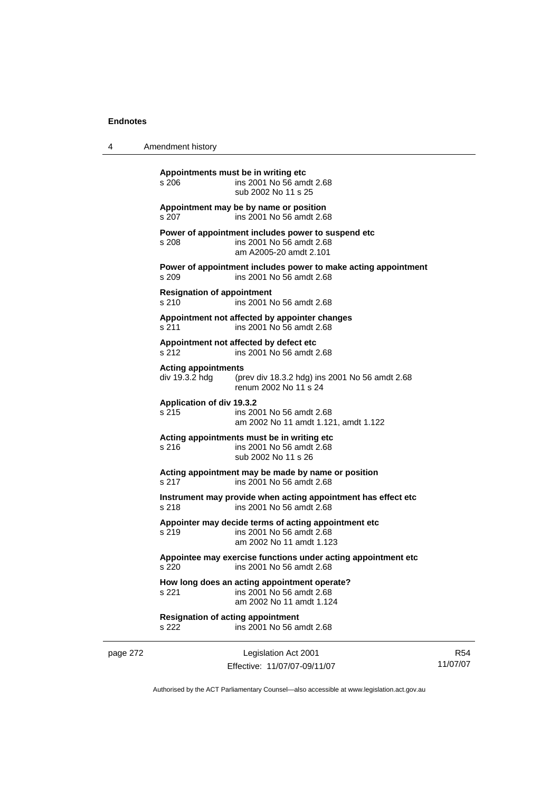| 4 | Amendment history |
|---|-------------------|
|---|-------------------|

page 272 Legislation Act 2001 **Appointments must be in writing etc**  s 206 ins 2001 No 56 amdt 2.68 sub 2002 No 11 s 25 **Appointment may be by name or position**  s 207 ins 2001 No 56 amdt 2.68 **Power of appointment includes power to suspend etc**  s 208 ins 2001 No 56 amdt 2.68 am A2005-20 amdt 2.101 **Power of appointment includes power to make acting appointment**  s 209 ins 2001 No 56 amdt 2.68 **Resignation of appointment**  s 210 ins 2001 No 56 amdt 2.68 **Appointment not affected by appointer changes**  s 211 ins 2001 No 56 amdt 2.68 **Appointment not affected by defect etc**  s 212 ins 2001 No 56 amdt 2.68 **Acting appointments**  (prev div 18.3.2 hdg) ins 2001 No 56 amdt 2.68 renum 2002 No 11 s 24 **Application of div 19.3.2**  ins 2001 No 56 amdt 2.68 am 2002 No 11 amdt 1.121, amdt 1.122 **Acting appointments must be in writing etc**  s 216 ins 2001 No 56 amdt 2.68 sub 2002 No 11 s 26 **Acting appointment may be made by name or position**  s 217 ins 2001 No 56 amdt 2.68 **Instrument may provide when acting appointment has effect etc**  s 218 ins 2001 No 56 amdt 2.68 **Appointer may decide terms of acting appointment etc**  s 219 ins 2001 No 56 amdt 2.68 am 2002 No 11 amdt 1.123 **Appointee may exercise functions under acting appointment etc**  s 220 ins 2001 No 56 amdt 2.68 **How long does an acting appointment operate?**  s 221 ins 2001 No 56 amdt 2.68 am 2002 No 11 amdt 1.124 **Resignation of acting appointment**  s 222 ins 2001 No 56 amdt 2.68

Effective: 11/07/07-09/11/07

R54 11/07/07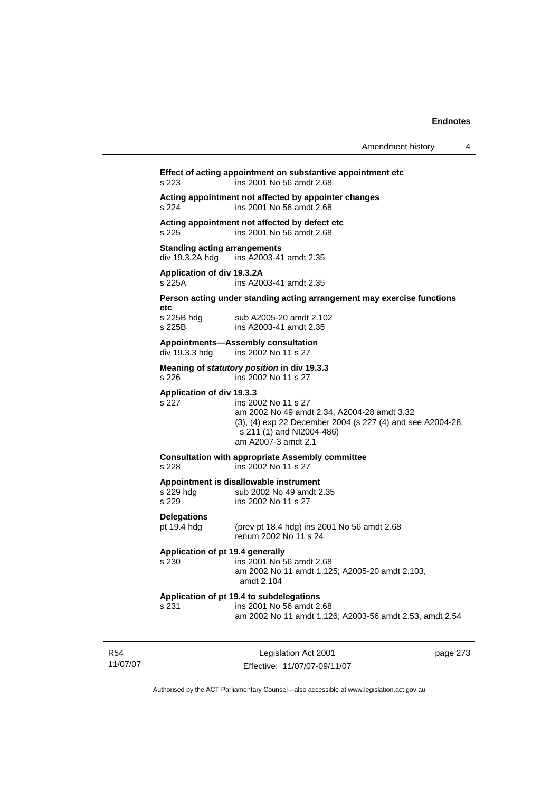### **Effect of acting appointment on substantive appointment etc**  s 223 ins 2001 No 56 amdt 2.68 **Acting appointment not affected by appointer changes**  s 224 ins 2001 No 56 amdt 2.68

# **Acting appointment not affected by defect etc**

s 225 ins 2001 No 56 amdt 2.68

#### **Standing acting arrangements**

div 19.3.2A hdg ins A2003-41 amdt 2.35

# **Application of div 19.3.2A**

ins A2003-41 amdt 2.35

### **Person acting under standing acting arrangement may exercise functions**

**etc**  s 225B

| s 225B hdg | sub A2005-20 amdt 2.102 |
|------------|-------------------------|
| s 225B     | ins A2003-41 amdt 2.35  |

#### **Appointments—Assembly consultation**

div 19.3.3 hdg ins 2002 No 11 s 27

#### **Meaning of** *statutory position* **in div 19.3.3**  s 226 ins 2002 No 11 s 27

### **Application of div 19.3.3**

s 227 ins 2002 No 11 s 27 am 2002 No 49 amdt 2.34; A2004-28 amdt 3.32 (3), (4) exp 22 December 2004 (s 227 (4) and see A2004-28, s 211 (1) and NI2004-486) am A2007-3 amdt 2.1

### **Consultation with appropriate Assembly committee**

s 228 ins 2002 No 11 s 27

#### **Appointment is disallowable instrument**

| s 229 hdg | sub 2002 No 49 amdt 2.35 |
|-----------|--------------------------|
| s 229     | ins 2002 No 11 s 27      |

#### **Delegations**

#### pt 19.4 hdg (prev pt 18.4 hdg) ins 2001 No 56 amdt 2.68 renum 2002 No 11 s 24

### **Application of pt 19.4 generally**

s 230 ins 2001 No 56 amdt 2.68 am 2002 No 11 amdt 1.125; A2005-20 amdt 2.103, amdt 2.104

#### **Application of pt 19.4 to subdelegations**

| s 231 | ins 2001 No 56 amdt 2.68                                |
|-------|---------------------------------------------------------|
|       | am 2002 No 11 amdt 1.126; A2003-56 amdt 2.53, amdt 2.54 |

R54 11/07/07

Legislation Act 2001 Effective: 11/07/07-09/11/07 page 273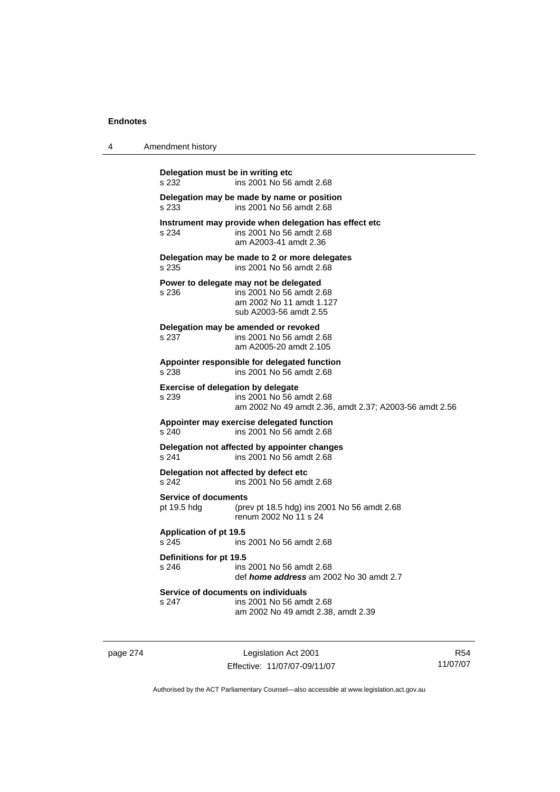| 4 | Amendment history                                                                                                                 |
|---|-----------------------------------------------------------------------------------------------------------------------------------|
|   | Delegation must be in writing etc<br>ins 2001 No 56 amdt 2.68<br>s 232                                                            |
|   | Delegation may be made by name or position<br>ins 2001 No 56 amdt 2.68<br>s 233                                                   |
|   | Instrument may provide when delegation has effect etc<br>ins 2001 No 56 amdt 2.68<br>s 234<br>am A2003-41 amdt 2.36               |
|   | Delegation may be made to 2 or more delegates<br>ins 2001 No 56 amdt 2.68<br>s 235                                                |
|   | Power to delegate may not be delegated<br>ins 2001 No 56 amdt 2.68<br>s 236<br>am 2002 No 11 amdt 1.127<br>sub A2003-56 amdt 2.55 |
|   | Delegation may be amended or revoked<br>s 237<br>ins 2001 No 56 amdt 2.68<br>am A2005-20 amdt 2.105                               |
|   | Appointer responsible for delegated function<br>ins 2001 No 56 amdt 2.68<br>s 238                                                 |
|   | Exercise of delegation by delegate<br>s 239<br>ins 2001 No 56 amdt 2.68<br>am 2002 No 49 amdt 2.36, amdt 2.37; A2003-56 amdt 2.56 |
|   | Appointer may exercise delegated function<br>s 240<br>ins 2001 No 56 amdt 2.68                                                    |
|   | Delegation not affected by appointer changes<br>s 241<br>ins 2001 No 56 amdt 2.68                                                 |
|   | Delegation not affected by defect etc<br>ins 2001 No 56 amdt 2.68<br>s 242                                                        |
|   | <b>Service of documents</b><br>pt 19.5 hdg<br>(prev pt 18.5 hdg) ins 2001 No 56 amdt 2.68<br>renum 2002 No 11 s 24                |
|   | Application of pt 19.5<br>s 245<br>ins 2001 No 56 amdt 2.68                                                                       |
|   | Definitions for pt 19.5<br>s 246<br>ins 2001 No 56 amdt 2.68<br>def <i>home address</i> am 2002 No 30 amdt 2.7                    |
|   | Service of documents on individuals<br>s 247<br>ins 2001 No 56 amdt 2.68<br>am 2002 No 49 amdt 2.38, amdt 2.39                    |

page 274 Legislation Act 2001 Effective: 11/07/07-09/11/07

R54 11/07/07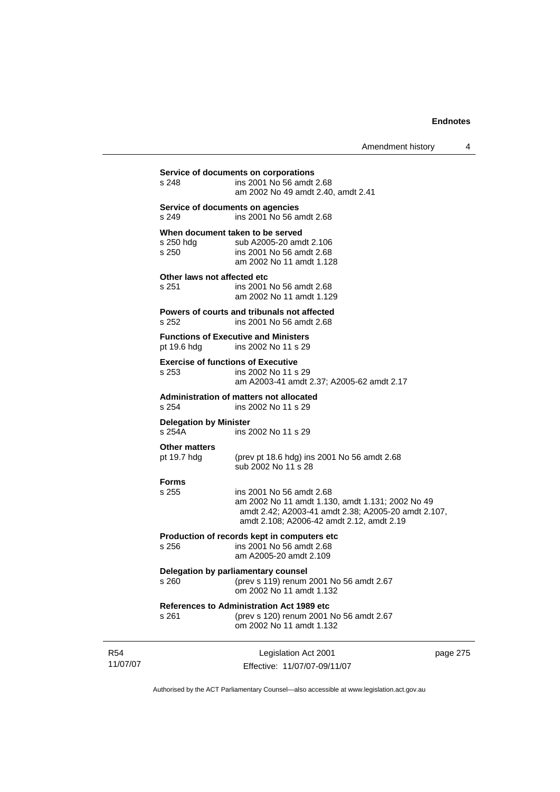| Amendment history |  |
|-------------------|--|
|-------------------|--|

|                        | s 248                                                                   | Service of documents on corporations<br>ins 2001 No 56 amdt 2.68<br>am 2002 No 49 amdt 2.40, amdt 2.41                                                                           |          |
|------------------------|-------------------------------------------------------------------------|----------------------------------------------------------------------------------------------------------------------------------------------------------------------------------|----------|
|                        | s 249                                                                   | Service of documents on agencies<br>ins 2001 No 56 amdt 2.68                                                                                                                     |          |
|                        | s 250 hdg<br>s 250                                                      | When document taken to be served<br>sub A2005-20 amdt 2.106<br>ins 2001 No 56 amdt 2.68<br>am 2002 No 11 amdt 1.128                                                              |          |
|                        | Other laws not affected etc<br>s 251                                    | ins 2001 No 56 amdt 2.68<br>am 2002 No 11 amdt 1.129                                                                                                                             |          |
|                        | s 252                                                                   | Powers of courts and tribunals not affected<br>ins 2001 No 56 amdt 2.68                                                                                                          |          |
|                        | pt 19.6 hdg                                                             | <b>Functions of Executive and Ministers</b><br>ins 2002 No 11 s 29                                                                                                               |          |
|                        | s 253                                                                   | <b>Exercise of functions of Executive</b><br>ins 2002 No 11 s 29<br>am A2003-41 amdt 2.37; A2005-62 amdt 2.17                                                                    |          |
|                        | Administration of matters not allocated<br>s 254<br>ins 2002 No 11 s 29 |                                                                                                                                                                                  |          |
|                        | <b>Delegation by Minister</b><br>s 254A                                 | ins 2002 No 11 s 29                                                                                                                                                              |          |
|                        | <b>Other matters</b><br>pt 19.7 hdg                                     | (prev pt 18.6 hdg) ins 2001 No 56 amdt 2.68<br>sub 2002 No 11 s 28                                                                                                               |          |
|                        | <b>Forms</b><br>s 255                                                   | ins 2001 No 56 amdt 2.68<br>am 2002 No 11 amdt 1.130, amdt 1.131; 2002 No 49<br>amdt 2.42; A2003-41 amdt 2.38; A2005-20 amdt 2.107,<br>amdt 2.108; A2006-42 amdt 2.12, amdt 2.19 |          |
|                        | s 256                                                                   | Production of records kept in computers etc<br>ins 2001 No 56 amdt 2.68<br>am A2005-20 amdt 2.109                                                                                |          |
|                        | s 260                                                                   | Delegation by parliamentary counsel<br>(prev s 119) renum 2001 No 56 amdt 2.67<br>om 2002 No 11 amdt 1.132                                                                       |          |
|                        | s 261                                                                   | References to Administration Act 1989 etc<br>(prev s 120) renum 2001 No 56 amdt 2.67<br>om 2002 No 11 amdt 1.132                                                                 |          |
| <b>R54</b><br>11/07/07 |                                                                         | Legislation Act 2001<br>Effective: 11/07/07-09/11/07                                                                                                                             | page 275 |

Authorised by the ACT Parliamentary Counsel—also accessible at www.legislation.act.gov.au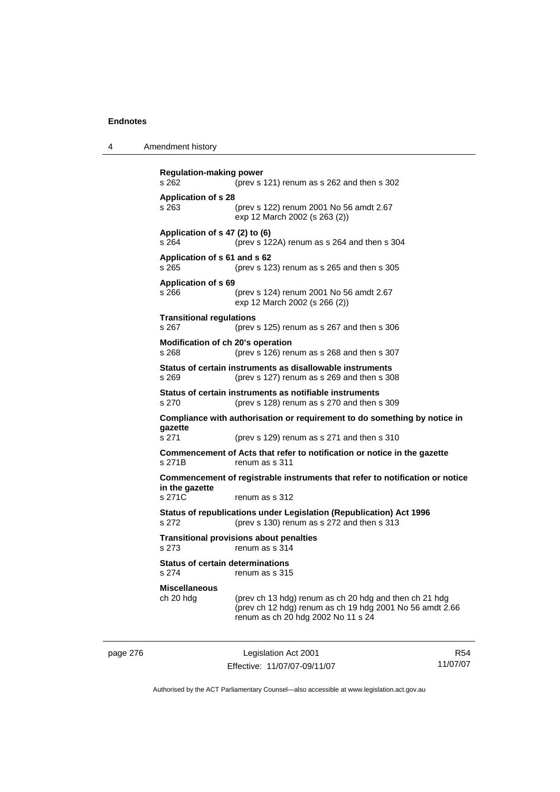| Amendment history<br>4 |  |
|------------------------|--|
|------------------------|--|

```
Regulation-making power 
s 262 (prev s 121) renum as s 262 and then s 302 
Application of s 28 
s 263 (prev s 122) renum 2001 No 56 amdt 2.67 
                  exp 12 March 2002 (s 263 (2)) 
Application of s 47 (2) to (6) 
s 264 (prev s 122A) renum as s 264 and then s 304 
Application of s 61 and s 62 
s 265 (prev s 123) renum as s 265 and then s 305 
Application of s 69 
s 266 (prev s 124) renum 2001 No 56 amdt 2.67 
                  exp 12 March 2002 (s 266 (2)) 
Transitional regulations 
s 267 (prev s 125) renum as s 267 and then s 306 
Modification of ch 20's operation 
s 268 (prev s 126) renum as s 268 and then s 307 
Status of certain instruments as disallowable instruments 
s 269 (prev s 127) renum as s 269 and then s 308 
Status of certain instruments as notifiable instruments 
s 270 (prev s 128) renum as s 270 and then s 309 
Compliance with authorisation or requirement to do something by notice in 
gazette 
s 271 (prev s 129) renum as s 271 and then s 310 
Commencement of Acts that refer to notification or notice in the gazette 
s 271B renum as s 311 
Commencement of registrable instruments that refer to notification or notice 
in the gazette 
s 271C renum as s 312
Status of republications under Legislation (Republication) Act 1996 
s 272 (prev s 130) renum as s 272 and then s 313 
Transitional provisions about penalties
s 273 renum as s 314 
Status of certain determinations 
s 274 renum as s 315 
Miscellaneous 
                 (prev ch 13 hdg) renum as ch 20 hdg and then ch 21 hdg
                  (prev ch 12 hdg) renum as ch 19 hdg 2001 No 56 amdt 2.66 
                  renum as ch 20 hdg 2002 No 11 s 24
```
page 276 Legislation Act 2001 Effective: 11/07/07-09/11/07

R54 11/07/07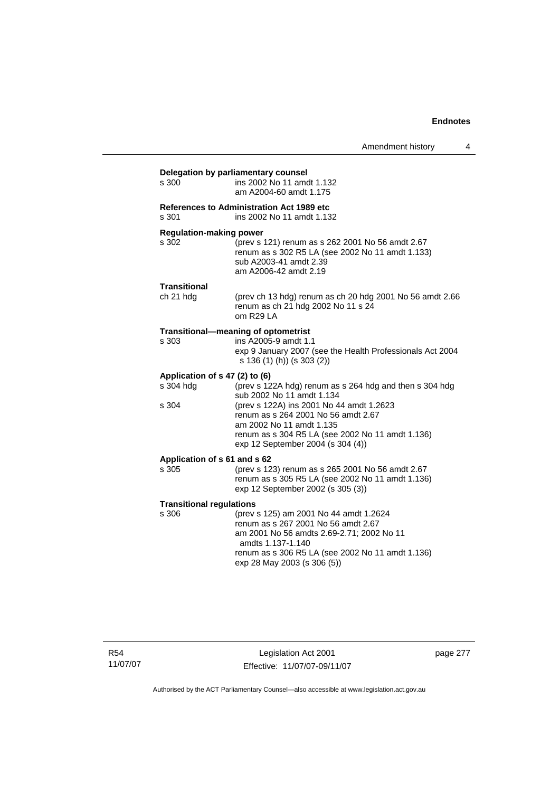| s 300                                                | ins 2002 No 11 amdt 1.132<br>am A2004-60 amdt 1.175                                                                                                                                                                                                                                          |
|------------------------------------------------------|----------------------------------------------------------------------------------------------------------------------------------------------------------------------------------------------------------------------------------------------------------------------------------------------|
| s 301                                                | <b>References to Administration Act 1989 etc</b><br>ins 2002 No 11 amdt 1.132                                                                                                                                                                                                                |
| <b>Regulation-making power</b><br>s 302              | (prev s 121) renum as s 262 2001 No 56 amdt 2.67<br>renum as s 302 R5 LA (see 2002 No 11 amdt 1.133)<br>sub A2003-41 amdt 2.39<br>am A2006-42 amdt 2.19                                                                                                                                      |
| Transitional<br>ch 21 hdg                            | (prev ch 13 hdg) renum as ch 20 hdg 2001 No 56 amdt 2.66<br>renum as ch 21 hdg 2002 No 11 s 24<br>om R29LA                                                                                                                                                                                   |
| s 303                                                | Transitional-meaning of optometrist<br>ins A2005-9 amdt 1.1<br>exp 9 January 2007 (see the Health Professionals Act 2004<br>s 136 (1) (h)) (s 303 (2))                                                                                                                                       |
| Application of s 47 (2) to (6)<br>s 304 hdg<br>s 304 | (prev s 122A hdg) renum as s 264 hdg and then s 304 hdg<br>sub 2002 No 11 amdt 1.134<br>(prev s 122A) ins 2001 No 44 amdt 1.2623<br>renum as s 264 2001 No 56 amdt 2.67<br>am 2002 No 11 amdt 1.135<br>renum as s 304 R5 LA (see 2002 No 11 amdt 1.136)<br>exp 12 September 2004 (s 304 (4)) |
| Application of s 61 and s 62<br>s 305                | (prev s 123) renum as s 265 2001 No 56 amdt 2.67<br>renum as s 305 R5 LA (see 2002 No 11 amdt 1.136)<br>exp 12 September 2002 (s 305 (3))                                                                                                                                                    |
| <b>Transitional regulations</b><br>s 306             | (prev s 125) am 2001 No 44 amdt 1.2624<br>renum as s 267 2001 No 56 amdt 2.67<br>am 2001 No 56 amdts 2.69-2.71; 2002 No 11<br>amdts 1.137-1.140<br>renum as s 306 R5 LA (see 2002 No 11 amdt 1.136)<br>exp 28 May 2003 (s 306 (5))                                                           |

R54 11/07/07

Legislation Act 2001 Effective: 11/07/07-09/11/07 page 277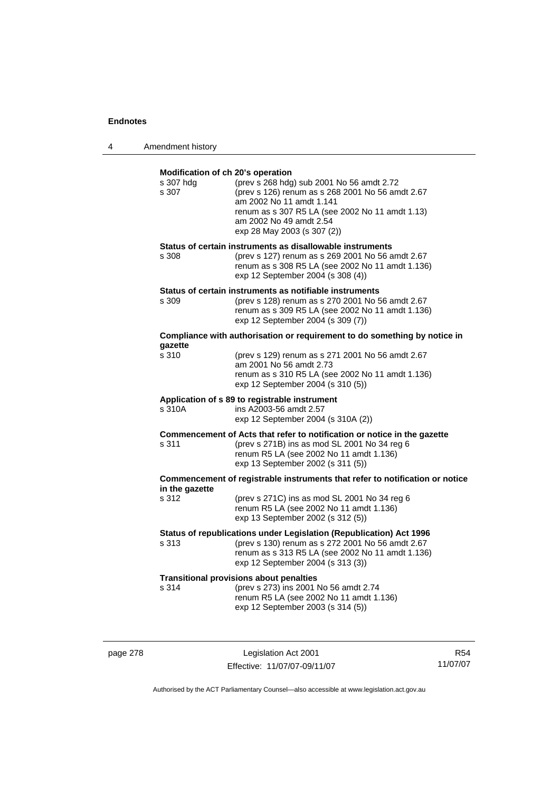| 4 | Amendment history |
|---|-------------------|
|---|-------------------|

| Modification of ch 20's operation<br>s 307 hdg<br>s 307 | (prev s 268 hdg) sub 2001 No 56 amdt 2.72<br>(prev s 126) renum as s 268 2001 No 56 amdt 2.67<br>am 2002 No 11 amdt 1.141<br>renum as s 307 R5 LA (see 2002 No 11 amdt 1.13)<br>am 2002 No 49 amdt 2.54<br>exp 28 May 2003 (s 307 (2)) |
|---------------------------------------------------------|----------------------------------------------------------------------------------------------------------------------------------------------------------------------------------------------------------------------------------------|
| s 308                                                   | Status of certain instruments as disallowable instruments<br>(prev s 127) renum as s 269 2001 No 56 amdt 2.67<br>renum as s 308 R5 LA (see 2002 No 11 amdt 1.136)<br>exp 12 September 2004 (s 308 (4))                                 |
| s 309                                                   | Status of certain instruments as notifiable instruments<br>(prev s 128) renum as s 270 2001 No 56 amdt 2.67<br>renum as s 309 R5 LA (see 2002 No 11 amdt 1.136)<br>exp 12 September 2004 (s 309 (7))                                   |
|                                                         | Compliance with authorisation or requirement to do something by notice in                                                                                                                                                              |
| qazette<br>s 310                                        | (prev s 129) renum as s 271 2001 No 56 amdt 2.67<br>am 2001 No 56 amdt 2.73<br>renum as s 310 R5 LA (see 2002 No 11 amdt 1.136)<br>exp 12 September 2004 (s 310 (5))                                                                   |
| s 310A                                                  | Application of s 89 to registrable instrument<br>ins A2003-56 amdt 2.57<br>exp 12 September 2004 (s 310A (2))                                                                                                                          |
| s 311                                                   | Commencement of Acts that refer to notification or notice in the gazette<br>(prev s 271B) ins as mod SL 2001 No 34 reg 6<br>renum R5 LA (see 2002 No 11 amdt 1.136)<br>exp 13 September 2002 (s 311 (5))                               |
|                                                         | Commencement of registrable instruments that refer to notification or notice                                                                                                                                                           |
| in the gazette<br>s 312                                 | (prev s 271C) ins as mod SL 2001 No 34 reg 6<br>renum R5 LA (see 2002 No 11 amdt 1.136)<br>exp 13 September 2002 (s 312 (5))                                                                                                           |
| s 313                                                   | Status of republications under Legislation (Republication) Act 1996<br>(prev s 130) renum as s 272 2001 No 56 amdt 2.67<br>renum as s 313 R5 LA (see 2002 No 11 amdt 1.136)<br>exp 12 September 2004 (s 313 (3))                       |
| s 314                                                   | <b>Transitional provisions about penalties</b><br>(prev s 273) ins 2001 No 56 amdt 2.74<br>renum R5 LA (see 2002 No 11 amdt 1.136)<br>exp 12 September 2003 (s 314 (5))                                                                |

page 278 Legislation Act 2001 Effective: 11/07/07-09/11/07

R54 11/07/07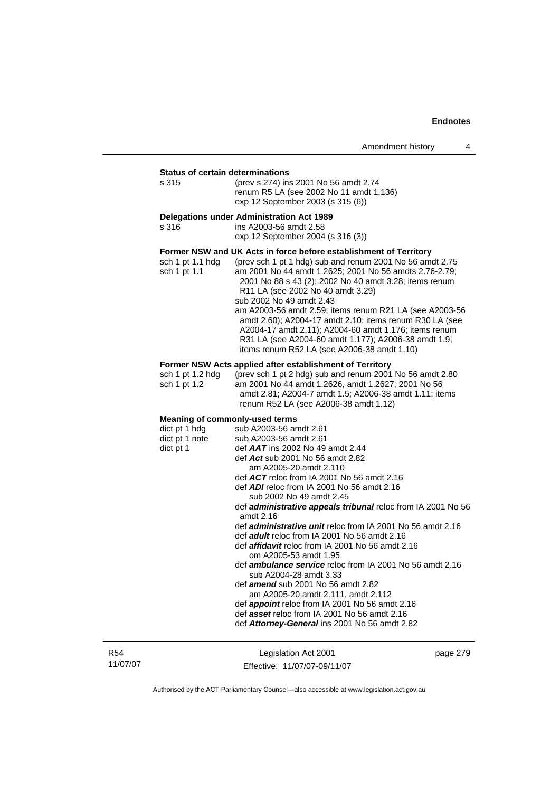### **Status of certain determinations**

| s 315 | (prev s 274) ins 2001 No 56 amdt 2.74   |
|-------|-----------------------------------------|
|       | renum R5 LA (see 2002 No 11 amdt 1.136) |
|       | exp 12 September 2003 (s 315 (6))       |

#### **Delegations under Administration Act 1989**

| s 316 | ins A2003-56 amdt 2.58            |
|-------|-----------------------------------|
|       | exp 12 September 2004 (s 316 (3)) |

#### **Former NSW and UK Acts in force before establishment of Territory**

| sch 1 pt 1.1 hdg | (prev sch 1 pt 1 hdg) sub and renum 2001 No 56 amdt 2.75 |
|------------------|----------------------------------------------------------|
| sch 1 pt 1.1     | am 2001 No 44 amdt 1.2625; 2001 No 56 amdts 2.76-2.79;   |
|                  | 2001 No 88 s 43 (2); 2002 No 40 amdt 3.28; items renum   |
|                  | R <sub>11</sub> LA (see 2002 No 40 amdt 3.29)            |
|                  | sub 2002 No 49 amdt 2.43                                 |
|                  | am A2003-56 amdt 2.59; items renum R21 LA (see A2003-56  |
|                  | amdt 2.60); A2004-17 amdt 2.10; items renum R30 LA (see  |
|                  | A2004-17 amdt 2.11); A2004-60 amdt 1.176; items renum    |
|                  | R31 LA (see A2004-60 amdt 1.177); A2006-38 amdt 1.9;     |
|                  | items renum R52 LA (see A2006-38 amdt 1.10)              |
|                  |                                                          |

### **Former NSW Acts applied after establishment of Territory**

| sch 1 pt $1.2$ hdg | (prev sch 1 pt 2 hdg) sub and renum 2001 No 56 amdt 2.80 |
|--------------------|----------------------------------------------------------|
| sch 1 pt 1.2       | am 2001 No 44 amdt 1.2626, amdt 1.2627; 2001 No 56       |
|                    | amdt 2.81; A2004-7 amdt 1.5; A2006-38 amdt 1.11; items   |
|                    | renum R52 LA (see A2006-38 amdt 1.12)                    |

#### **Meaning of commonly-used terms**

| dict pt 1 hdg  | sub A2003-56 amdt 2.61                                              |
|----------------|---------------------------------------------------------------------|
| dict pt 1 note | sub A2003-56 amdt 2.61                                              |
| dict pt 1      | def $AAT$ ins 2002 No 49 amdt 2.44                                  |
|                | def Act sub 2001 No 56 amdt 2.82                                    |
|                | am A2005-20 amdt 2.110                                              |
|                | def $ACT$ reloc from IA 2001 No 56 amdt 2.16                        |
|                | def <b>ADI</b> reloc from IA 2001 No 56 amdt 2.16                   |
|                | sub 2002 No 49 amdt 2.45                                            |
|                | def <b>administrative appeals tribunal</b> reloc from IA 2001 No 56 |
|                | amdt $2.16$                                                         |
|                | def <i>administrative unit</i> reloc from IA 2001 No 56 amdt 2.16   |
|                | def adult reloc from IA 2001 No 56 amdt 2.16                        |
|                | def <i>affidavit</i> reloc from IA 2001 No 56 amdt 2.16             |
|                | om A2005-53 amdt 1.95                                               |
|                | def <b>ambulance service</b> reloc from IA 2001 No 56 amdt 2.16     |
|                | sub A2004-28 amdt 3.33                                              |
|                | def <i>amend</i> sub 2001 No 56 amdt 2.82                           |
|                | am A2005-20 amdt 2.111, amdt 2.112                                  |
|                | def <b>appoint</b> reloc from IA 2001 No 56 amdt 2.16               |
|                | def asset reloc from IA 2001 No 56 amdt 2.16                        |
|                |                                                                     |
|                | def Attorney-General ins 2001 No 56 amdt 2.82                       |
|                |                                                                     |

R54 11/07/07

Legislation Act 2001 Effective: 11/07/07-09/11/07 page 279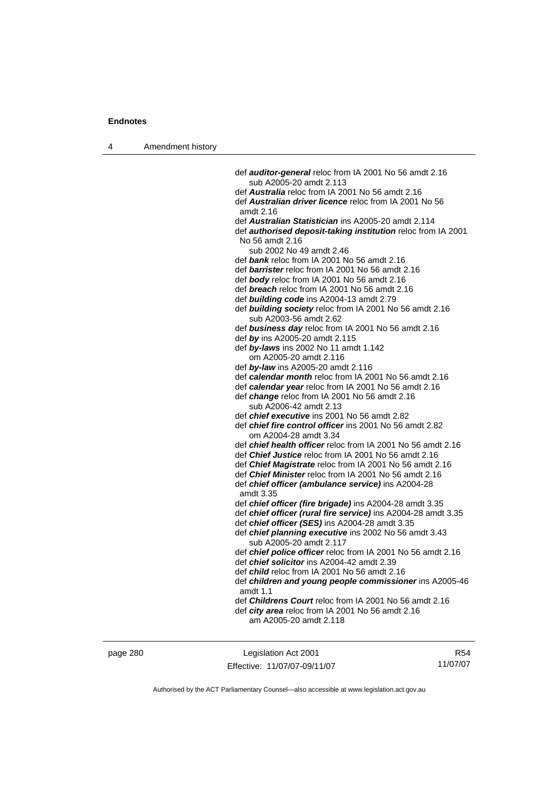| 4 | Amendment history |                                                                                                                              |
|---|-------------------|------------------------------------------------------------------------------------------------------------------------------|
|   |                   |                                                                                                                              |
|   |                   | def <b>auditor-general</b> reloc from IA 2001 No 56 amdt 2.16<br>sub A2005-20 amdt 2.113                                     |
|   |                   | def <b>Australia</b> reloc from IA 2001 No 56 amdt 2.16                                                                      |
|   |                   | def <b>Australian driver licence</b> reloc from IA 2001 No 56                                                                |
|   |                   | amdt 2.16                                                                                                                    |
|   |                   | def Australian Statistician ins A2005-20 amdt 2.114                                                                          |
|   |                   | def authorised deposit-taking institution reloc from IA 2001<br>No 56 amdt 2.16                                              |
|   |                   | sub 2002 No 49 amdt 2.46                                                                                                     |
|   |                   | def bank reloc from IA 2001 No 56 amdt 2.16                                                                                  |
|   |                   | def barrister reloc from IA 2001 No 56 amdt 2.16                                                                             |
|   |                   | def body reloc from IA 2001 No 56 amdt 2.16                                                                                  |
|   |                   | def <b>breach</b> reloc from IA 2001 No 56 amdt 2.16                                                                         |
|   |                   | def <b>building code</b> ins A2004-13 amdt 2.79                                                                              |
|   |                   | def building society reloc from IA 2001 No 56 amdt 2.16                                                                      |
|   |                   | sub A2003-56 amdt 2.62                                                                                                       |
|   |                   | def business day reloc from IA 2001 No 56 amdt 2.16                                                                          |
|   |                   | def by ins A2005-20 amdt 2.115                                                                                               |
|   |                   | def by-laws ins 2002 No 11 amdt 1.142                                                                                        |
|   |                   | om A2005-20 amdt 2.116                                                                                                       |
|   |                   | def by-law ins A2005-20 amdt 2.116<br>def calendar month reloc from IA 2001 No 56 amdt 2.16                                  |
|   |                   | def calendar year reloc from IA 2001 No 56 amdt 2.16                                                                         |
|   |                   | def change reloc from IA 2001 No 56 amdt 2.16                                                                                |
|   |                   | sub A2006-42 amdt 2.13                                                                                                       |
|   |                   | def chief executive ins 2001 No 56 amdt 2.82                                                                                 |
|   |                   | def chief fire control officer ins 2001 No 56 amdt 2.82                                                                      |
|   |                   | om A2004-28 amdt 3.34                                                                                                        |
|   |                   | def chief health officer reloc from IA 2001 No 56 amdt 2.16                                                                  |
|   |                   | def Chief Justice reloc from IA 2001 No 56 amdt 2.16                                                                         |
|   |                   | def Chief Magistrate reloc from IA 2001 No 56 amdt 2.16                                                                      |
|   |                   | def <i>Chief Minister</i> reloc from IA 2001 No 56 amdt 2.16                                                                 |
|   |                   | def chief officer (ambulance service) ins A2004-28<br>amdt 3.35                                                              |
|   |                   | def chief officer (fire brigade) ins A2004-28 amdt 3.35                                                                      |
|   |                   | def chief officer (rural fire service) ins A2004-28 amdt 3.35                                                                |
|   |                   | def chief officer (SES) ins A2004-28 amdt 3.35                                                                               |
|   |                   | def chief planning executive ins 2002 No 56 amdt 3.43<br>sub A2005-20 amdt 2.117                                             |
|   |                   | def chief police officer reloc from IA 2001 No 56 amdt 2.16                                                                  |
|   |                   | def chief solicitor ins A2004-42 amdt 2.39                                                                                   |
|   |                   | def <i>child</i> reloc from IA 2001 No 56 amdt 2.16<br>def children and young people commissioner ins A2005-46<br>amdt $1.1$ |
|   |                   | def Childrens Court reloc from IA 2001 No 56 amdt 2.16                                                                       |
|   |                   | def city area reloc from IA 2001 No 56 amdt 2.16<br>am A2005-20 amdt 2.118                                                   |
|   |                   |                                                                                                                              |
|   |                   |                                                                                                                              |

page 280 Legislation Act 2001 Effective: 11/07/07-09/11/07

R54 11/07/07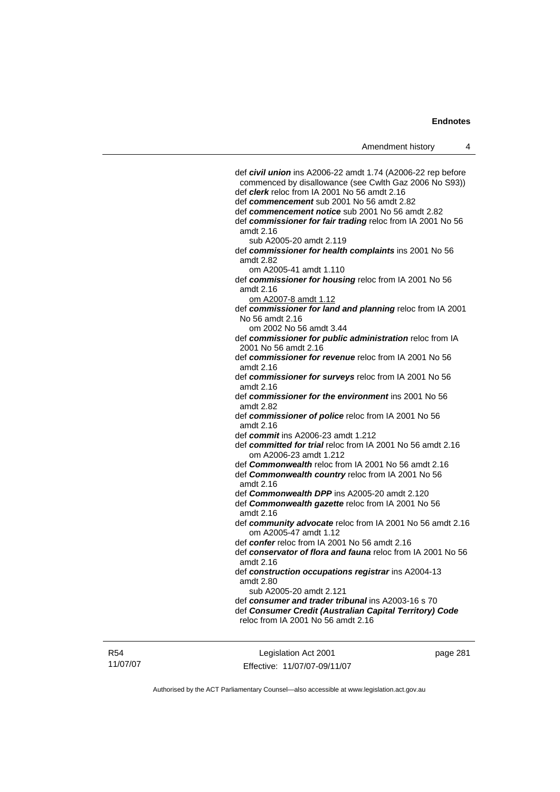def *civil union* ins A2006-22 amdt 1.74 (A2006-22 rep before commenced by disallowance (see Cwlth Gaz 2006 No S93)) def *clerk* reloc from IA 2001 No 56 amdt 2.16 def *commencement* sub 2001 No 56 amdt 2.82 def *commencement notice* sub 2001 No 56 amdt 2.82 def *commissioner for fair trading* reloc from IA 2001 No 56 amdt 2.16 sub A2005-20 amdt 2.119 def *commissioner for health complaints* ins 2001 No 56 amdt 2.82 om A2005-41 amdt 1.110 def *commissioner for housing* reloc from IA 2001 No 56 amdt 2.16 om A2007-8 amdt 1.12 def *commissioner for land and planning* reloc from IA 2001 No 56 amdt 2.16 om 2002 No 56 amdt 3.44 def *commissioner for public administration* reloc from IA 2001 No 56 amdt 2.16 def *commissioner for revenue* reloc from IA 2001 No 56 amdt 2.16 def *commissioner for surveys* reloc from IA 2001 No 56 amdt 2.16 def *commissioner for the environment* ins 2001 No 56 amdt 2.82 def *commissioner of police* reloc from IA 2001 No 56 amdt 2.16 def *commit* ins A2006-23 amdt 1.212 def *committed for trial* reloc from IA 2001 No 56 amdt 2.16 om A2006-23 amdt 1.212 def *Commonwealth* reloc from IA 2001 No 56 amdt 2.16 def *Commonwealth country* reloc from IA 2001 No 56 amdt 2.16 def *Commonwealth DPP* ins A2005-20 amdt 2.120 def *Commonwealth gazette* reloc from IA 2001 No 56 amdt 2.16 def *community advocate* reloc from IA 2001 No 56 amdt 2.16 om A2005-47 amdt 1.12 def *confer* reloc from IA 2001 No 56 amdt 2.16 def *conservator of flora and fauna* reloc from IA 2001 No 56 amdt 2.16 def *construction occupations registrar* ins A2004-13 amdt 2.80 sub A2005-20 amdt 2.121 def *consumer and trader tribunal* ins A2003-16 s 70 def *Consumer Credit (Australian Capital Territory) Code* reloc from IA 2001 No 56 amdt 2.16

R54 11/07/07

Legislation Act 2001 Effective: 11/07/07-09/11/07 page 281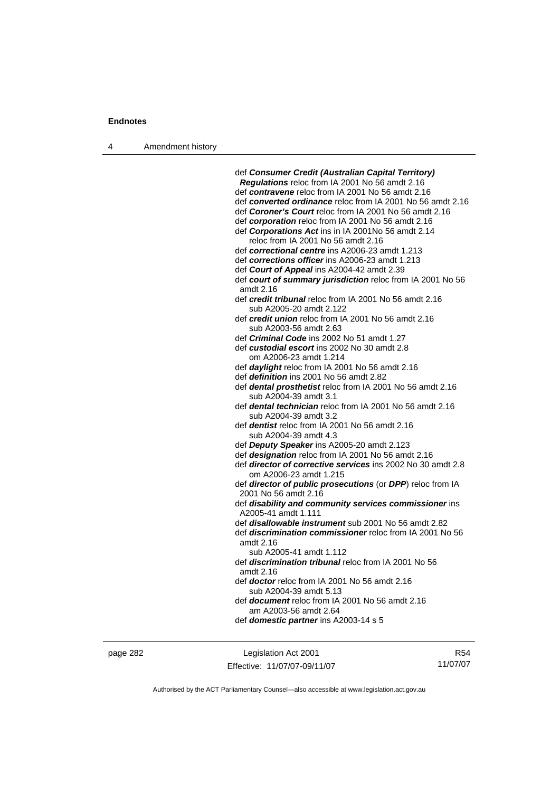| Amendment history<br>4 |  |
|------------------------|--|
|------------------------|--|

 def *Consumer Credit (Australian Capital Territory) Regulations* reloc from IA 2001 No 56 amdt 2.16 def *contravene* reloc from IA 2001 No 56 amdt 2.16 def *converted ordinance* reloc from IA 2001 No 56 amdt 2.16 def *Coroner's Court* reloc from IA 2001 No 56 amdt 2.16 def *corporation* reloc from IA 2001 No 56 amdt 2.16 def *Corporations Act* ins in IA 2001No 56 amdt 2.14 reloc from IA 2001 No 56 amdt 2.16 def *correctional centre* ins A2006-23 amdt 1.213 def *corrections officer* ins A2006-23 amdt 1.213 def *Court of Appeal* ins A2004-42 amdt 2.39 def *court of summary jurisdiction* reloc from IA 2001 No 56 amdt 2.16 def *credit tribunal* reloc from IA 2001 No 56 amdt 2.16 sub A2005-20 amdt 2.122 def *credit union* reloc from IA 2001 No 56 amdt 2.16 sub A2003-56 amdt 2.63 def *Criminal Code* ins 2002 No 51 amdt 1.27 def *custodial escort* ins 2002 No 30 amdt 2.8 om A2006-23 amdt 1.214 def *daylight* reloc from IA 2001 No 56 amdt 2.16 def *definition* ins 2001 No 56 amdt 2.82 def *dental prosthetist* reloc from IA 2001 No 56 amdt 2.16 sub A2004-39 amdt 3.1 def *dental technician* reloc from IA 2001 No 56 amdt 2.16 sub A2004-39 amdt 3.2 def *dentist* reloc from IA 2001 No 56 amdt 2.16 sub A2004-39 amdt 4.3 def *Deputy Speaker* ins A2005-20 amdt 2.123 def *designation* reloc from IA 2001 No 56 amdt 2.16 def *director of corrective services* ins 2002 No 30 amdt 2.8 om A2006-23 amdt 1.215 def *director of public prosecutions* (or *DPP*) reloc from IA 2001 No 56 amdt 2.16 def *disability and community services commissioner* ins A2005-41 amdt 1.111 def *disallowable instrument* sub 2001 No 56 amdt 2.82 def *discrimination commissioner* reloc from IA 2001 No 56 amdt 2.16 sub A2005-41 amdt 1.112 def *discrimination tribunal* reloc from IA 2001 No 56 amdt 2.16 def *doctor* reloc from IA 2001 No 56 amdt 2.16 sub A2004-39 amdt 5.13 def *document* reloc from IA 2001 No 56 amdt 2.16 am A2003-56 amdt 2.64 def *domestic partner* ins A2003-14 s 5

page 282 Legislation Act 2001 Effective: 11/07/07-09/11/07

R54 11/07/07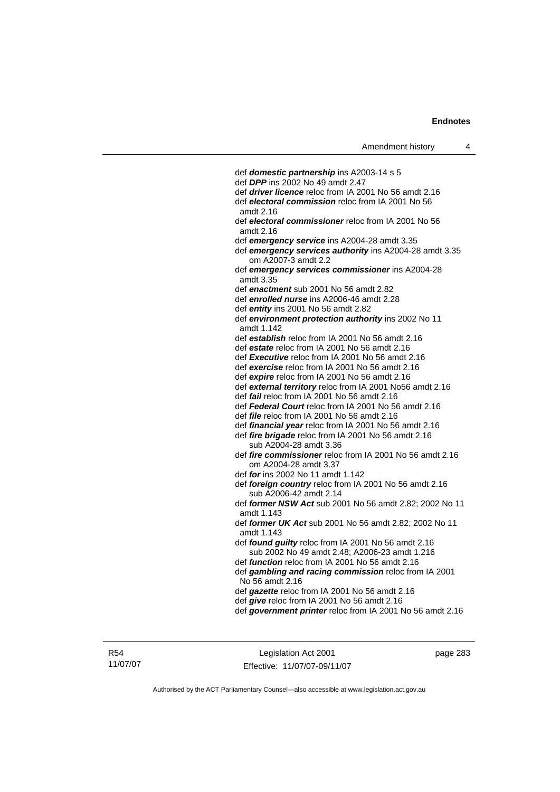def *domestic partnership* ins A2003-14 s 5 def *DPP* ins 2002 No 49 amdt 2.47 def *driver licence* reloc from IA 2001 No 56 amdt 2.16 def *electoral commission* reloc from IA 2001 No 56 amdt 2.16 def *electoral commissioner* reloc from IA 2001 No 56 amdt 2.16 def *emergency service* ins A2004-28 amdt 3.35 def *emergency services authority* ins A2004-28 amdt 3.35 om A2007-3 amdt 2.2 def *emergency services commissioner* ins A2004-28 amdt 3.35 def *enactment* sub 2001 No 56 amdt 2.82 def *enrolled nurse* ins A2006-46 amdt 2.28 def *entity* ins 2001 No 56 amdt 2.82 def *environment protection authority* ins 2002 No 11 amdt 1.142 def *establish* reloc from IA 2001 No 56 amdt 2.16 def *estate* reloc from IA 2001 No 56 amdt 2.16 def *Executive* reloc from IA 2001 No 56 amdt 2.16 def *exercise* reloc from IA 2001 No 56 amdt 2.16 def *expire* reloc from IA 2001 No 56 amdt 2.16 def *external territory* reloc from IA 2001 No56 amdt 2.16 def *fail* reloc from IA 2001 No 56 amdt 2.16 def *Federal Court* reloc from IA 2001 No 56 amdt 2.16 def *file* reloc from IA 2001 No 56 amdt 2.16 def *financial year* reloc from IA 2001 No 56 amdt 2.16 def *fire brigade* reloc from IA 2001 No 56 amdt 2.16 sub A2004-28 amdt 3.36 def *fire commissioner* reloc from IA 2001 No 56 amdt 2.16 om A2004-28 amdt 3.37 def *for* ins 2002 No 11 amdt 1.142 def *foreign country* reloc from IA 2001 No 56 amdt 2.16 sub A2006-42 amdt 2.14 def *former NSW Act* sub 2001 No 56 amdt 2.82; 2002 No 11 amdt 1.143 def *former UK Act* sub 2001 No 56 amdt 2.82; 2002 No 11 amdt 1.143 def *found guilty* reloc from IA 2001 No 56 amdt 2.16 sub 2002 No 49 amdt 2.48; A2006-23 amdt 1.216 def *function* reloc from IA 2001 No 56 amdt 2.16 def *gambling and racing commission* reloc from IA 2001 No 56 amdt 2.16 def *gazette* reloc from IA 2001 No 56 amdt 2.16 def *give* reloc from IA 2001 No 56 amdt 2.16 def *government printer* reloc from IA 2001 No 56 amdt 2.16

R54 11/07/07

Legislation Act 2001 Effective: 11/07/07-09/11/07 page 283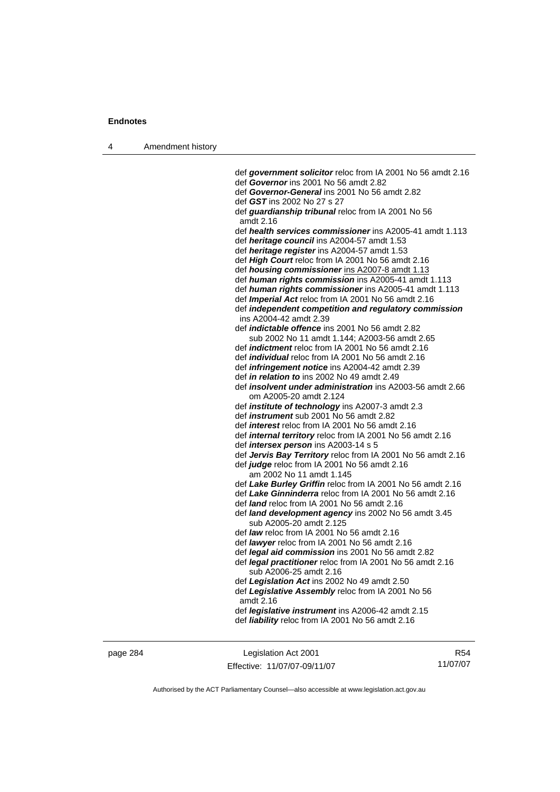| 4 | Amendment history |                                                                                                           |
|---|-------------------|-----------------------------------------------------------------------------------------------------------|
|   |                   |                                                                                                           |
|   |                   | def government solicitor reloc from IA 2001 No 56 amdt 2.16<br>def Governor ins 2001 No 56 amdt 2.82      |
|   |                   | def Governor-General ins 2001 No 56 amdt 2.82                                                             |
|   |                   | def GST ins 2002 No 27 s 27                                                                               |
|   |                   |                                                                                                           |
|   |                   | def guardianship tribunal reloc from IA 2001 No 56<br>amdt 2.16                                           |
|   |                   | def health services commissioner ins A2005-41 amdt 1.113                                                  |
|   |                   | def heritage council ins A2004-57 amdt 1.53                                                               |
|   |                   | def heritage register ins A2004-57 amdt 1.53                                                              |
|   |                   | def High Court reloc from IA 2001 No 56 amdt 2.16                                                         |
|   |                   | def housing commissioner ins A2007-8 amdt 1.13                                                            |
|   |                   | def human rights commission ins A2005-41 amdt 1.113                                                       |
|   |                   | def human rights commissioner ins A2005-41 amdt 1.113                                                     |
|   |                   | def <i>Imperial Act</i> reloc from IA 2001 No 56 amdt 2.16                                                |
|   |                   | def independent competition and regulatory commission                                                     |
|   |                   | ins A2004-42 amdt 2.39                                                                                    |
|   |                   | def <i>indictable</i> offence ins 2001 No 56 amdt 2.82                                                    |
|   |                   | sub 2002 No 11 amdt 1.144; A2003-56 amdt 2.65                                                             |
|   |                   | def <i>indictment</i> reloc from IA 2001 No 56 amdt 2.16                                                  |
|   |                   | def <i>individual</i> reloc from IA 2001 No 56 amdt 2.16                                                  |
|   |                   | def <i>infringement notice</i> ins A2004-42 amdt 2.39                                                     |
|   |                   | def <i>in relation to</i> ins 2002 No 49 amdt 2.49                                                        |
|   |                   | def <i>insolvent under administration</i> ins A2003-56 amdt 2.66<br>om A2005-20 amdt 2.124                |
|   |                   |                                                                                                           |
|   |                   | def <i>institute of technology</i> ins A2007-3 amdt 2.3<br>def <i>instrument</i> sub 2001 No 56 amdt 2.82 |
|   |                   | def <i>interest</i> reloc from IA 2001 No 56 amdt 2.16                                                    |
|   |                   | def <i>internal territory</i> reloc from IA 2001 No 56 amdt 2.16                                          |
|   |                   | def <i>intersex person</i> ins A2003-14 s 5                                                               |
|   |                   | def Jervis Bay Territory reloc from IA 2001 No 56 amdt 2.16                                               |
|   |                   | def judge reloc from IA 2001 No 56 amdt 2.16                                                              |
|   |                   | am 2002 No 11 amdt 1.145                                                                                  |
|   |                   | def Lake Burley Griffin reloc from IA 2001 No 56 amdt 2.16                                                |
|   |                   | def Lake Ginninderra reloc from IA 2001 No 56 amdt 2.16                                                   |
|   |                   | def land reloc from IA 2001 No 56 amdt 2.16                                                               |
|   |                   | def land development agency ins 2002 No 56 amdt 3.45                                                      |
|   |                   | sub A2005-20 amdt 2.125<br>def law reloc from IA 2001 No 56 amdt 2.16                                     |
|   |                   | def lawyer reloc from IA 2001 No 56 amdt 2.16                                                             |
|   |                   | def <i>legal aid commission</i> ins 2001 No 56 amdt 2.82                                                  |
|   |                   | def legal practitioner reloc from IA 2001 No 56 amdt 2.16                                                 |
|   |                   | sub A2006-25 amdt 2.16                                                                                    |
|   |                   | def Legislation Act ins 2002 No 49 amdt 2.50                                                              |
|   |                   | def Legislative Assembly reloc from IA 2001 No 56<br>amdt 2.16                                            |
|   |                   | def legislative instrument ins A2006-42 amdt 2.15                                                         |
|   |                   | def liability reloc from IA 2001 No 56 amdt 2.16                                                          |
|   |                   |                                                                                                           |
|   |                   |                                                                                                           |

page 284 Legislation Act 2001 Effective: 11/07/07-09/11/07

R54 11/07/07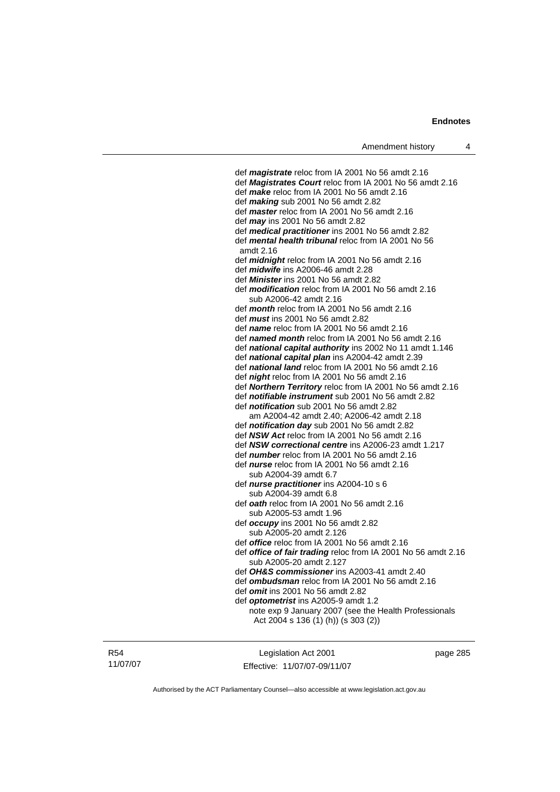def *magistrate* reloc from IA 2001 No 56 amdt 2.16 def *Magistrates Court* reloc from IA 2001 No 56 amdt 2.16 def *make* reloc from IA 2001 No 56 amdt 2.16 def *making* sub 2001 No 56 amdt 2.82 def *master* reloc from IA 2001 No 56 amdt 2.16 def *may* ins 2001 No 56 amdt 2.82 def *medical practitioner* ins 2001 No 56 amdt 2.82 def *mental health tribunal* reloc from IA 2001 No 56 amdt 2.16 def *midnight* reloc from IA 2001 No 56 amdt 2.16 def *midwife* ins A2006-46 amdt 2.28 def *Minister* ins 2001 No 56 amdt 2.82 def *modification* reloc from IA 2001 No 56 amdt 2.16 sub A2006-42 amdt 2.16 def *month* reloc from IA 2001 No 56 amdt 2.16 def *must* ins 2001 No 56 amdt 2.82 def *name* reloc from IA 2001 No 56 amdt 2.16 def *named month* reloc from IA 2001 No 56 amdt 2.16 def *national capital authority* ins 2002 No 11 amdt 1.146 def *national capital plan* ins A2004-42 amdt 2.39 def *national land* reloc from IA 2001 No 56 amdt 2.16 def *night* reloc from IA 2001 No 56 amdt 2.16 def *Northern Territory* reloc from IA 2001 No 56 amdt 2.16 def *notifiable instrument* sub 2001 No 56 amdt 2.82 def *notification* sub 2001 No 56 amdt 2.82 am A2004-42 amdt 2.40; A2006-42 amdt 2.18 def *notification day* sub 2001 No 56 amdt 2.82 def *NSW Act* reloc from IA 2001 No 56 amdt 2.16 def *NSW correctional centre* ins A2006-23 amdt 1.217 def *number* reloc from IA 2001 No 56 amdt 2.16 def *nurse* reloc from IA 2001 No 56 amdt 2.16 sub A2004-39 amdt 6.7 def *nurse practitioner* ins A2004-10 s 6 sub A2004-39 amdt 6.8 def *oath* reloc from IA 2001 No 56 amdt 2.16 sub A2005-53 amdt 1.96 def *occupy* ins 2001 No 56 amdt 2.82 sub A2005-20 amdt 2.126 def *office* reloc from IA 2001 No 56 amdt 2.16 def *office of fair trading* reloc from IA 2001 No 56 amdt 2.16 sub A2005-20 amdt 2.127 def *OH&S commissioner* ins A2003-41 amdt 2.40 def *ombudsman* reloc from IA 2001 No 56 amdt 2.16 def *omit* ins 2001 No 56 amdt 2.82 def *optometrist* ins A2005-9 amdt 1.2 note exp 9 January 2007 (see the Health Professionals Act 2004 s 136 (1) (h)) (s 303 (2))

R54 11/07/07

Legislation Act 2001 Effective: 11/07/07-09/11/07 page 285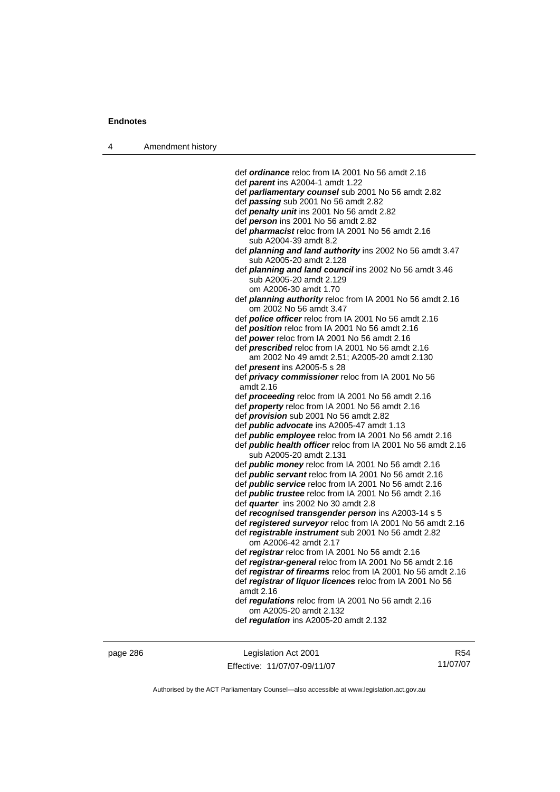| Amendment history<br>4 |  |
|------------------------|--|
|------------------------|--|

 def *ordinance* reloc from IA 2001 No 56 amdt 2.16 def *parent* ins A2004-1 amdt 1.22 def *parliamentary counsel* sub 2001 No 56 amdt 2.82 def *passing* sub 2001 No 56 amdt 2.82 def *penalty unit* ins 2001 No 56 amdt 2.82 def *person* ins 2001 No 56 amdt 2.82 def *pharmacist* reloc from IA 2001 No 56 amdt 2.16 sub A2004-39 amdt 8.2 def *planning and land authority* ins 2002 No 56 amdt 3.47 sub A2005-20 amdt 2.128 def *planning and land council* ins 2002 No 56 amdt 3.46 sub A2005-20 amdt 2.129 om A2006-30 amdt 1.70 def *planning authority* reloc from IA 2001 No 56 amdt 2.16 om 2002 No 56 amdt 3.47 def *police officer* reloc from IA 2001 No 56 amdt 2.16 def *position* reloc from IA 2001 No 56 amdt 2.16 def *power* reloc from IA 2001 No 56 amdt 2.16 def *prescribed* reloc from IA 2001 No 56 amdt 2.16 am 2002 No 49 amdt 2.51; A2005-20 amdt 2.130 def *present* ins A2005-5 s 28 def *privacy commissioner* reloc from IA 2001 No 56 amdt 2.16 def *proceeding* reloc from IA 2001 No 56 amdt 2.16 def *property* reloc from IA 2001 No 56 amdt 2.16 def *provision* sub 2001 No 56 amdt 2.82 def *public advocate* ins A2005-47 amdt 1.13 def *public employee* reloc from IA 2001 No 56 amdt 2.16 def *public health officer* reloc from IA 2001 No 56 amdt 2.16 sub A2005-20 amdt 2.131 def *public money* reloc from IA 2001 No 56 amdt 2.16 def *public servant* reloc from IA 2001 No 56 amdt 2.16 def *public service* reloc from IA 2001 No 56 amdt 2.16 def *public trustee* reloc from IA 2001 No 56 amdt 2.16 def *quarter* ins 2002 No 30 amdt 2.8 def *recognised transgender person* ins A2003-14 s 5 def *registered surveyor* reloc from IA 2001 No 56 amdt 2.16 def *registrable instrument* sub 2001 No 56 amdt 2.82 om A2006-42 amdt 2.17 def *registrar* reloc from IA 2001 No 56 amdt 2.16 def *registrar-general* reloc from IA 2001 No 56 amdt 2.16 def *registrar of firearms* reloc from IA 2001 No 56 amdt 2.16 def *registrar of liquor licences* reloc from IA 2001 No 56 amdt 2.16 def *regulations* reloc from IA 2001 No 56 amdt 2.16 om A2005-20 amdt 2.132 def *regulation* ins A2005-20 amdt 2.132

page 286 Legislation Act 2001 Effective: 11/07/07-09/11/07

R54 11/07/07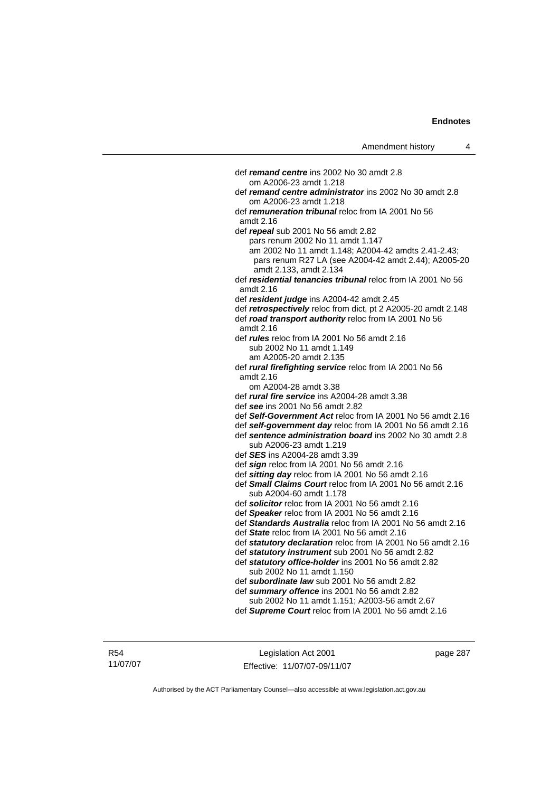def *remand centre* ins 2002 No 30 amdt 2.8 om A2006-23 amdt 1.218 def *remand centre administrator* ins 2002 No 30 amdt 2.8 om A2006-23 amdt 1.218 def *remuneration tribunal* reloc from IA 2001 No 56 amdt 2.16 def *repeal* sub 2001 No 56 amdt 2.82 pars renum 2002 No 11 amdt 1.147 am 2002 No 11 amdt 1.148; A2004-42 amdts 2.41-2.43; pars renum R27 LA (see A2004-42 amdt 2.44); A2005-20 amdt 2.133, amdt 2.134 def *residential tenancies tribunal* reloc from IA 2001 No 56 amdt 2.16 def *resident judge* ins A2004-42 amdt 2.45 def *retrospectively* reloc from dict, pt 2 A2005-20 amdt 2.148 def *road transport authority* reloc from IA 2001 No 56 amdt 2.16 def *rules* reloc from IA 2001 No 56 amdt 2.16 sub 2002 No 11 amdt 1.149 am A2005-20 amdt 2.135 def *rural firefighting service* reloc from IA 2001 No 56 amdt 2.16 om A2004-28 amdt 3.38 def *rural fire service* ins A2004-28 amdt 3.38 def *see* ins 2001 No 56 amdt 2.82 def *Self-Government Act* reloc from IA 2001 No 56 amdt 2.16 def *self-government day* reloc from IA 2001 No 56 amdt 2.16 def *sentence administration board* ins 2002 No 30 amdt 2.8 sub A2006-23 amdt 1.219 def *SES* ins A2004-28 amdt 3.39 def *sign* reloc from IA 2001 No 56 amdt 2.16 def *sitting day* reloc from IA 2001 No 56 amdt 2.16 def *Small Claims Court* reloc from IA 2001 No 56 amdt 2.16 sub A2004-60 amdt 1.178 def *solicitor* reloc from IA 2001 No 56 amdt 2.16 def *Speaker* reloc from IA 2001 No 56 amdt 2.16 def *Standards Australia* reloc from IA 2001 No 56 amdt 2.16 def *State* reloc from IA 2001 No 56 amdt 2.16 def *statutory declaration* reloc from IA 2001 No 56 amdt 2.16 def *statutory instrument* sub 2001 No 56 amdt 2.82 def *statutory office-holder* ins 2001 No 56 amdt 2.82 sub 2002 No 11 amdt 1.150 def *subordinate law* sub 2001 No 56 amdt 2.82 def *summary offence* ins 2001 No 56 amdt 2.82 sub 2002 No 11 amdt 1.151; A2003-56 amdt 2.67 def *Supreme Court* reloc from IA 2001 No 56 amdt 2.16

R54 11/07/07

Legislation Act 2001 Effective: 11/07/07-09/11/07 page 287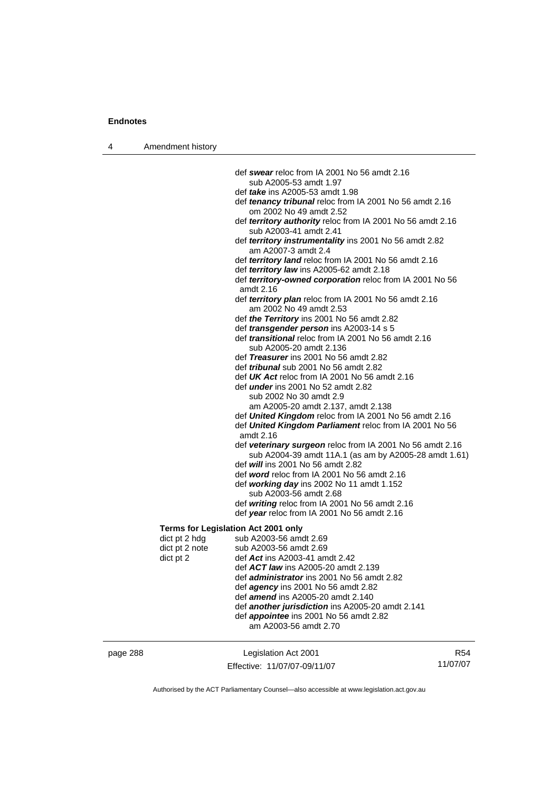4 Amendment history

 def *swear* reloc from IA 2001 No 56 amdt 2.16 sub A2005-53 amdt 1.97 def *take* ins A2005-53 amdt 1.98 def *tenancy tribunal* reloc from IA 2001 No 56 amdt 2.16 om 2002 No 49 amdt 2.52 def *territory authority* reloc from IA 2001 No 56 amdt 2.16 sub A2003-41 amdt 2.41 def *territory instrumentality* ins 2001 No 56 amdt 2.82 am A2007-3 amdt 2.4 def *territory land* reloc from IA 2001 No 56 amdt 2.16 def *territory law* ins A2005-62 amdt 2.18 def *territory-owned corporation* reloc from IA 2001 No 56 amdt 2.16 def *territory plan* reloc from IA 2001 No 56 amdt 2.16 am 2002 No 49 amdt 2.53 def *the Territory* ins 2001 No 56 amdt 2.82 def *transgender person* ins A2003-14 s 5 def *transitional* reloc from IA 2001 No 56 amdt 2.16 sub A2005-20 amdt 2.136 def *Treasurer* ins 2001 No 56 amdt 2.82 def *tribunal* sub 2001 No 56 amdt 2.82 def *UK Act* reloc from IA 2001 No 56 amdt 2.16 def *under* ins 2001 No 52 amdt 2.82 sub 2002 No 30 amdt 2.9 am A2005-20 amdt 2.137, amdt 2.138 def *United Kingdom* reloc from IA 2001 No 56 amdt 2.16 def *United Kingdom Parliament* reloc from IA 2001 No 56 amdt 2.16 def *veterinary surgeon* reloc from IA 2001 No 56 amdt 2.16 sub A2004-39 amdt 11A.1 (as am by A2005-28 amdt 1.61) def *will* ins 2001 No 56 amdt 2.82 def *word* reloc from IA 2001 No 56 amdt 2.16 def *working day* ins 2002 No 11 amdt 1.152 sub A2003-56 amdt 2.68 def *writing* reloc from IA 2001 No 56 amdt 2.16 def *year* reloc from IA 2001 No 56 amdt 2.16

#### **Terms for Legislation Act 2001 only**

| dict pt 2 hdg  | sub A2003-56 amdt 2.69                                  |
|----------------|---------------------------------------------------------|
| dict pt 2 note | sub A2003-56 amdt 2.69                                  |
| dict pt 2      | def Act ins A2003-41 amdt 2.42                          |
|                | def <b>ACT law</b> ins A2005-20 amdt 2.139              |
|                | def <i>administrator</i> ins 2001 No 56 amdt 2.82       |
|                | def <i>agency</i> ins 2001 No 56 amdt 2.82              |
|                | def <b>amend</b> ins A2005-20 amdt 2.140                |
|                | def <b>another jurisdiction</b> ins A2005-20 amdt 2.141 |
|                | def <i>appointee</i> ins 2001 No 56 amdt 2.82           |
|                | am A2003-56 amdt 2.70                                   |
|                |                                                         |

| page 288 | Legislation Act 2001         | R54      |
|----------|------------------------------|----------|
|          | Effective: 11/07/07-09/11/07 | 11/07/07 |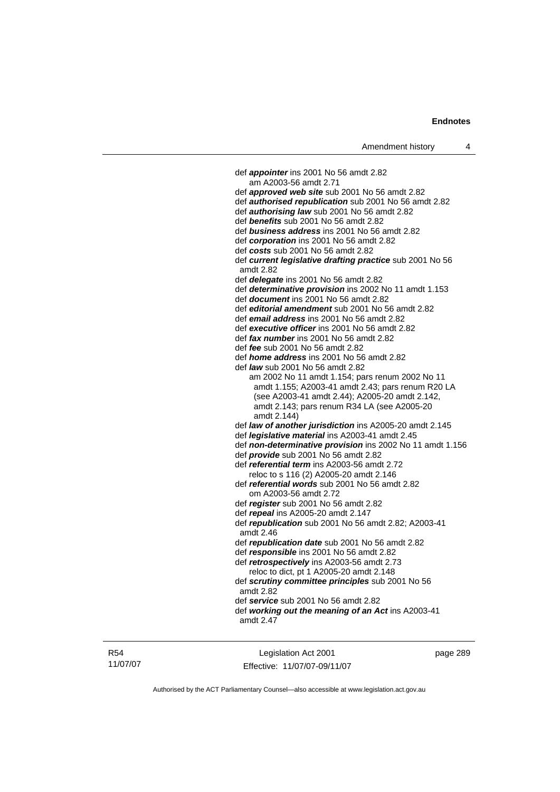def *appointer* ins 2001 No 56 amdt 2.82 am A2003-56 amdt 2.71 def *approved web site* sub 2001 No 56 amdt 2.82 def *authorised republication* sub 2001 No 56 amdt 2.82 def *authorising law* sub 2001 No 56 amdt 2.82 def *benefits* sub 2001 No 56 amdt 2.82 def *business address* ins 2001 No 56 amdt 2.82 def *corporation* ins 2001 No 56 amdt 2.82 def *costs* sub 2001 No 56 amdt 2.82 def *current legislative drafting practice* sub 2001 No 56 amdt 2.82 def *delegate* ins 2001 No 56 amdt 2.82 def *determinative provision* ins 2002 No 11 amdt 1.153 def *document* ins 2001 No 56 amdt 2.82 def *editorial amendment* sub 2001 No 56 amdt 2.82 def *email address* ins 2001 No 56 amdt 2.82 def *executive officer* ins 2001 No 56 amdt 2.82 def *fax number* ins 2001 No 56 amdt 2.82 def *fee* sub 2001 No 56 amdt 2.82 def *home address* ins 2001 No 56 amdt 2.82 def *law* sub 2001 No 56 amdt 2.82 am 2002 No 11 amdt 1.154; pars renum 2002 No 11 amdt 1.155; A2003-41 amdt 2.43; pars renum R20 LA (see A2003-41 amdt 2.44); A2005-20 amdt 2.142, amdt 2.143; pars renum R34 LA (see A2005-20 amdt 2.144) def *law of another jurisdiction* ins A2005-20 amdt 2.145 def *legislative material* ins A2003-41 amdt 2.45 def *non-determinative provision* ins 2002 No 11 amdt 1.156 def *provide* sub 2001 No 56 amdt 2.82 def *referential term* ins A2003-56 amdt 2.72 reloc to s 116 (2) A2005-20 amdt 2.146 def *referential words* sub 2001 No 56 amdt 2.82 om A2003-56 amdt 2.72 def *register* sub 2001 No 56 amdt 2.82 def *repeal* ins A2005-20 amdt 2.147 def *republication* sub 2001 No 56 amdt 2.82; A2003-41 amdt 2.46 def *republication date* sub 2001 No 56 amdt 2.82 def *responsible* ins 2001 No 56 amdt 2.82 def *retrospectively* ins A2003-56 amdt 2.73 reloc to dict, pt 1 A2005-20 amdt 2.148 def *scrutiny committee principles* sub 2001 No 56 amdt 2.82 def *service* sub 2001 No 56 amdt 2.82 def *working out the meaning of an Act* ins A2003-41 amdt 2.47

R54 11/07/07

Legislation Act 2001 Effective: 11/07/07-09/11/07 page 289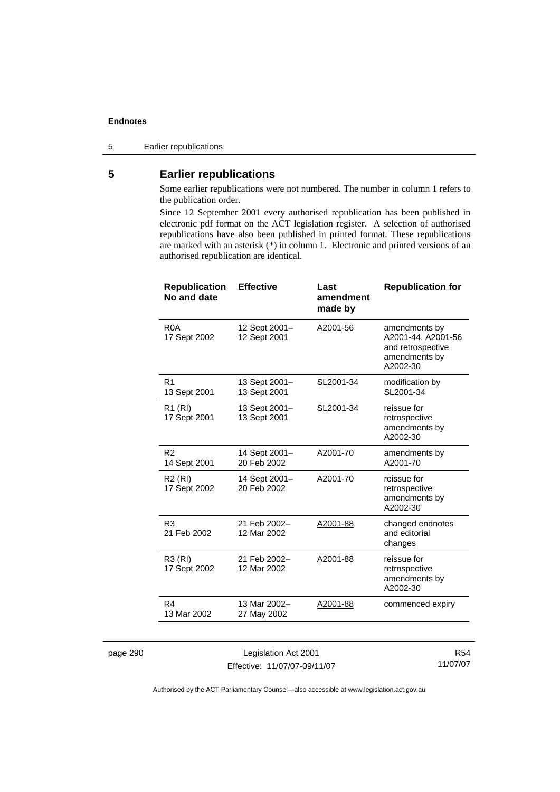5 Earlier republications

### **5 Earlier republications**

Some earlier republications were not numbered. The number in column 1 refers to the publication order.

Since 12 September 2001 every authorised republication has been published in electronic pdf format on the ACT legislation register. A selection of authorised republications have also been published in printed format. These republications are marked with an asterisk (\*) in column 1. Electronic and printed versions of an authorised republication are identical.

| <b>Republication</b><br>No and date | <b>Effective</b>              | Last<br>amendment<br>made by | <b>Republication for</b>                                                              |
|-------------------------------------|-------------------------------|------------------------------|---------------------------------------------------------------------------------------|
| R <sub>0</sub> A<br>17 Sept 2002    | 12 Sept 2001-<br>12 Sept 2001 | A2001-56                     | amendments by<br>A2001-44, A2001-56<br>and retrospective<br>amendments by<br>A2002-30 |
| R <sub>1</sub><br>13 Sept 2001      | 13 Sept 2001-<br>13 Sept 2001 | SL2001-34                    | modification by<br>SL2001-34                                                          |
| R <sub>1</sub> (RI)<br>17 Sept 2001 | 13 Sept 2001-<br>13 Sept 2001 | SL2001-34                    | reissue for<br>retrospective<br>amendments by<br>A2002-30                             |
| R <sub>2</sub><br>14 Sept 2001      | 14 Sept 2001-<br>20 Feb 2002  | A2001-70                     | amendments by<br>A2001-70                                                             |
| R <sub>2</sub> (RI)<br>17 Sept 2002 | 14 Sept 2001-<br>20 Feb 2002  | A2001-70                     | reissue for<br>retrospective<br>amendments by<br>A2002-30                             |
| R <sub>3</sub><br>21 Feb 2002       | 21 Feb 2002-<br>12 Mar 2002   | A2001-88                     | changed endnotes<br>and editorial<br>changes                                          |
| R3 (RI)<br>17 Sept 2002             | 21 Feb 2002-<br>12 Mar 2002   | A2001-88                     | reissue for<br>retrospective<br>amendments by<br>A2002-30                             |
| R4<br>13 Mar 2002                   | 13 Mar 2002-<br>27 May 2002   | A2001-88                     | commenced expiry                                                                      |
|                                     |                               |                              |                                                                                       |

page 290 Legislation Act 2001 Effective: 11/07/07-09/11/07

R54 11/07/07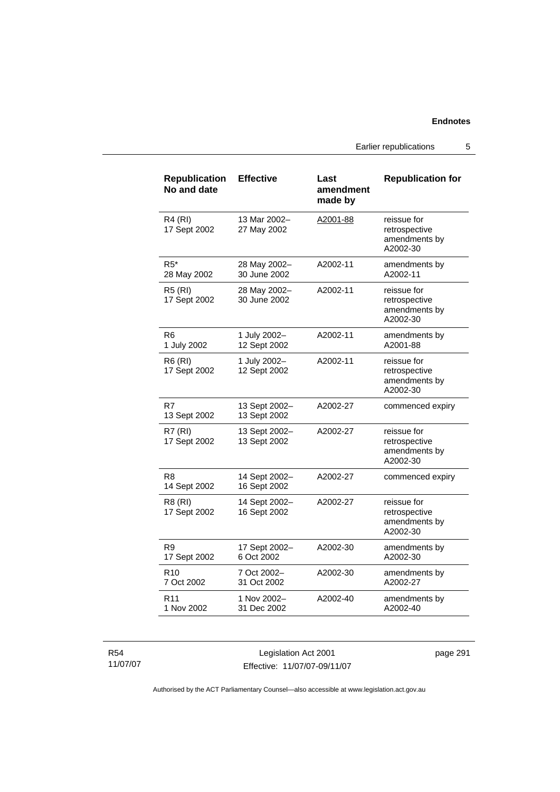Earlier republications 5

| <b>Republication</b><br>No and date | <b>Effective</b>              | Last<br>amendment<br>made by | <b>Republication for</b>                                  |
|-------------------------------------|-------------------------------|------------------------------|-----------------------------------------------------------|
| <b>R4 (RI)</b><br>17 Sept 2002      | 13 Mar 2002-<br>27 May 2002   | A2001-88                     | reissue for<br>retrospective<br>amendments by<br>A2002-30 |
| $R5*$<br>28 May 2002                | 28 May 2002-<br>30 June 2002  | A2002-11                     | amendments by<br>A2002-11                                 |
| <b>R5 (RI)</b><br>17 Sept 2002      | 28 May 2002-<br>30 June 2002  | A2002-11                     | reissue for<br>retrospective<br>amendments by<br>A2002-30 |
| R6<br>1 July 2002                   | 1 July 2002-<br>12 Sept 2002  | A2002-11                     | amendments by<br>A2001-88                                 |
| R6 (RI)<br>17 Sept 2002             | 1 July 2002-<br>12 Sept 2002  | A2002-11                     | reissue for<br>retrospective<br>amendments by<br>A2002-30 |
| R7<br>13 Sept 2002                  | 13 Sept 2002-<br>13 Sept 2002 | A2002-27                     | commenced expiry                                          |
| <b>R7 (RI)</b><br>17 Sept 2002      | 13 Sept 2002-<br>13 Sept 2002 | A2002-27                     | reissue for<br>retrospective<br>amendments by<br>A2002-30 |
| R8<br>14 Sept 2002                  | 14 Sept 2002-<br>16 Sept 2002 | A2002-27                     | commenced expiry                                          |
| R8 (RI)<br>17 Sept 2002             | 14 Sept 2002-<br>16 Sept 2002 | A2002-27                     | reissue for<br>retrospective<br>amendments by<br>A2002-30 |
| R <sub>9</sub><br>17 Sept 2002      | 17 Sept 2002-<br>6 Oct 2002   | A2002-30                     | amendments by<br>A2002-30                                 |
| R <sub>10</sub><br>7 Oct 2002       | 7 Oct 2002-<br>31 Oct 2002    | A2002-30                     | amendments by<br>A2002-27                                 |
| R <sub>11</sub><br>1 Nov 2002       | 1 Nov 2002-<br>31 Dec 2002    | A2002-40                     | amendments by<br>A2002-40                                 |

R54 11/07/07

Legislation Act 2001 Effective: 11/07/07-09/11/07 page 291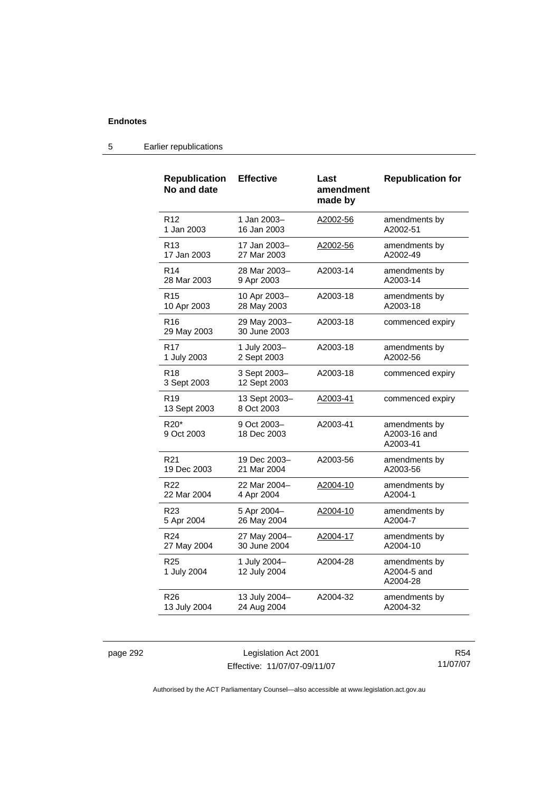| <b>Republication</b><br>No and date        | <b>Effective</b>             | Last<br>amendment<br>made by | <b>Republication for</b>                  |
|--------------------------------------------|------------------------------|------------------------------|-------------------------------------------|
| R <sub>12</sub>                            | 1 Jan 2003-                  | A2002-56                     | amendments by                             |
| 1 Jan 2003                                 | 16 Jan 2003                  |                              | A2002-51                                  |
| R <sub>13</sub>                            | 17 Jan 2003–                 | A2002-56                     | amendments by                             |
| 17 Jan 2003                                | 27 Mar 2003                  |                              | A2002-49                                  |
| R <sub>14</sub>                            | 28 Mar 2003-                 | A2003-14                     | amendments by                             |
| 28 Mar 2003                                | 9 Apr 2003                   |                              | A2003-14                                  |
| R <sub>15</sub>                            | 10 Apr 2003-                 | A2003-18                     | amendments by                             |
| 10 Apr 2003                                | 28 May 2003                  |                              | A2003-18                                  |
| R <sub>16</sub><br>29 May 2003             | 29 May 2003-<br>30 June 2003 | A2003-18                     | commenced expiry                          |
| <b>R17</b>                                 | 1 July 2003-                 | A2003-18                     | amendments by                             |
| 1 July 2003                                | 2 Sept 2003                  |                              | A2002-56                                  |
| R <sub>18</sub><br>3 Sept 2003             | 3 Sept 2003-<br>12 Sept 2003 | A2003-18                     | commenced expiry                          |
| R <sub>19</sub><br>13 Sept 2003            | 13 Sept 2003-<br>8 Oct 2003  | A2003-41                     | commenced expiry                          |
| R <sub>20</sub> <sup>*</sup><br>9 Oct 2003 | 9 Oct 2003-<br>18 Dec 2003   | A2003-41                     | amendments by<br>A2003-16 and<br>A2003-41 |
| R <sub>21</sub>                            | 19 Dec 2003-                 | A2003-56                     | amendments by                             |
| 19 Dec 2003                                | 21 Mar 2004                  |                              | A2003-56                                  |
| R <sub>22</sub>                            | 22 Mar 2004-                 | A2004-10                     | amendments by                             |
| 22 Mar 2004                                | 4 Apr 2004                   |                              | A2004-1                                   |
| R <sub>23</sub>                            | 5 Apr 2004-                  | A2004-10                     | amendments by                             |
| 5 Apr 2004                                 | 26 May 2004                  |                              | A2004-7                                   |
| R <sub>24</sub>                            | 27 May 2004-                 | A2004-17                     | amendments by                             |
| 27 May 2004                                | 30 June 2004                 |                              | A2004-10                                  |
| R <sub>25</sub><br>1 July 2004             | 1 July 2004-<br>12 July 2004 | A2004-28                     | amendments by<br>A2004-5 and<br>A2004-28  |
| R <sub>26</sub>                            | 13 July 2004-                | A2004-32                     | amendments by                             |
| 13 July 2004                               | 24 Aug 2004                  |                              | A2004-32                                  |

### 5 Earlier republications

page 292 Legislation Act 2001 Effective: 11/07/07-09/11/07

R54 11/07/07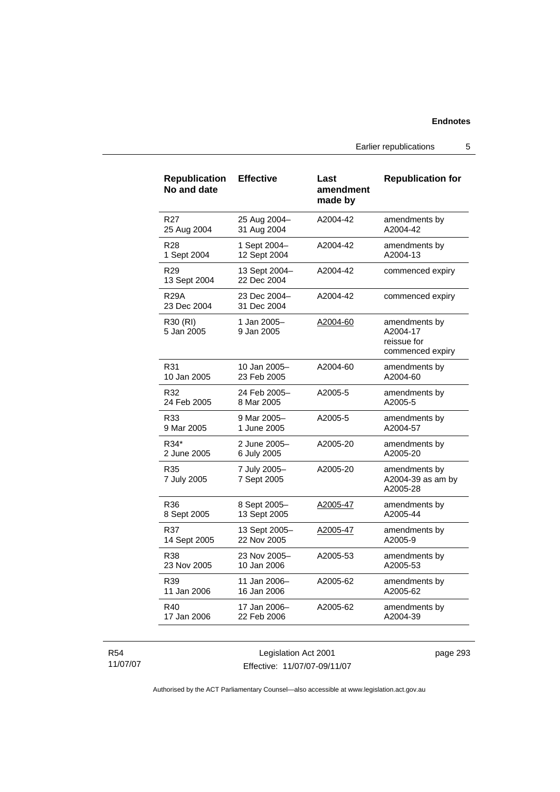Earlier republications 5

| <b>Republication</b><br>No and date | <b>Effective</b>             | Last<br>amendment<br>made by | <b>Republication for</b>                                     |
|-------------------------------------|------------------------------|------------------------------|--------------------------------------------------------------|
| R <sub>27</sub>                     | 25 Aug 2004-                 | A2004-42                     | amendments by                                                |
| 25 Aug 2004                         | 31 Aug 2004                  |                              | A2004-42                                                     |
| R <sub>28</sub>                     | 1 Sept 2004-                 | A2004-42                     | amendments by                                                |
| 1 Sept 2004                         | 12 Sept 2004                 |                              | A2004-13                                                     |
| R <sub>29</sub><br>13 Sept 2004     | 13 Sept 2004-<br>22 Dec 2004 | A2004-42                     | commenced expiry                                             |
| <b>R29A</b><br>23 Dec 2004          | 23 Dec 2004-<br>31 Dec 2004  | A2004-42                     | commenced expiry                                             |
| R30 (RI)<br>5 Jan 2005              | 1 Jan 2005-<br>9 Jan 2005    | A2004-60                     | amendments by<br>A2004-17<br>reissue for<br>commenced expiry |
| R31                                 | 10 Jan 2005-                 | A2004-60                     | amendments by                                                |
| 10 Jan 2005                         | 23 Feb 2005                  |                              | A2004-60                                                     |
| R32                                 | 24 Feb 2005–                 | A2005-5                      | amendments by                                                |
| 24 Feb 2005                         | 8 Mar 2005                   |                              | A2005-5                                                      |
| R33                                 | 9 Mar 2005–                  | A2005-5                      | amendments by                                                |
| 9 Mar 2005                          | 1 June 2005                  |                              | A2004-57                                                     |
| R34*                                | 2 June 2005-                 | A2005-20                     | amendments by                                                |
| 2 June 2005                         | 6 July 2005                  |                              | A2005-20                                                     |
| R35<br>7 July 2005                  | 7 July 2005-<br>7 Sept 2005  | A2005-20                     | amendments by<br>A2004-39 as am by<br>A2005-28               |
| R36                                 | 8 Sept 2005-                 | A2005-47                     | amendments by                                                |
| 8 Sept 2005                         | 13 Sept 2005                 |                              | A2005-44                                                     |
| R37                                 | 13 Sept 2005-                | A2005-47                     | amendments by                                                |
| 14 Sept 2005                        | 22 Nov 2005                  |                              | A2005-9                                                      |
| R38                                 | 23 Nov 2005-                 | A2005-53                     | amendments by                                                |
| 23 Nov 2005                         | 10 Jan 2006                  |                              | A2005-53                                                     |
| R39                                 | 11 Jan 2006-                 | A2005-62                     | amendments by                                                |
| 11 Jan 2006                         | 16 Jan 2006                  |                              | A2005-62                                                     |
| R40                                 | 17 Jan 2006-                 | A2005-62                     | amendments by                                                |
| 17 Jan 2006                         | 22 Feb 2006                  |                              | A2004-39                                                     |

R54 11/07/07

Legislation Act 2001 Effective: 11/07/07-09/11/07 page 293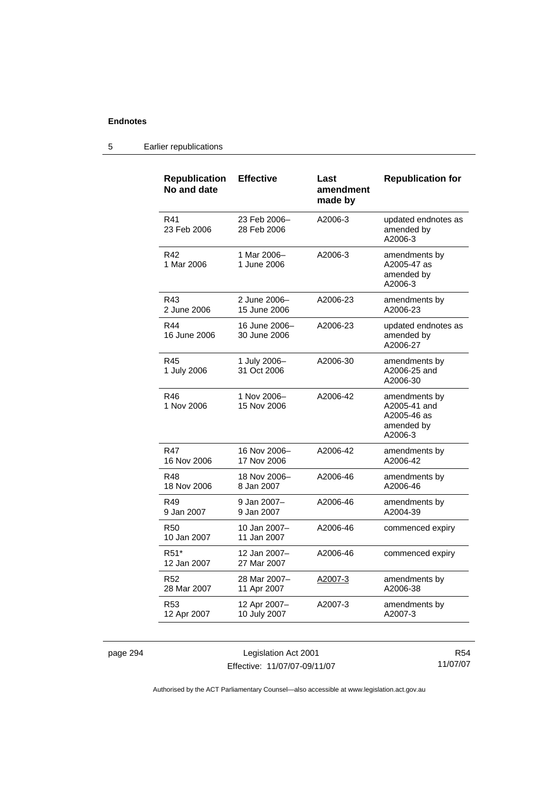#### **Republication No and date Effective Last amendment made by Republication for**  R41 23 Feb 2006 23 Feb 2006– 28 Feb 2006 A2006-3 updated endnotes as amended by A2006-3 R42 1 Mar 2006 1 Mar 2006– 1 June 2006 A2006-3 amendments by A2005-47 as amended by A2006-3 R43 2 June 2006 2 June 2006– 15 June 2006 A2006-23 amendments by A2006-23 R44 16 June 2006 16 June 2006– 30 June 2006 A2006-23 updated endnotes as amended by A2006-27 R45 1 July 2006 1 July 2006– 31 Oct 2006 A2006-30 amendments by A2006-25 and A2006-30 R46 1 Nov 2006 1 Nov 2006– 15 Nov 2006 A2006-42 amendments by A2005-41 and A2005-46 as amended by A2006-3 R47 16 Nov 2006 16 Nov 2006– 17 Nov 2006 A2006-42 amendments by A2006-42 R48 18 Nov 2006 18 Nov 2006– 8 Jan 2007 A2006-46 amendments by A2006-46 R49 9 Jan 2007 9 Jan 2007– 9 Jan 2007 A2006-46 amendments by A2004-39 R50 10 Jan 2007 10 Jan 2007– 11 Jan 2007 A2006-46 commenced expiry R51\* 12 Jan 2007 12 Jan 2007– 27 Mar 2007 A2006-46 commenced expiry R52 28 Mar 2007 28 Mar 2007– 11 Apr 2007 A2007-3 amendments by A2006-38 R53 12 Apr 2007 12 Apr 2007– 10 July 2007 A2007-3 amendments by A2007-3

#### 5 Earlier republications

page 294 Legislation Act 2001 Effective: 11/07/07-09/11/07

R54 11/07/07